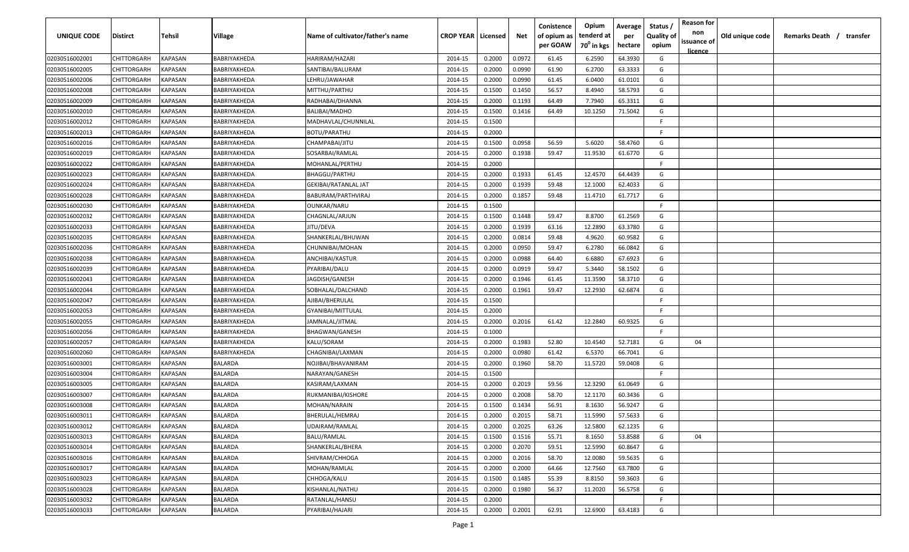| <b>UNIQUE CODE</b> | Distirct           | Tehsil         | Village        | Name of cultivator/father's name | <b>CROP YEAR   Licensed</b> |        | Net    | Conistence<br>of opium as | Opium<br>tenderd at    | Average<br>per | Status /<br><b>Quality of</b> | <b>Reason for</b><br>non      | Old unique code | Remarks Death / transfer |
|--------------------|--------------------|----------------|----------------|----------------------------------|-----------------------------|--------|--------|---------------------------|------------------------|----------------|-------------------------------|-------------------------------|-----------------|--------------------------|
|                    |                    |                |                |                                  |                             |        |        | per GOAW                  | 70 <sup>0</sup> in kgs | hectare        | opium                         | issuance of<br><u>licence</u> |                 |                          |
| 02030516002001     | CHITTORGARH        | <b>KAPASAN</b> | BABRIYAKHEDA   | HARIRAM/HAZARI                   | 2014-15                     | 0.2000 | 0.0972 | 61.45                     | 6.2590                 | 64.3930        | G                             |                               |                 |                          |
| 02030516002005     | CHITTORGARH        | KAPASAN        | BABRIYAKHEDA   | SANTIBAI/BALURAM                 | 2014-15                     | 0.2000 | 0.0990 | 61.90                     | 6.2700                 | 63.3333        | G                             |                               |                 |                          |
| 02030516002006     | CHITTORGARH        | KAPASAN        | BABRIYAKHEDA   | LEHRU/JAWAHAR                    | 2014-15                     | 0.2000 | 0.0990 | 61.45                     | 6.0400                 | 61.0101        | G                             |                               |                 |                          |
| 02030516002008     | CHITTORGARH        | KAPASAN        | BABRIYAKHEDA   | MITTHU/PARTHU                    | 2014-15                     | 0.1500 | 0.1450 | 56.57                     | 8.4940                 | 58.5793        | G                             |                               |                 |                          |
| 02030516002009     | CHITTORGARH        | KAPASAN        | BABRIYAKHEDA   | RADHABAI/DHANNA                  | 2014-15                     | 0.2000 | 0.1193 | 64.49                     | 7.7940                 | 65.3311        | G                             |                               |                 |                          |
| 02030516002010     | CHITTORGARH        | KAPASAN        | BABRIYAKHEDA   | <b>BALIBAI/MADHO</b>             | 2014-15                     | 0.1500 | 0.1416 | 64.49                     | 10.1250                | 71.5042        | G                             |                               |                 |                          |
| 02030516002012     | CHITTORGARH        | KAPASAN        | BABRIYAKHEDA   | MADHAVLAL/CHUNNILAL              | 2014-15                     | 0.1500 |        |                           |                        |                | -F.                           |                               |                 |                          |
| 02030516002013     | CHITTORGARH        | KAPASAN        | BABRIYAKHEDA   | <b>BOTU/PARATHU</b>              | 2014-15                     | 0.2000 |        |                           |                        |                | -F.                           |                               |                 |                          |
| 02030516002016     | CHITTORGARH        | KAPASAN        | BABRIYAKHEDA   | CHAMPABAI/JITU                   | 2014-15                     | 0.1500 | 0.0958 | 56.59                     | 5.6020                 | 58.4760        | G                             |                               |                 |                          |
| 02030516002019     | CHITTORGARH        | KAPASAN        | BABRIYAKHEDA   | SOSARBAI/RAMLAL                  | 2014-15                     | 0.2000 | 0.1938 | 59.47                     | 11.9530                | 61.6770        | G                             |                               |                 |                          |
| 02030516002022     | CHITTORGARH        | KAPASAN        | BABRIYAKHEDA   | MOHANLAL/PERTHU                  | 2014-15                     | 0.2000 |        |                           |                        |                | -F.                           |                               |                 |                          |
| 02030516002023     | CHITTORGARH        | KAPASAN        | BABRIYAKHEDA   | <b>BHAGGU/PARTHU</b>             | 2014-15                     | 0.2000 | 0.1933 | 61.45                     | 12.4570                | 64.4439        | G                             |                               |                 |                          |
| 02030516002024     | CHITTORGARH        | KAPASAN        | BABRIYAKHEDA   | GEKIBAI/RATANLAL JAT             | 2014-15                     | 0.2000 | 0.1939 | 59.48                     | 12.1000                | 62.4033        | G                             |                               |                 |                          |
| 02030516002028     | CHITTORGARH        | KAPASAN        | BABRIYAKHEDA   | BABURAM/PARTHVIRAJ               | 2014-15                     | 0.2000 | 0.1857 | 59.48                     | 11.4710                | 61.7717        | G                             |                               |                 |                          |
| 02030516002030     | CHITTORGARH        | KAPASAN        | BABRIYAKHEDA   | OUNKAR/NARU                      | 2014-15                     | 0.1500 |        |                           |                        |                | -F.                           |                               |                 |                          |
| 02030516002032     | CHITTORGARH        | KAPASAN        | BABRIYAKHEDA   | CHAGNLAL/ARJUN                   | 2014-15                     | 0.1500 | 0.1448 | 59.47                     | 8.8700                 | 61.2569        | G                             |                               |                 |                          |
| 02030516002033     | CHITTORGARH        | KAPASAN        | BABRIYAKHEDA   | JITU/DEVA                        | 2014-15                     | 0.2000 | 0.1939 | 63.16                     | 12.2890                | 63.3780        | G                             |                               |                 |                          |
| 02030516002035     | CHITTORGARH        | KAPASAN        | BABRIYAKHEDA   | SHANKERLAL/BHUWAN                | 2014-15                     | 0.2000 | 0.0814 | 59.48                     | 4.9620                 | 60.9582        | G                             |                               |                 |                          |
| 02030516002036     | CHITTORGARH        | KAPASAN        | BABRIYAKHEDA   | CHUNNIBAI/MOHAN                  | 2014-15                     | 0.2000 | 0.0950 | 59.47                     | 6.2780                 | 66.0842        | G                             |                               |                 |                          |
| 02030516002038     | CHITTORGARH        | KAPASAN        | BABRIYAKHEDA   | ANCHIBAI/KASTUR                  | 2014-15                     | 0.2000 | 0.0988 | 64.40                     | 6.6880                 | 67.6923        | G                             |                               |                 |                          |
| 02030516002039     | CHITTORGARH        | KAPASAN        | BABRIYAKHEDA   | PYARIBAI/DALU                    | 2014-15                     | 0.2000 | 0.0919 | 59.47                     | 5.3440                 | 58.1502        | G                             |                               |                 |                          |
| 02030516002043     | CHITTORGARH        | KAPASAN        | BABRIYAKHEDA   | JAGDISH/GANESH                   | 2014-15                     | 0.2000 | 0.1946 | 61.45                     | 11.3590                | 58.3710        | G                             |                               |                 |                          |
| 02030516002044     | CHITTORGARH        | KAPASAN        | BABRIYAKHEDA   | SOBHALAL/DALCHAND                | 2014-15                     | 0.2000 | 0.1961 | 59.47                     | 12.2930                | 62.6874        | G                             |                               |                 |                          |
| 02030516002047     | CHITTORGARH        | KAPASAN        | BABRIYAKHEDA   | AJIBAI/BHERULAL                  | 2014-15                     | 0.1500 |        |                           |                        |                | -F.                           |                               |                 |                          |
| 02030516002053     | CHITTORGARH        | KAPASAN        | BABRIYAKHEDA   | GYANIBAI/MITTULAL                | 2014-15                     | 0.2000 |        |                           |                        |                | -F                            |                               |                 |                          |
| 02030516002055     | CHITTORGARH        | KAPASAN        | BABRIYAKHEDA   | JAMNALAL/JITMAL                  | 2014-15                     | 0.2000 | 0.2016 | 61.42                     | 12.2840                | 60.9325        | G                             |                               |                 |                          |
| 02030516002056     | CHITTORGARH        | KAPASAN        | BABRIYAKHEDA   | BHAGWAN/GANESH                   | 2014-15                     | 0.1000 |        |                           |                        |                | -F.                           |                               |                 |                          |
| 02030516002057     | CHITTORGARH        | KAPASAN        | BABRIYAKHEDA   | KALU/SORAM                       | 2014-15                     | 0.2000 | 0.1983 | 52.80                     | 10.4540                | 52.7181        | G                             | 04                            |                 |                          |
| 02030516002060     | CHITTORGARH        | KAPASAN        | BABRIYAKHEDA   | CHAGNIBAI/LAXMAN                 | 2014-15                     | 0.2000 | 0.0980 | 61.42                     | 6.5370                 | 66.7041        | G                             |                               |                 |                          |
| 02030516003001     | CHITTORGARH        | KAPASAN        | BALARDA        | NOJIBAI/BHAVANIRAM               | 2014-15                     | 0.2000 | 0.1960 | 58.70                     | 11.5720                | 59.0408        | G                             |                               |                 |                          |
| 02030516003004     | CHITTORGARH        | KAPASAN        | BALARDA        | NARAYAN/GANESH                   | 2014-15                     | 0.1500 |        |                           |                        |                | -F.                           |                               |                 |                          |
| 02030516003005     | CHITTORGARH        | KAPASAN        | BALARDA        | KASIRAM/LAXMAN                   | 2014-15                     | 0.2000 | 0.2019 | 59.56                     | 12.3290                | 61.0649        | G                             |                               |                 |                          |
| 02030516003007     | CHITTORGARH        | KAPASAN        | <b>BALARDA</b> | RUKMANIBAI/KISHORE               | 2014-15                     | 0.2000 | 0.2008 | 58.70                     | 12.1170                | 60.3436        | G                             |                               |                 |                          |
| 02030516003008     | CHITTORGARH        | KAPASAN        | BALARDA        | MOHAN/NARAIN                     | 2014-15                     | 0.1500 | 0.1434 | 56.91                     | 8.1630                 | 56.9247        | G                             |                               |                 |                          |
| 02030516003011     | <b>CHITTORGARH</b> | KAPASAN        | BALARDA        | BHERULAL/HEMRAJ                  | 2014-15                     | 0.2000 | 0.2015 | 58.71                     | 11.5990                | 57.5633        | G                             |                               |                 |                          |
| 02030516003012     | <b>CHITTORGARH</b> | KAPASAN        | BALARDA        | <b>UDAIRAM/RAMLAL</b>            | 2014-15                     | 0.2000 | 0.2025 | 63.26                     | 12.5800                | 62.1235        | G                             |                               |                 |                          |
| 02030516003013     | CHITTORGARH        | KAPASAN        | <b>BALARDA</b> | <b>BALU/RAMLAL</b>               | 2014-15                     | 0.1500 | 0.1516 | 55.71                     | 8.1650                 | 53.8588        | G                             | 04                            |                 |                          |
| 02030516003014     | <b>CHITTORGARH</b> | <b>KAPASAN</b> | BALARDA        | SHANKERLAL/BHERA                 | 2014-15                     | 0.2000 | 0.2070 | 59.51                     | 12.5990                | 60.8647        | G                             |                               |                 |                          |
| 02030516003016     | <b>CHITTORGARH</b> | KAPASAN        | BALARDA        | SHIVRAM/CHHOGA                   | 2014-15                     | 0.2000 | 0.2016 | 58.70                     | 12.0080                | 59.5635        | G                             |                               |                 |                          |
| 02030516003017     | CHITTORGARH        | KAPASAN        | BALARDA        | MOHAN/RAMLAL                     | 2014-15                     | 0.2000 | 0.2000 | 64.66                     | 12.7560                | 63.7800        | G                             |                               |                 |                          |
| 02030516003023     | CHITTORGARH        | KAPASAN        | <b>BALARDA</b> | CHHOGA/KALU                      | 2014-15                     | 0.1500 | 0.1485 | 55.39                     | 8.8150                 | 59.3603        | G                             |                               |                 |                          |
| 02030516003028     | <b>CHITTORGARH</b> | KAPASAN        | <b>BALARDA</b> | KISHANLAL/NATHU                  | 2014-15                     | 0.2000 | 0.1980 | 56.37                     | 11.2020                | 56.5758        | G                             |                               |                 |                          |
| 02030516003032     | CHITTORGARH        | KAPASAN        | BALARDA        | RATANLAL/HANSU                   | 2014-15                     | 0.2000 |        |                           |                        |                | F.                            |                               |                 |                          |
| 02030516003033     | CHITTORGARH        | KAPASAN        | BALARDA        | PYARIBAI/HAJARI                  | 2014-15                     | 0.2000 | 0.2001 | 62.91                     | 12.6900                | 63.4183        | G                             |                               |                 |                          |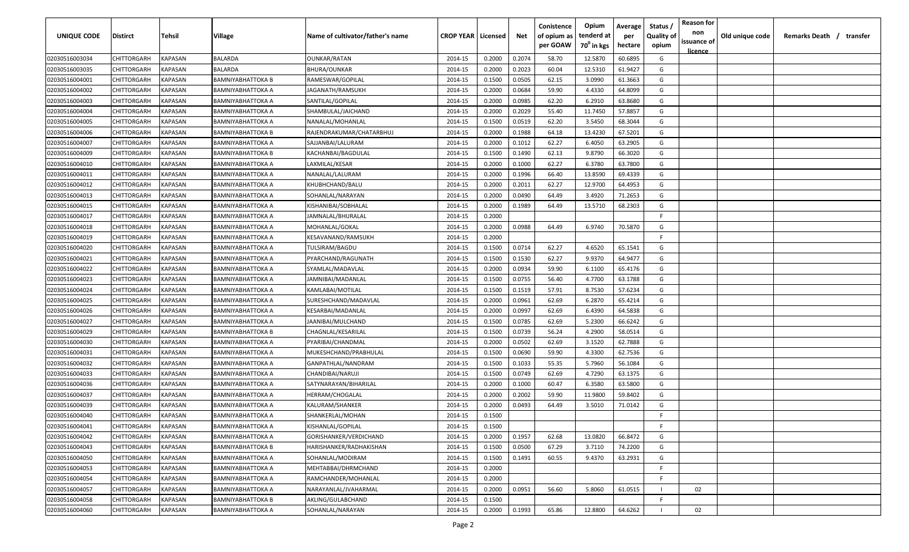| <b>UNIQUE CODE</b> | <b>Distirct</b>    | <b>Tehsil</b>  | Village           | Name of cultivator/father's name | <b>CROP YEAR   Licensed</b> |        | Net    | Conistence<br>of opium as | Opium<br>tenderd at    | Average<br>per | Status /<br>Quality of | <b>Reason for</b><br>non<br>issuance of | Old unique code | Remarks Death / | transfer |
|--------------------|--------------------|----------------|-------------------|----------------------------------|-----------------------------|--------|--------|---------------------------|------------------------|----------------|------------------------|-----------------------------------------|-----------------|-----------------|----------|
|                    |                    |                |                   |                                  |                             |        |        | per GOAW                  | 70 <sup>0</sup> in kgs | hectare        | opium                  | <u>licence</u>                          |                 |                 |          |
| 02030516003034     | CHITTORGARH        | <b>KAPASAN</b> | <b>BALARDA</b>    | <b>OUNKAR/RATAN</b>              | 2014-15                     | 0.2000 | 0.2074 | 58.70                     | 12.5870                | 60.6895        | G                      |                                         |                 |                 |          |
| 02030516003035     | CHITTORGARH        | KAPASAN        | <b>BALARDA</b>    | BHURA/OUNKAR                     | 2014-15                     | 0.2000 | 0.2023 | 60.04                     | 12.5310                | 61.9427        | G                      |                                         |                 |                 |          |
| 02030516004001     | CHITTORGARH        | KAPASAN        | BAMNIYABHATTOKA B | RAMESWAR/GOPILAL                 | 2014-15                     | 0.1500 | 0.0505 | 62.15                     | 3.0990                 | 61.3663        | G                      |                                         |                 |                 |          |
| 02030516004002     | CHITTORGARH        | KAPASAN        | BAMNIYABHATTOKA A | JAGANATH/RAMSUKH                 | 2014-15                     | 0.2000 | 0.0684 | 59.90                     | 4.4330                 | 64.8099        | G                      |                                         |                 |                 |          |
| 02030516004003     | CHITTORGARH        | KAPASAN        | BAMNIYABHATTOKA A | SANTILAL/GOPILAL                 | 2014-15                     | 0.2000 | 0.0985 | 62.20                     | 6.2910                 | 63.8680        | G                      |                                         |                 |                 |          |
| 02030516004004     | CHITTORGARH        | KAPASAN        | BAMNIYABHATTOKA A | SHAMBULAL/JAICHAND               | 2014-15                     | 0.2000 | 0.2029 | 55.40                     | 11.7450                | 57.8857        | G                      |                                         |                 |                 |          |
| 02030516004005     | CHITTORGARH        | KAPASAN        | BAMNIYABHATTOKA A | NANALAL/MOHANLAL                 | 2014-15                     | 0.1500 | 0.0519 | 62.20                     | 3.5450                 | 68.3044        | G                      |                                         |                 |                 |          |
| 02030516004006     | CHITTORGARH        | KAPASAN        | BAMNIYABHATTOKA B | RAJENDRAKUMAR/CHATARBHUJ         | 2014-15                     | 0.2000 | 0.1988 | 64.18                     | 13.4230                | 67.5201        | G                      |                                         |                 |                 |          |
| 02030516004007     | CHITTORGARH        | KAPASAN        | BAMNIYABHATTOKA A | SAJJANBAI/LALURAM                | 2014-15                     | 0.2000 | 0.1012 | 62.27                     | 6.4050                 | 63.2905        | G                      |                                         |                 |                 |          |
| 02030516004009     | CHITTORGARH        | KAPASAN        | BAMNIYABHATTOKA B | KACHANBAI/BAGDULAL               | 2014-15                     | 0.1500 | 0.1490 | 62.13                     | 9.8790                 | 66.3020        | G                      |                                         |                 |                 |          |
| 02030516004010     | CHITTORGARH        | KAPASAN        | BAMNIYABHATTOKA A | LAXMILAL/KESAR                   | 2014-15                     | 0.2000 | 0.1000 | 62.27                     | 6.3780                 | 63.7800        | G                      |                                         |                 |                 |          |
| 02030516004011     | CHITTORGARH        | KAPASAN        | BAMNIYABHATTOKA A | NANALAL/LALURAM                  | 2014-15                     | 0.2000 | 0.1996 | 66.40                     | 13.8590                | 69.4339        | G                      |                                         |                 |                 |          |
| 02030516004012     | CHITTORGARH        | KAPASAN        | BAMNIYABHATTOKA A | KHUBHCHAND/BALU                  | 2014-15                     | 0.2000 | 0.2011 | 62.27                     | 12.9700                | 64.4953        | G                      |                                         |                 |                 |          |
| 02030516004013     | CHITTORGARH        | KAPASAN        | BAMNIYABHATTOKA A | SOHANLAL/NARAYAN                 | 2014-15                     | 0.2000 | 0.0490 | 64.49                     | 3.4920                 | 71.2653        | G                      |                                         |                 |                 |          |
| 02030516004015     | CHITTORGARH        | KAPASAN        | BAMNIYABHATTOKA A | KISHANIBAI/SOBHALAL              | 2014-15                     | 0.2000 | 0.1989 | 64.49                     | 13.5710                | 68.2303        | G                      |                                         |                 |                 |          |
| 02030516004017     | CHITTORGARH        | KAPASAN        | BAMNIYABHATTOKA A | JAMNALAL/BHURALAL                | 2014-15                     | 0.2000 |        |                           |                        |                | -F.                    |                                         |                 |                 |          |
| 02030516004018     | CHITTORGARH        | KAPASAN        | BAMNIYABHATTOKA A | MOHANLAL/GOKAL                   | 2014-15                     | 0.2000 | 0.0988 | 64.49                     | 6.9740                 | 70.5870        | G                      |                                         |                 |                 |          |
| 02030516004019     | CHITTORGARH        | KAPASAN        | BAMNIYABHATTOKA A | KESAVANAND/RAMSUKH               | 2014-15                     | 0.2000 |        |                           |                        |                | -F.                    |                                         |                 |                 |          |
| 02030516004020     | CHITTORGARH        | KAPASAN        | BAMNIYABHATTOKA A | TULSIRAM/BAGDU                   | 2014-15                     | 0.1500 | 0.0714 | 62.27                     | 4.6520                 | 65.1541        | G                      |                                         |                 |                 |          |
| 02030516004021     | CHITTORGARH        | KAPASAN        | BAMNIYABHATTOKA A | PYARCHAND/RAGUNATH               | 2014-15                     | 0.1500 | 0.1530 | 62.27                     | 9.9370                 | 64.9477        | G                      |                                         |                 |                 |          |
| 02030516004022     | CHITTORGARH        | KAPASAN        | BAMNIYABHATTOKA A | SYAMLAL/MADAVLAL                 | 2014-15                     | 0.2000 | 0.0934 | 59.90                     | 6.1100                 | 65.4176        | G                      |                                         |                 |                 |          |
| 02030516004023     | CHITTORGARH        | KAPASAN        | BAMNIYABHATTOKA A | JAMNIBAI/MADANLAL                | 2014-15                     | 0.1500 | 0.0755 | 56.40                     | 4.7700                 | 63.1788        | G                      |                                         |                 |                 |          |
| 02030516004024     | CHITTORGARH        | KAPASAN        | BAMNIYABHATTOKA A | KAMLABAI/MOTILAL                 | 2014-15                     | 0.1500 | 0.1519 | 57.91                     | 8.7530                 | 57.6234        | G                      |                                         |                 |                 |          |
| 02030516004025     | CHITTORGARH        | KAPASAN        | BAMNIYABHATTOKA A | SURESHCHAND/MADAVLAL             | 2014-15                     | 0.2000 | 0.0961 | 62.69                     | 6.2870                 | 65.4214        | G                      |                                         |                 |                 |          |
| 02030516004026     | CHITTORGARH        | KAPASAN        | BAMNIYABHATTOKA A | KESARBAI/MADANLAL                | 2014-15                     | 0.2000 | 0.0997 | 62.69                     | 6.4390                 | 64.5838        | G                      |                                         |                 |                 |          |
| 02030516004027     | CHITTORGARH        | KAPASAN        | BAMNIYABHATTOKA A | JAANIBAI/MULCHAND                | 2014-15                     | 0.1500 | 0.0785 | 62.69                     | 5.2300                 | 66.6242        | G                      |                                         |                 |                 |          |
| 02030516004029     | CHITTORGARH        | KAPASAN        | BAMNIYABHATTOKA B | CHAGNLAL/KESARILAL               | 2014-15                     | 0.1500 | 0.0739 | 56.24                     | 4.2900                 | 58.0514        | G                      |                                         |                 |                 |          |
| 02030516004030     | CHITTORGARH        | KAPASAN        | BAMNIYABHATTOKA A | PYARIBAI/CHANDMAL                | 2014-15                     | 0.2000 | 0.0502 | 62.69                     | 3.1520                 | 62.7888        | G                      |                                         |                 |                 |          |
| 02030516004031     | CHITTORGARH        | KAPASAN        | BAMNIYABHATTOKA A | MUKESHCHAND/PRABHULAL            | 2014-15                     | 0.1500 | 0.0690 | 59.90                     | 4.3300                 | 62.7536        | G                      |                                         |                 |                 |          |
| 02030516004032     | CHITTORGARH        | KAPASAN        | BAMNIYABHATTOKA A | GANPATHLAL/NANDRAM               | 2014-15                     | 0.1500 | 0.1033 | 55.35                     | 5.7960                 | 56.1084        | G                      |                                         |                 |                 |          |
| 02030516004033     | CHITTORGARH        | KAPASAN        | BAMNIYABHATTOKA A | CHANDIBAI/NARUJI                 | 2014-15                     | 0.1500 | 0.0749 | 62.69                     | 4.7290                 | 63.1375        | G                      |                                         |                 |                 |          |
| 02030516004036     | CHITTORGARH        | KAPASAN        | BAMNIYABHATTOKA A | SATYNARAYAN/BIHARILAL            | 2014-15                     | 0.2000 | 0.1000 | 60.47                     | 6.3580                 | 63.5800        | G                      |                                         |                 |                 |          |
| 02030516004037     | CHITTORGARH        | KAPASAN        | BAMNIYABHATTOKA A | HERRAM/CHOGALAL                  | 2014-15                     | 0.2000 | 0.2002 | 59.90                     | 11.9800                | 59.8402        | G                      |                                         |                 |                 |          |
| 02030516004039     | CHITTORGARH        | KAPASAN        | BAMNIYABHATTOKA A | KALURAM/SHANKER                  | 2014-15                     | 0.2000 | 0.0493 | 64.49                     | 3.5010                 | 71.0142        | G                      |                                         |                 |                 |          |
| 02030516004040     | <b>CHITTORGARH</b> | KAPASAN        | BAMNIYABHATTOKA A | SHANKERLAL/MOHAN                 | 2014-15                     | 0.1500 |        |                           |                        |                | E                      |                                         |                 |                 |          |
| 02030516004041     | CHITTORGARH        | <b>KAPASAN</b> | BAMNIYABHATTOKA A | KISHANLAL/GOPILAL                | 2014-15                     | 0.1500 |        |                           |                        |                | -F                     |                                         |                 |                 |          |
| 02030516004042     | <b>CHITTORGARH</b> | KAPASAN        | BAMNIYABHATTOKA A | GORISHANKER/VERDICHAND           | 2014-15                     | 0.2000 | 0.1957 | 62.68                     | 13.0820                | 66.8472        | G                      |                                         |                 |                 |          |
| 02030516004043     | CHITTORGARH        | KAPASAN        | BAMNIYABHATTOKA B | HARISHANKER/RADHAKISHAN          | 2014-15                     | 0.1500 | 0.0500 | 67.29                     | 3.7110                 | 74.2200        | G                      |                                         |                 |                 |          |
| 02030516004050     | CHITTORGARH        | KAPASAN        | BAMNIYABHATTOKA A | SOHANLAL/MODIRAM                 | 2014-15                     | 0.1500 | 0.1491 | 60.55                     | 9.4370                 | 63.2931        | G                      |                                         |                 |                 |          |
| 02030516004053     | CHITTORGARH        | KAPASAN        | BAMNIYABHATTOKA A | MEHTABBAI/DHRMCHAND              | 2014-15                     | 0.2000 |        |                           |                        |                | $\mathsf{F}$           |                                         |                 |                 |          |
| 02030516004054     | <b>CHITTORGARH</b> | KAPASAN        | BAMNIYABHATTOKA A | RAMCHANDER/MOHANLAL              | 2014-15                     | 0.2000 |        |                           |                        |                | -F                     |                                         |                 |                 |          |
| 02030516004057     | <b>CHITTORGARH</b> | KAPASAN        | BAMNIYABHATTOKA A | NARAYANLAL/JVAHARMAL             | 2014-15                     | 0.2000 | 0.0951 | 56.60                     | 5.8060                 | 61.0515        |                        | 02                                      |                 |                 |          |
| 02030516004058     | CHITTORGARH        | KAPASAN        | BAMNIYABHATTOKA B | AKLING/GULABCHAND                | 2014-15                     | 0.1500 |        |                           |                        |                | F.                     |                                         |                 |                 |          |
| 02030516004060     | <b>CHITTORGARH</b> | <b>KAPASAN</b> | BAMNIYABHATTOKA A | SOHANLAL/NARAYAN                 | 2014-15                     | 0.2000 | 0.1993 | 65.86                     | 12.8800                | 64.6262        |                        | 02                                      |                 |                 |          |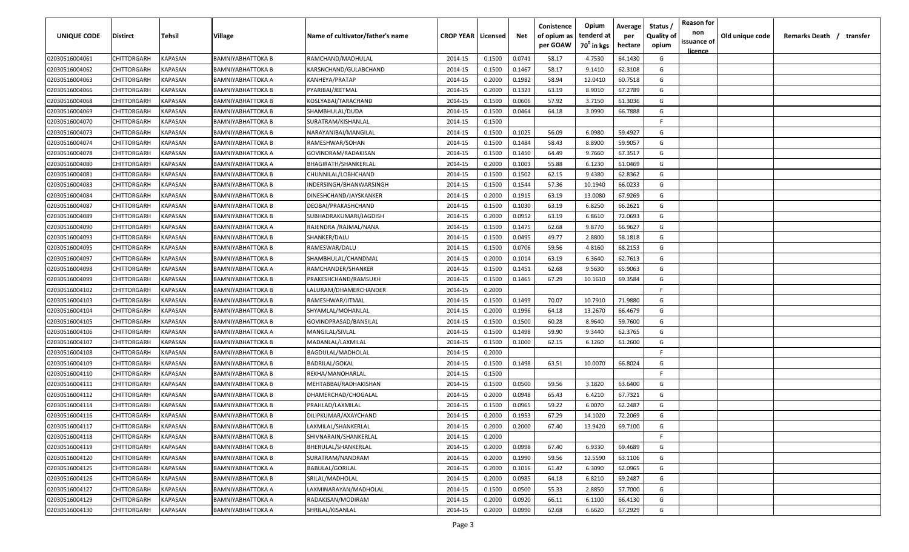| <b>UNIQUE CODE</b> | <b>Distirct</b>    | <b>Tehsil</b>  | Village                  | Name of cultivator/father's name | <b>CROP YEAR   Licensed</b> |        | Net    | Conistence<br>of opium as<br>per GOAW | Opium<br>tenderd at<br>70 <sup>0</sup> in kgs | Average<br>per<br>hectare | Status /<br><b>Quality of</b><br>opium | <b>Reason for</b><br>non<br>issuance of | Old unique code | Remarks Death /<br>transfer |  |
|--------------------|--------------------|----------------|--------------------------|----------------------------------|-----------------------------|--------|--------|---------------------------------------|-----------------------------------------------|---------------------------|----------------------------------------|-----------------------------------------|-----------------|-----------------------------|--|
| 02030516004061     | CHITTORGARH        | <b>KAPASAN</b> | <b>BAMNIYABHATTOKA B</b> | RAMCHAND/MADHULAL                | 2014-15                     | 0.1500 | 0.0741 | 58.17                                 | 4.7530                                        | 64.1430                   | G                                      | <u>licence</u>                          |                 |                             |  |
| 02030516004062     | CHITTORGARH        | KAPASAN        | BAMNIYABHATTOKA B        | KARSNCHAND/GULABCHAND            | 2014-15                     | 0.1500 | 0.1467 | 58.17                                 | 9.1410                                        | 62.3108                   | G                                      |                                         |                 |                             |  |
| 02030516004063     | CHITTORGARH        | KAPASAN        | BAMNIYABHATTOKA A        | KANHEYA/PRATAP                   | 2014-15                     | 0.2000 | 0.1982 | 58.94                                 | 12.0410                                       | 60.7518                   | G                                      |                                         |                 |                             |  |
| 02030516004066     | CHITTORGARH        | KAPASAN        | BAMNIYABHATTOKA B        | PYARIBAI/JEETMAL                 | 2014-15                     | 0.2000 | 0.1323 | 63.19                                 | 8.9010                                        | 67.2789                   | G                                      |                                         |                 |                             |  |
| 02030516004068     | CHITTORGARH        | KAPASAN        | BAMNIYABHATTOKA B        | KOSLYABAI/TARACHAND              | 2014-15                     | 0.1500 | 0.0606 | 57.92                                 | 3.7150                                        | 61.3036                   | G                                      |                                         |                 |                             |  |
| 02030516004069     | CHITTORGARH        | KAPASAN        | BAMNIYABHATTOKA B        | SHAMBHULAL/DUDA                  | 2014-15                     | 0.1500 | 0.0464 | 64.18                                 | 3.0990                                        | 66.7888                   | G                                      |                                         |                 |                             |  |
| 02030516004070     | CHITTORGARH        | KAPASAN        | BAMNIYABHATTOKA B        | SURATRAM/KISHANLAL               | 2014-15                     | 0.1500 |        |                                       |                                               |                           | -F                                     |                                         |                 |                             |  |
| 02030516004073     | CHITTORGARH        | KAPASAN        | BAMNIYABHATTOKA B        | NARAYANIBAI/MANGILAL             | 2014-15                     | 0.1500 | 0.1025 | 56.09                                 | 6.0980                                        | 59.4927                   | G                                      |                                         |                 |                             |  |
| 02030516004074     | CHITTORGARH        | KAPASAN        | BAMNIYABHATTOKA B        | RAMESHWAR/SOHAN                  | 2014-15                     | 0.1500 | 0.1484 | 58.43                                 | 8.8900                                        | 59.9057                   | G                                      |                                         |                 |                             |  |
| 02030516004078     | CHITTORGARH        | KAPASAN        | BAMNIYABHATTOKA A        | GOVINDRAM/RADAKISAN              | 2014-15                     | 0.1500 | 0.1450 | 64.49                                 | 9.7660                                        | 67.3517                   | G                                      |                                         |                 |                             |  |
| 02030516004080     | CHITTORGARH        | KAPASAN        | BAMNIYABHATTOKA A        | BHAGIRATH/SHANKERLAL             | 2014-15                     | 0.2000 | 0.1003 | 55.88                                 | 6.1230                                        | 61.0469                   | G                                      |                                         |                 |                             |  |
| 02030516004081     | CHITTORGARH        | KAPASAN        | BAMNIYABHATTOKA B        | CHUNNILAL/LOBHCHAND              | 2014-15                     | 0.1500 | 0.1502 | 62.15                                 | 9.4380                                        | 62.8362                   | G                                      |                                         |                 |                             |  |
| 02030516004083     | CHITTORGARH        | KAPASAN        | BAMNIYABHATTOKA B        | INDERSINGH/BHANWARSINGH          | 2014-15                     | 0.1500 | 0.1544 | 57.36                                 | 10.1940                                       | 66.0233                   | G                                      |                                         |                 |                             |  |
| 02030516004084     | CHITTORGARH        | KAPASAN        | BAMNIYABHATTOKA B        | DINESHCHAND/JAYSKANKER           | 2014-15                     | 0.2000 | 0.1915 | 63.19                                 | 13.0080                                       | 67.9269                   | G                                      |                                         |                 |                             |  |
| 02030516004087     | CHITTORGARH        | KAPASAN        | BAMNIYABHATTOKA B        | DEOBAI/PRAKASHCHAND              | 2014-15                     | 0.1500 | 0.1030 | 63.19                                 | 6.8250                                        | 66.2621                   | G                                      |                                         |                 |                             |  |
| 02030516004089     | CHITTORGARH        | KAPASAN        | BAMNIYABHATTOKA B        | SUBHADRAKUMARI/JAGDISH           | 2014-15                     | 0.2000 | 0.0952 | 63.19                                 | 6.8610                                        | 72.0693                   | G                                      |                                         |                 |                             |  |
| 02030516004090     | CHITTORGARH        | KAPASAN        | BAMNIYABHATTOKA A        | RAJENDRA / RAJMAL/NANA           | 2014-15                     | 0.1500 | 0.1475 | 62.68                                 | 9.8770                                        | 66.9627                   | G                                      |                                         |                 |                             |  |
| 02030516004093     | CHITTORGARH        | KAPASAN        | <b>BAMNIYABHATTOKA B</b> | SHANKER/DALU                     | 2014-15                     | 0.1500 | 0.0495 | 49.77                                 | 2.8800                                        | 58.1818                   | G                                      |                                         |                 |                             |  |
| 02030516004095     | CHITTORGARH        | KAPASAN        | BAMNIYABHATTOKA B        | RAMESWAR/DALU                    | 2014-15                     | 0.1500 | 0.0706 | 59.56                                 | 4.8160                                        | 68.2153                   | G                                      |                                         |                 |                             |  |
| 02030516004097     | CHITTORGARH        | KAPASAN        | BAMNIYABHATTOKA B        | SHAMBHULAL/CHANDMAL              | 2014-15                     | 0.2000 | 0.1014 | 63.19                                 | 6.3640                                        | 62.7613                   | G                                      |                                         |                 |                             |  |
| 02030516004098     | CHITTORGARH        | KAPASAN        | BAMNIYABHATTOKA A        | RAMCHANDER/SHANKER               | 2014-15                     | 0.1500 | 0.1451 | 62.68                                 | 9.5630                                        | 65.9063                   | G                                      |                                         |                 |                             |  |
| 02030516004099     | CHITTORGARH        | KAPASAN        | BAMNIYABHATTOKA B        | PRAKESHCHAND/RAMSUKH             | 2014-15                     | 0.1500 | 0.1465 | 67.29                                 | 10.1610                                       | 69.3584                   | G                                      |                                         |                 |                             |  |
| 02030516004102     | CHITTORGARH        | KAPASAN        | BAMNIYABHATTOKA B        | LALURAM/DHAMERCHANDER            | 2014-15                     | 0.2000 |        |                                       |                                               |                           | -F                                     |                                         |                 |                             |  |
| 02030516004103     | CHITTORGARH        | KAPASAN        | BAMNIYABHATTOKA B        | RAMESHWAR/JITMAL                 | 2014-15                     | 0.1500 | 0.1499 | 70.07                                 | 10.7910                                       | 71.9880                   | G                                      |                                         |                 |                             |  |
| 02030516004104     | CHITTORGARH        | KAPASAN        | BAMNIYABHATTOKA B        | SHYAMLAL/MOHANLAL                | 2014-15                     | 0.2000 | 0.1996 | 64.18                                 | 13.2670                                       | 66.4679                   | G                                      |                                         |                 |                             |  |
| 02030516004105     | CHITTORGARH        | KAPASAN        | BAMNIYABHATTOKA B        | GOVINDPRASAD/BANSILAL            | 2014-15                     | 0.1500 | 0.1500 | 60.28                                 | 8.9640                                        | 59.7600                   | G                                      |                                         |                 |                             |  |
| 02030516004106     | CHITTORGARH        | KAPASAN        | BAMNIYABHATTOKA A        | MANGILAL/SIVLAL                  | 2014-15                     | 0.1500 | 0.1498 | 59.90                                 | 9.3440                                        | 62.3765                   | G                                      |                                         |                 |                             |  |
| 02030516004107     | CHITTORGARH        | KAPASAN        | BAMNIYABHATTOKA B        | MADANLAL/LAXMILAL                | 2014-15                     | 0.1500 | 0.1000 | 62.15                                 | 6.1260                                        | 61.2600                   | G                                      |                                         |                 |                             |  |
| 02030516004108     | CHITTORGARH        | KAPASAN        | BAMNIYABHATTOKA B        | BAGDULAL/MADHOLAL                | 2014-15                     | 0.2000 |        |                                       |                                               |                           | -F.                                    |                                         |                 |                             |  |
| 02030516004109     | CHITTORGARH        | KAPASAN        | BAMNIYABHATTOKA B        | <b>BADRILAL/GOKAL</b>            | 2014-15                     | 0.1500 | 0.1498 | 63.51                                 | 10.0070                                       | 66.8024                   | G                                      |                                         |                 |                             |  |
| 02030516004110     | CHITTORGARH        | KAPASAN        | BAMNIYABHATTOKA B        | REKHA/MANOHARLAL                 | 2014-15                     | 0.1500 |        |                                       |                                               |                           | -F.                                    |                                         |                 |                             |  |
| 02030516004111     | CHITTORGARH        | KAPASAN        | BAMNIYABHATTOKA B        | MEHTABBAI/RADHAKISHAN            | 2014-15                     | 0.1500 | 0.0500 | 59.56                                 | 3.1820                                        | 63.6400                   | G                                      |                                         |                 |                             |  |
| 02030516004112     | CHITTORGARH        | KAPASAN        | BAMNIYABHATTOKA B        | DHAMERCHAD/CHOGALAL              | 2014-15                     | 0.2000 | 0.0948 | 65.43                                 | 6.4210                                        | 67.7321                   | G                                      |                                         |                 |                             |  |
| 02030516004114     | CHITTORGARH        | KAPASAN        | BAMNIYABHATTOKA B        | PRAHLAD/LAXMILAL                 | 2014-15                     | 0.1500 | 0.0965 | 59.22                                 | 6.0070                                        | 62.2487                   | G                                      |                                         |                 |                             |  |
| 02030516004116     | <b>CHITTORGARH</b> | KAPASAN        | BAMNIYABHATTOKA B        | DILIPKUMAR/AXAYCHAND             | 2014-15                     | 0.2000 | 0.1953 | 67.29                                 | 14.1020                                       | 72.2069                   | G                                      |                                         |                 |                             |  |
| 02030516004117     | <b>CHITTORGARH</b> | <b>KAPASAN</b> | BAMNIYABHATTOKA B        | LAXMILAL/SHANKERLAL              | 2014-15                     | 0.2000 | 0.2000 | 67.40                                 | 13.9420                                       | 69.7100                   | G                                      |                                         |                 |                             |  |
| 02030516004118     | <b>CHITTORGARH</b> | KAPASAN        | BAMNIYABHATTOKA B        | SHIVNARAIN/SHANKERLAL            | 2014-15                     | 0.2000 |        |                                       |                                               |                           | F.                                     |                                         |                 |                             |  |
| 02030516004119     | CHITTORGARH        | KAPASAN        | <b>BAMNIYABHATTOKA B</b> | BHERULAL/SHANKERLAL              | 2014-15                     | 0.2000 | 0.0998 | 67.40                                 | 6.9330                                        | 69.4689                   | G                                      |                                         |                 |                             |  |
| 02030516004120     | CHITTORGARH        | KAPASAN        | <b>BAMNIYABHATTOKA B</b> | SURATRAM/NANDRAM                 | 2014-15                     | 0.2000 | 0.1990 | 59.56                                 | 12.5590                                       | 63.1106                   | G                                      |                                         |                 |                             |  |
| 02030516004125     | CHITTORGARH        | KAPASAN        | BAMNIYABHATTOKA A        | <b>BABULAL/GORILAL</b>           | 2014-15                     | 0.2000 | 0.1016 | 61.42                                 | 6.3090                                        | 62.0965                   | G                                      |                                         |                 |                             |  |
| 02030516004126     | <b>CHITTORGARH</b> | KAPASAN        | BAMNIYABHATTOKA B        | SRILAL/MADHOLAL                  | 2014-15                     | 0.2000 | 0.0985 | 64.18                                 | 6.8210                                        | 69.2487                   | G                                      |                                         |                 |                             |  |
| 02030516004127     | CHITTORGARH        | KAPASAN        | BAMNIYABHATTOKA A        | LAXMINARAYAN/MADHOLAL            | 2014-15                     | 0.1500 | 0.0500 | 55.33                                 | 2.8850                                        | 57.7000                   | G                                      |                                         |                 |                             |  |
| 02030516004129     | <b>CHITTORGARH</b> | KAPASAN        | BAMNIYABHATTOKA A        | RADAKISAN/MODIRAM                | 2014-15                     | 0.2000 | 0.0920 | 66.11                                 | 6.1100                                        | 66.4130                   | G                                      |                                         |                 |                             |  |
| 02030516004130     | CHITTORGARH        | KAPASAN        | BAMNIYABHATTOKA A        | SHRILAL/KISANLAL                 | 2014-15                     | 0.2000 | 0.0990 | 62.68                                 | 6.6620                                        | 67.2929                   | G                                      |                                         |                 |                             |  |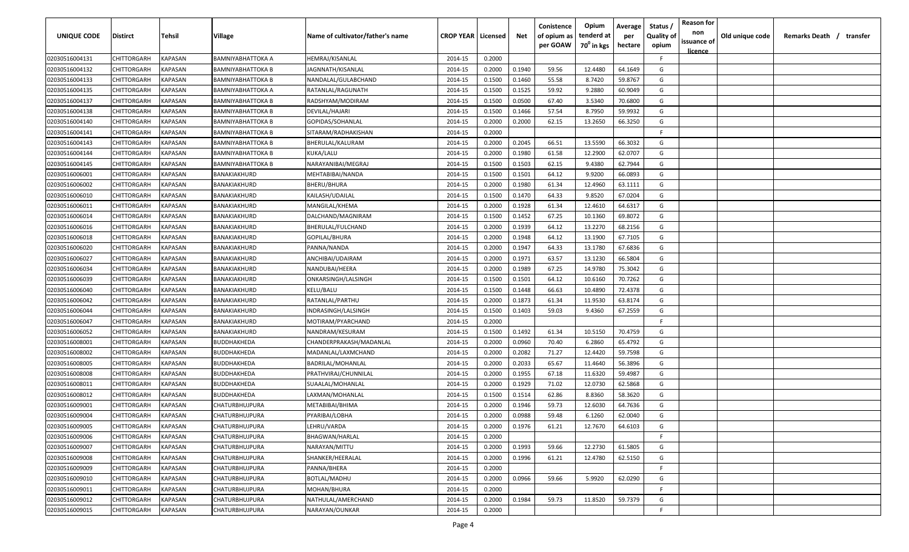| <b>UNIQUE CODE</b> | <b>Distirct</b>    | <b>Tehsil</b>  | Village             | Name of cultivator/father's name | <b>CROP YEAR   Licensed</b> |        | Net    | Conistence<br>of opium as<br>per GOAW | Opium<br>tenderd at<br>70 <sup>0</sup> in kgs | Average<br>per<br>hectare | Status /<br>Quality of<br>opium | <b>Reason for</b><br>non<br>issuance of | Old unique code | Remarks Death /<br>transfer |
|--------------------|--------------------|----------------|---------------------|----------------------------------|-----------------------------|--------|--------|---------------------------------------|-----------------------------------------------|---------------------------|---------------------------------|-----------------------------------------|-----------------|-----------------------------|
| 02030516004131     | CHITTORGARH        | <b>KAPASAN</b> | BAMNIYABHATTOKA A   | HEMRAJ/KISANLAL                  | 2014-15                     | 0.2000 |        |                                       |                                               |                           | F.                              | <u>licence</u>                          |                 |                             |
| 02030516004132     | CHITTORGARH        | KAPASAN        | BAMNIYABHATTOKA B   | JAGNNATH/KISANLAL                | 2014-15                     | 0.2000 | 0.1940 | 59.56                                 | 12.4480                                       | 64.1649                   | G                               |                                         |                 |                             |
| 02030516004133     | CHITTORGARH        | KAPASAN        | BAMNIYABHATTOKA B   | NANDALAL/GULABCHAND              | 2014-15                     | 0.1500 | 0.1460 | 55.58                                 | 8.7420                                        | 59.8767                   | G                               |                                         |                 |                             |
| 02030516004135     | CHITTORGARH        | KAPASAN        | BAMNIYABHATTOKA A   | RATANLAL/RAGUNATH                | 2014-15                     | 0.1500 | 0.1525 | 59.92                                 | 9.2880                                        | 60.9049                   | G                               |                                         |                 |                             |
| 02030516004137     | CHITTORGARH        | KAPASAN        | BAMNIYABHATTOKA B   | RADSHYAM/MODIRAM                 | 2014-15                     | 0.1500 | 0.0500 | 67.40                                 | 3.5340                                        | 70.6800                   | G                               |                                         |                 |                             |
| 02030516004138     | CHITTORGARH        | KAPASAN        | BAMNIYABHATTOKA B   | DEVILAL/HAJARI                   | 2014-15                     | 0.1500 | 0.1466 | 57.54                                 | 8.7950                                        | 59.9932                   | G                               |                                         |                 |                             |
| 02030516004140     | CHITTORGARH        | KAPASAN        | BAMNIYABHATTOKA B   | GOPIDAS/SOHANLAL                 | 2014-15                     | 0.2000 | 0.2000 | 62.15                                 | 13.2650                                       | 66.3250                   | G                               |                                         |                 |                             |
| 02030516004141     | CHITTORGARH        | KAPASAN        | BAMNIYABHATTOKA B   | SITARAM/RADHAKISHAN              | 2014-15                     | 0.2000 |        |                                       |                                               |                           | -F.                             |                                         |                 |                             |
| 02030516004143     | CHITTORGARH        | KAPASAN        | BAMNIYABHATTOKA B   | BHERULAL/KALURAM                 | 2014-15                     | 0.2000 | 0.2045 | 66.51                                 | 13.5590                                       | 66.3032                   | G                               |                                         |                 |                             |
| 02030516004144     | CHITTORGARH        | KAPASAN        | BAMNIYABHATTOKA B   | KUKA/LALU                        | 2014-15                     | 0.2000 | 0.1980 | 61.58                                 | 12.2900                                       | 62.0707                   | G                               |                                         |                 |                             |
| 02030516004145     | CHITTORGARH        | KAPASAN        | BAMNIYABHATTOKA B   | NARAYANIBAI/MEGRAJ               | 2014-15                     | 0.1500 | 0.1503 | 62.15                                 | 9.4380                                        | 62.7944                   | G                               |                                         |                 |                             |
| 02030516006001     | CHITTORGARH        | KAPASAN        | BANAKIAKHURD        | MEHTABIBAI/NANDA                 | 2014-15                     | 0.1500 | 0.1501 | 64.12                                 | 9.9200                                        | 66.0893                   | G                               |                                         |                 |                             |
| 02030516006002     | CHITTORGARH        | KAPASAN        | <b>BANAKIAKHURD</b> | BHERU/BHURA                      | 2014-15                     | 0.2000 | 0.1980 | 61.34                                 | 12.4960                                       | 63.1111                   | G                               |                                         |                 |                             |
| 02030516006010     | CHITTORGARH        | KAPASAN        | BANAKIAKHURD        | KAILASH/UDAILAL                  | 2014-15                     | 0.1500 | 0.1470 | 64.33                                 | 9.8520                                        | 67.0204                   | G                               |                                         |                 |                             |
| 02030516006011     | CHITTORGARH        | KAPASAN        | BANAKIAKHURD        | MANGILAL/KHEMA                   | 2014-15                     | 0.2000 | 0.1928 | 61.34                                 | 12.4610                                       | 64.6317                   | G                               |                                         |                 |                             |
| 02030516006014     | CHITTORGARH        | KAPASAN        | BANAKIAKHURD        | DALCHAND/MAGNIRAM                | 2014-15                     | 0.1500 | 0.1452 | 67.25                                 | 10.1360                                       | 69.8072                   | G                               |                                         |                 |                             |
| 02030516006016     | CHITTORGARH        | KAPASAN        | BANAKIAKHURD        | BHERULAL/FULCHAND                | 2014-15                     | 0.2000 | 0.1939 | 64.12                                 | 13.2270                                       | 68.2156                   | G                               |                                         |                 |                             |
| 02030516006018     | CHITTORGARH        | KAPASAN        | BANAKIAKHURD        | GOPILAL/BHURA                    | 2014-15                     | 0.2000 | 0.1948 | 64.12                                 | 13.1900                                       | 67.7105                   | G                               |                                         |                 |                             |
| 02030516006020     | CHITTORGARH        | KAPASAN        | BANAKIAKHURD        | PANNA/NANDA                      | 2014-15                     | 0.2000 | 0.1947 | 64.33                                 | 13.1780                                       | 67.6836                   | G                               |                                         |                 |                             |
| 02030516006027     | CHITTORGARH        | KAPASAN        | BANAKIAKHURD        | ANCHIBAI/UDAIRAM                 | 2014-15                     | 0.2000 | 0.1971 | 63.57                                 | 13.1230                                       | 66.5804                   | G                               |                                         |                 |                             |
| 02030516006034     | CHITTORGARH        | KAPASAN        | BANAKIAKHURD        | NANDUBAI/HEERA                   | 2014-15                     | 0.2000 | 0.1989 | 67.25                                 | 14.9780                                       | 75.3042                   | G                               |                                         |                 |                             |
| 02030516006039     | CHITTORGARH        | KAPASAN        | BANAKIAKHURD        | ONKARSINGH/LALSINGH              | 2014-15                     | 0.1500 | 0.1501 | 64.12                                 | 10.6160                                       | 70.7262                   | G                               |                                         |                 |                             |
| 02030516006040     | CHITTORGARH        | KAPASAN        | BANAKIAKHURD        | KELU/BALU                        | 2014-15                     | 0.1500 | 0.1448 | 66.63                                 | 10.4890                                       | 72.4378                   | G                               |                                         |                 |                             |
| 02030516006042     | CHITTORGARH        | KAPASAN        | BANAKIAKHURD        | RATANLAL/PARTHU                  | 2014-15                     | 0.2000 | 0.1873 | 61.34                                 | 11.9530                                       | 63.8174                   | G                               |                                         |                 |                             |
| 02030516006044     | CHITTORGARH        | KAPASAN        | BANAKIAKHURD        | INDRASINGH/LALSINGH              | 2014-15                     | 0.1500 | 0.1403 | 59.03                                 | 9.4360                                        | 67.2559                   | G                               |                                         |                 |                             |
| 02030516006047     | CHITTORGARH        | KAPASAN        | BANAKIAKHURD        | MOTIRAM/PYARCHAND                | 2014-15                     | 0.2000 |        |                                       |                                               |                           | -F.                             |                                         |                 |                             |
| 02030516006052     | CHITTORGARH        | KAPASAN        | BANAKIAKHURD        | NANDRAM/KESURAM                  | 2014-15                     | 0.1500 | 0.1492 | 61.34                                 | 10.5150                                       | 70.4759                   | G                               |                                         |                 |                             |
| 02030516008001     | CHITTORGARH        | KAPASAN        | BUDDHAKHEDA         | CHANDERPRAKASH/MADANLAL          | 2014-15                     | 0.2000 | 0.0960 | 70.40                                 | 6.2860                                        | 65.4792                   | G                               |                                         |                 |                             |
| 02030516008002     | CHITTORGARH        | KAPASAN        | BUDDHAKHEDA         | MADANLAL/LAXMCHAND               | 2014-15                     | 0.2000 | 0.2082 | 71.27                                 | 12.4420                                       | 59.7598                   | G                               |                                         |                 |                             |
| 02030516008005     | CHITTORGARH        | KAPASAN        | BUDDHAKHEDA         | BADRILAL/MOHANLAL                | 2014-15                     | 0.2000 | 0.2033 | 65.67                                 | 11.4640                                       | 56.3896                   | G                               |                                         |                 |                             |
| 02030516008008     | CHITTORGARH        | KAPASAN        | BUDDHAKHEDA         | PRATHVIRAJ/CHUNNILAL             | 2014-15                     | 0.2000 | 0.1955 | 67.18                                 | 11.6320                                       | 59.4987                   | G                               |                                         |                 |                             |
| 02030516008011     | CHITTORGARH        | KAPASAN        | BUDDHAKHEDA         | SUAALAL/MOHANLAL                 | 2014-15                     | 0.2000 | 0.1929 | 71.02                                 | 12.0730                                       | 62.5868                   | G                               |                                         |                 |                             |
| 02030516008012     | CHITTORGARH        | KAPASAN        | BUDDHAKHEDA         | LAXMAN/MOHANLAL                  | 2014-15                     | 0.1500 | 0.1514 | 62.86                                 | 8.8360                                        | 58.3620                   | G                               |                                         |                 |                             |
| 02030516009001     | CHITTORGARH        | KAPASAN        | CHATURBHUJPURA      | METABIBAI/BHIMA                  | 2014-15                     | 0.2000 | 0.1946 | 59.73                                 | 12.6030                                       | 64.7636                   | G                               |                                         |                 |                             |
| 02030516009004     | <b>CHITTORGARH</b> | KAPASAN        | CHATURBHUJPURA      | PYARIBAI/LOBHA                   | 2014-15                     | 0.2000 | 0.0988 | 59.48                                 | 6.1260                                        | 62.0040                   | G                               |                                         |                 |                             |
| 02030516009005     | CHITTORGARH        | <b>KAPASAN</b> | CHATURBHUJPURA      | LEHRU/VARDA                      | 2014-15                     | 0.2000 | 0.1976 | 61.21                                 | 12.7670                                       | 64.6103                   | G                               |                                         |                 |                             |
| 02030516009006     | <b>CHITTORGARH</b> | KAPASAN        | CHATURBHUJPURA      | <b>BHAGWAN/HARLAL</b>            | 2014-15                     | 0.2000 |        |                                       |                                               |                           | F.                              |                                         |                 |                             |
| 02030516009007     | <b>CHITTORGARH</b> | KAPASAN        | CHATURBHUJPURA      | NARAYAN/MITTU                    | 2014-15                     | 0.2000 | 0.1993 | 59.66                                 | 12.2730                                       | 61.5805                   | G                               |                                         |                 |                             |
| 02030516009008     | CHITTORGARH        | <b>KAPASAN</b> | CHATURBHUJPURA      | SHANKER/HEERALAL                 | 2014-15                     | 0.2000 | 0.1996 | 61.21                                 | 12.4780                                       | 62.5150                   | G                               |                                         |                 |                             |
| 02030516009009     | CHITTORGARH        | <b>KAPASAN</b> | CHATURBHUJPURA      | PANNA/BHERA                      | 2014-15                     | 0.2000 |        |                                       |                                               |                           | $\mathsf{F}$                    |                                         |                 |                             |
| 02030516009010     | CHITTORGARH        | KAPASAN        | CHATURBHUJPURA      | BOTLAL/MADHU                     | 2014-15                     | 0.2000 | 0.0966 | 59.66                                 | 5.9920                                        | 62.0290                   | G                               |                                         |                 |                             |
| 02030516009011     | CHITTORGARH        | KAPASAN        | CHATURBHUJPURA      | MOHAN/BHURA                      | 2014-15                     | 0.2000 |        |                                       |                                               |                           | -F                              |                                         |                 |                             |
| 02030516009012     | CHITTORGARH        | KAPASAN        | CHATURBHUJPURA      | NATHULAL/AMERCHAND               | 2014-15                     | 0.2000 | 0.1984 | 59.73                                 | 11.8520                                       | 59.7379                   | G                               |                                         |                 |                             |
| 02030516009015     | <b>CHITTORGARH</b> | KAPASAN        | CHATURBHUJPURA      | NARAYAN/OUNKAR                   | 2014-15                     | 0.2000 |        |                                       |                                               |                           | F                               |                                         |                 |                             |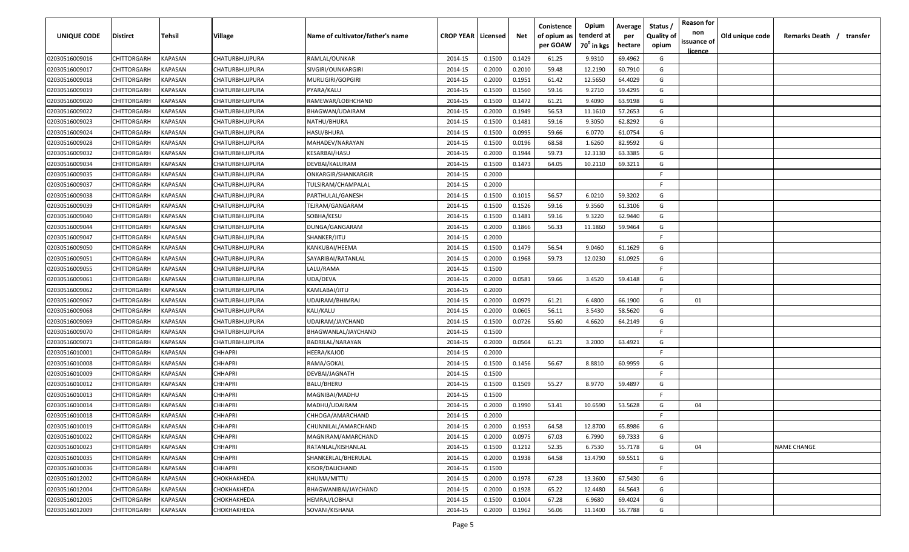| <b>UNIQUE CODE</b> | Distirct           | Tehsil         | Village        | Name of cultivator/father's name | <b>CROP YEAR   Licensed</b> |        | Net    | Conistence<br>of opium as | Opium<br>tenderd at    | Average<br>per | Status /<br><b>Quality of</b> | <b>Reason for</b><br>non      | Old unique code | Remarks Death / transfer |
|--------------------|--------------------|----------------|----------------|----------------------------------|-----------------------------|--------|--------|---------------------------|------------------------|----------------|-------------------------------|-------------------------------|-----------------|--------------------------|
|                    |                    |                |                |                                  |                             |        |        | per GOAW                  | 70 <sup>0</sup> in kgs | hectare        | opium                         | issuance of<br><u>licence</u> |                 |                          |
| 02030516009016     | CHITTORGARH        | <b>KAPASAN</b> | CHATURBHUJPURA | RAMLAL/OUNKAR                    | 2014-15                     | 0.1500 | 0.1429 | 61.25                     | 9.9310                 | 69.4962        | G                             |                               |                 |                          |
| 02030516009017     | CHITTORGARH        | KAPASAN        | CHATURBHUJPURA | SIVGIRI/OUNKARGIRI               | 2014-15                     | 0.2000 | 0.2010 | 59.48                     | 12.2190                | 60.7910        | G                             |                               |                 |                          |
| 02030516009018     | CHITTORGARH        | KAPASAN        | CHATURBHUJPURA | MURLIGIRI/GOPGIRI                | 2014-15                     | 0.2000 | 0.1951 | 61.42                     | 12.5650                | 64.4029        | G                             |                               |                 |                          |
| 02030516009019     | CHITTORGARH        | KAPASAN        | CHATURBHUJPURA | PYARA/KALU                       | 2014-15                     | 0.1500 | 0.1560 | 59.16                     | 9.2710                 | 59.4295        | G                             |                               |                 |                          |
| 02030516009020     | CHITTORGARH        | KAPASAN        | CHATURBHUJPURA | RAMEWAR/LOBHCHAND                | 2014-15                     | 0.1500 | 0.1472 | 61.21                     | 9.4090                 | 63.9198        | G                             |                               |                 |                          |
| 02030516009022     | CHITTORGARH        | KAPASAN        | CHATURBHUJPURA | BHAGWAN/UDAIRAM                  | 2014-15                     | 0.2000 | 0.1949 | 56.53                     | 11.1610                | 57.2653        | G                             |                               |                 |                          |
| 02030516009023     | CHITTORGARH        | KAPASAN        | CHATURBHUJPURA | NATHU/BHURA                      | 2014-15                     | 0.1500 | 0.1481 | 59.16                     | 9.3050                 | 62.8292        | G                             |                               |                 |                          |
| 02030516009024     | CHITTORGARH        | KAPASAN        | CHATURBHUJPURA | HASU/BHURA                       | 2014-15                     | 0.1500 | 0.0995 | 59.66                     | 6.0770                 | 61.0754        | G                             |                               |                 |                          |
| 02030516009028     | CHITTORGARH        | KAPASAN        | CHATURBHUJPURA | MAHADEV/NARAYAN                  | 2014-15                     | 0.1500 | 0.0196 | 68.58                     | 1.6260                 | 82.9592        | G                             |                               |                 |                          |
| 02030516009032     | CHITTORGARH        | KAPASAN        | CHATURBHUJPURA | KESARBAI/HASU                    | 2014-15                     | 0.2000 | 0.1944 | 59.73                     | 12.3130                | 63.3385        | G                             |                               |                 |                          |
| 02030516009034     | CHITTORGARH        | KAPASAN        | CHATURBHUJPURA | DEVBAI/KALURAM                   | 2014-15                     | 0.1500 | 0.1473 | 64.05                     | 10.2110                | 69.3211        | G                             |                               |                 |                          |
| 02030516009035     | CHITTORGARH        | KAPASAN        | CHATURBHUJPURA | ONKARGIR/SHANKARGIR              | 2014-15                     | 0.2000 |        |                           |                        |                | F.                            |                               |                 |                          |
| 02030516009037     | CHITTORGARH        | KAPASAN        | CHATURBHUJPURA | TULSIRAM/CHAMPALAL               | 2014-15                     | 0.2000 |        |                           |                        |                | -F.                           |                               |                 |                          |
| 02030516009038     | CHITTORGARH        | KAPASAN        | CHATURBHUJPURA | PARTHULAL/GANESH                 | 2014-15                     | 0.1500 | 0.1015 | 56.57                     | 6.0210                 | 59.3202        | G                             |                               |                 |                          |
| 02030516009039     | CHITTORGARH        | KAPASAN        | CHATURBHUJPURA | TEJRAM/GANGARAM                  | 2014-15                     | 0.1500 | 0.1526 | 59.16                     | 9.3560                 | 61.3106        | G                             |                               |                 |                          |
| 02030516009040     | CHITTORGARH        | KAPASAN        | CHATURBHUJPURA | SOBHA/KESU                       | 2014-15                     | 0.1500 | 0.1481 | 59.16                     | 9.3220                 | 62.9440        | G                             |                               |                 |                          |
| 02030516009044     | CHITTORGARH        | KAPASAN        | CHATURBHUJPURA | DUNGA/GANGARAM                   | 2014-15                     | 0.2000 | 0.1866 | 56.33                     | 11.1860                | 59.9464        | G                             |                               |                 |                          |
| 02030516009047     | CHITTORGARH        | KAPASAN        | CHATURBHUJPURA | SHANKER/JITU                     | 2014-15                     | 0.2000 |        |                           |                        |                | F                             |                               |                 |                          |
| 02030516009050     | CHITTORGARH        | KAPASAN        | CHATURBHUJPURA | KANKUBAI/HEEMA                   | 2014-15                     | 0.1500 | 0.1479 | 56.54                     | 9.0460                 | 61.1629        | G                             |                               |                 |                          |
| 02030516009051     | CHITTORGARH        | KAPASAN        | CHATURBHUJPURA | SAYARIBAI/RATANLAL               | 2014-15                     | 0.2000 | 0.1968 | 59.73                     | 12.0230                | 61.0925        | G                             |                               |                 |                          |
| 02030516009055     | CHITTORGARH        | KAPASAN        | CHATURBHUJPURA | LALU/RAMA                        | 2014-15                     | 0.1500 |        |                           |                        |                | -F.                           |                               |                 |                          |
| 02030516009061     | CHITTORGARH        | KAPASAN        | CHATURBHUJPURA | UDA/DEVA                         | 2014-15                     | 0.2000 | 0.0581 | 59.66                     | 3.4520                 | 59.4148        | G                             |                               |                 |                          |
| 02030516009062     | CHITTORGARH        | KAPASAN        | CHATURBHUJPURA | KAMLABAI/JITU                    | 2014-15                     | 0.2000 |        |                           |                        |                | -F.                           |                               |                 |                          |
| 02030516009067     | CHITTORGARH        | KAPASAN        | CHATURBHUJPURA | UDAIRAM/BHIMRAJ                  | 2014-15                     | 0.2000 | 0.0979 | 61.21                     | 6.4800                 | 66.1900        | G                             | 01                            |                 |                          |
| 02030516009068     | CHITTORGARH        | KAPASAN        | CHATURBHUJPURA | KALI/KALU                        | 2014-15                     | 0.2000 | 0.0605 | 56.11                     | 3.5430                 | 58.5620        | G                             |                               |                 |                          |
| 02030516009069     | CHITTORGARH        | KAPASAN        | CHATURBHUJPURA | UDAIRAM/JAYCHAND                 | 2014-15                     | 0.1500 | 0.0726 | 55.60                     | 4.6620                 | 64.2149        | G                             |                               |                 |                          |
| 02030516009070     | CHITTORGARH        | KAPASAN        | CHATURBHUJPURA | BHAGWANLAL/JAYCHAND              | 2014-15                     | 0.1500 |        |                           |                        |                | -F.                           |                               |                 |                          |
| 02030516009071     | CHITTORGARH        | KAPASAN        | CHATURBHUJPURA | BADRILAL/NARAYAN                 | 2014-15                     | 0.2000 | 0.0504 | 61.21                     | 3.2000                 | 63.4921        | G                             |                               |                 |                          |
| 02030516010001     | CHITTORGARH        | KAPASAN        | CHHAPRI        | HEERA/KAJOD                      | 2014-15                     | 0.2000 |        |                           |                        |                | -F.                           |                               |                 |                          |
| 02030516010008     | CHITTORGARH        | KAPASAN        | CHHAPRI        | RAMA/GOKAL                       | 2014-15                     | 0.1500 | 0.1456 | 56.67                     | 8.8810                 | 60.9959        | G                             |                               |                 |                          |
| 02030516010009     | CHITTORGARH        | KAPASAN        | CHHAPRI        | DEVBAI/JAGNATH                   | 2014-15                     | 0.1500 |        |                           |                        |                | -F.                           |                               |                 |                          |
| 02030516010012     | CHITTORGARH        | KAPASAN        | CHHAPRI        | BALU/BHERU                       | 2014-15                     | 0.1500 | 0.1509 | 55.27                     | 8.9770                 | 59.4897        | G                             |                               |                 |                          |
| 02030516010013     | CHITTORGARH        | KAPASAN        | <b>CHHAPRI</b> | MAGNIBAI/MADHU                   | 2014-15                     | 0.1500 |        |                           |                        |                | -F.                           |                               |                 |                          |
| 02030516010014     | CHITTORGARH        | KAPASAN        | <b>CHHAPRI</b> | MADHU/UDAIRAM                    | 2014-15                     | 0.2000 | 0.1990 | 53.41                     | 10.6590                | 53.5628        | G                             | 04                            |                 |                          |
| 02030516010018     | CHITTORGARH        | KAPASAN        | <b>CHHAPRI</b> | CHHOGA/AMARCHAND                 | 2014-15                     | 0.2000 |        |                           |                        |                | E                             |                               |                 |                          |
| 02030516010019     | <b>CHITTORGARH</b> | KAPASAN        | <b>CHHAPRI</b> | CHUNNILAL/AMARCHAND              | 2014-15                     | 0.2000 | 0.1953 | 64.58                     | 12.8700                | 65.8986        | G                             |                               |                 |                          |
| 02030516010022     | CHITTORGARH        | <b>KAPASAN</b> | <b>CHHAPRI</b> | MAGNIRAM/AMARCHAND               | 2014-15                     | 0.2000 | 0.0975 | 67.03                     | 6.7990                 | 69.7333        | G                             |                               |                 |                          |
| 02030516010023     | CHITTORGARH        | <b>KAPASAN</b> | <b>CHHAPRI</b> | RATANLAL/KISHANLAL               | 2014-15                     | 0.1500 | 0.1212 | 52.35                     | 6.7530                 | 55.7178        | G                             | 04                            |                 | <b>NAME CHANGE</b>       |
| 02030516010035     | <b>CHITTORGARH</b> | <b>KAPASAN</b> | <b>CHHAPRI</b> | SHANKERLAL/BHERULAL              | 2014-15                     | 0.2000 | 0.1938 | 64.58                     | 13.4790                | 69.5511        | G                             |                               |                 |                          |
| 02030516010036     | CHITTORGARH        | KAPASAN        | CHHAPRI        | KISOR/DALICHAND                  | 2014-15                     | 0.1500 |        |                           |                        |                | F.                            |                               |                 |                          |
| 02030516012002     | <b>CHITTORGARH</b> | KAPASAN        | СНОКНАКНЕДА    | KHUMA/MITTU                      | 2014-15                     | 0.2000 | 0.1978 | 67.28                     | 13.3600                | 67.5430        | G                             |                               |                 |                          |
| 02030516012004     | CHITTORGARH        | KAPASAN        | СНОКНАКНЕДА    | BHAGWANIBAI/JAYCHAND             | 2014-15                     | 0.2000 | 0.1928 | 65.22                     | 12.4480                | 64.5643        | G                             |                               |                 |                          |
| 02030516012005     | CHITTORGARH        | KAPASAN        | СНОКНАКНЕДА    | HEMRAJ/LOBHAJI                   | 2014-15                     | 0.1500 | 0.1004 | 67.28                     | 6.9680                 | 69.4024        | G                             |                               |                 |                          |
| 02030516012009     | CHITTORGARH        | KAPASAN        | СНОКНАКНЕDА    | SOVANI/KISHANA                   | 2014-15                     | 0.2000 | 0.1962 | 56.06                     | 11.1400                | 56.7788        | G                             |                               |                 |                          |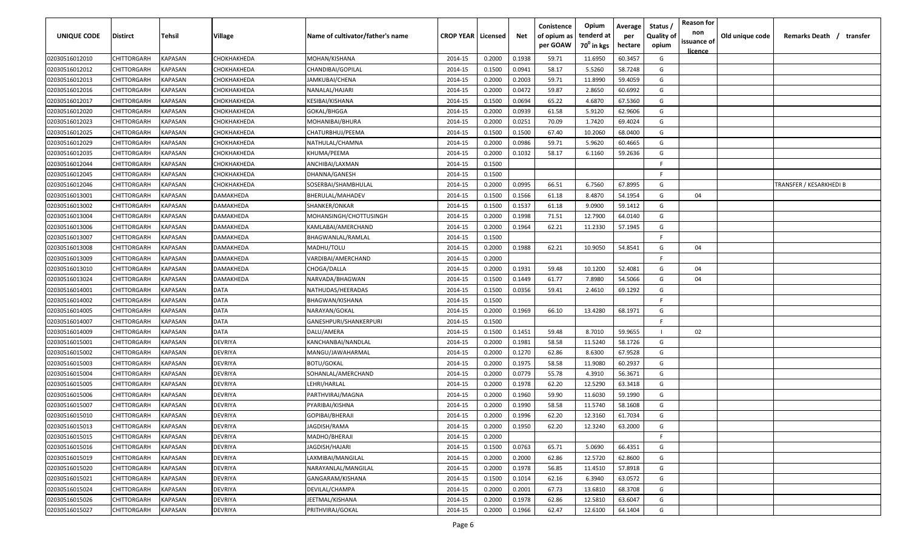| <b>UNIQUE CODE</b> | Distirct           | Tehsil         | Village     | Name of cultivator/father's name | <b>CROP YEAR   Licensed</b> |        | Net    | Conistence<br>of opium as | Opium<br>tenderd at    | Average<br>per | Status /<br><b>Quality of</b> | <b>Reason for</b><br>non<br>issuance of | Old unique code | Remarks Death / transfer |
|--------------------|--------------------|----------------|-------------|----------------------------------|-----------------------------|--------|--------|---------------------------|------------------------|----------------|-------------------------------|-----------------------------------------|-----------------|--------------------------|
|                    |                    |                |             |                                  |                             |        |        | per GOAW                  | 70 <sup>0</sup> in kgs | hectare        | opium                         | <u>licence</u>                          |                 |                          |
| 02030516012010     | CHITTORGARH        | <b>KAPASAN</b> | СНОКНАКНЕDА | MOHAN/KISHANA                    | 2014-15                     | 0.2000 | 0.1938 | 59.71                     | 11.6950                | 60.3457        | G                             |                                         |                 |                          |
| 02030516012012     | CHITTORGARH        | KAPASAN        | СНОКНАКНЕDА | CHANDIBAI/GOPILAL                | 2014-15                     | 0.1500 | 0.0941 | 58.17                     | 5.5260                 | 58.7248        | G                             |                                         |                 |                          |
| 02030516012013     | CHITTORGARH        | KAPASAN        | СНОКНАКНЕDА | JAMKUBAI/CHENA                   | 2014-15                     | 0.2000 | 0.2003 | 59.71                     | 11.8990                | 59.4059        | G                             |                                         |                 |                          |
| 02030516012016     | CHITTORGARH        | KAPASAN        | СНОКНАКНЕDА | NANALAL/HAJARI                   | 2014-15                     | 0.2000 | 0.0472 | 59.87                     | 2.8650                 | 60.6992        | G                             |                                         |                 |                          |
| 02030516012017     | CHITTORGARH        | KAPASAN        | СНОКНАКНЕDА | KESIBAI/KISHANA                  | 2014-15                     | 0.1500 | 0.0694 | 65.22                     | 4.6870                 | 67.5360        | G                             |                                         |                 |                          |
| 02030516012020     | CHITTORGARH        | KAPASAN        | СНОКНАКНЕDА | GOKAL/BHGGA                      | 2014-15                     | 0.2000 | 0.0939 | 61.58                     | 5.9120                 | 62.9606        | G                             |                                         |                 |                          |
| 02030516012023     | CHITTORGARH        | KAPASAN        | СНОКНАКНЕDА | MOHANIBAI/BHURA                  | 2014-15                     | 0.2000 | 0.0251 | 70.09                     | 1.7420                 | 69.4024        | G                             |                                         |                 |                          |
| 02030516012025     | CHITTORGARH        | KAPASAN        | СНОКНАКНЕDА | CHATURBHUJ/PEEMA                 | 2014-15                     | 0.1500 | 0.1500 | 67.40                     | 10.2060                | 68.0400        | G                             |                                         |                 |                          |
| 02030516012029     | CHITTORGARH        | KAPASAN        | СНОКНАКНЕDА | NATHULAL/CHAMNA                  | 2014-15                     | 0.2000 | 0.0986 | 59.71                     | 5.9620                 | 60.4665        | G                             |                                         |                 |                          |
| 02030516012035     | CHITTORGARH        | KAPASAN        | СНОКНАКНЕDА | KHUMA/PEEMA                      | 2014-15                     | 0.2000 | 0.1032 | 58.17                     | 6.1160                 | 59.2636        | G                             |                                         |                 |                          |
| 02030516012044     | CHITTORGARH        | KAPASAN        | СНОКНАКНЕDА | ANCHIBAI/LAXMAN                  | 2014-15                     | 0.1500 |        |                           |                        |                | F.                            |                                         |                 |                          |
| 02030516012045     | CHITTORGARH        | KAPASAN        | СНОКНАКНЕDА | DHANNA/GANESH                    | 2014-15                     | 0.1500 |        |                           |                        |                | F.                            |                                         |                 |                          |
| 02030516012046     | CHITTORGARH        | KAPASAN        | СНОКНАКНЕDА | SOSERBAI/SHAMBHULAL              | 2014-15                     | 0.2000 | 0.0995 | 66.51                     | 6.7560                 | 67.8995        | G                             |                                         |                 | TRANSFER / KESARKHEDI B  |
| 02030516013001     | CHITTORGARH        | KAPASAN        | DAMAKHEDA   | BHERULAL/MAHADEV                 | 2014-15                     | 0.1500 | 0.1566 | 61.18                     | 8.4870                 | 54.1954        | G                             | 04                                      |                 |                          |
| 02030516013002     | CHITTORGARH        | KAPASAN        | DAMAKHEDA   | SHANKER/ONKAR                    | 2014-15                     | 0.1500 | 0.1537 | 61.18                     | 9.0900                 | 59.1412        | G                             |                                         |                 |                          |
| 02030516013004     | CHITTORGARH        | KAPASAN        | DAMAKHEDA   | MOHANSINGH/CHOTTUSINGH           | 2014-15                     | 0.2000 | 0.1998 | 71.51                     | 12.7900                | 64.0140        | G                             |                                         |                 |                          |
| 02030516013006     | CHITTORGARH        | KAPASAN        | DAMAKHEDA   | KAMLABAI/AMERCHAND               | 2014-15                     | 0.2000 | 0.1964 | 62.21                     | 11.2330                | 57.1945        | G                             |                                         |                 |                          |
| 02030516013007     | CHITTORGARH        | KAPASAN        | DAMAKHEDA   | BHAGWANLAL/RAMLAL                | 2014-15                     | 0.1500 |        |                           |                        |                | F                             |                                         |                 |                          |
| 02030516013008     | CHITTORGARH        | KAPASAN        | DAMAKHEDA   | MADHU/TOLU                       | 2014-15                     | 0.2000 | 0.1988 | 62.21                     | 10.9050                | 54.8541        | G                             | 04                                      |                 |                          |
| 02030516013009     | CHITTORGARH        | KAPASAN        | DAMAKHEDA   | VARDIBAI/AMERCHAND               | 2014-15                     | 0.2000 |        |                           |                        |                | E                             |                                         |                 |                          |
| 02030516013010     | CHITTORGARH        | KAPASAN        | DAMAKHEDA   | CHOGA/DALLA                      | 2014-15                     | 0.2000 | 0.1931 | 59.48                     | 10.1200                | 52.4081        | G                             | 04                                      |                 |                          |
| 02030516013024     | CHITTORGARH        | KAPASAN        | DAMAKHEDA   | NARVADA/BHAGWAN                  | 2014-15                     | 0.1500 | 0.1449 | 61.77                     | 7.8980                 | 54.5066        | G                             | 04                                      |                 |                          |
| 02030516014001     | CHITTORGARH        | KAPASAN        | DATA        | NATHUDAS/HEERADAS                | 2014-15                     | 0.1500 | 0.0356 | 59.41                     | 2.4610                 | 69.1292        | G                             |                                         |                 |                          |
| 02030516014002     | CHITTORGARH        | KAPASAN        | <b>DATA</b> | BHAGWAN/KISHANA                  | 2014-15                     | 0.1500 |        |                           |                        |                | -F.                           |                                         |                 |                          |
| 02030516014005     | CHITTORGARH        | KAPASAN        | <b>DATA</b> | NARAYAN/GOKAL                    | 2014-15                     | 0.2000 | 0.1969 | 66.10                     | 13.4280                | 68.1971        | G                             |                                         |                 |                          |
| 02030516014007     | CHITTORGARH        | KAPASAN        | <b>DATA</b> | GANESHPURI/SHANKERPURI           | 2014-15                     | 0.1500 |        |                           |                        |                | -F.                           |                                         |                 |                          |
| 02030516014009     | CHITTORGARH        | KAPASAN        | DATA        | DALU/AMERA                       | 2014-15                     | 0.1500 | 0.1451 | 59.48                     | 8.7010                 | 59.9655        |                               | 02                                      |                 |                          |
| 02030516015001     | CHITTORGARH        | KAPASAN        | DEVRIYA     | KANCHANBAI/NANDLAL               | 2014-15                     | 0.2000 | 0.1981 | 58.58                     | 11.5240                | 58.1726        | G                             |                                         |                 |                          |
| 02030516015002     | CHITTORGARH        | KAPASAN        | DEVRIYA     | MANGU/JAWAHARMAL                 | 2014-15                     | 0.2000 | 0.1270 | 62.86                     | 8.6300                 | 67.9528        | G                             |                                         |                 |                          |
| 02030516015003     | CHITTORGARH        | KAPASAN        | DEVRIYA     | <b>BOTU/GOKAL</b>                | 2014-15                     | 0.2000 | 0.1975 | 58.58                     | 11.9080                | 60.2937        | G                             |                                         |                 |                          |
| 02030516015004     | CHITTORGARH        | KAPASAN        | DEVRIYA     | SOHANLAL/AMERCHAND               | 2014-15                     | 0.2000 | 0.0779 | 55.78                     | 4.3910                 | 56.3671        | G                             |                                         |                 |                          |
| 02030516015005     | CHITTORGARH        | KAPASAN        | DEVRIYA     | LEHRI/HARLAL                     | 2014-15                     | 0.2000 | 0.1978 | 62.20                     | 12.5290                | 63.3418        | G                             |                                         |                 |                          |
| 02030516015006     | CHITTORGARH        | KAPASAN        | DEVRIYA     | PARTHVIRAJ/MAGNA                 | 2014-15                     | 0.2000 | 0.1960 | 59.90                     | 11.6030                | 59.1990        | G                             |                                         |                 |                          |
| 02030516015007     | CHITTORGARH        | KAPASAN        | DEVRIYA     | PYARIBAI/KISHNA                  | 2014-15                     | 0.2000 | 0.1990 | 58.58                     | 11.5740                | 58.1608        | G                             |                                         |                 |                          |
| 02030516015010     | CHITTORGARH        | KAPASAN        | DEVRIYA     | GOPIBAI/BHERAJI                  | 2014-15                     | 0.2000 | 0.1996 | 62.20                     | 12.3160                | 61.7034        | G                             |                                         |                 |                          |
| 02030516015013     | <b>CHITTORGARH</b> | KAPASAN        | DEVRIYA     | JAGDISH/RAMA                     | 2014-15                     | 0.2000 | 0.1950 | 62.20                     | 12.3240                | 63.2000        | G                             |                                         |                 |                          |
| 02030516015015     | CHITTORGARH        | <b>KAPASAN</b> | DEVRIYA     | MADHO/BHERAJI                    | 2014-15                     | 0.2000 |        |                           |                        |                | F.                            |                                         |                 |                          |
| 02030516015016     | <b>CHITTORGARH</b> | <b>KAPASAN</b> | DEVRIYA     | JAGDISH/HAJARI                   | 2014-15                     | 0.1500 | 0.0763 | 65.71                     | 5.0690                 | 66.4351        | G                             |                                         |                 |                          |
| 02030516015019     | <b>CHITTORGARH</b> | KAPASAN        | DEVRIYA     | LAXMIBAI/MANGILAL                | 2014-15                     | 0.2000 | 0.2000 | 62.86                     | 12.5720                | 62.8600        | G                             |                                         |                 |                          |
| 02030516015020     | CHITTORGARH        | KAPASAN        | DEVRIYA     | NARAYANLAL/MANGILAL              | 2014-15                     | 0.2000 | 0.1978 | 56.85                     | 11.4510                | 57.8918        | G                             |                                         |                 |                          |
| 02030516015021     | CHITTORGARH        | KAPASAN        | DEVRIYA     | GANGARAM/KISHANA                 | 2014-15                     | 0.1500 | 0.1014 | 62.16                     | 6.3940                 | 63.0572        | G                             |                                         |                 |                          |
| 02030516015024     | CHITTORGARH        | KAPASAN        | DEVRIYA     | DEVILAL/CHAMPA                   | 2014-15                     | 0.2000 | 0.2001 | 67.73                     | 13.6810                | 68.3708        | G                             |                                         |                 |                          |
| 02030516015026     | CHITTORGARH        | KAPASAN        | DEVRIYA     | JEETMAL/KISHANA                  | 2014-15                     | 0.2000 | 0.1978 | 62.86                     | 12.5810                | 63.6047        | G                             |                                         |                 |                          |
| 02030516015027     | CHITTORGARH        | KAPASAN        | DEVRIYA     | PRITHVIRAJ/GOKAL                 | 2014-15                     | 0.2000 | 0.1966 | 62.47                     | 12.6100                | 64.1404        | G                             |                                         |                 |                          |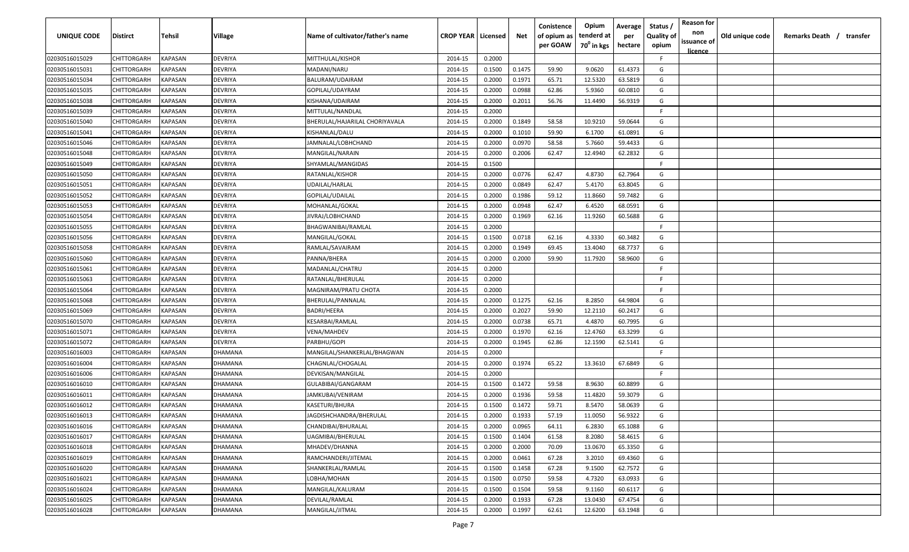| <b>UNIQUE CODE</b> | <b>Distirct</b>    | <b>Tehsil</b>  | Village | Name of cultivator/father's name | <b>CROP YEAR</b> | Licensed | Net    | Conistence<br>of opium as | Opium<br>tenderd at    | Average<br>per | Status /<br><b>Quality of</b> | <b>Reason for</b><br>non | Old unique code | Remarks Death /<br>transfer |
|--------------------|--------------------|----------------|---------|----------------------------------|------------------|----------|--------|---------------------------|------------------------|----------------|-------------------------------|--------------------------|-----------------|-----------------------------|
|                    |                    |                |         |                                  |                  |          |        | per GOAW                  | 70 <sup>0</sup> in kgs | hectare        | opium                         | issuance of              |                 |                             |
| 02030516015029     | CHITTORGARH        | KAPASAN        | DEVRIYA | MITTHULAL/KISHOR                 | 2014-15          | 0.2000   |        |                           |                        |                | F.                            | <u>licence</u>           |                 |                             |
| 02030516015031     | CHITTORGARH        | KAPASAN        | DEVRIYA | MADANI/NARU                      | 2014-15          | 0.1500   | 0.1475 | 59.90                     | 9.0620                 | 61.4373        | G                             |                          |                 |                             |
| 02030516015034     | CHITTORGARH        | KAPASAN        | DEVRIYA | BALURAM/UDAIRAM                  | 2014-15          | 0.2000   | 0.1971 | 65.71                     | 12.5320                | 63.5819        | G                             |                          |                 |                             |
| 02030516015035     | CHITTORGARH        | KAPASAN        | DEVRIYA | GOPILAL/UDAYRAM                  | 2014-15          | 0.2000   | 0.0988 | 62.86                     | 5.9360                 | 60.0810        | G                             |                          |                 |                             |
| 02030516015038     | CHITTORGARH        | KAPASAN        | DEVRIYA | KISHANA/UDAIRAM                  | 2014-15          | 0.2000   | 0.2011 | 56.76                     | 11.4490                | 56.9319        | G                             |                          |                 |                             |
| 02030516015039     | CHITTORGARH        | KAPASAN        | DEVRIYA | MITTULAL/NANDLAL                 | 2014-15          | 0.2000   |        |                           |                        |                | -F                            |                          |                 |                             |
| 02030516015040     | CHITTORGARH        | KAPASAN        | DEVRIYA | BHERULAL/HAJARILAL CHORIYAVALA   | 2014-15          | 0.2000   | 0.1849 | 58.58                     | 10.9210                | 59.0644        | G                             |                          |                 |                             |
| 02030516015041     | CHITTORGARH        | KAPASAN        | DEVRIYA | KISHANLAL/DALU                   | 2014-15          | 0.2000   | 0.1010 | 59.90                     | 6.1700                 | 61.0891        | G                             |                          |                 |                             |
| 02030516015046     | CHITTORGARH        | KAPASAN        | DEVRIYA | JAMNALAL/LOBHCHAND               | 2014-15          | 0.2000   | 0.0970 | 58.58                     | 5.7660                 | 59.4433        | G                             |                          |                 |                             |
| 02030516015048     | CHITTORGARH        | KAPASAN        | DEVRIYA | MANGILAL/NARAIN                  | 2014-15          | 0.2000   | 0.2006 | 62.47                     | 12.4940                | 62.2832        | G                             |                          |                 |                             |
| 02030516015049     | CHITTORGARH        | KAPASAN        | DEVRIYA | SHYAMLAL/MANGIDAS                | 2014-15          | 0.1500   |        |                           |                        |                | F.                            |                          |                 |                             |
| 02030516015050     | CHITTORGARH        | KAPASAN        | DEVRIYA | RATANLAL/KISHOR                  | 2014-15          | 0.2000   | 0.0776 | 62.47                     | 4.8730                 | 62.7964        | G                             |                          |                 |                             |
| 02030516015051     | CHITTORGARH        | KAPASAN        | DEVRIYA | UDAILAL/HARLAL                   | 2014-15          | 0.2000   | 0.0849 | 62.47                     | 5.4170                 | 63.8045        | G                             |                          |                 |                             |
| 02030516015052     | CHITTORGARH        | KAPASAN        | DEVRIYA | GOPILAL/UDAILAL                  | 2014-15          | 0.2000   | 0.1986 | 59.12                     | 11.8660                | 59.7482        | G                             |                          |                 |                             |
| 02030516015053     | CHITTORGARH        | KAPASAN        | DEVRIYA | MOHANLAL/GOKAL                   | 2014-15          | 0.2000   | 0.0948 | 62.47                     | 6.4520                 | 68.0591        | G                             |                          |                 |                             |
| 02030516015054     | CHITTORGARH        | KAPASAN        | DEVRIYA | JIVRAJ/LOBHCHAND                 | 2014-15          | 0.2000   | 0.1969 | 62.16                     | 11.9260                | 60.5688        | G                             |                          |                 |                             |
| 02030516015055     | CHITTORGARH        | KAPASAN        | DEVRIYA | BHAGWANIBAI/RAMLAL               | 2014-15          | 0.2000   |        |                           |                        |                | F.                            |                          |                 |                             |
| 02030516015056     | CHITTORGARH        | KAPASAN        | DEVRIYA | MANGILAL/GOKAL                   | 2014-15          | 0.1500   | 0.0718 | 62.16                     | 4.3330                 | 60.3482        | G                             |                          |                 |                             |
| 02030516015058     | CHITTORGARH        | KAPASAN        | DEVRIYA | RAMLAL/SAVAIRAM                  | 2014-15          | 0.2000   | 0.1949 | 69.45                     | 13.4040                | 68.7737        | G                             |                          |                 |                             |
| 02030516015060     | CHITTORGARH        | KAPASAN        | DEVRIYA | PANNA/BHERA                      | 2014-15          | 0.2000   | 0.2000 | 59.90                     | 11.7920                | 58.9600        | G                             |                          |                 |                             |
| 02030516015061     | CHITTORGARH        | KAPASAN        | DEVRIYA | MADANLAL/CHATRU                  | 2014-15          | 0.2000   |        |                           |                        |                | -F                            |                          |                 |                             |
| 02030516015063     | CHITTORGARH        | KAPASAN        | DEVRIYA | RATANLAL/BHERULAL                | 2014-15          | 0.2000   |        |                           |                        |                | -F.                           |                          |                 |                             |
| 02030516015064     | CHITTORGARH        | KAPASAN        | DEVRIYA | MAGNIRAM/PRATU CHOTA             | 2014-15          | 0.2000   |        |                           |                        |                | -F                            |                          |                 |                             |
| 02030516015068     | CHITTORGARH        | KAPASAN        | DEVRIYA | BHERULAL/PANNALAL                | 2014-15          | 0.2000   | 0.1275 | 62.16                     | 8.2850                 | 64.9804        | G                             |                          |                 |                             |
| 02030516015069     | CHITTORGARH        | KAPASAN        | DEVRIYA | BADRI/HEERA                      | 2014-15          | 0.2000   | 0.2027 | 59.90                     | 12.2110                | 60.2417        | G                             |                          |                 |                             |
| 02030516015070     | CHITTORGARH        | KAPASAN        | DEVRIYA | KESARBAI/RAMLAL                  | 2014-15          | 0.2000   | 0.0738 | 65.71                     | 4.4870                 | 60.7995        | G                             |                          |                 |                             |
| 02030516015071     | CHITTORGARH        | KAPASAN        | DEVRIYA | VENA/MAHDEV                      | 2014-15          | 0.2000   | 0.1970 | 62.16                     | 12.4760                | 63.3299        | G                             |                          |                 |                             |
| 02030516015072     | CHITTORGARH        | KAPASAN        | DEVRIYA | PARBHU/GOPI                      | 2014-15          | 0.2000   | 0.1945 | 62.86                     | 12.1590                | 62.5141        | G                             |                          |                 |                             |
| 02030516016003     | CHITTORGARH        | KAPASAN        | DHAMANA | MANGILAL/SHANKERLAL/BHAGWAN      | 2014-15          | 0.2000   |        |                           |                        |                | -F.                           |                          |                 |                             |
| 02030516016004     | CHITTORGARH        | KAPASAN        | DHAMANA | CHAGNLAL/CHOGALAL                | 2014-15          | 0.2000   | 0.1974 | 65.22                     | 13.3610                | 67.6849        | G                             |                          |                 |                             |
| 02030516016006     | CHITTORGARH        | KAPASAN        | DHAMANA | DEVKISAN/MANGILAL                | 2014-15          | 0.2000   |        |                           |                        |                | F.                            |                          |                 |                             |
| 02030516016010     | CHITTORGARH        | KAPASAN        | DHAMANA | GULABIBAI/GANGARAM               | 2014-15          | 0.1500   | 0.1472 | 59.58                     | 8.9630                 | 60.8899        | G                             |                          |                 |                             |
| 02030516016011     | CHITTORGARH        | KAPASAN        | DHAMANA | JAMKUBAI/VENIRAM                 | 2014-15          | 0.2000   | 0.1936 | 59.58                     | 11.4820                | 59.3079        | G                             |                          |                 |                             |
| 02030516016012     | CHITTORGARH        | KAPASAN        | DHAMANA | KASETURI/BHURA                   | 2014-15          | 0.1500   | 0.1472 | 59.71                     | 8.5470                 | 58.0639        | G                             |                          |                 |                             |
| 02030516016013     | CHITTORGARH        | KAPASAN        | DHAMANA | IAGDISHCHANDRA/BHERULAL          | 2014-15          | 0.2000   | 0.1933 | 57.19                     | 11.0050                | 56.9322        | G                             |                          |                 |                             |
| 02030516016016     | <b>CHITTORGARH</b> | <b>KAPASAN</b> | DHAMANA | CHANDIBAI/BHURALAL               | 2014-15          | 0.2000   | 0.0965 | 64.11                     | 6.2830                 | 65.1088        | G                             |                          |                 |                             |
| 02030516016017     | <b>CHITTORGARH</b> | KAPASAN        | DHAMANA | UAGMIBAI/BHERULAL                | 2014-15          | 0.1500   | 0.1404 | 61.58                     | 8.2080                 | 58.4615        | G                             |                          |                 |                             |
| 02030516016018     | CHITTORGARH        | <b>KAPASAN</b> | DHAMANA | MHADEV/DHANNA                    | 2014-15          | 0.2000   | 0.2000 | 70.09                     | 13.0670                | 65.3350        | G                             |                          |                 |                             |
| 02030516016019     | CHITTORGARH        | KAPASAN        | DHAMANA | RAMCHANDERI/JITEMAL              | 2014-15          | 0.2000   | 0.0461 | 67.28                     | 3.2010                 | 69.4360        | G                             |                          |                 |                             |
| 02030516016020     | CHITTORGARH        | KAPASAN        | DHAMANA | SHANKERLAL/RAMLAL                | 2014-15          | 0.1500   | 0.1458 | 67.28                     | 9.1500                 | 62.7572        | G                             |                          |                 |                             |
| 02030516016021     | CHITTORGARH        | KAPASAN        | DHAMANA | LOBHA/MOHAN                      | 2014-15          | 0.1500   | 0.0750 | 59.58                     | 4.7320                 | 63.0933        | G                             |                          |                 |                             |
| 02030516016024     | CHITTORGARH        | KAPASAN        | DHAMANA | MANGILAL/KALURAM                 | 2014-15          | 0.1500   | 0.1504 | 59.58                     | 9.1160                 | 60.6117        | G                             |                          |                 |                             |
| 02030516016025     | CHITTORGARH        | KAPASAN        | DHAMANA | DEVILAL/RAMLAL                   | 2014-15          | 0.2000   | 0.1933 | 67.28                     | 13.0430                | 67.4754        | G                             |                          |                 |                             |
| 02030516016028     | CHITTORGARH        | KAPASAN        | DHAMANA | MANGILAL/JITMAL                  | 2014-15          | 0.2000   | 0.1997 | 62.61                     | 12.6200                | 63.1948        | G                             |                          |                 |                             |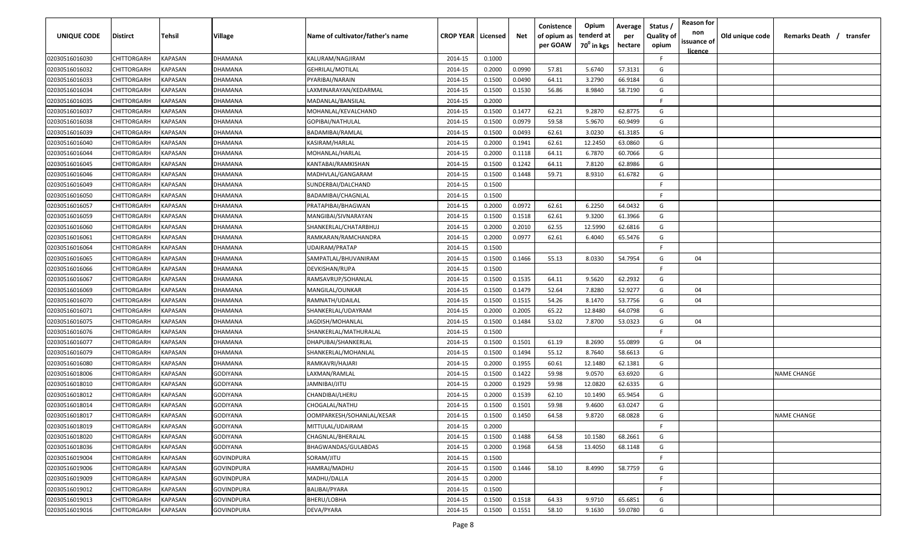| <b>UNIQUE CODE</b> | Distirct           | Tehsil         | Village           | Name of cultivator/father's name | <b>CROP YEAR   Licensed</b> |        | Net    | Conistence<br>of opium as | Opium<br>tenderd at    | Average<br>per | Status /<br><b>Quality of</b> | <b>Reason for</b><br>non | Old unique code | Remarks Death / transfer |
|--------------------|--------------------|----------------|-------------------|----------------------------------|-----------------------------|--------|--------|---------------------------|------------------------|----------------|-------------------------------|--------------------------|-----------------|--------------------------|
|                    |                    |                |                   |                                  |                             |        |        | per GOAW                  | 70 <sup>0</sup> in kgs | hectare        | opium                         | issuance of              |                 |                          |
| 02030516016030     | CHITTORGARH        | <b>KAPASAN</b> | DHAMANA           | KALURAM/NAGJIRAM                 | 2014-15                     | 0.1000 |        |                           |                        |                | F.                            | <u>licence</u>           |                 |                          |
| 02030516016032     | CHITTORGARH        | KAPASAN        | DHAMANA           | <b>GEHRILAL/MOTILAL</b>          | 2014-15                     | 0.2000 | 0.0990 | 57.81                     | 5.6740                 | 57.3131        | G                             |                          |                 |                          |
| 02030516016033     | CHITTORGARH        | KAPASAN        | DHAMANA           | PYARIBAI/NARAIN                  | 2014-15                     | 0.1500 | 0.0490 | 64.11                     | 3.2790                 | 66.9184        | G                             |                          |                 |                          |
| 02030516016034     | CHITTORGARH        | KAPASAN        | DHAMANA           | LAXMINARAYAN/KEDARMAL            | 2014-15                     | 0.1500 | 0.1530 | 56.86                     | 8.9840                 | 58.7190        | G                             |                          |                 |                          |
| 02030516016035     | CHITTORGARH        | KAPASAN        | DHAMANA           | MADANLAL/BANSILAL                | 2014-15                     | 0.2000 |        |                           |                        |                | -F.                           |                          |                 |                          |
| 02030516016037     | CHITTORGARH        | KAPASAN        | DHAMANA           | MOHANLAL/KEVALCHAND              | 2014-15                     | 0.1500 | 0.1477 | 62.21                     | 9.2870                 | 62.8775        | G                             |                          |                 |                          |
| 02030516016038     | CHITTORGARH        | KAPASAN        | DHAMANA           | GOPIBAI/NATHULAL                 | 2014-15                     | 0.1500 | 0.0979 | 59.58                     | 5.9670                 | 60.9499        | G                             |                          |                 |                          |
| 02030516016039     | CHITTORGARH        | KAPASAN        | DHAMANA           | BADAMIBAI/RAMLAL                 | 2014-15                     | 0.1500 | 0.0493 | 62.61                     | 3.0230                 | 61.3185        | G                             |                          |                 |                          |
| 02030516016040     | CHITTORGARH        | KAPASAN        | DHAMANA           | KASIRAM/HARLAL                   | 2014-15                     | 0.2000 | 0.1941 | 62.61                     | 12.2450                | 63.0860        | G                             |                          |                 |                          |
| 02030516016044     | CHITTORGARH        | KAPASAN        | DHAMANA           | MOHANLAL/HARLAL                  | 2014-15                     | 0.2000 | 0.1118 | 64.11                     | 6.7870                 | 60.7066        | G                             |                          |                 |                          |
| 02030516016045     | CHITTORGARH        | KAPASAN        | <b>DHAMANA</b>    | KANTABAI/RAMKISHAN               | 2014-15                     | 0.1500 | 0.1242 | 64.11                     | 7.8120                 | 62.8986        | G                             |                          |                 |                          |
| 02030516016046     | CHITTORGARH        | KAPASAN        | DHAMANA           | MADHVLAL/GANGARAM                | 2014-15                     | 0.1500 | 0.1448 | 59.71                     | 8.9310                 | 61.6782        | G                             |                          |                 |                          |
| 02030516016049     | CHITTORGARH        | KAPASAN        | DHAMANA           | SUNDERBAI/DALCHAND               | 2014-15                     | 0.1500 |        |                           |                        |                | -F.                           |                          |                 |                          |
| 02030516016050     | CHITTORGARH        | KAPASAN        | DHAMANA           | BADAMIBAI/CHAGNLAL               | 2014-15                     | 0.1500 |        |                           |                        |                | F.                            |                          |                 |                          |
| 02030516016057     | CHITTORGARH        | KAPASAN        | DHAMANA           | PRATAPIBAI/BHAGWAN               | 2014-15                     | 0.2000 | 0.0972 | 62.61                     | 6.2250                 | 64.0432        | G                             |                          |                 |                          |
| 02030516016059     | CHITTORGARH        | KAPASAN        | DHAMANA           | MANGIBAI/SIVNARAYAN              | 2014-15                     | 0.1500 | 0.1518 | 62.61                     | 9.3200                 | 61.3966        | G                             |                          |                 |                          |
| 02030516016060     | CHITTORGARH        | KAPASAN        | DHAMANA           | SHANKERLAL/CHATARBHUJ            | 2014-15                     | 0.2000 | 0.2010 | 62.55                     | 12.5990                | 62.6816        | G                             |                          |                 |                          |
| 02030516016061     | CHITTORGARH        | KAPASAN        | DHAMANA           | RAMKARAN/RAMCHANDRA              | 2014-15                     | 0.2000 | 0.0977 | 62.61                     | 6.4040                 | 65.5476        | G                             |                          |                 |                          |
| 02030516016064     | CHITTORGARH        | KAPASAN        | DHAMANA           | <b>UDAIRAM/PRATAP</b>            | 2014-15                     | 0.1500 |        |                           |                        |                | E                             |                          |                 |                          |
| 02030516016065     | CHITTORGARH        | KAPASAN        | DHAMANA           | SAMPATLAL/BHUVANIRAM             | 2014-15                     | 0.1500 | 0.1466 | 55.13                     | 8.0330                 | 54.7954        | G                             | 04                       |                 |                          |
| 02030516016066     | CHITTORGARH        | KAPASAN        | DHAMANA           | DEVKISHAN/RUPA                   | 2014-15                     | 0.1500 |        |                           |                        |                | -F.                           |                          |                 |                          |
| 02030516016067     | CHITTORGARH        | KAPASAN        | DHAMANA           | RAMSAVRUP/SOHANLAL               | 2014-15                     | 0.1500 | 0.1535 | 64.11                     | 9.5620                 | 62.2932        | G                             |                          |                 |                          |
| 02030516016069     | CHITTORGARH        | KAPASAN        | DHAMANA           | MANGILAL/OUNKAR                  | 2014-15                     | 0.1500 | 0.1479 | 52.64                     | 7.8280                 | 52.9277        | G                             | 04                       |                 |                          |
| 02030516016070     | CHITTORGARH        | KAPASAN        | DHAMANA           | RAMNATH/UDAILAL                  | 2014-15                     | 0.1500 | 0.1515 | 54.26                     | 8.1470                 | 53.7756        | G                             | 04                       |                 |                          |
| 02030516016071     | CHITTORGARH        | KAPASAN        | DHAMANA           | SHANKERLAL/UDAYRAM               | 2014-15                     | 0.2000 | 0.2005 | 65.22                     | 12.8480                | 64.0798        | G                             |                          |                 |                          |
| 02030516016075     | CHITTORGARH        | KAPASAN        | DHAMANA           | JAGDISH/MOHANLAL                 | 2014-15                     | 0.1500 | 0.1484 | 53.02                     | 7.8700                 | 53.0323        | G                             | 04                       |                 |                          |
| 02030516016076     | CHITTORGARH        | KAPASAN        | DHAMANA           | SHANKERLAL/MATHURALAL            | 2014-15                     | 0.1500 |        |                           |                        |                | -F.                           |                          |                 |                          |
| 02030516016077     | CHITTORGARH        | KAPASAN        | )HAMANA           | DHAPUBAI/SHANKERLAL              | 2014-15                     | 0.1500 | 0.1501 | 61.19                     | 8.2690                 | 55.0899        | G                             | 04                       |                 |                          |
| 02030516016079     | CHITTORGARH        | KAPASAN        | DHAMANA           | SHANKERLAL/MOHANLAL              | 2014-15                     | 0.1500 | 0.1494 | 55.12                     | 8.7640                 | 58.6613        | G                             |                          |                 |                          |
| 02030516016080     | CHITTORGARH        | KAPASAN        | DHAMANA           | RAMKAVRI/HAJARI                  | 2014-15                     | 0.2000 | 0.1955 | 60.61                     | 12.1480                | 62.1381        | G                             |                          |                 |                          |
| 02030516018006     | CHITTORGARH        | KAPASAN        | GODIYANA          | LAXMAN/RAMLAL                    | 2014-15                     | 0.1500 | 0.1422 | 59.98                     | 9.0570                 | 63.6920        | G                             |                          |                 | <b>NAME CHANGE</b>       |
| 02030516018010     | CHITTORGARH        | KAPASAN        | GODIYANA          | JAMNIBAI/JITU                    | 2014-15                     | 0.2000 | 0.1929 | 59.98                     | 12.0820                | 62.6335        | G                             |                          |                 |                          |
| 02030516018012     | CHITTORGARH        | KAPASAN        | <b>GODIYANA</b>   | CHANDIBAI/LHERU                  | 2014-15                     | 0.2000 | 0.1539 | 62.10                     | 10.1490                | 65.9454        | G                             |                          |                 |                          |
| 02030516018014     | CHITTORGARH        | KAPASAN        | <b>GODIYANA</b>   | CHOGALAL/NATHU                   | 2014-15                     | 0.1500 | 0.1501 | 59.98                     | 9.4600                 | 63.0247        | G                             |                          |                 |                          |
| 02030516018017     | CHITTORGARH        | KAPASAN        | <b>GODIYANA</b>   | OOMPARKESH/SOHANLAL/KESAR        | 2014-15                     | 0.1500 | 0.1450 | 64.58                     | 9.8720                 | 68.0828        | G                             |                          |                 | <b>NAME CHANGE</b>       |
| 02030516018019     | <b>CHITTORGARH</b> | KAPASAN        | GODIYANA          | MITTULAL/UDAIRAM                 | 2014-15                     | 0.2000 |        |                           |                        |                | F.                            |                          |                 |                          |
| 02030516018020     | CHITTORGARH        | <b>KAPASAN</b> | GODIYANA          | CHAGNLAL/BHERALAL                | 2014-15                     | 0.1500 | 0.1488 | 64.58                     | 10.1580                | 68.2661        | G                             |                          |                 |                          |
| 02030516018036     | CHITTORGARH        | <b>KAPASAN</b> | GODIYANA          | BHAGWANDAS/GULABDAS              | 2014-15                     | 0.2000 | 0.1968 | 64.58                     | 13.4050                | 68.1148        | G                             |                          |                 |                          |
| 02030516019004     | <b>CHITTORGARH</b> | <b>KAPASAN</b> | <b>GOVINDPURA</b> | SORAM/JITU                       | 2014-15                     | 0.1500 |        |                           |                        |                | F.                            |                          |                 |                          |
| 02030516019006     | CHITTORGARH        | KAPASAN        | <b>GOVINDPURA</b> | HAMRAJ/MADHU                     | 2014-15                     | 0.1500 | 0.1446 | 58.10                     | 8.4990                 | 58.7759        | G                             |                          |                 |                          |
| 02030516019009     | <b>CHITTORGARH</b> | KAPASAN        | <b>GOVINDPURA</b> | MADHU/DALLA                      | 2014-15                     | 0.2000 |        |                           |                        |                | F.                            |                          |                 |                          |
| 02030516019012     | CHITTORGARH        | KAPASAN        | <b>GOVINDPURA</b> | <b>BALIBAI/PYARA</b>             | 2014-15                     | 0.1500 |        |                           |                        |                | F.                            |                          |                 |                          |
| 02030516019013     | CHITTORGARH        | KAPASAN        | GOVINDPURA        | BHERU/LOBHA                      | 2014-15                     | 0.1500 | 0.1518 | 64.33                     | 9.9710                 | 65.6851        | G                             |                          |                 |                          |
| 02030516019016     | <b>CHITTORGARH</b> | KAPASAN        | GOVINDPURA        | DEVA/PYARA                       | 2014-15                     | 0.1500 | 0.1551 | 58.10                     | 9.1630                 | 59.0780        | G                             |                          |                 |                          |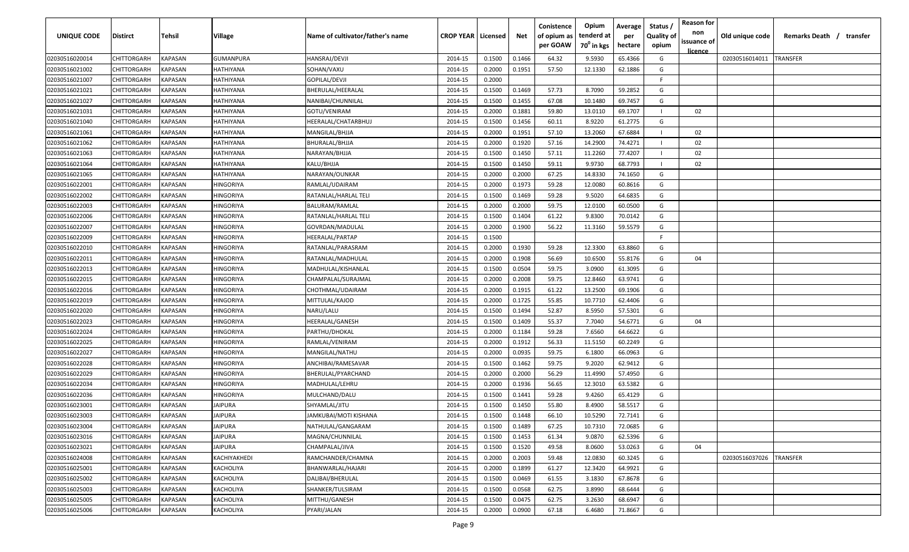| <b>UNIQUE CODE</b> | Distirct           | Tehsil         | Village          | Name of cultivator/father's name | <b>CROP YEAR   Licensed</b> |        | Net    | Conistence<br>of opium as | Opium<br>tenderd at    | Average<br>per | Status /<br><b>Quality of</b> | <b>Reason for</b><br>non<br>issuance of | Old unique code | Remarks Death / transfer |
|--------------------|--------------------|----------------|------------------|----------------------------------|-----------------------------|--------|--------|---------------------------|------------------------|----------------|-------------------------------|-----------------------------------------|-----------------|--------------------------|
|                    |                    |                |                  |                                  |                             |        |        | per GOAW                  | 70 <sup>0</sup> in kgs | hectare        | opium                         | <u>licence</u>                          |                 |                          |
| 02030516020014     | CHITTORGARH        | <b>KAPASAN</b> | <b>GUMANPURA</b> | HANSRAJ/DEVJI                    | 2014-15                     | 0.1500 | 0.1466 | 64.32                     | 9.5930                 | 65.4366        | G                             |                                         | 02030516014011  | <b>TRANSFER</b>          |
| 02030516021002     | CHITTORGARH        | KAPASAN        | HATHIYANA        | SOHAN/VAXU                       | 2014-15                     | 0.2000 | 0.1951 | 57.50                     | 12.1330                | 62.1886        | G                             |                                         |                 |                          |
| 02030516021007     | CHITTORGARH        | KAPASAN        | HATHIYANA        | GOPILAL/DEVJI                    | 2014-15                     | 0.2000 |        |                           |                        |                | -F.                           |                                         |                 |                          |
| 02030516021021     | CHITTORGARH        | KAPASAN        | HATHIYANA        | BHERULAL/HEERALAL                | 2014-15                     | 0.1500 | 0.1469 | 57.73                     | 8.7090                 | 59.2852        | G                             |                                         |                 |                          |
| 02030516021027     | CHITTORGARH        | KAPASAN        | HATHIYANA        | NANIBAI/CHUNNILAL                | 2014-15                     | 0.1500 | 0.1455 | 67.08                     | 10.1480                | 69.7457        | G                             |                                         |                 |                          |
| 02030516021031     | CHITTORGARH        | KAPASAN        | HATHIYANA        | GOTU/VENIRAM                     | 2014-15                     | 0.2000 | 0.1881 | 59.80                     | 13.0110                | 69.1707        |                               | 02                                      |                 |                          |
| 02030516021040     | CHITTORGARH        | KAPASAN        | HATHIYANA        | HEERALAL/CHATARBHUJ              | 2014-15                     | 0.1500 | 0.1456 | 60.11                     | 8.9220                 | 61.2775        | G                             |                                         |                 |                          |
| 02030516021061     | CHITTORGARH        | KAPASAN        | HATHIYANA        | MANGILAL/BHJJA                   | 2014-15                     | 0.2000 | 0.1951 | 57.10                     | 13.2060                | 67.6884        |                               | 02                                      |                 |                          |
| 02030516021062     | CHITTORGARH        | KAPASAN        | HATHIYANA        | BHURALAL/BHJJA                   | 2014-15                     | 0.2000 | 0.1920 | 57.16                     | 14.2900                | 74.4271        |                               | 02                                      |                 |                          |
| 02030516021063     | CHITTORGARH        | KAPASAN        | HATHIYANA        | NARAYAN/BHJJA                    | 2014-15                     | 0.1500 | 0.1450 | 57.11                     | 11.2260                | 77.4207        |                               | 02                                      |                 |                          |
| 02030516021064     | CHITTORGARH        | KAPASAN        | HATHIYANA        | KALU/BHJJA                       | 2014-15                     | 0.1500 | 0.1450 | 59.11                     | 9.9730                 | 68.7793        |                               | 02                                      |                 |                          |
| 02030516021065     | CHITTORGARH        | KAPASAN        | HATHIYANA        | NARAYAN/OUNKAR                   | 2014-15                     | 0.2000 | 0.2000 | 67.25                     | 14.8330                | 74.1650        | G                             |                                         |                 |                          |
| 02030516022001     | CHITTORGARH        | KAPASAN        | HINGORIYA        | RAMLAL/UDAIRAM                   | 2014-15                     | 0.2000 | 0.1973 | 59.28                     | 12.0080                | 60.8616        | G                             |                                         |                 |                          |
| 02030516022002     | CHITTORGARH        | KAPASAN        | HINGORIYA        | RATANLAL/HARLAL TELI             | 2014-15                     | 0.1500 | 0.1469 | 59.28                     | 9.5020                 | 64.6835        | G                             |                                         |                 |                          |
| 02030516022003     | CHITTORGARH        | KAPASAN        | HINGORIYA        | BALURAM/RAMLAL                   | 2014-15                     | 0.2000 | 0.2000 | 59.75                     | 12.0100                | 60.0500        | G                             |                                         |                 |                          |
| 02030516022006     | CHITTORGARH        | KAPASAN        | HINGORIYA        | RATANLAL/HARLAL TELI             | 2014-15                     | 0.1500 | 0.1404 | 61.22                     | 9.8300                 | 70.0142        | G                             |                                         |                 |                          |
| 02030516022007     | CHITTORGARH        | KAPASAN        | HINGORIYA        | GOVRDAN/MADULAL                  | 2014-15                     | 0.2000 | 0.1900 | 56.22                     | 11.3160                | 59.5579        | G                             |                                         |                 |                          |
| 02030516022009     | CHITTORGARH        | KAPASAN        | HINGORIYA        | HEERALAL/PARTAP                  | 2014-15                     | 0.1500 |        |                           |                        |                | F.                            |                                         |                 |                          |
| 02030516022010     | CHITTORGARH        | KAPASAN        | HINGORIYA        | RATANLAL/PARASRAM                | 2014-15                     | 0.2000 | 0.1930 | 59.28                     | 12.3300                | 63.8860        | G                             |                                         |                 |                          |
| 02030516022011     | CHITTORGARH        | KAPASAN        | HINGORIYA        | RATANLAL/MADHULAL                | 2014-15                     | 0.2000 | 0.1908 | 56.69                     | 10.6500                | 55.8176        | G                             | 04                                      |                 |                          |
| 02030516022013     | CHITTORGARH        | KAPASAN        | HINGORIYA        | MADHULAL/KISHANLAL               | 2014-15                     | 0.1500 | 0.0504 | 59.75                     | 3.0900                 | 61.3095        | G                             |                                         |                 |                          |
| 02030516022015     | CHITTORGARH        | KAPASAN        | HINGORIYA        | CHAMPALAL/SURAJMAL               | 2014-15                     | 0.2000 | 0.2008 | 59.75                     | 12.8460                | 63.9741        | G                             |                                         |                 |                          |
| 02030516022016     | CHITTORGARH        | KAPASAN        | HINGORIYA        | CHOTHMAL/UDAIRAM                 | 2014-15                     | 0.2000 | 0.1915 | 61.22                     | 13.2500                | 69.1906        | G                             |                                         |                 |                          |
| 02030516022019     | CHITTORGARH        | KAPASAN        | HINGORIYA        | MITTULAL/KAJOD                   | 2014-15                     | 0.2000 | 0.1725 | 55.85                     | 10.7710                | 62.4406        | G                             |                                         |                 |                          |
| 02030516022020     | CHITTORGARH        | KAPASAN        | HINGORIYA        | NARU/LALU                        | 2014-15                     | 0.1500 | 0.1494 | 52.87                     | 8.5950                 | 57.5301        | G                             |                                         |                 |                          |
| 02030516022023     | CHITTORGARH        | KAPASAN        | HINGORIYA        | HEERALAL/GANESH                  | 2014-15                     | 0.1500 | 0.1409 | 55.37                     | 7.7040                 | 54.6771        | G                             | 04                                      |                 |                          |
| 02030516022024     | CHITTORGARH        | KAPASAN        | HINGORIYA        | PARTHU/DHOKAL                    | 2014-15                     | 0.2000 | 0.1184 | 59.28                     | 7.6560                 | 64.6622        | G                             |                                         |                 |                          |
| 02030516022025     | CHITTORGARH        | KAPASAN        | HINGORIYA        | RAMLAL/VENIRAM                   | 2014-15                     | 0.2000 | 0.1912 | 56.33                     | 11.5150                | 60.2249        | G                             |                                         |                 |                          |
| 02030516022027     | CHITTORGARH        | KAPASAN        | HINGORIYA        | MANGILAL/NATHU                   | 2014-15                     | 0.2000 | 0.0935 | 59.75                     | 6.1800                 | 66.0963        | G                             |                                         |                 |                          |
| 02030516022028     | CHITTORGARH        | KAPASAN        | HINGORIYA        | ANCHIBAI/RAMESAVAR               | 2014-15                     | 0.1500 | 0.1462 | 59.75                     | 9.2020                 | 62.9412        | G                             |                                         |                 |                          |
| 02030516022029     | CHITTORGARH        | KAPASAN        | HINGORIYA        | BHERULAL/PYARCHAND               | 2014-15                     | 0.2000 | 0.2000 | 56.29                     | 11.4990                | 57.4950        | G                             |                                         |                 |                          |
| 02030516022034     | CHITTORGARH        | KAPASAN        | HINGORIYA        | MADHULAL/LEHRU                   | 2014-15                     | 0.2000 | 0.1936 | 56.65                     | 12.3010                | 63.5382        | G                             |                                         |                 |                          |
| 02030516022036     | CHITTORGARH        | KAPASAN        | HINGORIYA        | MULCHAND/DALU                    | 2014-15                     | 0.1500 | 0.1441 | 59.28                     | 9.4260                 | 65.4129        | G                             |                                         |                 |                          |
| 02030516023001     | CHITTORGARH        | KAPASAN        | JAIPURA          | SHYAMLAL/JITU                    | 2014-15                     | 0.1500 | 0.1450 | 55.80                     | 8.4900                 | 58.5517        | G                             |                                         |                 |                          |
| 02030516023003     | CHITTORGARH        | KAPASAN        | JAIPURA          | JAMKUBAI/MOTI KISHANA            | 2014-15                     | 0.1500 | 0.1448 | 66.10                     | 10.5290                | 72.7141        | G                             |                                         |                 |                          |
| 02030516023004     | CHITTORGARH        | <b>KAPASAN</b> | <b>JAIPURA</b>   | NATHULAL/GANGARAM                | 2014-15                     | 0.1500 | 0.1489 | 67.25                     | 10.7310                | 72.0685        | G                             |                                         |                 |                          |
| 02030516023016     | <b>CHITTORGARH</b> | <b>KAPASAN</b> | <b>JAIPURA</b>   | MAGNA/CHUNNILAL                  | 2014-15                     | 0.1500 | 0.1453 | 61.34                     | 9.0870                 | 62.5396        | G                             |                                         |                 |                          |
| 02030516023021     | CHITTORGARH        | <b>KAPASAN</b> | <b>JAIPURA</b>   | CHAMPALAL/JIVA                   | 2014-15                     | 0.1500 | 0.1520 | 49.58                     | 8.0600                 | 53.0263        | G                             | 04                                      |                 |                          |
| 02030516024008     | <b>CHITTORGARH</b> | <b>KAPASAN</b> | KACHIYAKHEDI     | RAMCHANDER/CHAMNA                | 2014-15                     | 0.2000 | 0.2003 | 59.48                     | 12.0830                | 60.3245        | G                             |                                         | 02030516037026  | <b>TRANSFER</b>          |
| 02030516025001     | CHITTORGARH        | KAPASAN        | KACHOLIYA        | BHANWARLAL/HAJARI                | 2014-15                     | 0.2000 | 0.1899 | 61.27                     | 12.3420                | 64.9921        | G                             |                                         |                 |                          |
| 02030516025002     | <b>CHITTORGARH</b> | KAPASAN        | KACHOLIYA        | DALIBAI/BHERULAL                 | 2014-15                     | 0.1500 | 0.0469 | 61.55                     | 3.1830                 | 67.8678        | G                             |                                         |                 |                          |
| 02030516025003     | CHITTORGARH        | KAPASAN        | KACHOLIYA        | SHANKER/TULSIRAM                 | 2014-15                     | 0.1500 | 0.0568 | 62.75                     | 3.8990                 | 68.6444        | G                             |                                         |                 |                          |
| 02030516025005     | CHITTORGARH        | KAPASAN        | KACHOLIYA        | MITTHU/GANESH                    | 2014-15                     | 0.1500 | 0.0475 | 62.75                     | 3.2630                 | 68.6947        | G                             |                                         |                 |                          |
| 02030516025006     | CHITTORGARH        | KAPASAN        | KACHOLIYA        | PYARI/JALAN                      | 2014-15                     | 0.2000 | 0.0900 | 67.18                     | 6.4680                 | 71.8667        | G                             |                                         |                 |                          |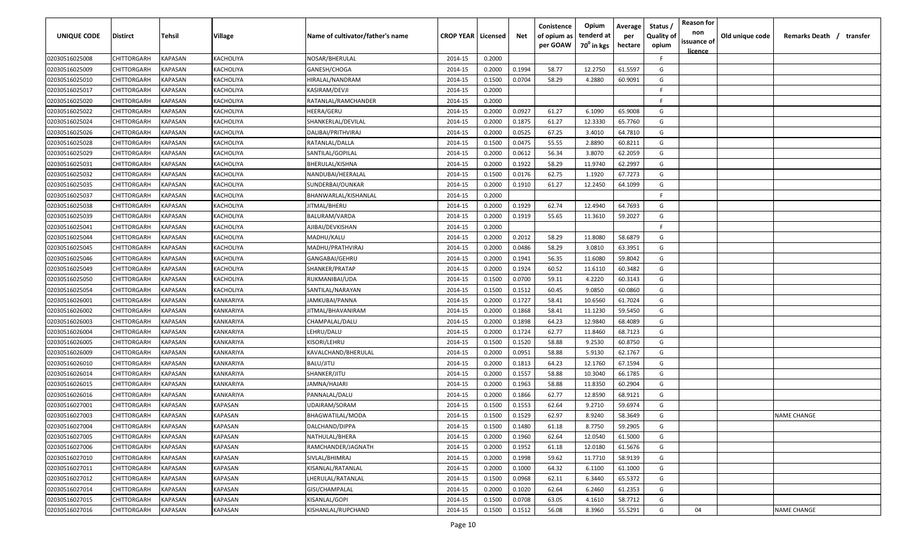| <b>UNIQUE CODE</b> | Distirct           | Tehsil         | Village        | Name of cultivator/father's name | <b>CROP YEAR   Licensed</b> |        | Net    | Conistence<br>of opium as | Opium<br>tenderd at    | Average<br>per | Status /<br><b>Quality of</b> | <b>Reason for</b><br>non<br>issuance of | Old unique code | Remarks Death / transfer |
|--------------------|--------------------|----------------|----------------|----------------------------------|-----------------------------|--------|--------|---------------------------|------------------------|----------------|-------------------------------|-----------------------------------------|-----------------|--------------------------|
|                    |                    |                |                |                                  |                             |        |        | per GOAW                  | 70 <sup>0</sup> in kgs | hectare        | opium                         | <u>licence</u>                          |                 |                          |
| 02030516025008     | CHITTORGARH        | <b>KAPASAN</b> | KACHOLIYA      | NOSAR/BHERULAL                   | 2014-15                     | 0.2000 |        |                           |                        |                | F                             |                                         |                 |                          |
| 02030516025009     | CHITTORGARH        | KAPASAN        | KACHOLIYA      | GANESH/CHOGA                     | 2014-15                     | 0.2000 | 0.1994 | 58.77                     | 12.2750                | 61.5597        | G                             |                                         |                 |                          |
| 02030516025010     | CHITTORGARH        | KAPASAN        | KACHOLIYA      | HIRALAL/NANDRAM                  | 2014-15                     | 0.1500 | 0.0704 | 58.29                     | 4.2880                 | 60.9091        | G                             |                                         |                 |                          |
| 02030516025017     | CHITTORGARH        | KAPASAN        | KACHOLIYA      | KASIRAM/DEVJI                    | 2014-15                     | 0.2000 |        |                           |                        |                | -F.                           |                                         |                 |                          |
| 02030516025020     | CHITTORGARH        | KAPASAN        | KACHOLIYA      | RATANLAL/RAMCHANDER              | 2014-15                     | 0.2000 |        |                           |                        |                | -F.                           |                                         |                 |                          |
| 02030516025022     | CHITTORGARH        | KAPASAN        | KACHOLIYA      | HEERA/GERU                       | 2014-15                     | 0.2000 | 0.0927 | 61.27                     | 6.1090                 | 65.9008        | G                             |                                         |                 |                          |
| 02030516025024     | CHITTORGARH        | KAPASAN        | KACHOLIYA      | SHANKERLAL/DEVILAL               | 2014-15                     | 0.2000 | 0.1875 | 61.27                     | 12.3330                | 65.7760        | G                             |                                         |                 |                          |
| 02030516025026     | CHITTORGARH        | KAPASAN        | KACHOLIYA      | DALIBAI/PRITHVIRAJ               | 2014-15                     | 0.2000 | 0.0525 | 67.25                     | 3.4010                 | 64.7810        | G                             |                                         |                 |                          |
| 02030516025028     | CHITTORGARH        | KAPASAN        | KACHOLIYA      | RATANLAL/DALLA                   | 2014-15                     | 0.1500 | 0.0475 | 55.55                     | 2.8890                 | 60.8211        | G                             |                                         |                 |                          |
| 02030516025029     | CHITTORGARH        | KAPASAN        | KACHOLIYA      | SANTILAL/GOPILAL                 | 2014-15                     | 0.2000 | 0.0612 | 56.34                     | 3.8070                 | 62.2059        | G                             |                                         |                 |                          |
| 02030516025031     | CHITTORGARH        | KAPASAN        | KACHOLIYA      | BHERULAL/KISHNA                  | 2014-15                     | 0.2000 | 0.1922 | 58.29                     | 11.9740                | 62.2997        | G                             |                                         |                 |                          |
| 02030516025032     | CHITTORGARH        | KAPASAN        | KACHOLIYA      | NANDUBAI/HEERALAL                | 2014-15                     | 0.1500 | 0.0176 | 62.75                     | 1.1920                 | 67.7273        | G                             |                                         |                 |                          |
| 02030516025035     | CHITTORGARH        | KAPASAN        | KACHOLIYA      | SUNDERBAI/OUNKAR                 | 2014-15                     | 0.2000 | 0.1910 | 61.27                     | 12.2450                | 64.1099        | G                             |                                         |                 |                          |
| 02030516025037     | CHITTORGARH        | KAPASAN        | KACHOLIYA      | BHANWARLAL/KISHANLAL             | 2014-15                     | 0.2000 |        |                           |                        |                | F.                            |                                         |                 |                          |
| 02030516025038     | CHITTORGARH        | KAPASAN        | KACHOLIYA      | JITMAL/BHERU                     | 2014-15                     | 0.2000 | 0.1929 | 62.74                     | 12.4940                | 64.7693        | G                             |                                         |                 |                          |
| 02030516025039     | CHITTORGARH        | KAPASAN        | KACHOLIYA      | BALURAM/VARDA                    | 2014-15                     | 0.2000 | 0.1919 | 55.65                     | 11.3610                | 59.2027        | G                             |                                         |                 |                          |
| 02030516025041     | CHITTORGARH        | KAPASAN        | KACHOLIYA      | AJIBAI/DEVKISHAN                 | 2014-15                     | 0.2000 |        |                           |                        |                | -F.                           |                                         |                 |                          |
| 02030516025044     | CHITTORGARH        | KAPASAN        | KACHOLIYA      | MADHU/KALU                       | 2014-15                     | 0.2000 | 0.2012 | 58.29                     | 11.8080                | 58.6879        | G                             |                                         |                 |                          |
| 02030516025045     | CHITTORGARH        | KAPASAN        | KACHOLIYA      | MADHU/PRATHVIRAJ                 | 2014-15                     | 0.2000 | 0.0486 | 58.29                     | 3.0810                 | 63.3951        | G                             |                                         |                 |                          |
| 02030516025046     | CHITTORGARH        | KAPASAN        | KACHOLIYA      | GANGABAI/GEHRU                   | 2014-15                     | 0.2000 | 0.1941 | 56.35                     | 11.6080                | 59.8042        | G                             |                                         |                 |                          |
| 02030516025049     | CHITTORGARH        | KAPASAN        | KACHOLIYA      | SHANKER/PRATAP                   | 2014-15                     | 0.2000 | 0.1924 | 60.52                     | 11.6110                | 60.3482        | G                             |                                         |                 |                          |
| 02030516025050     | CHITTORGARH        | KAPASAN        | KACHOLIYA      | RUKMANIBAI/UDA                   | 2014-15                     | 0.1500 | 0.0700 | 59.11                     | 4.2220                 | 60.3143        | G                             |                                         |                 |                          |
| 02030516025054     | CHITTORGARH        | KAPASAN        | KACHOLIYA      | SANTILAL/NARAYAN                 | 2014-15                     | 0.1500 | 0.1512 | 60.45                     | 9.0850                 | 60.0860        | G                             |                                         |                 |                          |
| 02030516026001     | CHITTORGARH        | KAPASAN        | KANKARIYA      | JAMKUBAI/PANNA                   | 2014-15                     | 0.2000 | 0.1727 | 58.41                     | 10.6560                | 61.7024        | G                             |                                         |                 |                          |
| 02030516026002     | CHITTORGARH        | KAPASAN        | KANKARIYA      | JITMAL/BHAVANIRAM                | 2014-15                     | 0.2000 | 0.1868 | 58.41                     | 11.1230                | 59.5450        | G                             |                                         |                 |                          |
| 02030516026003     | CHITTORGARH        | KAPASAN        | KANKARIYA      | CHAMPALAL/DALU                   | 2014-15                     | 0.2000 | 0.1898 | 64.23                     | 12.9840                | 68.4089        | G                             |                                         |                 |                          |
| 02030516026004     | CHITTORGARH        | KAPASAN        | KANKARIYA      | LEHRU/DALU                       | 2014-15                     | 0.2000 | 0.1724 | 62.77                     | 11.8460                | 68.7123        | G                             |                                         |                 |                          |
| 02030516026005     | CHITTORGARH        | KAPASAN        | KANKARIYA      | KISORI/LEHRU                     | 2014-15                     | 0.1500 | 0.1520 | 58.88                     | 9.2530                 | 60.8750        | G                             |                                         |                 |                          |
| 02030516026009     | CHITTORGARH        | KAPASAN        | KANKARIYA      | KAVALCHAND/BHERULAL              | 2014-15                     | 0.2000 | 0.0951 | 58.88                     | 5.9130                 | 62.1767        | G                             |                                         |                 |                          |
| 02030516026010     | CHITTORGARH        | KAPASAN        | KANKARIYA      | BALU/JITU                        | 2014-15                     | 0.2000 | 0.1813 | 64.23                     | 12.1760                | 67.1594        | G                             |                                         |                 |                          |
| 02030516026014     | CHITTORGARH        | KAPASAN        | KANKARIYA      | SHANKER/JITU                     | 2014-15                     | 0.2000 | 0.1557 | 58.88                     | 10.3040                | 66.1785        | G                             |                                         |                 |                          |
| 02030516026015     | CHITTORGARH        | KAPASAN        | KANKARIYA      | JAMNA/HAJARI                     | 2014-15                     | 0.2000 | 0.1963 | 58.88                     | 11.8350                | 60.2904        | G                             |                                         |                 |                          |
| 02030516026016     | CHITTORGARH        | KAPASAN        | KANKARIYA      | PANNALAL/DALU                    | 2014-15                     | 0.2000 | 0.1866 | 62.77                     | 12.8590                | 68.9121        | G                             |                                         |                 |                          |
| 02030516027001     | CHITTORGARH        | KAPASAN        | KAPASAN        | UDAIRAM/SORAM                    | 2014-15                     | 0.1500 | 0.1553 | 62.64                     | 9.2710                 | 59.6974        | G                             |                                         |                 |                          |
| 02030516027003     | CHITTORGARH        | KAPASAN        | KAPASAN        | BHAGWATILAL/MODA                 | 2014-15                     | 0.1500 | 0.1529 | 62.97                     | 8.9240                 | 58.3649        | G                             |                                         |                 | <b>NAME CHANGE</b>       |
| 02030516027004     | <b>CHITTORGARH</b> | KAPASAN        | <b>KAPASAN</b> | DALCHAND/DIPPA                   | 2014-15                     | 0.1500 | 0.1480 | 61.18                     | 8.7750                 | 59.2905        | G                             |                                         |                 |                          |
| 02030516027005     | <b>CHITTORGARH</b> | KAPASAN        | KAPASAN        | NATHULAL/BHERA                   | 2014-15                     | 0.2000 | 0.1960 | 62.64                     | 12.0540                | 61.5000        | G                             |                                         |                 |                          |
| 02030516027006     | <b>CHITTORGARH</b> | <b>KAPASAN</b> | KAPASAN        | RAMCHANDER/JAGNATH               | 2014-15                     | 0.2000 | 0.1952 | 61.18                     | 12.0180                | 61.5676        | G                             |                                         |                 |                          |
| 02030516027010     | <b>CHITTORGARH</b> | KAPASAN        | KAPASAN        | SIVLAL/BHIMRAJ                   | 2014-15                     | 0.2000 | 0.1998 | 59.62                     | 11.7710                | 58.9139        | G                             |                                         |                 |                          |
| 02030516027011     | CHITTORGARH        | KAPASAN        | KAPASAN        | KISANLAL/RATANLAL                | 2014-15                     | 0.2000 | 0.1000 | 64.32                     | 6.1100                 | 61.1000        | G                             |                                         |                 |                          |
| 02030516027012     | CHITTORGARH        | KAPASAN        | KAPASAN        | LHERULAL/RATANLAL                | 2014-15                     | 0.1500 | 0.0968 | 62.11                     | 6.3440                 | 65.5372        | G                             |                                         |                 |                          |
| 02030516027014     | <b>CHITTORGARH</b> | KAPASAN        | KAPASAN        | GISI/CHAMPALAL                   | 2014-15                     | 0.2000 | 0.1020 | 62.64                     | 6.2460                 | 61.2353        | G                             |                                         |                 |                          |
| 02030516027015     | CHITTORGARH        | KAPASAN        | KAPASAN        | KISANLAL/GOPI                    | 2014-15                     | 0.1500 | 0.0708 | 63.05                     | 4.1610                 | 58.7712        | G                             |                                         |                 |                          |
| 02030516027016     | CHITTORGARH        | KAPASAN        | KAPASAN        | KISHANLAL/RUPCHAND               | 2014-15                     | 0.1500 | 0.1512 | 56.08                     | 8.3960                 | 55.5291        | G                             | 04                                      |                 | <b>NAME CHANGE</b>       |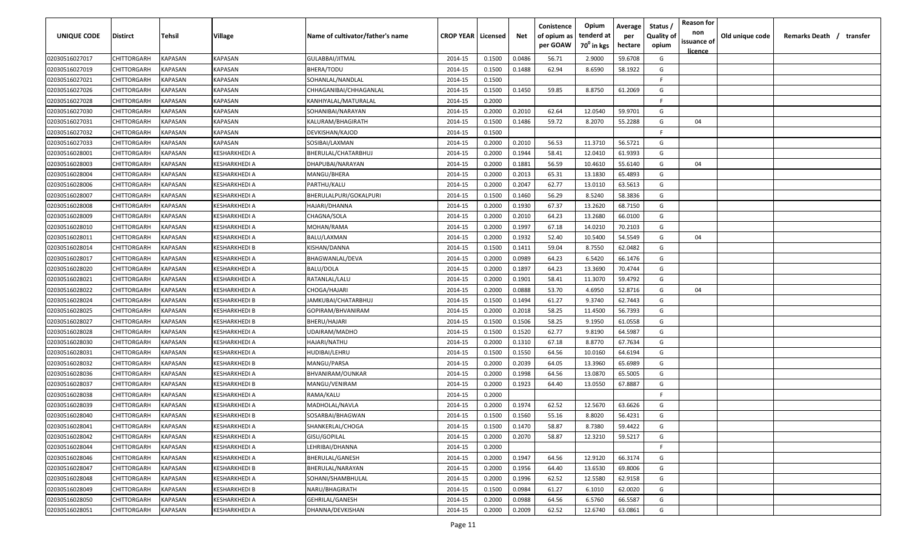| <b>UNIQUE CODE</b> | Distirct           | Tehsil         | Village       | Name of cultivator/father's name | <b>CROP YEAR   Licensed</b> |        | Net    | Conistence<br>of opium as<br>per GOAW | Opium<br>tenderd at<br>70 <sup>0</sup> in kgs | Average<br>per<br>hectare | Status /<br><b>Quality of</b><br>opium | <b>Reason for</b><br>non<br>issuance of | Old unique code | Remarks Death / transfer |
|--------------------|--------------------|----------------|---------------|----------------------------------|-----------------------------|--------|--------|---------------------------------------|-----------------------------------------------|---------------------------|----------------------------------------|-----------------------------------------|-----------------|--------------------------|
| 02030516027017     | CHITTORGARH        | <b>KAPASAN</b> | KAPASAN       | GULABBAI/JITMAL                  | 2014-15                     | 0.1500 | 0.0486 | 56.71                                 | 2.9000                                        | 59.6708                   | G                                      | <u>licence</u>                          |                 |                          |
| 02030516027019     | CHITTORGARH        | KAPASAN        | KAPASAN       | BHERA/TODU                       | 2014-15                     | 0.1500 | 0.1488 | 62.94                                 | 8.6590                                        | 58.1922                   | G                                      |                                         |                 |                          |
| 02030516027021     | CHITTORGARH        | KAPASAN        | KAPASAN       | SOHANLAL/NANDLAL                 | 2014-15                     | 0.1500 |        |                                       |                                               |                           | -F.                                    |                                         |                 |                          |
| 02030516027026     | CHITTORGARH        | KAPASAN        | KAPASAN       | CHHAGANIBAI/CHHAGANLAL           | 2014-15                     | 0.1500 | 0.1450 | 59.85                                 | 8.8750                                        | 61.2069                   | G                                      |                                         |                 |                          |
| 02030516027028     | CHITTORGARH        | KAPASAN        | KAPASAN       | KANHIYALAL/MATURALAL             | 2014-15                     | 0.2000 |        |                                       |                                               |                           | -F.                                    |                                         |                 |                          |
| 02030516027030     | CHITTORGARH        | KAPASAN        | KAPASAN       | SOHANIBAI/NARAYAN                | 2014-15                     | 0.2000 | 0.2010 | 62.64                                 | 12.0540                                       | 59.9701                   | G                                      |                                         |                 |                          |
| 02030516027031     | CHITTORGARH        | KAPASAN        | KAPASAN       | KALURAM/BHAGIRATH                | 2014-15                     | 0.1500 | 0.1486 | 59.72                                 | 8.2070                                        | 55.2288                   | G                                      | 04                                      |                 |                          |
| 02030516027032     | CHITTORGARH        | KAPASAN        | KAPASAN       | DEVKISHAN/KAJOD                  | 2014-15                     | 0.1500 |        |                                       |                                               |                           | -F                                     |                                         |                 |                          |
| 02030516027033     | CHITTORGARH        | KAPASAN        | KAPASAN       | SOSIBAI/LAXMAN                   | 2014-15                     | 0.2000 | 0.2010 | 56.53                                 | 11.3710                                       | 56.5721                   | G                                      |                                         |                 |                          |
| 02030516028001     | CHITTORGARH        | KAPASAN        | KESHARKHEDI A | BHERULAL/CHATARBHUJ              | 2014-15                     | 0.2000 | 0.1944 | 58.41                                 | 12.0410                                       | 61.9393                   | G                                      |                                         |                 |                          |
| 02030516028003     | CHITTORGARH        | KAPASAN        | (ESHARKHEDI A | DHAPUBAI/NARAYAN                 | 2014-15                     | 0.2000 | 0.1881 | 56.59                                 | 10.4610                                       | 55.6140                   | G                                      | 04                                      |                 |                          |
| 02030516028004     | CHITTORGARH        | KAPASAN        | KESHARKHEDI A | MANGU/BHERA                      | 2014-15                     | 0.2000 | 0.2013 | 65.31                                 | 13.1830                                       | 65.4893                   | G                                      |                                         |                 |                          |
| 02030516028006     | CHITTORGARH        | KAPASAN        | KESHARKHEDI A | PARTHU/KALU                      | 2014-15                     | 0.2000 | 0.2047 | 62.77                                 | 13.0110                                       | 63.5613                   | G                                      |                                         |                 |                          |
| 02030516028007     | CHITTORGARH        | KAPASAN        | KESHARKHEDI A | BHERULALPURI/GOKALPURI           | 2014-15                     | 0.1500 | 0.1460 | 56.29                                 | 8.5240                                        | 58.3836                   | G                                      |                                         |                 |                          |
| 02030516028008     | CHITTORGARH        | KAPASAN        | KESHARKHEDI A | HAJARI/DHANNA                    | 2014-15                     | 0.2000 | 0.1930 | 67.37                                 | 13.2620                                       | 68.7150                   | G                                      |                                         |                 |                          |
| 02030516028009     | CHITTORGARH        | KAPASAN        | KESHARKHEDI A | CHAGNA/SOLA                      | 2014-15                     | 0.2000 | 0.2010 | 64.23                                 | 13.2680                                       | 66.0100                   | G                                      |                                         |                 |                          |
| 02030516028010     | CHITTORGARH        | KAPASAN        | KESHARKHEDI A | MOHAN/RAMA                       | 2014-15                     | 0.2000 | 0.1997 | 67.18                                 | 14.0210                                       | 70.2103                   | G                                      |                                         |                 |                          |
| 02030516028011     | CHITTORGARH        | KAPASAN        | KESHARKHEDI A | BALU/LAXMAN                      | 2014-15                     | 0.2000 | 0.1932 | 52.40                                 | 10.5400                                       | 54.5549                   | G                                      | 04                                      |                 |                          |
| 02030516028014     | CHITTORGARH        | KAPASAN        | KESHARKHEDI B | KISHAN/DANNA                     | 2014-15                     | 0.1500 | 0.1411 | 59.04                                 | 8.7550                                        | 62.0482                   | G                                      |                                         |                 |                          |
| 02030516028017     | CHITTORGARH        | KAPASAN        | KESHARKHEDI A | BHAGWANLAL/DEVA                  | 2014-15                     | 0.2000 | 0.0989 | 64.23                                 | 6.5420                                        | 66.1476                   | G                                      |                                         |                 |                          |
| 02030516028020     | CHITTORGARH        | KAPASAN        | KESHARKHEDI A | BALU/DOLA                        | 2014-15                     | 0.2000 | 0.1897 | 64.23                                 | 13.3690                                       | 70.4744                   | G                                      |                                         |                 |                          |
| 02030516028021     | CHITTORGARH        | KAPASAN        | KESHARKHEDI A | RATANLAL/LALU                    | 2014-15                     | 0.2000 | 0.1901 | 58.41                                 | 11.3070                                       | 59.4792                   | G                                      |                                         |                 |                          |
| 02030516028022     | CHITTORGARH        | KAPASAN        | KESHARKHEDI A | CHOGA/HAJARI                     | 2014-15                     | 0.2000 | 0.0888 | 53.70                                 | 4.6950                                        | 52.8716                   | G                                      | 04                                      |                 |                          |
| 02030516028024     | CHITTORGARH        | KAPASAN        | KESHARKHEDI B | JAMKUBAI/CHATARBHUJ              | 2014-15                     | 0.1500 | 0.1494 | 61.27                                 | 9.3740                                        | 62.7443                   | G                                      |                                         |                 |                          |
| 02030516028025     | CHITTORGARH        | KAPASAN        | KESHARKHEDI B | GOPIRAM/BHVANIRAM                | 2014-15                     | 0.2000 | 0.2018 | 58.25                                 | 11.4500                                       | 56.7393                   | G                                      |                                         |                 |                          |
| 02030516028027     | CHITTORGARH        | KAPASAN        | KESHARKHEDI B | BHERU/HAJARI                     | 2014-15                     | 0.1500 | 0.1506 | 58.25                                 | 9.1950                                        | 61.0558                   | G                                      |                                         |                 |                          |
| 02030516028028     | CHITTORGARH        | KAPASAN        | KESHARKHEDI A | UDAIRAM/MADHO                    | 2014-15                     | 0.1500 | 0.1520 | 62.77                                 | 9.8190                                        | 64.5987                   | G                                      |                                         |                 |                          |
| 02030516028030     | CHITTORGARH        | KAPASAN        | (ESHARKHEDI A | HAJARI/NATHU                     | 2014-15                     | 0.2000 | 0.1310 | 67.18                                 | 8.8770                                        | 67.7634                   | G                                      |                                         |                 |                          |
| 02030516028031     | CHITTORGARH        | KAPASAN        | KESHARKHEDI A | HUDIBAI/LEHRU                    | 2014-15                     | 0.1500 | 0.1550 | 64.56                                 | 10.0160                                       | 64.6194                   | G                                      |                                         |                 |                          |
| 02030516028032     | CHITTORGARH        | KAPASAN        | KESHARKHEDI B | MANGU/PARSA                      | 2014-15                     | 0.2000 | 0.2039 | 64.05                                 | 13.3960                                       | 65.6989                   | G                                      |                                         |                 |                          |
| 02030516028036     | CHITTORGARH        | KAPASAN        | KESHARKHEDI A | BHVANIRAM/OUNKAR                 | 2014-15                     | 0.2000 | 0.1998 | 64.56                                 | 13.0870                                       | 65.5005                   | G                                      |                                         |                 |                          |
| 02030516028037     | CHITTORGARH        | KAPASAN        | KESHARKHEDI B | MANGU/VENIRAM                    | 2014-15                     | 0.2000 | 0.1923 | 64.40                                 | 13.0550                                       | 67.8887                   | G                                      |                                         |                 |                          |
| 02030516028038     | CHITTORGARH        | KAPASAN        | KESHARKHEDI A | RAMA/KALU                        | 2014-15                     | 0.2000 |        |                                       |                                               |                           | -F                                     |                                         |                 |                          |
| 02030516028039     | CHITTORGARH        | KAPASAN        | KESHARKHEDI A | MADHOLAL/NAVLA                   | 2014-15                     | 0.2000 | 0.1974 | 62.52                                 | 12.5670                                       | 63.6626                   | G                                      |                                         |                 |                          |
| 02030516028040     | CHITTORGARH        | KAPASAN        | KESHARKHEDI B | SOSARBAI/BHAGWAN                 | 2014-15                     | 0.1500 | 0.1560 | 55.16                                 | 8.8020                                        | 56.4231                   | G                                      |                                         |                 |                          |
| 02030516028041     | CHITTORGARH        | KAPASAN        | KESHARKHEDI A | SHANKERLAL/CHOGA                 | 2014-15                     | 0.1500 | 0.1470 | 58.87                                 | 8.7380                                        | 59.4422                   | G                                      |                                         |                 |                          |
| 02030516028042     | CHITTORGARH        | <b>KAPASAN</b> | KESHARKHEDI A | GISU/GOPILAL                     | 2014-15                     | 0.2000 | 0.2070 | 58.87                                 | 12.3210                                       | 59.5217                   | G                                      |                                         |                 |                          |
| 02030516028044     | <b>CHITTORGARH</b> | <b>KAPASAN</b> | KESHARKHEDI A | LEHRIBAI/DHANNA                  | 2014-15                     | 0.2000 |        |                                       |                                               |                           | F.                                     |                                         |                 |                          |
| 02030516028046     | <b>CHITTORGARH</b> | <b>KAPASAN</b> | KESHARKHEDI A | BHERULAL/GANESH                  | 2014-15                     | 0.2000 | 0.1947 | 64.56                                 | 12.9120                                       | 66.3174                   | G                                      |                                         |                 |                          |
| 02030516028047     | CHITTORGARH        | KAPASAN        | KESHARKHEDI B | BHERULAL/NARAYAN                 | 2014-15                     | 0.2000 | 0.1956 | 64.40                                 | 13.6530                                       | 69.8006                   | G                                      |                                         |                 |                          |
| 02030516028048     | <b>CHITTORGARH</b> | KAPASAN        | KESHARKHEDI A | SOHANI/SHAMBHULAL                | 2014-15                     | 0.2000 | 0.1996 | 62.52                                 | 12.5580                                       | 62.9158                   | G                                      |                                         |                 |                          |
| 02030516028049     | CHITTORGARH        | KAPASAN        | KESHARKHEDI B | NARU/BHAGIRATH                   | 2014-15                     | 0.1500 | 0.0984 | 61.27                                 | 6.1010                                        | 62.0020                   | G                                      |                                         |                 |                          |
| 02030516028050     | CHITTORGARH        | KAPASAN        | KESHARKHEDI A | GEHRILAL/GANESH                  | 2014-15                     | 0.2000 | 0.0988 | 64.56                                 | 6.5760                                        | 66.5587                   | G                                      |                                         |                 |                          |
| 02030516028051     | <b>CHITTORGARH</b> | KAPASAN        | KESHARKHEDI A | DHANNA/DEVKISHAN                 | 2014-15                     | 0.2000 | 0.2009 | 62.52                                 | 12.6740                                       | 63.0861                   | G                                      |                                         |                 |                          |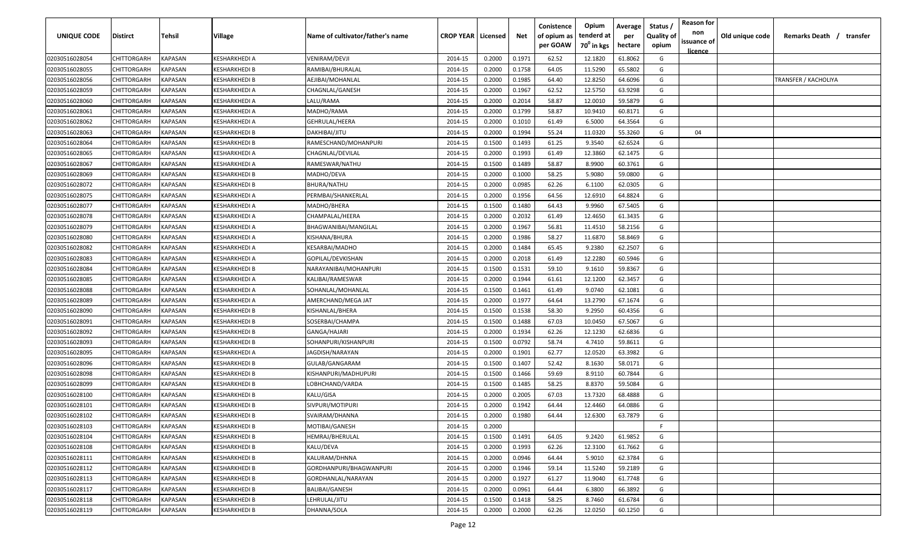| UNIQUE CODE    | <b>Distirct</b>    | <b>Tehsil</b>  | Village              | Name of cultivator/father's name | <b>CROP YEAR   Licensed</b> |        | Net    | Conistence<br>of opium as<br>per GOAW | Opium<br>tenderd at<br>70 <sup>0</sup> in kgs | Average<br>per<br>hectare | Status /<br><b>Quality of</b><br>opium | <b>Reason for</b><br>non<br>issuance of<br><u>licence</u> | Old unique code | Remarks Death /<br>transfer |
|----------------|--------------------|----------------|----------------------|----------------------------------|-----------------------------|--------|--------|---------------------------------------|-----------------------------------------------|---------------------------|----------------------------------------|-----------------------------------------------------------|-----------------|-----------------------------|
| 02030516028054 | <b>CHITTORGARH</b> | <b>KAPASAN</b> | <b>KESHARKHEDI A</b> | VENIRAM/DEVJI                    | 2014-15                     | 0.2000 | 0.1971 | 62.52                                 | 12.1820                                       | 61.8062                   | G                                      |                                                           |                 |                             |
| 02030516028055 | <b>CHITTORGARH</b> | <b>KAPASAN</b> | KESHARKHEDI B        | RAMIBAI/BHURALAL                 | 2014-15                     | 0.2000 | 0.1758 | 64.05                                 | 11.5290                                       | 65.5802                   | G                                      |                                                           |                 |                             |
| 02030516028056 | <b>CHITTORGARH</b> | <b>KAPASAN</b> | KESHARKHEDI B        | AEJIBAI/MOHANLAL                 | 2014-15                     | 0.2000 | 0.1985 | 64.40                                 | 12.8250                                       | 64.6096                   | G                                      |                                                           |                 | TRANSFER / KACHOLIYA        |
| 02030516028059 | <b>CHITTORGARH</b> | <b>KAPASAN</b> | KESHARKHEDI A        | CHAGNLAL/GANESH                  | 2014-15                     | 0.2000 | 0.1967 | 62.52                                 | 12.5750                                       | 63.9298                   | G                                      |                                                           |                 |                             |
| 02030516028060 | <b>CHITTORGARH</b> | <b>KAPASAN</b> | KESHARKHEDI A        | LALU/RAMA                        | 2014-15                     | 0.2000 | 0.2014 | 58.87                                 | 12.0010                                       | 59.5879                   | G                                      |                                                           |                 |                             |
| 02030516028061 | <b>CHITTORGARH</b> | <b>KAPASAN</b> | KESHARKHEDI A        | MADHO/RAMA                       | 2014-15                     | 0.2000 | 0.1799 | 58.87                                 | 10.9410                                       | 60.8171                   | G                                      |                                                           |                 |                             |
| 02030516028062 | <b>CHITTORGARH</b> | KAPASAN        | KESHARKHEDI A        | GEHRULAL/HEERA                   | 2014-15                     | 0.2000 | 0.1010 | 61.49                                 | 6.5000                                        | 64.3564                   | G                                      |                                                           |                 |                             |
| 02030516028063 | <b>CHITTORGARH</b> | KAPASAN        | KESHARKHEDI B        | DAKHIBAI/JITU                    | 2014-15                     | 0.2000 | 0.1994 | 55.24                                 | 11.0320                                       | 55.3260                   | G                                      | 04                                                        |                 |                             |
| 02030516028064 | <b>CHITTORGARH</b> | KAPASAN        | KESHARKHEDI B        | RAMESCHAND/MOHANPURI             | 2014-15                     | 0.1500 | 0.1493 | 61.25                                 | 9.3540                                        | 62.6524                   | G                                      |                                                           |                 |                             |
| 02030516028065 | <b>CHITTORGARH</b> | KAPASAN        | KESHARKHEDI A        | CHAGNLAL/DEVILAL                 | 2014-15                     | 0.2000 | 0.1993 | 61.49                                 | 12.3860                                       | 62.1475                   | G                                      |                                                           |                 |                             |
| 02030516028067 | <b>CHITTORGARH</b> | KAPASAN        | KESHARKHEDI A        | RAMESWAR/NATHU                   | 2014-15                     | 0.1500 | 0.1489 | 58.87                                 | 8.9900                                        | 60.3761                   | G                                      |                                                           |                 |                             |
| 02030516028069 | CHITTORGARH        | KAPASAN        | KESHARKHEDI B        | MADHO/DEVA                       | 2014-15                     | 0.2000 | 0.1000 | 58.25                                 | 5.9080                                        | 59.0800                   | G                                      |                                                           |                 |                             |
| 02030516028072 | CHITTORGARH        | KAPASAN        | KESHARKHEDI B        | BHURA/NATHU                      | 2014-15                     | 0.2000 | 0.0985 | 62.26                                 | 6.1100                                        | 62.0305                   | G                                      |                                                           |                 |                             |
| 02030516028075 | CHITTORGARH        | KAPASAN        | KESHARKHEDI A        | PERMBAI/SHANKERLAL               | 2014-15                     | 0.2000 | 0.1956 | 64.56                                 | 12.6910                                       | 64.8824                   | G                                      |                                                           |                 |                             |
| 02030516028077 | CHITTORGARH        | KAPASAN        | KESHARKHEDI A        | MADHO/BHERA                      | 2014-15                     | 0.1500 | 0.1480 | 64.43                                 | 9.9960                                        | 67.5405                   | G                                      |                                                           |                 |                             |
| 02030516028078 | CHITTORGARH        | KAPASAN        | KESHARKHEDI A        | CHAMPALAL/HEERA                  | 2014-15                     | 0.2000 | 0.2032 | 61.49                                 | 12.4650                                       | 61.3435                   | G                                      |                                                           |                 |                             |
| 02030516028079 | <b>CHITTORGARH</b> | KAPASAN        | KESHARKHEDI A        | BHAGWANIBAI/MANGILAL             | 2014-15                     | 0.2000 | 0.1967 | 56.81                                 | 11.4510                                       | 58.2156                   | G                                      |                                                           |                 |                             |
| 02030516028080 | <b>CHITTORGARH</b> | <b>KAPASAN</b> | KESHARKHEDI A        | KISHANA/BHURA                    | 2014-15                     | 0.2000 | 0.1986 | 58.27                                 | 11.6870                                       | 58.8469                   | G                                      |                                                           |                 |                             |
| 02030516028082 | <b>CHITTORGARH</b> | <b>KAPASAN</b> | KESHARKHEDI A        | KESARBAI/MADHO                   | 2014-15                     | 0.2000 | 0.1484 | 65.45                                 | 9.2380                                        | 62.2507                   | G                                      |                                                           |                 |                             |
| 02030516028083 | <b>CHITTORGARH</b> | <b>KAPASAN</b> | KESHARKHEDI A        | GOPILAL/DEVKISHAN                | 2014-15                     | 0.2000 | 0.2018 | 61.49                                 | 12.2280                                       | 60.5946                   | G                                      |                                                           |                 |                             |
| 02030516028084 | <b>CHITTORGARH</b> | KAPASAN        | KESHARKHEDI B        | NARAYANIBAI/MOHANPURI            | 2014-15                     | 0.1500 | 0.1531 | 59.10                                 | 9.1610                                        | 59.8367                   | G                                      |                                                           |                 |                             |
| 02030516028085 | <b>CHITTORGARH</b> | <b>KAPASAN</b> | KESHARKHEDI A        | KALIBAI/RAMESWAR                 | 2014-15                     | 0.2000 | 0.1944 | 61.61                                 | 12.1200                                       | 62.3457                   | G                                      |                                                           |                 |                             |
| 02030516028088 | <b>CHITTORGARH</b> | <b>KAPASAN</b> | KESHARKHEDI A        | SOHANLAL/MOHANLAL                | 2014-15                     | 0.1500 | 0.1461 | 61.49                                 | 9.0740                                        | 62.1081                   | G                                      |                                                           |                 |                             |
| 02030516028089 | <b>CHITTORGARH</b> | KAPASAN        | KESHARKHEDI A        | AMERCHAND/MEGA JAT               | 2014-15                     | 0.2000 | 0.1977 | 64.64                                 | 13.2790                                       | 67.1674                   | G                                      |                                                           |                 |                             |
| 02030516028090 | CHITTORGARH        | KAPASAN        | KESHARKHEDI B        | KISHANLAL/BHERA                  | 2014-15                     | 0.1500 | 0.1538 | 58.30                                 | 9.2950                                        | 60.4356                   | G                                      |                                                           |                 |                             |
| 02030516028091 | <b>CHITTORGARH</b> | KAPASAN        | KESHARKHEDI B        | SOSERBAI/CHAMPA                  | 2014-15                     | 0.1500 | 0.1488 | 67.03                                 | 10.0450                                       | 67.5067                   | G                                      |                                                           |                 |                             |
| 02030516028092 | <b>CHITTORGARH</b> | KAPASAN        | KESHARKHEDI B        | GANGA/HAJARI                     | 2014-15                     | 0.2000 | 0.1934 | 62.26                                 | 12.1230                                       | 62.6836                   | G                                      |                                                           |                 |                             |
| 02030516028093 | <b>CHITTORGARH</b> | KAPASAN        | KESHARKHEDI B        | SOHANPURI/KISHANPURI             | 2014-15                     | 0.1500 | 0.0792 | 58.74                                 | 4.7410                                        | 59.8611                   | G                                      |                                                           |                 |                             |
| 02030516028095 | CHITTORGARH        | KAPASAN        | KESHARKHEDI A        | IAGDISH/NARAYAN                  | 2014-15                     | 0.2000 | 0.1901 | 62.77                                 | 12.0520                                       | 63.3982                   | G                                      |                                                           |                 |                             |
| 02030516028096 | CHITTORGARH        | KAPASAN        | KESHARKHEDI B        | GULAB/GANGARAM                   | 2014-15                     | 0.1500 | 0.1407 | 52.42                                 | 8.1630                                        | 58.0171                   | G                                      |                                                           |                 |                             |
| 02030516028098 | CHITTORGARH        | KAPASAN        | KESHARKHEDI B        | KISHANPURI/MADHUPURI             | 2014-15                     | 0.1500 | 0.1466 | 59.69                                 | 8.9110                                        | 60.7844                   | G                                      |                                                           |                 |                             |
| 02030516028099 | CHITTORGARH        | KAPASAN        | KESHARKHEDI B        | LOBHCHAND/VARDA                  | 2014-15                     | 0.1500 | 0.1485 | 58.25                                 | 8.8370                                        | 59.5084                   | G                                      |                                                           |                 |                             |
| 02030516028100 | <b>CHITTORGARH</b> | KAPASAN        | KESHARKHEDI B        | KALU/GISA                        | 2014-15                     | 0.2000 | 0.2005 | 67.03                                 | 13.7320                                       | 68.4888                   | G                                      |                                                           |                 |                             |
| 02030516028101 | <b>CHITTORGARH</b> | KAPASAN        | KESHARKHEDI B        | SIVPURI/MOTIPURI                 | 2014-15                     | 0.2000 | 0.1942 | 64.44                                 | 12.4460                                       | 64.0886                   | G                                      |                                                           |                 |                             |
| 02030516028102 | <b>CHITTORGARH</b> | <b>KAPASAN</b> | KESHARKHEDI B        | SVAIRAM/DHANNA                   | 2014-15                     | 0.2000 | 0.1980 | 64.44                                 | 12.6300                                       | 63.7879                   | G                                      |                                                           |                 |                             |
| 02030516028103 | <b>CHITTORGARH</b> | <b>KAPASAN</b> | <b>KESHARKHEDI B</b> | MOTIBAI/GANESH                   | 2014-15                     | 0.2000 |        |                                       |                                               |                           | F.                                     |                                                           |                 |                             |
| 02030516028104 | <b>CHITTORGARH</b> | <b>KAPASAN</b> | KESHARKHEDI B        | HEMRAJ/BHERULAL                  | 2014-15                     | 0.1500 | 0.1491 | 64.05                                 | 9.2420                                        | 61.9852                   | G                                      |                                                           |                 |                             |
| 02030516028108 | <b>CHITTORGARH</b> | <b>KAPASAN</b> | KESHARKHEDI B        | KALU/DEVA                        | 2014-15                     | 0.2000 | 0.1993 | 62.26                                 | 12.3100                                       | 61.7662                   | G                                      |                                                           |                 |                             |
| 02030516028111 | <b>CHITTORGARH</b> | <b>KAPASAN</b> | KESHARKHEDI B        | KALURAM/DHNNA                    | 2014-15                     | 0.2000 | 0.0946 | 64.44                                 | 5.9010                                        | 62.3784                   | G                                      |                                                           |                 |                             |
| 02030516028112 | CHITTORGARH        | <b>KAPASAN</b> | KESHARKHEDI B        | GORDHANPURI/BHAGWANPURI          | 2014-15                     | 0.2000 | 0.1946 | 59.14                                 | 11.5240                                       | 59.2189                   | G                                      |                                                           |                 |                             |
| 02030516028113 | CHITTORGARH        | <b>KAPASAN</b> | KESHARKHEDI B        | GORDHANLAL/NARAYAN               | 2014-15                     | 0.2000 | 0.1927 | 61.27                                 | 11.9040                                       | 61.7748                   | G                                      |                                                           |                 |                             |
| 02030516028117 | CHITTORGARH        | <b>KAPASAN</b> | KESHARKHEDI B        | <b>BALIBAI/GANESH</b>            | 2014-15                     | 0.2000 | 0.0961 | 64.44                                 | 6.3800                                        | 66.3892                   | G                                      |                                                           |                 |                             |
| 02030516028118 | CHITTORGARH        | KAPASAN        | KESHARKHEDI B        | LEHRULAL/JITU                    | 2014-15                     | 0.1500 | 0.1418 | 58.25                                 | 8.7460                                        | 61.6784                   | G                                      |                                                           |                 |                             |
| 02030516028119 | <b>CHITTORGARH</b> | <b>KAPASAN</b> | KESHARKHEDI B        | DHANNA/SOLA                      | 2014-15                     | 0.2000 | 0.2000 | 62.26                                 | 12.0250                                       | 60.1250                   | G                                      |                                                           |                 |                             |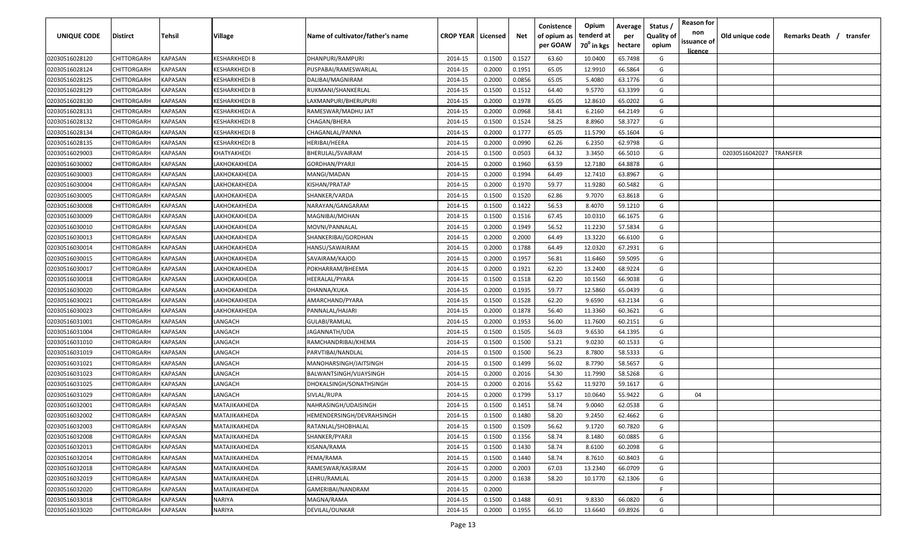| UNIQUE CODE    | <b>Distirct</b>    | Tehsil         | <b>Village</b>        | Name of cultivator/father's name | <b>CROP YEAR   Licensed</b> |        | Net    | Conistence<br>of opium as | Opium<br>tenderd at    | Average<br>per | Status /<br><b>Quality of</b> | <b>Reason for</b><br>non<br>issuance of | Old unique code | Remarks Death /<br>transfer |
|----------------|--------------------|----------------|-----------------------|----------------------------------|-----------------------------|--------|--------|---------------------------|------------------------|----------------|-------------------------------|-----------------------------------------|-----------------|-----------------------------|
|                |                    |                |                       |                                  |                             |        |        | per GOAW                  | 70 <sup>°</sup> in kgs | hectare        | opium                         | <u>licence</u>                          |                 |                             |
| 02030516028120 | <b>CHITTORGARH</b> | <b>KAPASAN</b> | <b>KESHARKHEDI B</b>  | DHANPURI/RAMPURI                 | 2014-15                     | 0.1500 | 0.1527 | 63.60                     | 10.0400                | 65.7498        | G                             |                                         |                 |                             |
| 02030516028124 | <b>CHITTORGARH</b> | <b>KAPASAN</b> | <b>KESHARKHEDI B</b>  | PUSPABAI/RAMESWARLAL             | 2014-15                     | 0.2000 | 0.1951 | 65.05                     | 12.9910                | 66.5864        | G                             |                                         |                 |                             |
| 02030516028125 | <b>CHITTORGARH</b> | <b>KAPASAN</b> | <b>KESHARKHEDI B</b>  | DALIBAI/MAGNIRAM                 | 2014-15                     | 0.2000 | 0.0856 | 65.05                     | 5.4080                 | 63.1776        | G                             |                                         |                 |                             |
| 02030516028129 | CHITTORGARH        | KAPASAN        | <b>KESHARKHEDI B</b>  | RUKMANI/SHANKERLAL               | 2014-15                     | 0.1500 | 0.1512 | 64.40                     | 9.5770                 | 63.3399        | G                             |                                         |                 |                             |
| 02030516028130 | CHITTORGARH        | KAPASAN        | <b>KESHARKHEDI B</b>  | LAXMANPURI/BHERUPURI             | 2014-15                     | 0.2000 | 0.1978 | 65.05                     | 12.8610                | 65.0202        | G                             |                                         |                 |                             |
| 02030516028131 | CHITTORGARH        | KAPASAN        | KESHARKHEDI A         | RAMESWAR/MADHU JAT               | 2014-15                     | 0.2000 | 0.0968 | 58.41                     | 6.2160                 | 64.2149        | G                             |                                         |                 |                             |
| 02030516028132 | CHITTORGARH        | KAPASAN        | KESHARKHEDI B         | CHAGAN/BHERA                     | 2014-15                     | 0.1500 | 0.1524 | 58.25                     | 8.8960                 | 58.3727        | G                             |                                         |                 |                             |
| 02030516028134 | CHITTORGARH        | KAPASAN        | KESHARKHEDI B         | CHAGANLAL/PANNA                  | 2014-15                     | 0.2000 | 0.1777 | 65.05                     | 11.5790                | 65.1604        | G                             |                                         |                 |                             |
| 02030516028135 | CHITTORGARH        | KAPASAN        | KESHARKHEDI B         | HERIBAI/HEERA                    | 2014-15                     | 0.2000 | 0.0990 | 62.26                     | 6.2350                 | 62.9798        | G                             |                                         |                 |                             |
| 02030516029003 | CHITTORGARH        | KAPASAN        | KHATYAKHEDI           | BHERULAL/SVAIRAM                 | 2014-15                     | 0.1500 | 0.0503 | 64.32                     | 3.3450                 | 66.5010        | G                             |                                         | 02030516042027  | TRANSFER                    |
| 02030516030002 | CHITTORGARH        | KAPASAN        | LAKHOKAKHEDA          | GORDHAN/PYARJI                   | 2014-15                     | 0.2000 | 0.1960 | 63.59                     | 12.7180                | 64.8878        | G                             |                                         |                 |                             |
| 02030516030003 | CHITTORGARH        | KAPASAN        | LAKHOKAKHEDA          | MANGI/MADAN                      | 2014-15                     | 0.2000 | 0.1994 | 64.49                     | 12.7410                | 63.8967        | G                             |                                         |                 |                             |
| 02030516030004 | CHITTORGARH        | KAPASAN        | LAKHOKAKHEDA          | KISHAN/PRATAP                    | 2014-15                     | 0.2000 | 0.1970 | 59.77                     | 11.9280                | 60.5482        | G                             |                                         |                 |                             |
| 02030516030005 | CHITTORGARH        | KAPASAN        | LAKHOKAKHEDA          | SHANKER/VARDA                    | 2014-15                     | 0.1500 | 0.1520 | 62.86                     | 9.7070                 | 63.8618        | G                             |                                         |                 |                             |
| 02030516030008 | CHITTORGARH        | KAPASAN        | LAKHOKAKHEDA          | NARAYAN/GANGARAM                 | 2014-15                     | 0.1500 | 0.1422 | 56.53                     | 8.4070                 | 59.1210        | G                             |                                         |                 |                             |
| 02030516030009 | CHITTORGARH        | KAPASAN        | LAKHOKAKHEDA          | MAGNIBAI/MOHAN                   | 2014-15                     | 0.1500 | 0.1516 | 67.45                     | 10.0310                | 66.1675        | G                             |                                         |                 |                             |
| 02030516030010 | CHITTORGARH        | KAPASAN        | <b>LAKHOKAKHEDA</b>   | MOVNI/PANNALAL                   | 2014-15                     | 0.2000 | 0.1949 | 56.52                     | 11.2230                | 57.5834        | G                             |                                         |                 |                             |
| 02030516030013 | CHITTORGARH        | <b>KAPASAN</b> | LAKHOKAKHEDA          | SHANKERIBAI/GORDHAN              | 2014-15                     | 0.2000 | 0.2000 | 64.49                     | 13.3220                | 66.6100        | G                             |                                         |                 |                             |
| 02030516030014 | CHITTORGARH        | <b>KAPASAN</b> | <b>LAKHOKAKHEDA</b>   | HANSU/SAWAIRAM                   | 2014-15                     | 0.2000 | 0.1788 | 64.49                     | 12.0320                | 67.2931        | G                             |                                         |                 |                             |
| 02030516030015 | CHITTORGARH        | <b>KAPASAN</b> | LAKHOKAKHEDA          | SAVAIRAM/KAJOD                   | 2014-15                     | 0.2000 | 0.1957 | 56.81                     | 11.6460                | 59.5095        | G                             |                                         |                 |                             |
| 02030516030017 | CHITTORGARH        | <b>KAPASAN</b> | LAKHOKAKHEDA          | POKHARRAM/BHEEMA                 | 2014-15                     | 0.2000 | 0.1921 | 62.20                     | 13.2400                | 68.9224        | G                             |                                         |                 |                             |
| 02030516030018 | CHITTORGARH        | <b>KAPASAN</b> | LAKHOKAKHEDA          | HEERALAL/PYARA                   | 2014-15                     | 0.1500 | 0.1518 | 62.20                     | 10.1560                | 66.9038        | G                             |                                         |                 |                             |
| 02030516030020 | CHITTORGARH        | <b>KAPASAN</b> | LAKHOKAKHEDA          | DHANNA/KUKA                      | 2014-15                     | 0.2000 | 0.1935 | 59.77                     | 12.5860                | 65.0439        | G                             |                                         |                 |                             |
| 02030516030021 | CHITTORGARH        | KAPASAN        | LAKHOKAKHEDA          | AMARCHAND/PYARA                  | 2014-15                     | 0.1500 | 0.1528 | 62.20                     | 9.6590                 | 63.2134        | G                             |                                         |                 |                             |
| 02030516030023 | CHITTORGARH        | KAPASAN        | LAKHOKAKHEDA          | PANNALAL/HAJARI                  | 2014-15                     | 0.2000 | 0.1878 | 56.40                     | 11.3360                | 60.3621        | G                             |                                         |                 |                             |
| 02030516031001 | CHITTORGARH        | KAPASAN        | LANGACH               | GULABI/RAMLAL                    | 2014-15                     | 0.2000 | 0.1953 | 56.00                     | 11.7600                | 60.2151        | G                             |                                         |                 |                             |
| 02030516031004 | CHITTORGARH        | KAPASAN        | LANGACH               | JAGANNATH/UDA                    | 2014-15                     | 0.1500 | 0.1505 | 56.03                     | 9.6530                 | 64.1395        | G                             |                                         |                 |                             |
| 02030516031010 | CHITTORGARH        | KAPASAN        | LANGACH               | RAMCHANDRIBAI/KHEMA              | 2014-15                     | 0.1500 | 0.1500 | 53.21                     | 9.0230                 | 60.1533        | G                             |                                         |                 |                             |
| 02030516031019 | CHITTORGARH        | KAPASAN        | LANGACH               | PARVTIBAI/NANDLAL                | 2014-15                     | 0.1500 | 0.1500 | 56.23                     | 8.7800                 | 58.5333        | G                             |                                         |                 |                             |
| 02030516031021 | CHITTORGARH        | KAPASAN        | LANGACH               | MANOHARSINGH/JAITSINGH           | 2014-15                     | 0.1500 | 0.1499 | 56.02                     | 8.7790                 | 58.5657        | G                             |                                         |                 |                             |
| 02030516031023 | CHITTORGARH        | KAPASAN        | LANGACH               | BALWANTSINGH/VIJAYSINGH          | 2014-15                     | 0.2000 | 0.2016 | 54.30                     | 11.7990                | 58.5268        | G                             |                                         |                 |                             |
| 02030516031025 | CHITTORGARH        | KAPASAN        | LANGACH               | DHOKALSINGH/SONATHSINGH          | 2014-15                     | 0.2000 | 0.2016 | 55.62                     | 11.9270                | 59.1617        | G                             |                                         |                 |                             |
| 02030516031029 | CHITTORGARH        | KAPASAN        | LANGACH               | SIVLAL/RUPA                      | 2014-15                     | 0.2000 | 0.1799 | 53.17                     | 10.0640                | 55.9422        | G                             | 04                                      |                 |                             |
| 02030516032001 | CHITTORGARH        | KAPASAN        | MATAJIKAKHEDA         | NAHRASINGH/UDAISINGH             | 2014-15                     | 0.1500 | 0.1451 | 58.74                     | 9.0040                 | 62.0538        | G                             |                                         |                 |                             |
| 02030516032002 | CHITTORGARH        | KAPASAN        | MATAJIKAKHEDA         | HEMENDERSINGH/DEVRAHSINGH        | 2014-15                     | 0.1500 | 0.1480 | 58.20                     | 9.2450                 | 62.4662        | G                             |                                         |                 |                             |
| 02030516032003 | <b>CHITTORGARH</b> | <b>KAPASAN</b> | MATAJIKAKHEDA         | RATANLAL/SHOBHALAL               | 2014-15                     | 0.1500 | 0.1509 | 56.62                     | 9.1720                 | 60.7820        | G                             |                                         |                 |                             |
| 02030516032008 | <b>CHITTORGARH</b> | <b>KAPASAN</b> | MATAJIKAKHEDA         | SHANKER/PYARJI                   | 2014-15                     | 0.1500 | 0.1356 | 58.74                     | 8.1480                 | 60.0885        | G                             |                                         |                 |                             |
| 02030516032013 | CHITTORGARH        | <b>KAPASAN</b> | MATAJIKAKHEDA         | KISANA/RAMA                      | 2014-15                     | 0.1500 | 0.1430 | 58.74                     | 8.6100                 | 60.2098        | G                             |                                         |                 |                             |
| 02030516032014 | CHITTORGARH        | <b>KAPASAN</b> | MATAJIKAKHEDA         | PEMA/RAMA                        | 2014-15                     | 0.1500 | 0.1440 | 58.74                     | 8.7610                 | 60.8403        | G                             |                                         |                 |                             |
| 02030516032018 | CHITTORGARH        | <b>KAPASAN</b> | MATAJIKAKHEDA         | RAMESWAR/KASIRAM                 | 2014-15                     | 0.2000 | 0.2003 | 67.03                     | 13.2340                | 66.0709        | G                             |                                         |                 |                             |
| 02030516032019 | CHITTORGARH        | KAPASAN        | MATAJIKAKHEDA         | LEHRU/RAMLAL                     | 2014-15                     | 0.2000 | 0.1638 | 58.20                     | 10.1770                | 62.1306        | G                             |                                         |                 |                             |
| 02030516032020 | CHITTORGARH        | <b>KAPASAN</b> | <b>МАТАЈІКАКНЕ РА</b> | GAMERIBAI/NANDRAM                | 2014-15                     | 0.2000 |        |                           |                        |                | F.                            |                                         |                 |                             |
| 02030516033018 | <b>CHITTORGARH</b> | <b>KAPASAN</b> | <b>NARIYA</b>         | MAGNA/RAMA                       | 2014-15                     | 0.1500 | 0.1488 | 60.91                     | 9.8330                 | 66.0820        | G                             |                                         |                 |                             |
| 02030516033020 | <b>CHITTORGARH</b> | <b>KAPASAN</b> | <b>NARIYA</b>         | DEVILAL/OUNKAR                   | 2014-15                     | 0.2000 | 0.1955 | 66.10                     | 13.6640                | 69.8926        | G                             |                                         |                 |                             |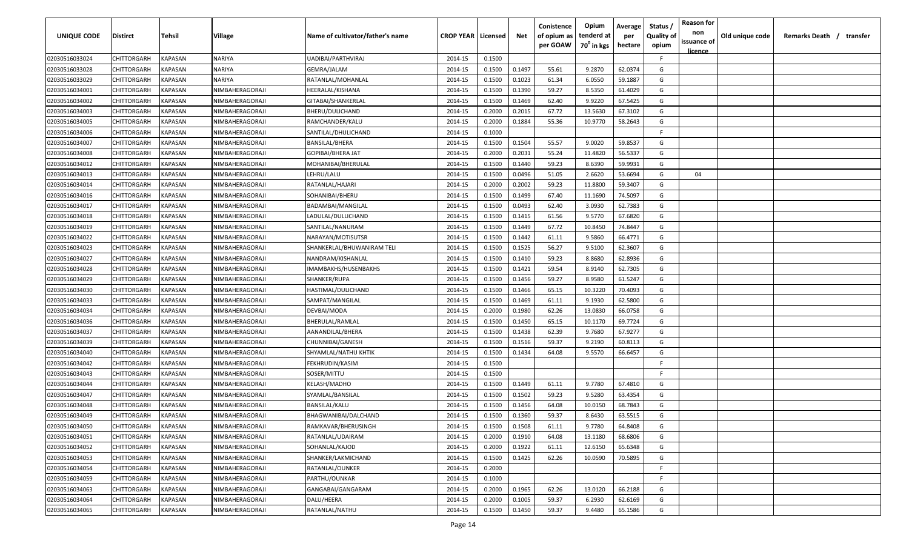| UNIQUE CODE    | Distirct           | Tehsil         | Village                | Name of cultivator/father's name | <b>CROP YEAR   Licensed</b> |        | Net    | Conistence<br>of opium as | Opium<br>tenderd at    | Average<br>per | Status /<br><b>Quality of</b> | <b>Reason for</b><br>non      | Old unique code | Remarks Death / transfer |
|----------------|--------------------|----------------|------------------------|----------------------------------|-----------------------------|--------|--------|---------------------------|------------------------|----------------|-------------------------------|-------------------------------|-----------------|--------------------------|
|                |                    |                |                        |                                  |                             |        |        | per GOAW                  | 70 <sup>0</sup> in kgs | hectare        | opium                         | issuance of<br><u>licence</u> |                 |                          |
| 02030516033024 | CHITTORGARH        | <b>KAPASAN</b> | NARIYA                 | UADIBAI/PARTHVIRAJ               | 2014-15                     | 0.1500 |        |                           |                        |                | F.                            |                               |                 |                          |
| 02030516033028 | CHITTORGARH        | KAPASAN        | NARIYA                 | GEMRA/JALAM                      | 2014-15                     | 0.1500 | 0.1497 | 55.61                     | 9.2870                 | 62.0374        | G                             |                               |                 |                          |
| 02030516033029 | CHITTORGARH        | KAPASAN        | NARIYA                 | RATANLAL/MOHANLAL                | 2014-15                     | 0.1500 | 0.1023 | 61.34                     | 6.0550                 | 59.1887        | G                             |                               |                 |                          |
| 02030516034001 | CHITTORGARH        | KAPASAN        | NIMBAHERAGORAJI        | HEERALAL/KISHANA                 | 2014-15                     | 0.1500 | 0.1390 | 59.27                     | 8.5350                 | 61.4029        | G                             |                               |                 |                          |
| 02030516034002 | CHITTORGARH        | KAPASAN        | NIMBAHERAGORAJI        | GITABAI/SHANKERLAL               | 2014-15                     | 0.1500 | 0.1469 | 62.40                     | 9.9220                 | 67.5425        | G                             |                               |                 |                          |
| 02030516034003 | CHITTORGARH        | KAPASAN        | NIMBAHERAGORAJI        | BHERU/DULICHAND                  | 2014-15                     | 0.2000 | 0.2015 | 67.72                     | 13.5630                | 67.3102        | G                             |                               |                 |                          |
| 02030516034005 | CHITTORGARH        | KAPASAN        | NIMBAHERAGORAJI        | RAMCHANDER/KALU                  | 2014-15                     | 0.2000 | 0.1884 | 55.36                     | 10.9770                | 58.2643        | G                             |                               |                 |                          |
| 02030516034006 | CHITTORGARH        | KAPASAN        | NIMBAHERAGORAJI        | SANTILAL/DHULICHAND              | 2014-15                     | 0.1000 |        |                           |                        |                | -F.                           |                               |                 |                          |
| 02030516034007 | CHITTORGARH        | KAPASAN        | NIMBAHERAGORAJI        | <b>BANSILAL/BHERA</b>            | 2014-15                     | 0.1500 | 0.1504 | 55.57                     | 9.0020                 | 59.8537        | G                             |                               |                 |                          |
| 02030516034008 | CHITTORGARH        | KAPASAN        | NIMBAHERAGORAJI        | GOPIBAI/BHERA JAT                | 2014-15                     | 0.2000 | 0.2031 | 55.24                     | 11.4820                | 56.5337        | G                             |                               |                 |                          |
| 02030516034012 | CHITTORGARH        | KAPASAN        | <b>IIMBAHERAGORAJI</b> | MOHANIBAI/BHERULAL               | 2014-15                     | 0.1500 | 0.1440 | 59.23                     | 8.6390                 | 59.9931        | G                             |                               |                 |                          |
| 02030516034013 | CHITTORGARH        | KAPASAN        | NIMBAHERAGORAJI        | LEHRU/LALU                       | 2014-15                     | 0.1500 | 0.0496 | 51.05                     | 2.6620                 | 53.6694        | G                             | 04                            |                 |                          |
| 02030516034014 | CHITTORGARH        | KAPASAN        | NIMBAHERAGORAJI        | RATANLAL/HAJARI                  | 2014-15                     | 0.2000 | 0.2002 | 59.23                     | 11.8800                | 59.3407        | G                             |                               |                 |                          |
| 02030516034016 | CHITTORGARH        | KAPASAN        | NIMBAHERAGORAJI        | SOHANIBAI/BHERU                  | 2014-15                     | 0.1500 | 0.1499 | 67.40                     | 11.1690                | 74.5097        | G                             |                               |                 |                          |
| 02030516034017 | CHITTORGARH        | KAPASAN        | NIMBAHERAGORAJI        | BADAMBAI/MANGILAL                | 2014-15                     | 0.1500 | 0.0493 | 62.40                     | 3.0930                 | 62.7383        | G                             |                               |                 |                          |
| 02030516034018 | CHITTORGARH        | KAPASAN        | NIMBAHERAGORAJI        | LADULAL/DULLICHAND               | 2014-15                     | 0.1500 | 0.1415 | 61.56                     | 9.5770                 | 67.6820        | G                             |                               |                 |                          |
| 02030516034019 | CHITTORGARH        | KAPASAN        | NIMBAHERAGORAJI        | SANTILAL/NANURAM                 | 2014-15                     | 0.1500 | 0.1449 | 67.72                     | 10.8450                | 74.8447        | G                             |                               |                 |                          |
| 02030516034022 | CHITTORGARH        | KAPASAN        | NIMBAHERAGORAJI        | NARAYAN/MOTISUTSR                | 2014-15                     | 0.1500 | 0.1442 | 61.11                     | 9.5860                 | 66.4771        | G                             |                               |                 |                          |
| 02030516034023 | CHITTORGARH        | KAPASAN        | NIMBAHERAGORAJI        | SHANKERLAL/BHUWANIRAM TELI       | 2014-15                     | 0.1500 | 0.1525 | 56.27                     | 9.5100                 | 62.3607        | G                             |                               |                 |                          |
| 02030516034027 | CHITTORGARH        | KAPASAN        | NIMBAHERAGORAJI        | NANDRAM/KISHANLAL                | 2014-15                     | 0.1500 | 0.1410 | 59.23                     | 8.8680                 | 62.8936        | G                             |                               |                 |                          |
| 02030516034028 | CHITTORGARH        | KAPASAN        | NIMBAHERAGORAJI        | IMAMBAKHS/HUSENBAKHS             | 2014-15                     | 0.1500 | 0.1421 | 59.54                     | 8.9140                 | 62.7305        | G                             |                               |                 |                          |
| 02030516034029 | CHITTORGARH        | KAPASAN        | NIMBAHERAGORAJI        | SHANKER/RUPA                     | 2014-15                     | 0.1500 | 0.1456 | 59.27                     | 8.9580                 | 61.5247        | G                             |                               |                 |                          |
| 02030516034030 | CHITTORGARH        | KAPASAN        | NIMBAHERAGORAJI        | HASTIMAL/DULICHAND               | 2014-15                     | 0.1500 | 0.1466 | 65.15                     | 10.3220                | 70.4093        | G                             |                               |                 |                          |
| 02030516034033 | CHITTORGARH        | KAPASAN        | NIMBAHERAGORAJI        | SAMPAT/MANGILAL                  | 2014-15                     | 0.1500 | 0.1469 | 61.11                     | 9.1930                 | 62.5800        | G                             |                               |                 |                          |
| 02030516034034 | CHITTORGARH        | KAPASAN        | NIMBAHERAGORAJI        | DEVBAI/MODA                      | 2014-15                     | 0.2000 | 0.1980 | 62.26                     | 13.0830                | 66.0758        | G                             |                               |                 |                          |
| 02030516034036 | CHITTORGARH        | KAPASAN        | NIMBAHERAGORAJI        | BHERULAL/RAMLAL                  | 2014-15                     | 0.1500 | 0.1450 | 65.15                     | 10.1170                | 69.7724        | G                             |                               |                 |                          |
| 02030516034037 | CHITTORGARH        | KAPASAN        | NIMBAHERAGORAJI        | AANANDILAL/BHERA                 | 2014-15                     | 0.1500 | 0.1438 | 62.39                     | 9.7680                 | 67.9277        | G                             |                               |                 |                          |
| 02030516034039 | CHITTORGARH        | KAPASAN        | NIMBAHERAGORAJI        | CHUNNIBAI/GANESH                 | 2014-15                     | 0.1500 | 0.1516 | 59.37                     | 9.2190                 | 60.8113        | G                             |                               |                 |                          |
| 02030516034040 | CHITTORGARH        | KAPASAN        | NIMBAHERAGORAJI        | SHYAMLAL/NATHU KHTIK             | 2014-15                     | 0.1500 | 0.1434 | 64.08                     | 9.5570                 | 66.6457        | G                             |                               |                 |                          |
| 02030516034042 | CHITTORGARH        | KAPASAN        | NIMBAHERAGORAJI        | FEKHRUDIN/KASIM                  | 2014-15                     | 0.1500 |        |                           |                        |                | -F.                           |                               |                 |                          |
| 02030516034043 | CHITTORGARH        | KAPASAN        | NIMBAHERAGORAJI        | SOSER/MITTU                      | 2014-15                     | 0.1500 |        |                           |                        |                | -F.                           |                               |                 |                          |
| 02030516034044 | CHITTORGARH        | KAPASAN        | NIMBAHERAGORAJI        | KELASH/MADHO                     | 2014-15                     | 0.1500 | 0.1449 | 61.11                     | 9.7780                 | 67.4810        | G                             |                               |                 |                          |
| 02030516034047 | CHITTORGARH        | KAPASAN        | NIMBAHERAGORAJI        | SYAMLAL/BANSILAL                 | 2014-15                     | 0.1500 | 0.1502 | 59.23                     | 9.5280                 | 63.4354        | G                             |                               |                 |                          |
| 02030516034048 | CHITTORGARH        | KAPASAN        | NIMBAHERAGORAJI        | BANSILAL/KALU                    | 2014-15                     | 0.1500 | 0.1456 | 64.08                     | 10.0150                | 68.7843        | G                             |                               |                 |                          |
| 02030516034049 | CHITTORGARH        | KAPASAN        | NIMBAHERAGORAJI        | BHAGWANIBAI/DALCHAND             | 2014-15                     | 0.1500 | 0.1360 | 59.37                     | 8.6430                 | 63.5515        | G                             |                               |                 |                          |
| 02030516034050 | <b>CHITTORGARH</b> | KAPASAN        | NIMBAHERAGORAJI        | RAMKAVAR/BHERUSINGH              | 2014-15                     | 0.1500 | 0.1508 | 61.11                     | 9.7780                 | 64.8408        | G                             |                               |                 |                          |
| 02030516034051 | CHITTORGARH        | KAPASAN        | NIMBAHERAGORAJI        | RATANLAL/UDAIRAM                 | 2014-15                     | 0.2000 | 0.1910 | 64.08                     | 13.1180                | 68.6806        | G                             |                               |                 |                          |
| 02030516034052 | <b>CHITTORGARH</b> | <b>KAPASAN</b> | NIMBAHERAGORAJI        | SOHANLAL/KAJOD                   | 2014-15                     | 0.2000 | 0.1922 | 61.11                     | 12.6150                | 65.6348        | G                             |                               |                 |                          |
| 02030516034053 | <b>CHITTORGARH</b> | KAPASAN        | NIMBAHERAGORAJI        | SHANKER/LAKMICHAND               | 2014-15                     | 0.1500 | 0.1425 | 62.26                     | 10.0590                | 70.5895        | G                             |                               |                 |                          |
| 02030516034054 | CHITTORGARH        | KAPASAN        | NIMBAHERAGORAJI        | RATANLAL/OUNKER                  | 2014-15                     | 0.2000 |        |                           |                        |                | F.                            |                               |                 |                          |
| 02030516034059 | CHITTORGARH        | KAPASAN        | NIMBAHERAGORAJI        | PARTHU/OUNKAR                    | 2014-15                     | 0.1000 |        |                           |                        |                | F.                            |                               |                 |                          |
| 02030516034063 | CHITTORGARH        | KAPASAN        | NIMBAHERAGORAJI        | GANGABAI/GANGARAM                | 2014-15                     | 0.2000 | 0.1965 | 62.26                     | 13.0120                | 66.2188        | G                             |                               |                 |                          |
| 02030516034064 | CHITTORGARH        | KAPASAN        | NIMBAHERAGORAJI        | DALU/HEERA                       | 2014-15                     | 0.2000 | 0.1005 | 59.37                     | 6.2930                 | 62.6169        | G                             |                               |                 |                          |
| 02030516034065 | CHITTORGARH        | KAPASAN        | NIMBAHERAGORAJI        | RATANLAL/NATHU                   | 2014-15                     | 0.1500 | 0.1450 | 59.37                     | 9.4480                 | 65.1586        | G                             |                               |                 |                          |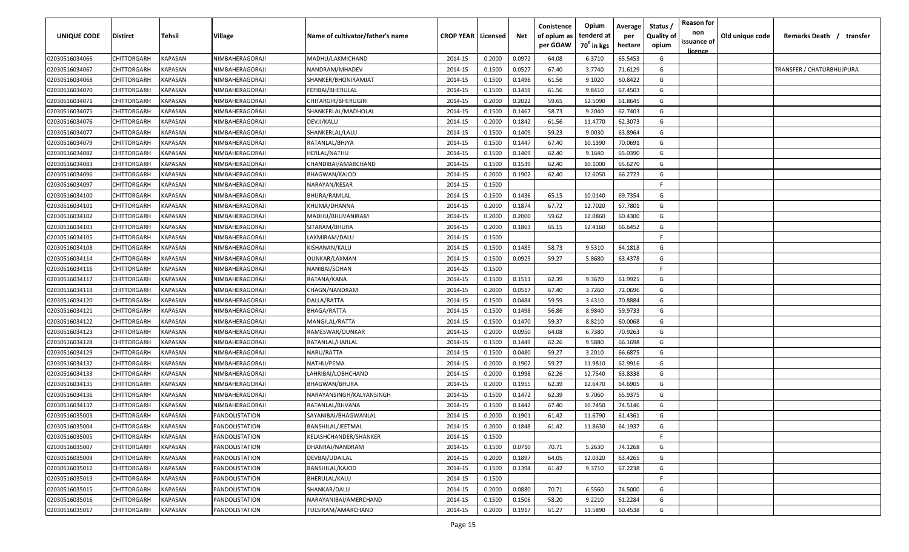| <b>UNIQUE CODE</b> | <b>Distirct</b>    | <b>Tehsil</b>  | Village         | Name of cultivator/father's name | <b>CROP YEAR   Licensed</b> |        | Net    | Conistence<br>of opium as<br>per GOAW | Opium<br>tenderd at<br>70 <sup>0</sup> in kgs | Average<br>per<br>hectare | Status /<br><b>Quality of</b><br>opium | <b>Reason for</b><br>non<br>issuance of<br><u>licence</u> | Old unique code | Remarks Death /<br>transfer |
|--------------------|--------------------|----------------|-----------------|----------------------------------|-----------------------------|--------|--------|---------------------------------------|-----------------------------------------------|---------------------------|----------------------------------------|-----------------------------------------------------------|-----------------|-----------------------------|
| 02030516034066     | CHITTORGARH        | <b>KAPASAN</b> | NIMBAHERAGORAJI | MADHU/LAKMICHAND                 | 2014-15                     | 0.2000 | 0.0972 | 64.08                                 | 6.3710                                        | 65.5453                   | G                                      |                                                           |                 |                             |
| 02030516034067     | CHITTORGARH        | KAPASAN        | NIMBAHERAGORAJI | NANDRAM/MHADEV                   | 2014-15                     | 0.1500 | 0.0527 | 67.40                                 | 3.7740                                        | 71.6129                   | G                                      |                                                           |                 | TRANSFER / CHATURBHUJPURA   |
| 02030516034068     | CHITTORGARH        | KAPASAN        | NIMBAHERAGORAJI | SHANKER/BHONIRAMJAT              | 2014-15                     | 0.1500 | 0.1496 | 61.56                                 | 9.1020                                        | 60.8422                   | G                                      |                                                           |                 |                             |
| 02030516034070     | CHITTORGARH        | KAPASAN        | NIMBAHERAGORAJI | FEFIBAI/BHERULAL                 | 2014-15                     | 0.1500 | 0.1459 | 61.56                                 | 9.8410                                        | 67.4503                   | G                                      |                                                           |                 |                             |
| 02030516034071     | CHITTORGARH        | KAPASAN        | NIMBAHERAGORAJI | CHITARGIR/BHERUGIRI              | 2014-15                     | 0.2000 | 0.2022 | 59.65                                 | 12.5090                                       | 61.8645                   | G                                      |                                                           |                 |                             |
| 02030516034075     | CHITTORGARH        | KAPASAN        | NIMBAHERAGORAJI | SHANKERLAL/MADHOLAL              | 2014-15                     | 0.1500 | 0.1467 | 58.73                                 | 9.2040                                        | 62.7403                   | G                                      |                                                           |                 |                             |
| 02030516034076     | CHITTORGARH        | KAPASAN        | NIMBAHERAGORAJI | DEVJI/KALU                       | 2014-15                     | 0.2000 | 0.1842 | 61.56                                 | 11.4770                                       | 62.3073                   | G                                      |                                                           |                 |                             |
| 02030516034077     | CHITTORGARH        | KAPASAN        | NIMBAHERAGORAJI | SHANKERLAL/LALU                  | 2014-15                     | 0.1500 | 0.1409 | 59.23                                 | 9.0030                                        | 63.8964                   | G                                      |                                                           |                 |                             |
| 02030516034079     | CHITTORGARH        | KAPASAN        | NIMBAHERAGORAJI | RATANLAL/BHJYA                   | 2014-15                     | 0.1500 | 0.1447 | 67.40                                 | 10.1390                                       | 70.0691                   | G                                      |                                                           |                 |                             |
| 02030516034082     | CHITTORGARH        | KAPASAN        | NIMBAHERAGORAJI | HERLAL/NATHU                     | 2014-15                     | 0.1500 | 0.1409 | 62.40                                 | 9.1640                                        | 65.0390                   | G                                      |                                                           |                 |                             |
| 02030516034083     | CHITTORGARH        | KAPASAN        | NIMBAHERAGORAJI | CHANDIBAI/AMARCHAND              | 2014-15                     | 0.1500 | 0.1539 | 62.40                                 | 10.1000                                       | 65.6270                   | G                                      |                                                           |                 |                             |
| 02030516034096     | CHITTORGARH        | KAPASAN        | NIMBAHERAGORAJI | BHAGWAN/KAJOD                    | 2014-15                     | 0.2000 | 0.1902 | 62.40                                 | 12.6050                                       | 66.2723                   | G                                      |                                                           |                 |                             |
| 02030516034097     | CHITTORGARH        | KAPASAN        | NIMBAHERAGORAJI | NARAYAN/KESAR                    | 2014-15                     | 0.1500 |        |                                       |                                               |                           | -F.                                    |                                                           |                 |                             |
| 02030516034100     | CHITTORGARH        | KAPASAN        | NIMBAHERAGORAJI | BHURA/RAMLAL                     | 2014-15                     | 0.1500 | 0.1436 | 65.15                                 | 10.0140                                       | 69.7354                   | G                                      |                                                           |                 |                             |
| 02030516034101     | CHITTORGARH        | KAPASAN        | NIMBAHERAGORAJI | KHUMA/DHANNA                     | 2014-15                     | 0.2000 | 0.1874 | 67.72                                 | 12.7020                                       | 67.7801                   | G                                      |                                                           |                 |                             |
| 02030516034102     | CHITTORGARH        | KAPASAN        | NIMBAHERAGORAJI | MADHU/BHUVANIRAM                 | 2014-15                     | 0.2000 | 0.2000 | 59.62                                 | 12.0860                                       | 60.4300                   | G                                      |                                                           |                 |                             |
| 02030516034103     | CHITTORGARH        | KAPASAN        | NIMBAHERAGORAJI | SITARAM/BHURA                    | 2014-15                     | 0.2000 | 0.1863 | 65.15                                 | 12.4160                                       | 66.6452                   | G                                      |                                                           |                 |                             |
| 02030516034105     | CHITTORGARH        | KAPASAN        | NIMBAHERAGORAJI | LAXMIRAM/DALU                    | 2014-15                     | 0.1500 |        |                                       |                                               |                           | -F.                                    |                                                           |                 |                             |
| 02030516034108     | CHITTORGARH        | KAPASAN        | NIMBAHERAGORAJI | KISHANAN/KALU                    | 2014-15                     | 0.1500 | 0.1485 | 58.73                                 | 9.5310                                        | 64.1818                   | G                                      |                                                           |                 |                             |
| 02030516034114     | CHITTORGARH        | KAPASAN        | NIMBAHERAGORAJI | OUNKAR/LAXMAN                    | 2014-15                     | 0.1500 | 0.0925 | 59.27                                 | 5.8680                                        | 63.4378                   | G                                      |                                                           |                 |                             |
| 02030516034116     | CHITTORGARH        | KAPASAN        | NIMBAHERAGORAJI | NANIBAI/SOHAN                    | 2014-15                     | 0.1500 |        |                                       |                                               |                           | -F.                                    |                                                           |                 |                             |
| 02030516034117     | CHITTORGARH        | KAPASAN        | NIMBAHERAGORAJI | RATANA/KANA                      | 2014-15                     | 0.1500 | 0.1511 | 62.39                                 | 9.3670                                        | 61.9921                   | G                                      |                                                           |                 |                             |
| 02030516034119     | CHITTORGARH        | KAPASAN        | NIMBAHERAGORAJI | CHAGN/NANDRAM                    | 2014-15                     | 0.2000 | 0.0517 | 67.40                                 | 3.7260                                        | 72.0696                   | G                                      |                                                           |                 |                             |
| 02030516034120     | CHITTORGARH        | KAPASAN        | NIMBAHERAGORAJI | DALLA/RATTA                      | 2014-15                     | 0.1500 | 0.0484 | 59.59                                 | 3.4310                                        | 70.8884                   | G                                      |                                                           |                 |                             |
| 02030516034121     | CHITTORGARH        | KAPASAN        | NIMBAHERAGORAJI | BHAGA/RATTA                      | 2014-15                     | 0.1500 | 0.1498 | 56.86                                 | 8.9840                                        | 59.9733                   | G                                      |                                                           |                 |                             |
| 02030516034122     | CHITTORGARH        | KAPASAN        | NIMBAHERAGORAJI | MANGILAL/RATTA                   | 2014-15                     | 0.1500 | 0.1470 | 59.37                                 | 8.8210                                        | 60.0068                   | G                                      |                                                           |                 |                             |
| 02030516034123     | CHITTORGARH        | KAPASAN        | NIMBAHERAGORAJI | RAMESWAR/OUNKAR                  | 2014-15                     | 0.2000 | 0.0950 | 64.08                                 | 6.7380                                        | 70.9263                   | G                                      |                                                           |                 |                             |
| 02030516034128     | CHITTORGARH        | KAPASAN        | NIMBAHERAGORAJI | RATANLAL/HARLAL                  | 2014-15                     | 0.1500 | 0.1449 | 62.26                                 | 9.5880                                        | 66.1698                   | G                                      |                                                           |                 |                             |
| 02030516034129     | CHITTORGARH        | KAPASAN        | NIMBAHERAGORAJI | NARU/RATTA                       | 2014-15                     | 0.1500 | 0.0480 | 59.27                                 | 3.2010                                        | 66.6875                   | G                                      |                                                           |                 |                             |
| 02030516034132     | CHITTORGARH        | KAPASAN        | NIMBAHERAGORAJI | NATHU/PEMA                       | 2014-15                     | 0.2000 | 0.1902 | 59.27                                 | 11.9810                                       | 62.9916                   | G                                      |                                                           |                 |                             |
| 02030516034133     | CHITTORGARH        | KAPASAN        | NIMBAHERAGORAJI | LAHRIBAI/LOBHCHAND               | 2014-15                     | 0.2000 | 0.1998 | 62.26                                 | 12.7540                                       | 63.8338                   | G                                      |                                                           |                 |                             |
| 02030516034135     | CHITTORGARH        | KAPASAN        | NIMBAHERAGORAJI | <b>BHAGWAN/BHURA</b>             | 2014-15                     | 0.2000 | 0.1955 | 62.39                                 | 12.6470                                       | 64.6905                   | G                                      |                                                           |                 |                             |
| 02030516034136     | CHITTORGARH        | KAPASAN        | NIMBAHERAGORAJI | NARAYANSINGH/KALYANSINGH         | 2014-15                     | 0.1500 | 0.1472 | 62.39                                 | 9.7060                                        | 65.9375                   | G                                      |                                                           |                 |                             |
| 02030516034137     | CHITTORGARH        | KAPASAN        | NIMBAHERAGORAJI | RATANLAL/BHVANA                  | 2014-15                     | 0.1500 | 0.1442 | 67.40                                 | 10.7450                                       | 74.5146                   | G                                      |                                                           |                 |                             |
| 02030516035003     | <b>CHITTORGARH</b> | KAPASAN        | PANDOLISTATION  | SAYANIBAI/BHAGWANLAL             | 2014-15                     | 0.2000 | 0.1901 | 61.42                                 | 11.6790                                       | 61.4361                   | G                                      |                                                           |                 |                             |
| 02030516035004     | CHITTORGARH        | <b>KAPASAN</b> | PANDOLISTATION  | BANSHILAL/JEETMAL                | 2014-15                     | 0.2000 | 0.1848 | 61.42                                 | 11.8630                                       | 64.1937                   | G                                      |                                                           |                 |                             |
| 02030516035005     | <b>CHITTORGARH</b> | KAPASAN        | PANDOLISTATION  | KELASHCHANDER/SHANKER            | 2014-15                     | 0.1500 |        |                                       |                                               |                           | F.                                     |                                                           |                 |                             |
| 02030516035007     | CHITTORGARH        | KAPASAN        | PANDOLISTATION  | DHANRAJ/NANDRAM                  | 2014-15                     | 0.1500 | 0.0710 | 70.71                                 | 5.2630                                        | 74.1268                   | G                                      |                                                           |                 |                             |
| 02030516035009     | CHITTORGARH        | <b>KAPASAN</b> | PANDOLISTATION  | DEVBAI/UDAILAL                   | 2014-15                     | 0.2000 | 0.1897 | 64.05                                 | 12.0320                                       | 63.4265                   | G                                      |                                                           |                 |                             |
| 02030516035012     | CHITTORGARH        | <b>KAPASAN</b> | PANDOLISTATION  | BANSHILAL/KAJOD                  | 2014-15                     | 0.1500 | 0.1394 | 61.42                                 | 9.3710                                        | 67.2238                   | G                                      |                                                           |                 |                             |
| 02030516035013     | CHITTORGARH        | KAPASAN        | PANDOLISTATION  | BHERULAL/KALU                    | 2014-15                     | 0.1500 |        |                                       |                                               |                           | F.                                     |                                                           |                 |                             |
| 02030516035015     | CHITTORGARH        | KAPASAN        | PANDOLISTATION  | SHANKAR/DALU                     | 2014-15                     | 0.2000 | 0.0880 | 70.71                                 | 6.5560                                        | 74.5000                   | G                                      |                                                           |                 |                             |
| 02030516035016     | <b>CHITTORGARH</b> | KAPASAN        | PANDOLISTATION  | NARAYANIBAI/AMERCHAND            | 2014-15                     | 0.1500 | 0.1506 | 58.20                                 | 9.2210                                        | 61.2284                   | G                                      |                                                           |                 |                             |
| 02030516035017     | CHITTORGARH        | KAPASAN        | PANDOLISTATION  | TULSIRAM/AMARCHAND               | 2014-15                     | 0.2000 | 0.1917 | 61.27                                 | 11.5890                                       | 60.4538                   | G                                      |                                                           |                 |                             |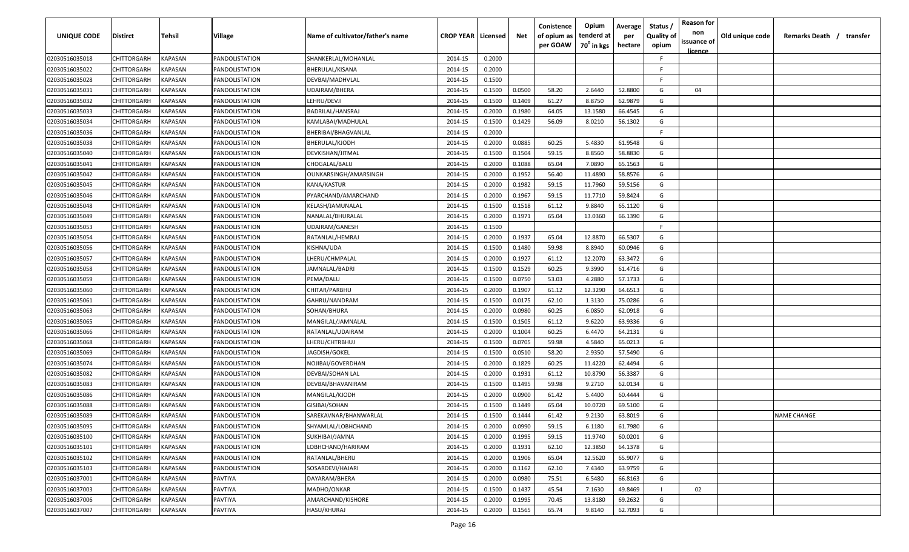| UNIQUE CODE    | Distirct           | Tehsil         | Village        | Name of cultivator/father's name | <b>CROP YEAR   Licensed</b> |        | Net    | Conistence<br>of opium as<br>per GOAW | Opium<br>tenderd at<br>70 <sup>0</sup> in kgs | Average<br>per<br>hectare | Status /<br><b>Quality of</b><br>opium | <b>Reason for</b><br>non<br>issuance of<br><u>licence</u> | Old unique code | Remarks Death / transfer |
|----------------|--------------------|----------------|----------------|----------------------------------|-----------------------------|--------|--------|---------------------------------------|-----------------------------------------------|---------------------------|----------------------------------------|-----------------------------------------------------------|-----------------|--------------------------|
| 02030516035018 | CHITTORGARH        | KAPASAN        | PANDOLISTATION | SHANKERLAL/MOHANLAL              | 2014-15                     | 0.2000 |        |                                       |                                               |                           | -F.                                    |                                                           |                 |                          |
| 02030516035022 | CHITTORGARH        | KAPASAN        | PANDOLISTATION | BHERULAL/KISANA                  | 2014-15                     | 0.2000 |        |                                       |                                               |                           | -F.                                    |                                                           |                 |                          |
| 02030516035028 | CHITTORGARH        | KAPASAN        | PANDOLISTATION | DEVBAI/MADHVLAL                  | 2014-15                     | 0.1500 |        |                                       |                                               |                           | -F.                                    |                                                           |                 |                          |
| 02030516035031 | CHITTORGARH        | KAPASAN        | PANDOLISTATION | UDAIRAM/BHERA                    | 2014-15                     | 0.1500 | 0.0500 | 58.20                                 | 2.6440                                        | 52.8800                   | G                                      | 04                                                        |                 |                          |
| 02030516035032 | CHITTORGARH        | KAPASAN        | PANDOLISTATION | LEHRU/DEVJI                      | 2014-15                     | 0.1500 | 0.1409 | 61.27                                 | 8.8750                                        | 62.9879                   | G                                      |                                                           |                 |                          |
| 02030516035033 | CHITTORGARH        | KAPASAN        | PANDOLISTATION | BADRILAL/HANSRAJ                 | 2014-15                     | 0.2000 | 0.1980 | 64.05                                 | 13.1580                                       | 66.4545                   | G                                      |                                                           |                 |                          |
| 02030516035034 | CHITTORGARH        | KAPASAN        | PANDOLISTATION | KAMLABAI/MADHULAL                | 2014-15                     | 0.1500 | 0.1429 | 56.09                                 | 8.0210                                        | 56.1302                   | G                                      |                                                           |                 |                          |
| 02030516035036 | CHITTORGARH        | KAPASAN        | PANDOLISTATION | BHERIBAI/BHAGVANLAL              | 2014-15                     | 0.2000 |        |                                       |                                               |                           | -F.                                    |                                                           |                 |                          |
| 02030516035038 | CHITTORGARH        | KAPASAN        | PANDOLISTATION | BHERULAL/KJODH                   | 2014-15                     | 0.2000 | 0.0885 | 60.25                                 | 5.4830                                        | 61.9548                   | G                                      |                                                           |                 |                          |
| 02030516035040 | CHITTORGARH        | KAPASAN        | PANDOLISTATION | DEVKISHAN/JITMAL                 | 2014-15                     | 0.1500 | 0.1504 | 59.15                                 | 8.8560                                        | 58.8830                   | G                                      |                                                           |                 |                          |
| 02030516035041 | CHITTORGARH        | KAPASAN        | PANDOLISTATION | CHOGALAL/BALU                    | 2014-15                     | 0.2000 | 0.1088 | 65.04                                 | 7.0890                                        | 65.1563                   | G                                      |                                                           |                 |                          |
| 02030516035042 | CHITTORGARH        | KAPASAN        | PANDOLISTATION | OUNKARSINGH/AMARSINGH            | 2014-15                     | 0.2000 | 0.1952 | 56.40                                 | 11.4890                                       | 58.8576                   | G                                      |                                                           |                 |                          |
| 02030516035045 | CHITTORGARH        | KAPASAN        | PANDOLISTATION | KANA/KASTUR                      | 2014-15                     | 0.2000 | 0.1982 | 59.15                                 | 11.7960                                       | 59.5156                   | G                                      |                                                           |                 |                          |
| 02030516035046 | CHITTORGARH        | KAPASAN        | PANDOLISTATION | PYARCHAND/AMARCHAND              | 2014-15                     | 0.2000 | 0.1967 | 59.15                                 | 11.7710                                       | 59.8424                   | G                                      |                                                           |                 |                          |
| 02030516035048 | CHITTORGARH        | KAPASAN        | PANDOLISTATION | KELASH/JAMUNALAL                 | 2014-15                     | 0.1500 | 0.1518 | 61.12                                 | 9.8840                                        | 65.1120                   | G                                      |                                                           |                 |                          |
| 02030516035049 | CHITTORGARH        | KAPASAN        | PANDOLISTATION | NANALAL/BHURALAL                 | 2014-15                     | 0.2000 | 0.1971 | 65.04                                 | 13.0360                                       | 66.1390                   | G                                      |                                                           |                 |                          |
| 02030516035053 | CHITTORGARH        | KAPASAN        | PANDOLISTATION | UDAIRAM/GANESH                   | 2014-15                     | 0.1500 |        |                                       |                                               |                           | -F.                                    |                                                           |                 |                          |
| 02030516035054 | CHITTORGARH        | KAPASAN        | PANDOLISTATION | RATANLAL/HEMRAJ                  | 2014-15                     | 0.2000 | 0.1937 | 65.04                                 | 12.8870                                       | 66.5307                   | G                                      |                                                           |                 |                          |
| 02030516035056 | CHITTORGARH        | KAPASAN        | PANDOLISTATION | KISHNA/UDA                       | 2014-15                     | 0.1500 | 0.1480 | 59.98                                 | 8.8940                                        | 60.0946                   | G                                      |                                                           |                 |                          |
| 02030516035057 | CHITTORGARH        | KAPASAN        | PANDOLISTATION | LHERU/CHMPALAL                   | 2014-15                     | 0.2000 | 0.1927 | 61.12                                 | 12.2070                                       | 63.3472                   | G                                      |                                                           |                 |                          |
| 02030516035058 | CHITTORGARH        | KAPASAN        | PANDOLISTATION | JAMNALAL/BADRI                   | 2014-15                     | 0.1500 | 0.1529 | 60.25                                 | 9.3990                                        | 61.4716                   | G                                      |                                                           |                 |                          |
| 02030516035059 | CHITTORGARH        | KAPASAN        | PANDOLISTATION | PEMA/DALU                        | 2014-15                     | 0.1500 | 0.0750 | 53.03                                 | 4.2880                                        | 57.1733                   | G                                      |                                                           |                 |                          |
| 02030516035060 | CHITTORGARH        | KAPASAN        | PANDOLISTATION | CHITAR/PARBHU                    | 2014-15                     | 0.2000 | 0.1907 | 61.12                                 | 12.3290                                       | 64.6513                   | G                                      |                                                           |                 |                          |
| 02030516035061 | CHITTORGARH        | KAPASAN        | PANDOLISTATION | GAHRU/NANDRAM                    | 2014-15                     | 0.1500 | 0.0175 | 62.10                                 | 1.3130                                        | 75.0286                   | G                                      |                                                           |                 |                          |
| 02030516035063 | CHITTORGARH        | KAPASAN        | PANDOLISTATION | SOHAN/BHURA                      | 2014-15                     | 0.2000 | 0.0980 | 60.25                                 | 6.0850                                        | 62.0918                   | G                                      |                                                           |                 |                          |
| 02030516035065 | CHITTORGARH        | KAPASAN        | PANDOLISTATION | MANGILAL/JAMNALAL                | 2014-15                     | 0.1500 | 0.1505 | 61.12                                 | 9.6220                                        | 63.9336                   | G                                      |                                                           |                 |                          |
| 02030516035066 | CHITTORGARH        | KAPASAN        | PANDOLISTATION | RATANLAL/UDAIRAM                 | 2014-15                     | 0.2000 | 0.1004 | 60.25                                 | 6.4470                                        | 64.2131                   | G                                      |                                                           |                 |                          |
| 02030516035068 | CHITTORGARH        | KAPASAN        | PANDOLISTATION | LHERU/CHTRBHUJ                   | 2014-15                     | 0.1500 | 0.0705 | 59.98                                 | 4.5840                                        | 65.0213                   | G                                      |                                                           |                 |                          |
| 02030516035069 | CHITTORGARH        | KAPASAN        | PANDOLISTATION | IAGDISH/GOKEL                    | 2014-15                     | 0.1500 | 0.0510 | 58.20                                 | 2.9350                                        | 57.5490                   | G                                      |                                                           |                 |                          |
| 02030516035074 | CHITTORGARH        | KAPASAN        | PANDOLISTATION | NOJIBAI/GOVERDHAN                | 2014-15                     | 0.2000 | 0.1829 | 60.25                                 | 11.4220                                       | 62.4494                   | G                                      |                                                           |                 |                          |
| 02030516035082 | CHITTORGARH        | KAPASAN        | PANDOLISTATION | DEVBAI/SOHAN LAL                 | 2014-15                     | 0.2000 | 0.1931 | 61.12                                 | 10.8790                                       | 56.3387                   | G                                      |                                                           |                 |                          |
| 02030516035083 | CHITTORGARH        | KAPASAN        | PANDOLISTATION | DEVBAI/BHAVANIRAM                | 2014-15                     | 0.1500 | 0.1495 | 59.98                                 | 9.2710                                        | 62.0134                   | G                                      |                                                           |                 |                          |
| 02030516035086 | CHITTORGARH        | KAPASAN        | PANDOLISTATION | MANGILAL/KJODH                   | 2014-15                     | 0.2000 | 0.0900 | 61.42                                 | 5.4400                                        | 60.4444                   | G                                      |                                                           |                 |                          |
| 02030516035088 | CHITTORGARH        | KAPASAN        | PANDOLISTATION | GISIBAI/SOHAN                    | 2014-15                     | 0.1500 | 0.1449 | 65.04                                 | 10.0720                                       | 69.5100                   | G                                      |                                                           |                 |                          |
| 02030516035089 | CHITTORGARH        | KAPASAN        | PANDOLISTATION | SAREKAVNAR/BHANWARLAL            | 2014-15                     | 0.1500 | 0.1444 | 61.42                                 | 9.2130                                        | 63.8019                   | G                                      |                                                           |                 | <b>NAME CHANGE</b>       |
| 02030516035095 | <b>CHITTORGARH</b> | KAPASAN        | PANDOLISTATION | SHYAMLAL/LOBHCHAND               | 2014-15                     | 0.2000 | 0.0990 | 59.15                                 | 6.1180                                        | 61.7980                   | G                                      |                                                           |                 |                          |
| 02030516035100 | CHITTORGARH        | <b>KAPASAN</b> | PANDOLISTATION | SUKHIBAI/JAMNA                   | 2014-15                     | 0.2000 | 0.1995 | 59.15                                 | 11.9740                                       | 60.0201                   | G                                      |                                                           |                 |                          |
| 02030516035101 | <b>CHITTORGARH</b> | <b>KAPASAN</b> | PANDOLISTATION | LOBHCHAND/HARIRAM                | 2014-15                     | 0.2000 | 0.1931 | 62.10                                 | 12.3850                                       | 64.1378                   | G                                      |                                                           |                 |                          |
| 02030516035102 | <b>CHITTORGARH</b> | KAPASAN        | PANDOLISTATION | RATANLAL/BHERU                   | 2014-15                     | 0.2000 | 0.1906 | 65.04                                 | 12.5620                                       | 65.9077                   | G                                      |                                                           |                 |                          |
| 02030516035103 | CHITTORGARH        | KAPASAN        | PANDOLISTATION | SOSARDEVI/HAJARI                 | 2014-15                     | 0.2000 | 0.1162 | 62.10                                 | 7.4340                                        | 63.9759                   | G                                      |                                                           |                 |                          |
| 02030516037001 | CHITTORGARH        | KAPASAN        | PAVTIYA        | DAYARAM/BHERA                    | 2014-15                     | 0.2000 | 0.0980 | 75.51                                 | 6.5480                                        | 66.8163                   | G                                      |                                                           |                 |                          |
| 02030516037003 | <b>CHITTORGARH</b> | KAPASAN        | PAVTIYA        | MADHO/ONKAR                      | 2014-15                     | 0.1500 | 0.1437 | 45.54                                 | 7.1630                                        | 49.8469                   |                                        | 02                                                        |                 |                          |
| 02030516037006 | CHITTORGARH        | KAPASAN        | PAVTIYA        | AMARCHAND/KISHORE                | 2014-15                     | 0.2000 | 0.1995 | 70.45                                 | 13.8180                                       | 69.2632                   | G                                      |                                                           |                 |                          |
| 02030516037007 | CHITTORGARH        | KAPASAN        | PAVTIYA        | HASU/KHURAJ                      | 2014-15                     | 0.2000 | 0.1565 | 65.74                                 | 9.8140                                        | 62.7093                   | G                                      |                                                           |                 |                          |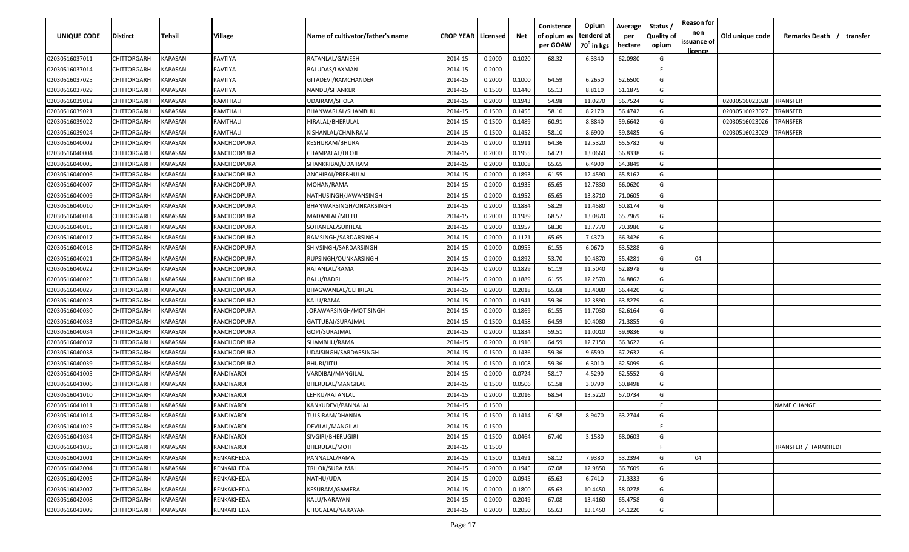| UNIQUE CODE    | Distirct           | Tehsil         | Village     | Name of cultivator/father's name | <b>CROP YEAR   Licensed</b> |        | Net    | Conistence<br>of opium as<br>per GOAW | Opium<br>tenderd at<br>70 <sup>°</sup> in kgs | Average<br>per<br>hectare | Status,<br><b>Quality of</b><br>opium | <b>Reason for</b><br>non<br>issuance of | Old unique code | Remarks Death / transfer |
|----------------|--------------------|----------------|-------------|----------------------------------|-----------------------------|--------|--------|---------------------------------------|-----------------------------------------------|---------------------------|---------------------------------------|-----------------------------------------|-----------------|--------------------------|
| 02030516037011 | CHITTORGARH        | KAPASAN        | PAVTIYA     | RATANLAL/GANESH                  | 2014-15                     | 0.2000 | 0.1020 | 68.32                                 | 6.3340                                        | 62.0980                   | G                                     | <u>licence</u>                          |                 |                          |
| 02030516037014 | CHITTORGARH        | KAPASAN        | PAVTIYA     | BALUDAS/LAXMAN                   | 2014-15                     | 0.2000 |        |                                       |                                               |                           | E                                     |                                         |                 |                          |
| 02030516037025 | CHITTORGARH        | KAPASAN        | PAVTIYA     | GITADEVI/RAMCHANDER              | 2014-15                     | 0.2000 | 0.1000 | 64.59                                 | 6.2650                                        | 62.6500                   | G                                     |                                         |                 |                          |
| 02030516037029 | CHITTORGARH        | KAPASAN        | PAVTIYA     | NANDU/SHANKER                    | 2014-15                     | 0.1500 | 0.1440 | 65.13                                 | 8.8110                                        | 61.1875                   | G                                     |                                         |                 |                          |
| 02030516039012 | CHITTORGARH        | KAPASAN        | RAMTHALI    | UDAIRAM/SHOLA                    | 2014-15                     | 0.2000 | 0.1943 | 54.98                                 | 11.0270                                       | 56.7524                   | G                                     |                                         | 02030516023028  | <b>TRANSFER</b>          |
| 02030516039021 | CHITTORGARH        | KAPASAN        | RAMTHALI    | BHANWARLAL/SHAMBHU               | 2014-15                     | 0.1500 | 0.1455 | 58.10                                 | 8.2170                                        | 56.4742                   | G                                     |                                         | 02030516023027  | TRANSFER                 |
| 02030516039022 | CHITTORGARH        | KAPASAN        | RAMTHALI    | HIRALAL/BHERULAL                 | 2014-15                     | 0.1500 | 0.1489 | 60.91                                 | 8.8840                                        | 59.6642                   | G                                     |                                         | 02030516023026  | <b><i>FRANSFER</i></b>   |
| 02030516039024 | CHITTORGARH        | KAPASAN        | RAMTHALI    | KISHANLAL/CHAINRAM               | 2014-15                     | 0.1500 | 0.1452 | 58.10                                 | 8.6900                                        | 59.8485                   | G                                     |                                         | 02030516023029  | TRANSFER                 |
| 02030516040002 | CHITTORGARH        | KAPASAN        | RANCHODPURA | KESHURAM/BHURA                   | 2014-15                     | 0.2000 | 0.1911 | 64.36                                 | 12.5320                                       | 65.5782                   | G                                     |                                         |                 |                          |
| 02030516040004 | CHITTORGARH        | KAPASAN        | RANCHODPURA | CHAMPALAL/DEOJI                  | 2014-15                     | 0.2000 | 0.1955 | 64.23                                 | 13.0660                                       | 66.8338                   | G                                     |                                         |                 |                          |
| 02030516040005 | CHITTORGARH        | KAPASAN        | RANCHODPURA | SHANKRIBAI/UDAIRAM               | 2014-15                     | 0.2000 | 0.1008 | 65.65                                 | 6.4900                                        | 64.3849                   | G                                     |                                         |                 |                          |
| 02030516040006 | CHITTORGARH        | KAPASAN        | RANCHODPURA | ANCHIBAI/PREBHULAL               | 2014-15                     | 0.2000 | 0.1893 | 61.55                                 | 12.4590                                       | 65.8162                   | G                                     |                                         |                 |                          |
| 02030516040007 | CHITTORGARH        | KAPASAN        | RANCHODPURA | MOHAN/RAMA                       | 2014-15                     | 0.2000 | 0.1935 | 65.65                                 | 12.7830                                       | 66.0620                   | G                                     |                                         |                 |                          |
| 02030516040009 | CHITTORGARH        | KAPASAN        | RANCHODPURA | NATHUSINGH/JAWANSINGH            | 2014-15                     | 0.2000 | 0.1952 | 65.65                                 | 13.8710                                       | 71.0605                   | G                                     |                                         |                 |                          |
| 02030516040010 | CHITTORGARH        | <b>KAPASAN</b> | RANCHODPURA | BHANWARSINGH/ONKARSINGH          | 2014-15                     | 0.2000 | 0.1884 | 58.29                                 | 11.4580                                       | 60.8174                   | G                                     |                                         |                 |                          |
| 02030516040014 | CHITTORGARH        | <b>KAPASAN</b> | RANCHODPURA | MADANLAL/MITTU                   | 2014-15                     | 0.2000 | 0.1989 | 68.57                                 | 13.0870                                       | 65.7969                   | G                                     |                                         |                 |                          |
| 02030516040015 | CHITTORGARH        | <b>KAPASAN</b> | RANCHODPURA | SOHANLAL/SUKHLAL                 | 2014-15                     | 0.2000 | 0.1957 | 68.30                                 | 13.7770                                       | 70.3986                   | G                                     |                                         |                 |                          |
| 02030516040017 | CHITTORGARH        | KAPASAN        | RANCHODPURA | RAMSINGH/SARDARSINGH             | 2014-15                     | 0.2000 | 0.1121 | 65.65                                 | 7.4370                                        | 66.3426                   | G                                     |                                         |                 |                          |
| 02030516040018 | CHITTORGARH        | KAPASAN        | RANCHODPURA | SHIVSINGH/SARDARSINGH            | 2014-15                     | 0.2000 | 0.0955 | 61.55                                 | 6.0670                                        | 63.5288                   | G                                     |                                         |                 |                          |
| 02030516040021 | CHITTORGARH        | <b>KAPASAN</b> | RANCHODPURA | RUPSINGH/OUNKARSINGH             | 2014-15                     | 0.2000 | 0.1892 | 53.70                                 | 10.4870                                       | 55.4281                   | G                                     | 04                                      |                 |                          |
| 02030516040022 | CHITTORGARH        | KAPASAN        | RANCHODPURA | RATANLAL/RAMA                    | 2014-15                     | 0.2000 | 0.1829 | 61.19                                 | 11.5040                                       | 62.8978                   | G                                     |                                         |                 |                          |
| 02030516040025 | CHITTORGARH        | KAPASAN        | RANCHODPURA | <b>BALU/BADRI</b>                | 2014-15                     | 0.2000 | 0.1889 | 61.55                                 | 12.2570                                       | 64.8862                   | G                                     |                                         |                 |                          |
| 02030516040027 | CHITTORGARH        | KAPASAN        | RANCHODPURA | BHAGWANLAL/GEHRILAL              | 2014-15                     | 0.2000 | 0.2018 | 65.68                                 | 13.4080                                       | 66.4420                   | G                                     |                                         |                 |                          |
| 02030516040028 | CHITTORGARH        | KAPASAN        | RANCHODPURA | KALU/RAMA                        | 2014-15                     | 0.2000 | 0.1941 | 59.36                                 | 12.3890                                       | 63.8279                   | G                                     |                                         |                 |                          |
| 02030516040030 | CHITTORGARH        | KAPASAN        | RANCHODPURA | JORAWARSINGH/MOTISINGH           | 2014-15                     | 0.2000 | 0.1869 | 61.55                                 | 11.7030                                       | 62.6164                   | G                                     |                                         |                 |                          |
| 02030516040033 | CHITTORGARH        | KAPASAN        | RANCHODPURA | GATTUBAI/SURAJMAL                | 2014-15                     | 0.1500 | 0.1458 | 64.59                                 | 10.4080                                       | 71.3855                   | G                                     |                                         |                 |                          |
| 02030516040034 | CHITTORGARH        | KAPASAN        | RANCHODPURA | GOPI/SURAJMAL                    | 2014-15                     | 0.2000 | 0.1834 | 59.51                                 | 11.0010                                       | 59.9836                   | G                                     |                                         |                 |                          |
| 02030516040037 | CHITTORGARH        | KAPASAN        | RANCHODPURA | SHAMBHU/RAMA                     | 2014-15                     | 0.2000 | 0.1916 | 64.59                                 | 12.7150                                       | 66.3622                   | G                                     |                                         |                 |                          |
| 02030516040038 | CHITTORGARH        | KAPASAN        | RANCHODPURA | JDAISINGH/SARDARSINGH            | 2014-15                     | 0.1500 | 0.1436 | 59.36                                 | 9.6590                                        | 67.2632                   | G                                     |                                         |                 |                          |
| 02030516040039 | CHITTORGARH        | <b>KAPASAN</b> | RANCHODPURA | BHURI/JITU                       | 2014-15                     | 0.1500 | 0.1008 | 59.36                                 | 6.3010                                        | 62.5099                   | G                                     |                                         |                 |                          |
| 02030516041005 | CHITTORGARH        | KAPASAN        | RANDIYARDI  | VARDIBAI/MANGILAL                | 2014-15                     | 0.2000 | 0.0724 | 58.17                                 | 4.5290                                        | 62.5552                   | G                                     |                                         |                 |                          |
| 02030516041006 | CHITTORGARH        | <b>KAPASAN</b> | RANDIYARDI  | BHERULAL/MANGILAL                | 2014-15                     | 0.1500 | 0.0506 | 61.58                                 | 3.0790                                        | 60.8498                   | G                                     |                                         |                 |                          |
| 02030516041010 | CHITTORGARH        | <b>KAPASAN</b> | RANDIYARDI  | LEHRU/RATANLAL                   | 2014-15                     | 0.2000 | 0.2016 | 68.54                                 | 13.5220                                       | 67.0734                   | G                                     |                                         |                 |                          |
| 02030516041011 | CHITTORGARH        | <b>KAPASAN</b> | RANDIYARDI  | KANKUDEVI/PANNALAL               | 2014-15                     | 0.1500 |        |                                       |                                               |                           | E                                     |                                         |                 | <b>NAME CHANGE</b>       |
| 02030516041014 | <b>CHITTORGARH</b> | <b>KAPASAN</b> | RANDIYARDI  | TULSIRAM/DHANNA                  | 2014-15                     | 0.1500 | 0.1414 | 61.58                                 | 8.9470                                        | 63.2744                   | G                                     |                                         |                 |                          |
| 02030516041025 | CHITTORGARH        | <b>KAPASAN</b> | RANDIYARDI  | DEVILAL/MANGILAL                 | 2014-15                     | 0.1500 |        |                                       |                                               |                           | F.                                    |                                         |                 |                          |
| 02030516041034 | CHITTORGARH        | <b>KAPASAN</b> | RANDIYARDI  | SIVGIRI/BHERUGIRI                | 2014-15                     | 0.1500 | 0.0464 | 67.40                                 | 3.1580                                        | 68.0603                   | G                                     |                                         |                 |                          |
| 02030516041035 | <b>CHITTORGARH</b> | <b>KAPASAN</b> | RANDIYARDI  | BHERULAL/MOTI                    | 2014-15                     | 0.1500 |        |                                       |                                               |                           | F                                     |                                         |                 | TRANSFER / TARAKHEDI     |
| 02030516042001 | CHITTORGARH        | <b>KAPASAN</b> | RENKAKHEDA  | PANNALAL/RAMA                    | 2014-15                     | 0.1500 | 0.1491 | 58.12                                 | 7.9380                                        | 53.2394                   | G                                     | 04                                      |                 |                          |
| 02030516042004 | CHITTORGARH        | KAPASAN        | RENKAKHEDA  | TRILOK/SURAJMAL                  | 2014-15                     | 0.2000 | 0.1945 | 67.08                                 | 12.9850                                       | 66.7609                   | G                                     |                                         |                 |                          |
| 02030516042005 | CHITTORGARH        | KAPASAN        | RENKAKHEDA  | NATHU/UDA                        | 2014-15                     | 0.2000 | 0.0945 | 65.63                                 | 6.7410                                        | 71.3333                   | G                                     |                                         |                 |                          |
| 02030516042007 | CHITTORGARH        | KAPASAN        | RENKAKHEDA  | KESURAM/GAMERA                   | 2014-15                     | 0.2000 | 0.1800 | 65.63                                 | 10.4450                                       | 58.0278                   | G                                     |                                         |                 |                          |
| 02030516042008 | CHITTORGARH        | <b>KAPASAN</b> | RENKAKHEDA  | KALU/NARAYAN                     | 2014-15                     | 0.2000 | 0.2049 | 67.08                                 | 13.4160                                       | 65.4758                   | G                                     |                                         |                 |                          |
| 02030516042009 | <b>CHITTORGARH</b> | <b>KAPASAN</b> | RENKAKHEDA  | CHOGALAL/NARAYAN                 | 2014-15                     | 0.2000 | 0.2050 | 65.63                                 | 13.1450                                       | 64.1220                   | G                                     |                                         |                 |                          |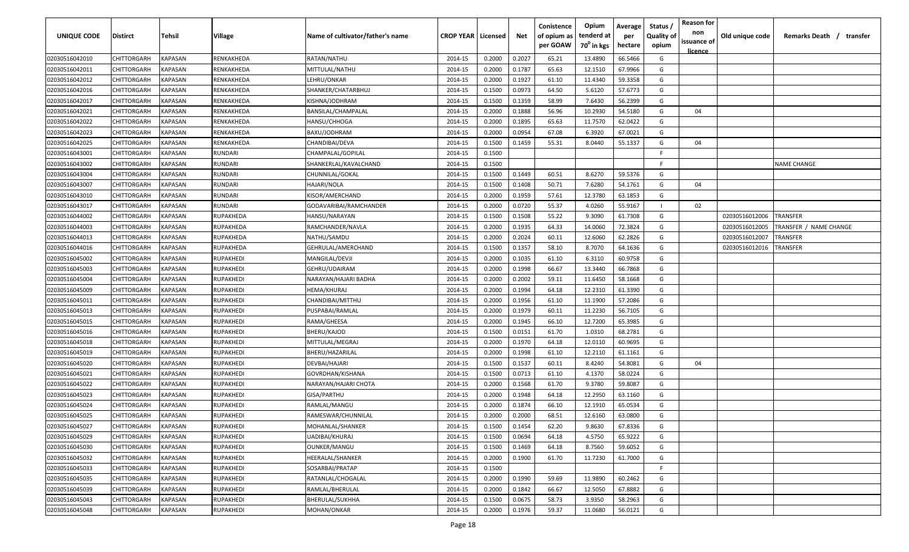| UNIQUE CODE    | Distirct    | Tehsil         | Village          | Name of cultivator/father's name | <b>CROP YEAR   Licensed</b> |        | Net    | Conistence<br>of opium as<br>per GOAW | Opium<br>tenderd at<br>70 <sup>0</sup> in kgs | Average<br>per<br>hectare | Status /<br><b>Quality of</b><br>opium | <b>Reason for</b><br>non<br>issuance of<br><u>licence</u> | Old unique code | Remarks Death /<br>transfer   |
|----------------|-------------|----------------|------------------|----------------------------------|-----------------------------|--------|--------|---------------------------------------|-----------------------------------------------|---------------------------|----------------------------------------|-----------------------------------------------------------|-----------------|-------------------------------|
| 02030516042010 | CHITTORGARH | KAPASAN        | RENKAKHEDA       | RATAN/NATHU                      | 2014-15                     | 0.2000 | 0.2027 | 65.21                                 | 13.4890                                       | 66.5466                   | G                                      |                                                           |                 |                               |
| 02030516042011 | CHITTORGARH | KAPASAN        | RENKAKHEDA       | MITTULAL/NATHU                   | 2014-15                     | 0.2000 | 0.1787 | 65.63                                 | 12.1510                                       | 67.9966                   | G                                      |                                                           |                 |                               |
| 02030516042012 | CHITTORGARH | KAPASAN        | RENKAKHEDA       | LEHRU/ONKAR                      | 2014-15                     | 0.2000 | 0.1927 | 61.10                                 | 11.4340                                       | 59.3358                   | G                                      |                                                           |                 |                               |
| 02030516042016 | CHITTORGARH | KAPASAN        | RENKAKHEDA       | SHANKER/CHATARBHUJ               | 2014-15                     | 0.1500 | 0.0973 | 64.50                                 | 5.6120                                        | 57.6773                   | G                                      |                                                           |                 |                               |
| 02030516042017 | CHITTORGARH | KAPASAN        | RENKAKHEDA       | KISHNA/JODHRAM                   | 2014-15                     | 0.1500 | 0.1359 | 58.99                                 | 7.6430                                        | 56.2399                   | G                                      |                                                           |                 |                               |
| 02030516042021 | CHITTORGARH | KAPASAN        | RENKAKHEDA       | BANSILAL/CHAMPALAL               | 2014-15                     | 0.2000 | 0.1888 | 56.96                                 | 10.2930                                       | 54.5180                   | G                                      | 04                                                        |                 |                               |
| 02030516042022 | CHITTORGARH | KAPASAN        | RENKAKHEDA       | HANSU/CHHOGA                     | 2014-15                     | 0.2000 | 0.1895 | 65.63                                 | 11.7570                                       | 62.0422                   | G                                      |                                                           |                 |                               |
| 02030516042023 | CHITTORGARH | KAPASAN        | RENKAKHEDA       | BAXU/JODHRAM                     | 2014-15                     | 0.2000 | 0.0954 | 67.08                                 | 6.3920                                        | 67.0021                   | G                                      |                                                           |                 |                               |
| 02030516042025 | CHITTORGARH | KAPASAN        | RENKAKHEDA       | CHANDIBAI/DEVA                   | 2014-15                     | 0.1500 | 0.1459 | 55.31                                 | 8.0440                                        | 55.1337                   | G                                      | 04                                                        |                 |                               |
| 02030516043001 | CHITTORGARH | KAPASAN        | RUNDARI          | CHAMPALAL/GOPILAL                | 2014-15                     | 0.1500 |        |                                       |                                               |                           | E                                      |                                                           |                 |                               |
| 02030516043002 | CHITTORGARH | KAPASAN        | <b>RUNDARI</b>   | SHANKERLAL/KAVALCHAND            | 2014-15                     | 0.1500 |        |                                       |                                               |                           | F.                                     |                                                           |                 | NAME CHANGE                   |
| 02030516043004 | CHITTORGARH | KAPASAN        | RUNDARI          | CHUNNILAL/GOKAL                  | 2014-15                     | 0.1500 | 0.1449 | 60.51                                 | 8.6270                                        | 59.5376                   | G                                      |                                                           |                 |                               |
| 02030516043007 | CHITTORGARH | KAPASAN        | RUNDARI          | HAJARI/NOLA                      | 2014-15                     | 0.1500 | 0.1408 | 50.71                                 | 7.6280                                        | 54.1761                   | G                                      | 04                                                        |                 |                               |
| 02030516043010 | CHITTORGARH | KAPASAN        | RUNDARI          | KISOR/AMERCHAND                  | 2014-15                     | 0.2000 | 0.1959 | 57.61                                 | 12.3780                                       | 63.1853                   | G                                      |                                                           |                 |                               |
| 02030516043017 | CHITTORGARH | KAPASAN        | RUNDARI          | GODAVARIBAI/RAMCHANDER           | 2014-15                     | 0.2000 | 0.0720 | 55.37                                 | 4.0260                                        | 55.9167                   |                                        | 02                                                        |                 |                               |
| 02030516044002 | CHITTORGARH | KAPASAN        | RUPAKHEDA        | HANSU/NARAYAN                    | 2014-15                     | 0.1500 | 0.1508 | 55.22                                 | 9.3090                                        | 61.7308                   | G                                      |                                                           | 02030516012006  | <b><i>FRANSFER</i></b>        |
| 02030516044003 | CHITTORGARH | <b>KAPASAN</b> | RUPAKHEDA        | RAMCHANDER/NAVLA                 | 2014-15                     | 0.2000 | 0.1935 | 64.33                                 | 14.0060                                       | 72.3824                   | G                                      |                                                           | 02030516012005  | <b>FRANSFER / NAME CHANGE</b> |
| 02030516044013 | CHITTORGARH | KAPASAN        | RUPAKHEDA        | NATHU/SAMDU                      | 2014-15                     | 0.2000 | 0.2024 | 60.11                                 | 12.6060                                       | 62.2826                   | G                                      |                                                           | 02030516012007  | TRANSFER                      |
| 02030516044016 | CHITTORGARH | KAPASAN        | RUPAKHEDA        | GEHRULAL/AMERCHAND               | 2014-15                     | 0.1500 | 0.1357 | 58.10                                 | 8.7070                                        | 64.1636                   | G                                      |                                                           | 02030516012016  | <b>TRANSFER</b>               |
| 02030516045002 | CHITTORGARH | <b>KAPASAN</b> | RUPAKHEDI        | MANGILAL/DEVJI                   | 2014-15                     | 0.2000 | 0.1035 | 61.10                                 | 6.3110                                        | 60.9758                   | G                                      |                                                           |                 |                               |
| 02030516045003 | CHITTORGARH | <b>KAPASAN</b> | RUPAKHEDI        | GEHRU/UDAIRAM                    | 2014-15                     | 0.2000 | 0.1998 | 66.67                                 | 13.3440                                       | 66.7868                   | G                                      |                                                           |                 |                               |
| 02030516045004 | CHITTORGARH | KAPASAN        | RUPAKHEDI        | NARAYAN/HAJARI BADHA             | 2014-15                     | 0.2000 | 0.2002 | 59.11                                 | 11.6450                                       | 58.1668                   | G                                      |                                                           |                 |                               |
| 02030516045009 | CHITTORGARH | KAPASAN        | RUPAKHEDI        | HEMA/KHURAJ                      | 2014-15                     | 0.2000 | 0.1994 | 64.18                                 | 12.2310                                       | 61.3390                   | G                                      |                                                           |                 |                               |
| 02030516045011 | CHITTORGARH | KAPASAN        | RUPAKHEDI        | CHANDIBAI/MITTHU                 | 2014-15                     | 0.2000 | 0.1956 | 61.10                                 | 11.1900                                       | 57.2086                   | G                                      |                                                           |                 |                               |
| 02030516045013 | CHITTORGARH | KAPASAN        | RUPAKHEDI        | PUSPABAI/RAMLAL                  | 2014-15                     | 0.2000 | 0.1979 | 60.11                                 | 11.2230                                       | 56.7105                   | G                                      |                                                           |                 |                               |
| 02030516045015 | CHITTORGARH | KAPASAN        | RUPAKHEDI        | RAMA/GHEESA                      | 2014-15                     | 0.2000 | 0.1945 | 66.10                                 | 12.7200                                       | 65.3985                   | G                                      |                                                           |                 |                               |
| 02030516045016 | CHITTORGARH | KAPASAN        | RUPAKHEDI        | BHERU/KAJOD                      | 2014-15                     | 0.1500 | 0.0151 | 61.70                                 | 1.0310                                        | 68.2781                   | G                                      |                                                           |                 |                               |
| 02030516045018 | CHITTORGARH | KAPASAN        | RUPAKHEDI        | MITTULAL/MEGRAJ                  | 2014-15                     | 0.2000 | 0.1970 | 64.18                                 | 12.0110                                       | 60.9695                   | G                                      |                                                           |                 |                               |
| 02030516045019 | CHITTORGARH | KAPASAN        | RUPAKHEDI        | BHERU/HAZARILAL                  | 2014-15                     | 0.2000 | 0.1998 | 61.10                                 | 12.2110                                       | 61.1161                   | G                                      |                                                           |                 |                               |
| 02030516045020 | CHITTORGARH | KAPASAN        | RUPAKHEDI        | DEVBAI/HAJARI                    | 2014-15                     | 0.1500 | 0.1537 | 60.11                                 | 8.4240                                        | 54.8081                   | G                                      | 04                                                        |                 |                               |
| 02030516045021 | CHITTORGARH | KAPASAN        | RUPAKHEDI        | GOVRDHAN/KISHANA                 | 2014-15                     | 0.1500 | 0.0713 | 61.10                                 | 4.1370                                        | 58.0224                   | G                                      |                                                           |                 |                               |
| 02030516045022 | CHITTORGARH | KAPASAN        | RUPAKHEDI        | NARAYAN/HAJARI CHOTA             | 2014-15                     | 0.2000 | 0.1568 | 61.70                                 | 9.3780                                        | 59.8087                   | G                                      |                                                           |                 |                               |
| 02030516045023 | CHITTORGARH | KAPASAN        | RUPAKHEDI        | GISA/PARTHU                      | 2014-15                     | 0.2000 | 0.1948 | 64.18                                 | 12.2950                                       | 63.1160                   | G                                      |                                                           |                 |                               |
| 02030516045024 | CHITTORGARH | <b>KAPASAN</b> | RUPAKHEDI        | RAMLAL/MANGU                     | 2014-15                     | 0.2000 | 0.1874 | 66.10                                 | 12.1910                                       | 65.0534                   | G                                      |                                                           |                 |                               |
| 02030516045025 | CHITTORGARH | <b>KAPASAN</b> | RUPAKHEDI        | RAMESWAR/CHUNNILAL               | 2014-15                     | 0.2000 | 0.2000 | 68.51                                 | 12.6160                                       | 63.0800                   | G                                      |                                                           |                 |                               |
| 02030516045027 | CHITTORGARH | <b>KAPASAN</b> | <b>RUPAKHEDI</b> | MOHANLAL/SHANKER                 | 2014-15                     | 0.1500 | 0.1454 | 62.20                                 | 9.8630                                        | 67.8336                   | G                                      |                                                           |                 |                               |
| 02030516045029 | CHITTORGARH | <b>KAPASAN</b> | RUPAKHEDI        | UADIBAI/KHURAJ                   | 2014-15                     | 0.1500 | 0.0694 | 64.18                                 | 4.5750                                        | 65.9222                   | G                                      |                                                           |                 |                               |
| 02030516045030 | CHITTORGARH | <b>KAPASAN</b> | RUPAKHEDI        | OUNKER/MANGU                     | 2014-15                     | 0.1500 | 0.1469 | 64.18                                 | 8.7560                                        | 59.6052                   | G                                      |                                                           |                 |                               |
| 02030516045032 | CHITTORGARH | KAPASAN        | RUPAKHEDI        | HEERALAL/SHANKER                 | 2014-15                     | 0.2000 | 0.1900 | 61.70                                 | 11.7230                                       | 61.7000                   | G                                      |                                                           |                 |                               |
| 02030516045033 | CHITTORGARH | KAPASAN        | RUPAKHEDI        | SOSARBAI/PRATAP                  | 2014-15                     | 0.1500 |        |                                       |                                               |                           | F.                                     |                                                           |                 |                               |
| 02030516045035 | CHITTORGARH | KAPASAN        | RUPAKHEDI        | RATANLAL/CHOGALAL                | 2014-15                     | 0.2000 | 0.1990 | 59.69                                 | 11.9890                                       | 60.2462                   | G                                      |                                                           |                 |                               |
| 02030516045039 | CHITTORGARH | KAPASAN        | RUPAKHEDI        | RAMLAL/BHERULAL                  | 2014-15                     | 0.2000 | 0.1842 | 66.67                                 | 12.5050                                       | 67.8882                   | G                                      |                                                           |                 |                               |
| 02030516045043 | CHITTORGARH | KAPASAN        | RUPAKHEDI        | BHERULAL/SUKHHA                  | 2014-15                     | 0.1500 | 0.0675 | 58.73                                 | 3.9350                                        | 58.2963                   | G                                      |                                                           |                 |                               |
| 02030516045048 | CHITTORGARH | <b>KAPASAN</b> | RUPAKHEDI        | MOHAN/ONKAR                      | 2014-15                     | 0.2000 | 0.1976 | 59.37                                 | 11.0680                                       | 56.0121                   | G                                      |                                                           |                 |                               |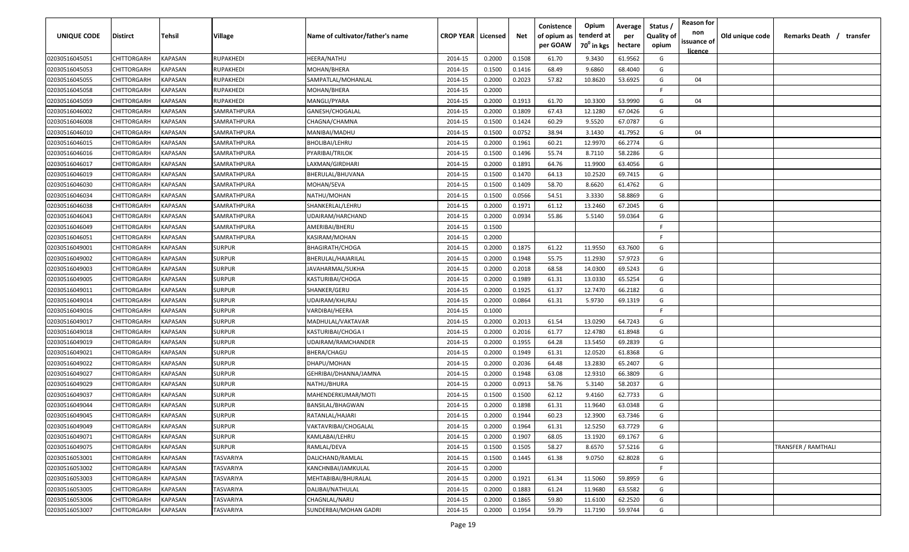| <b>UNIQUE CODE</b> | Distirct           | Tehsil         | Village       | Name of cultivator/father's name | <b>CROP YEAR   Licensed</b> |        | Net    | Conistence<br>of opium as<br>per GOAW | Opium<br>tenderd at<br>70 <sup>0</sup> in kgs | Average<br>per<br>hectare | Status /<br><b>Quality of</b><br>opium | <b>Reason for</b><br>non<br>issuance of | Old unique code | Remarks Death / transfer   |
|--------------------|--------------------|----------------|---------------|----------------------------------|-----------------------------|--------|--------|---------------------------------------|-----------------------------------------------|---------------------------|----------------------------------------|-----------------------------------------|-----------------|----------------------------|
| 02030516045051     | CHITTORGARH        | <b>KAPASAN</b> | RUPAKHEDI     | HEERA/NATHU                      | 2014-15                     | 0.2000 | 0.1508 | 61.70                                 | 9.3430                                        | 61.9562                   | G                                      | <u>licence</u>                          |                 |                            |
| 02030516045053     | CHITTORGARH        | KAPASAN        | RUPAKHEDI     | MOHAN/BHERA                      | 2014-15                     | 0.1500 | 0.1416 | 68.49                                 | 9.6860                                        | 68.4040                   | G                                      |                                         |                 |                            |
| 02030516045055     | CHITTORGARH        | KAPASAN        | RUPAKHEDI     | SAMPATLAL/MOHANLAL               | 2014-15                     | 0.2000 | 0.2023 | 57.82                                 | 10.8620                                       | 53.6925                   | G                                      | 04                                      |                 |                            |
| 02030516045058     | CHITTORGARH        | KAPASAN        | RUPAKHEDI     | MOHAN/BHERA                      | 2014-15                     | 0.2000 |        |                                       |                                               |                           | -F.                                    |                                         |                 |                            |
| 02030516045059     | CHITTORGARH        | KAPASAN        | RUPAKHEDI     | MANGLI/PYARA                     | 2014-15                     | 0.2000 | 0.1913 | 61.70                                 | 10.3300                                       | 53.9990                   | G                                      | 04                                      |                 |                            |
| 02030516046002     | CHITTORGARH        | KAPASAN        | SAMRATHPURA   | GANESH/CHOGALAL                  | 2014-15                     | 0.2000 | 0.1809 | 67.43                                 | 12.1280                                       | 67.0426                   | G                                      |                                         |                 |                            |
| 02030516046008     | CHITTORGARH        | KAPASAN        | SAMRATHPURA   | CHAGNA/CHAMNA                    | 2014-15                     | 0.1500 | 0.1424 | 60.29                                 | 9.5520                                        | 67.0787                   | G                                      |                                         |                 |                            |
| 02030516046010     | CHITTORGARH        | KAPASAN        | SAMRATHPURA   | MANIBAI/MADHU                    | 2014-15                     | 0.1500 | 0.0752 | 38.94                                 | 3.1430                                        | 41.7952                   | G                                      | 04                                      |                 |                            |
| 02030516046015     | CHITTORGARH        | KAPASAN        | SAMRATHPURA   | BHOLIBAI/LEHRU                   | 2014-15                     | 0.2000 | 0.1961 | 60.21                                 | 12.9970                                       | 66.2774                   | G                                      |                                         |                 |                            |
| 02030516046016     | CHITTORGARH        | KAPASAN        | SAMRATHPURA   | PYARIBAI/TRILOK                  | 2014-15                     | 0.1500 | 0.1496 | 55.74                                 | 8.7110                                        | 58.2286                   | G                                      |                                         |                 |                            |
| 02030516046017     | CHITTORGARH        | KAPASAN        | SAMRATHPURA   | LAXMAN/GIRDHARI                  | 2014-15                     | 0.2000 | 0.1891 | 64.76                                 | 11.9900                                       | 63.4056                   | G                                      |                                         |                 |                            |
| 02030516046019     | CHITTORGARH        | KAPASAN        | SAMRATHPURA   | BHERULAL/BHUVANA                 | 2014-15                     | 0.1500 | 0.1470 | 64.13                                 | 10.2520                                       | 69.7415                   | G                                      |                                         |                 |                            |
| 02030516046030     | CHITTORGARH        | KAPASAN        | SAMRATHPURA   | MOHAN/SEVA                       | 2014-15                     | 0.1500 | 0.1409 | 58.70                                 | 8.6620                                        | 61.4762                   | G                                      |                                         |                 |                            |
| 02030516046034     | CHITTORGARH        | KAPASAN        | SAMRATHPURA   | NATHU/MOHAN                      | 2014-15                     | 0.1500 | 0.0566 | 54.51                                 | 3.3330                                        | 58.8869                   | G                                      |                                         |                 |                            |
| 02030516046038     | CHITTORGARH        | KAPASAN        | SAMRATHPURA   | SHANKERLAL/LEHRU                 | 2014-15                     | 0.2000 | 0.1971 | 61.12                                 | 13.2460                                       | 67.2045                   | G                                      |                                         |                 |                            |
| 02030516046043     | CHITTORGARH        | KAPASAN        | SAMRATHPURA   | UDAIRAM/HARCHAND                 | 2014-15                     | 0.2000 | 0.0934 | 55.86                                 | 5.5140                                        | 59.0364                   | G                                      |                                         |                 |                            |
| 02030516046049     | CHITTORGARH        | KAPASAN        | SAMRATHPURA   | AMERIBAI/BHERU                   | 2014-15                     | 0.1500 |        |                                       |                                               |                           | -F.                                    |                                         |                 |                            |
| 02030516046051     | CHITTORGARH        | KAPASAN        | SAMRATHPURA   | KASIRAM/MOHAN                    | 2014-15                     | 0.2000 |        |                                       |                                               |                           | E                                      |                                         |                 |                            |
| 02030516049001     | CHITTORGARH        | KAPASAN        | <b>SURPUR</b> | <b>BHAGIRATH/CHOGA</b>           | 2014-15                     | 0.2000 | 0.1875 | 61.22                                 | 11.9550                                       | 63.7600                   | G                                      |                                         |                 |                            |
| 02030516049002     | CHITTORGARH        | KAPASAN        | <b>SURPUR</b> | BHERULAL/HAJARILAL               | 2014-15                     | 0.2000 | 0.1948 | 55.75                                 | 11.2930                                       | 57.9723                   | G                                      |                                         |                 |                            |
| 02030516049003     | CHITTORGARH        | KAPASAN        | <b>SURPUR</b> | JAVAHARMAL/SUKHA                 | 2014-15                     | 0.2000 | 0.2018 | 68.58                                 | 14.0300                                       | 69.5243                   | G                                      |                                         |                 |                            |
| 02030516049005     | CHITTORGARH        | KAPASAN        | <b>SURPUR</b> | KASTURIBAI/CHOGA                 | 2014-15                     | 0.2000 | 0.1989 | 61.31                                 | 13.0330                                       | 65.5254                   | G                                      |                                         |                 |                            |
| 02030516049011     | CHITTORGARH        | KAPASAN        | <b>SURPUR</b> | SHANKER/GERU                     | 2014-15                     | 0.2000 | 0.1925 | 61.37                                 | 12.7470                                       | 66.2182                   | G                                      |                                         |                 |                            |
| 02030516049014     | CHITTORGARH        | KAPASAN        | <b>SURPUR</b> | UDAIRAM/KHURAJ                   | 2014-15                     | 0.2000 | 0.0864 | 61.31                                 | 5.9730                                        | 69.1319                   | G                                      |                                         |                 |                            |
| 02030516049016     | CHITTORGARH        | KAPASAN        | <b>SURPUR</b> | VARDIBAI/HEERA                   | 2014-15                     | 0.1000 |        |                                       |                                               |                           | -F                                     |                                         |                 |                            |
| 02030516049017     | CHITTORGARH        | KAPASAN        | <b>SURPUR</b> | MADHULAL/VAKTAVAR                | 2014-15                     | 0.2000 | 0.2013 | 61.54                                 | 13.0290                                       | 64.7243                   | G                                      |                                         |                 |                            |
| 02030516049018     | CHITTORGARH        | KAPASAN        | SURPUR        | KASTURIBAI/CHOGA I               | 2014-15                     | 0.2000 | 0.2016 | 61.77                                 | 12.4780                                       | 61.8948                   | G                                      |                                         |                 |                            |
| 02030516049019     | CHITTORGARH        | KAPASAN        | SURPUR        | UDAIRAM/RAMCHANDER               | 2014-15                     | 0.2000 | 0.1955 | 64.28                                 | 13.5450                                       | 69.2839                   | G                                      |                                         |                 |                            |
| 02030516049021     | CHITTORGARH        | KAPASAN        | <b>SURPUR</b> | BHERA/CHAGU                      | 2014-15                     | 0.2000 | 0.1949 | 61.31                                 | 12.0520                                       | 61.8368                   | G                                      |                                         |                 |                            |
| 02030516049022     | CHITTORGARH        | KAPASAN        | <b>SURPUR</b> | DHAPU/MOHAN                      | 2014-15                     | 0.2000 | 0.2036 | 64.48                                 | 13.2830                                       | 65.2407                   | G                                      |                                         |                 |                            |
| 02030516049027     | CHITTORGARH        | KAPASAN        | <b>SURPUR</b> | GEHRIBAI/DHANNA/JAMNA            | 2014-15                     | 0.2000 | 0.1948 | 63.08                                 | 12.9310                                       | 66.3809                   | G                                      |                                         |                 |                            |
| 02030516049029     | CHITTORGARH        | KAPASAN        | <b>SURPUR</b> | NATHU/BHURA                      | 2014-15                     | 0.2000 | 0.0913 | 58.76                                 | 5.3140                                        | 58.2037                   | G                                      |                                         |                 |                            |
| 02030516049037     | CHITTORGARH        | KAPASAN        | <b>SURPUR</b> | MAHENDERKUMAR/MOTI               | 2014-15                     | 0.1500 | 0.1500 | 62.12                                 | 9.4160                                        | 62.7733                   | G                                      |                                         |                 |                            |
| 02030516049044     | CHITTORGARH        | KAPASAN        | <b>SURPUR</b> | BANSILAL/BHAGWAN                 | 2014-15                     | 0.2000 | 0.1898 | 61.31                                 | 11.9640                                       | 63.0348                   | G                                      |                                         |                 |                            |
| 02030516049045     | CHITTORGARH        | KAPASAN        | <b>SURPUR</b> | RATANLAL/HAJARI                  | 2014-15                     | 0.2000 | 0.1944 | 60.23                                 | 12.3900                                       | 63.7346                   | G                                      |                                         |                 |                            |
| 02030516049049     | CHITTORGARH        | KAPASAN        | <b>SURPUR</b> | VAKTAVRIBAI/CHOGALAL             | 2014-15                     | 0.2000 | 0.1964 | 61.31                                 | 12.5250                                       | 63.7729                   | G                                      |                                         |                 |                            |
| 02030516049071     | CHITTORGARH        | <b>KAPASAN</b> | <b>SURPUR</b> | KAMLABAI/LEHRU                   | 2014-15                     | 0.2000 | 0.1907 | 68.05                                 | 13.1920                                       | 69.1767                   | G                                      |                                         |                 |                            |
| 02030516049075     | CHITTORGARH        | <b>KAPASAN</b> | <b>SURPUR</b> | RAMLAL/DEVA                      | 2014-15                     | 0.1500 | 0.1505 | 58.27                                 | 8.6570                                        | 57.5216                   | G                                      |                                         |                 | <b>TRANSFER / RAMTHALI</b> |
| 02030516053001     | CHITTORGARH        | <b>KAPASAN</b> | TASVARIYA     | DALICHAND/RAMLAL                 | 2014-15                     | 0.1500 | 0.1445 | 61.38                                 | 9.0750                                        | 62.8028                   | G                                      |                                         |                 |                            |
| 02030516053002     | <b>CHITTORGARH</b> | KAPASAN        | TASVARIYA     | KANCHNBAI/JAMKULAL               | 2014-15                     | 0.2000 |        |                                       |                                               |                           | F.                                     |                                         |                 |                            |
| 02030516053003     | <b>CHITTORGARH</b> | KAPASAN        | TASVARIYA     | MEHTABIBAI/BHURALAL              | 2014-15                     | 0.2000 | 0.1921 | 61.34                                 | 11.5060                                       | 59.8959                   | G                                      |                                         |                 |                            |
| 02030516053005     | CHITTORGARH        | KAPASAN        | TASVARIYA     | DALIBAI/NATHULAL                 | 2014-15                     | 0.2000 | 0.1883 | 61.24                                 | 11.9680                                       | 63.5582                   | G                                      |                                         |                 |                            |
| 02030516053006     | CHITTORGARH        | KAPASAN        | TASVARIYA     | CHAGNLAL/NARU                    | 2014-15                     | 0.2000 | 0.1865 | 59.80                                 | 11.6100                                       | 62.2520                   | G                                      |                                         |                 |                            |
| 02030516053007     | CHITTORGARH        | KAPASAN        | TASVARIYA     | SUNDERBAI/MOHAN GADRI            | 2014-15                     | 0.2000 | 0.1954 | 59.79                                 | 11.7190                                       | 59.9744                   | G                                      |                                         |                 |                            |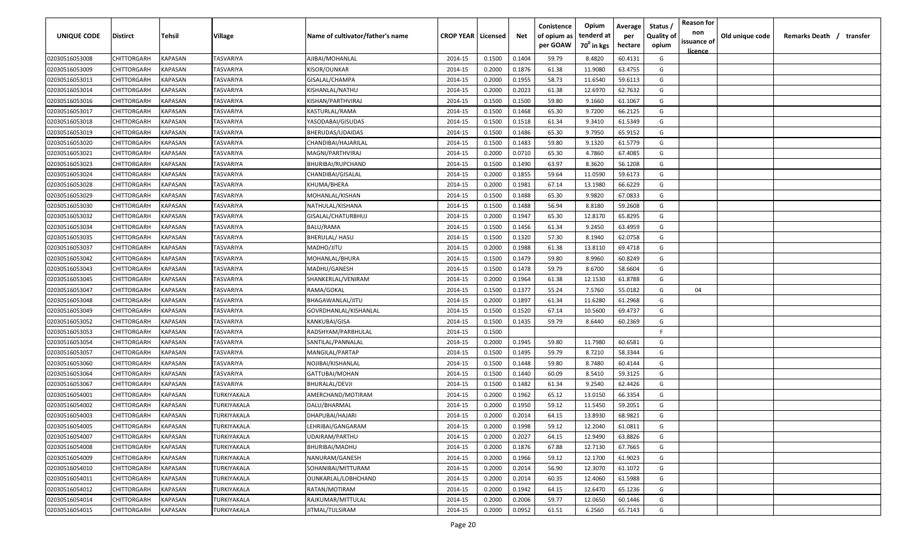| <b>UNIQUE CODE</b> | Distirct           | Tehsil         | Village     | Name of cultivator/father's name | <b>CROP YEAR   Licensed</b> |        | Net    | Conistence<br>of opium as | Opium<br>tenderd at    | Average<br>per | Status /<br><b>Quality of</b> | <b>Reason for</b><br>non      | Old unique code | Remarks Death / transfer |
|--------------------|--------------------|----------------|-------------|----------------------------------|-----------------------------|--------|--------|---------------------------|------------------------|----------------|-------------------------------|-------------------------------|-----------------|--------------------------|
|                    |                    |                |             |                                  |                             |        |        | per GOAW                  | 70 <sup>0</sup> in kgs | hectare        | opium                         | issuance of<br><u>licence</u> |                 |                          |
| 02030516053008     | CHITTORGARH        | <b>KAPASAN</b> | TASVARIYA   | AJIBAI/MOHANLAL                  | 2014-15                     | 0.1500 | 0.1404 | 59.79                     | 8.4820                 | 60.4131        | G                             |                               |                 |                          |
| 02030516053009     | CHITTORGARH        | KAPASAN        | TASVARIYA   | KISOR/OUNKAR                     | 2014-15                     | 0.2000 | 0.1876 | 61.38                     | 11.9080                | 63.4755        | G                             |                               |                 |                          |
| 02030516053013     | CHITTORGARH        | KAPASAN        | TASVARIYA   | GISALAL/CHAMPA                   | 2014-15                     | 0.2000 | 0.1955 | 58.73                     | 11.6540                | 59.6113        | G                             |                               |                 |                          |
| 02030516053014     | CHITTORGARH        | KAPASAN        | TASVARIYA   | KISHANLAL/NATHU                  | 2014-15                     | 0.2000 | 0.2023 | 61.38                     | 12.6970                | 62.7632        | G                             |                               |                 |                          |
| 02030516053016     | CHITTORGARH        | KAPASAN        | TASVARIYA   | KISHAN/PARTHVIRAJ                | 2014-15                     | 0.1500 | 0.1500 | 59.80                     | 9.1660                 | 61.1067        | G                             |                               |                 |                          |
| 02030516053017     | CHITTORGARH        | KAPASAN        | TASVARIYA   | KASTURLAL/RAMA                   | 2014-15                     | 0.1500 | 0.1468 | 65.30                     | 9.7200                 | 66.2125        | G                             |                               |                 |                          |
| 02030516053018     | CHITTORGARH        | KAPASAN        | TASVARIYA   | YASODABAI/GISUDAS                | 2014-15                     | 0.1500 | 0.1518 | 61.34                     | 9.3410                 | 61.5349        | G                             |                               |                 |                          |
| 02030516053019     | CHITTORGARH        | KAPASAN        | TASVARIYA   | BHERUDAS/UDAIDAS                 | 2014-15                     | 0.1500 | 0.1486 | 65.30                     | 9.7950                 | 65.9152        | G                             |                               |                 |                          |
| 02030516053020     | CHITTORGARH        | KAPASAN        | TASVARIYA   | CHANDIBAI/HAJARILAL              | 2014-15                     | 0.1500 | 0.1483 | 59.80                     | 9.1320                 | 61.5779        | G                             |                               |                 |                          |
| 02030516053021     | CHITTORGARH        | KAPASAN        | TASVARIYA   | MAGNI/PARTHVIRAJ                 | 2014-15                     | 0.2000 | 0.0710 | 65.30                     | 4.7860                 | 67.4085        | G                             |                               |                 |                          |
| 02030516053023     | CHITTORGARH        | KAPASAN        | TASVARIYA   | BHURIBAI/RUPCHAND                | 2014-15                     | 0.1500 | 0.1490 | 63.97                     | 8.3620                 | 56.1208        | G                             |                               |                 |                          |
| 02030516053024     | CHITTORGARH        | KAPASAN        | TASVARIYA   | CHANDIBAI/GISALAL                | 2014-15                     | 0.2000 | 0.1855 | 59.64                     | 11.0590                | 59.6173        | G                             |                               |                 |                          |
| 02030516053028     | CHITTORGARH        | KAPASAN        | TASVARIYA   | KHUMA/BHERA                      | 2014-15                     | 0.2000 | 0.1981 | 67.14                     | 13.1980                | 66.6229        | G                             |                               |                 |                          |
| 02030516053029     | CHITTORGARH        | KAPASAN        | TASVARIYA   | MOHANLAL/KISHAN                  | 2014-15                     | 0.1500 | 0.1488 | 65.30                     | 9.9820                 | 67.0833        | G                             |                               |                 |                          |
| 02030516053030     | CHITTORGARH        | KAPASAN        | TASVARIYA   | NATHULAL/KISHANA                 | 2014-15                     | 0.1500 | 0.1488 | 56.94                     | 8.8180                 | 59.2608        | G                             |                               |                 |                          |
| 02030516053032     | CHITTORGARH        | KAPASAN        | TASVARIYA   | GISALAL/CHATURBHUJ               | 2014-15                     | 0.2000 | 0.1947 | 65.30                     | 12.8170                | 65.8295        | G                             |                               |                 |                          |
| 02030516053034     | CHITTORGARH        | KAPASAN        | TASVARIYA   | BALU/RAMA                        | 2014-15                     | 0.1500 | 0.1456 | 61.34                     | 9.2450                 | 63.4959        | G                             |                               |                 |                          |
| 02030516053035     | CHITTORGARH        | KAPASAN        | TASVARIYA   | <b>BHERULAL/ HASU</b>            | 2014-15                     | 0.1500 | 0.1320 | 57.30                     | 8.1940                 | 62.0758        | G                             |                               |                 |                          |
| 02030516053037     | CHITTORGARH        | KAPASAN        | TASVARIYA   | MADHO/JITU                       | 2014-15                     | 0.2000 | 0.1988 | 61.38                     | 13.8110                | 69.4718        | G                             |                               |                 |                          |
| 02030516053042     | CHITTORGARH        | KAPASAN        | TASVARIYA   | MOHANLAL/BHURA                   | 2014-15                     | 0.1500 | 0.1479 | 59.80                     | 8.9960                 | 60.8249        | G                             |                               |                 |                          |
| 02030516053043     | CHITTORGARH        | KAPASAN        | TASVARIYA   | MADHU/GANESH                     | 2014-15                     | 0.1500 | 0.1478 | 59.79                     | 8.6700                 | 58.6604        | G                             |                               |                 |                          |
| 02030516053045     | CHITTORGARH        | KAPASAN        | TASVARIYA   | SHANKERLAL/VENIRAM               | 2014-15                     | 0.2000 | 0.1964 | 61.38                     | 12.1530                | 61.8788        | G                             |                               |                 |                          |
| 02030516053047     | CHITTORGARH        | KAPASAN        | TASVARIYA   | RAMA/GOKAL                       | 2014-15                     | 0.1500 | 0.1377 | 55.24                     | 7.5760                 | 55.0182        | G                             | 04                            |                 |                          |
| 02030516053048     | CHITTORGARH        | KAPASAN        | TASVARIYA   | BHAGAWANLAL/JITU                 | 2014-15                     | 0.2000 | 0.1897 | 61.34                     | 11.6280                | 61.2968        | G                             |                               |                 |                          |
| 02030516053049     | CHITTORGARH        | KAPASAN        | TASVARIYA   | GOVRDHANLAL/KISHANLAL            | 2014-15                     | 0.1500 | 0.1520 | 67.14                     | 10.5600                | 69.4737        | G                             |                               |                 |                          |
| 02030516053052     | CHITTORGARH        | KAPASAN        | TASVARIYA   | KANKUBAI/GISA                    | 2014-15                     | 0.1500 | 0.1435 | 59.79                     | 8.6440                 | 60.2369        | G                             |                               |                 |                          |
| 02030516053053     | CHITTORGARH        | KAPASAN        | TASVARIYA   | RADSHYAM/PARBHULAL               | 2014-15                     | 0.1500 |        |                           |                        |                | -F.                           |                               |                 |                          |
| 02030516053054     | CHITTORGARH        | KAPASAN        | TASVARIYA   | SANTILAL/PANNALAL                | 2014-15                     | 0.2000 | 0.1945 | 59.80                     | 11.7980                | 60.6581        | G                             |                               |                 |                          |
| 02030516053057     | CHITTORGARH        | KAPASAN        | TASVARIYA   | MANGILAL/PARTAP                  | 2014-15                     | 0.1500 | 0.1495 | 59.79                     | 8.7210                 | 58.3344        | G                             |                               |                 |                          |
| 02030516053060     | CHITTORGARH        | KAPASAN        | TASVARIYA   | NOJIBAI/KISHANLAL                | 2014-15                     | 0.1500 | 0.1448 | 59.80                     | 8.7480                 | 60.4144        | G                             |                               |                 |                          |
| 02030516053064     | CHITTORGARH        | KAPASAN        | TASVARIYA   | GATTUBAI/MOHAN                   | 2014-15                     | 0.1500 | 0.1440 | 60.09                     | 8.5410                 | 59.3125        | G                             |                               |                 |                          |
| 02030516053067     | CHITTORGARH        | KAPASAN        | TASVARIYA   | BHURALAL/DEVJI                   | 2014-15                     | 0.1500 | 0.1482 | 61.34                     | 9.2540                 | 62.4426        | G                             |                               |                 |                          |
| 02030516054001     | CHITTORGARH        | KAPASAN        | TURKIYAKALA | AMERCHAND/MOTIRAM                | 2014-15                     | 0.2000 | 0.1962 | 65.12                     | 13.0150                | 66.3354        | G                             |                               |                 |                          |
| 02030516054002     | CHITTORGARH        | KAPASAN        | TURKIYAKALA | DALU/BHARMAL                     | 2014-15                     | 0.2000 | 0.1950 | 59.12                     | 11.5450                | 59.2051        | G                             |                               |                 |                          |
| 02030516054003     | CHITTORGARH        | KAPASAN        | TURKIYAKALA | DHAPUBAI/HAJARI                  | 2014-15                     | 0.2000 | 0.2014 | 64.15                     | 13.8930                | 68.9821        | G                             |                               |                 |                          |
| 02030516054005     | <b>CHITTORGARH</b> | <b>KAPASAN</b> | TURKIYAKALA | LEHRIBAI/GANGARAM                | 2014-15                     | 0.2000 | 0.1998 | 59.12                     | 12.2040                | 61.0811        | G                             |                               |                 |                          |
| 02030516054007     | CHITTORGARH        | <b>KAPASAN</b> | TURKIYAKALA | UDAIRAM/PARTHU                   | 2014-15                     | 0.2000 | 0.2027 | 64.15                     | 12.9490                | 63.8826        | G                             |                               |                 |                          |
| 02030516054008     | CHITTORGARH        | <b>KAPASAN</b> | TURKIYAKALA | BHURIBAI/MADHU                   | 2014-15                     | 0.2000 | 0.1876 | 67.88                     | 12.7130                | 67.7665        | G                             |                               |                 |                          |
| 02030516054009     | <b>CHITTORGARH</b> | <b>KAPASAN</b> | TURKIYAKALA | NANURAM/GANESH                   | 2014-15                     | 0.2000 | 0.1966 | 59.12                     | 12.1700                | 61.9023        | G                             |                               |                 |                          |
| 02030516054010     | <b>CHITTORGARH</b> | KAPASAN        | TURKIYAKALA | SOHANIBAI/MITTURAM               | 2014-15                     | 0.2000 | 0.2014 | 56.90                     | 12.3070                | 61.1072        | G                             |                               |                 |                          |
| 02030516054011     | <b>CHITTORGARH</b> | KAPASAN        | TURKIYAKALA | OUNKARLAL/LOBHCHAND              | 2014-15                     | 0.2000 | 0.2014 | 60.35                     | 12.4060                | 61.5988        | G                             |                               |                 |                          |
| 02030516054012     | <b>CHITTORGARH</b> | KAPASAN        | TURKIYAKALA | RATAN/MOTIRAM                    | 2014-15                     | 0.2000 | 0.1942 | 64.15                     | 12.6470                | 65.1236        | G                             |                               |                 |                          |
| 02030516054014     | CHITTORGARH        | KAPASAN        | TURKIYAKALA | RAJKUMAR/MITTULAL                | 2014-15                     | 0.2000 | 0.2006 | 59.77                     | 12.0650                | 60.1446        | G                             |                               |                 |                          |
| 02030516054015     | CHITTORGARH        | KAPASAN        | TURKIYAKALA | JITMAL/TULSIRAM                  | 2014-15                     | 0.2000 | 0.0952 | 61.51                     | 6.2560                 | 65.7143        | G                             |                               |                 |                          |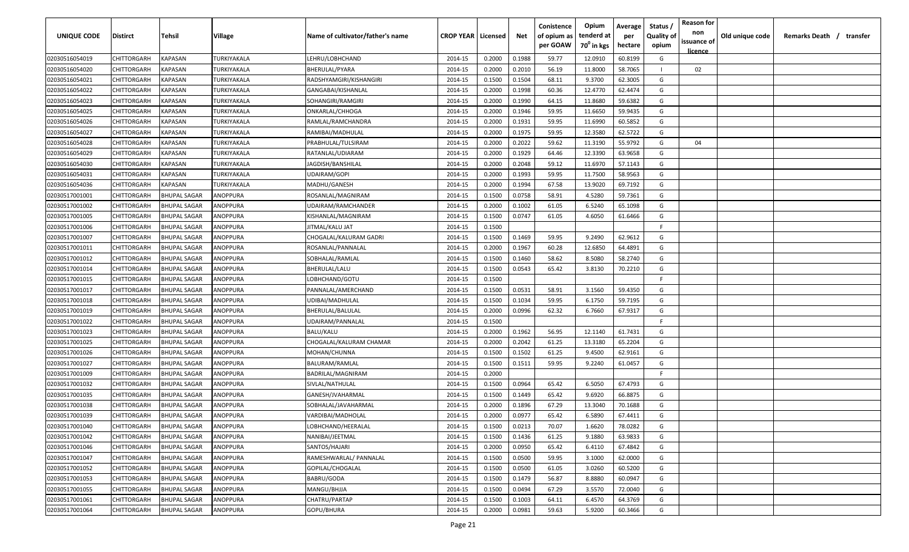| <b>UNIQUE CODE</b> | Distirct           | Tehsil              | Village            | Name of cultivator/father's name | <b>CROP YEAR   Licensed</b> |        | Net    | Conistence<br>of opium as | Opium<br>tenderd at    | Average<br>per | Status /<br><b>Quality of</b> | <b>Reason for</b><br>non<br>issuance of | Old unique code | Remarks Death / transfer |
|--------------------|--------------------|---------------------|--------------------|----------------------------------|-----------------------------|--------|--------|---------------------------|------------------------|----------------|-------------------------------|-----------------------------------------|-----------------|--------------------------|
|                    |                    |                     |                    |                                  |                             |        |        | per GOAW                  | 70 <sup>0</sup> in kgs | hectare        | opium                         | <u>licence</u>                          |                 |                          |
| 02030516054019     | CHITTORGARH        | <b>KAPASAN</b>      | TURKIYAKALA        | LEHRU/LOBHCHAND                  | 2014-15                     | 0.2000 | 0.1988 | 59.77                     | 12.0910                | 60.8199        | G                             |                                         |                 |                          |
| 02030516054020     | CHITTORGARH        | KAPASAN             | TURKIYAKALA        | BHERULAL/PYARA                   | 2014-15                     | 0.2000 | 0.2010 | 56.19                     | 11.8000                | 58.7065        |                               | 02                                      |                 |                          |
| 02030516054021     | CHITTORGARH        | KAPASAN             | TURKIYAKALA        | RADSHYAMGIRI/KISHANGIRI          | 2014-15                     | 0.1500 | 0.1504 | 68.11                     | 9.3700                 | 62.3005        | G                             |                                         |                 |                          |
| 02030516054022     | CHITTORGARH        | KAPASAN             | TURKIYAKALA        | GANGABAI/KISHANLAL               | 2014-15                     | 0.2000 | 0.1998 | 60.36                     | 12.4770                | 62.4474        | G                             |                                         |                 |                          |
| 02030516054023     | CHITTORGARH        | KAPASAN             | TURKIYAKALA        | SOHANGIRI/RAMGIRI                | 2014-15                     | 0.2000 | 0.1990 | 64.15                     | 11.8680                | 59.6382        | G                             |                                         |                 |                          |
| 02030516054025     | CHITTORGARH        | KAPASAN             | TURKIYAKALA        | ONKARLAL/CHHOGA                  | 2014-15                     | 0.2000 | 0.1946 | 59.95                     | 11.6650                | 59.9435        | G                             |                                         |                 |                          |
| 02030516054026     | CHITTORGARH        | KAPASAN             | <b>TURKIYAKALA</b> | RAMLAL/RAMCHANDRA                | 2014-15                     | 0.2000 | 0.1931 | 59.95                     | 11.6990                | 60.5852        | G                             |                                         |                 |                          |
| 02030516054027     | CHITTORGARH        | KAPASAN             | TURKIYAKALA        | RAMIBAI/MADHULAL                 | 2014-15                     | 0.2000 | 0.1975 | 59.95                     | 12.3580                | 62.5722        | G                             |                                         |                 |                          |
| 02030516054028     | CHITTORGARH        | KAPASAN             | TURKIYAKALA        | PRABHULAL/TULSIRAM               | 2014-15                     | 0.2000 | 0.2022 | 59.62                     | 11.3190                | 55.9792        | G                             | 04                                      |                 |                          |
| 02030516054029     | CHITTORGARH        | KAPASAN             | TURKIYAKALA        | RATANLAL/UDIARAM                 | 2014-15                     | 0.2000 | 0.1929 | 64.46                     | 12.3390                | 63.9658        | G                             |                                         |                 |                          |
| 02030516054030     | CHITTORGARH        | KAPASAN             | TURKIYAKALA        | IAGDISH/BANSHILAL                | 2014-15                     | 0.2000 | 0.2048 | 59.12                     | 11.6970                | 57.1143        | G                             |                                         |                 |                          |
| 02030516054031     | CHITTORGARH        | KAPASAN             | TURKIYAKALA        | UDAIRAM/GOPI                     | 2014-15                     | 0.2000 | 0.1993 | 59.95                     | 11.7500                | 58.9563        | G                             |                                         |                 |                          |
| 02030516054036     | CHITTORGARH        | KAPASAN             | TURKIYAKALA        | MADHU/GANESH                     | 2014-15                     | 0.2000 | 0.1994 | 67.58                     | 13.9020                | 69.7192        | G                             |                                         |                 |                          |
| 02030517001001     | CHITTORGARH        | <b>BHUPAL SAGAR</b> | ANOPPURA           | ROSANLAL/MAGNIRAM                | 2014-15                     | 0.1500 | 0.0758 | 58.91                     | 4.5280                 | 59.7361        | G                             |                                         |                 |                          |
| 02030517001002     | CHITTORGARH        | <b>BHUPAL SAGAR</b> | ANOPPURA           | UDAIRAM/RAMCHANDER               | 2014-15                     | 0.2000 | 0.1002 | 61.05                     | 6.5240                 | 65.1098        | G                             |                                         |                 |                          |
| 02030517001005     | CHITTORGARH        | <b>BHUPAL SAGAR</b> | ANOPPURA           | KISHANLAL/MAGNIRAM               | 2014-15                     | 0.1500 | 0.0747 | 61.05                     | 4.6050                 | 61.6466        | G                             |                                         |                 |                          |
| 02030517001006     | CHITTORGARH        | <b>BHUPAL SAGAR</b> | ANOPPURA           | JITMAL/KALU JAT                  | 2014-15                     | 0.1500 |        |                           |                        |                | -F.                           |                                         |                 |                          |
| 02030517001007     | CHITTORGARH        | <b>BHUPAL SAGAR</b> | ANOPPURA           | CHOGALAL/KALURAM GADRI           | 2014-15                     | 0.1500 | 0.1469 | 59.95                     | 9.2490                 | 62.9612        | G                             |                                         |                 |                          |
| 02030517001011     | CHITTORGARH        | <b>BHUPAL SAGAR</b> | ANOPPURA           | ROSANLAL/PANNALAL                | 2014-15                     | 0.2000 | 0.1967 | 60.28                     | 12.6850                | 64.4891        | G                             |                                         |                 |                          |
| 02030517001012     | CHITTORGARH        | <b>BHUPAL SAGAR</b> | ANOPPURA           | SOBHALAL/RAMLAL                  | 2014-15                     | 0.1500 | 0.1460 | 58.62                     | 8.5080                 | 58.2740        | G                             |                                         |                 |                          |
| 02030517001014     | CHITTORGARH        | <b>BHUPAL SAGAR</b> | ANOPPURA           | BHERULAL/LALU                    | 2014-15                     | 0.1500 | 0.0543 | 65.42                     | 3.8130                 | 70.2210        | G                             |                                         |                 |                          |
| 02030517001015     | CHITTORGARH        | <b>BHUPAL SAGAR</b> | ANOPPURA           | LOBHCHAND/GOTU                   | 2014-15                     | 0.1500 |        |                           |                        |                | -F.                           |                                         |                 |                          |
| 02030517001017     | CHITTORGARH        | <b>BHUPAL SAGAR</b> | ANOPPURA           | PANNALAL/AMERCHAND               | 2014-15                     | 0.1500 | 0.0531 | 58.91                     | 3.1560                 | 59.4350        | G                             |                                         |                 |                          |
| 02030517001018     | CHITTORGARH        | <b>BHUPAL SAGAR</b> | ANOPPURA           | UDIBAI/MADHULAL                  | 2014-15                     | 0.1500 | 0.1034 | 59.95                     | 6.1750                 | 59.7195        | G                             |                                         |                 |                          |
| 02030517001019     | CHITTORGARH        | <b>BHUPAL SAGAR</b> | ANOPPURA           | BHERULAL/BALULAL                 | 2014-15                     | 0.2000 | 0.0996 | 62.32                     | 6.7660                 | 67.9317        | G                             |                                         |                 |                          |
| 02030517001022     | CHITTORGARH        | <b>BHUPAL SAGAR</b> | ANOPPURA           | UDAIRAM/PANNALAL                 | 2014-15                     | 0.1500 |        |                           |                        |                | -F.                           |                                         |                 |                          |
| 02030517001023     | CHITTORGARH        | BHUPAL SAGAR        | ANOPPURA           | BALU/KALU                        | 2014-15                     | 0.2000 | 0.1962 | 56.95                     | 12.1140                | 61.7431        | G                             |                                         |                 |                          |
| 02030517001025     | CHITTORGARH        | <b>BHUPAL SAGAR</b> | ANOPPURA           | CHOGALAL/KALURAM CHAMAR          | 2014-15                     | 0.2000 | 0.2042 | 61.25                     | 13.3180                | 65.2204        | G                             |                                         |                 |                          |
| 02030517001026     | CHITTORGARH        | <b>BHUPAL SAGAR</b> | ANOPPURA           | MOHAN/CHUNNA                     | 2014-15                     | 0.1500 | 0.1502 | 61.25                     | 9.4500                 | 62.9161        | G                             |                                         |                 |                          |
| 02030517001027     | CHITTORGARH        | <b>BHUPAL SAGAR</b> | ANOPPURA           | BALURAM/RAMLAL                   | 2014-15                     | 0.1500 | 0.1511 | 59.95                     | 9.2240                 | 61.0457        | G                             |                                         |                 |                          |
| 02030517001009     | CHITTORGARH        | <b>BHUPAL SAGAR</b> | ANOPPURA           | BADRILAL/MAGNIRAM                | 2014-15                     | 0.2000 |        |                           |                        |                | -F                            |                                         |                 |                          |
| 02030517001032     | CHITTORGARH        | <b>BHUPAL SAGAR</b> | ANOPPURA           | SIVLAL/NATHULAL                  | 2014-15                     | 0.1500 | 0.0964 | 65.42                     | 6.5050                 | 67.4793        | G                             |                                         |                 |                          |
| 02030517001035     | CHITTORGARH        | <b>BHUPAL SAGAR</b> | ANOPPURA           | GANESH/JVAHARMAL                 | 2014-15                     | 0.1500 | 0.1449 | 65.42                     | 9.6920                 | 66.8875        | G                             |                                         |                 |                          |
| 02030517001038     | CHITTORGARH        | <b>BHUPAL SAGAR</b> | ANOPPURA           | SOBHALAL/JAVAHARMAL              | 2014-15                     | 0.2000 | 0.1896 | 67.29                     | 13.3040                | 70.1688        | G                             |                                         |                 |                          |
| 02030517001039     | CHITTORGARH        | BHUPAL SAGAR        | ANOPPURA           | VARDIBAI/MADHOLAL                | 2014-15                     | 0.2000 | 0.0977 | 65.42                     | 6.5890                 | 67.4411        | G                             |                                         |                 |                          |
| 02030517001040     | <b>CHITTORGARH</b> | <b>BHUPAL SAGAR</b> | ANOPPURA           | LOBHCHAND/HEERALAL               | 2014-15                     | 0.1500 | 0.0213 | 70.07                     | 1.6620                 | 78.0282        | G                             |                                         |                 |                          |
| 02030517001042     | CHITTORGARH        | <b>BHUPAL SAGAR</b> | ANOPPURA           | NANIBAI/JEETMAL                  | 2014-15                     | 0.1500 | 0.1436 | 61.25                     | 9.1880                 | 63.9833        | G                             |                                         |                 |                          |
| 02030517001046     | <b>CHITTORGARH</b> | <b>BHUPAL SAGAR</b> | ANOPPURA           | SANTOS/HAJARI                    | 2014-15                     | 0.2000 | 0.0950 | 65.42                     | 6.4110                 | 67.4842        | G                             |                                         |                 |                          |
| 02030517001047     | <b>CHITTORGARH</b> | <b>BHUPAL SAGAR</b> | ANOPPURA           | RAMESHWARLAL/ PANNALAL           | 2014-15                     | 0.1500 | 0.0500 | 59.95                     | 3.1000                 | 62.0000        | G                             |                                         |                 |                          |
| 02030517001052     | CHITTORGARH        | <b>BHUPAL SAGAR</b> | ANOPPURA           | GOPILAL/CHOGALAL                 | 2014-15                     | 0.1500 | 0.0500 | 61.05                     | 3.0260                 | 60.5200        | G                             |                                         |                 |                          |
| 02030517001053     | CHITTORGARH        | <b>BHUPAL SAGAR</b> | ANOPPURA           | BABRU/GODA                       | 2014-15                     | 0.1500 | 0.1479 | 56.87                     | 8.8880                 | 60.0947        | G                             |                                         |                 |                          |
| 02030517001055     | <b>CHITTORGARH</b> | <b>BHUPAL SAGAR</b> | ANOPPURA           | MANGU/BHJJA                      | 2014-15                     | 0.1500 | 0.0494 | 67.29                     | 3.5570                 | 72.0040        | G                             |                                         |                 |                          |
| 02030517001061     | CHITTORGARH        | <b>BHUPAL SAGAR</b> | ANOPPURA           | CHATRU/PARTAP                    | 2014-15                     | 0.1500 | 0.1003 | 64.11                     | 6.4570                 | 64.3769        | G                             |                                         |                 |                          |
| 02030517001064     | <b>CHITTORGARH</b> | <b>BHUPAL SAGAR</b> | ANOPPURA           | GOPU/BHURA                       | 2014-15                     | 0.2000 | 0.0981 | 59.63                     | 5.9200                 | 60.3466        | G                             |                                         |                 |                          |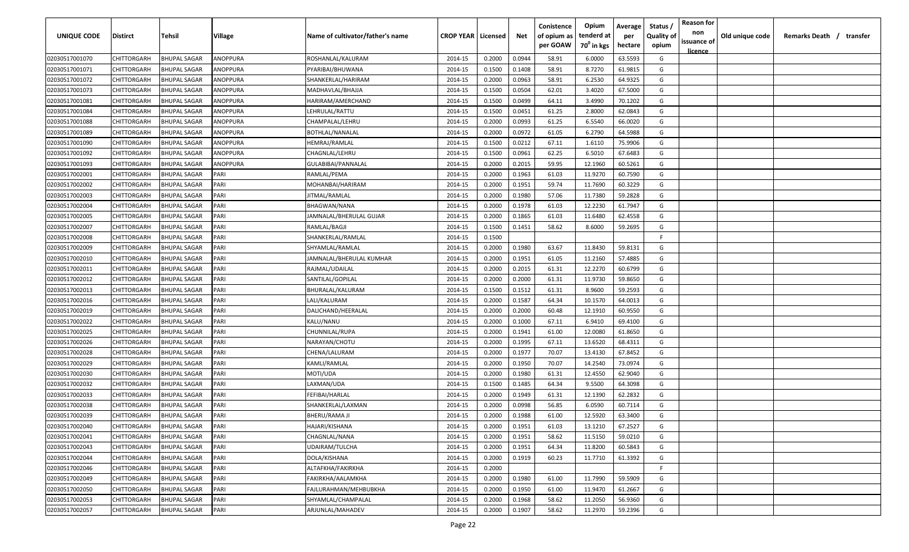| UNIQUE CODE    | Distirct           | Tehsil              | Village  | Name of cultivator/father's name | <b>CROP YEAR   Licensed</b> |        | Net    | Conistence<br>of opium as | Opium<br>tenderd at    | Average<br>per | Status /<br><b>Quality of</b> | <b>Reason for</b><br>non      | Old unique code | Remarks Death / transfer |
|----------------|--------------------|---------------------|----------|----------------------------------|-----------------------------|--------|--------|---------------------------|------------------------|----------------|-------------------------------|-------------------------------|-----------------|--------------------------|
|                |                    |                     |          |                                  |                             |        |        | per GOAW                  | 70 <sup>0</sup> in kgs | hectare        | opium                         | issuance of<br><u>licence</u> |                 |                          |
| 02030517001070 | CHITTORGARH        | <b>BHUPAL SAGAR</b> | ANOPPURA | ROSHANLAL/KALURAM                | 2014-15                     | 0.2000 | 0.0944 | 58.91                     | 6.0000                 | 63.5593        | G                             |                               |                 |                          |
| 02030517001071 | CHITTORGARH        | <b>BHUPAL SAGAR</b> | ANOPPURA | PYARIBAI/BHUWANA                 | 2014-15                     | 0.1500 | 0.1408 | 58.91                     | 8.7270                 | 61.9815        | G                             |                               |                 |                          |
| 02030517001072 | CHITTORGARH        | <b>BHUPAL SAGAR</b> | ANOPPURA | SHANKERLAL/HARIRAM               | 2014-15                     | 0.2000 | 0.0963 | 58.91                     | 6.2530                 | 64.9325        | G                             |                               |                 |                          |
| 02030517001073 | CHITTORGARH        | <b>BHUPAL SAGAR</b> | ANOPPURA | MADHAVLAL/BHAJJA                 | 2014-15                     | 0.1500 | 0.0504 | 62.01                     | 3.4020                 | 67.5000        | G                             |                               |                 |                          |
| 02030517001081 | CHITTORGARH        | <b>BHUPAL SAGAR</b> | ANOPPURA | HARIRAM/AMERCHAND                | 2014-15                     | 0.1500 | 0.0499 | 64.11                     | 3.4990                 | 70.1202        | G                             |                               |                 |                          |
| 02030517001084 | CHITTORGARH        | <b>BHUPAL SAGAR</b> | ANOPPURA | LEHRULAL/RATTU                   | 2014-15                     | 0.1500 | 0.0451 | 61.25                     | 2.8000                 | 62.0843        | G                             |                               |                 |                          |
| 02030517001088 | CHITTORGARH        | <b>BHUPAL SAGAR</b> | ANOPPURA | CHAMPALAL/LEHRU                  | 2014-15                     | 0.2000 | 0.0993 | 61.25                     | 6.5540                 | 66.0020        | G                             |                               |                 |                          |
| 02030517001089 | CHITTORGARH        | BHUPAL SAGAR        | ANOPPURA | BOTHLAL/NANALAL                  | 2014-15                     | 0.2000 | 0.0972 | 61.05                     | 6.2790                 | 64.5988        | G                             |                               |                 |                          |
| 02030517001090 | CHITTORGARH        | <b>BHUPAL SAGAR</b> | ANOPPURA | HEMRAJ/RAMLAL                    | 2014-15                     | 0.1500 | 0.0212 | 67.11                     | 1.6110                 | 75.9906        | G                             |                               |                 |                          |
| 02030517001092 | CHITTORGARH        | <b>BHUPAL SAGAR</b> | ANOPPURA | CHAGNLAL/LEHRU                   | 2014-15                     | 0.1500 | 0.0961 | 62.25                     | 6.5010                 | 67.6483        | G                             |                               |                 |                          |
| 02030517001093 | CHITTORGARH        | BHUPAL SAGAR        | ANOPPURA | GULABIBAI/PANNALAL               | 2014-15                     | 0.2000 | 0.2015 | 59.95                     | 12.1960                | 60.5261        | G                             |                               |                 |                          |
| 02030517002001 | CHITTORGARH        | <b>BHUPAL SAGAR</b> | PARI     | RAMLAL/PEMA                      | 2014-15                     | 0.2000 | 0.1963 | 61.03                     | 11.9270                | 60.7590        | G                             |                               |                 |                          |
| 02030517002002 | CHITTORGARH        | <b>BHUPAL SAGAR</b> | PARI     | MOHANBAI/HARIRAM                 | 2014-15                     | 0.2000 | 0.1951 | 59.74                     | 11.7690                | 60.3229        | G                             |                               |                 |                          |
| 02030517002003 | CHITTORGARH        | <b>BHUPAL SAGAR</b> | PARI     | JITMAL/RAMLAL                    | 2014-15                     | 0.2000 | 0.1980 | 57.06                     | 11.7380                | 59.2828        | G                             |                               |                 |                          |
| 02030517002004 | CHITTORGARH        | <b>BHUPAL SAGAR</b> | PARI     | BHAGWAN/NANA                     | 2014-15                     | 0.2000 | 0.1978 | 61.03                     | 12.2230                | 61.7947        | G                             |                               |                 |                          |
| 02030517002005 | CHITTORGARH        | <b>BHUPAL SAGAR</b> | PARI     | JAMNALAL/BHERULAL GUJAR          | 2014-15                     | 0.2000 | 0.1865 | 61.03                     | 11.6480                | 62.4558        | G                             |                               |                 |                          |
| 02030517002007 | CHITTORGARH        | <b>BHUPAL SAGAR</b> | PARI     | RAMLAL/BAGJI                     | 2014-15                     | 0.1500 | 0.1451 | 58.62                     | 8.6000                 | 59.2695        | G                             |                               |                 |                          |
| 02030517002008 | CHITTORGARH        | <b>BHUPAL SAGAR</b> | PARI     | SHANKERLAL/RAMLAL                | 2014-15                     | 0.1500 |        |                           |                        |                | F                             |                               |                 |                          |
| 02030517002009 | CHITTORGARH        | BHUPAL SAGAR        | PARI     | SHYAMLAL/RAMLAL                  | 2014-15                     | 0.2000 | 0.1980 | 63.67                     | 11.8430                | 59.8131        | G                             |                               |                 |                          |
| 02030517002010 | CHITTORGARH        | <b>BHUPAL SAGAR</b> | PARI     | JAMNALAL/BHERULAL KUMHAR         | 2014-15                     | 0.2000 | 0.1951 | 61.05                     | 11.2160                | 57.4885        | G                             |                               |                 |                          |
| 02030517002011 | CHITTORGARH        | <b>BHUPAL SAGAR</b> | PARI     | RAJMAL/UDAILAL                   | 2014-15                     | 0.2000 | 0.2015 | 61.31                     | 12.2270                | 60.6799        | G                             |                               |                 |                          |
| 02030517002012 | CHITTORGARH        | <b>BHUPAL SAGAR</b> | PARI     | SANTILAL/GOPILAL                 | 2014-15                     | 0.2000 | 0.2000 | 61.31                     | 11.9730                | 59.8650        | G                             |                               |                 |                          |
| 02030517002013 | CHITTORGARH        | <b>BHUPAL SAGAR</b> | PARI     | BHURALAL/KALURAM                 | 2014-15                     | 0.1500 | 0.1512 | 61.31                     | 8.9600                 | 59.2593        | G                             |                               |                 |                          |
| 02030517002016 | CHITTORGARH        | <b>BHUPAL SAGAR</b> | PARI     | LALI/KALURAM                     | 2014-15                     | 0.2000 | 0.1587 | 64.34                     | 10.1570                | 64.0013        | G                             |                               |                 |                          |
| 02030517002019 | CHITTORGARH        | <b>BHUPAL SAGAR</b> | PARI     | DALICHAND/HEERALAL               | 2014-15                     | 0.2000 | 0.2000 | 60.48                     | 12.1910                | 60.9550        | G                             |                               |                 |                          |
| 02030517002022 | CHITTORGARH        | BHUPAL SAGAR        | PARI     | KALU/NANU                        | 2014-15                     | 0.2000 | 0.1000 | 67.11                     | 6.9410                 | 69.4100        | G                             |                               |                 |                          |
| 02030517002025 | CHITTORGARH        | BHUPAL SAGAR        | PARI     | CHUNNILAL/RUPA                   | 2014-15                     | 0.2000 | 0.1941 | 61.00                     | 12.0080                | 61.8650        | G                             |                               |                 |                          |
| 02030517002026 | CHITTORGARH        | BHUPAL SAGAR        | PARI     | NARAYAN/CHOTU                    | 2014-15                     | 0.2000 | 0.1995 | 67.11                     | 13.6520                | 68.4311        | G                             |                               |                 |                          |
| 02030517002028 | CHITTORGARH        | <b>BHUPAL SAGAR</b> | PARI     | CHENA/LALURAM                    | 2014-15                     | 0.2000 | 0.1977 | 70.07                     | 13.4130                | 67.8452        | G                             |                               |                 |                          |
| 02030517002029 | CHITTORGARH        | <b>BHUPAL SAGAR</b> | PARI     | KAMLI/RAMLAL                     | 2014-15                     | 0.2000 | 0.1950 | 70.07                     | 14.2540                | 73.0974        | G                             |                               |                 |                          |
| 02030517002030 | CHITTORGARH        | <b>BHUPAL SAGAR</b> | PARI     | MOTI/UDA                         | 2014-15                     | 0.2000 | 0.1980 | 61.31                     | 12.4550                | 62.9040        | G                             |                               |                 |                          |
| 02030517002032 | CHITTORGARH        | <b>BHUPAL SAGAR</b> | PARI     | LAXMAN/UDA                       | 2014-15                     | 0.1500 | 0.1485 | 64.34                     | 9.5500                 | 64.3098        | G                             |                               |                 |                          |
| 02030517002033 | CHITTORGARH        | <b>BHUPAL SAGAR</b> | PARI     | FEFIBAI/HARLAL                   | 2014-15                     | 0.2000 | 0.1949 | 61.31                     | 12.1390                | 62.2832        | G                             |                               |                 |                          |
| 02030517002038 | CHITTORGARH        | <b>BHUPAL SAGAR</b> | PARI     | SHANKERLAL/LAXMAN                | 2014-15                     | 0.2000 | 0.0998 | 56.85                     | 6.0590                 | 60.7114        | G                             |                               |                 |                          |
| 02030517002039 | CHITTORGARH        | BHUPAL SAGAR        | PARI     | BHERU/RAMA JI                    | 2014-15                     | 0.2000 | 0.1988 | 61.00                     | 12.5920                | 63.3400        | G                             |                               |                 |                          |
| 02030517002040 | <b>CHITTORGARH</b> | <b>BHUPAL SAGAR</b> | PARI     | HAJARI/KISHANA                   | 2014-15                     | 0.2000 | 0.1951 | 61.03                     | 13.1210                | 67.2527        | G                             |                               |                 |                          |
| 02030517002041 | CHITTORGARH        | <b>BHUPAL SAGAR</b> | PARI     | CHAGNLAL/NANA                    | 2014-15                     | 0.2000 | 0.1951 | 58.62                     | 11.5150                | 59.0210        | G                             |                               |                 |                          |
| 02030517002043 | CHITTORGARH        | <b>BHUPAL SAGAR</b> | PARI     | UDAIRAM/TULCHA                   | 2014-15                     | 0.2000 | 0.1951 | 64.34                     | 11.8200                | 60.5843        | G                             |                               |                 |                          |
| 02030517002044 | <b>CHITTORGARH</b> | <b>BHUPAL SAGAR</b> | PARI     | DOLA/KISHANA                     | 2014-15                     | 0.2000 | 0.1919 | 60.23                     | 11.7710                | 61.3392        | G                             |                               |                 |                          |
| 02030517002046 | CHITTORGARH        | <b>BHUPAL SAGAR</b> | PARI     | ALTAFKHA/FAKIRKHA                | 2014-15                     | 0.2000 |        |                           |                        |                | F.                            |                               |                 |                          |
| 02030517002049 | CHITTORGARH        | <b>BHUPAL SAGAR</b> | PARI     | FAKIRKHA/AALAMKHA                | 2014-15                     | 0.2000 | 0.1980 | 61.00                     | 11.7990                | 59.5909        | G                             |                               |                 |                          |
| 02030517002050 | CHITTORGARH        | <b>BHUPAL SAGAR</b> | PARI     | FAJLURAHMAN/MEHBUBKHA            | 2014-15                     | 0.2000 | 0.1950 | 61.00                     | 11.9470                | 61.2667        | G                             |                               |                 |                          |
| 02030517002053 | CHITTORGARH        | BHUPAL SAGAR        | PARI     | SHYAMLAL/CHAMPALAL               | 2014-15                     | 0.2000 | 0.1968 | 58.62                     | 11.2050                | 56.9360        | G                             |                               |                 |                          |
| 02030517002057 | CHITTORGARH        | BHUPAL SAGAR        | PARI     | ARJUNLAL/MAHADEV                 | 2014-15                     | 0.2000 | 0.1907 | 58.62                     | 11.2970                | 59.2396        | G                             |                               |                 |                          |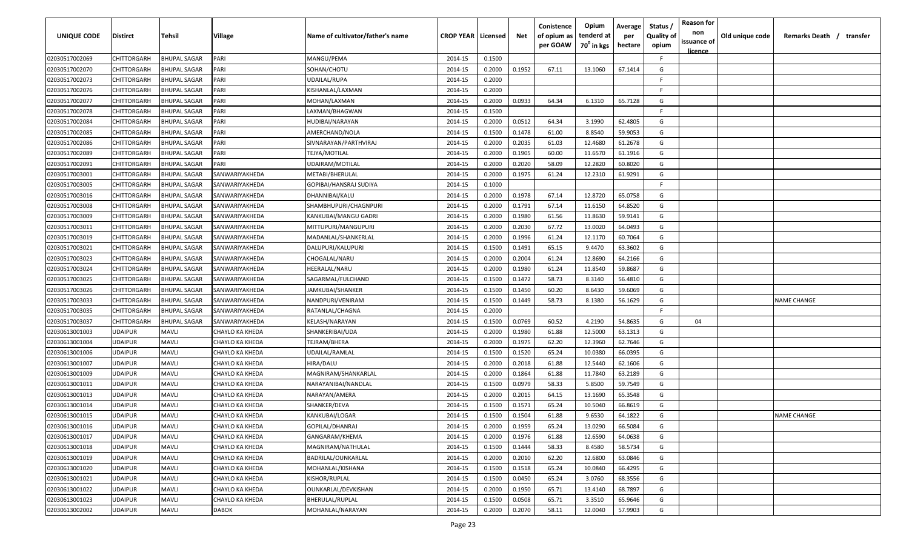| <b>UNIQUE CODE</b> | Distirct       | Tehsil              | Village                | Name of cultivator/father's name | <b>CROP YEAR   Licensed</b> |        | Net    | Conistence<br>of opium as<br>per GOAW | Opium<br>tenderd at<br>70 <sup>0</sup> in kgs | Average<br>per<br>hectare | Status /<br><b>Quality of</b><br>opium | <b>Reason for</b><br>non<br>issuance of<br><u>licence</u> | Old unique code | Remarks Death / transfer |
|--------------------|----------------|---------------------|------------------------|----------------------------------|-----------------------------|--------|--------|---------------------------------------|-----------------------------------------------|---------------------------|----------------------------------------|-----------------------------------------------------------|-----------------|--------------------------|
| 02030517002069     | CHITTORGARH    | <b>BHUPAL SAGAR</b> | PARI                   | MANGU/PEMA                       | 2014-15                     | 0.1500 |        |                                       |                                               |                           | F.                                     |                                                           |                 |                          |
| 02030517002070     | CHITTORGARH    | <b>BHUPAL SAGAR</b> | PARI                   | SOHAN/CHOTU                      | 2014-15                     | 0.2000 | 0.1952 | 67.11                                 | 13.1060                                       | 67.1414                   | G                                      |                                                           |                 |                          |
| 02030517002073     | CHITTORGARH    | <b>BHUPAL SAGAR</b> | PARI                   | UDAILAL/RUPA                     | 2014-15                     | 0.2000 |        |                                       |                                               |                           | -F.                                    |                                                           |                 |                          |
| 02030517002076     | CHITTORGARH    | <b>BHUPAL SAGAR</b> | PARI                   | KISHANLAL/LAXMAN                 | 2014-15                     | 0.2000 |        |                                       |                                               |                           | -F.                                    |                                                           |                 |                          |
| 02030517002077     | CHITTORGARH    | <b>BHUPAL SAGAR</b> | PARI                   | MOHAN/LAXMAN                     | 2014-15                     | 0.2000 | 0.0933 | 64.34                                 | 6.1310                                        | 65.7128                   | G                                      |                                                           |                 |                          |
| 02030517002078     | CHITTORGARH    | <b>BHUPAL SAGAR</b> | PARI                   | LAXMAN/BHAGWAN                   | 2014-15                     | 0.1500 |        |                                       |                                               |                           | -F.                                    |                                                           |                 |                          |
| 02030517002084     | CHITTORGARH    | <b>BHUPAL SAGAR</b> | PARI                   | HUDIBAI/NARAYAN                  | 2014-15                     | 0.2000 | 0.0512 | 64.34                                 | 3.1990                                        | 62.4805                   | G                                      |                                                           |                 |                          |
| 02030517002085     | CHITTORGARH    | <b>BHUPAL SAGAR</b> | PARI                   | AMERCHAND/NOLA                   | 2014-15                     | 0.1500 | 0.1478 | 61.00                                 | 8.8540                                        | 59.9053                   | G                                      |                                                           |                 |                          |
| 02030517002086     | CHITTORGARH    | <b>BHUPAL SAGAR</b> | PARI                   | SIVNARAYAN/PARTHVIRAJ            | 2014-15                     | 0.2000 | 0.2035 | 61.03                                 | 12.4680                                       | 61.2678                   | G                                      |                                                           |                 |                          |
| 02030517002089     | CHITTORGARH    | <b>BHUPAL SAGAR</b> | PARI                   | TEJYA/MOTILAL                    | 2014-15                     | 0.2000 | 0.1905 | 60.00                                 | 11.6570                                       | 61.1916                   | G                                      |                                                           |                 |                          |
| 02030517002091     | CHITTORGARH    | BHUPAL SAGAR        | PARI                   | UDAIRAM/MOTILAL                  | 2014-15                     | 0.2000 | 0.2020 | 58.09                                 | 12.2820                                       | 60.8020                   | G                                      |                                                           |                 |                          |
| 02030517003001     | CHITTORGARH    | <b>BHUPAL SAGAR</b> | SANWARIYAKHEDA         | METABI/BHERULAL                  | 2014-15                     | 0.2000 | 0.1975 | 61.24                                 | 12.2310                                       | 61.9291                   | G                                      |                                                           |                 |                          |
| 02030517003005     | CHITTORGARH    | <b>BHUPAL SAGAR</b> | SANWARIYAKHEDA         | GOPIBAI/HANSRAJ SUDIYA           | 2014-15                     | 0.1000 |        |                                       |                                               |                           | -F.                                    |                                                           |                 |                          |
| 02030517003016     | CHITTORGARH    | <b>BHUPAL SAGAR</b> | SANWARIYAKHEDA         | DHANNIBAI/KALU                   | 2014-15                     | 0.2000 | 0.1978 | 67.14                                 | 12.8720                                       | 65.0758                   | G                                      |                                                           |                 |                          |
| 02030517003008     | CHITTORGARH    | <b>BHUPAL SAGAR</b> | SANWARIYAKHEDA         | SHAMBHUPURI/CHAGNPURI            | 2014-15                     | 0.2000 | 0.1791 | 67.14                                 | 11.6150                                       | 64.8520                   | G                                      |                                                           |                 |                          |
| 02030517003009     | CHITTORGARH    | <b>BHUPAL SAGAR</b> | SANWARIYAKHEDA         | KANKUBAI/MANGU GADRI             | 2014-15                     | 0.2000 | 0.1980 | 61.56                                 | 11.8630                                       | 59.9141                   | G                                      |                                                           |                 |                          |
| 02030517003011     | CHITTORGARH    | <b>BHUPAL SAGAR</b> | SANWARIYAKHEDA         | MITTUPURI/MANGUPURI              | 2014-15                     | 0.2000 | 0.2030 | 67.72                                 | 13.0020                                       | 64.0493                   | G                                      |                                                           |                 |                          |
| 02030517003019     | CHITTORGARH    | <b>BHUPAL SAGAR</b> | SANWARIYAKHEDA         | MADANLAL/SHANKERLAL              | 2014-15                     | 0.2000 | 0.1996 | 61.24                                 | 12.1170                                       | 60.7064                   | G                                      |                                                           |                 |                          |
| 02030517003021     | CHITTORGARH    | <b>BHUPAL SAGAR</b> | SANWARIYAKHEDA         | DALUPURI/KALUPURI                | 2014-15                     | 0.1500 | 0.1491 | 65.15                                 | 9.4470                                        | 63.3602                   | G                                      |                                                           |                 |                          |
| 02030517003023     | CHITTORGARH    | <b>BHUPAL SAGAR</b> | SANWARIYAKHEDA         | CHOGALAL/NARU                    | 2014-15                     | 0.2000 | 0.2004 | 61.24                                 | 12.8690                                       | 64.2166                   | G                                      |                                                           |                 |                          |
| 02030517003024     | CHITTORGARH    | <b>BHUPAL SAGAR</b> | SANWARIYAKHEDA         | HEERALAL/NARU                    | 2014-15                     | 0.2000 | 0.1980 | 61.24                                 | 11.8540                                       | 59.8687                   | G                                      |                                                           |                 |                          |
| 02030517003025     | CHITTORGARH    | <b>BHUPAL SAGAR</b> | SANWARIYAKHEDA         | SAGARMAL/FULCHAND                | 2014-15                     | 0.1500 | 0.1472 | 58.73                                 | 8.3140                                        | 56.4810                   | G                                      |                                                           |                 |                          |
| 02030517003026     | CHITTORGARH    | <b>BHUPAL SAGAR</b> | SANWARIYAKHEDA         | JAMKUBAI/SHANKER                 | 2014-15                     | 0.1500 | 0.1450 | 60.20                                 | 8.6430                                        | 59.6069                   | G                                      |                                                           |                 |                          |
| 02030517003033     | CHITTORGARH    | <b>BHUPAL SAGAR</b> | SANWARIYAKHEDA         | NANDPURI/VENIRAM                 | 2014-15                     | 0.1500 | 0.1449 | 58.73                                 | 8.1380                                        | 56.1629                   | G                                      |                                                           |                 | <b>NAME CHANGE</b>       |
| 02030517003035     | CHITTORGARH    | <b>BHUPAL SAGAR</b> | SANWARIYAKHEDA         | RATANLAL/CHAGNA                  | 2014-15                     | 0.2000 |        |                                       |                                               |                           | -F                                     |                                                           |                 |                          |
| 02030517003037     | CHITTORGARH    | <b>BHUPAL SAGAR</b> | SANWARIYAKHEDA         | KELASH/NARAYAN                   | 2014-15                     | 0.1500 | 0.0769 | 60.52                                 | 4.2190                                        | 54.8635                   | G                                      | 04                                                        |                 |                          |
| 02030613001003     | UDAIPUR        | Mavli               | CHAYLO KA KHEDA        | SHANKERIBAI/UDA                  | 2014-15                     | 0.2000 | 0.1980 | 61.88                                 | 12.5000                                       | 63.1313                   | G                                      |                                                           |                 |                          |
| 02030613001004     | UDAIPUR        | MAVLI               | CHAYLO KA KHEDA        | TEJRAM/BHERA                     | 2014-15                     | 0.2000 | 0.1975 | 62.20                                 | 12.3960                                       | 62.7646                   | G                                      |                                                           |                 |                          |
| 02030613001006     | UDAIPUR        | Mavli               | CHAYLO KA KHEDA        | UDAILAL/RAMLAL                   | 2014-15                     | 0.1500 | 0.1520 | 65.24                                 | 10.0380                                       | 66.0395                   | G                                      |                                                           |                 |                          |
| 02030613001007     | UDAIPUR        | MAVLI               | CHAYLO KA KHEDA        | HIRA/DALU                        | 2014-15                     | 0.2000 | 0.2018 | 61.88                                 | 12.5440                                       | 62.1606                   | G                                      |                                                           |                 |                          |
| 02030613001009     | <b>UDAIPUR</b> | Mavli               | CHAYLO KA KHEDA        | MAGNIRAM/SHANKARLAL              | 2014-15                     | 0.2000 | 0.1864 | 61.88                                 | 11.7840                                       | 63.2189                   | G                                      |                                                           |                 |                          |
| 02030613001011     | <b>UDAIPUR</b> | MAVLI               | CHAYLO KA KHEDA        | NARAYANIBAI/NANDLAL              | 2014-15                     | 0.1500 | 0.0979 | 58.33                                 | 5.8500                                        | 59.7549                   | G                                      |                                                           |                 |                          |
| 02030613001013     | <b>UDAIPUR</b> | <b>MAVLI</b>        | CHAYLO KA KHEDA        | NARAYAN/AMERA                    | 2014-15                     | 0.2000 | 0.2015 | 64.15                                 | 13.1690                                       | 65.3548                   | G                                      |                                                           |                 |                          |
| 02030613001014     | <b>UDAIPUR</b> | MAVLI               | CHAYLO KA KHEDA        | SHANKER/DEVA                     | 2014-15                     | 0.1500 | 0.1571 | 65.24                                 | 10.5040                                       | 66.8619                   | G                                      |                                                           |                 |                          |
| 02030613001015     | UDAIPUR        | MAVLI               | CHAYLO KA KHEDA        | KANKUBAI/LOGAR                   | 2014-15                     | 0.1500 | 0.1504 | 61.88                                 | 9.6530                                        | 64.1822                   | G                                      |                                                           |                 | <b>NAME CHANGE</b>       |
| 02030613001016     | <b>UDAIPUR</b> | <b>MAVLI</b>        | CHAYLO KA KHEDA        | GOPILAL/DHANRAJ                  | 2014-15                     | 0.2000 | 0.1959 | 65.24                                 | 13.0290                                       | 66.5084                   | G                                      |                                                           |                 |                          |
| 02030613001017     | <b>UDAIPUR</b> | <b>MAVLI</b>        | <b>CHAYLO KA KHEDA</b> | GANGARAM/KHEMA                   | 2014-15                     | 0.2000 | 0.1976 | 61.88                                 | 12.6590                                       | 64.0638                   | G                                      |                                                           |                 |                          |
| 02030613001018     | <b>UDAIPUR</b> | <b>MAVLI</b>        | CHAYLO KA KHEDA        | MAGNIRAM/NATHULAL                | 2014-15                     | 0.1500 | 0.1444 | 58.33                                 | 8.4580                                        | 58.5734                   | G                                      |                                                           |                 |                          |
| 02030613001019     | <b>UDAIPUR</b> | <b>MAVLI</b>        | CHAYLO KA KHEDA        | BADRILAL/OUNKARLAL               | 2014-15                     | 0.2000 | 0.2010 | 62.20                                 | 12.6800                                       | 63.0846                   | G                                      |                                                           |                 |                          |
| 02030613001020     | <b>UDAIPUR</b> | MAVLI               | CHAYLO KA KHEDA        | MOHANLAL/KISHANA                 | 2014-15                     | 0.1500 | 0.1518 | 65.24                                 | 10.0840                                       | 66.4295                   | G                                      |                                                           |                 |                          |
| 02030613001021     | <b>UDAIPUR</b> | MAVLI               | <b>CHAYLO KA KHEDA</b> | KISHOR/RUPLAL                    | 2014-15                     | 0.1500 | 0.0450 | 65.24                                 | 3.0760                                        | 68.3556                   | G                                      |                                                           |                 |                          |
| 02030613001022     | <b>UDAIPUR</b> | <b>MAVLI</b>        | CHAYLO KA KHEDA        | OUNKARLAL/DEVKISHAN              | 2014-15                     | 0.2000 | 0.1950 | 65.71                                 | 13.4140                                       | 68.7897                   | G                                      |                                                           |                 |                          |
| 02030613001023     | <b>UDAIPUR</b> | MAVLI               | CHAYLO KA KHEDA        | <b>BHERULAL/RUPLAL</b>           | 2014-15                     | 0.1500 | 0.0508 | 65.71                                 | 3.3510                                        | 65.9646                   | G                                      |                                                           |                 |                          |
| 02030613002002     | UDAIPUR        | MAVLI               | DABOK                  | MOHANLAL/NARAYAN                 | 2014-15                     | 0.2000 | 0.2070 | 58.11                                 | 12.0040                                       | 57.9903                   | G                                      |                                                           |                 |                          |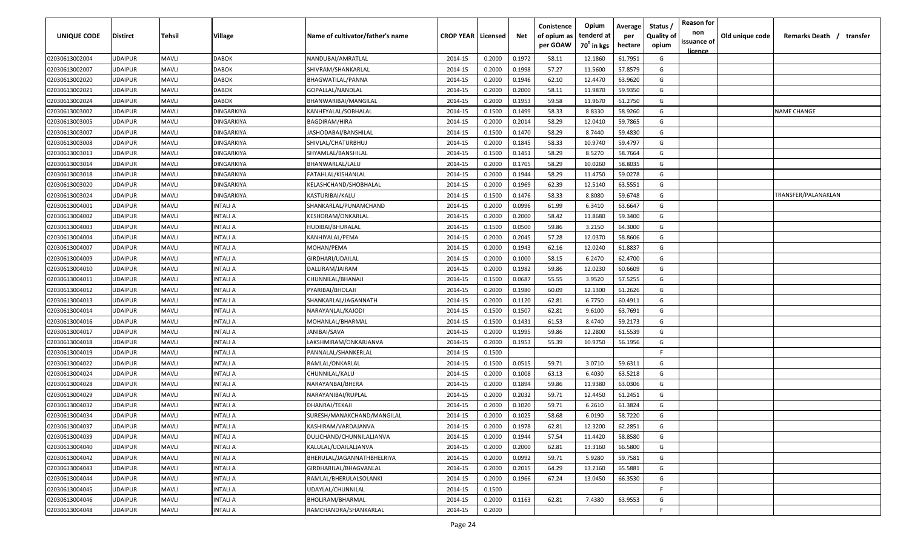| UNIQUE CODE                      | <b>Distirct</b>                  | Tehsil                       | Village                                | Name of cultivator/father's name      | <b>CROP YEAR   Licensed</b> |                  | Net              | Conistence<br>of opium as<br>per GOAW | Opium<br>tenderd at<br>70 <sup>0</sup> in kgs | Average<br>per<br>hectare | Status<br><b>Quality of</b><br>opium | <b>Reason for</b><br>non<br>issuance of | Old unique code | Remarks Death / transfer |
|----------------------------------|----------------------------------|------------------------------|----------------------------------------|---------------------------------------|-----------------------------|------------------|------------------|---------------------------------------|-----------------------------------------------|---------------------------|--------------------------------------|-----------------------------------------|-----------------|--------------------------|
|                                  |                                  |                              |                                        |                                       |                             |                  |                  |                                       |                                               |                           |                                      | <u>licence</u>                          |                 |                          |
| 02030613002004                   | <b>UDAIPUR</b>                   | <b>MAVLI</b>                 | <b>DABOK</b>                           | NANDUBAI/AMRATLAL                     | 2014-15                     | 0.2000           | 0.1972           | 58.11                                 | 12.1860                                       | 61.7951                   | G                                    |                                         |                 |                          |
| 02030613002007                   | <b>UDAIPUR</b>                   | <b>MAVLI</b>                 | <b>DABOK</b>                           | SHIVRAM/SHANKARLAL                    | 2014-15                     | 0.2000           | 0.1998           | 57.27                                 | 11.5600                                       | 57.8579                   | G                                    |                                         |                 |                          |
| 02030613002020                   | <b>UDAIPUR</b>                   | <b>MAVLI</b>                 | <b>DABOK</b>                           | BHAGWATILAL/PANNA                     | 2014-15                     | 0.2000           | 0.1946           | 62.10                                 | 12.4470                                       | 63.9620                   | G                                    |                                         |                 |                          |
| 02030613002021                   | <b>UDAIPUR</b>                   | <b>MAVLI</b>                 | <b>DABOK</b>                           | GOPALLAL/NANDLAL                      | 2014-15                     | 0.2000           | 0.2000           | 58.11                                 | 11.9870                                       | 59.9350                   | G                                    |                                         |                 |                          |
| 02030613002024                   | <b>UDAIPUR</b>                   | <b>MAVLI</b>                 | <b>DABOK</b>                           | BHANWARIBAI/MANGILAL                  | 2014-15                     | 0.2000           | 0.1953           | 59.58                                 | 11.9670                                       | 61.2750                   | G                                    |                                         |                 |                          |
| 02030613003002                   | <b>UDAIPUR</b><br><b>UDAIPUR</b> | <b>MAVLI</b><br><b>MAVLI</b> | <b>DINGARKIYA</b><br><b>DINGARKIYA</b> | KANHEYALAL/SOBHALAL                   | 2014-15                     | 0.1500<br>0.2000 | 0.1499<br>0.2014 | 58.33<br>58.29                        | 8.8330                                        | 58.9260                   | G                                    |                                         |                 | <b>NAME CHANGE</b>       |
| 02030613003005<br>02030613003007 | <b>UDAIPUR</b>                   | <b>MAVLI</b>                 | <b>DINGARKIYA</b>                      | BAGDIRAM/HIRA<br>IASHODABAI/BANSHILAL | 2014-15<br>2014-15          | 0.1500           | 0.1470           | 58.29                                 | 12.0410<br>8.7440                             | 59.7865<br>59.4830        | G<br>G                               |                                         |                 |                          |
| 02030613003008                   | <b>UDAIPUR</b>                   | <b>MAVLI</b>                 | DINGARKIYA                             | SHIVLAL/CHATURBHUJ                    | 2014-15                     | 0.2000           | 0.1845           | 58.33                                 | 10.9740                                       | 59.4797                   | G                                    |                                         |                 |                          |
| 02030613003013                   | <b>UDAIPUR</b>                   | <b>MAVLI</b>                 | <b>DINGARKIYA</b>                      | SHYAMLAL/BANSHILAL                    | 2014-15                     | 0.1500           | 0.1451           | 58.29                                 | 8.5270                                        | 58.7664                   | G                                    |                                         |                 |                          |
| 02030613003014                   | <b>UDAIPUR</b>                   | <b>MAVLI</b>                 | DINGARKIYA                             | BHANWARLAL/LALU                       | 2014-15                     | 0.2000           | 0.1705           | 58.29                                 | 10.0260                                       | 58.8035                   | G                                    |                                         |                 |                          |
| 02030613003018                   | <b>UDAIPUR</b>                   | <b>MAVLI</b>                 | DINGARKIYA                             | FATAHLAL/KISHANLAL                    | 2014-15                     | 0.2000           | 0.1944           | 58.29                                 | 11.4750                                       | 59.0278                   | G                                    |                                         |                 |                          |
| 02030613003020                   | <b>UDAIPUR</b>                   | <b>MAVLI</b>                 | <b>DINGARKIYA</b>                      | KELASHCHAND/SHOBHALAL                 | 2014-15                     | 0.2000           | 0.1969           | 62.39                                 | 12.5140                                       | 63.5551                   | G                                    |                                         |                 |                          |
| 02030613003024                   | <b>UDAIPUR</b>                   | <b>MAVLI</b>                 | <b>DINGARKIYA</b>                      | KASTURIBAI/KALU                       | 2014-15                     | 0.1500           | 0.1476           | 58.33                                 | 8.8080                                        | 59.6748                   | G                                    |                                         |                 | TRANSFER/PALANAKLAN      |
| 02030613004001                   | <b>UDAIPUR</b>                   | <b>MAVLI</b>                 | INTALI A                               | SHANKARLAL/PUNAMCHAND                 | 2014-15                     | 0.2000           | 0.0996           | 61.99                                 | 6.3410                                        | 63.6647                   | G                                    |                                         |                 |                          |
| 02030613004002                   | <b>UDAIPUR</b>                   | <b>MAVLI</b>                 | INTALI A                               | KESHORAM/ONKARLAL                     | 2014-15                     | 0.2000           | 0.2000           | 58.42                                 | 11.8680                                       | 59.3400                   | G                                    |                                         |                 |                          |
| 02030613004003                   | <b>UDAIPUR</b>                   | <b>MAVLI</b>                 | INTALI A                               | HUDIBAI/BHURALAL                      | 2014-15                     | 0.1500           | 0.0500           | 59.86                                 | 3.2150                                        | 64.3000                   | G                                    |                                         |                 |                          |
| 02030613004004                   | <b>UDAIPUR</b>                   | <b>MAVLI</b>                 | INTALI A                               | KANHIYALAL/PEMA                       | 2014-15                     | 0.2000           | 0.2045           | 57.28                                 | 12.0370                                       | 58.8606                   | G                                    |                                         |                 |                          |
| 02030613004007                   | <b>UDAIPUR</b>                   | <b>MAVLI</b>                 | INTALI A                               | MOHAN/PEMA                            | 2014-15                     | 0.2000           | 0.1943           | 62.16                                 | 12.0240                                       | 61.8837                   | G                                    |                                         |                 |                          |
| 02030613004009                   | <b>UDAIPUR</b>                   | <b>MAVLI</b>                 | INTALI A                               | GIRDHARI/UDAILAL                      | 2014-15                     | 0.2000           | 0.1000           | 58.15                                 | 6.2470                                        | 62.4700                   | G                                    |                                         |                 |                          |
| 02030613004010                   | <b>UDAIPUR</b>                   | <b>MAVLI</b>                 | INTALI A                               | DALLIRAM/JAIRAM                       | 2014-15                     | 0.2000           | 0.1982           | 59.86                                 | 12.0230                                       | 60.6609                   | G                                    |                                         |                 |                          |
| 02030613004011                   | <b>UDAIPUR</b>                   | <b>MAVLI</b>                 | INTALI A                               | CHUNNILAL/BHANAJI                     | 2014-15                     | 0.1500           | 0.0687           | 55.55                                 | 3.9520                                        | 57.5255                   | G                                    |                                         |                 |                          |
| 02030613004012                   | <b>UDAIPUR</b>                   | <b>MAVLI</b>                 | INTALI A                               | PYARIBAI/BHOLAJI                      | 2014-15                     | 0.2000           | 0.1980           | 60.09                                 | 12.1300                                       | 61.2626                   | G                                    |                                         |                 |                          |
| 02030613004013                   | <b>UDAIPUR</b>                   | <b>MAVLI</b>                 | INTALI A                               | SHANKARLAL/JAGANNATH                  | 2014-15                     | 0.2000           | 0.1120           | 62.81                                 | 6.7750                                        | 60.4911                   | G                                    |                                         |                 |                          |
| 02030613004014                   | <b>UDAIPUR</b>                   | <b>MAVLI</b>                 | INTALI A                               | NARAYANLAL/KAJODI                     | 2014-15                     | 0.1500           | 0.1507           | 62.81                                 | 9.6100                                        | 63.7691                   | G                                    |                                         |                 |                          |
| 02030613004016                   | <b>UDAIPUR</b>                   | MAVLI                        | INTALI A                               | MOHANLAL/BHARMAL                      | 2014-15                     | 0.1500           | 0.1431           | 61.53                                 | 8.4740                                        | 59.2173                   | G                                    |                                         |                 |                          |
| 02030613004017                   | <b>UDAIPUR</b>                   | <b>MAVLI</b>                 | INTALI A                               | IANIBAI/SAVA                          | 2014-15                     | 0.2000           | 0.1995           | 59.86                                 | 12.2800                                       | 61.5539                   | G                                    |                                         |                 |                          |
| 02030613004018                   | <b>UDAIPUR</b>                   | <b>MAVLI</b>                 | INTALI A                               | LAKSHMIRAM/ONKARJANVA                 | 2014-15                     | 0.2000           | 0.1953           | 55.39                                 | 10.9750                                       | 56.1956                   | G                                    |                                         |                 |                          |
| 02030613004019                   | <b>UDAIPUR</b>                   | <b>MAVLI</b>                 | INTALI A                               | PANNALAL/SHANKERLAL                   | 2014-15                     | 0.1500           |                  |                                       |                                               |                           | F.                                   |                                         |                 |                          |
| 02030613004022                   | <b>UDAIPUR</b>                   | MAVLI                        | INTALI A                               | RAMLAL/ONKARLAL                       | 2014-15                     | 0.1500           | 0.0515           | 59.71                                 | 3.0710                                        | 59.6311                   | G                                    |                                         |                 |                          |
| 02030613004024                   | <b>UDAIPUR</b>                   | MAVLI                        | INTALI A                               | CHUNNILAL/KALU                        | 2014-15                     | 0.2000           | 0.1008           | 63.13                                 | 6.4030                                        | 63.5218                   | G                                    |                                         |                 |                          |
| 02030613004028                   | <b>UDAIPUR</b>                   | <b>MAVLI</b>                 | INTALI A                               | NARAYANBAI/BHERA                      | 2014-15                     | 0.2000           | 0.1894           | 59.86                                 | 11.9380                                       | 63.0306                   | G                                    |                                         |                 |                          |
| 02030613004029                   | <b>UDAIPUR</b>                   | <b>MAVLI</b>                 | INTALI A                               | NARAYANIBAI/RUPLAL                    | 2014-15                     | 0.2000           | 0.2032           | 59.71                                 | 12.4450                                       | 61.2451                   | G                                    |                                         |                 |                          |
| 02030613004032                   | <b>UDAIPUR</b>                   | MAVLI                        | INTALI A                               | DHANRAJ/TEKAJI                        | 2014-15                     | 0.2000           | 0.1020           | 59.71                                 | 6.2610                                        | 61.3824                   | G                                    |                                         |                 |                          |
| 02030613004034                   | <b>UDAIPUR</b>                   | <b>MAVLI</b>                 | INTALI A                               | SURESH/MANAKCHAND/MANGILAL            | 2014-15                     | 0.2000           | 0.1025           | 58.68                                 | 6.0190                                        | 58.7220                   | G                                    |                                         |                 |                          |
| 02030613004037                   | <b>UDAIPUR</b>                   | <b>MAVLI</b>                 | <b>INTALI A</b>                        | KASHIRAM/VARDAJANVA                   | 2014-15                     | 0.2000           | 0.1978           | 62.81                                 | 12.3200                                       | 62.2851                   | G                                    |                                         |                 |                          |
| 02030613004039                   | <b>UDAIPUR</b>                   | <b>MAVLI</b>                 | <b>INTALI A</b>                        | DULICHAND/CHUNNILALJANVA              | 2014-15                     | 0.2000           | 0.1944           | 57.54                                 | 11.4420                                       | 58.8580                   | G                                    |                                         |                 |                          |
| 02030613004040                   | <b>UDAIPUR</b>                   | <b>MAVLI</b>                 | <b>INTALI A</b>                        | KALULAL/UDAILALJANVA                  | 2014-15                     | 0.2000           | 0.2000           | 62.81                                 | 13.3160                                       | 66.5800                   | G                                    |                                         |                 |                          |
| 02030613004042                   | <b>UDAIPUR</b>                   | <b>MAVLI</b>                 | <b>INTALI A</b>                        | BHERULAL/JAGANNATHBHELRIYA            | 2014-15                     | 0.2000           | 0.0992           | 59.71                                 | 5.9280                                        | 59.7581                   | G                                    |                                         |                 |                          |
| 02030613004043                   | <b>UDAIPUR</b>                   | <b>MAVLI</b>                 | INTALI A                               | GIRDHARILAL/BHAGVANLAL                | 2014-15                     | 0.2000           | 0.2015           | 64.29                                 | 13.2160                                       | 65.5881                   | G                                    |                                         |                 |                          |
| 02030613004044                   | <b>UDAIPUR</b>                   | <b>MAVLI</b>                 | INTALI A                               | RAMLAL/BHERULALSOLANKI                | 2014-15                     | 0.2000           | 0.1966           | 67.24                                 | 13.0450                                       | 66.3530                   | G                                    |                                         |                 |                          |
| 02030613004045                   | <b>UDAIPUR</b>                   | <b>MAVLI</b>                 | INTALI A                               | UDAYLAL/CHUNNILAL                     | 2014-15                     | 0.1500           |                  |                                       |                                               |                           | F.                                   |                                         |                 |                          |
| 02030613004046                   | <b>UDAIPUR</b>                   | <b>MAVLI</b>                 | INTALI A                               | BHOLIRAM/BHARMAL                      | 2014-15                     | 0.2000           | 0.1163           | 62.81                                 | 7.4380                                        | 63.9553                   | G                                    |                                         |                 |                          |
| 02030613004048                   | <b>UDAIPUR</b>                   | <b>MAVLI</b>                 | INTALI A                               | RAMCHANDRA/SHANKARLAL                 | 2014-15                     | 0.2000           |                  |                                       |                                               |                           | F.                                   |                                         |                 |                          |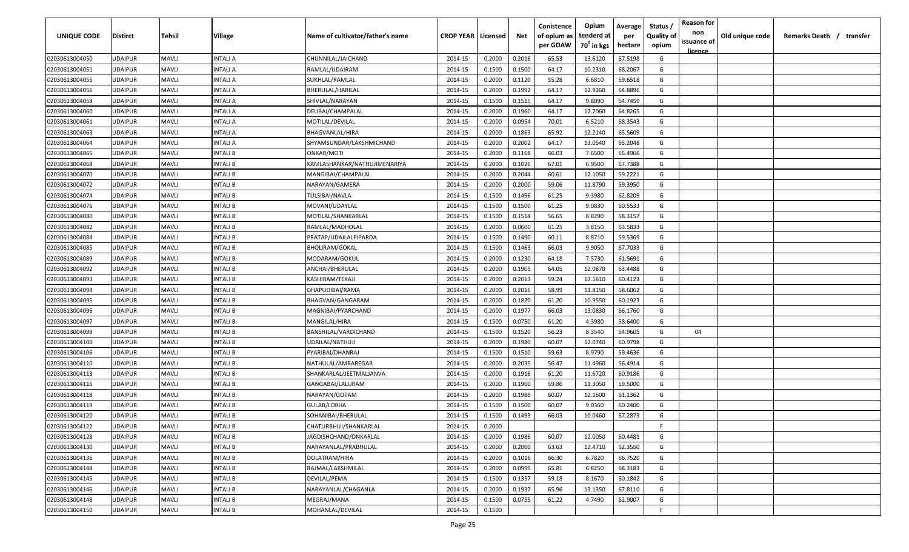| UNIQUE CODE    | Distirct       | Tehsil       | Village        | Name of cultivator/father's name | <b>CROP YEAR   Licensed</b> |        | Net    | Conistence<br>of opium as | Opium<br>tenderd at    | Average<br>per | Status<br><b>Quality of</b> | <b>Reason for</b><br>non      | Old unique code | Remarks Death / transfer |
|----------------|----------------|--------------|----------------|----------------------------------|-----------------------------|--------|--------|---------------------------|------------------------|----------------|-----------------------------|-------------------------------|-----------------|--------------------------|
|                |                |              |                |                                  |                             |        |        | per GOAW                  | 70 <sup>0</sup> in kgs | hectare        | opium                       | issuance of<br><u>licence</u> |                 |                          |
| 02030613004050 | UDAIPUR        | <b>MAVLI</b> | INTALI A       | CHUNNILAL/JAICHAND               | 2014-15                     | 0.2000 | 0.2016 | 65.53                     | 13.6120                | 67.5198        | G                           |                               |                 |                          |
| 02030613004051 | UDAIPUR        | <b>MAVLI</b> | INTALI A       | RAMLAL/UDAIRAM                   | 2014-15                     | 0.1500 | 0.1500 | 64.17                     | 10.2310                | 68.2067        | G                           |                               |                 |                          |
| 02030613004055 | UDAIPUR        | <b>MAVLI</b> | INTALI A       | SUKHLAL/RAMLAL                   | 2014-15                     | 0.2000 | 0.1120 | 55.28                     | 6.6810                 | 59.6518        | G                           |                               |                 |                          |
| 02030613004056 | UDAIPUR        | <b>MAVLI</b> | INTALI A       | BHERULAL/HARILAL                 | 2014-15                     | 0.2000 | 0.1992 | 64.17                     | 12.9260                | 64.8896        | G                           |                               |                 |                          |
| 02030613004058 | UDAIPUR        | <b>MAVLI</b> | INTALI A       | SHIVLAL/NARAYAN                  | 2014-15                     | 0.1500 | 0.1515 | 64.17                     | 9.8090                 | 64.7459        | G                           |                               |                 |                          |
| 02030613004060 | UDAIPUR        | <b>MAVLI</b> | INTALI A       | DEUBAI/CHAMPALAL                 | 2014-15                     | 0.2000 | 0.1960 | 64.17                     | 12.7060                | 64.8265        | G                           |                               |                 |                          |
| 02030613004061 | UDAIPUR        | <b>MAVLI</b> | INTALI A       | MOTILAL/DEVILAL                  | 2014-15                     | 0.2000 | 0.0954 | 70.01                     | 6.5210                 | 68.3543        | G                           |                               |                 |                          |
| 02030613004063 | UDAIPUR        | <b>MAVLI</b> | INTALI A       | <b>BHAGVANLAL/HIRA</b>           | 2014-15                     | 0.2000 | 0.1863 | 65.92                     | 12.2140                | 65.5609        | G                           |                               |                 |                          |
| 02030613004064 | UDAIPUR        | <b>MAVLI</b> | INTALI A       | SHYAMSUNDAR/LAKSHMICHAND         | 2014-15                     | 0.2000 | 0.2002 | 64.17                     | 13.0540                | 65.2048        | G                           |                               |                 |                          |
| 02030613004065 | <b>JDAIPUR</b> | <b>MAVLI</b> | INTALI B       | ONKAR/MOTI                       | 2014-15                     | 0.2000 | 0.1168 | 66.03                     | 7.6500                 | 65.4966        | G                           |                               |                 |                          |
| 02030613004068 | UDAIPUR        | <b>MAVLI</b> | NTALI B        | KAMLASHANKAR/NATHUJIMENARIYA     | 2014-15                     | 0.2000 | 0.1026 | 67.01                     | 6.9500                 | 67.7388        | G                           |                               |                 |                          |
| 02030613004070 | UDAIPUR        | <b>MAVLI</b> | INTALI B       | MANGIBAI/CHAMPALAL               | 2014-15                     | 0.2000 | 0.2044 | 60.61                     | 12.1050                | 59.2221        | G                           |                               |                 |                          |
| 02030613004072 | UDAIPUR        | <b>MAVLI</b> | INTALI B       | NARAYAN/GAMERA                   | 2014-15                     | 0.2000 | 0.2000 | 59.06                     | 11.8790                | 59.3950        | G                           |                               |                 |                          |
| 02030613004074 | UDAIPUR        | <b>MAVLI</b> | <b>NTALIB</b>  | TULSIBAI/NAVLA                   | 2014-15                     | 0.1500 | 0.1496 | 61.25                     | 9.3980                 | 62.8209        | G                           |                               |                 |                          |
| 02030613004076 | UDAIPUR        | <b>MAVLI</b> | INTALI B       | MOVANI/UDAYLAL                   | 2014-15                     | 0.1500 | 0.1500 | 61.25                     | 9.0830                 | 60.5533        | G                           |                               |                 |                          |
| 02030613004080 | UDAIPUR        | <b>MAVLI</b> | INTALI B       | MOTILAL/SHANKARLAL               | 2014-15                     | 0.1500 | 0.1514 | 56.65                     | 8.8290                 | 58.3157        | G                           |                               |                 |                          |
| 02030613004082 | UDAIPUR        | <b>MAVLI</b> | INTALI B       | RAMLAL/MADHOLAL                  | 2014-15                     | 0.2000 | 0.0600 | 61.25                     | 3.8150                 | 63.5833        | G                           |                               |                 |                          |
| 02030613004084 | UDAIPUR        | <b>MAVLI</b> | INTALI B       | PRATAP/UDAILALPIPARDA            | 2014-15                     | 0.1500 | 0.1490 | 60.11                     | 8.8710                 | 59.5369        | G                           |                               |                 |                          |
| 02030613004085 | UDAIPUR        | <b>MAVLI</b> | INTALI B       | <b>BHOLIRAM/GOKAL</b>            | 2014-15                     | 0.1500 | 0.1463 | 66.03                     | 9.9050                 | 67.7033        | G                           |                               |                 |                          |
| 02030613004089 | UDAIPUR        | <b>MAVLI</b> | INTALI B       | MODARAM/GOKUL                    | 2014-15                     | 0.2000 | 0.1230 | 64.18                     | 7.5730                 | 61.5691        | G                           |                               |                 |                          |
| 02030613004092 | UDAIPUR        | <b>MAVLI</b> | INTALI B       | ANCHAI/BHERULAL                  | 2014-15                     | 0.2000 | 0.1905 | 64.05                     | 12.0870                | 63.4488        | G                           |                               |                 |                          |
| 02030613004093 | <b>UDAIPUR</b> | <b>MAVLI</b> | INTALI B       | KASHIRAM/TEKAJI                  | 2014-15                     | 0.2000 | 0.2013 | 59.24                     | 12.1610                | 60.4123        | G                           |                               |                 |                          |
| 02030613004094 | UDAIPUR        | <b>MAVLI</b> | INTALI B       | DHAPUDIBAI/RAMA                  | 2014-15                     | 0.2000 | 0.2016 | 58.99                     | 11.8150                | 58.6062        | G                           |                               |                 |                          |
| 02030613004095 | UDAIPUR        | <b>MAVLI</b> | INTALI B       | BHAGVAN/GANGARAM                 | 2014-15                     | 0.2000 | 0.1820 | 61.20                     | 10.9550                | 60.1923        | G                           |                               |                 |                          |
| 02030613004096 | UDAIPUR        | <b>MAVLI</b> | INTALI B       | MAGNIBAI/PYARCHAND               | 2014-15                     | 0.2000 | 0.1977 | 66.03                     | 13.0830                | 66.1760        | G                           |                               |                 |                          |
| 02030613004097 | UDAIPUR        | <b>MAVLI</b> | INTALI B       | MANGILAL/HIRA                    | 2014-15                     | 0.1500 | 0.0750 | 61.20                     | 4.3980                 | 58.6400        | G                           |                               |                 |                          |
| 02030613004099 | UDAIPUR        | <b>MAVLI</b> | INTALI B       | BANSHILAL/VARDICHAND             | 2014-15                     | 0.1500 | 0.1520 | 56.23                     | 8.3540                 | 54.9605        | G                           | 04                            |                 |                          |
| 02030613004100 | UDAIPUR        | <b>MAVLI</b> | NTALI B        | UDAILAL/NATHUJI                  | 2014-15                     | 0.2000 | 0.1980 | 60.07                     | 12.0740                | 60.9798        | G                           |                               |                 |                          |
| 02030613004106 | UDAIPUR        | <b>MAVLI</b> | <b>NTALI B</b> | PYARIBAI/DHANRAJ                 | 2014-15                     | 0.1500 | 0.1510 | 59.63                     | 8.9790                 | 59.4636        | G                           |                               |                 |                          |
| 02030613004110 | UDAIPUR        | <b>MAVLI</b> | INTALI B       | NATHULAL/AMRAREGAR               | 2014-15                     | 0.2000 | 0.2035 | 56.47                     | 11.4960                | 56.4914        | G                           |                               |                 |                          |
| 02030613004113 | UDAIPUR        | <b>MAVLI</b> | INTALI B       | SHANKARLAL/JEETMALJANVA          | 2014-15                     | 0.2000 | 0.1916 | 61.20                     | 11.6720                | 60.9186        | G                           |                               |                 |                          |
| 02030613004115 | UDAIPUR        | <b>MAVLI</b> | INTALI B       | GANGABAI/LALURAM                 | 2014-15                     | 0.2000 | 0.1900 | 59.86                     | 11.3050                | 59.5000        | G                           |                               |                 |                          |
| 02030613004118 | UDAIPUR        | <b>MAVLI</b> | INTALI B       | NARAYAN/GOTAM                    | 2014-15                     | 0.2000 | 0.1989 | 60.07                     | 12.1600                | 61.1362        | G                           |                               |                 |                          |
| 02030613004119 | UDAIPUR        | <b>MAVLI</b> | INTALI B       | GULAB/LOBHA                      | 2014-15                     | 0.1500 | 0.1500 | 60.07                     | 9.0360                 | 60.2400        | G                           |                               |                 |                          |
| 02030613004120 | UDAIPUR        | <b>MAVLI</b> | INTALI B       | SOHANIBAI/BHERULAL               | 2014-15                     | 0.1500 | 0.1493 | 66.03                     | 10.0460                | 67.2873        | G                           |                               |                 |                          |
| 02030613004122 | <b>UDAIPUR</b> | <b>MAVLI</b> | INTALI B       | CHATURBHUJ/SHANKARLAL            | 2014-15                     | 0.2000 |        |                           |                        |                | -F.                         |                               |                 |                          |
| 02030613004128 | <b>UDAIPUR</b> | <b>MAVLI</b> | INTALI B       | JAGDISHCHAND/ONKARLAL            | 2014-15                     | 0.2000 | 0.1986 | 60.07                     | 12.0050                | 60.4481        | G                           |                               |                 |                          |
| 02030613004130 | UDAIPUR        | <b>MAVLI</b> | INTALI B       | NARAYANLAL/PRABHULAL             | 2014-15                     | 0.2000 | 0.2000 | 63.63                     | 12.4710                | 62.3550        | G                           |                               |                 |                          |
| 02030613004136 | UDAIPUR        | <b>MAVLI</b> | INTALI B       | DOLATRAM/HIRA                    | 2014-15                     | 0.2000 | 0.1016 | 66.30                     | 6.7820                 | 66.7520        | G                           |                               |                 |                          |
| 02030613004144 | UDAIPUR        | <b>MAVLI</b> | INTALI B       | RAJMAL/LAKSHMILAL                | 2014-15                     | 0.2000 | 0.0999 | 65.81                     | 6.8250                 | 68.3183        | G                           |                               |                 |                          |
| 02030613004145 | UDAIPUR        | <b>MAVLI</b> | INTALI B       | DEVILAL/PEMA                     | 2014-15                     | 0.1500 | 0.1357 | 59.18                     | 8.1670                 | 60.1842        | G                           |                               |                 |                          |
| 02030613004146 | UDAIPUR        | <b>MAVLI</b> | INTALI B       | NARAYANLAL/CHAGANLA              | 2014-15                     | 0.2000 | 0.1937 | 65.96                     | 13.1350                | 67.8110        | G                           |                               |                 |                          |
| 02030613004148 | UDAIPUR        | <b>MAVLI</b> | INTALI B       | MEGRAJ/MANA                      | 2014-15                     | 0.1500 | 0.0755 | 61.22                     | 4.7490                 | 62.9007        | G                           |                               |                 |                          |
| 02030613004150 | UDAIPUR        | <b>MAVLI</b> | INTALI B       | MOHANLAL/DEVILAL                 | 2014-15                     | 0.1500 |        |                           |                        |                | F.                          |                               |                 |                          |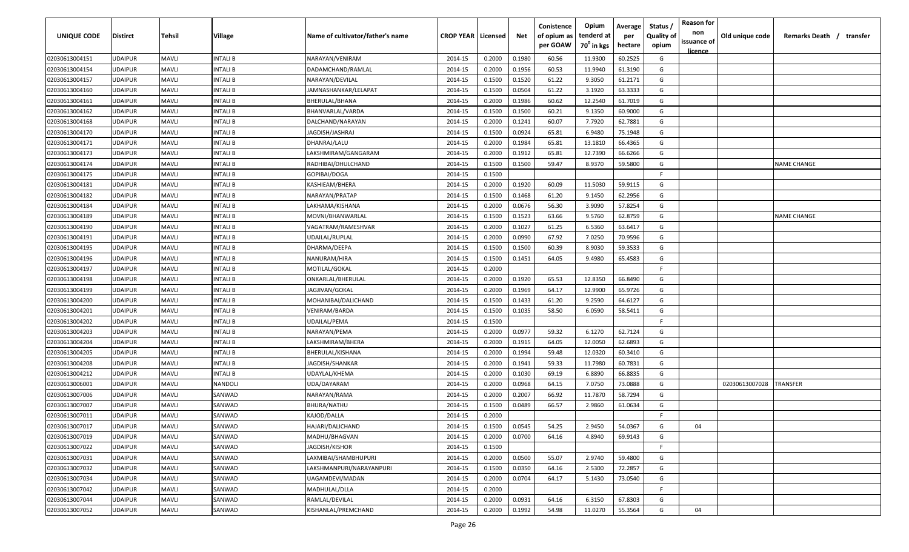| UNIQUE CODE    | Distirct       | Tehsil       | Village        | Name of cultivator/father's name | <b>CROP YEAR   Licensed</b> |        | Net    | Conistence<br>of opium as | Opium<br>tenderd at    | Average<br>per | Status<br><b>Quality of</b> | <b>Reason for</b><br>non      | Old unique code | Remarks Death / transfer |
|----------------|----------------|--------------|----------------|----------------------------------|-----------------------------|--------|--------|---------------------------|------------------------|----------------|-----------------------------|-------------------------------|-----------------|--------------------------|
|                |                |              |                |                                  |                             |        |        | per GOAW                  | 70 <sup>°</sup> in kgs | hectare        | opium                       | issuance of<br><u>licence</u> |                 |                          |
| 02030613004151 | UDAIPUR        | <b>MAVLI</b> | INTALI B       | NARAYAN/VENIRAM                  | 2014-15                     | 0.2000 | 0.1980 | 60.56                     | 11.9300                | 60.2525        | G                           |                               |                 |                          |
| 02030613004154 | UDAIPUR        | <b>MAVLI</b> | INTALI B       | DADAMCHAND/RAMLAL                | 2014-15                     | 0.2000 | 0.1956 | 60.53                     | 11.9940                | 61.3190        | G                           |                               |                 |                          |
| 02030613004157 | UDAIPUR        | <b>MAVLI</b> | INTALI B       | NARAYAN/DEVILAL                  | 2014-15                     | 0.1500 | 0.1520 | 61.22                     | 9.3050                 | 61.2171        | G                           |                               |                 |                          |
| 02030613004160 | UDAIPUR        | <b>MAVLI</b> | INTALI B       | JAMNASHANKAR/LELAPAT             | 2014-15                     | 0.1500 | 0.0504 | 61.22                     | 3.1920                 | 63.3333        | G                           |                               |                 |                          |
| 02030613004161 | UDAIPUR        | <b>MAVLI</b> | INTALI B       | BHERULAL/BHANA                   | 2014-15                     | 0.2000 | 0.1986 | 60.62                     | 12.2540                | 61.7019        | G                           |                               |                 |                          |
| 02030613004162 | UDAIPUR        | <b>MAVLI</b> | INTALI B       | BHANVARLAL/VARDA                 | 2014-15                     | 0.1500 | 0.1500 | 60.21                     | 9.1350                 | 60.9000        | G                           |                               |                 |                          |
| 02030613004168 | UDAIPUR        | <b>MAVLI</b> | INTALI B       | DALCHAND/NARAYAN                 | 2014-15                     | 0.2000 | 0.1241 | 60.07                     | 7.7920                 | 62.7881        | G                           |                               |                 |                          |
| 02030613004170 | UDAIPUR        | <b>MAVLI</b> | INTALI B       | JAGDISH/JASHRAJ                  | 2014-15                     | 0.1500 | 0.0924 | 65.81                     | 6.9480                 | 75.1948        | G                           |                               |                 |                          |
| 02030613004171 | UDAIPUR        | <b>MAVLI</b> | INTALI B       | DHANRAJ/LALU                     | 2014-15                     | 0.2000 | 0.1984 | 65.81                     | 13.1810                | 66.4365        | G                           |                               |                 |                          |
| 02030613004173 | JDAIPUR        | <b>MAVLI</b> | INTALI B       | LAKSHMIRAM/GANGARAM              | 2014-15                     | 0.2000 | 0.1912 | 65.81                     | 12.7390                | 66.6266        | G                           |                               |                 |                          |
| 02030613004174 | JDAIPUR        | <b>MAVLI</b> | NTALI B        | RADHIBAI/DHULCHAND               | 2014-15                     | 0.1500 | 0.1500 | 59.47                     | 8.9370                 | 59.5800        | G                           |                               |                 | NAME CHANGE              |
| 02030613004175 | UDAIPUR        | <b>MAVLI</b> | INTALI B       | GOPIBAI/DOGA                     | 2014-15                     | 0.1500 |        |                           |                        |                | F.                          |                               |                 |                          |
| 02030613004181 | UDAIPUR        | <b>MAVLI</b> | INTALI B       | KASHIEAM/BHERA                   | 2014-15                     | 0.2000 | 0.1920 | 60.09                     | 11.5030                | 59.9115        | G                           |                               |                 |                          |
| 02030613004182 | UDAIPUR        | <b>MAVLI</b> | INTALI B       | NARAYAN/PRATAP                   | 2014-15                     | 0.1500 | 0.1468 | 61.20                     | 9.1450                 | 62.2956        | G                           |                               |                 |                          |
| 02030613004184 | UDAIPUR        | <b>MAVLI</b> | INTALI B       | LAKHAMA/KISHANA                  | 2014-15                     | 0.2000 | 0.0676 | 56.30                     | 3.9090                 | 57.8254        | G                           |                               |                 |                          |
| 02030613004189 | UDAIPUR        | <b>MAVLI</b> | INTALI B       | MOVNI/BHANWARLAL                 | 2014-15                     | 0.1500 | 0.1523 | 63.66                     | 9.5760                 | 62.8759        | G                           |                               |                 | <b>NAME CHANGE</b>       |
| 02030613004190 | UDAIPUR        | <b>MAVLI</b> | INTALI B       | VAGATRAM/RAMESHVAR               | 2014-15                     | 0.2000 | 0.1027 | 61.25                     | 6.5360                 | 63.6417        | G                           |                               |                 |                          |
| 02030613004191 | UDAIPUR        | <b>MAVLI</b> | INTALI B       | UDAILAL/RUPLAL                   | 2014-15                     | 0.2000 | 0.0990 | 67.92                     | 7.0250                 | 70.9596        | G                           |                               |                 |                          |
| 02030613004195 | UDAIPUR        | <b>MAVLI</b> | INTALI B       | DHARMA/DEEPA                     | 2014-15                     | 0.1500 | 0.1500 | 60.39                     | 8.9030                 | 59.3533        | G                           |                               |                 |                          |
| 02030613004196 | UDAIPUR        | <b>MAVLI</b> | INTALI B       | NANURAM/HIRA                     | 2014-15                     | 0.1500 | 0.1451 | 64.05                     | 9.4980                 | 65.4583        | G                           |                               |                 |                          |
| 02030613004197 | UDAIPUR        | <b>MAVLI</b> | INTALI B       | MOTILAL/GOKAL                    | 2014-15                     | 0.2000 |        |                           |                        |                | -F.                         |                               |                 |                          |
| 02030613004198 | UDAIPUR        | <b>MAVLI</b> | INTALI B       | ONKARLAL/BHERULAL                | 2014-15                     | 0.2000 | 0.1920 | 65.53                     | 12.8350                | 66.8490        | G                           |                               |                 |                          |
| 02030613004199 | UDAIPUR        | <b>MAVLI</b> | INTALI B       | JAGJIVAN/GOKAL                   | 2014-15                     | 0.2000 | 0.1969 | 64.17                     | 12.9900                | 65.9726        | G                           |                               |                 |                          |
| 02030613004200 | UDAIPUR        | <b>MAVLI</b> | INTALI B       | MOHANIBAI/DALICHAND              | 2014-15                     | 0.1500 | 0.1433 | 61.20                     | 9.2590                 | 64.6127        | G                           |                               |                 |                          |
| 02030613004201 | UDAIPUR        | <b>MAVLI</b> | INTALI B       | VENIRAM/BARDA                    | 2014-15                     | 0.1500 | 0.1035 | 58.50                     | 6.0590                 | 58.5411        | G                           |                               |                 |                          |
| 02030613004202 | UDAIPUR        | <b>MAVLI</b> | INTALI B       | UDAILAL/PEMA                     | 2014-15                     | 0.1500 |        |                           |                        |                | F.                          |                               |                 |                          |
| 02030613004203 | UDAIPUR        | <b>MAVLI</b> | INTALI B       | NARAYAN/PEMA                     | 2014-15                     | 0.2000 | 0.0977 | 59.32                     | 6.1270                 | 62.7124        | G                           |                               |                 |                          |
| 02030613004204 | UDAIPUR        | <b>MAVLI</b> | NTALI B        | LAKSHMIRAM/BHERA                 | 2014-15                     | 0.2000 | 0.1915 | 64.05                     | 12.0050                | 62.6893        | G                           |                               |                 |                          |
| 02030613004205 | UDAIPUR        | <b>MAVLI</b> | <b>NTALI B</b> | BHERULAL/KISHANA                 | 2014-15                     | 0.2000 | 0.1994 | 59.48                     | 12.0320                | 60.3410        | G                           |                               |                 |                          |
| 02030613004208 | UDAIPUR        | <b>MAVLI</b> | INTALI B       | JAGDISH/SHANKAR                  | 2014-15                     | 0.2000 | 0.1941 | 59.33                     | 11.7980                | 60.7831        | G                           |                               |                 |                          |
| 02030613004212 | UDAIPUR        | <b>MAVLI</b> | <b>NTALI B</b> | UDAYLAL/KHEMA                    | 2014-15                     | 0.2000 | 0.1030 | 69.19                     | 6.8890                 | 66.8835        | G                           |                               |                 |                          |
| 02030613006001 | UDAIPUR        | <b>MAVLI</b> | NANDOLI        | UDA/DAYARAM                      | 2014-15                     | 0.2000 | 0.0968 | 64.15                     | 7.0750                 | 73.0888        | G                           |                               | 02030613007028  | <b><i>FRANSFER</i></b>   |
| 02030613007006 | UDAIPUR        | <b>MAVLI</b> | SANWAD         | NARAYAN/RAMA                     | 2014-15                     | 0.2000 | 0.2007 | 66.92                     | 11.7870                | 58.7294        | G                           |                               |                 |                          |
| 02030613007007 | UDAIPUR        | <b>MAVLI</b> | SANWAD         | BHURA/NATHU                      | 2014-15                     | 0.1500 | 0.0489 | 66.57                     | 2.9860                 | 61.0634        | G                           |                               |                 |                          |
| 02030613007011 | UDAIPUR        | <b>MAVLI</b> | SANWAD         | KAJOD/DALLA                      | 2014-15                     | 0.2000 |        |                           |                        |                | E                           |                               |                 |                          |
| 02030613007017 | <b>UDAIPUR</b> | <b>MAVLI</b> | SANWAD         | HAJARI/DALICHAND                 | 2014-15                     | 0.1500 | 0.0545 | 54.25                     | 2.9450                 | 54.0367        | G                           | 04                            |                 |                          |
| 02030613007019 | <b>UDAIPUR</b> | <b>MAVLI</b> | SANWAD         | MADHU/BHAGVAN                    | 2014-15                     | 0.2000 | 0.0700 | 64.16                     | 4.8940                 | 69.9143        | G                           |                               |                 |                          |
| 02030613007022 | UDAIPUR        | <b>MAVLI</b> | SANWAD         | JAGDISH/KISHOR                   | 2014-15                     | 0.1500 |        |                           |                        |                | F.                          |                               |                 |                          |
| 02030613007031 | UDAIPUR        | <b>MAVLI</b> | SANWAD         | LAXMIBAI/SHAMBHUPURI             | 2014-15                     | 0.2000 | 0.0500 | 55.07                     | 2.9740                 | 59.4800        | G                           |                               |                 |                          |
| 02030613007032 | UDAIPUR        | <b>MAVLI</b> | SANWAD         | LAKSHMANPURI/NARAYANPURI         | 2014-15                     | 0.1500 | 0.0350 | 64.16                     | 2.5300                 | 72.2857        | G                           |                               |                 |                          |
| 02030613007034 | UDAIPUR        | <b>MAVLI</b> | SANWAD         | UAGAMDEVI/MADAN                  | 2014-15                     | 0.2000 | 0.0704 | 64.17                     | 5.1430                 | 73.0540        | G                           |                               |                 |                          |
| 02030613007042 | UDAIPUR        | <b>MAVLI</b> | SANWAD         | MADHULAL/DLLA                    | 2014-15                     | 0.2000 |        |                           |                        |                | F.                          |                               |                 |                          |
| 02030613007044 | UDAIPUR        | <b>MAVLI</b> | SANWAD         | RAMLAL/DEVILAL                   | 2014-15                     | 0.2000 | 0.0931 | 64.16                     | 6.3150                 | 67.8303        | G                           |                               |                 |                          |
| 02030613007052 | UDAIPUR        | <b>MAVLI</b> | SANWAD         | KISHANLAL/PREMCHAND              | 2014-15                     | 0.2000 | 0.1992 | 54.98                     | 11.0270                | 55.3564        | G                           | 04                            |                 |                          |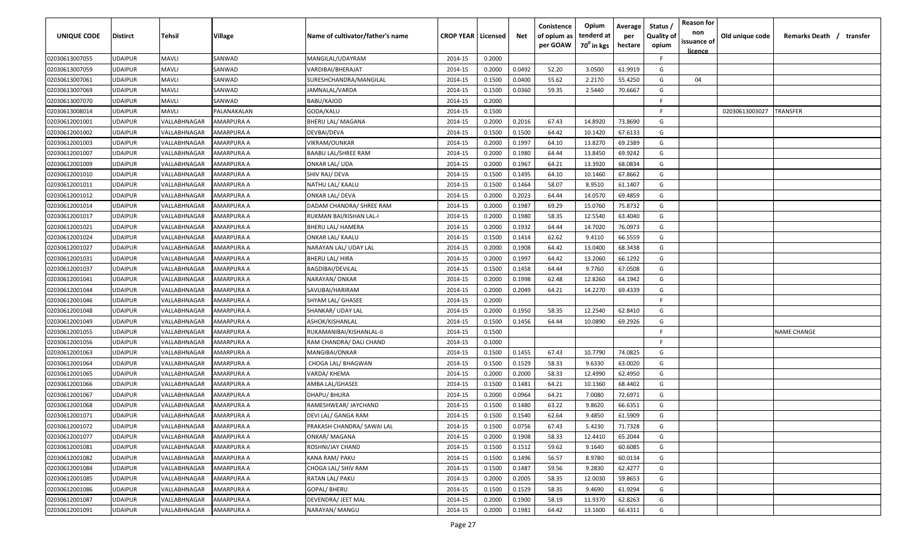| UNIQUE CODE                      | <b>Distirct</b>                  | Tehsil                       | Village                         | Name of cultivator/father's name                | <b>CROP YEAR   Licensed</b> |                  | Net              | Conistence<br>of opium as<br>per GOAW | Opium<br>tenderd at<br>70 <sup>0</sup> in kgs | Average<br>per<br>hectare | Status<br><b>Quality of</b><br>opium | <b>Reason for</b><br>non<br>issuance of | Old unique code | Remarks Death / transfer |
|----------------------------------|----------------------------------|------------------------------|---------------------------------|-------------------------------------------------|-----------------------------|------------------|------------------|---------------------------------------|-----------------------------------------------|---------------------------|--------------------------------------|-----------------------------------------|-----------------|--------------------------|
|                                  |                                  |                              |                                 |                                                 |                             |                  |                  |                                       |                                               |                           |                                      | <u>licence</u>                          |                 |                          |
| 02030613007055                   | <b>UDAIPUR</b>                   | <b>MAVLI</b>                 | SANWAD                          | MANGILAL/UDAYRAM                                | 2014-15                     | 0.2000           |                  |                                       |                                               |                           | F.                                   |                                         |                 |                          |
| 02030613007059                   | <b>UDAIPUR</b>                   | <b>MAVLI</b>                 | SANWAD                          | VARDIBAI/BHERAJAT                               | 2014-15                     | 0.2000           | 0.0492           | 52.20                                 | 3.0500                                        | 61.9919                   | G                                    |                                         |                 |                          |
| 02030613007061                   | <b>UDAIPUR</b><br><b>UDAIPUR</b> | <b>MAVLI</b><br><b>MAVLI</b> | SANWAD                          | SURESHCHANDRA/MANGILAL                          | 2014-15                     | 0.1500           | 0.0400           | 55.62                                 | 2.2170<br>2.5440                              | 55.4250<br>70.6667        | G<br>G                               | 04                                      |                 |                          |
| 02030613007069<br>02030613007070 | <b>UDAIPUR</b>                   | <b>MAVLI</b>                 | SANWAD<br>SANWAD                | JAMNALAL/VARDA<br>BABU/KAJOD                    | 2014-15<br>2014-15          | 0.1500<br>0.2000 | 0.0360           | 59.35                                 |                                               |                           | -F                                   |                                         |                 |                          |
| 02030613008014                   | <b>UDAIPUR</b>                   | <b>MAVLI</b>                 | PALANAKALAN                     | GODA/KALU                                       | 2014-15                     | 0.1500           |                  |                                       |                                               |                           | -F.                                  |                                         | 02030613003027  | TRANSFER                 |
| 02030612001001                   | <b>UDAIPUR</b>                   | VALLABHNAGAR                 | AMARPURA A                      | BHERU LAL/ MAGANA                               | 2014-15                     | 0.2000           | 0.2016           | 67.43                                 | 14.8920                                       | 73.8690                   | G                                    |                                         |                 |                          |
| 02030612001002                   | <b>UDAIPUR</b>                   | VALLABHNAGAR                 | AMARPURA A                      | DEVBAI/DEVA                                     | 2014-15                     | 0.1500           | 0.1500           | 64.42                                 | 10.1420                                       | 67.6133                   | G                                    |                                         |                 |                          |
| 02030612001003                   | <b>UDAIPUR</b>                   | VALLABHNAGAR                 | AMARPURA A                      | VIKRAM/OUNKAR                                   | 2014-15                     | 0.2000           | 0.1997           | 64.10                                 | 13.8270                                       | 69.2389                   | G                                    |                                         |                 |                          |
| 02030612001007                   | <b>UDAIPUR</b>                   | VALLABHNAGAR                 | AMARPURA A                      | BAABU LAL/SHREE RAM                             | 2014-15                     | 0.2000           | 0.1980           | 64.44                                 | 13.8450                                       | 69.9242                   | G                                    |                                         |                 |                          |
| 02030612001009                   | <b>UDAIPUR</b>                   | VALLABHNAGAR                 | AMARPURA A                      | ONKAR LAL/ UDA                                  | 2014-15                     | 0.2000           | 0.1967           | 64.21                                 | 13.3920                                       | 68.0834                   | G                                    |                                         |                 |                          |
| 02030612001010                   | <b>UDAIPUR</b>                   | VALLABHNAGAR                 | AMARPURA A                      | SHIV RAJ/ DEVA                                  | 2014-15                     | 0.1500           | 0.1495           | 64.10                                 | 10.1460                                       | 67.8662                   | G                                    |                                         |                 |                          |
| 02030612001011                   | <b>UDAIPUR</b>                   | VALLABHNAGAR                 | AMARPURA A                      | NATHU LAL/ KAALU                                | 2014-15                     | 0.1500           | 0.1464           | 58.07                                 | 8.9510                                        | 61.1407                   | G                                    |                                         |                 |                          |
| 02030612001012                   | <b>UDAIPUR</b>                   | VALLABHNAGAR                 | AMARPURA A                      | ONKAR LAL/ DEVA                                 | 2014-15                     | 0.2000           | 0.2023           | 64.44                                 | 14.0570                                       | 69.4859                   | G                                    |                                         |                 |                          |
| 02030612001014                   | <b>UDAIPUR</b>                   | VALLABHNAGAR                 | AMARPURA A                      | DADAM CHANDRA/ SHREE RAM                        | 2014-15                     | 0.2000           | 0.1987           | 69.29                                 | 15.0760                                       | 75.8732                   | G                                    |                                         |                 |                          |
|                                  | <b>UDAIPUR</b>                   | VALLABHNAGAR                 | AMARPURA A                      |                                                 | 2014-15                     | 0.2000           | 0.1980           | 58.35                                 | 12.5540                                       | 63.4040                   | G                                    |                                         |                 |                          |
| 02030612001017                   | <b>UDAIPUR</b>                   | VALLABHNAGAR                 | AMARPURA A                      | RUKMAN BAI/KISHAN LAL-I                         | 2014-15                     | 0.2000           | 0.1932           | 64.44                                 | 14.7020                                       | 76.0973                   | G                                    |                                         |                 |                          |
| 02030612001021                   | <b>UDAIPUR</b>                   | VALLABHNAGAR                 | AMARPURA A                      | <b>BHERU LAL/ HAMERA</b>                        | 2014-15                     | 0.1500           | 0.1414           | 62.62                                 | 9.4110                                        | 66.5559                   | G                                    |                                         |                 |                          |
| 02030612001024                   | <b>UDAIPUR</b>                   |                              |                                 | <b>ONKAR LAL/ KAALU</b>                         |                             |                  |                  | 64.42                                 | 13.0400                                       |                           | G                                    |                                         |                 |                          |
| 02030612001027                   | <b>UDAIPUR</b>                   | VALLABHNAGAR<br>VALLABHNAGAR | AMARPURA A<br>AMARPURA A        | NARAYAN LAL/ UDAY LAL<br><b>BHERU LAL/ HIRA</b> | 2014-15                     | 0.2000           | 0.1908<br>0.1997 | 64.42                                 | 13.2060                                       | 68.3438                   | G                                    |                                         |                 |                          |
| 02030612001031<br>02030612001037 | <b>UDAIPUR</b>                   | VALLABHNAGAR                 | AMARPURA A                      | BAGDIBAI/DEVILAL                                | 2014-15<br>2014-15          | 0.2000<br>0.1500 | 0.1458           | 64.44                                 | 9.7760                                        | 66.1292<br>67.0508        | G                                    |                                         |                 |                          |
| 02030612001041                   | <b>UDAIPUR</b>                   | VALLABHNAGAR                 | AMARPURA A                      | NARAYAN/ ONKAR                                  | 2014-15                     | 0.2000           | 0.1998           | 62.48                                 | 12.8260                                       | 64.1942                   | G                                    |                                         |                 |                          |
| 02030612001044                   | <b>UDAIPUR</b>                   | VALLABHNAGAR                 | AMARPURA A                      | SAVLIBAI/HARIRAM                                | 2014-15                     | 0.2000           | 0.2049           | 64.21                                 | 14.2270                                       | 69.4339                   | G                                    |                                         |                 |                          |
| 02030612001046                   | <b>UDAIPUR</b>                   | VALLABHNAGAR                 | AMARPURA A                      | SHYAM LAL/ GHASEE                               | 2014-15                     | 0.2000           |                  |                                       |                                               |                           | -F                                   |                                         |                 |                          |
| 02030612001048                   | <b>UDAIPUR</b>                   | VALLABHNAGAR                 | AMARPURA A                      | SHANKAR/ UDAY LAL                               | 2014-15                     | 0.2000           | 0.1950           | 58.35                                 | 12.2540                                       | 62.8410                   | G                                    |                                         |                 |                          |
| 02030612001049                   | <b>UDAIPUR</b>                   | VALLABHNAGAR                 | AMARPURA A                      | ASHOK/KISHANLAL                                 | 2014-15                     | 0.1500           | 0.1456           | 64.44                                 | 10.0890                                       | 69.2926                   | G                                    |                                         |                 |                          |
| 02030612001055                   | <b>UDAIPUR</b>                   | VALLABHNAGAR                 | AMARPURA A                      | RUKAMANIBAI/KISHANLAL-II                        | 2014-15                     | 0.1500           |                  |                                       |                                               |                           | -F.                                  |                                         |                 | <b>NAME CHANGE</b>       |
| 02030612001056                   | <b>UDAIPUR</b>                   | VALLABHNAGAR                 | AMARPURA A                      | RAM CHANDRA/ DALI CHAND                         | 2014-15                     | 0.1000           |                  |                                       |                                               |                           | F.                                   |                                         |                 |                          |
| 02030612001063                   | <b>UDAIPUR</b>                   | VALLABHNAGAR                 | AMARPURA A                      | MANGIBAI/ONKAR                                  | 2014-15                     | 0.1500           | 0.1455           | 67.43                                 | 10.7790                                       | 74.0825                   | G                                    |                                         |                 |                          |
| 02030612001064                   | <b>UDAIPUR</b>                   | VALLABHNAGAR                 | AMARPURA A                      | CHOGA LAL/ BHAGWAN                              | 2014-15                     | 0.1500           | 0.1529           | 58.33                                 | 9.6330                                        | 63.0020                   | G                                    |                                         |                 |                          |
| 02030612001065                   | <b>UDAIPUR</b>                   | VALLABHNAGAR                 | AMARPURA A                      | VARDA/ KHEMA                                    | 2014-15                     | 0.2000           | 0.2000           | 58.33                                 | 12.4990                                       | 62.4950                   | G                                    |                                         |                 |                          |
| 02030612001066                   | <b>UDAIPUR</b>                   | VALLABHNAGAR                 | AMARPURA A                      | AMBA LAL/GHASEE                                 | 2014-15                     | 0.1500           | 0.1481           | 64.21                                 | 10.1360                                       | 68.4402                   | G                                    |                                         |                 |                          |
| 02030612001067                   | <b>UDAIPUR</b>                   | VALLABHNAGAR                 | AMARPURA A                      | DHAPU/ BHURA                                    | 2014-15                     | 0.2000           | 0.0964           | 64.21                                 | 7.0080                                        | 72.6971                   | G                                    |                                         |                 |                          |
| 02030612001068                   | <b>UDAIPUR</b>                   | VALLABHNAGAR                 | AMARPURA A                      | RAMESHWEAR/ JAYCHAND                            | 2014-15                     | 0.1500           | 0.1480           | 63.22                                 | 9.8620                                        | 66.6351                   | G                                    |                                         |                 |                          |
| 02030612001071                   | <b>UDAIPUR</b>                   | VALLABHNAGAR                 | AMARPURA A                      | DEVI LAL/ GANGA RAM                             | 2014-15                     | 0.1500           | 0.1540           | 62.64                                 | 9.4850                                        | 61.5909                   | G                                    |                                         |                 |                          |
| 02030612001072                   | <b>UDAIPUR</b>                   | VALLABHNAGAR                 | AMARPURA A                      | PRAKASH CHANDRA/ SAWAI LAL                      | 2014-15                     | 0.1500           | 0.0756           | 67.43                                 | 5.4230                                        | 71.7328                   | G                                    |                                         |                 |                          |
| 02030612001077                   | <b>UDAIPUR</b>                   | VALLABHNAGAR                 | <b>AMARPURA A</b>               | <b>ONKAR/ MAGANA</b>                            | 2014-15                     | 0.2000           | 0.1908           | 58.33                                 | 12.4410                                       | 65.2044                   | G                                    |                                         |                 |                          |
| 02030612001081                   | <b>UDAIPUR</b>                   | VALLABHNAGAR                 | <b>AMARPURA A</b>               | ROSHNI/JAY CHAND                                | 2014-15                     | 0.1500           | 0.1512           | 59.62                                 | 9.1640                                        | 60.6085                   | G                                    |                                         |                 |                          |
|                                  | <b>UDAIPUR</b>                   |                              |                                 |                                                 |                             |                  |                  |                                       |                                               |                           | G                                    |                                         |                 |                          |
| 02030612001082<br>02030612001084 | <b>UDAIPUR</b>                   | VALLABHNAGAR                 | AMARPURA A                      | KANA RAM/ PAKU<br>CHOGA LAL/ SHIV RAM           | 2014-15                     | 0.1500<br>0.1500 | 0.1496<br>0.1487 | 56.57                                 | 8.9780                                        | 60.0134<br>62.4277        | G                                    |                                         |                 |                          |
| 02030612001085                   | <b>UDAIPUR</b>                   | VALLABHNAGAR<br>VALLABHNAGAR | AMARPURA A<br>AMARPURA A        |                                                 | 2014-15<br>2014-15          |                  | 0.2005           | 59.56                                 | 9.2830                                        |                           | G                                    |                                         |                 |                          |
|                                  | <b>UDAIPUR</b>                   | VALLABHNAGAR                 | AMARPURA A                      | RATAN LAL/ PAKU                                 | 2014-15                     | 0.2000<br>0.1500 |                  | 58.35                                 | 12.0030<br>9.4690                             | 59.8653                   | G                                    |                                         |                 |                          |
| 02030612001086                   | <b>UDAIPUR</b>                   |                              |                                 | GOPAL/BHERU                                     |                             | 0.2000           | 0.1529           | 58.35                                 |                                               | 61.9294                   | G                                    |                                         |                 |                          |
| 02030612001087                   |                                  | VALLABHNAGAR                 | AMARPURA A<br><b>AMARPURA A</b> | DEVENDRA/ JEET MAL                              | 2014-15                     |                  | 0.1900           | 58.19                                 | 11.9370                                       | 62.8263                   | G                                    |                                         |                 |                          |
| 02030612001091                   | <b>UDAIPUR</b>                   | VALLABHNAGAR                 |                                 | NARAYAN/ MANGU                                  | 2014-15                     | 0.2000           | 0.1981           | 64.42                                 | 13.1600                                       | 66.4311                   |                                      |                                         |                 |                          |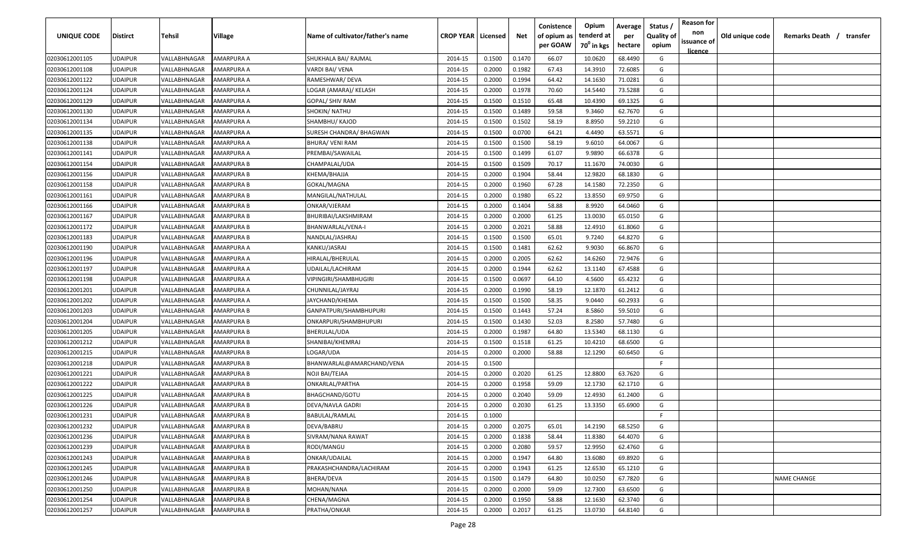| per GOAW<br>70 <sup>0</sup> in kgs<br>hectare<br>opium<br>licence<br>68.4490<br>02030612001105<br><b>UDAIPUR</b><br>VALLABHNAGAR<br>AMARPURA A<br>SHUKHALA BAI/ RAJMAL<br>2014-15<br>0.1500<br>0.1470<br>66.07<br>10.0620<br>G<br>02030612001108<br><b>UDAIPUR</b><br>VALLABHNAGAR<br>AMARPURA A<br>VARDI BAI/ VENA<br>2014-15<br>0.2000<br>0.1982<br>67.43<br>14.3910<br>72.6085<br>G<br>0.1994<br>G<br>02030612001122<br><b>UDAIPUR</b><br>AMARPURA A<br>0.2000<br>64.42<br>14.1630<br>71.0281<br>VALLABHNAGAR<br>RAMESHWAR/ DEVA<br>2014-15<br>73.5288<br>02030612001124<br><b>UDAIPUR</b><br>AMARPURA A<br>0.2000<br>0.1978<br>70.60<br>14.5440<br>G<br>VALLABHNAGAR<br>LOGAR (AMARA)/ KELASH<br>2014-15<br>02030612001129<br><b>UDAIPUR</b><br>VALLABHNAGAR<br>AMARPURA A<br>GOPAL/ SHIV RAM<br>2014-15<br>0.1500<br>0.1510<br>65.48<br>10.4390<br>69.1325<br>G<br>02030612001130<br><b>UDAIPUR</b><br>VALLABHNAGAR<br>AMARPURA A<br>SHOKIN/ NATHU<br>2014-15<br>0.1500<br>0.1489<br>59.58<br>9.3460<br>62.7670<br>G<br>02030612001134<br>0.1500<br>0.1502<br>58.19<br>G<br><b>UDAIPUR</b><br>VALLABHNAGAR<br>AMARPURA A<br>SHAMBHU/ KAJOD<br>2014-15<br>8.8950<br>59.2210<br>02030612001135<br>0.1500<br>0.0700<br><b>UDAIPUR</b><br>VALLABHNAGAR<br>AMARPURA A<br>SURESH CHANDRA/ BHAGWAN<br>2014-15<br>64.21<br>4.4490<br>63.5571<br>G |  |
|------------------------------------------------------------------------------------------------------------------------------------------------------------------------------------------------------------------------------------------------------------------------------------------------------------------------------------------------------------------------------------------------------------------------------------------------------------------------------------------------------------------------------------------------------------------------------------------------------------------------------------------------------------------------------------------------------------------------------------------------------------------------------------------------------------------------------------------------------------------------------------------------------------------------------------------------------------------------------------------------------------------------------------------------------------------------------------------------------------------------------------------------------------------------------------------------------------------------------------------------------------------------------------------------------------------------------------------------|--|
|                                                                                                                                                                                                                                                                                                                                                                                                                                                                                                                                                                                                                                                                                                                                                                                                                                                                                                                                                                                                                                                                                                                                                                                                                                                                                                                                                |  |
|                                                                                                                                                                                                                                                                                                                                                                                                                                                                                                                                                                                                                                                                                                                                                                                                                                                                                                                                                                                                                                                                                                                                                                                                                                                                                                                                                |  |
|                                                                                                                                                                                                                                                                                                                                                                                                                                                                                                                                                                                                                                                                                                                                                                                                                                                                                                                                                                                                                                                                                                                                                                                                                                                                                                                                                |  |
|                                                                                                                                                                                                                                                                                                                                                                                                                                                                                                                                                                                                                                                                                                                                                                                                                                                                                                                                                                                                                                                                                                                                                                                                                                                                                                                                                |  |
|                                                                                                                                                                                                                                                                                                                                                                                                                                                                                                                                                                                                                                                                                                                                                                                                                                                                                                                                                                                                                                                                                                                                                                                                                                                                                                                                                |  |
|                                                                                                                                                                                                                                                                                                                                                                                                                                                                                                                                                                                                                                                                                                                                                                                                                                                                                                                                                                                                                                                                                                                                                                                                                                                                                                                                                |  |
|                                                                                                                                                                                                                                                                                                                                                                                                                                                                                                                                                                                                                                                                                                                                                                                                                                                                                                                                                                                                                                                                                                                                                                                                                                                                                                                                                |  |
|                                                                                                                                                                                                                                                                                                                                                                                                                                                                                                                                                                                                                                                                                                                                                                                                                                                                                                                                                                                                                                                                                                                                                                                                                                                                                                                                                |  |
|                                                                                                                                                                                                                                                                                                                                                                                                                                                                                                                                                                                                                                                                                                                                                                                                                                                                                                                                                                                                                                                                                                                                                                                                                                                                                                                                                |  |
| 0.1500<br>02030612001138<br><b>UDAIPUR</b><br>VALLABHNAGAR<br>AMARPURA A<br>BHURA/ VENI RAM<br>2014-15<br>0.1500<br>58.19<br>9.6010<br>64.0067<br>G                                                                                                                                                                                                                                                                                                                                                                                                                                                                                                                                                                                                                                                                                                                                                                                                                                                                                                                                                                                                                                                                                                                                                                                            |  |
| 02030612001141<br><b>UDAIPUR</b><br>VALLABHNAGAR<br>2014-15<br>0.1500<br>0.1499<br>61.07<br>9.9890<br>66.6378<br>G<br>AMARPURA A<br>PREMBAI/SAWAILAL                                                                                                                                                                                                                                                                                                                                                                                                                                                                                                                                                                                                                                                                                                                                                                                                                                                                                                                                                                                                                                                                                                                                                                                           |  |
| 0.1509<br>G<br>2014-15<br>0.1500<br>70.17<br>74.0030<br>02030612001154<br><b>UDAIPUR</b><br>VALLABHNAGAR<br>AMARPURA B<br>CHAMPALAL/UDA<br>11.1670                                                                                                                                                                                                                                                                                                                                                                                                                                                                                                                                                                                                                                                                                                                                                                                                                                                                                                                                                                                                                                                                                                                                                                                             |  |
| 12.9820<br>0.2000<br>0.1904<br>58.44<br>68.1830<br>G<br>02030612001156<br><b>UDAIPUR</b><br>VALLABHNAGAR<br>AMARPURA B<br>KHEMA/BHAJJA<br>2014-15                                                                                                                                                                                                                                                                                                                                                                                                                                                                                                                                                                                                                                                                                                                                                                                                                                                                                                                                                                                                                                                                                                                                                                                              |  |
| 0.1960<br>67.28<br>G<br><b>UDAIPUR</b><br>AMARPURA B<br>2014-15<br>0.2000<br>14.1580<br>72.2350<br>02030612001158<br>VALLABHNAGAR<br>GOKAL/MAGNA                                                                                                                                                                                                                                                                                                                                                                                                                                                                                                                                                                                                                                                                                                                                                                                                                                                                                                                                                                                                                                                                                                                                                                                               |  |
| 65.22<br><b>UDAIPUR</b><br>AMARPURA B<br>2014-15<br>0.2000<br>0.1980<br>13.8550<br>69.9750<br>G<br>02030612001161<br>VALLABHNAGAR<br>MANGILAL/NATHULAL                                                                                                                                                                                                                                                                                                                                                                                                                                                                                                                                                                                                                                                                                                                                                                                                                                                                                                                                                                                                                                                                                                                                                                                         |  |
| 58.88<br>0.1404<br>8.9920<br>64.0460<br>G<br>02030612001166<br><b>UDAIPUR</b><br>AMARPURA B<br>2014-15<br>0.2000<br>VALLABHNAGAR<br>ONKAR/VJERAM                                                                                                                                                                                                                                                                                                                                                                                                                                                                                                                                                                                                                                                                                                                                                                                                                                                                                                                                                                                                                                                                                                                                                                                               |  |
| <b>UDAIPUR</b><br>VALLABHNAGAR<br>AMARPURA B<br>2014-15<br>0.2000<br>0.2000<br>61.25<br>13.0030<br>65.0150<br>G<br>02030612001167<br>BHURIBAI/LAKSHMIRAM                                                                                                                                                                                                                                                                                                                                                                                                                                                                                                                                                                                                                                                                                                                                                                                                                                                                                                                                                                                                                                                                                                                                                                                       |  |
| 0.2000<br>0.2021<br>58.88<br>12.4910<br>61.8060<br>G<br>02030612001172<br><b>UDAIPUR</b><br>VALLABHNAGAR<br>AMARPURA B<br>2014-15<br>BHANWARLAL/VENA-I                                                                                                                                                                                                                                                                                                                                                                                                                                                                                                                                                                                                                                                                                                                                                                                                                                                                                                                                                                                                                                                                                                                                                                                         |  |
| 02030612001183<br><b>UDAIPUR</b><br>VALLABHNAGAR<br>AMARPURA B<br>NANDLAL/JASHRAJ<br>2014-15<br>0.1500<br>0.1500<br>65.01<br>9.7240<br>64.8270<br>G                                                                                                                                                                                                                                                                                                                                                                                                                                                                                                                                                                                                                                                                                                                                                                                                                                                                                                                                                                                                                                                                                                                                                                                            |  |
| 02030612001190<br><b>UDAIPUR</b><br>VALLABHNAGAR<br>AMARPURA A<br>KANKU/JASRAJ<br>2014-15<br>0.1500<br>0.1481<br>62.62<br>9.9030<br>66.8670<br>G                                                                                                                                                                                                                                                                                                                                                                                                                                                                                                                                                                                                                                                                                                                                                                                                                                                                                                                                                                                                                                                                                                                                                                                               |  |
| <b>UDAIPUR</b><br>0.2005<br>62.62<br>14.6260<br>72.9476<br>G<br>02030612001196<br>VALLABHNAGAR<br>AMARPURA A<br>HIRALAL/BHERULAL<br>2014-15<br>0.2000                                                                                                                                                                                                                                                                                                                                                                                                                                                                                                                                                                                                                                                                                                                                                                                                                                                                                                                                                                                                                                                                                                                                                                                          |  |
| 62.62<br>02030612001197<br><b>UDAIPUR</b><br>VALLABHNAGAR<br>AMARPURA A<br>2014-15<br>0.2000<br>0.1944<br>13.1140<br>67.4588<br>G<br>UDAILAL/LACHIRAM                                                                                                                                                                                                                                                                                                                                                                                                                                                                                                                                                                                                                                                                                                                                                                                                                                                                                                                                                                                                                                                                                                                                                                                          |  |
| 4.5600<br>02030612001198<br><b>UDAIPUR</b><br>VALLABHNAGAR<br>AMARPURA A<br>VIPINGIRI/SHAMBHUGIRI<br>2014-15<br>0.1500<br>0.0697<br>64.10<br>65.4232<br>G                                                                                                                                                                                                                                                                                                                                                                                                                                                                                                                                                                                                                                                                                                                                                                                                                                                                                                                                                                                                                                                                                                                                                                                      |  |
| 0.1990<br>58.19<br>G<br>02030612001201<br><b>UDAIPUR</b><br>VALLABHNAGAR<br>AMARPURA A<br>CHUNNILAL/JAYRAJ<br>2014-15<br>0.2000<br>12.1870<br>61.2412                                                                                                                                                                                                                                                                                                                                                                                                                                                                                                                                                                                                                                                                                                                                                                                                                                                                                                                                                                                                                                                                                                                                                                                          |  |
| 58.35<br>60.2933<br>02030612001202<br><b>UDAIPUR</b><br>VALLABHNAGAR<br>AMARPURA A<br>2014-15<br>0.1500<br>0.1500<br>9.0440<br>G<br>JAYCHAND/KHEMA                                                                                                                                                                                                                                                                                                                                                                                                                                                                                                                                                                                                                                                                                                                                                                                                                                                                                                                                                                                                                                                                                                                                                                                             |  |
| 02030612001203<br>0.1500<br>0.1443<br>57.24<br>8.5860<br>59.5010<br><b>UDAIPUR</b><br>VALLABHNAGAR<br>AMARPURA B<br>GANPATPURI/SHAMBHUPURI<br>2014-15<br>G                                                                                                                                                                                                                                                                                                                                                                                                                                                                                                                                                                                                                                                                                                                                                                                                                                                                                                                                                                                                                                                                                                                                                                                     |  |
| 0.1500<br>0.1430<br>52.03<br>02030612001204<br><b>UDAIPUR</b><br>VALLABHNAGAR<br>AMARPURA B<br>ONKARPURI/SHAMBHUPURI<br>2014-15<br>8.2580<br>57.7480<br>G                                                                                                                                                                                                                                                                                                                                                                                                                                                                                                                                                                                                                                                                                                                                                                                                                                                                                                                                                                                                                                                                                                                                                                                      |  |
| 02030612001205<br><b>UDAIPUR</b><br>VALLABHNAGAR<br>AMARPURA B<br>BHERULAL/UDA<br>2014-15<br>0.2000<br>0.1987<br>64.80<br>13.5340<br>68.1130<br>G                                                                                                                                                                                                                                                                                                                                                                                                                                                                                                                                                                                                                                                                                                                                                                                                                                                                                                                                                                                                                                                                                                                                                                                              |  |
| G<br>2014-15<br>0.1500<br>0.1518<br>61.25<br>10.4210<br>68.6500<br>02030612001212<br><b>UDAIPUR</b><br>VALLABHNAGAR<br>AMARPURA B<br>SHANIBAI/KHEMRAJ                                                                                                                                                                                                                                                                                                                                                                                                                                                                                                                                                                                                                                                                                                                                                                                                                                                                                                                                                                                                                                                                                                                                                                                          |  |
| 0.2000<br>0.2000<br>58.88<br>12.1290<br>60.6450<br>G<br>02030612001215<br><b>UDAIPUR</b><br>VALLABHNAGAR<br>AMARPURA B<br>LOGAR/UDA<br>2014-15                                                                                                                                                                                                                                                                                                                                                                                                                                                                                                                                                                                                                                                                                                                                                                                                                                                                                                                                                                                                                                                                                                                                                                                                 |  |
| F.<br>02030612001218<br><b>UDAIPUR</b><br>VALLABHNAGAR<br>AMARPURA B<br>BHANWARLAL@AMARCHAND/VENA<br>2014-15<br>0.1500                                                                                                                                                                                                                                                                                                                                                                                                                                                                                                                                                                                                                                                                                                                                                                                                                                                                                                                                                                                                                                                                                                                                                                                                                         |  |
| 02030612001221<br><b>UDAIPUR</b><br>VALLABHNAGAR<br>AMARPURA B<br>NOJI BAI/TEJAA<br>2014-15<br>0.2000<br>0.2020<br>61.25<br>12.8800<br>63.7620<br>G                                                                                                                                                                                                                                                                                                                                                                                                                                                                                                                                                                                                                                                                                                                                                                                                                                                                                                                                                                                                                                                                                                                                                                                            |  |
| 0.1958<br>59.09<br>12.1730<br>62.1710<br>G<br>02030612001222<br><b>UDAIPUR</b><br>VALLABHNAGAR<br>AMARPURA B<br>ONKARLAL/PARTHA<br>2014-15<br>0.2000                                                                                                                                                                                                                                                                                                                                                                                                                                                                                                                                                                                                                                                                                                                                                                                                                                                                                                                                                                                                                                                                                                                                                                                           |  |
| 59.09<br>12.4930<br>02030612001225<br><b>UDAIPUR</b><br>VALLABHNAGAR<br>AMARPURA B<br>BHAGCHAND/GOTU<br>2014-15<br>0.2000<br>0.2040<br>61.2400<br>G                                                                                                                                                                                                                                                                                                                                                                                                                                                                                                                                                                                                                                                                                                                                                                                                                                                                                                                                                                                                                                                                                                                                                                                            |  |
| 02030612001226<br><b>UDAIPUR</b><br>VALLABHNAGAR<br>AMARPURA B<br>DEVA/NAVLA GADRI<br>2014-15<br>0.2000<br>0.2030<br>61.25<br>13.3350<br>65.6900<br>G                                                                                                                                                                                                                                                                                                                                                                                                                                                                                                                                                                                                                                                                                                                                                                                                                                                                                                                                                                                                                                                                                                                                                                                          |  |
| 02030612001231<br><b>UDAIPUR</b><br>VALLABHNAGAR<br>AMARPURA B<br>BABULAL/RAMLAL<br>2014-15<br>0.1000<br>F.                                                                                                                                                                                                                                                                                                                                                                                                                                                                                                                                                                                                                                                                                                                                                                                                                                                                                                                                                                                                                                                                                                                                                                                                                                    |  |
| 68.5250<br>02030612001232<br><b>UDAIPUR</b><br>VALLABHNAGAR<br><b>AMARPURA B</b><br>DEVA/BABRU<br>2014-15<br>0.2000<br>0.2075<br>14.2190<br>G<br>65.01                                                                                                                                                                                                                                                                                                                                                                                                                                                                                                                                                                                                                                                                                                                                                                                                                                                                                                                                                                                                                                                                                                                                                                                         |  |
| 0.1838<br>G<br>02030612001236<br><b>UDAIPUR</b><br>VALLABHNAGAR<br>AMARPURA B<br>SIVRAM/NANA RAWAT<br>2014-15<br>0.2000<br>58.44<br>11.8380<br>64.4070                                                                                                                                                                                                                                                                                                                                                                                                                                                                                                                                                                                                                                                                                                                                                                                                                                                                                                                                                                                                                                                                                                                                                                                         |  |
| 02030612001239<br><b>UDAIPUR</b><br>VALLABHNAGAR<br>RODI/MANGU<br>0.2080<br>59.57<br>12.9950<br>62.4760<br>G<br>AMARPURA B<br>2014-15<br>0.2000                                                                                                                                                                                                                                                                                                                                                                                                                                                                                                                                                                                                                                                                                                                                                                                                                                                                                                                                                                                                                                                                                                                                                                                                |  |
| 02030612001243<br><b>UDAIPUR</b><br>VALLABHNAGAR<br>ONKAR/UDAILAL<br>0.1947<br>64.80<br>13.6080<br>69.8920<br>G<br>AMARPURA B<br>2014-15<br>0.2000                                                                                                                                                                                                                                                                                                                                                                                                                                                                                                                                                                                                                                                                                                                                                                                                                                                                                                                                                                                                                                                                                                                                                                                             |  |
| G<br>02030612001245<br><b>UDAIPUR</b><br>0.2000<br>0.1943<br>61.25<br>12.6530<br>65.1210<br>VALLABHNAGAR<br>AMARPURA B<br>PRAKASHCHANDRA/LACHIRAM<br>2014-15                                                                                                                                                                                                                                                                                                                                                                                                                                                                                                                                                                                                                                                                                                                                                                                                                                                                                                                                                                                                                                                                                                                                                                                   |  |
| 02030612001246<br>0.1500<br>0.1479<br>64.80<br>10.0250<br>67.7820<br>G<br><b>UDAIPUR</b><br>VALLABHNAGAR<br>AMARPURA B<br>BHERA/DEVA<br>2014-15<br><b>NAME CHANGE</b>                                                                                                                                                                                                                                                                                                                                                                                                                                                                                                                                                                                                                                                                                                                                                                                                                                                                                                                                                                                                                                                                                                                                                                          |  |
| 02030612001250<br>0.2000<br>0.2000<br>12.7300<br>63.6500<br>G<br><b>UDAIPUR</b><br>VALLABHNAGAR<br>AMARPURA B<br>MOHAN/NANA<br>2014-15<br>59.09                                                                                                                                                                                                                                                                                                                                                                                                                                                                                                                                                                                                                                                                                                                                                                                                                                                                                                                                                                                                                                                                                                                                                                                                |  |
| 02030612001254<br>0.1950<br><b>UDAIPUR</b><br>VALLABHNAGAR<br>AMARPURA B<br>CHENA/MAGNA<br>2014-15<br>0.2000<br>58.88<br>12.1630<br>62.3740<br>G                                                                                                                                                                                                                                                                                                                                                                                                                                                                                                                                                                                                                                                                                                                                                                                                                                                                                                                                                                                                                                                                                                                                                                                               |  |
| 0.2017<br>G<br>02030612001257<br><b>UDAIPUR</b><br>VALLABHNAGAR<br><b>AMARPURA B</b><br>PRATHA/ONKAR<br>2014-15<br>0.2000<br>61.25<br>13.0730<br>64.8140                                                                                                                                                                                                                                                                                                                                                                                                                                                                                                                                                                                                                                                                                                                                                                                                                                                                                                                                                                                                                                                                                                                                                                                       |  |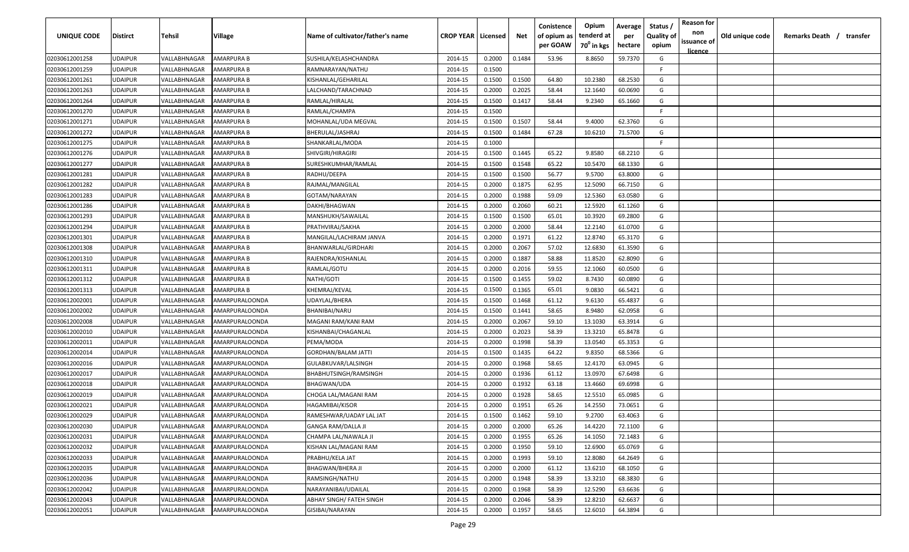| UNIQUE CODE    | Distirct | Tehsil       | Village               | Name of cultivator/father's name | <b>CROP YEAR   Licensed</b> |        | Net    | Conistence<br>of opium as | Opium<br>tenderd at    | Average<br>per | Status<br><b>Quality of</b> | <b>Reason for</b><br>non<br>issuance of | Old unique code | Remarks Death / transfer |
|----------------|----------|--------------|-----------------------|----------------------------------|-----------------------------|--------|--------|---------------------------|------------------------|----------------|-----------------------------|-----------------------------------------|-----------------|--------------------------|
|                |          |              |                       |                                  |                             |        |        | per GOAW                  | 70 <sup>°</sup> in kgs | hectare        | opium                       | <u>licence</u>                          |                 |                          |
| 02030612001258 | UDAIPUR  | VALLABHNAGAR | AMARPURA B            | SUSHILA/KELASHCHANDRA            | 2014-15                     | 0.2000 | 0.1484 | 53.96                     | 8.8650                 | 59.7370        | G                           |                                         |                 |                          |
| 02030612001259 | UDAIPUR  | VALLABHNAGAR | AMARPURA B            | RAMNARAYAN/NATHU                 | 2014-15                     | 0.1500 |        |                           |                        |                | -F.                         |                                         |                 |                          |
| 02030612001261 | UDAIPUR  | VALLABHNAGAR | AMARPURA B            | KISHANLAL/GEHARILAL              | 2014-15                     | 0.1500 | 0.1500 | 64.80                     | 10.2380                | 68.2530        | G                           |                                         |                 |                          |
| 02030612001263 | UDAIPUR  | VALLABHNAGAR | AMARPURA B            | LALCHAND/TARACHNAD               | 2014-15                     | 0.2000 | 0.2025 | 58.44                     | 12.1640                | 60.0690        | G                           |                                         |                 |                          |
| 02030612001264 | UDAIPUR  | VALLABHNAGAR | AMARPURA B            | RAMLAL/HIRALAL                   | 2014-15                     | 0.1500 | 0.1417 | 58.44                     | 9.2340                 | 65.1660        | G                           |                                         |                 |                          |
| 02030612001270 | UDAIPUR  | VALLABHNAGAR | AMARPURA B            | RAMLAL/CHAMPA                    | 2014-15                     | 0.1500 |        |                           |                        |                | E                           |                                         |                 |                          |
| 02030612001271 | UDAIPUR  | VALLABHNAGAR | AMARPURA B            | MOHANLAL/UDA MEGVAL              | 2014-15                     | 0.1500 | 0.1507 | 58.44                     | 9.4000                 | 62.3760        | G                           |                                         |                 |                          |
| 02030612001272 | UDAIPUR  | VALLABHNAGAR | AMARPURA B            | BHERULAL/JASHRAJ                 | 2014-15                     | 0.1500 | 0.1484 | 67.28                     | 10.6210                | 71.5700        | G                           |                                         |                 |                          |
| 02030612001275 | UDAIPUR  | VALLABHNAGAR | AMARPURA B            | SHANKARLAL/MODA                  | 2014-15                     | 0.1000 |        |                           |                        |                | F.                          |                                         |                 |                          |
| 02030612001276 | UDAIPUR  | VALLABHNAGAR | AMARPURA B            | SHIVGIRI/HIRAGIRI                | 2014-15                     | 0.1500 | 0.1445 | 65.22                     | 9.8580                 | 68.2210        | G                           |                                         |                 |                          |
| 02030612001277 | UDAIPUR  | VALLABHNAGAR | AMARPURA B            | SURESHKUMHAR/RAMLAL              | 2014-15                     | 0.1500 | 0.1548 | 65.22                     | 10.5470                | 68.1330        | G                           |                                         |                 |                          |
| 02030612001281 | UDAIPUR  | VALLABHNAGAR | AMARPURA B            | RADHU/DEEPA                      | 2014-15                     | 0.1500 | 0.1500 | 56.77                     | 9.5700                 | 63.8000        | G                           |                                         |                 |                          |
| 02030612001282 | UDAIPUR  | VALLABHNAGAR | AMARPURA B            | RAJMAL/MANGILAL                  | 2014-15                     | 0.2000 | 0.1875 | 62.95                     | 12.5090                | 66.7150        | G                           |                                         |                 |                          |
| 02030612001283 | UDAIPUR  | VALLABHNAGAR | AMARPURA B            | GOTAM/NARAYAN                    | 2014-15                     | 0.2000 | 0.1988 | 59.09                     | 12.5360                | 63.0580        | G                           |                                         |                 |                          |
| 02030612001286 | UDAIPUR  | VALLABHNAGAR | AMARPURA B            | DAKHI/BHAGWAN                    | 2014-15                     | 0.2000 | 0.2060 | 60.21                     | 12.5920                | 61.1260        | G                           |                                         |                 |                          |
| 02030612001293 | UDAIPUR  | VALLABHNAGAR | AMARPURA B            | MANSHUKH/SAWAILAL                | 2014-15                     | 0.1500 | 0.1500 | 65.01                     | 10.3920                | 69.2800        | G                           |                                         |                 |                          |
| 02030612001294 | UDAIPUR  | VALLABHNAGAR | AMARPURA B            | PRATHVIRAJ/SAKHA                 | 2014-15                     | 0.2000 | 0.2000 | 58.44                     | 12.2140                | 61.0700        | G                           |                                         |                 |                          |
| 02030612001301 | UDAIPUR  | VALLABHNAGAR | AMARPURA B            | MANGILAL/LACHIRAM JANVA          | 2014-15                     | 0.2000 | 0.1971 | 61.22                     | 12.8740                | 65.3170        | G                           |                                         |                 |                          |
| 02030612001308 | UDAIPUR  | VALLABHNAGAR | AMARPURA B            | BHANWARLAL/GIRDHARI              | 2014-15                     | 0.2000 | 0.2067 | 57.02                     | 12.6830                | 61.3590        | G                           |                                         |                 |                          |
| 02030612001310 | UDAIPUR  | VALLABHNAGAR | AMARPURA B            | RAJENDRA/KISHANLAL               | 2014-15                     | 0.2000 | 0.1887 | 58.88                     | 11.8520                | 62.8090        | G                           |                                         |                 |                          |
| 02030612001311 | UDAIPUR  | VALLABHNAGAR | AMARPURA B            | RAMLAL/GOTU                      | 2014-15                     | 0.2000 | 0.2016 | 59.55                     | 12.1060                | 60.0500        | G                           |                                         |                 |                          |
| 02030612001312 | UDAIPUR  | VALLABHNAGAR | AMARPURA B            | NATHI/GOTI                       | 2014-15                     | 0.1500 | 0.1455 | 59.02                     | 8.7430                 | 60.0890        | G                           |                                         |                 |                          |
| 02030612001313 | UDAIPUR  | VALLABHNAGAR | AMARPURA B            | KHEMRAJ/KEVAL                    | 2014-15                     | 0.1500 | 0.1365 | 65.01                     | 9.0830                 | 66.5421        | G                           |                                         |                 |                          |
| 02030612002001 | UDAIPUR  | VALLABHNAGAR | AMARPURALOONDA        | UDAYLAL/BHERA                    | 2014-15                     | 0.1500 | 0.1468 | 61.12                     | 9.6130                 | 65.4837        | G                           |                                         |                 |                          |
| 02030612002002 | UDAIPUR  | VALLABHNAGAR | AMARPURALOONDA        | BHANIBAI/NARU                    | 2014-15                     | 0.1500 | 0.1441 | 58.65                     | 8.9480                 | 62.0958        | G                           |                                         |                 |                          |
| 02030612002008 | UDAIPUR  | VALLABHNAGAR | AMARPURALOONDA        | MAGANI RAM/KANI RAM              | 2014-15                     | 0.2000 | 0.2067 | 59.10                     | 13.1030                | 63.3914        | G                           |                                         |                 |                          |
| 02030612002010 | UDAIPUR  | VALLABHNAGAR | AMARPURALOONDA        | KISHANBAI/CHAGANLAL              | 2014-15                     | 0.2000 | 0.2023 | 58.39                     | 13.3210                | 65.8478        | G                           |                                         |                 |                          |
| 02030612002011 | UDAIPUR  | VALLABHNAGAR | AMARPURALOONDA        | PEMA/MODA                        | 2014-15                     | 0.2000 | 0.1998 | 58.39                     | 13.0540                | 65.3353        | G                           |                                         |                 |                          |
| 02030612002014 | UDAIPUR  | VALLABHNAGAR | AMARPURALOONDA        | <b>GORDHAN/BALAM JATTI</b>       | 2014-15                     | 0.1500 | 0.1435 | 64.22                     | 9.8350                 | 68.5366        | G                           |                                         |                 |                          |
| 02030612002016 | UDAIPUR  | VALLABHNAGAR | AMARPURALOONDA        | GULABKUVAR/LALSINGH              | 2014-15                     | 0.2000 | 0.1968 | 58.65                     | 12.4170                | 63.0945        | G                           |                                         |                 |                          |
| 02030612002017 | UDAIPUR  | VALLABHNAGAR | AMARPURALOONDA        | BHABHUTSINGH/RAMSINGH            | 2014-15                     | 0.2000 | 0.1936 | 61.12                     | 13.0970                | 67.6498        | G                           |                                         |                 |                          |
| 02030612002018 | UDAIPUR  | VALLABHNAGAR | AMARPURALOONDA        | <b>BHAGWAN/UDA</b>               | 2014-15                     | 0.2000 | 0.1932 | 63.18                     | 13.4660                | 69.6998        | G                           |                                         |                 |                          |
| 02030612002019 | UDAIPUR  | VALLABHNAGAR | AMARPURALOONDA        | CHOGA LAL/MAGANI RAM             | 2014-15                     | 0.2000 | 0.1928 | 58.65                     | 12.5510                | 65.0985        | G                           |                                         |                 |                          |
| 02030612002021 | UDAIPUR  | VALLABHNAGAR | AMARPURALOONDA        | <b>HAGAMIBAI/KISOR</b>           | 2014-15                     | 0.2000 | 0.1951 | 65.26                     | 14.2550                | 73.0651        | G                           |                                         |                 |                          |
| 02030612002029 | UDAIPUR  | VALLABHNAGAR | AMARPURALOONDA        | RAMESHWAR/UADAY LAL JAT          | 2014-15                     | 0.1500 | 0.1462 | 59.10                     | 9.2700                 | 63.4063        | G                           |                                         |                 |                          |
| 02030612002030 | UDAIPUR  | VALLABHNAGAR | AMARPURALOONDA        | <b>GANGA RAM/DALLA JI</b>        | 2014-15                     | 0.2000 | 0.2000 | 65.26                     | 14.4220                | 72.1100        | G                           |                                         |                 |                          |
| 02030612002031 | UDAIPUR  | VALLABHNAGAR | AMARPURALOONDA        | CHAMPA LAL/NAWALA JI             | 2014-15                     | 0.2000 | 0.1955 | 65.26                     | 14.1050                | 72.1483        | G                           |                                         |                 |                          |
| 02030612002032 | UDAIPUR  | VALLABHNAGAR | AMARPURALOONDA        | KISHAN LAL/MAGANI RAM            | 2014-15                     | 0.2000 | 0.1950 | 59.10                     | 12.6900                | 65.0769        | G                           |                                         |                 |                          |
| 02030612002033 | UDAIPUR  | VALLABHNAGAR | AMARPURALOONDA        | PRABHU/KELA JAT                  | 2014-15                     | 0.2000 | 0.1993 | 59.10                     | 12.8080                | 64.2649        | G                           |                                         |                 |                          |
| 02030612002035 | UDAIPUR  | VALLABHNAGAR | AMARPURALOONDA        | BHAGWAN/BHERA JI                 | 2014-15                     | 0.2000 | 0.2000 | 61.12                     | 13.6210                | 68.1050        | G                           |                                         |                 |                          |
| 02030612002036 | UDAIPUR  | VALLABHNAGAR | AMARPURALOONDA        | RAMSINGH/NATHU                   | 2014-15                     | 0.2000 | 0.1948 | 58.39                     | 13.3210                | 68.3830        | G                           |                                         |                 |                          |
| 02030612002042 | UDAIPUR  | VALLABHNAGAR | <b>AMARPURALOONDA</b> | NARAYANIBAI/UDAILAL              | 2014-15                     | 0.2000 | 0.1968 | 58.39                     | 12.5290                | 63.6636        | G                           |                                         |                 |                          |
| 02030612002043 | UDAIPUR  | VALLABHNAGAR | AMARPURALOONDA        | ABHAY SINGH/ FATEH SINGH         | 2014-15                     | 0.2000 | 0.2046 | 58.39                     | 12.8210                | 62.6637        | G                           |                                         |                 |                          |
| 02030612002051 | UDAIPUR  | VALLABHNAGAR | AMARPURALOONDA        | GISIBAI/NARAYAN                  | 2014-15                     | 0.2000 | 0.1957 | 58.65                     | 12.6010                | 64.3894        | G                           |                                         |                 |                          |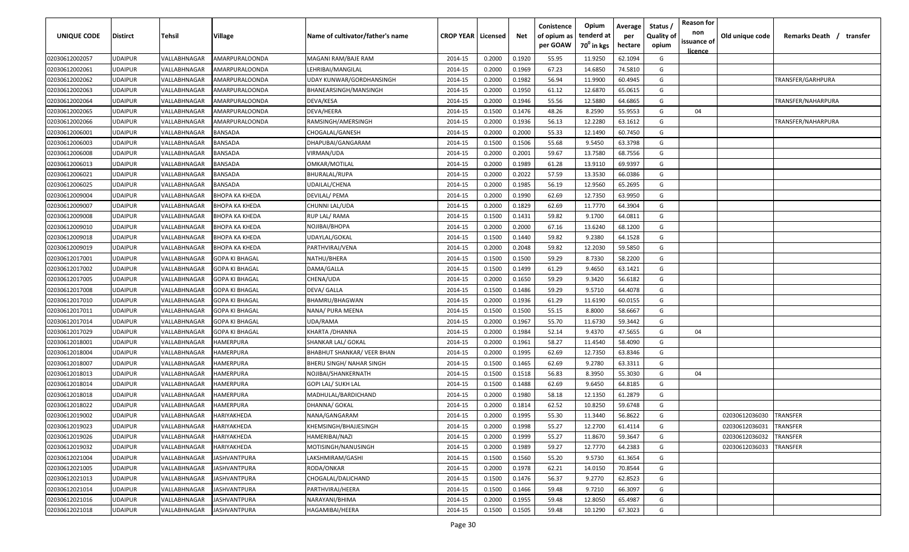| UNIQUE CODE    | <b>Distirct</b> | Tehsil       | <b>Village</b>        | Name of cultivator/father's name | <b>CROP YEAR   Licensed</b> |        | Net    | Conistence<br>of opium as<br>per GOAW | Opium<br>tenderd at<br>70 <sup>0</sup> in kgs | Average<br>per<br>hectare | Status /<br><b>Quality of</b><br>opium | <b>Reason for</b><br>non<br>issuance of<br><u>licence</u> | Old unique code | Remarks Death /<br>transfer |
|----------------|-----------------|--------------|-----------------------|----------------------------------|-----------------------------|--------|--------|---------------------------------------|-----------------------------------------------|---------------------------|----------------------------------------|-----------------------------------------------------------|-----------------|-----------------------------|
| 02030612002057 | <b>UDAIPUR</b>  | VALLABHNAGAR | AMARPURALOONDA        | MAGANI RAM/BAJE RAM              | 2014-15                     | 0.2000 | 0.1920 | 55.95                                 | 11.9250                                       | 62.1094                   | G                                      |                                                           |                 |                             |
| 02030612002061 | <b>UDAIPUR</b>  | VALLABHNAGAR | AMARPURALOONDA        | LEHRIBAI/MANGILAL                | 2014-15                     | 0.2000 | 0.1969 | 67.23                                 | 14.6850                                       | 74.5810                   | G                                      |                                                           |                 |                             |
| 02030612002062 | <b>UDAIPUR</b>  | VALLABHNAGAR | AMARPURALOONDA        | UDAY KUNWAR/GORDHANSINGH         | 2014-15                     | 0.2000 | 0.1982 | 56.94                                 | 11.9900                                       | 60.4945                   | G                                      |                                                           |                 | TRANSFER/GARHPURA           |
| 02030612002063 | <b>UDAIPUR</b>  | VALLABHNAGAR | AMARPURALOONDA        | BHANEARSINGH/MANSINGH            | 2014-15                     | 0.2000 | 0.1950 | 61.12                                 | 12.6870                                       | 65.0615                   | G                                      |                                                           |                 |                             |
| 02030612002064 | <b>UDAIPUR</b>  | VALLABHNAGAR | AMARPURALOONDA        | DEVA/KESA                        | 2014-15                     | 0.2000 | 0.1946 | 55.56                                 | 12.5880                                       | 64.6865                   | G                                      |                                                           |                 | TRANSFER/NAHARPURA          |
| 02030612002065 | <b>UDAIPUR</b>  | VALLABHNAGAR | AMARPURALOONDA        | DEVA/HEERA                       | 2014-15                     | 0.1500 | 0.1476 | 48.26                                 | 8.2590                                        | 55.9553                   | G                                      | 04                                                        |                 |                             |
| 02030612002066 | <b>UDAIPUR</b>  | VALLABHNAGAR | AMARPURALOONDA        | RAMSINGH/AMERSINGH               | 2014-15                     | 0.2000 | 0.1936 | 56.13                                 | 12.2280                                       | 63.1612                   | G                                      |                                                           |                 | TRANSFER/NAHARPURA          |
| 02030612006001 | <b>UDAIPUR</b>  | VALLABHNAGAR | BANSADA               | CHOGALAL/GANESH                  | 2014-15                     | 0.2000 | 0.2000 | 55.33                                 | 12.1490                                       | 60.7450                   | G                                      |                                                           |                 |                             |
| 02030612006003 | <b>UDAIPUR</b>  | VALLABHNAGAR | BANSADA               | DHAPUBAI/GANGARAM                | 2014-15                     | 0.1500 | 0.1506 | 55.68                                 | 9.5450                                        | 63.3798                   | G                                      |                                                           |                 |                             |
| 02030612006008 | <b>UDAIPUR</b>  | VALLABHNAGAR | BANSADA               | VIRMAN/UDA                       | 2014-15                     | 0.2000 | 0.2001 | 59.67                                 | 13.7580                                       | 68.7556                   | G                                      |                                                           |                 |                             |
| 02030612006013 | <b>UDAIPUR</b>  | VALLABHNAGAR | BANSADA               | OMKAR/MOTILAL                    | 2014-15                     | 0.2000 | 0.1989 | 61.28                                 | 13.9110                                       | 69.9397                   | G                                      |                                                           |                 |                             |
| 02030612006021 | <b>UDAIPUR</b>  | VALLABHNAGAR | BANSADA               | BHURALAL/RUPA                    | 2014-15                     | 0.2000 | 0.2022 | 57.59                                 | 13.3530                                       | 66.0386                   | G                                      |                                                           |                 |                             |
| 02030612006025 | <b>UDAIPUR</b>  | VALLABHNAGAR | BANSADA               | UDAILAL/CHENA                    | 2014-15                     | 0.2000 | 0.1985 | 56.19                                 | 12.9560                                       | 65.2695                   | G                                      |                                                           |                 |                             |
| 02030612009004 | <b>UDAIPUR</b>  | VALLABHNAGAR | ВНОРА КА КНЕDА        | DEVILAL/ PEMA                    | 2014-15                     | 0.2000 | 0.1990 | 62.69                                 | 12.7350                                       | 63.9950                   | G                                      |                                                           |                 |                             |
| 02030612009007 | <b>UDAIPUR</b>  | VALLABHNAGAR | <b>BHOPA KA KHEDA</b> | CHUNNI LAL/UDA                   | 2014-15                     | 0.2000 | 0.1829 | 62.69                                 | 11.7770                                       | 64.3904                   | G                                      |                                                           |                 |                             |
| 02030612009008 | <b>UDAIPUR</b>  | VALLABHNAGAR | ВНОРА КА КНЕDА        | RUP LAL/ RAMA                    | 2014-15                     | 0.1500 | 0.1431 | 59.82                                 | 9.1700                                        | 64.0811                   | G                                      |                                                           |                 |                             |
| 02030612009010 | <b>UDAIPUR</b>  | VALLABHNAGAR | ВНОРА КА КНЕДА        | NOJIBAI/BHOPA                    | 2014-15                     | 0.2000 | 0.2000 | 67.16                                 | 13.6240                                       | 68.1200                   | G                                      |                                                           |                 |                             |
| 02030612009018 | <b>UDAIPUR</b>  | VALLABHNAGAR | ВНОРА КА КНЕДА        | UDAYLAL/GOKAL                    | 2014-15                     | 0.1500 | 0.1440 | 59.82                                 | 9.2380                                        | 64.1528                   | G                                      |                                                           |                 |                             |
| 02030612009019 | <b>UDAIPUR</b>  | VALLABHNAGAR | ВНОРА КА КНЕДА        | PARTHVIRAJ/VENA                  | 2014-15                     | 0.2000 | 0.2048 | 59.82                                 | 12.2030                                       | 59.5850                   | G                                      |                                                           |                 |                             |
| 02030612017001 | <b>UDAIPUR</b>  | VALLABHNAGAR | <b>GOPA KI BHAGAL</b> | NATHU/BHERA                      | 2014-15                     | 0.1500 | 0.1500 | 59.29                                 | 8.7330                                        | 58.2200                   | G                                      |                                                           |                 |                             |
| 02030612017002 | <b>UDAIPUR</b>  | VALLABHNAGAR | GOPA KI BHAGAL        | DAMA/GALLA                       | 2014-15                     | 0.1500 | 0.1499 | 61.29                                 | 9.4650                                        | 63.1421                   | G                                      |                                                           |                 |                             |
| 02030612017005 | <b>UDAIPUR</b>  | VALLABHNAGAR | GOPA KI BHAGAL        | CHENA/UDA                        | 2014-15                     | 0.2000 | 0.1650 | 59.29                                 | 9.3420                                        | 56.6182                   | G                                      |                                                           |                 |                             |
| 02030612017008 | <b>UDAIPUR</b>  | VALLABHNAGAR | GOPA KI BHAGAL        | DEVA/ GALLA                      | 2014-15                     | 0.1500 | 0.1486 | 59.29                                 | 9.5710                                        | 64.4078                   | G                                      |                                                           |                 |                             |
| 02030612017010 | <b>UDAIPUR</b>  | VALLABHNAGAR | <b>GOPA KI BHAGAL</b> | BHAMRU/BHAGWAN                   | 2014-15                     | 0.2000 | 0.1936 | 61.29                                 | 11.6190                                       | 60.0155                   | G                                      |                                                           |                 |                             |
| 02030612017011 | <b>UDAIPUR</b>  | VALLABHNAGAR | GOPA KI BHAGAL        | NANA/ PURA MEENA                 | 2014-15                     | 0.1500 | 0.1500 | 55.15                                 | 8.8000                                        | 58.6667                   | G                                      |                                                           |                 |                             |
| 02030612017014 | <b>UDAIPUR</b>  | VALLABHNAGAR | GOPA KI BHAGAL        | UDA/RAMA                         | 2014-15                     | 0.2000 | 0.1967 | 55.70                                 | 11.6730                                       | 59.3442                   | G                                      |                                                           |                 |                             |
| 02030612017029 | <b>UDAIPUR</b>  | VALLABHNAGAR | GOPA KI BHAGAL        | KHARTA / DHANNA                  | 2014-15                     | 0.2000 | 0.1984 | 52.14                                 | 9.4370                                        | 47.5655                   | G                                      | 04                                                        |                 |                             |
| 02030612018001 | <b>UDAIPUR</b>  | VALLABHNAGAR | HAMERPURA             | SHANKAR LAL/ GOKAL               | 2014-15                     | 0.2000 | 0.1961 | 58.27                                 | 11.4540                                       | 58.4090                   | G                                      |                                                           |                 |                             |
| 02030612018004 | <b>UDAIPUR</b>  | VALLABHNAGAR | HAMERPURA             | BHABHUT SHANKAR/ VEER BHAN       | 2014-15                     | 0.2000 | 0.1995 | 62.69                                 | 12.7350                                       | 63.8346                   | G                                      |                                                           |                 |                             |
| 02030612018007 | <b>UDAIPUR</b>  | VALLABHNAGAR | HAMERPURA             | BHERU SINGH/ NAHAR SINGH         | 2014-15                     | 0.1500 | 0.1465 | 62.69                                 | 9.2780                                        | 63.3311                   | G                                      |                                                           |                 |                             |
| 02030612018013 | <b>UDAIPUR</b>  | VALLABHNAGAR | HAMERPURA             | NOJIBAI/SHANKERNATH              | 2014-15                     | 0.1500 | 0.1518 | 56.83                                 | 8.3950                                        | 55.3030                   | G                                      | 04                                                        |                 |                             |
| 02030612018014 | <b>UDAIPUR</b>  | VALLABHNAGAR | HAMERPURA             | <b>GOPI LAL/ SUKH LAL</b>        | 2014-15                     | 0.1500 | 0.1488 | 62.69                                 | 9.6450                                        | 64.8185                   | G                                      |                                                           |                 |                             |
| 02030612018018 | <b>UDAIPUR</b>  | VALLABHNAGAR | HAMERPURA             | MADHULAL/BARDICHAND              | 2014-15                     | 0.2000 | 0.1980 | 58.18                                 | 12.1350                                       | 61.2879                   | G                                      |                                                           |                 |                             |
| 02030612018022 | <b>UDAIPUR</b>  | VALLABHNAGAR | <b>HAMERPURA</b>      | DHANNA/ GOKAL                    | 2014-15                     | 0.2000 | 0.1814 | 62.52                                 | 10.8250                                       | 59.6748                   | G                                      |                                                           |                 |                             |
| 02030612019002 | <b>UDAIPUR</b>  | VALLABHNAGAR | HARIYAKHEDA           | NANA/GANGARAM                    | 2014-15                     | 0.2000 | 0.1995 | 55.30                                 | 11.3440                                       | 56.8622                   | G                                      |                                                           | 02030612036030  | <b>TRANSFER</b>             |
| 02030612019023 | <b>UDAIPUR</b>  | VALLABHNAGAR | HARIYAKHEDA           | KHEMSINGH/BHAJJESINGH            | 2014-15                     | 0.2000 | 0.1998 | 55.27                                 | 12.2700                                       | 61.4114                   | G                                      |                                                           | 02030612036031  | <b>TRANSFER</b>             |
| 02030612019026 | <b>UDAIPUR</b>  | VALLABHNAGAR | <b>HARIYAKHEDA</b>    | HAMERIBAI/NAZI                   | 2014-15                     | 0.2000 | 0.1999 | 55.27                                 | 11.8670                                       | 59.3647                   | G                                      |                                                           | 02030612036032  | <b>TRANSFER</b>             |
| 02030612019032 | <b>UDAIPUR</b>  | VALLABHNAGAR | HARIYAKHEDA           | MOTISINGH/NANUSINGH              | 2014-15                     | 0.2000 | 0.1989 | 59.27                                 | 12.7770                                       | 64.2383                   | G                                      |                                                           | 02030612036033  | TRANSFER                    |
| 02030612021004 | <b>UDAIPUR</b>  | VALLABHNAGAR | JASHVANTPURA          | LAKSHMIRAM/GASHI                 | 2014-15                     | 0.1500 | 0.1560 | 55.20                                 | 9.5730                                        | 61.3654                   | G                                      |                                                           |                 |                             |
| 02030612021005 | <b>UDAIPUR</b>  | VALLABHNAGAR | <b>JASHVANTPURA</b>   | RODA/ONKAR                       | 2014-15                     | 0.2000 | 0.1978 | 62.21                                 | 14.0150                                       | 70.8544                   | G                                      |                                                           |                 |                             |
| 02030612021013 | <b>UDAIPUR</b>  | VALLABHNAGAR | <b>JASHVANTPURA</b>   | CHOGALAL/DALICHAND               | 2014-15                     | 0.1500 | 0.1476 | 56.37                                 | 9.2770                                        | 62.8523                   | G                                      |                                                           |                 |                             |
| 02030612021014 | <b>UDAIPUR</b>  | VALLABHNAGAR | JASHVANTPURA          | PARTHVIRAJ/HEERA                 | 2014-15                     | 0.1500 | 0.1466 | 59.48                                 | 9.7210                                        | 66.3097                   | G                                      |                                                           |                 |                             |
| 02030612021016 | <b>UDAIPUR</b>  | VALLABHNAGAR | JASHVANTPURA          | NARAYANI/BHIMA                   | 2014-15                     | 0.2000 | 0.1955 | 59.48                                 | 12.8050                                       | 65.4987                   | G                                      |                                                           |                 |                             |
| 02030612021018 | <b>UDAIPUR</b>  | VALLABHNAGAR | <b>JASHVANTPURA</b>   | HAGAMIBAI/HEERA                  | 2014-15                     | 0.1500 | 0.1505 | 59.48                                 | 10.1290                                       | 67.3023                   | G                                      |                                                           |                 |                             |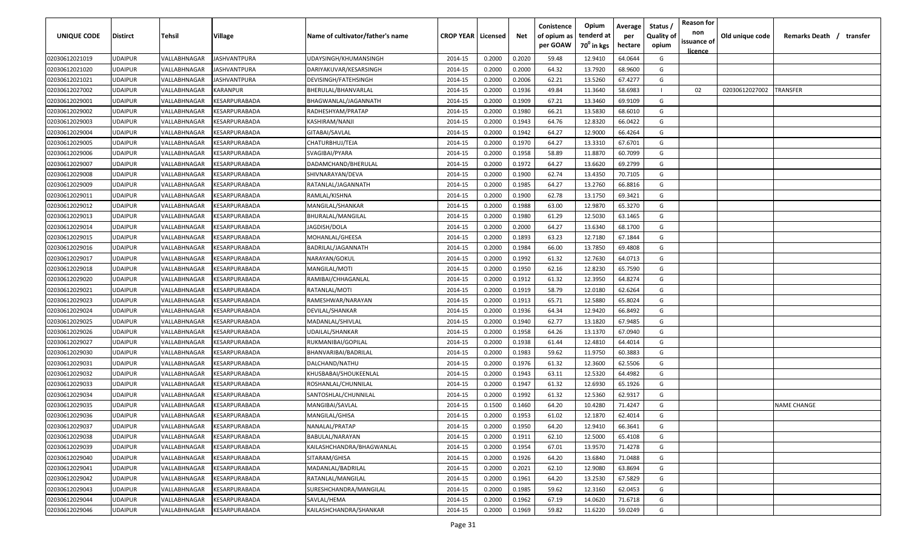| UNIQUE CODE    | <b>Distirct</b> | <b>Tehsil</b> | Village                                     | Name of cultivator/father's name | <b>CROP YEAR   Licensed</b> |        | Net    | Conistence<br>of opium as<br>per GOAW | Opium<br>tenderd at<br>70 <sup>°</sup> in kgs | Average<br>per<br>hectare | <b>Status</b><br><b>Quality of</b><br>opium | <b>Reason for</b><br>non<br>issuance of | Old unique code | Remarks Death /    | transfer |
|----------------|-----------------|---------------|---------------------------------------------|----------------------------------|-----------------------------|--------|--------|---------------------------------------|-----------------------------------------------|---------------------------|---------------------------------------------|-----------------------------------------|-----------------|--------------------|----------|
| 02030612021019 | <b>UDAIPUR</b>  | VALLABHNAGAR  | JASHVANTPURA                                | UDAYSINGH/KHUMANSINGH            | 2014-15                     | 0.2000 | 0.2020 | 59.48                                 | 12.9410                                       | 64.0644                   | G                                           | licence                                 |                 |                    |          |
| 02030612021020 | <b>UDAIPUR</b>  | VALLABHNAGAR  | IASHVANTPURA                                | DARIYAKUVAR/KESARSINGH           | 2014-15                     | 0.2000 | 0.2000 | 64.32                                 | 13.7920                                       | 68.9600                   | G                                           |                                         |                 |                    |          |
| 02030612021021 | <b>UDAIPUR</b>  | VALLABHNAGAR  | IASHVANTPURA                                | DEVISINGH/FATEHSINGH             | 2014-15                     | 0.2000 | 0.2006 | 62.21                                 | 13.5260                                       | 67.4277                   | G                                           |                                         |                 |                    |          |
| 02030612027002 | <b>UDAIPUR</b>  | VALLABHNAGAR  | KARANPUR                                    | BHERULAL/BHANVARLAL              | 2014-15                     | 0.2000 | 0.1936 | 49.84                                 | 11.3640                                       | 58.6983                   | $\mathbf{I}$                                | 02                                      | 02030612027002  | TRANSFER           |          |
| 02030612029001 | <b>UDAIPUR</b>  | VALLABHNAGAR  | <b><i>CESARPURABADA</i></b>                 | BHAGWANLAL/JAGANNATH             | 2014-15                     | 0.2000 | 0.1909 | 67.21                                 | 13.3460                                       | 69.9109                   | G                                           |                                         |                 |                    |          |
| 02030612029002 | <b>UDAIPUR</b>  | VALLABHNAGAR  | <b><i>CESARPURABADA</i></b>                 | RADHESHYAM/PRATAP                | 2014-15                     | 0.2000 | 0.1980 | 66.21                                 | 13.5830                                       | 68.6010                   | G                                           |                                         |                 |                    |          |
| 02030612029003 | <b>UDAIPUR</b>  | VALLABHNAGAR  | <b><i>CESARPURABADA</i></b>                 | KASHIRAM/NANJI                   | 2014-15                     | 0.2000 | 0.1943 | 64.76                                 | 12.8320                                       | 66.0422                   | G                                           |                                         |                 |                    |          |
| 02030612029004 | <b>UDAIPUR</b>  | VALLABHNAGAR  | <b><i>CESARPURABADA</i></b>                 | GITABAI/SAVLAL                   | 2014-15                     | 0.2000 | 0.1942 | 64.27                                 | 12.9000                                       | 66.4264                   | G                                           |                                         |                 |                    |          |
| 02030612029005 | <b>UDAIPUR</b>  | VALLABHNAGAR  | <b><i>CESARPURABADA</i></b>                 | CHATURBHUJ/TEJA                  | 2014-15                     | 0.2000 | 0.1970 | 64.27                                 | 13.3310                                       | 67.6701                   | G                                           |                                         |                 |                    |          |
| 02030612029006 | <b>UDAIPUR</b>  | VALLABHNAGAR  | <b><i>CESARPURABADA</i></b>                 | SVAGIBAI/PYARA                   | 2014-15                     | 0.2000 | 0.1958 | 58.89                                 | 11.8870                                       | 60.7099                   | G                                           |                                         |                 |                    |          |
| 02030612029007 | <b>UDAIPUR</b>  | VALLABHNAGAR  | KESARPURABADA                               | DADAMCHAND/BHERULAL              | 2014-15                     | 0.2000 | 0.1972 | 64.27                                 | 13.6620                                       | 69.2799                   | G                                           |                                         |                 |                    |          |
| 02030612029008 | <b>UDAIPUR</b>  | VALLABHNAGAR  | <b><esarpurabada< b=""></esarpurabada<></b> | SHIVNARAYAN/DEVA                 | 2014-15                     | 0.2000 | 0.1900 | 62.74                                 | 13.4350                                       | 70.7105                   | G                                           |                                         |                 |                    |          |
| 02030612029009 | <b>UDAIPUR</b>  | VALLABHNAGAR  | <b><esarpurabada< b=""></esarpurabada<></b> | RATANLAL/JAGANNATH               | 2014-15                     | 0.2000 | 0.1985 | 64.27                                 | 13.2760                                       | 66.8816                   | G                                           |                                         |                 |                    |          |
| 02030612029011 | <b>UDAIPUR</b>  | VALLABHNAGAR  | KESARPURABADA                               | RAMLAL/KISHNA                    | 2014-15                     | 0.2000 | 0.1900 | 62.78                                 | 13.1750                                       | 69.3421                   | G                                           |                                         |                 |                    |          |
| 02030612029012 | <b>UDAIPUR</b>  | VALLABHNAGAR  | KESARPURABADA                               | MANGILAL/SHANKAR                 | 2014-15                     | 0.2000 | 0.1988 | 63.00                                 | 12.9870                                       | 65.3270                   | G                                           |                                         |                 |                    |          |
| 02030612029013 | <b>UDAIPUR</b>  | VALLABHNAGAR  | KESARPURABADA                               | BHURALAL/MANGILAL                | 2014-15                     | 0.2000 | 0.1980 | 61.29                                 | 12.5030                                       | 63.1465                   | G                                           |                                         |                 |                    |          |
| 02030612029014 | <b>UDAIPUR</b>  | VALLABHNAGAR  | <b><i>CESARPURABADA</i></b>                 | JAGDISH/DOLA                     | 2014-15                     | 0.2000 | 0.2000 | 64.27                                 | 13.6340                                       | 68.1700                   | G                                           |                                         |                 |                    |          |
| 02030612029015 | <b>UDAIPUR</b>  | VALLABHNAGAR  | KESARPURABADA                               | MOHANLAL/GHEESA                  | 2014-15                     | 0.2000 | 0.1893 | 63.23                                 | 12.7180                                       | 67.1844                   | G                                           |                                         |                 |                    |          |
| 02030612029016 | <b>UDAIPUR</b>  | VALLABHNAGAR  | <b><esarpurabada< b=""></esarpurabada<></b> | BADRILAL/JAGANNATH               | 2014-15                     | 0.2000 | 0.1984 | 66.00                                 | 13.7850                                       | 69.4808                   | G                                           |                                         |                 |                    |          |
| 02030612029017 | <b>UDAIPUR</b>  | VALLABHNAGAR  | <b><i>CESARPURABADA</i></b>                 | NARAYAN/GOKUL                    | 2014-15                     | 0.2000 | 0.1992 | 61.32                                 | 12.7630                                       | 64.0713                   | G                                           |                                         |                 |                    |          |
| 02030612029018 | <b>UDAIPUR</b>  | VALLABHNAGAR  | <b>ESARPURABADA</b>                         | MANGILAL/MOTI                    | 2014-15                     | 0.2000 | 0.1950 | 62.16                                 | 12.8230                                       | 65.7590                   | G                                           |                                         |                 |                    |          |
| 02030612029020 | <b>UDAIPUR</b>  | VALLABHNAGAR  | <b><i>CESARPURABADA</i></b>                 | RAMIBAI/CHHAGANLAL               | 2014-15                     | 0.2000 | 0.1912 | 61.32                                 | 12.3950                                       | 64.8274                   | G                                           |                                         |                 |                    |          |
| 02030612029021 | <b>UDAIPUR</b>  | VALLABHNAGAR  | <b><i>CESARPURABADA</i></b>                 | RATANLAL/MOTI                    | 2014-15                     | 0.2000 | 0.1919 | 58.79                                 | 12.0180                                       | 62.6264                   | G                                           |                                         |                 |                    |          |
| 02030612029023 | <b>UDAIPUR</b>  | VALLABHNAGAR  | <b><esarpurabada< b=""></esarpurabada<></b> | RAMESHWAR/NARAYAN                | 2014-15                     | 0.2000 | 0.1913 | 65.71                                 | 12.5880                                       | 65.8024                   | G                                           |                                         |                 |                    |          |
| 02030612029024 | <b>UDAIPUR</b>  | VALLABHNAGAR  | <b>ESARPURABADA</b>                         | DEVILAL/SHANKAR                  | 2014-15                     | 0.2000 | 0.1936 | 64.34                                 | 12.9420                                       | 66.8492                   | G                                           |                                         |                 |                    |          |
| 02030612029025 | <b>UDAIPUR</b>  | VALLABHNAGAR  | <b>ESARPURABADA</b>                         | MADANLAL/SHIVLAL                 | 2014-15                     | 0.2000 | 0.1940 | 62.77                                 | 13.1820                                       | 67.9485                   | G                                           |                                         |                 |                    |          |
| 02030612029026 | <b>UDAIPUR</b>  | VALLABHNAGAR  | <b><i>CESARPURABADA</i></b>                 | UDAILAL/SHANKAR                  | 2014-15                     | 0.2000 | 0.1958 | 64.26                                 | 13.1370                                       | 67.0940                   | G                                           |                                         |                 |                    |          |
| 02030612029027 | <b>UDAIPUR</b>  | VALLABHNAGAR  | <b><i>CESARPURABADA</i></b>                 | RUKMANIBAI/GOPILAL               | 2014-15                     | 0.2000 | 0.1938 | 61.44                                 | 12.4810                                       | 64.4014                   | G                                           |                                         |                 |                    |          |
| 02030612029030 | <b>UDAIPUR</b>  | VALLABHNAGAR  | <b><esarpurabada< b=""></esarpurabada<></b> | BHANVARIBAI/BADRILAL             | 2014-15                     | 0.2000 | 0.1983 | 59.62                                 | 11.9750                                       | 60.3883                   | G                                           |                                         |                 |                    |          |
| 02030612029031 | <b>UDAIPUR</b>  | VALLABHNAGAR  | <b><i>CESARPURABADA</i></b>                 | DALCHAND/NATHU                   | 2014-15                     | 0.2000 | 0.1976 | 61.32                                 | 12.3600                                       | 62.5506                   | G                                           |                                         |                 |                    |          |
| 02030612029032 | <b>UDAIPUR</b>  | VALLABHNAGAR  | KESARPURABADA                               | KHUSBABAI/SHOUKEENLAL            | 2014-15                     | 0.2000 | 0.1943 | 63.11                                 | 12.5320                                       | 64.4982                   | G                                           |                                         |                 |                    |          |
| 02030612029033 | <b>UDAIPUR</b>  | VALLABHNAGAR  | KESARPURABADA                               | ROSHANLAL/CHUNNILAL              | 2014-15                     | 0.2000 | 0.1947 | 61.32                                 | 12.6930                                       | 65.1926                   | G                                           |                                         |                 |                    |          |
| 02030612029034 | <b>UDAIPUR</b>  | VALLABHNAGAR  | <b><i>CESARPURABADA</i></b>                 | SANTOSHLAL/CHUNNILAL             | 2014-15                     | 0.2000 | 0.1992 | 61.32                                 | 12.5360                                       | 62.9317                   | G                                           |                                         |                 |                    |          |
| 02030612029035 | <b>UDAIPUR</b>  | VALLABHNAGAR  | <b>ESARPURABADA</b>                         | MANGIBAI/SAVLAL                  | 2014-15                     | 0.1500 | 0.1460 | 64.20                                 | 10.4280                                       | 71.4247                   | G                                           |                                         |                 | <b>NAME CHANGE</b> |          |
| 02030612029036 | <b>UDAIPUR</b>  | VALLABHNAGAR  | <b><i>CESARPURABADA</i></b>                 | MANGILAL/GHISA                   | 2014-15                     | 0.2000 | 0.1953 | 61.02                                 | 12.1870                                       | 62.4014                   | G                                           |                                         |                 |                    |          |
| 02030612029037 | <b>UDAIPUR</b>  | VALLABHNAGAR  | KESARPURABADA                               | NANALAL/PRATAP                   | 2014-15                     | 0.2000 | 0.1950 | 64.20                                 | 12.9410                                       | 66.3641                   | G                                           |                                         |                 |                    |          |
| 02030612029038 | <b>UDAIPUR</b>  | VALLABHNAGAR  | KESARPURABADA                               | BABULAL/NARAYAN                  | 2014-15                     | 0.2000 | 0.1911 | 62.10                                 | 12.5000                                       | 65.4108                   | G                                           |                                         |                 |                    |          |
| 02030612029039 | <b>UDAIPUR</b>  | VALLABHNAGAR  | KESARPURABADA                               | KAILASHCHANDRA/BHAGWANLAL        | 2014-15                     | 0.2000 | 0.1954 | 67.01                                 | 13.9570                                       | 71.4278                   | G                                           |                                         |                 |                    |          |
| 02030612029040 | <b>UDAIPUR</b>  | VALLABHNAGAR  | KESARPURABADA                               | SITARAM/GHISA                    | 2014-15                     | 0.2000 | 0.1926 | 64.20                                 | 13.6840                                       | 71.0488                   | G                                           |                                         |                 |                    |          |
| 02030612029041 | <b>UDAIPUR</b>  | VALLABHNAGAR  | KESARPURABADA                               | MADANLAL/BADRILAL                | 2014-15                     | 0.2000 | 0.2021 | 62.10                                 | 12.9080                                       | 63.8694                   | G                                           |                                         |                 |                    |          |
| 02030612029042 | <b>UDAIPUR</b>  | VALLABHNAGAR  | KESARPURABADA                               | RATANLAL/MANGILAL                | 2014-15                     | 0.2000 | 0.1961 | 64.20                                 | 13.2530                                       | 67.5829                   | G                                           |                                         |                 |                    |          |
| 02030612029043 | <b>UDAIPUR</b>  | VALLABHNAGAR  | KESARPURABADA                               | SURESHCHANDRA/MANGILAL           | 2014-15                     | 0.2000 | 0.1985 | 59.62                                 | 12.3160                                       | 62.0453                   | G                                           |                                         |                 |                    |          |
| 02030612029044 | <b>UDAIPUR</b>  | VALLABHNAGAR  | KESARPURABADA                               | SAVLAL/HEMA                      | 2014-15                     | 0.2000 | 0.1962 | 67.19                                 | 14.0620                                       | 71.6718                   | G                                           |                                         |                 |                    |          |
| 02030612029046 | <b>UDAIPUR</b>  | VALLABHNAGAR  | KESARPURABADA                               | KAILASHCHANDRA/SHANKAR           | 2014-15                     | 0.2000 | 0.1969 | 59.82                                 | 11.6220                                       | 59.0249                   | G                                           |                                         |                 |                    |          |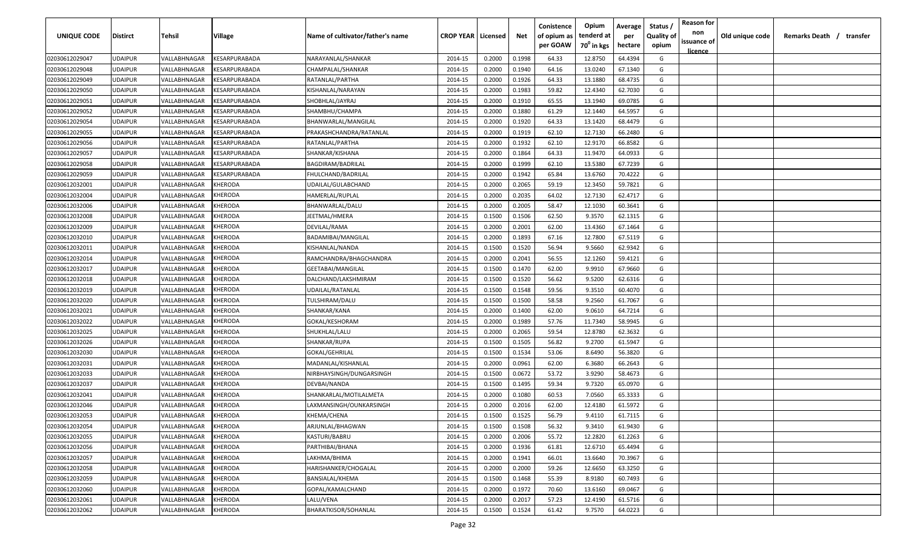| UNIQUE CODE    | <b>Distirct</b> | Tehsil       | Village                                     | Name of cultivator/father's name | <b>CROP YEAR   Licensed</b> |        | Net    | Conistence<br>of opium as<br>per GOAW | Opium<br>tenderd at<br>70 <sup>0</sup> in kgs | Average<br>per<br>hectare | Status<br><b>Quality of</b><br>opium | <b>Reason for</b><br>non<br>issuance of | Old unique code | Remarks Death / transfer |
|----------------|-----------------|--------------|---------------------------------------------|----------------------------------|-----------------------------|--------|--------|---------------------------------------|-----------------------------------------------|---------------------------|--------------------------------------|-----------------------------------------|-----------------|--------------------------|
| 02030612029047 | <b>UDAIPUR</b>  | VALLABHNAGAR | KESARPURABADA                               | NARAYANLAL/SHANKAR               | 2014-15                     | 0.2000 | 0.1998 | 64.33                                 | 12.8750                                       | 64.4394                   | G                                    | <u>licence</u>                          |                 |                          |
| 02030612029048 | <b>UDAIPUR</b>  | VALLABHNAGAR | <b><esarpurabada< b=""></esarpurabada<></b> | CHAMPALAL/SHANKAR                | 2014-15                     | 0.2000 | 0.1940 | 64.16                                 | 13.0240                                       | 67.1340                   | G                                    |                                         |                 |                          |
| 02030612029049 | <b>UDAIPUR</b>  | VALLABHNAGAR | <b><i>CESARPURABADA</i></b>                 | RATANLAL/PARTHA                  | 2014-15                     | 0.2000 | 0.1926 | 64.33                                 | 13.1880                                       | 68.4735                   | G                                    |                                         |                 |                          |
| 02030612029050 | <b>UDAIPUR</b>  | VALLABHNAGAR | <b><i>CESARPURABADA</i></b>                 | KISHANLAL/NARAYAN                | 2014-15                     | 0.2000 | 0.1983 | 59.82                                 | 12.4340                                       | 62.7030                   | G                                    |                                         |                 |                          |
| 02030612029051 | <b>UDAIPUR</b>  | VALLABHNAGAR | <b><i>CESARPURABADA</i></b>                 | SHOBHLAL/JAYRAJ                  | 2014-15                     | 0.2000 | 0.1910 | 65.55                                 | 13.1940                                       | 69.0785                   | G                                    |                                         |                 |                          |
| 02030612029052 | <b>UDAIPUR</b>  | VALLABHNAGAR | <b><i>CESARPURABADA</i></b>                 | SHAMBHU/CHAMPA                   | 2014-15                     | 0.2000 | 0.1880 | 61.29                                 | 12.1440                                       | 64.5957                   | G                                    |                                         |                 |                          |
| 02030612029054 | <b>UDAIPUR</b>  | VALLABHNAGAR | <b><i>CESARPURABADA</i></b>                 | BHANWARLAL/MANGILAL              | 2014-15                     | 0.2000 | 0.1920 | 64.33                                 | 13.1420                                       | 68.4479                   | G                                    |                                         |                 |                          |
| 02030612029055 | <b>UDAIPUR</b>  | VALLABHNAGAR | <b><i>CESARPURABADA</i></b>                 | PRAKASHCHANDRA/RATANLAL          | 2014-15                     | 0.2000 | 0.1919 | 62.10                                 | 12.7130                                       | 66.2480                   | G                                    |                                         |                 |                          |
| 02030612029056 | <b>UDAIPUR</b>  | VALLABHNAGAR | <b><i>CESARPURABADA</i></b>                 | RATANLAL/PARTHA                  | 2014-15                     | 0.2000 | 0.1932 | 62.10                                 | 12.9170                                       | 66.8582                   | G                                    |                                         |                 |                          |
| 02030612029057 | <b>UDAIPUR</b>  | VALLABHNAGAR | <b><i>CESARPURABADA</i></b>                 | SHANKAR/KISHANA                  | 2014-15                     | 0.2000 | 0.1864 | 64.33                                 | 11.9470                                       | 64.0933                   | G                                    |                                         |                 |                          |
| 02030612029058 | UDAIPUR         | VALLABHNAGAR | <b><esarpurabada< b=""></esarpurabada<></b> | BAGDIRAM/BADRILAL                | 2014-15                     | 0.2000 | 0.1999 | 62.10                                 | 13.5380                                       | 67.7239                   | G                                    |                                         |                 |                          |
| 02030612029059 | <b>UDAIPUR</b>  | VALLABHNAGAR | <b><i>CESARPURABADA</i></b>                 | FHULCHAND/BADRILAL               | 2014-15                     | 0.2000 | 0.1942 | 65.84                                 | 13.6760                                       | 70.4222                   | G                                    |                                         |                 |                          |
| 02030612032001 | <b>UDAIPUR</b>  | VALLABHNAGAR | KHERODA                                     | UDAILAL/GULABCHAND               | 2014-15                     | 0.2000 | 0.2065 | 59.19                                 | 12.3450                                       | 59.7821                   | G                                    |                                         |                 |                          |
| 02030612032004 | <b>UDAIPUR</b>  | VALLABHNAGAR | KHERODA                                     | HAMERLAL/RUPLAL                  | 2014-15                     | 0.2000 | 0.2035 | 64.02                                 | 12.7130                                       | 62.4717                   | G                                    |                                         |                 |                          |
| 02030612032006 | <b>UDAIPUR</b>  | VALLABHNAGAR | KHERODA                                     | BHANWARLAL/DALU                  | 2014-15                     | 0.2000 | 0.2005 | 58.47                                 | 12.1030                                       | 60.3641                   | G                                    |                                         |                 |                          |
| 02030612032008 | <b>UDAIPUR</b>  | VALLABHNAGAR | KHERODA                                     | <b>JEETMAL/HMERA</b>             | 2014-15                     | 0.1500 | 0.1506 | 62.50                                 | 9.3570                                        | 62.1315                   | G                                    |                                         |                 |                          |
| 02030612032009 | <b>UDAIPUR</b>  | VALLABHNAGAR | KHERODA                                     | DEVILAL/RAMA                     | 2014-15                     | 0.2000 | 0.2001 | 62.00                                 | 13.4360                                       | 67.1464                   | G                                    |                                         |                 |                          |
| 02030612032010 | <b>UDAIPUR</b>  | VALLABHNAGAR | KHERODA                                     | BADAMIBAI/MANGILAL               | 2014-15                     | 0.2000 | 0.1893 | 67.16                                 | 12.7800                                       | 67.5119                   | G                                    |                                         |                 |                          |
| 02030612032011 | <b>UDAIPUR</b>  | VALLABHNAGAR | KHERODA                                     | KISHANLAL/NANDA                  | 2014-15                     | 0.1500 | 0.1520 | 56.94                                 | 9.5660                                        | 62.9342                   | G                                    |                                         |                 |                          |
| 02030612032014 | <b>UDAIPUR</b>  | VALLABHNAGAR | KHERODA                                     | RAMCHANDRA/BHAGCHANDRA           | 2014-15                     | 0.2000 | 0.2041 | 56.55                                 | 12.1260                                       | 59.4121                   | G                                    |                                         |                 |                          |
| 02030612032017 | <b>UDAIPUR</b>  | VALLABHNAGAR | KHERODA                                     | <b>GEETABAI/MANGILAL</b>         | 2014-15                     | 0.1500 | 0.1470 | 62.00                                 | 9.9910                                        | 67.9660                   | G                                    |                                         |                 |                          |
| 02030612032018 | <b>UDAIPUR</b>  | VALLABHNAGAR | KHERODA                                     | DALCHAND/LAKSHMIRAM              | 2014-15                     | 0.1500 | 0.1520 | 56.62                                 | 9.5200                                        | 62.6316                   | G                                    |                                         |                 |                          |
| 02030612032019 | <b>UDAIPUR</b>  | VALLABHNAGAR | <b>CHERODA</b>                              | UDAILAL/RATANLAL                 | 2014-15                     | 0.1500 | 0.1548 | 59.56                                 | 9.3510                                        | 60.4070                   | G                                    |                                         |                 |                          |
| 02030612032020 | <b>UDAIPUR</b>  | VALLABHNAGAR | <b>CHERODA</b>                              | TULSHIRAM/DALU                   | 2014-15                     | 0.1500 | 0.1500 | 58.58                                 | 9.2560                                        | 61.7067                   | G                                    |                                         |                 |                          |
| 02030612032021 | <b>UDAIPUR</b>  | VALLABHNAGAR | KHERODA                                     | SHANKAR/KANA                     | 2014-15                     | 0.2000 | 0.1400 | 62.00                                 | 9.0610                                        | 64.7214                   | G                                    |                                         |                 |                          |
| 02030612032022 | <b>UDAIPUR</b>  | VALLABHNAGAR | KHERODA                                     | GOKAL/KESHORAM                   | 2014-15                     | 0.2000 | 0.1989 | 57.76                                 | 11.7340                                       | 58.9945                   | G                                    |                                         |                 |                          |
| 02030612032025 | <b>UDAIPUR</b>  | VALLABHNAGAR | KHERODA                                     | SHUKHLAL/LALU                    | 2014-15                     | 0.2000 | 0.2065 | 59.54                                 | 12.8780                                       | 62.3632                   | G                                    |                                         |                 |                          |
| 02030612032026 | UDAIPUR         | VALLABHNAGAR | KHERODA                                     | SHANKAR/RUPA                     | 2014-15                     | 0.1500 | 0.1505 | 56.82                                 | 9.2700                                        | 61.5947                   | G                                    |                                         |                 |                          |
| 02030612032030 | <b>UDAIPUR</b>  | VALLABHNAGAR | KHERODA                                     | GOKAL/GEHRILAL                   | 2014-15                     | 0.1500 | 0.1534 | 53.06                                 | 8.6490                                        | 56.3820                   | G                                    |                                         |                 |                          |
| 02030612032031 | <b>UDAIPUR</b>  | VALLABHNAGAR | KHERODA                                     | MADANLAL/KISHANLAL               | 2014-15                     | 0.2000 | 0.0961 | 62.00                                 | 6.3680                                        | 66.2643                   | G                                    |                                         |                 |                          |
| 02030612032033 | <b>UDAIPUR</b>  | VALLABHNAGAR | KHERODA                                     | NIRBHAYSINGH/DUNGARSINGH         | 2014-15                     | 0.1500 | 0.0672 | 53.72                                 | 3.9290                                        | 58.4673                   | G                                    |                                         |                 |                          |
| 02030612032037 | <b>UDAIPUR</b>  | VALLABHNAGAR | <b>CHERODA</b>                              | DEVBAI/NANDA                     | 2014-15                     | 0.1500 | 0.1495 | 59.34                                 | 9.7320                                        | 65.0970                   | G                                    |                                         |                 |                          |
| 02030612032041 | <b>UDAIPUR</b>  | VALLABHNAGAR | <b>CHERODA</b>                              | SHANKARLAL/MOTILALMETA           | 2014-15                     | 0.2000 | 0.1080 | 60.53                                 | 7.0560                                        | 65.3333                   | G                                    |                                         |                 |                          |
| 02030612032046 | <b>UDAIPUR</b>  | VALLABHNAGAR | <b>CHERODA</b>                              | LAXMANSINGH/OUNKARSINGH          | 2014-15                     | 0.2000 | 0.2016 | 62.00                                 | 12.4180                                       | 61.5972                   | G                                    |                                         |                 |                          |
| 02030612032053 | <b>UDAIPUR</b>  | VALLABHNAGAR | KHERODA                                     | KHEMA/CHENA                      | 2014-15                     | 0.1500 | 0.1525 | 56.79                                 | 9.4110                                        | 61.7115                   | G                                    |                                         |                 |                          |
| 02030612032054 | <b>UDAIPUR</b>  | VALLABHNAGAR | <b>KHERODA</b>                              | ARJUNLAL/BHAGWAN                 | 2014-15                     | 0.1500 | 0.1508 | 56.32                                 | 9.3410                                        | 61.9430                   | G                                    |                                         |                 |                          |
| 02030612032055 | <b>UDAIPUR</b>  | VALLABHNAGAR | KHERODA                                     | KASTURI/BABRU                    | 2014-15                     | 0.2000 | 0.2006 | 55.72                                 | 12.2820                                       | 61.2263                   | G                                    |                                         |                 |                          |
| 02030612032056 | <b>UDAIPUR</b>  | VALLABHNAGAR | KHERODA                                     | PARTHIBAI/BHANA                  | 2014-15                     | 0.2000 | 0.1936 | 61.81                                 | 12.6710                                       | 65.4494                   | G                                    |                                         |                 |                          |
| 02030612032057 | <b>UDAIPUR</b>  | VALLABHNAGAR | KHERODA                                     | LAKHMA/BHIMA                     | 2014-15                     | 0.2000 | 0.1941 | 66.01                                 | 13.6640                                       | 70.3967                   | G                                    |                                         |                 |                          |
| 02030612032058 | <b>UDAIPUR</b>  | VALLABHNAGAR | KHERODA                                     | HARISHANKER/CHOGALAL             | 2014-15                     | 0.2000 | 0.2000 | 59.26                                 | 12.6650                                       | 63.3250                   | G                                    |                                         |                 |                          |
| 02030612032059 | <b>UDAIPUR</b>  | VALLABHNAGAR | KHERODA                                     | <b>BANSIALAL/KHEMA</b>           | 2014-15                     | 0.1500 | 0.1468 | 55.39                                 | 8.9180                                        | 60.7493                   | G                                    |                                         |                 |                          |
| 02030612032060 | <b>UDAIPUR</b>  | VALLABHNAGAR | KHERODA                                     | GOPAL/KAMALCHAND                 | 2014-15                     | 0.2000 | 0.1972 | 70.60                                 | 13.6160                                       | 69.0467                   | G                                    |                                         |                 |                          |
| 02030612032061 | <b>UDAIPUR</b>  | VALLABHNAGAR | KHERODA                                     | LALU/VENA                        | 2014-15                     | 0.2000 | 0.2017 | 57.23                                 | 12.4190                                       | 61.5716                   | G                                    |                                         |                 |                          |
| 02030612032062 | <b>UDAIPUR</b>  | VALLABHNAGAR | KHERODA                                     | BHARATKISOR/SOHANLAL             | 2014-15                     | 0.1500 | 0.1524 | 61.42                                 | 9.7570                                        | 64.0223                   | G                                    |                                         |                 |                          |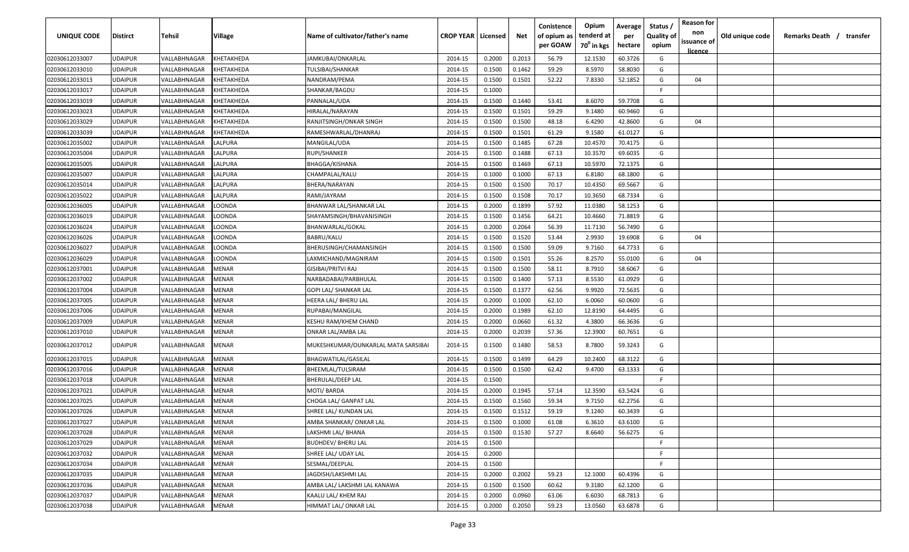| UNIQUE CODE    | Distirct       | Tehsil       | Village           | Name of cultivator/father's name    | <b>CROP YEAR   Licensed</b> |        | Net    | Conistence<br>of opium as<br>per GOAW | Opium<br>tenderd at<br>70 <sup>0</sup> in kgs | Average<br>per<br>hectare | Status<br><b>Quality of</b><br>opium | <b>Reason for</b><br>non<br>issuance of<br><u>licence</u> | Old unique code | Remarks Death / transfer |
|----------------|----------------|--------------|-------------------|-------------------------------------|-----------------------------|--------|--------|---------------------------------------|-----------------------------------------------|---------------------------|--------------------------------------|-----------------------------------------------------------|-----------------|--------------------------|
| 02030612033007 | UDAIPUR        | VALLABHNAGAR | KHETAKHEDA        | JAMKUBAI/ONKARLAL                   | 2014-15                     | 0.2000 | 0.2013 | 56.79                                 | 12.1530                                       | 60.3726                   | G                                    |                                                           |                 |                          |
| 02030612033010 | UDAIPUR        | VALLABHNAGAR | KHETAKHEDA        | TULSIBAI/SHANKAR                    | 2014-15                     | 0.1500 | 0.1462 | 59.29                                 | 8.5970                                        | 58.8030                   | G                                    |                                                           |                 |                          |
| 02030612033013 | UDAIPUR        | VALLABHNAGAR | KHETAKHEDA        | NANDRAM/PEMA                        | 2014-15                     | 0.1500 | 0.1501 | 52.22                                 | 7.8330                                        | 52.1852                   | G                                    | 04                                                        |                 |                          |
| 02030612033017 | UDAIPUR        | VALLABHNAGAR | KHETAKHEDA        | SHANKAR/BAGDU                       | 2014-15                     | 0.1000 |        |                                       |                                               |                           | E                                    |                                                           |                 |                          |
| 02030612033019 | UDAIPUR        | VALLABHNAGAR | KHETAKHEDA        | PANNALAL/UDA                        | 2014-15                     | 0.1500 | 0.1440 | 53.41                                 | 8.6070                                        | 59.7708                   | G                                    |                                                           |                 |                          |
| 02030612033023 | UDAIPUR        | VALLABHNAGAR | KHETAKHEDA        | HIRALAL/NARAYAN                     | 2014-15                     | 0.1500 | 0.1501 | 59.29                                 | 9.1480                                        | 60.9460                   | G                                    |                                                           |                 |                          |
| 02030612033029 | UDAIPUR        | VALLABHNAGAR | KHETAKHEDA        | RANJITSINGH/ONKAR SINGH             | 2014-15                     | 0.1500 | 0.1500 | 48.18                                 | 6.4290                                        | 42.8600                   | G                                    | 04                                                        |                 |                          |
| 02030612033039 | UDAIPUR        | VALLABHNAGAR | <b>CHETAKHEDA</b> | RAMESHWARLAL/DHANRAJ                | 2014-15                     | 0.1500 | 0.1501 | 61.29                                 | 9.1580                                        | 61.0127                   | G                                    |                                                           |                 |                          |
| 02030612035002 | UDAIPUR        | VALLABHNAGAR | LALPURA           | MANGILAL/UDA                        | 2014-15                     | 0.1500 | 0.1485 | 67.28                                 | 10.4570                                       | 70.4175                   | G                                    |                                                           |                 |                          |
| 02030612035004 | UDAIPUR        | VALLABHNAGAR | LALPURA           | RUPI/SHANKER                        | 2014-15                     | 0.1500 | 0.1488 | 67.13                                 | 10.3570                                       | 69.6035                   | G                                    |                                                           |                 |                          |
| 02030612035005 | UDAIPUR        | VALLABHNAGAR | LALPURA           | BHAGGA/KISHANA                      | 2014-15                     | 0.1500 | 0.1469 | 67.13                                 | 10.5970                                       | 72.1375                   | G                                    |                                                           |                 |                          |
| 02030612035007 | UDAIPUR        | VALLABHNAGAR | LALPURA           | CHAMPALAL/KALU                      | 2014-15                     | 0.1000 | 0.1000 | 67.13                                 | 6.8180                                        | 68.1800                   | G                                    |                                                           |                 |                          |
| 02030612035014 | UDAIPUR        | VALLABHNAGAR | LALPURA           | BHERA/NARAYAN                       | 2014-15                     | 0.1500 | 0.1500 | 70.17                                 | 10.4350                                       | 69.5667                   | G                                    |                                                           |                 |                          |
| 02030612035022 | UDAIPUR        | VALLABHNAGAR | LALPURA           | RAMI/JAYRAM                         | 2014-15                     | 0.1500 | 0.1508 | 70.17                                 | 10.3650                                       | 68.7334                   | G                                    |                                                           |                 |                          |
| 02030612036005 | UDAIPUR        | VALLABHNAGAR | LOONDA            | BHANWAR LAL/SHANKAR LAL             | 2014-15                     | 0.2000 | 0.1899 | 57.92                                 | 11.0380                                       | 58.1253                   | G                                    |                                                           |                 |                          |
| 02030612036019 | UDAIPUR        | VALLABHNAGAR | LOONDA            | SHAYAMSINGH/BHAVANISINGH            | 2014-15                     | 0.1500 | 0.1456 | 64.21                                 | 10.4660                                       | 71.8819                   | G                                    |                                                           |                 |                          |
| 02030612036024 | UDAIPUR        | VALLABHNAGAR | LOONDA            | BHANWARLAL/GOKAL                    | 2014-15                     | 0.2000 | 0.2064 | 56.39                                 | 11.7130                                       | 56.7490                   | G                                    |                                                           |                 |                          |
| 02030612036026 | UDAIPUR        | VALLABHNAGAR | LOONDA            | BABRU/KALU                          | 2014-15                     | 0.1500 | 0.1520 | 53.44                                 | 2.9930                                        | 19.6908                   | G                                    | 04                                                        |                 |                          |
| 02030612036027 | UDAIPUR        | VALLABHNAGAR | LOONDA            | BHERUSINGH/CHAMANSINGH              | 2014-15                     | 0.1500 | 0.1500 | 59.09                                 | 9.7160                                        | 64.7733                   | G                                    |                                                           |                 |                          |
| 02030612036029 | UDAIPUR        | VALLABHNAGAR | LOONDA            | LAXMICHAND/MAGNIRAM                 | 2014-15                     | 0.1500 | 0.1501 | 55.26                                 | 8.2570                                        | 55.0100                   | G                                    | 04                                                        |                 |                          |
| 02030612037001 | UDAIPUR        | VALLABHNAGAR | MENAR             | GISIBAI/PRITVI RAJ                  | 2014-15                     | 0.1500 | 0.1500 | 58.11                                 | 8.7910                                        | 58.6067                   | G                                    |                                                           |                 |                          |
| 02030612037002 | <b>UDAIPUR</b> | VALLABHNAGAR | MENAR             | NARBADABAI/PARBHULAL                | 2014-15                     | 0.1500 | 0.1400 | 57.13                                 | 8.5530                                        | 61.0929                   | G                                    |                                                           |                 |                          |
| 02030612037004 | UDAIPUR        | VALLABHNAGAR | MENAR             | GOPI LAL/ SHANKAR LAL               | 2014-15                     | 0.1500 | 0.1377 | 62.56                                 | 9.9920                                        | 72.5635                   | G                                    |                                                           |                 |                          |
| 02030612037005 | UDAIPUR        | VALLABHNAGAR | MENAR             | HEERA LAL/ BHERU LAL                | 2014-15                     | 0.2000 | 0.1000 | 62.10                                 | 6.0060                                        | 60.0600                   | G                                    |                                                           |                 |                          |
| 02030612037006 | UDAIPUR        | VALLABHNAGAR | MENAR             | RUPABAI/MANGILAL                    | 2014-15                     | 0.2000 | 0.1989 | 62.10                                 | 12.8190                                       | 64.4495                   | G                                    |                                                           |                 |                          |
| 02030612037009 | UDAIPUR        | VALLABHNAGAR | MENAR             | KESHU RAM/KHEM CHAND                | 2014-15                     | 0.2000 | 0.0660 | 61.32                                 | 4.3800                                        | 66.3636                   | G                                    |                                                           |                 |                          |
| 02030612037010 | UDAIPUR        | VALLABHNAGAR | MENAR             | ONKAR LAL/AMBA LAL                  | 2014-15                     | 0.2000 | 0.2039 | 57.36                                 | 12.3900                                       | 60.7651                   | G                                    |                                                           |                 |                          |
| 02030612037012 | <b>JDAIPUR</b> | VALLABHNAGAR | MENAR             | MUKESHKUMAR/OUNKARLAL MATA SARSIBAI | 2014-15                     | 0.1500 | 0.1480 | 58.53                                 | 8.7800                                        | 59.3243                   | G                                    |                                                           |                 |                          |
| 02030612037015 | UDAIPUR        | VALLABHNAGAR | MENAR             | BHAGWATILAL/GASILAL                 | 2014-15                     | 0.1500 | 0.1499 | 64.29                                 | 10.2400                                       | 68.3122                   | G                                    |                                                           |                 |                          |
| 02030612037016 | UDAIPUR        | VALLABHNAGAR | MENAR             | BHEEMLAL/TULSIRAM                   | 2014-15                     | 0.1500 | 0.1500 | 62.42                                 | 9.4700                                        | 63.1333                   | G                                    |                                                           |                 |                          |
| 02030612037018 | UDAIPUR        | VALLABHNAGAR | MENAR             | BHERULAL/DEEP LAL                   | 2014-15                     | 0.1500 |        |                                       |                                               |                           | -F.                                  |                                                           |                 |                          |
| 02030612037021 | UDAIPUR        | VALLABHNAGAR | MENAR             | MOTI/BARDA                          | 2014-15                     | 0.2000 | 0.1945 | 57.14                                 | 12.3590                                       | 63.5424                   | G                                    |                                                           |                 |                          |
| 02030612037025 | UDAIPUR        | VALLABHNAGAR | MENAR             | CHOGA LAL/ GANPAT LAL               | 2014-15                     | 0.1500 | 0.1560 | 59.34                                 | 9.7150                                        | 62.2756                   | G                                    |                                                           |                 |                          |
| 02030612037026 | UDAIPUR        | VALLABHNAGAR | MENAR             | SHREE LAL/ KUNDAN LAL               | 2014-15                     | 0.1500 | 0.1512 | 59.19                                 | 9.1240                                        | 60.3439                   | G                                    |                                                           |                 |                          |
| 02030612037027 | <b>UDAIPUR</b> | VALLABHNAGAR | MENAR             | AMBA SHANKAR/ ONKAR LAL             | 2014-15                     | 0.1500 | 0.1000 | 61.08                                 | 6.3610                                        | 63.6100                   | G                                    |                                                           |                 |                          |
| 02030612037028 | <b>UDAIPUR</b> | VALLABHNAGAR | MENAR             | LAKSHMI LAL/ BHANA                  | 2014-15                     | 0.1500 | 0.1530 | 57.27                                 | 8.6640                                        | 56.6275                   | G                                    |                                                           |                 |                          |
| 02030612037029 | <b>UDAIPUR</b> | VALLABHNAGAR | MENAR             | <b>BUDHDEV/ BHERU LAL</b>           | 2014-15                     | 0.1500 |        |                                       |                                               |                           | F.                                   |                                                           |                 |                          |
| 02030612037032 | <b>UDAIPUR</b> | VALLABHNAGAR | MENAR             | SHREE LAL/ UDAY LAL                 | 2014-15                     | 0.2000 |        |                                       |                                               |                           | F.                                   |                                                           |                 |                          |
| 02030612037034 | UDAIPUR        | VALLABHNAGAR | MENAR             | SESMAL/DEEPLAL                      | 2014-15                     | 0.1500 |        |                                       |                                               |                           | F.                                   |                                                           |                 |                          |
| 02030612037035 | UDAIPUR        | VALLABHNAGAR | MENAR             | JAGDISH/LAKSHMI LAL                 | 2014-15                     | 0.2000 | 0.2002 | 59.23                                 | 12.1000                                       | 60.4396                   | G                                    |                                                           |                 |                          |
| 02030612037036 | UDAIPUR        | VALLABHNAGAR | MENAR             | AMBA LAL/ LAKSHMI LAL KANAWA        | 2014-15                     | 0.1500 | 0.1500 | 60.62                                 | 9.3180                                        | 62.1200                   | G                                    |                                                           |                 |                          |
| 02030612037037 | UDAIPUR        | VALLABHNAGAR | MENAR             | KAALU LAL/ KHEM RAJ                 | 2014-15                     | 0.2000 | 0.0960 | 63.06                                 | 6.6030                                        | 68.7813                   | G                                    |                                                           |                 |                          |
| 02030612037038 | UDAIPUR        | VALLABHNAGAR | MENAR             | HIMMAT LAL/ ONKAR LAL               | 2014-15                     | 0.2000 | 0.2050 | 59.23                                 | 13.0560                                       | 63.6878                   | G                                    |                                                           |                 |                          |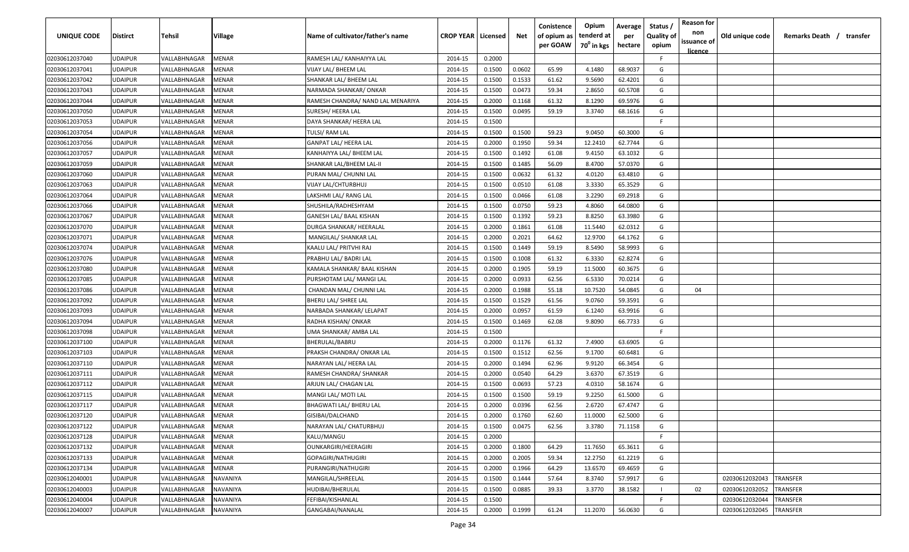| UNIQUE CODE    | <b>Distirct</b> | Tehsil       | Village      | Name of cultivator/father's name  | <b>CROP YEAR   Licensed</b> |        | Net    | Conistence<br>of opium as | Opium<br>tenderd at    | Average<br>per | Status<br><b>Quality of</b> | <b>Reason for</b><br>non<br>issuance of | Old unique code | Remarks Death / transfer |
|----------------|-----------------|--------------|--------------|-----------------------------------|-----------------------------|--------|--------|---------------------------|------------------------|----------------|-----------------------------|-----------------------------------------|-----------------|--------------------------|
|                |                 |              |              |                                   |                             |        |        | per GOAW                  | 70 <sup>°</sup> in kgs | hectare        | opium                       | <u>licence</u>                          |                 |                          |
| 02030612037040 | <b>UDAIPUR</b>  | VALLABHNAGAR | MENAR        | RAMESH LAL/ KANHAIYYA LAL         | 2014-15                     | 0.2000 |        |                           |                        |                | F.                          |                                         |                 |                          |
| 02030612037041 | <b>UDAIPUR</b>  | VALLABHNAGAR | MENAR        | VIJAY LAL/ BHEEM LAL              | 2014-15                     | 0.1500 | 0.0602 | 65.99                     | 4.1480                 | 68.9037        | G                           |                                         |                 |                          |
| 02030612037042 | <b>UDAIPUR</b>  | VALLABHNAGAR | MENAR        | SHANKAR LAL/ BHEEM LAL            | 2014-15                     | 0.1500 | 0.1533 | 61.62                     | 9.5690                 | 62.4201        | G                           |                                         |                 |                          |
| 02030612037043 | <b>UDAIPUR</b>  | VALLABHNAGAR | MENAR        | NARMADA SHANKAR/ONKAR             | 2014-15                     | 0.1500 | 0.0473 | 59.34                     | 2.8650                 | 60.5708        | G                           |                                         |                 |                          |
| 02030612037044 | <b>UDAIPUR</b>  | VALLABHNAGAR | MENAR        | RAMESH CHANDRA/ NAND LAL MENARIYA | 2014-15                     | 0.2000 | 0.1168 | 61.32                     | 8.1290                 | 69.5976        | G                           |                                         |                 |                          |
| 02030612037050 | <b>UDAIPUR</b>  | VALLABHNAGAR | MENAR        | SURESH/ HEERA LAL                 | 2014-15                     | 0.1500 | 0.0495 | 59.19                     | 3.3740                 | 68.1616        | G                           |                                         |                 |                          |
| 02030612037053 | <b>UDAIPUR</b>  | VALLABHNAGAR | MENAR        | DAYA SHANKAR/ HEERA LAL           | 2014-15                     | 0.1500 |        |                           |                        |                | -F                          |                                         |                 |                          |
| 02030612037054 | <b>UDAIPUR</b>  | VALLABHNAGAR | MENAR        | TULSI/ RAM LAL                    | 2014-15                     | 0.1500 | 0.1500 | 59.23                     | 9.0450                 | 60.3000        | G                           |                                         |                 |                          |
| 02030612037056 | <b>UDAIPUR</b>  | VALLABHNAGAR | MENAR        | <b>GANPAT LAL/ HEERA LAL</b>      | 2014-15                     | 0.2000 | 0.1950 | 59.34                     | 12.2410                | 62.7744        | G                           |                                         |                 |                          |
| 02030612037057 | <b>UDAIPUR</b>  | VALLABHNAGAR | MENAR        | KANHAIYYA LAL/ BHEEM LAL          | 2014-15                     | 0.1500 | 0.1492 | 61.08                     | 9.4150                 | 63.1032        | G                           |                                         |                 |                          |
| 02030612037059 | <b>UDAIPUR</b>  | VALLABHNAGAR | MENAR        | SHANKAR LAL/BHEEM LAL-II          | 2014-15                     | 0.1500 | 0.1485 | 56.09                     | 8.4700                 | 57.0370        | G                           |                                         |                 |                          |
| 02030612037060 | <b>UDAIPUR</b>  | VALLABHNAGAR | MENAR        | PURAN MAL/ CHUNNI LAL             | 2014-15                     | 0.1500 | 0.0632 | 61.32                     | 4.0120                 | 63.4810        | G                           |                                         |                 |                          |
| 02030612037063 | <b>UDAIPUR</b>  | VALLABHNAGAR | MENAR        | VIJAY LAL/CHTURBHUJ               | 2014-15                     | 0.1500 | 0.0510 | 61.08                     | 3.3330                 | 65.3529        | G                           |                                         |                 |                          |
| 02030612037064 | <b>UDAIPUR</b>  | VALLABHNAGAR | MENAR        | LAKSHMI LAL/ RANG LAL             | 2014-15                     | 0.1500 | 0.0466 | 61.08                     | 3.2290                 | 69.2918        | G                           |                                         |                 |                          |
| 02030612037066 | <b>UDAIPUR</b>  | VALLABHNAGAR | MENAR        | SHUSHILA/RADHESHYAM               | 2014-15                     | 0.1500 | 0.0750 | 59.23                     | 4.8060                 | 64.0800        | G                           |                                         |                 |                          |
| 02030612037067 | <b>UDAIPUR</b>  | VALLABHNAGAR | MENAR        | GANESH LAL/ BAAL KISHAN           | 2014-15                     | 0.1500 | 0.1392 | 59.23                     | 8.8250                 | 63.3980        | G                           |                                         |                 |                          |
| 02030612037070 | <b>UDAIPUR</b>  | VALLABHNAGAR | MENAR        | DURGA SHANKAR/ HEERALAL           | 2014-15                     | 0.2000 | 0.1861 | 61.08                     | 11.5440                | 62.0312        | G                           |                                         |                 |                          |
| 02030612037071 | <b>UDAIPUR</b>  | VALLABHNAGAR | MENAR        | MANGILAL/ SHANKAR LAL             | 2014-15                     | 0.2000 | 0.2021 | 64.62                     | 12.9700                | 64.1762        | G                           |                                         |                 |                          |
| 02030612037074 | <b>UDAIPUR</b>  | VALLABHNAGAR | MENAR        | KAALU LAL/ PRITVHI RAJ            | 2014-15                     | 0.1500 | 0.1449 | 59.19                     | 8.5490                 | 58.9993        | G                           |                                         |                 |                          |
| 02030612037076 | <b>UDAIPUR</b>  | VALLABHNAGAR | MENAR        | PRABHU LAL/ BADRI LAL             | 2014-15                     | 0.1500 | 0.1008 | 61.32                     | 6.3330                 | 62.8274        | G                           |                                         |                 |                          |
| 02030612037080 | <b>UDAIPUR</b>  | VALLABHNAGAR | MENAR        | KAMALA SHANKAR/ BAAL KISHAN       | 2014-15                     | 0.2000 | 0.1905 | 59.19                     | 11.5000                | 60.3675        | G                           |                                         |                 |                          |
| 02030612037085 | <b>UDAIPUR</b>  | VALLABHNAGAR | MENAR        | PURSHOTAM LAL/ MANGI LAL          | 2014-15                     | 0.2000 | 0.0933 | 62.56                     | 6.5330                 | 70.0214        | G                           |                                         |                 |                          |
| 02030612037086 | <b>UDAIPUR</b>  | VALLABHNAGAR | MENAR        | CHANDAN MAL/ CHUNNI LAL           | 2014-15                     | 0.2000 | 0.1988 | 55.18                     | 10.7520                | 54.0845        | G                           | 04                                      |                 |                          |
| 02030612037092 | <b>UDAIPUR</b>  | VALLABHNAGAR | MENAR        | BHERU LAL/ SHREE LAL              | 2014-15                     | 0.1500 | 0.1529 | 61.56                     | 9.0760                 | 59.3591        | G                           |                                         |                 |                          |
| 02030612037093 | <b>UDAIPUR</b>  | VALLABHNAGAR | MENAR        | NARBADA SHANKAR/ LELAPAT          | 2014-15                     | 0.2000 | 0.0957 | 61.59                     | 6.1240                 | 63.9916        | G                           |                                         |                 |                          |
| 02030612037094 | <b>UDAIPUR</b>  | VALLABHNAGAR | MENAR        | RADHA KISHAN/ ONKAR               | 2014-15                     | 0.1500 | 0.1469 | 62.08                     | 9.8090                 | 66.7733        | G                           |                                         |                 |                          |
| 02030612037098 | <b>UDAIPUR</b>  | VALLABHNAGAR | MENAR        | UMA SHANKAR/ AMBA LAL             | 2014-15                     | 0.1500 |        |                           |                        |                | F.                          |                                         |                 |                          |
| 02030612037100 | <b>UDAIPUR</b>  | VALLABHNAGAR | MENAR        | BHERULAL/BABRU                    | 2014-15                     | 0.2000 | 0.1176 | 61.32                     | 7.4900                 | 63.6905        | G                           |                                         |                 |                          |
| 02030612037103 | <b>UDAIPUR</b>  | VALLABHNAGAR | MENAR        | PRAKSH CHANDRA/ ONKAR LAL         | 2014-15                     | 0.1500 | 0.1512 | 62.56                     | 9.1700                 | 60.6481        | G                           |                                         |                 |                          |
| 02030612037110 | <b>UDAIPUR</b>  | VALLABHNAGAR | MENAR        | NARAYAN LAL/ HEERA LAL            | 2014-15                     | 0.2000 | 0.1494 | 62.96                     | 9.9120                 | 66.3454        | G                           |                                         |                 |                          |
| 02030612037111 | <b>UDAIPUR</b>  | VALLABHNAGAR | MENAR        | RAMESH CHANDRA/ SHANKAR           | 2014-15                     | 0.2000 | 0.0540 | 64.29                     | 3.6370                 | 67.3519        | G                           |                                         |                 |                          |
| 02030612037112 | <b>UDAIPUR</b>  | VALLABHNAGAR | MENAR        | ARJUN LAL/ CHAGAN LAL             | 2014-15                     | 0.1500 | 0.0693 | 57.23                     | 4.0310                 | 58.1674        | G                           |                                         |                 |                          |
| 02030612037115 | <b>UDAIPUR</b>  | VALLABHNAGAR | MENAR        | MANGI LAL/ MOTI LAL               | 2014-15                     | 0.1500 | 0.1500 | 59.19                     | 9.2250                 | 61.5000        | G                           |                                         |                 |                          |
| 02030612037117 | <b>UDAIPUR</b>  | VALLABHNAGAR | MENAR        | BHAGWATI LAL/ BHERU LAL           | 2014-15                     | 0.2000 | 0.0396 | 62.56                     | 2.6720                 | 67.4747        | G                           |                                         |                 |                          |
| 02030612037120 | <b>UDAIPUR</b>  | VALLABHNAGAR | MENAR        | GISIBAI/DALCHAND                  | 2014-15                     | 0.2000 | 0.1760 | 62.60                     | 11.0000                | 62.5000        | G                           |                                         |                 |                          |
| 02030612037122 | <b>UDAIPUR</b>  | VALLABHNAGAR | <b>MENAR</b> | NARAYAN LAL/ CHATURBHUJ           | 2014-15                     | 0.1500 | 0.0475 | 62.56                     | 3.3780                 | 71.1158        | G                           |                                         |                 |                          |
| 02030612037128 | <b>UDAIPUR</b>  | VALLABHNAGAR | MENAR        | KALU/MANGU                        | 2014-15                     | 0.2000 |        |                           |                        |                | F.                          |                                         |                 |                          |
| 02030612037132 | <b>UDAIPUR</b>  | VALLABHNAGAR | MENAR        | <b>OUNKARGIRI/HEERAGIRI</b>       | 2014-15                     | 0.2000 | 0.1800 | 64.29                     | 11.7650                | 65.3611        | G                           |                                         |                 |                          |
| 02030612037133 | <b>UDAIPUR</b>  | VALLABHNAGAR | MENAR        | GOPAGIRI/NATHUGIRI                | 2014-15                     | 0.2000 | 0.2005 | 59.34                     | 12.2750                | 61.2219        | G                           |                                         |                 |                          |
| 02030612037134 | <b>UDAIPUR</b>  | VALLABHNAGAR | MENAR        | PURANGIRI/NATHUGIRI               | 2014-15                     | 0.2000 | 0.1966 | 64.29                     | 13.6570                | 69.4659        | G                           |                                         |                 |                          |
| 02030612040001 | <b>UDAIPUR</b>  | VALLABHNAGAR | NAVANIYA     | MANGILAL/SHREELAL                 | 2014-15                     | 0.1500 | 0.1444 | 57.64                     | 8.3740                 | 57.9917        | G                           |                                         | 02030612032043  | <b>TRANSFER</b>          |
| 02030612040003 | <b>UDAIPUR</b>  | VALLABHNAGAR | NAVANIYA     | HUDIBAI/BHERULAL                  | 2014-15                     | 0.1500 | 0.0885 | 39.33                     | 3.3770                 | 38.1582        | $\blacksquare$              | 02                                      | 02030612032052  | TRANSFER                 |
| 02030612040004 | <b>UDAIPUR</b>  | VALLABHNAGAR | NAVANIYA     | FEFIBAI/KISHANLAL                 | 2014-15                     | 0.1500 |        |                           |                        |                | F.                          |                                         | 02030612032044  | TRANSFER                 |
| 02030612040007 | <b>UDAIPUR</b>  | VALLABHNAGAR | NAVANIYA     | GANGABAI/NANALAL                  | 2014-15                     | 0.2000 | 0.1999 | 61.24                     | 11.2070                | 56.0630        | G                           |                                         | 02030612032045  | <b>TRANSFER</b>          |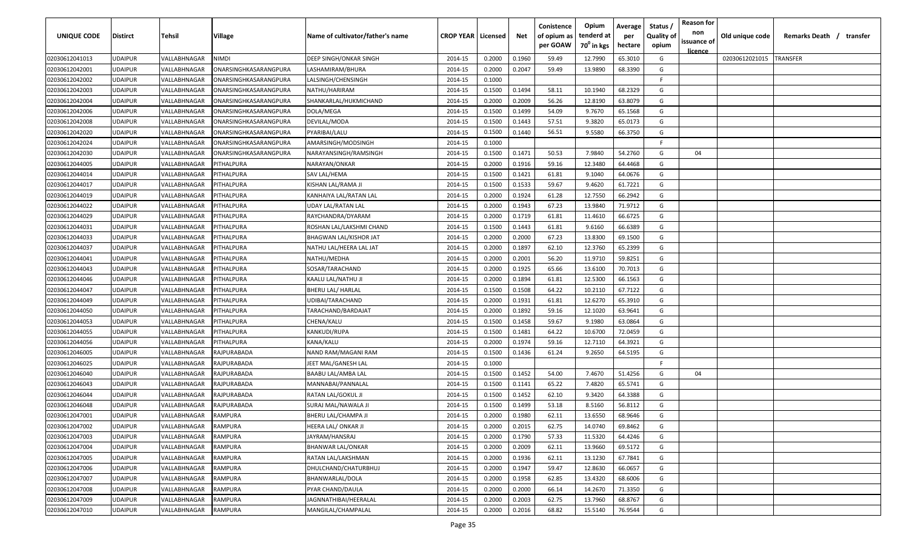| UNIQUE CODE    | Distirct       | Tehsil       | Village               | Name of cultivator/father's name | <b>CROP YEAR   Licensed</b> |        | Net    | Conistence<br>of opium as<br>per GOAW | Opium<br>tenderd at<br>70 <sup>0</sup> in kgs | Average<br>per<br>hectare | Status<br><b>Quality of</b><br>opium | <b>Reason for</b><br>non<br>issuance of<br><u>licence</u> | Old unique code | Remarks Death / | transfer |
|----------------|----------------|--------------|-----------------------|----------------------------------|-----------------------------|--------|--------|---------------------------------------|-----------------------------------------------|---------------------------|--------------------------------------|-----------------------------------------------------------|-----------------|-----------------|----------|
| 02030612041013 | UDAIPUR        | VALLABHNAGAR | NIMDI                 | <b>DEEP SINGH/ONKAR SINGH</b>    | 2014-15                     | 0.2000 | 0.1960 | 59.49                                 | 12.7990                                       | 65.3010                   | G                                    |                                                           | 02030612021015  | <b>TRANSFER</b> |          |
| 02030612042001 | UDAIPUR        | VALLABHNAGAR | ONARSINGHKASARANGPURA | LASHAMIRAM/BHURA                 | 2014-15                     | 0.2000 | 0.2047 | 59.49                                 | 13.9890                                       | 68.3390                   | G                                    |                                                           |                 |                 |          |
| 02030612042002 | UDAIPUR        | VALLABHNAGAR | ONARSINGHKASARANGPURA | LALSINGH/CHENSINGH               | 2014-15                     | 0.1000 |        |                                       |                                               |                           | E                                    |                                                           |                 |                 |          |
| 02030612042003 | UDAIPUR        | VALLABHNAGAR | ONARSINGHKASARANGPURA | NATHU/HARIRAM                    | 2014-15                     | 0.1500 | 0.1494 | 58.11                                 | 10.1940                                       | 68.2329                   | G                                    |                                                           |                 |                 |          |
| 02030612042004 | UDAIPUR        | VALLABHNAGAR | ONARSINGHKASARANGPURA | SHANKARLAL/HUKMICHAND            | 2014-15                     | 0.2000 | 0.2009 | 56.26                                 | 12.8190                                       | 63.8079                   | G                                    |                                                           |                 |                 |          |
| 02030612042006 | UDAIPUR        | VALLABHNAGAR | ONARSINGHKASARANGPURA | DOLA/MEGA                        | 2014-15                     | 0.1500 | 0.1499 | 54.09                                 | 9.7670                                        | 65.1568                   | G                                    |                                                           |                 |                 |          |
| 02030612042008 | UDAIPUR        | VALLABHNAGAR | ONARSINGHKASARANGPURA | DEVILAL/MODA                     | 2014-15                     | 0.1500 | 0.1443 | 57.51                                 | 9.3820                                        | 65.0173                   | G                                    |                                                           |                 |                 |          |
| 02030612042020 | UDAIPUR        | VALLABHNAGAR | ONARSINGHKASARANGPURA | PYARIBAI/LALU                    | 2014-15                     | 0.1500 | 0.1440 | 56.51                                 | 9.5580                                        | 66.3750                   | G                                    |                                                           |                 |                 |          |
| 02030612042024 | UDAIPUR        | VALLABHNAGAR | ONARSINGHKASARANGPURA | AMARSINGH/MODSINGH               | 2014-15                     | 0.1000 |        |                                       |                                               |                           | F.                                   |                                                           |                 |                 |          |
| 02030612042030 | UDAIPUR        | VALLABHNAGAR | ONARSINGHKASARANGPURA | NARAYANSINGH/RAMSINGH            | 2014-15                     | 0.1500 | 0.1471 | 50.53                                 | 7.9840                                        | 54.2760                   | G                                    | 04                                                        |                 |                 |          |
| 02030612044005 | UDAIPUR        | VALLABHNAGAR | PITHALPURA            | NARAYAN/ONKAR                    | 2014-15                     | 0.2000 | 0.1916 | 59.16                                 | 12.3480                                       | 64.4468                   | G                                    |                                                           |                 |                 |          |
| 02030612044014 | UDAIPUR        | VALLABHNAGAR | <b>PITHALPURA</b>     | SAV LAL/HEMA                     | 2014-15                     | 0.1500 | 0.1421 | 61.81                                 | 9.1040                                        | 64.0676                   | G                                    |                                                           |                 |                 |          |
| 02030612044017 | UDAIPUR        | VALLABHNAGAR | PITHALPURA            | KISHAN LAL/RAMA JI               | 2014-15                     | 0.1500 | 0.1533 | 59.67                                 | 9.4620                                        | 61.7221                   | G                                    |                                                           |                 |                 |          |
| 02030612044019 | UDAIPUR        | VALLABHNAGAR | PITHALPURA            | KANHAIYA LAL/RATAN LAL           | 2014-15                     | 0.2000 | 0.1924 | 61.28                                 | 12.7550                                       | 66.2942                   | G                                    |                                                           |                 |                 |          |
| 02030612044022 | UDAIPUR        | VALLABHNAGAR | PITHALPURA            | <b>UDAY LAL/RATAN LAL</b>        | 2014-15                     | 0.2000 | 0.1943 | 67.23                                 | 13.9840                                       | 71.9712                   | G                                    |                                                           |                 |                 |          |
| 02030612044029 | UDAIPUR        | VALLABHNAGAR | PITHALPURA            | RAYCHANDRA/DYARAM                | 2014-15                     | 0.2000 | 0.1719 | 61.81                                 | 11.4610                                       | 66.6725                   | G                                    |                                                           |                 |                 |          |
| 02030612044031 | UDAIPUR        | VALLABHNAGAR | <b>ITHALPURA</b>      | ROSHAN LAL/LAKSHMI CHAND         | 2014-15                     | 0.1500 | 0.1443 | 61.81                                 | 9.6160                                        | 66.6389                   | G                                    |                                                           |                 |                 |          |
| 02030612044033 | UDAIPUR        | VALLABHNAGAR | PITHALPURA            | <b>BHAGWAN LAL/KISHOR JAT</b>    | 2014-15                     | 0.2000 | 0.2000 | 67.23                                 | 13.8300                                       | 69.1500                   | G                                    |                                                           |                 |                 |          |
| 02030612044037 | UDAIPUR        | VALLABHNAGAR | PITHALPURA            | NATHU LAL/HEERA LAL JAT          | 2014-15                     | 0.2000 | 0.1897 | 62.10                                 | 12.3760                                       | 65.2399                   | G                                    |                                                           |                 |                 |          |
| 02030612044041 | UDAIPUR        | VALLABHNAGAR | PITHALPURA            | NATHU/MEDHA                      | 2014-15                     | 0.2000 | 0.2001 | 56.20                                 | 11.9710                                       | 59.8251                   | G                                    |                                                           |                 |                 |          |
| 02030612044043 | UDAIPUR        | VALLABHNAGAR | <b>PITHALPURA</b>     | SOSAR/TARACHAND                  | 2014-15                     | 0.2000 | 0.1925 | 65.66                                 | 13.6100                                       | 70.7013                   | G                                    |                                                           |                 |                 |          |
| 02030612044046 | UDAIPUR        | VALLABHNAGAR | PITHALPURA            | KAALU LAL/NATHU JI               | 2014-15                     | 0.2000 | 0.1894 | 61.81                                 | 12.5300                                       | 66.1563                   | G                                    |                                                           |                 |                 |          |
| 02030612044047 | UDAIPUR        | VALLABHNAGAR | PITHALPURA            | <b>BHERU LAL/ HARLAL</b>         | 2014-15                     | 0.1500 | 0.1508 | 64.22                                 | 10.2110                                       | 67.7122                   | G                                    |                                                           |                 |                 |          |
| 02030612044049 | UDAIPUR        | VALLABHNAGAR | PITHALPURA            | UDIBAI/TARACHAND                 | 2014-15                     | 0.2000 | 0.1931 | 61.81                                 | 12.6270                                       | 65.3910                   | G                                    |                                                           |                 |                 |          |
| 02030612044050 | UDAIPUR        | VALLABHNAGAR | <b>ITHALPURA</b>      | TARACHAND/BARDAJAT               | 2014-15                     | 0.2000 | 0.1892 | 59.16                                 | 12.1020                                       | 63.9641                   | G                                    |                                                           |                 |                 |          |
| 02030612044053 | UDAIPUR        | VALLABHNAGAR | <b>PITHALPURA</b>     | CHENA/KALU                       | 2014-15                     | 0.1500 | 0.1458 | 59.67                                 | 9.1980                                        | 63.0864                   | G                                    |                                                           |                 |                 |          |
| 02030612044055 | UDAIPUR        | VALLABHNAGAR | PITHALPURA            | KANKUDI/RUPA                     | 2014-15                     | 0.1500 | 0.1481 | 64.22                                 | 10.6700                                       | 72.0459                   | G                                    |                                                           |                 |                 |          |
| 02030612044056 | UDAIPUR        | VALLABHNAGAR | PITHALPURA            | KANA/KALU                        | 2014-15                     | 0.2000 | 0.1974 | 59.16                                 | 12.7110                                       | 64.3921                   | G                                    |                                                           |                 |                 |          |
| 02030612046005 | UDAIPUR        | VALLABHNAGAR | RAJPURABADA           | NAND RAM/MAGANI RAM              | 2014-15                     | 0.1500 | 0.1436 | 61.24                                 | 9.2650                                        | 64.5195                   | G                                    |                                                           |                 |                 |          |
| 02030612046025 | UDAIPUR        | VALLABHNAGAR | RAJPURABADA           | JEET MAL/GANESH LAL              | 2014-15                     | 0.1000 |        |                                       |                                               |                           | F.                                   |                                                           |                 |                 |          |
| 02030612046040 | UDAIPUR        | VALLABHNAGAR | RAJPURABADA           | <b>BAABU LAL/AMBA LAL</b>        | 2014-15                     | 0.1500 | 0.1452 | 54.00                                 | 7.4670                                        | 51.4256                   | G                                    | 04                                                        |                 |                 |          |
| 02030612046043 | UDAIPUR        | VALLABHNAGAR | RAJPURABADA           | MANNABAI/PANNALAL                | 2014-15                     | 0.1500 | 0.1141 | 65.22                                 | 7.4820                                        | 65.5741                   | G                                    |                                                           |                 |                 |          |
| 02030612046044 | UDAIPUR        | VALLABHNAGAR | RAJPURABADA           | RATAN LAL/GOKUL JI               | 2014-15                     | 0.1500 | 0.1452 | 62.10                                 | 9.3420                                        | 64.3388                   | G                                    |                                                           |                 |                 |          |
| 02030612046048 | UDAIPUR        | VALLABHNAGAR | RAJPURABADA           | SURAJ MAL/NAWALA JI              | 2014-15                     | 0.1500 | 0.1499 | 53.18                                 | 8.5160                                        | 56.8112                   | G                                    |                                                           |                 |                 |          |
| 02030612047001 | UDAIPUR        | VALLABHNAGAR | RAMPURA               | BHERU LAL/CHAMPA JI              | 2014-15                     | 0.2000 | 0.1980 | 62.11                                 | 13.6550                                       | 68.9646                   | G                                    |                                                           |                 |                 |          |
| 02030612047002 | <b>UDAIPUR</b> | VALLABHNAGAR | RAMPURA               | <b>HEERA LAL/ ONKAR JI</b>       | 2014-15                     | 0.2000 | 0.2015 | 62.75                                 | 14.0740                                       | 69.8462                   | G                                    |                                                           |                 |                 |          |
| 02030612047003 | UDAIPUR        | VALLABHNAGAR | RAMPURA               | JAYRAM/HANSRAJ                   | 2014-15                     | 0.2000 | 0.1790 | 57.33                                 | 11.5320                                       | 64.4246                   | G                                    |                                                           |                 |                 |          |
| 02030612047004 | UDAIPUR        | VALLABHNAGAR | RAMPURA               | <b>BHANWAR LAL/ONKAR</b>         | 2014-15                     | 0.2000 | 0.2009 | 62.11                                 | 13.9660                                       | 69.5172                   | G                                    |                                                           |                 |                 |          |
| 02030612047005 | <b>UDAIPUR</b> | VALLABHNAGAR | RAMPURA               | RATAN LAL/LAKSHMAN               | 2014-15                     | 0.2000 | 0.1936 | 62.11                                 | 13.1230                                       | 67.7841                   | G                                    |                                                           |                 |                 |          |
| 02030612047006 | UDAIPUR        | VALLABHNAGAR | RAMPURA               | DHULCHAND/CHATURBHUJ             | 2014-15                     | 0.2000 | 0.1947 | 59.47                                 | 12.8630                                       | 66.0657                   | G                                    |                                                           |                 |                 |          |
| 02030612047007 | UDAIPUR        | VALLABHNAGAR | RAMPURA               | BHANWARLAL/DOLA                  | 2014-15                     | 0.2000 | 0.1958 | 62.85                                 | 13.4320                                       | 68.6006                   | G                                    |                                                           |                 |                 |          |
| 02030612047008 | UDAIPUR        | VALLABHNAGAR | RAMPURA               | PYAR CHAND/DAULA                 | 2014-15                     | 0.2000 | 0.2000 | 66.14                                 | 14.2670                                       | 71.3350                   | G                                    |                                                           |                 |                 |          |
| 02030612047009 | UDAIPUR        | VALLABHNAGAR | RAMPURA               | JAGNNATHIBAI/HEERALAL            | 2014-15                     | 0.2000 | 0.2003 | 62.75                                 | 13.7960                                       | 68.8767                   | G                                    |                                                           |                 |                 |          |
| 02030612047010 | UDAIPUR        | VALLABHNAGAR | RAMPURA               | MANGILAL/CHAMPALAL               | 2014-15                     | 0.2000 | 0.2016 | 68.82                                 | 15.5140                                       | 76.9544                   | G                                    |                                                           |                 |                 |          |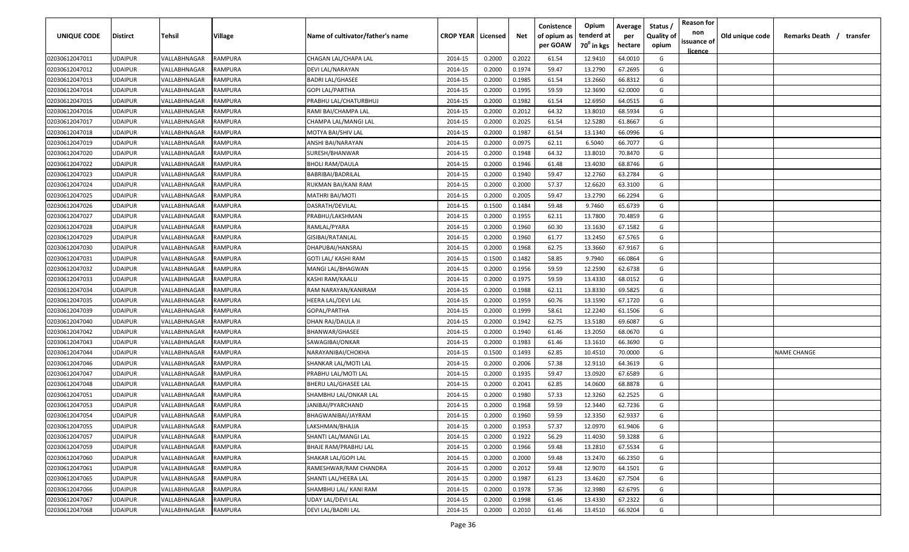| UNIQUE CODE    | <b>Distirct</b> | Tehsil       | Village        | Name of cultivator/father's name | <b>CROP YEAR   Licensed</b> |        | Net    | Conistence<br>of opium as | Opium<br>tenderd at    | Average<br>per | Status<br><b>Quality of</b> | <b>Reason for</b><br>non<br>issuance of | Old unique code | Remarks Death / transfer |
|----------------|-----------------|--------------|----------------|----------------------------------|-----------------------------|--------|--------|---------------------------|------------------------|----------------|-----------------------------|-----------------------------------------|-----------------|--------------------------|
|                |                 |              |                |                                  |                             |        |        | per GOAW                  | 70 <sup>0</sup> in kgs | hectare        | opium                       | <u>licence</u>                          |                 |                          |
| 02030612047011 | <b>UDAIPUR</b>  | VALLABHNAGAR | RAMPURA        | CHAGAN LAL/CHAPA LAL             | 2014-15                     | 0.2000 | 0.2022 | 61.54                     | 12.9410                | 64.0010        | G                           |                                         |                 |                          |
| 02030612047012 | <b>UDAIPUR</b>  | VALLABHNAGAR | RAMPURA        | DEVI LAL/NARAYAN                 | 2014-15                     | 0.2000 | 0.1974 | 59.47                     | 13.2790                | 67.2695        | G                           |                                         |                 |                          |
| 02030612047013 | <b>UDAIPUR</b>  | VALLABHNAGAR | RAMPURA        | <b>BADRI LAL/GHASEE</b>          | 2014-15                     | 0.2000 | 0.1985 | 61.54                     | 13.2660                | 66.8312        | G                           |                                         |                 |                          |
| 02030612047014 | <b>UDAIPUR</b>  | VALLABHNAGAR | RAMPURA        | <b>GOPI LAL/PARTHA</b>           | 2014-15                     | 0.2000 | 0.1995 | 59.59                     | 12.3690                | 62.0000        | G                           |                                         |                 |                          |
| 02030612047015 | <b>UDAIPUR</b>  | VALLABHNAGAR | RAMPURA        | PRABHU LAL/CHATURBHUJ            | 2014-15                     | 0.2000 | 0.1982 | 61.54                     | 12.6950                | 64.0515        | G                           |                                         |                 |                          |
| 02030612047016 | <b>UDAIPUR</b>  | VALLABHNAGAR | RAMPURA        | RAMI BAI/CHAMPA LAL              | 2014-15                     | 0.2000 | 0.2012 | 64.32                     | 13.8010                | 68.5934        | G                           |                                         |                 |                          |
| 02030612047017 | <b>UDAIPUR</b>  | VALLABHNAGAR | RAMPURA        | CHAMPA LAL/MANGI LAL             | 2014-15                     | 0.2000 | 0.2025 | 61.54                     | 12.5280                | 61.8667        | G                           |                                         |                 |                          |
| 02030612047018 | <b>UDAIPUR</b>  | VALLABHNAGAR | RAMPURA        | MOTYA BAI/SHIV LAL               | 2014-15                     | 0.2000 | 0.1987 | 61.54                     | 13.1340                | 66.0996        | G                           |                                         |                 |                          |
| 02030612047019 | <b>UDAIPUR</b>  | VALLABHNAGAR | RAMPURA        | ANSHI BAI/NARAYAN                | 2014-15                     | 0.2000 | 0.0975 | 62.11                     | 6.5040                 | 66.7077        | G                           |                                         |                 |                          |
| 02030612047020 | <b>UDAIPUR</b>  | VALLABHNAGAR | RAMPURA        | SURESH/BHANWAR                   | 2014-15                     | 0.2000 | 0.1948 | 64.32                     | 13.8010                | 70.8470        | G                           |                                         |                 |                          |
| 02030612047022 | <b>UDAIPUR</b>  | VALLABHNAGAR | RAMPURA        | BHOLI RAM/DAULA                  | 2014-15                     | 0.2000 | 0.1946 | 61.48                     | 13.4030                | 68.8746        | G                           |                                         |                 |                          |
| 02030612047023 | <b>UDAIPUR</b>  | VALLABHNAGAR | RAMPURA        | BABRIBAI/BADRILAL                | 2014-15                     | 0.2000 | 0.1940 | 59.47                     | 12.2760                | 63.2784        | G                           |                                         |                 |                          |
| 02030612047024 | <b>UDAIPUR</b>  | VALLABHNAGAR | <b>RAMPURA</b> | RUKMAN BAI/KANI RAM              | 2014-15                     | 0.2000 | 0.2000 | 57.37                     | 12.6620                | 63.3100        | G                           |                                         |                 |                          |
| 02030612047025 | <b>UDAIPUR</b>  | VALLABHNAGAR | RAMPURA        | <b>MATHRI BAI/MOTI</b>           | 2014-15                     | 0.2000 | 0.2005 | 59.47                     | 13.2790                | 66.2294        | G                           |                                         |                 |                          |
| 02030612047026 | <b>UDAIPUR</b>  | VALLABHNAGAR | <b>RAMPURA</b> | DASRATH/DEVILAL                  | 2014-15                     | 0.1500 | 0.1484 | 59.48                     | 9.7460                 | 65.6739        | G                           |                                         |                 |                          |
| 02030612047027 | <b>UDAIPUR</b>  | VALLABHNAGAR | RAMPURA        | PRABHU/LAKSHMAN                  | 2014-15                     | 0.2000 | 0.1955 | 62.11                     | 13.7800                | 70.4859        | G                           |                                         |                 |                          |
| 02030612047028 | <b>UDAIPUR</b>  | VALLABHNAGAR | <b>RAMPURA</b> | RAMLAL/PYARA                     | 2014-15                     | 0.2000 | 0.1960 | 60.30                     | 13.1630                | 67.1582        | G                           |                                         |                 |                          |
| 02030612047029 | <b>UDAIPUR</b>  | VALLABHNAGAR | RAMPURA        | GISIBAI/RATANLAL                 | 2014-15                     | 0.2000 | 0.1960 | 61.77                     | 13.2450                | 67.5765        | G                           |                                         |                 |                          |
| 02030612047030 | <b>UDAIPUR</b>  | VALLABHNAGAR | RAMPURA        | DHAPUBAI/HANSRAJ                 | 2014-15                     | 0.2000 | 0.1968 | 62.75                     | 13.3660                | 67.9167        | G                           |                                         |                 |                          |
| 02030612047031 | <b>UDAIPUR</b>  | VALLABHNAGAR | RAMPURA        | <b>GOTI LAL/ KASHI RAM</b>       | 2014-15                     | 0.1500 | 0.1482 | 58.85                     | 9.7940                 | 66.0864        | G                           |                                         |                 |                          |
| 02030612047032 | <b>UDAIPUR</b>  | VALLABHNAGAR | RAMPURA        | MANGI LAL/BHAGWAN                | 2014-15                     | 0.2000 | 0.1956 | 59.59                     | 12.2590                | 62.6738        | G                           |                                         |                 |                          |
| 02030612047033 | <b>UDAIPUR</b>  | VALLABHNAGAR | RAMPURA        | KASHI RAM/KAALU                  | 2014-15                     | 0.2000 | 0.1975 | 59.59                     | 13.4330                | 68.0152        | G                           |                                         |                 |                          |
| 02030612047034 | <b>UDAIPUR</b>  | VALLABHNAGAR | RAMPURA        | RAM NARAYAN/KANIRAM              | 2014-15                     | 0.2000 | 0.1988 | 62.11                     | 13.8330                | 69.5825        | G                           |                                         |                 |                          |
| 02030612047035 | <b>UDAIPUR</b>  | VALLABHNAGAR | RAMPURA        | HEERA LAL/DEVI LAL               | 2014-15                     | 0.2000 | 0.1959 | 60.76                     | 13.1590                | 67.1720        | G                           |                                         |                 |                          |
| 02030612047039 | <b>UDAIPUR</b>  | VALLABHNAGAR | RAMPURA        | GOPAL/PARTHA                     | 2014-15                     | 0.2000 | 0.1999 | 58.61                     | 12.2240                | 61.1506        | G                           |                                         |                 |                          |
| 02030612047040 | <b>UDAIPUR</b>  | VALLABHNAGAR | RAMPURA        | DHAN RAJ/DAULA JI                | 2014-15                     | 0.2000 | 0.1942 | 62.75                     | 13.5180                | 69.6087        | G                           |                                         |                 |                          |
| 02030612047042 | <b>UDAIPUR</b>  | VALLABHNAGAR | RAMPURA        | BHANWAR/GHASEE                   | 2014-15                     | 0.2000 | 0.1940 | 61.46                     | 13.2050                | 68.0670        | G                           |                                         |                 |                          |
| 02030612047043 | <b>UDAIPUR</b>  | VALLABHNAGAR | RAMPURA        | SAWAGIBAI/ONKAR                  | 2014-15                     | 0.2000 | 0.1983 | 61.46                     | 13.1610                | 66.3690        | G                           |                                         |                 |                          |
| 02030612047044 | <b>UDAIPUR</b>  | VALLABHNAGAR | RAMPURA        | NARAYANIBAI/CHOKHA               | 2014-15                     | 0.1500 | 0.1493 | 62.85                     | 10.4510                | 70.0000        | G                           |                                         |                 | <b>NAME CHANGE</b>       |
| 02030612047046 | <b>UDAIPUR</b>  | VALLABHNAGAR | RAMPURA        | SHANKAR LAL/MOTI LAL             | 2014-15                     | 0.2000 | 0.2006 | 57.38                     | 12.9110                | 64.3619        | G                           |                                         |                 |                          |
| 02030612047047 | <b>UDAIPUR</b>  | VALLABHNAGAR | RAMPURA        | PRABHU LAL/MOTI LAL              | 2014-15                     | 0.2000 | 0.1935 | 59.47                     | 13.0920                | 67.6589        | G                           |                                         |                 |                          |
| 02030612047048 | <b>UDAIPUR</b>  | VALLABHNAGAR | RAMPURA        | BHERU LAL/GHASEE LAL             | 2014-15                     | 0.2000 | 0.2041 | 62.85                     | 14.0600                | 68.8878        | G                           |                                         |                 |                          |
| 02030612047051 | <b>UDAIPUR</b>  | VALLABHNAGAR | RAMPURA        | SHAMBHU LAL/ONKAR LAL            | 2014-15                     | 0.2000 | 0.1980 | 57.33                     | 12.3260                | 62.2525        | G                           |                                         |                 |                          |
| 02030612047053 | <b>UDAIPUR</b>  | VALLABHNAGAR | RAMPURA        | JANIBAI/PYARCHAND                | 2014-15                     | 0.2000 | 0.1968 | 59.59                     | 12.3440                | 62.7236        | G                           |                                         |                 |                          |
| 02030612047054 | <b>UDAIPUR</b>  | VALLABHNAGAR | RAMPURA        | BHAGWANIBAI/JAYRAM               | 2014-15                     | 0.2000 | 0.1960 | 59.59                     | 12.3350                | 62.9337        | G                           |                                         |                 |                          |
| 02030612047055 | <b>UDAIPUR</b>  | VALLABHNAGAR | RAMPURA        | LAKSHMAN/BHAJJA                  | 2014-15                     | 0.2000 | 0.1953 | 57.37                     | 12.0970                | 61.9406        | G                           |                                         |                 |                          |
| 02030612047057 | <b>UDAIPUR</b>  | VALLABHNAGAR | RAMPURA        | SHANTI LAL/MANGI LAL             | 2014-15                     | 0.2000 | 0.1922 | 56.29                     | 11.4030                | 59.3288        | G                           |                                         |                 |                          |
| 02030612047059 | <b>UDAIPUR</b>  | VALLABHNAGAR | RAMPURA        | <b>BHAJE RAM/PRABHU LAL</b>      | 2014-15                     | 0.2000 | 0.1966 | 59.48                     | 13.2810                | 67.5534        | G                           |                                         |                 |                          |
| 02030612047060 | <b>UDAIPUR</b>  | VALLABHNAGAR | RAMPURA        | SHAKAR LAL/GOPI LAL              | 2014-15                     | 0.2000 | 0.2000 | 59.48                     | 13.2470                | 66.2350        | G                           |                                         |                 |                          |
| 02030612047061 | <b>UDAIPUR</b>  | VALLABHNAGAR | RAMPURA        | RAMESHWAR/RAM CHANDRA            | 2014-15                     | 0.2000 | 0.2012 | 59.48                     | 12.9070                | 64.1501        | G                           |                                         |                 |                          |
| 02030612047065 | <b>UDAIPUR</b>  | VALLABHNAGAR | RAMPURA        | SHANTI LAL/HEERA LAL             | 2014-15                     | 0.2000 | 0.1987 | 61.23                     | 13.4620                | 67.7504        | G                           |                                         |                 |                          |
| 02030612047066 | <b>UDAIPUR</b>  | VALLABHNAGAR | RAMPURA        | SHAMBHU LAL/ KANI RAM            | 2014-15                     | 0.2000 | 0.1978 | 57.36                     | 12.3980                | 62.6795        | G                           |                                         |                 |                          |
| 02030612047067 | <b>UDAIPUR</b>  | VALLABHNAGAR | RAMPURA        | UDAY LAL/DEVI LAL                | 2014-15                     | 0.2000 | 0.1998 | 61.46                     | 13.4330                | 67.2322        | G                           |                                         |                 |                          |
| 02030612047068 | <b>UDAIPUR</b>  | VALLABHNAGAR | RAMPURA        | DEVI LAL/BADRI LAL               | 2014-15                     | 0.2000 | 0.2010 | 61.46                     | 13.4510                | 66.9204        | G                           |                                         |                 |                          |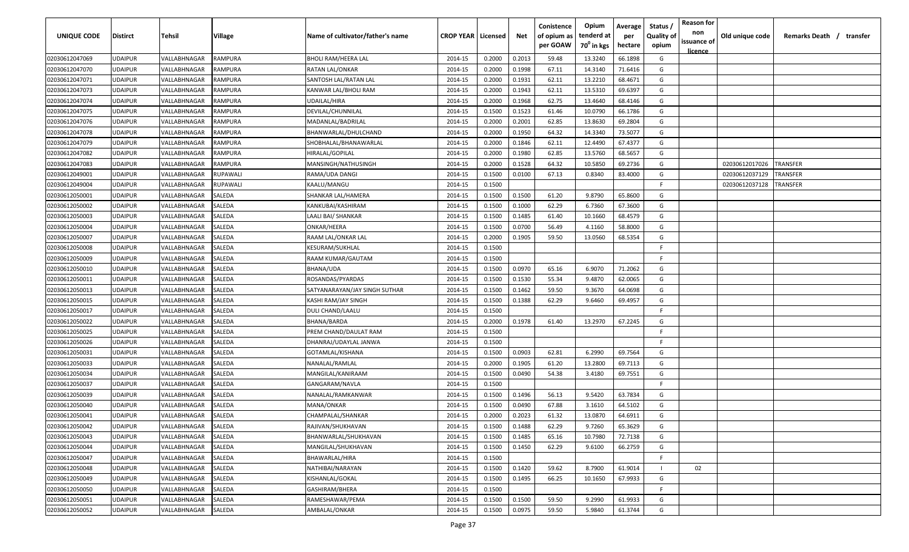| UNIQUE CODE                      | Distirct       | <b>Tehsil</b>              | Village        | Name of cultivator/father's name | <b>CROP YEAR   Licensed</b> |        | Net    | Conistence<br>of opium as<br>per GOAW | Opium<br>tenderd at<br>70 <sup>°</sup> in kgs | Average<br>per<br>hectare | Status /<br><b>Quality of</b><br>opium | <b>Reason for</b><br>non<br>issuance of | Old unique code | Remarks Death /<br>transfer |
|----------------------------------|----------------|----------------------------|----------------|----------------------------------|-----------------------------|--------|--------|---------------------------------------|-----------------------------------------------|---------------------------|----------------------------------------|-----------------------------------------|-----------------|-----------------------------|
|                                  | <b>UDAIPUR</b> | VALLABHNAGAR               | <b>RAMPURA</b> | <b>BHOLI RAM/HEERA LAL</b>       |                             | 0.2000 | 0.2013 | 59.48                                 | 13.3240                                       | 66.1898                   | G                                      | <u>licence</u>                          |                 |                             |
| 02030612047069<br>02030612047070 | <b>UDAIPUR</b> | VALLABHNAGAR               | RAMPURA        | RATAN LAL/ONKAR                  | 2014-15<br>2014-15          | 0.2000 | 0.1998 | 67.11                                 | 14.3140                                       | 71.6416                   | G                                      |                                         |                 |                             |
| 02030612047071                   | <b>UDAIPUR</b> | VALLABHNAGAR               | <b>RAMPURA</b> | SANTOSH LAL/RATAN LAL            | 2014-15                     | 0.2000 | 0.1931 | 62.11                                 | 13.2210                                       | 68.4671                   | G                                      |                                         |                 |                             |
| 02030612047073                   | <b>UDAIPUR</b> | VALLABHNAGAR               | <b>RAMPURA</b> | KANWAR LAL/BHOLI RAM             | 2014-15                     | 0.2000 | 0.1943 | 62.11                                 | 13.5310                                       | 69.6397                   | G                                      |                                         |                 |                             |
| 02030612047074                   | <b>UDAIPUR</b> | VALLABHNAGAR               | <b>RAMPURA</b> | UDAILAL/HIRA                     | 2014-15                     | 0.2000 | 0.1968 | 62.75                                 | 13.4640                                       | 68.4146                   | G                                      |                                         |                 |                             |
| 02030612047075                   | <b>UDAIPUR</b> | VALLABHNAGAR               | <b>RAMPURA</b> | DEVILAL/CHUNNILAL                | 2014-15                     | 0.1500 | 0.1523 | 61.46                                 | 10.0790                                       | 66.1786                   | G                                      |                                         |                 |                             |
| 02030612047076                   | <b>UDAIPUR</b> | VALLABHNAGAR               | <b>RAMPURA</b> | MADANLAL/BADRILAL                | 2014-15                     | 0.2000 | 0.2001 | 62.85                                 | 13.8630                                       | 69.2804                   | G                                      |                                         |                 |                             |
| 02030612047078                   | <b>UDAIPUR</b> | VALLABHNAGAR               | <b>RAMPURA</b> | BHANWARLAL/DHULCHAND             | 2014-15                     | 0.2000 | 0.1950 | 64.32                                 | 14.3340                                       | 73.5077                   | G                                      |                                         |                 |                             |
| 02030612047079                   | <b>UDAIPUR</b> | VALLABHNAGAR               | <b>RAMPURA</b> | SHOBHALAL/BHANAWARLAL            | 2014-15                     | 0.2000 | 0.1846 | 62.11                                 | 12.4490                                       | 67.4377                   | G                                      |                                         |                 |                             |
| 02030612047082                   | UDAIPUR        | VALLABHNAGAR               | RAMPURA        | HIRALAL/GOPILAL                  | 2014-15                     | 0.2000 | 0.1980 | 62.85                                 | 13.5760                                       | 68.5657                   | G                                      |                                         |                 |                             |
| 02030612047083                   | UDAIPUR        | VALLABHNAGAR               | <b>RAMPURA</b> | MANSINGH/NATHUSINGH              | 2014-15                     | 0.2000 | 0.1528 | 64.32                                 | 10.5850                                       | 69.2736                   | G                                      |                                         | 02030612017026  | TRANSFER                    |
| 02030612049001                   | UDAIPUR        | VALLABHNAGAR               | RUPAWALI       | RAMA/UDA DANGI                   | 2014-15                     | 0.1500 | 0.0100 | 67.13                                 | 0.8340                                        | 83.4000                   | G                                      |                                         | 02030612037129  | TRANSFER                    |
| 02030612049004                   | <b>UDAIPUR</b> | VALLABHNAGAR               | RUPAWALI       | KAALU/MANGU                      | 2014-15                     | 0.1500 |        |                                       |                                               |                           | F.                                     |                                         | 02030612037128  | TRANSFER                    |
| 02030612050001                   | <b>UDAIPUR</b> | <b><i>VALLABHNAGAR</i></b> | SALEDA         | SHANKAR LAL/HAMERA               | 2014-15                     | 0.1500 | 0.1500 | 61.20                                 | 9.8790                                        | 65.8600                   | G                                      |                                         |                 |                             |
| 02030612050002                   | <b>UDAIPUR</b> | <b><i>VALLABHNAGAR</i></b> | SALEDA         | KANKUBAI/KASHIRAM                | 2014-15                     | 0.1500 | 0.1000 | 62.29                                 | 6.7360                                        | 67.3600                   | G                                      |                                         |                 |                             |
| 02030612050003                   | <b>UDAIPUR</b> | <b><i>VALLABHNAGAR</i></b> | SALEDA         | LAALI BAI/ SHANKAR               | 2014-15                     | 0.1500 | 0.1485 | 61.40                                 | 10.1660                                       | 68.4579                   | G                                      |                                         |                 |                             |
| 02030612050004                   | <b>UDAIPUR</b> | VALLABHNAGAR               | SALEDA         | ONKAR/HEERA                      | 2014-15                     | 0.1500 | 0.0700 | 56.49                                 | 4.1160                                        | 58.8000                   | G                                      |                                         |                 |                             |
| 02030612050007                   | <b>UDAIPUR</b> | VALLABHNAGAR               | SALEDA         | RAAM LAL/ONKAR LAL               | 2014-15                     | 0.2000 | 0.1905 | 59.50                                 | 13.0560                                       | 68.5354                   | G                                      |                                         |                 |                             |
| 02030612050008                   | <b>UDAIPUR</b> | VALLABHNAGAR               | SALEDA         | KESURAM/SUKHLAL                  | 2014-15                     | 0.1500 |        |                                       |                                               |                           | -F.                                    |                                         |                 |                             |
| 02030612050009                   | <b>UDAIPUR</b> | VALLABHNAGAR               | SALEDA         | RAAM KUMAR/GAUTAM                | 2014-15                     | 0.1500 |        |                                       |                                               |                           | F.                                     |                                         |                 |                             |
| 02030612050010                   | <b>UDAIPUR</b> | VALLABHNAGAR               | SALEDA         | BHANA/UDA                        | 2014-15                     | 0.1500 | 0.0970 | 65.16                                 | 6.9070                                        | 71.2062                   | G                                      |                                         |                 |                             |
| 02030612050011                   | <b>UDAIPUR</b> | VALLABHNAGAR               | SALEDA         | ROSANDAS/PYARDAS                 | 2014-15                     | 0.1500 | 0.1530 | 55.34                                 | 9.4870                                        | 62.0065                   | G                                      |                                         |                 |                             |
| 02030612050013                   | <b>UDAIPUR</b> | VALLABHNAGAR               | SALEDA         | SATYANARAYAN/JAY SINGH SUTHAR    | 2014-15                     | 0.1500 | 0.1462 | 59.50                                 | 9.3670                                        | 64.0698                   | G                                      |                                         |                 |                             |
| 02030612050015                   | <b>UDAIPUR</b> | VALLABHNAGAR               | SALEDA         | KASHI RAM/JAY SINGH              | 2014-15                     | 0.1500 | 0.1388 | 62.29                                 | 9.6460                                        | 69.4957                   | G                                      |                                         |                 |                             |
| 02030612050017                   | <b>UDAIPUR</b> | <b><i>VALLABHNAGAR</i></b> | SALEDA         | DULI CHAND/LAALU                 | 2014-15                     | 0.1500 |        |                                       |                                               |                           | F.                                     |                                         |                 |                             |
| 02030612050022                   | <b>UDAIPUR</b> | VALLABHNAGAR               | SALEDA         | BHANA/BARDA                      | 2014-15                     | 0.2000 | 0.1978 | 61.40                                 | 13.2970                                       | 67.2245                   | G                                      |                                         |                 |                             |
| 02030612050025                   | UDAIPUR        | VALLABHNAGAR               | SALEDA         | PREM CHAND/DAULAT RAM            | 2014-15                     | 0.1500 |        |                                       |                                               |                           | F.                                     |                                         |                 |                             |
| 02030612050026                   | UDAIPUR        | VALLABHNAGAR               | SALEDA         | DHANRAJ/UDAYLAL JANWA            | 2014-15                     | 0.1500 |        |                                       |                                               |                           | F.                                     |                                         |                 |                             |
| 02030612050031                   | <b>UDAIPUR</b> | VALLABHNAGAR               | SALEDA         | GOTAMLAL/KISHANA                 | 2014-15                     | 0.1500 | 0.0903 | 62.81                                 | 6.2990                                        | 69.7564                   | G                                      |                                         |                 |                             |
| 02030612050033                   | <b>UDAIPUR</b> | <b><i>VALLABHNAGAR</i></b> | SALEDA         | NANALAL/RAMLAL                   | 2014-15                     | 0.2000 | 0.1905 | 61.20                                 | 13.2800                                       | 69.7113                   | G                                      |                                         |                 |                             |
| 02030612050034                   | <b>UDAIPUR</b> | <b><i>VALLABHNAGAR</i></b> | SALEDA         | MANGILAL/KANIRAAM                | 2014-15                     | 0.1500 | 0.0490 | 54.38                                 | 3.4180                                        | 69.7551                   | G                                      |                                         |                 |                             |
| 02030612050037                   | <b>UDAIPUR</b> | <b><i>VALLABHNAGAR</i></b> | SALEDA         | GANGARAM/NAVLA                   | 2014-15                     | 0.1500 |        |                                       |                                               |                           | F.                                     |                                         |                 |                             |
| 02030612050039                   | <b>UDAIPUR</b> | <b><i>VALLABHNAGAR</i></b> | SALEDA         | NANALAL/RAMKANWAR                | 2014-15                     | 0.1500 | 0.1496 | 56.13                                 | 9.5420                                        | 63.7834                   | G                                      |                                         |                 |                             |
| 02030612050040                   | <b>UDAIPUR</b> | VALLABHNAGAR               | SALEDA         | MANA/ONKAR                       | 2014-15                     | 0.1500 | 0.0490 | 67.88                                 | 3.1610                                        | 64.5102                   | G                                      |                                         |                 |                             |
| 02030612050041                   | <b>UDAIPUR</b> | VALLABHNAGAR               | SALEDA         | CHAMPALAL/SHANKAR                | 2014-15                     | 0.2000 | 0.2023 | 61.32                                 | 13.0870                                       | 64.6911                   | G                                      |                                         |                 |                             |
| 02030612050042                   | <b>UDAIPUR</b> | VALLABHNAGAR               | <b>SALEDA</b>  | RAJIVAN/SHUKHAVAN                | 2014-15                     | 0.1500 | 0.1488 | 62.29                                 | 9.7260                                        | 65.3629                   | G                                      |                                         |                 |                             |
| 02030612050043                   | <b>UDAIPUR</b> | VALLABHNAGAR               | SALEDA         | BHANWARLAL/SHUKHAVAN             | 2014-15                     | 0.1500 | 0.1485 | 65.16                                 | 10.7980                                       | 72.7138                   | G                                      |                                         |                 |                             |
| 02030612050044                   | <b>UDAIPUR</b> | VALLABHNAGAR               | SALEDA         | MANGILAL/SHUKHAVAN               | 2014-15                     | 0.1500 | 0.1450 | 62.29                                 | 9.6100                                        | 66.2759                   | G                                      |                                         |                 |                             |
| 02030612050047                   | <b>UDAIPUR</b> | VALLABHNAGAR               | SALEDA         | BHAWARLAL/HIRA                   | 2014-15                     | 0.1500 |        |                                       |                                               |                           | F.                                     |                                         |                 |                             |
| 02030612050048                   | <b>UDAIPUR</b> | VALLABHNAGAR               | SALEDA         | NATHIBAI/NARAYAN                 | 2014-15                     | 0.1500 | 0.1420 | 59.62                                 | 8.7900                                        | 61.9014                   |                                        | 02                                      |                 |                             |
| 02030612050049                   | <b>UDAIPUR</b> | VALLABHNAGAR               | SALEDA         | KISHANLAL/GOKAL                  | 2014-15                     | 0.1500 | 0.1495 | 66.25                                 | 10.1650                                       | 67.9933                   | G                                      |                                         |                 |                             |
| 02030612050050                   | <b>UDAIPUR</b> | VALLABHNAGAR               | SALEDA         | GASHIRAM/BHERA                   | 2014-15                     | 0.1500 |        |                                       |                                               |                           | F.                                     |                                         |                 |                             |
| 02030612050051                   | <b>UDAIPUR</b> | VALLABHNAGAR               | SALEDA         | RAMESHAWAR/PEMA                  | 2014-15                     | 0.1500 | 0.1500 | 59.50                                 | 9.2990                                        | 61.9933                   | G                                      |                                         |                 |                             |
| 02030612050052                   | <b>UDAIPUR</b> | VALLABHNAGAR               | SALEDA         | AMBALAL/ONKAR                    | 2014-15                     | 0.1500 | 0.0975 | 59.50                                 | 5.9840                                        | 61.3744                   | G                                      |                                         |                 |                             |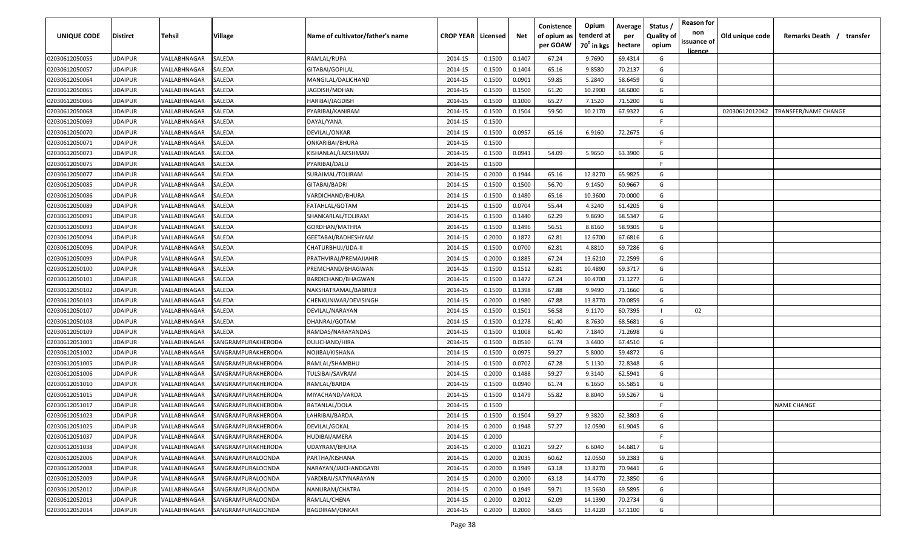| UNIQUE CODE    | <b>Distirct</b> | Tehsil       | Village            | Name of cultivator/father's name | <b>CROP YEAR   Licensed</b> |        | Net    | Conistence<br>of opium as<br>per GOAW | Opium<br>tenderd at<br>70 <sup>°</sup> in kgs | Average<br>per<br>hectare | Status<br><b>Quality of</b><br>opium | <b>Reason for</b><br>non<br>issuance of<br><u>licence</u> | Old unique code | Remarks Death / transfer |
|----------------|-----------------|--------------|--------------------|----------------------------------|-----------------------------|--------|--------|---------------------------------------|-----------------------------------------------|---------------------------|--------------------------------------|-----------------------------------------------------------|-----------------|--------------------------|
| 02030612050055 | <b>UDAIPUR</b>  | VALLABHNAGAR | SALEDA             | RAMLAL/RUPA                      | 2014-15                     | 0.1500 | 0.1407 | 67.24                                 | 9.7690                                        | 69.4314                   | G                                    |                                                           |                 |                          |
| 02030612050057 | <b>UDAIPUR</b>  | VALLABHNAGAR | SALEDA             | GITABAI/GOPILAL                  | 2014-15                     | 0.1500 | 0.1404 | 65.16                                 | 9.8580                                        | 70.2137                   | G                                    |                                                           |                 |                          |
| 02030612050064 | <b>UDAIPUR</b>  | VALLABHNAGAR | SALEDA             | MANGILAL/DALICHAND               | 2014-15                     | 0.1500 | 0.0901 | 59.85                                 | 5.2840                                        | 58.6459                   | G                                    |                                                           |                 |                          |
| 02030612050065 | <b>UDAIPUR</b>  | VALLABHNAGAR | SALEDA             | JAGDISH/MOHAN                    | 2014-15                     | 0.1500 | 0.1500 | 61.20                                 | 10.2900                                       | 68.6000                   | G                                    |                                                           |                 |                          |
| 02030612050066 | <b>UDAIPUR</b>  | VALLABHNAGAR | SALEDA             | HARIBAI/JAGDISH                  | 2014-15                     | 0.1500 | 0.1000 | 65.27                                 | 7.1520                                        | 71.5200                   | G                                    |                                                           |                 |                          |
| 02030612050068 | <b>UDAIPUR</b>  | VALLABHNAGAR | SALEDA             | PYARIBAI/KANIRAM                 | 2014-15                     | 0.1500 | 0.1504 | 59.50                                 | 10.2170                                       | 67.9322                   | G                                    |                                                           | 02030612012042  | TRANSFER/NAME CHANGE     |
| 02030612050069 | <b>UDAIPUR</b>  | VALLABHNAGAR | SALEDA             | DAYAL/YANA                       | 2014-15                     | 0.1500 |        |                                       |                                               |                           | -F.                                  |                                                           |                 |                          |
| 02030612050070 | <b>UDAIPUR</b>  | VALLABHNAGAR | SALEDA             | DEVILAL/ONKAR                    | 2014-15                     | 0.1500 | 0.0957 | 65.16                                 | 6.9160                                        | 72.2675                   | G                                    |                                                           |                 |                          |
| 02030612050071 | <b>UDAIPUR</b>  | VALLABHNAGAR | SALEDA             | ONKARIBAI/BHURA                  | 2014-15                     | 0.1500 |        |                                       |                                               |                           | -F.                                  |                                                           |                 |                          |
| 02030612050073 | <b>UDAIPUR</b>  | VALLABHNAGAR | SALEDA             | KISHANLAL/LAKSHMAN               | 2014-15                     | 0.1500 | 0.0941 | 54.09                                 | 5.9650                                        | 63.3900                   | G                                    |                                                           |                 |                          |
| 02030612050075 | <b>UDAIPUR</b>  | VALLABHNAGAR | SALEDA             | PYARIBAI/DALU                    | 2014-15                     | 0.1500 |        |                                       |                                               |                           | F.                                   |                                                           |                 |                          |
| 02030612050077 | <b>UDAIPUR</b>  | VALLABHNAGAR | SALEDA             | SURAJMAL/TOLIRAM                 | 2014-15                     | 0.2000 | 0.1944 | 65.16                                 | 12.8270                                       | 65.9825                   | G                                    |                                                           |                 |                          |
| 02030612050085 | <b>UDAIPUR</b>  | VALLABHNAGAR | SALEDA             | GITABAI/BADRI                    | 2014-15                     | 0.1500 | 0.1500 | 56.70                                 | 9.1450                                        | 60.9667                   | G                                    |                                                           |                 |                          |
| 02030612050086 | <b>UDAIPUR</b>  | VALLABHNAGAR | SALEDA             | VARDICHAND/BHURA                 | 2014-15                     | 0.1500 | 0.1480 | 65.16                                 | 10.3600                                       | 70.0000                   | G                                    |                                                           |                 |                          |
| 02030612050089 | <b>UDAIPUR</b>  | VALLABHNAGAR | SALEDA             | FATAHLAL/GOTAM                   | 2014-15                     | 0.1500 | 0.0704 | 55.44                                 | 4.3240                                        | 61.4205                   | G                                    |                                                           |                 |                          |
| 02030612050091 | <b>UDAIPUR</b>  | VALLABHNAGAR | SALEDA             | SHANKARLAL/TOLIRAM               | 2014-15                     | 0.1500 | 0.1440 | 62.29                                 | 9.8690                                        | 68.5347                   | G                                    |                                                           |                 |                          |
| 02030612050093 | <b>UDAIPUR</b>  | VALLABHNAGAR | SALEDA             | GORDHAN/MATHRA                   | 2014-15                     | 0.1500 | 0.1496 | 56.51                                 | 8.8160                                        | 58.9305                   | G                                    |                                                           |                 |                          |
| 02030612050094 | <b>UDAIPUR</b>  | VALLABHNAGAR | SALEDA             | GEETABAI/RADHESHYAM              | 2014-15                     | 0.2000 | 0.1872 | 62.81                                 | 12.6700                                       | 67.6816                   | G                                    |                                                           |                 |                          |
| 02030612050096 | <b>UDAIPUR</b>  | VALLABHNAGAR | SALEDA             | CHATURBHUJ/UDA-II                | 2014-15                     | 0.1500 | 0.0700 | 62.81                                 | 4.8810                                        | 69.7286                   | G                                    |                                                           |                 |                          |
| 02030612050099 | <b>UDAIPUR</b>  | VALLABHNAGAR | SALEDA             | PRATHVIRAJ/PREMAJIAHIR           | 2014-15                     | 0.2000 | 0.1885 | 67.24                                 | 13.6210                                       | 72.2599                   | G                                    |                                                           |                 |                          |
| 02030612050100 | <b>UDAIPUR</b>  | VALLABHNAGAR | SALEDA             | PREMCHAND/BHAGWAN                | 2014-15                     | 0.1500 | 0.1512 | 62.81                                 | 10.4890                                       | 69.3717                   | G                                    |                                                           |                 |                          |
| 02030612050101 | <b>UDAIPUR</b>  | VALLABHNAGAR | SALEDA             | BARDICHAND/BHAGWAN               | 2014-15                     | 0.1500 | 0.1472 | 67.24                                 | 10.4700                                       | 71.1277                   | G                                    |                                                           |                 |                          |
| 02030612050102 | <b>UDAIPUR</b>  | VALLABHNAGAR | SALEDA             | NAKSHATRAMAL/BABRUJI             | 2014-15                     | 0.1500 | 0.1398 | 67.88                                 | 9.9490                                        | 71.1660                   | G                                    |                                                           |                 |                          |
| 02030612050103 | <b>UDAIPUR</b>  | VALLABHNAGAR | SALEDA             | CHENKUNWAR/DEVISINGH             | 2014-15                     | 0.2000 | 0.1980 | 67.88                                 | 13.8770                                       | 70.0859                   | G                                    |                                                           |                 |                          |
| 02030612050107 | <b>UDAIPUR</b>  | VALLABHNAGAR | SALEDA             | DEVILAL/NARAYAN                  | 2014-15                     | 0.1500 | 0.1501 | 56.58                                 | 9.1170                                        | 60.7395                   | $\mathbf{L}$                         | 02                                                        |                 |                          |
| 02030612050108 | <b>UDAIPUR</b>  | VALLABHNAGAR | SALEDA             | DHANRAJ/GOTAM                    | 2014-15                     | 0.1500 | 0.1278 | 61.40                                 | 8.7630                                        | 68.5681                   | G                                    |                                                           |                 |                          |
| 02030612050109 | <b>UDAIPUR</b>  | VALLABHNAGAR | SALEDA             | RAMDAS/NARAYANDAS                | 2014-15                     | 0.1500 | 0.1008 | 61.40                                 | 7.1840                                        | 71.2698                   | G                                    |                                                           |                 |                          |
| 02030612051001 | <b>UDAIPUR</b>  | VALLABHNAGAR | SANGRAMPURAKHERODA | DULICHAND/HIRA                   | 2014-15                     | 0.1500 | 0.0510 | 61.74                                 | 3.4400                                        | 67.4510                   | G                                    |                                                           |                 |                          |
| 02030612051002 | <b>UDAIPUR</b>  | VALLABHNAGAR | SANGRAMPURAKHERODA | NOJIBAI/KISHANA                  | 2014-15                     | 0.1500 | 0.0975 | 59.27                                 | 5.8000                                        | 59.4872                   | G                                    |                                                           |                 |                          |
| 02030612051005 | <b>UDAIPUR</b>  | VALLABHNAGAR | SANGRAMPURAKHERODA | RAMLAL/SHAMBHU                   | 2014-15                     | 0.1500 | 0.0702 | 67.28                                 | 5.1130                                        | 72.8348                   | G                                    |                                                           |                 |                          |
| 02030612051006 | <b>UDAIPUR</b>  | VALLABHNAGAR | SANGRAMPURAKHERODA | TULSIBAI/SAVRAM                  | 2014-15                     | 0.2000 | 0.1488 | 59.27                                 | 9.3140                                        | 62.5941                   | G                                    |                                                           |                 |                          |
| 02030612051010 | <b>UDAIPUR</b>  | VALLABHNAGAR | SANGRAMPURAKHERODA | RAMLAL/BARDA                     | 2014-15                     | 0.1500 | 0.0940 | 61.74                                 | 6.1650                                        | 65.5851                   | G                                    |                                                           |                 |                          |
| 02030612051015 | <b>UDAIPUR</b>  | VALLABHNAGAR | SANGRAMPURAKHERODA | MIYACHAND/VARDA                  | 2014-15                     | 0.1500 | 0.1479 | 55.82                                 | 8.8040                                        | 59.5267                   | G                                    |                                                           |                 |                          |
| 02030612051017 | <b>UDAIPUR</b>  | VALLABHNAGAR | SANGRAMPURAKHERODA | RATANLAL/DOLA                    | 2014-15                     | 0.1500 |        |                                       |                                               |                           | -F.                                  |                                                           |                 | <b>NAME CHANGE</b>       |
| 02030612051023 | <b>UDAIPUR</b>  | VALLABHNAGAR | SANGRAMPURAKHERODA | LAHRIBAI/BARDA                   | 2014-15                     | 0.1500 | 0.1504 | 59.27                                 | 9.3820                                        | 62.3803                   | G                                    |                                                           |                 |                          |
| 02030612051025 | <b>UDAIPUR</b>  | VALLABHNAGAR | SANGRAMPURAKHERODA | DEVILAL/GOKAL                    | 2014-15                     | 0.2000 | 0.1948 | 57.27                                 | 12.0590                                       | 61.9045                   | G                                    |                                                           |                 |                          |
| 02030612051037 | <b>UDAIPUR</b>  | VALLABHNAGAR | SANGRAMPURAKHERODA | HUDIBAI/AMERA                    | 2014-15                     | 0.2000 |        |                                       |                                               |                           | F.                                   |                                                           |                 |                          |
| 02030612051038 | <b>UDAIPUR</b>  | VALLABHNAGAR | SANGRAMPURAKHERODA | UDAYRAM/BHURA                    | 2014-15                     | 0.2000 | 0.1021 | 59.27                                 | 6.6040                                        | 64.6817                   | G                                    |                                                           |                 |                          |
| 02030612052006 | <b>UDAIPUR</b>  | VALLABHNAGAR | SANGRAMPURALOONDA  | PARTHA/KISHANA                   | 2014-15                     | 0.2000 | 0.2035 | 60.62                                 | 12.0550                                       | 59.2383                   | G                                    |                                                           |                 |                          |
| 02030612052008 | <b>UDAIPUR</b>  | VALLABHNAGAR | SANGRAMPURALOONDA  | NARAYAN/JAICHANDGAYRI            | 2014-15                     | 0.2000 | 0.1949 | 63.18                                 | 13.8270                                       | 70.9441                   | G                                    |                                                           |                 |                          |
| 02030612052009 | <b>UDAIPUR</b>  | VALLABHNAGAR | SANGRAMPURALOONDA  | VARDIBAI/SATYNARAYAN             | 2014-15                     | 0.2000 | 0.2000 | 63.18                                 | 14.4770                                       | 72.3850                   | G                                    |                                                           |                 |                          |
| 02030612052012 | <b>UDAIPUR</b>  | VALLABHNAGAR | SANGRAMPURALOONDA  | NANURAM/CHATRA                   | 2014-15                     | 0.2000 | 0.1949 | 59.71                                 | 13.5630                                       | 69.5895                   | G                                    |                                                           |                 |                          |
| 02030612052013 | <b>UDAIPUR</b>  | VALLABHNAGAR | SANGRAMPURALOONDA  | RAMLAL/CHENA                     | 2014-15                     | 0.2000 | 0.2012 | 62.09                                 | 14.1390                                       | 70.2734                   | G                                    |                                                           |                 |                          |
| 02030612052014 | <b>UDAIPUR</b>  | VALLABHNAGAR | SANGRAMPURALOONDA  | BAGDIRAM/ONKAR                   | 2014-15                     | 0.2000 | 0.2000 | 58.65                                 | 13.4220                                       | 67.1100                   | G                                    |                                                           |                 |                          |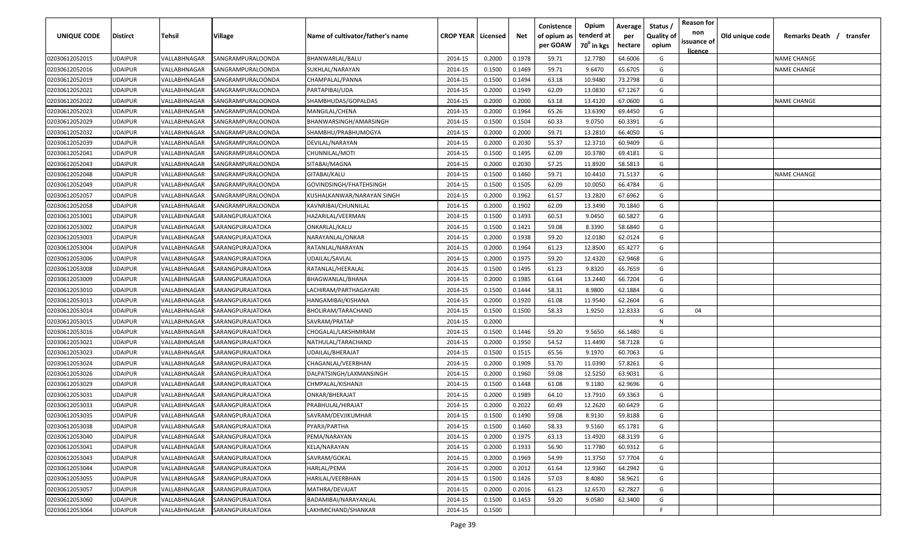| UNIQUE CODE    | Distirct       | Tehsil       | Village           | Name of cultivator/father's name | <b>CROP YEAR   Licensed</b> |        | Net    | Conistence<br>of opium as<br>per GOAW | Opium<br>tenderd at<br>70 <sup>°</sup> in kgs | Average<br>per<br>hectare | <b>Reason for</b><br>Status,<br>non<br><b>Quality of</b><br>issuance of<br>opium<br><u>licence</u> | Old unique code | Remarks Death /<br>transfer |
|----------------|----------------|--------------|-------------------|----------------------------------|-----------------------------|--------|--------|---------------------------------------|-----------------------------------------------|---------------------------|----------------------------------------------------------------------------------------------------|-----------------|-----------------------------|
| 02030612052015 | UDAIPUR        | VALLABHNAGAR | SANGRAMPURALOONDA | BHANWARLAL/BALU                  | 2014-15                     | 0.2000 | 0.1978 | 59.71                                 | 12.7780                                       | 64.6006                   | G                                                                                                  |                 | <b>NAME CHANGE</b>          |
| 02030612052016 | UDAIPUR        | VALLABHNAGAR | SANGRAMPURALOONDA | SUKHLAL/NARAYAN                  | 2014-15                     | 0.1500 | 0.1469 | 59.71                                 | 9.6470                                        | 65.6705                   | G                                                                                                  |                 | <b>NAME CHANGE</b>          |
| 02030612052019 | UDAIPUR        | VALLABHNAGAR | SANGRAMPURALOONDA | CHAMPALAL/PANNA                  | 2014-15                     | 0.1500 | 0.1494 | 63.18                                 | 10.9480                                       | 73.2798                   | G                                                                                                  |                 |                             |
| 02030612052021 | UDAIPUR        | VALLABHNAGAR | SANGRAMPURALOONDA | PARTAPIBAI/UDA                   | 2014-15                     | 0.2000 | 0.1949 | 62.09                                 | 13.0830                                       | 67.1267                   | G                                                                                                  |                 |                             |
| 02030612052022 | UDAIPUR        | VALLABHNAGAR | SANGRAMPURALOONDA | SHAMBHUDAS/GOPALDAS              | 2014-15                     | 0.2000 | 0.2000 | 63.18                                 | 13.4120                                       | 67.0600                   | G                                                                                                  |                 | <b>NAME CHANGE</b>          |
| 02030612052023 | UDAIPUR        | VALLABHNAGAR | SANGRAMPURALOONDA | MANGILAL/CHENA                   | 2014-15                     | 0.2000 | 0.1964 | 65.26                                 | 13.6390                                       | 69.4450                   | G                                                                                                  |                 |                             |
| 02030612052029 | UDAIPUR        | VALLABHNAGAR | SANGRAMPURALOONDA | BHANWARSINGH/AMARSINGH           | 2014-15                     | 0.1500 | 0.1504 | 60.33                                 | 9.0750                                        | 60.3391                   | G                                                                                                  |                 |                             |
| 02030612052032 | UDAIPUR        | VALLABHNAGAR | SANGRAMPURALOONDA | SHAMBHU/PRABHUMOGYA              | 2014-15                     | 0.2000 | 0.2000 | 59.71                                 | 13.2810                                       | 66.4050                   | G                                                                                                  |                 |                             |
| 02030612052039 | UDAIPUR        | VALLABHNAGAR | SANGRAMPURALOONDA | DEVILAL/NARAYAN                  | 2014-15                     | 0.2000 | 0.2030 | 55.37                                 | 12.3710                                       | 60.9409                   | G                                                                                                  |                 |                             |
| 02030612052041 | UDAIPUR        | VALLABHNAGAR | SANGRAMPURALOONDA | CHUNNILAL/MOTI                   | 2014-15                     | 0.1500 | 0.1495 | 62.09                                 | 10.3780                                       | 69.4181                   | G                                                                                                  |                 |                             |
| 02030612052043 | UDAIPUR        | VALLABHNAGAR | SANGRAMPURALOONDA | SITABAI/MAGNA                    | 2014-15                     | 0.2000 | 0.2030 | 57.25                                 | 11.8920                                       | 58.5813                   | G                                                                                                  |                 |                             |
| 02030612052048 | UDAIPUR        | VALLABHNAGAR | SANGRAMPURALOONDA | GITABAI/KALU                     | 2014-15                     | 0.1500 | 0.1460 | 59.71                                 | 10.4410                                       | 71.5137                   | G                                                                                                  |                 | <b>NAME CHANGE</b>          |
| 02030612052049 | <b>JDAIPUR</b> | VALLABHNAGAR | SANGRAMPURALOONDA | GOVINDSINGH/FHATEHSINGH          | 2014-15                     | 0.1500 | 0.1505 | 62.09                                 | 10.0050                                       | 66.4784                   | G                                                                                                  |                 |                             |
| 02030612052057 | UDAIPUR        | VALLABHNAGAR | SANGRAMPURALOONDA | KUSHALKANWAR/NARAYAN SINGH       | 2014-15                     | 0.2000 | 0.1962 | 61.57                                 | 13.2820                                       | 67.6962                   | G                                                                                                  |                 |                             |
| 02030612052058 | UDAIPUR        | VALLABHNAGAR | SANGRAMPURALOONDA | KAVNRIBAI/CHUNNILAL              | 2014-15                     | 0.2000 | 0.1902 | 62.09                                 | 13.3490                                       | 70.1840                   | G                                                                                                  |                 |                             |
| 02030612053001 | UDAIPUR        | VALLABHNAGAR | SARANGPURAJATOKA  | HAZARILAL/VEERMAN                | 2014-15                     | 0.1500 | 0.1493 | 60.53                                 | 9.0450                                        | 60.5827                   | G                                                                                                  |                 |                             |
| 02030612053002 | UDAIPUR        | VALLABHNAGAR | SARANGPURAJATOKA  | ONKARLAL/KALU                    | 2014-15                     | 0.1500 | 0.1421 | 59.08                                 | 8.3390                                        | 58.6840                   | G                                                                                                  |                 |                             |
| 02030612053003 | UDAIPUR        | VALLABHNAGAR | SARANGPURAJATOKA  | NARAYANLAL/ONKAR                 | 2014-15                     | 0.2000 | 0.1938 | 59.20                                 | 12.0180                                       | 62.0124                   | G                                                                                                  |                 |                             |
| 02030612053004 | UDAIPUR        | VALLABHNAGAR | SARANGPURAJATOKA  | RATANLAL/NARAYAN                 | 2014-15                     | 0.2000 | 0.1964 | 61.23                                 | 12.8500                                       | 65.4277                   | G                                                                                                  |                 |                             |
| 02030612053006 | UDAIPUR        | VALLABHNAGAR | SARANGPURAJATOKA  | UDAILAL/SAVLAL                   | 2014-15                     | 0.2000 | 0.1975 | 59.20                                 | 12.4320                                       | 62.9468                   | G                                                                                                  |                 |                             |
| 02030612053008 | UDAIPUR        | VALLABHNAGAR | SARANGPURAJATOKA  | RATANLAL/HEERALAL                | 2014-15                     | 0.1500 | 0.1495 | 61.23                                 | 9.8320                                        | 65.7659                   | G                                                                                                  |                 |                             |
| 02030612053009 | UDAIPUR        | VALLABHNAGAR | SARANGPURAJATOKA  | BHAGWANLAL/BHANA                 | 2014-15                     | 0.2000 | 0.1985 | 61.64                                 | 13.2440                                       | 66.7204                   | G                                                                                                  |                 |                             |
| 02030612053010 | UDAIPUR        | VALLABHNAGAR | SARANGPURAJATOKA  | LACHIRAM/PARTHAGAYARI            | 2014-15                     | 0.1500 | 0.1444 | 58.31                                 | 8.9800                                        | 62.1884                   | G                                                                                                  |                 |                             |
| 02030612053013 | UDAIPUR        | VALLABHNAGAR | SARANGPURAJATOKA  | HANGAMIBAI/KISHANA               | 2014-15                     | 0.2000 | 0.1920 | 61.08                                 | 11.9540                                       | 62.2604                   | G                                                                                                  |                 |                             |
| 02030612053014 | UDAIPUR        | VALLABHNAGAR | SARANGPURAJATOKA  | BHOLIRAM/TARACHAND               | 2014-15                     | 0.1500 | 0.1500 | 58.33                                 | 1.9250                                        | 12.8333                   | G<br>04                                                                                            |                 |                             |
| 02030612053015 | UDAIPUR        | VALLABHNAGAR | SARANGPURAJATOKA  | SAVRAM/PRATAP                    | 2014-15                     | 0.2000 |        |                                       |                                               |                           | N                                                                                                  |                 |                             |
| 02030612053016 | UDAIPUR        | VALLABHNAGAR | SARANGPURAJATOKA  | CHOGALAL/LAKSHMIRAM              | 2014-15                     | 0.1500 | 0.1446 | 59.20                                 | 9.5650                                        | 66.1480                   | G                                                                                                  |                 |                             |
| 02030612053021 | UDAIPUR        | VALLABHNAGAR | SARANGPURAJATOKA  | NATHULAL/TARACHAND               | 2014-15                     | 0.2000 | 0.1950 | 54.52                                 | 11.4490                                       | 58.7128                   | G                                                                                                  |                 |                             |
| 02030612053023 | UDAIPUR        | VALLABHNAGAR | SARANGPURAJATOKA  | UDAILAL/BHERAJAT                 | 2014-15                     | 0.1500 | 0.1515 | 65.56                                 | 9.1970                                        | 60.7063                   | G                                                                                                  |                 |                             |
| 02030612053024 | <b>JDAIPUR</b> | VALLABHNAGAR | SARANGPURAJATOKA  | CHAGANLAL/VEERBHAN               | 2014-15                     | 0.2000 | 0.1909 | 53.70                                 | 11.0390                                       | 57.8261                   | G                                                                                                  |                 |                             |
| 02030612053026 | UDAIPUR        | VALLABHNAGAR | SARANGPURAJATOKA  | DALPATSINGH/LAXMANSINGH          | 2014-15                     | 0.2000 | 0.1960 | 59.08                                 | 12.5250                                       | 63.9031                   | G                                                                                                  |                 |                             |
| 02030612053029 | <b>JDAIPUR</b> | VALLABHNAGAR | SARANGPURAJATOKA  | CHMPALAL/KISHANJI                | 2014-15                     | 0.1500 | 0.1448 | 61.08                                 | 9.1180                                        | 62.9696                   | G                                                                                                  |                 |                             |
| 02030612053031 | UDAIPUR        | VALLABHNAGAR | SARANGPURAJATOKA  | ONKAR/BHERAJAT                   | 2014-15                     | 0.2000 | 0.1989 | 64.10                                 | 13.7910                                       | 69.3363                   | G                                                                                                  |                 |                             |
| 02030612053033 | UDAIPUR        | VALLABHNAGAR | SARANGPURAJATOKA  | PRABHULAL/HIRAJAT                | 2014-15                     | 0.2000 | 0.2022 | 60.49                                 | 12.2620                                       | 60.6429                   | G                                                                                                  |                 |                             |
| 02030612053035 | UDAIPUR        | VALLABHNAGAR | SARANGPURAJATOKA  | SAVRAM/DEVJIKUMHAR               | 2014-15                     | 0.1500 | 0.1490 | 59.08                                 | 8.9130                                        | 59.8188                   | G                                                                                                  |                 |                             |
| 02030612053038 | UDAIPUR        | VALLABHNAGAR | SARANGPURAJATOKA  | PYARJI/PARTHA                    | 2014-15                     | 0.1500 | 0.1460 | 58.33                                 | 9.5160                                        | 65.1781                   | G                                                                                                  |                 |                             |
| 02030612053040 | UDAIPUR        | VALLABHNAGAR | SARANGPURAJATOKA  | PEMA/NARAYAN                     | 2014-15                     | 0.2000 | 0.1975 | 63.13                                 | 13.4920                                       | 68.3139                   | G                                                                                                  |                 |                             |
| 02030612053041 | UDAIPUR        | VALLABHNAGAR | SARANGPURAJATOKA  | KELA/NARAYAN                     | 2014-15                     | 0.2000 | 0.1933 | 56.90                                 | 11.7780                                       | 60.9312                   | G                                                                                                  |                 |                             |
| 02030612053043 | UDAIPUR        | VALLABHNAGAR | SARANGPURAJATOKA  | SAVRAM/GOKAL                     | 2014-15                     | 0.2000 | 0.1969 | 54.99                                 | 11.3750                                       | 57.7704                   | G                                                                                                  |                 |                             |
| 02030612053044 | UDAIPUR        | VALLABHNAGAR | SARANGPURAJATOKA  | HARLAL/PEMA                      | 2014-15                     | 0.2000 | 0.2012 | 61.64                                 | 12.9360                                       | 64.2942                   | G                                                                                                  |                 |                             |
| 02030612053055 | UDAIPUR        | VALLABHNAGAR | SARANGPURAJATOKA  | HARILAL/VEERBHAN                 | 2014-15                     | 0.1500 | 0.1426 | 57.03                                 | 8.4080                                        | 58.9621                   | G                                                                                                  |                 |                             |
| 02030612053057 | UDAIPUR        | VALLABHNAGAR | SARANGPURAJATOKA  | MATHRA/DEVAJAT                   | 2014-15                     | 0.2000 | 0.2016 | 61.23                                 | 12.6570                                       | 62.7827                   | G                                                                                                  |                 |                             |
| 02030612053060 | UDAIPUR        | VALLABHNAGAR | SARANGPURAJATOKA  | BADAMIBAI/NARAYANLAL             | 2014-15                     | 0.1500 | 0.1453 | 59.20                                 | 9.0580                                        | 62.3400                   | G                                                                                                  |                 |                             |
| 02030612053064 | UDAIPUR        | VALLABHNAGAR | SARANGPURAJATOKA  | LAKHMICHAND/SHANKAR              | 2014-15                     | 0.1500 |        |                                       |                                               |                           | F.                                                                                                 |                 |                             |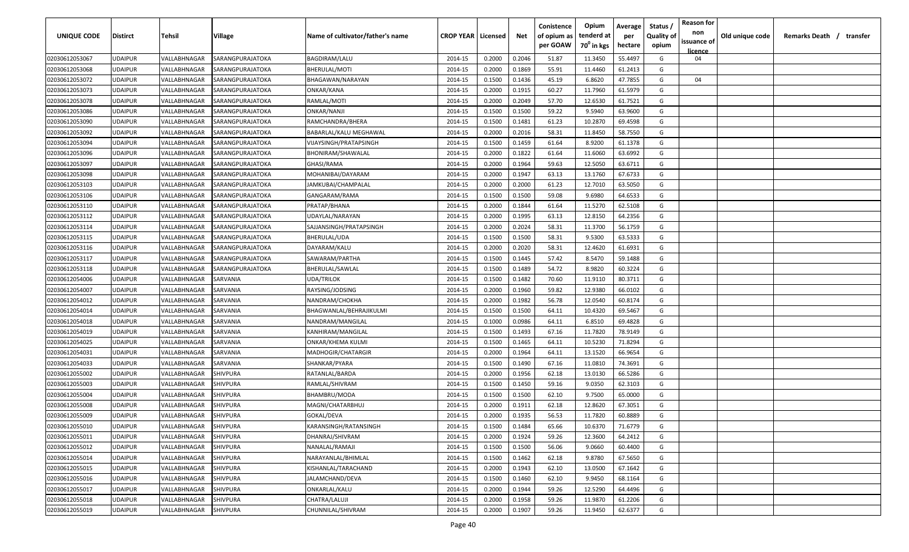| UNIQUE CODE    | <b>Distirct</b> | <b>Tehsil</b> | Village          | Name of cultivator/father's name | <b>CROP YEAR   Licensed</b> |        | Net    | Conistence<br>of opium as<br>per GOAW | Opium<br>tenderd at<br>70 <sup>0</sup> in kgs | Average<br>per<br>hectare | Status /<br><b>Quality of</b><br>opium | <b>Reason for</b><br>non<br>issuance of<br>licence | Old unique code | Remarks Death / | transfer |
|----------------|-----------------|---------------|------------------|----------------------------------|-----------------------------|--------|--------|---------------------------------------|-----------------------------------------------|---------------------------|----------------------------------------|----------------------------------------------------|-----------------|-----------------|----------|
| 02030612053067 | <b>UDAIPUR</b>  | VALLABHNAGAR  | SARANGPURAJATOKA | <b>BAGDIRAM/LALU</b>             | 2014-15                     | 0.2000 | 0.2046 | 51.87                                 | 11.3450                                       | 55.4497                   | G                                      | 04                                                 |                 |                 |          |
| 02030612053068 | <b>UDAIPUR</b>  | VALLABHNAGAR  | SARANGPURAJATOKA | BHERULAL/MOTI                    | 2014-15                     | 0.2000 | 0.1869 | 55.91                                 | 11.4460                                       | 61.2413                   | G                                      |                                                    |                 |                 |          |
| 02030612053072 | <b>UDAIPUR</b>  | VALLABHNAGAR  | SARANGPURAJATOKA | BHAGAWAN/NARAYAN                 | 2014-15                     | 0.1500 | 0.1436 | 45.19                                 | 6.8620                                        | 47.7855                   | G                                      | 04                                                 |                 |                 |          |
| 02030612053073 | <b>UDAIPUR</b>  | VALLABHNAGAR  | SARANGPURAJATOKA | ONKAR/KANA                       | 2014-15                     | 0.2000 | 0.1915 | 60.27                                 | 11.7960                                       | 61.5979                   | G                                      |                                                    |                 |                 |          |
| 02030612053078 | <b>UDAIPUR</b>  | VALLABHNAGAR  | SARANGPURAJATOKA | RAMLAL/MOTI                      | 2014-15                     | 0.2000 | 0.2049 | 57.70                                 | 12.6530                                       | 61.7521                   | G                                      |                                                    |                 |                 |          |
| 02030612053086 | <b>UDAIPUR</b>  | VALLABHNAGAR  | SARANGPURAJATOKA | ONKAR/NANJI                      | 2014-15                     | 0.1500 | 0.1500 | 59.22                                 | 9.5940                                        | 63.9600                   | G                                      |                                                    |                 |                 |          |
| 02030612053090 | <b>UDAIPUR</b>  | VALLABHNAGAR  | SARANGPURAJATOKA | RAMCHANDRA/BHERA                 | 2014-15                     | 0.1500 | 0.1481 | 61.23                                 | 10.2870                                       | 69.4598                   | G                                      |                                                    |                 |                 |          |
| 02030612053092 | <b>UDAIPUR</b>  | VALLABHNAGAR  | SARANGPURAJATOKA | BABARLAL/KALU MEGHAWAL           | 2014-15                     | 0.2000 | 0.2016 | 58.31                                 | 11.8450                                       | 58.7550                   | G                                      |                                                    |                 |                 |          |
| 02030612053094 | <b>UDAIPUR</b>  | VALLABHNAGAR  | SARANGPURAJATOKA | VIJAYSINGH/PRATAPSINGH           | 2014-15                     | 0.1500 | 0.1459 | 61.64                                 | 8.9200                                        | 61.1378                   | G                                      |                                                    |                 |                 |          |
| 02030612053096 | <b>UDAIPUR</b>  | VALLABHNAGAR  | SARANGPURAJATOKA | BHONIRAM/SHAWALAL                | 2014-15                     | 0.2000 | 0.1822 | 61.64                                 | 11.6060                                       | 63.6992                   | G                                      |                                                    |                 |                 |          |
| 02030612053097 | <b>UDAIPUR</b>  | VALLABHNAGAR  | SARANGPURAJATOKA | GHASI/RAMA                       | 2014-15                     | 0.2000 | 0.1964 | 59.63                                 | 12.5050                                       | 63.6711                   | G                                      |                                                    |                 |                 |          |
| 02030612053098 | <b>UDAIPUR</b>  | VALLABHNAGAR  | SARANGPURAJATOKA | MOHANIBAI/DAYARAM                | 2014-15                     | 0.2000 | 0.1947 | 63.13                                 | 13.1760                                       | 67.6733                   | G                                      |                                                    |                 |                 |          |
| 02030612053103 | <b>UDAIPUR</b>  | VALLABHNAGAR  | SARANGPURAJATOKA | IAMKUBAI/CHAMPALAL               | 2014-15                     | 0.2000 | 0.2000 | 61.23                                 | 12.7010                                       | 63.5050                   | G                                      |                                                    |                 |                 |          |
| 02030612053106 | UDAIPUR         | VALLABHNAGAR  | SARANGPURAJATOKA | GANGARAM/RAMA                    | 2014-15                     | 0.1500 | 0.1500 | 59.08                                 | 9.6980                                        | 64.6533                   | G                                      |                                                    |                 |                 |          |
| 02030612053110 | <b>UDAIPUR</b>  | VALLABHNAGAR  | SARANGPURAJATOKA | PRATAP/BHANA                     | 2014-15                     | 0.2000 | 0.1844 | 61.64                                 | 11.5270                                       | 62.5108                   | G                                      |                                                    |                 |                 |          |
| 02030612053112 | <b>UDAIPUR</b>  | VALLABHNAGAR  | SARANGPURAJATOKA | UDAYLAL/NARAYAN                  | 2014-15                     | 0.2000 | 0.1995 | 63.13                                 | 12.8150                                       | 64.2356                   | G                                      |                                                    |                 |                 |          |
| 02030612053114 | <b>UDAIPUR</b>  | VALLABHNAGAR  | SARANGPURAJATOKA | SAJJANSINGH/PRATAPSINGH          | 2014-15                     | 0.2000 | 0.2024 | 58.31                                 | 11.3700                                       | 56.1759                   | G                                      |                                                    |                 |                 |          |
| 02030612053115 | <b>UDAIPUR</b>  | VALLABHNAGAR  | SARANGPURAJATOKA | BHERULAL/UDA                     | 2014-15                     | 0.1500 | 0.1500 | 58.31                                 | 9.5300                                        | 63.5333                   | G                                      |                                                    |                 |                 |          |
| 02030612053116 | <b>UDAIPUR</b>  | VALLABHNAGAR  | SARANGPURAJATOKA | DAYARAM/KALU                     | 2014-15                     | 0.2000 | 0.2020 | 58.31                                 | 12.4620                                       | 61.6931                   | G                                      |                                                    |                 |                 |          |
| 02030612053117 | <b>UDAIPUR</b>  | VALLABHNAGAR  | SARANGPURAJATOKA | SAWARAM/PARTHA                   | 2014-15                     | 0.1500 | 0.1445 | 57.42                                 | 8.5470                                        | 59.1488                   | G                                      |                                                    |                 |                 |          |
| 02030612053118 | <b>UDAIPUR</b>  | VALLABHNAGAR  | SARANGPURAJATOKA | BHERULAL/SAWLAL                  | 2014-15                     | 0.1500 | 0.1489 | 54.72                                 | 8.9820                                        | 60.3224                   | G                                      |                                                    |                 |                 |          |
| 02030612054006 | <b>UDAIPUR</b>  | VALLABHNAGAR  | SARVANIA         | <b>UDA/TRILOK</b>                | 2014-15                     | 0.1500 | 0.1482 | 70.60                                 | 11.9110                                       | 80.3711                   | G                                      |                                                    |                 |                 |          |
| 02030612054007 | <b>UDAIPUR</b>  | VALLABHNAGAR  | SARVANIA         | RAYSING/JODSING                  | 2014-15                     | 0.2000 | 0.1960 | 59.82                                 | 12.9380                                       | 66.0102                   | G                                      |                                                    |                 |                 |          |
| 02030612054012 | <b>UDAIPUR</b>  | VALLABHNAGAR  | SARVANIA         | NANDRAM/CHOKHA                   | 2014-15                     | 0.2000 | 0.1982 | 56.78                                 | 12.0540                                       | 60.8174                   | G                                      |                                                    |                 |                 |          |
| 02030612054014 | <b>UDAIPUR</b>  | VALLABHNAGAR  | SARVANIA         | BHAGWANLAL/BEHRAJIKULMI          | 2014-15                     | 0.1500 | 0.1500 | 64.11                                 | 10.4320                                       | 69.5467                   | G                                      |                                                    |                 |                 |          |
| 02030612054018 | <b>UDAIPUR</b>  | VALLABHNAGAR  | SARVANIA         | NANDRAM/MANGILAL                 | 2014-15                     | 0.1000 | 0.0986 | 64.11                                 | 6.8510                                        | 69.4828                   | G                                      |                                                    |                 |                 |          |
| 02030612054019 | <b>UDAIPUR</b>  | VALLABHNAGAR  | SARVANIA         | KANHIRAM/MANGILAL                | 2014-15                     | 0.1500 | 0.1493 | 67.16                                 | 11.7820                                       | 78.9149                   | G                                      |                                                    |                 |                 |          |
| 02030612054025 | <b>UDAIPUR</b>  | VALLABHNAGAR  | SARVANIA         | ONKAR/KHEMA KULMI                | 2014-15                     | 0.1500 | 0.1465 | 64.11                                 | 10.5230                                       | 71.8294                   | G                                      |                                                    |                 |                 |          |
| 02030612054031 | <b>UDAIPUR</b>  | VALLABHNAGAR  | SARVANIA         | MADHOGIR/CHATARGIR               | 2014-15                     | 0.2000 | 0.1964 | 64.11                                 | 13.1520                                       | 66.9654                   | G                                      |                                                    |                 |                 |          |
| 02030612054033 | <b>UDAIPUR</b>  | VALLABHNAGAR  | SARVANIA         | SHANKAR/PYARA                    | 2014-15                     | 0.1500 | 0.1490 | 67.16                                 | 11.0810                                       | 74.3691                   | G                                      |                                                    |                 |                 |          |
| 02030612055002 | <b>UDAIPUR</b>  | VALLABHNAGAR  | SHIVPURA         | RATANLAL/BARDA                   | 2014-15                     | 0.2000 | 0.1956 | 62.18                                 | 13.0130                                       | 66.5286                   | G                                      |                                                    |                 |                 |          |
| 02030612055003 | <b>UDAIPUR</b>  | VALLABHNAGAR  | SHIVPURA         | RAMLAL/SHIVRAM                   | 2014-15                     | 0.1500 | 0.1450 | 59.16                                 | 9.0350                                        | 62.3103                   | G                                      |                                                    |                 |                 |          |
| 02030612055004 | <b>UDAIPUR</b>  | VALLABHNAGAR  | SHIVPURA         | BHAMBRU/MODA                     | 2014-15                     | 0.1500 | 0.1500 | 62.10                                 | 9.7500                                        | 65.0000                   | G                                      |                                                    |                 |                 |          |
| 02030612055008 | <b>UDAIPUR</b>  | VALLABHNAGAR  | SHIVPURA         | MAGNI/CHATARBHUJ                 | 2014-15                     | 0.2000 | 0.1911 | 62.18                                 | 12.8620                                       | 67.3051                   | G                                      |                                                    |                 |                 |          |
| 02030612055009 | <b>UDAIPUR</b>  | VALLABHNAGAR  | SHIVPURA         | GOKAL/DEVA                       | 2014-15                     | 0.2000 | 0.1935 | 56.53                                 | 11.7820                                       | 60.8889                   | G                                      |                                                    |                 |                 |          |
| 02030612055010 | <b>UDAIPUR</b>  | VALLABHNAGAR  | <b>SHIVPURA</b>  | KARANSINGH/RATANSINGH            | 2014-15                     | 0.1500 | 0.1484 | 65.66                                 | 10.6370                                       | 71.6779                   | G                                      |                                                    |                 |                 |          |
| 02030612055011 | <b>UDAIPUR</b>  | VALLABHNAGAR  | <b>SHIVPURA</b>  | DHANRAJ/SHIVRAM                  | 2014-15                     | 0.2000 | 0.1924 | 59.26                                 | 12.3600                                       | 64.2412                   | G                                      |                                                    |                 |                 |          |
| 02030612055012 | <b>UDAIPUR</b>  | VALLABHNAGAR  | <b>SHIVPURA</b>  | NANALAL/RAMAJI                   | 2014-15                     | 0.1500 | 0.1500 | 56.06                                 | 9.0660                                        | 60.4400                   | G                                      |                                                    |                 |                 |          |
| 02030612055014 | <b>UDAIPUR</b>  | VALLABHNAGAR  | <b>SHIVPURA</b>  | NARAYANLAL/BHIMLAL               | 2014-15                     | 0.1500 | 0.1462 | 62.18                                 | 9.8780                                        | 67.5650                   | G                                      |                                                    |                 |                 |          |
| 02030612055015 | <b>UDAIPUR</b>  | VALLABHNAGAR  | <b>SHIVPURA</b>  | KISHANLAL/TARACHAND              | 2014-15                     | 0.2000 | 0.1943 | 62.10                                 | 13.0500                                       | 67.1642                   | G                                      |                                                    |                 |                 |          |
| 02030612055016 | <b>UDAIPUR</b>  | VALLABHNAGAR  | SHIVPURA         | JALAMCHAND/DEVA                  | 2014-15                     | 0.1500 | 0.1460 | 62.10                                 | 9.9450                                        | 68.1164                   | G                                      |                                                    |                 |                 |          |
| 02030612055017 | <b>UDAIPUR</b>  | VALLABHNAGAR  | <b>SHIVPURA</b>  | ONKARLAL/KALU                    | 2014-15                     | 0.2000 | 0.1944 | 59.26                                 | 12.5290                                       | 64.4496                   | G                                      |                                                    |                 |                 |          |
| 02030612055018 | <b>UDAIPUR</b>  | VALLABHNAGAR  | <b>SHIVPURA</b>  | CHATRA/LALUJI                    | 2014-15                     | 0.2000 | 0.1958 | 59.26                                 | 11.9870                                       | 61.2206                   | G                                      |                                                    |                 |                 |          |
| 02030612055019 | <b>UDAIPUR</b>  | VALLABHNAGAR  | <b>SHIVPURA</b>  | CHUNNILAL/SHIVRAM                | 2014-15                     | 0.2000 | 0.1907 | 59.26                                 | 11.9450                                       | 62.6377                   | G                                      |                                                    |                 |                 |          |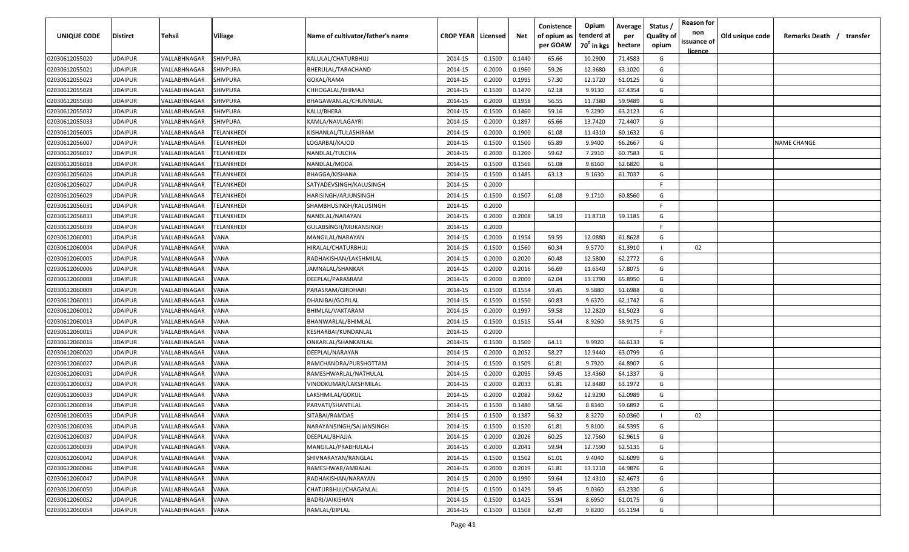| UNIQUE CODE    | Distirct       | Tehsil              | Village    | Name of cultivator/father's name | <b>CROP YEAR   Licensed</b> |        | Net    | Conistence<br>of opium as | Opium<br>tenderd at    | Average<br>per | Status<br><b>Quality of</b> | <b>Reason for</b><br>non<br>issuance of | Old unique code | Remarks Death / transfer |
|----------------|----------------|---------------------|------------|----------------------------------|-----------------------------|--------|--------|---------------------------|------------------------|----------------|-----------------------------|-----------------------------------------|-----------------|--------------------------|
|                |                |                     |            |                                  |                             |        |        | per GOAW                  | 70 <sup>°</sup> in kgs | hectare        | opium                       | <u>licence</u>                          |                 |                          |
| 02030612055020 | UDAIPUR        | VALLABHNAGAR        | SHIVPURA   | KALULAL/CHATURBHUJ               | 2014-15                     | 0.1500 | 0.1440 | 65.66                     | 10.2900                | 71.4583        | G                           |                                         |                 |                          |
| 02030612055021 | UDAIPUR        | VALLABHNAGAR        | SHIVPURA   | BHERULAL/TARACHAND               | 2014-15                     | 0.2000 | 0.1960 | 59.26                     | 12.3680                | 63.1020        | G                           |                                         |                 |                          |
| 02030612055023 | UDAIPUR        | VALLABHNAGAR        | SHIVPURA   | GOKAL/RAMA                       | 2014-15                     | 0.2000 | 0.1995 | 57.30                     | 12.1720                | 61.0125        | G                           |                                         |                 |                          |
| 02030612055028 | UDAIPUR        | VALLABHNAGAR        | SHIVPURA   | CHHOGALAL/BHIMAJI                | 2014-15                     | 0.1500 | 0.1470 | 62.18                     | 9.9130                 | 67.4354        | G                           |                                         |                 |                          |
| 02030612055030 | UDAIPUR        | VALLABHNAGAR        | SHIVPURA   | BHAGAWANLAL/CHUNNILAL            | 2014-15                     | 0.2000 | 0.1958 | 56.55                     | 11.7380                | 59.9489        | G                           |                                         |                 |                          |
| 02030612055032 | UDAIPUR        | VALLABHNAGAR        | SHIVPURA   | KALU/BHERA                       | 2014-15                     | 0.1500 | 0.1460 | 59.16                     | 9.2290                 | 63.2123        | G                           |                                         |                 |                          |
| 02030612055033 | UDAIPUR        | VALLABHNAGAR        | SHIVPURA   | KAMLA/NAVLAGAYRI                 | 2014-15                     | 0.2000 | 0.1897 | 65.66                     | 13.7420                | 72.4407        | G                           |                                         |                 |                          |
| 02030612056005 | UDAIPUR        | VALLABHNAGAR        | TELANKHEDI | KISHANLAL/TULASHIRAM             | 2014-15                     | 0.2000 | 0.1900 | 61.08                     | 11.4310                | 60.1632        | G                           |                                         |                 |                          |
| 02030612056007 | UDAIPUR        | VALLABHNAGAR        | TELANKHEDI | LOGARBAI/KAJOD                   | 2014-15                     | 0.1500 | 0.1500 | 65.89                     | 9.9400                 | 66.2667        | G                           |                                         |                 | <b>NAME CHANGE</b>       |
| 02030612056017 | UDAIPUR        | VALLABHNAGAR        | TELANKHEDI | NANDLAL/TULCHA                   | 2014-15                     | 0.2000 | 0.1200 | 59.62                     | 7.2910                 | 60.7583        | G                           |                                         |                 |                          |
| 02030612056018 | UDAIPUR        | VALLABHNAGAR        | TELANKHEDI | NANDLAL/MODA                     | 2014-15                     | 0.1500 | 0.1566 | 61.08                     | 9.8160                 | 62.6820        | G                           |                                         |                 |                          |
| 02030612056026 | UDAIPUR        | VALLABHNAGAR        | TELANKHEDI | BHAGGA/KISHANA                   | 2014-15                     | 0.1500 | 0.1485 | 63.13                     | 9.1630                 | 61.7037        | G                           |                                         |                 |                          |
| 02030612056027 | UDAIPUR        | VALLABHNAGAR        | TELANKHEDI | SATYADEVSINGH/KALUSINGH          | 2014-15                     | 0.2000 |        |                           |                        |                | F.                          |                                         |                 |                          |
| 02030612056029 | UDAIPUR        | VALLABHNAGAR        | TELANKHEDI | HARISINGH/ARJUNSINGH             | 2014-15                     | 0.1500 | 0.1507 | 61.08                     | 9.1710                 | 60.8560        | G                           |                                         |                 |                          |
| 02030612056031 | UDAIPUR        | VALLABHNAGAR        | TELANKHEDI | SHAMBHUSINGH/KALUSINGH           | 2014-15                     | 0.2000 |        |                           |                        |                | -F.                         |                                         |                 |                          |
| 02030612056033 | UDAIPUR        | VALLABHNAGAR        | TELANKHEDI | NANDLAL/NARAYAN                  | 2014-15                     | 0.2000 | 0.2008 | 58.19                     | 11.8710                | 59.1185        | G                           |                                         |                 |                          |
| 02030612056039 | UDAIPUR        | VALLABHNAGAR        | TELANKHEDI | GULABSINGH/MUKANSINGH            | 2014-15                     | 0.2000 |        |                           |                        |                | F.                          |                                         |                 |                          |
| 02030612060001 | UDAIPUR        | VALLABHNAGAR        | VANA       | MANGILAL/NARAYAN                 | 2014-15                     | 0.2000 | 0.1954 | 59.59                     | 12.0880                | 61.8628        | G                           |                                         |                 |                          |
| 02030612060004 | UDAIPUR        | VALLABHNAGAR        | VANA       | HIRALAL/CHATURBHUJ               | 2014-15                     | 0.1500 | 0.1560 | 60.34                     | 9.5770                 | 61.3910        | - 1                         | 02                                      |                 |                          |
| 02030612060005 | UDAIPUR        | VALLABHNAGAR        | VANA       | RADHAKISHAN/LAKSHMILAL           | 2014-15                     | 0.2000 | 0.2020 | 60.48                     | 12.5800                | 62.2772        | G                           |                                         |                 |                          |
| 02030612060006 | UDAIPUR        | VALLABHNAGAR        | VANA       | JAMNALAL/SHANKAR                 | 2014-15                     | 0.2000 | 0.2016 | 56.69                     | 11.6540                | 57.8075        | G                           |                                         |                 |                          |
| 02030612060008 | <b>UDAIPUR</b> | VALLABHNAGAR        | VANA       | DEEPLAL/PARASRAM                 | 2014-15                     | 0.2000 | 0.2000 | 62.04                     | 13.1790                | 65.8950        | G                           |                                         |                 |                          |
| 02030612060009 | UDAIPUR        | VALLABHNAGAR        | VANA       | PARASRAM/GIRDHARI                | 2014-15                     | 0.1500 | 0.1554 | 59.45                     | 9.5880                 | 61.6988        | G                           |                                         |                 |                          |
| 02030612060011 | UDAIPUR        | VALLABHNAGAR        | VANA       | DHANIBAI/GOPILAL                 | 2014-15                     | 0.1500 | 0.1550 | 60.83                     | 9.6370                 | 62.1742        | G                           |                                         |                 |                          |
| 02030612060012 | UDAIPUR        | VALLABHNAGAR        | VANA       | BHIMLAL/VAKTARAM                 | 2014-15                     | 0.2000 | 0.1997 | 59.58                     | 12.2820                | 61.5023        | G                           |                                         |                 |                          |
| 02030612060013 | UDAIPUR        | VALLABHNAGAR        | VANA       | BHANWARLAL/BHIMLAL               | 2014-15                     | 0.1500 | 0.1515 | 55.44                     | 8.9260                 | 58.9175        | G                           |                                         |                 |                          |
| 02030612060015 | UDAIPUR        | VALLABHNAGAR        | VANA       | KESHARBAI/KUNDANLAL              | 2014-15                     | 0.2000 |        |                           |                        |                | F.                          |                                         |                 |                          |
| 02030612060016 | UDAIPUR        | <b>/ALLABHNAGAR</b> | /ANA       | ONKARLAL/SHANKARLAL              | 2014-15                     | 0.1500 | 0.1500 | 64.11                     | 9.9920                 | 66.6133        | G                           |                                         |                 |                          |
| 02030612060020 | UDAIPUR        | VALLABHNAGAR        | VANA       | DEEPLAL/NARAYAN                  | 2014-15                     | 0.2000 | 0.2052 | 58.27                     | 12.9440                | 63.0799        | G                           |                                         |                 |                          |
| 02030612060027 | UDAIPUR        | VALLABHNAGAR        | VANA       | RAMCHANDRA/PURSHOTTAM            | 2014-15                     | 0.1500 | 0.1509 | 61.81                     | 9.7920                 | 64.8907        | G                           |                                         |                 |                          |
| 02030612060031 | UDAIPUR        | VALLABHNAGAR        | VANA       | RAMESHWARLAL/NATHULAL            | 2014-15                     | 0.2000 | 0.2095 | 59.45                     | 13.4360                | 64.1337        | G                           |                                         |                 |                          |
| 02030612060032 | UDAIPUR        | VALLABHNAGAR        | VANA       | VINODKUMAR/LAKSHMILAL            | 2014-15                     | 0.2000 | 0.2033 | 61.81                     | 12.8480                | 63.1972        | G                           |                                         |                 |                          |
| 02030612060033 | UDAIPUR        | VALLABHNAGAR        | VANA       | LAKSHMILAL/GOKUL                 | 2014-15                     | 0.2000 | 0.2082 | 59.62                     | 12.9290                | 62.0989        | G                           |                                         |                 |                          |
| 02030612060034 | UDAIPUR        | VALLABHNAGAR        | VANA       | PARVATI/SHANTILAL                | 2014-15                     | 0.1500 | 0.1480 | 58.56                     | 8.8340                 | 59.6892        | G                           |                                         |                 |                          |
| 02030612060035 | UDAIPUR        | VALLABHNAGAR        | VANA       | SITABAI/RAMDAS                   | 2014-15                     | 0.1500 | 0.1387 | 56.32                     | 8.3270                 | 60.0360        |                             | 02                                      |                 |                          |
| 02030612060036 | UDAIPUR        | VALLABHNAGAR        | VANA       | NARAYANSINGH/SAJJANSINGH         | 2014-15                     | 0.1500 | 0.1520 | 61.81                     | 9.8100                 | 64.5395        | G                           |                                         |                 |                          |
| 02030612060037 | UDAIPUR        | VALLABHNAGAR        | VANA       | DEEPLAL/BHAJJA                   | 2014-15                     | 0.2000 | 0.2026 | 60.25                     | 12.7560                | 62.9615        | G                           |                                         |                 |                          |
| 02030612060039 | UDAIPUR        | VALLABHNAGAR        | VANA       | MANGILAL/PRABHULAL-I             | 2014-15                     | 0.2000 | 0.2041 | 59.94                     | 12.7590                | 62.5135        | G                           |                                         |                 |                          |
| 02030612060042 | UDAIPUR        | VALLABHNAGAR        | VANA       | SHIVNARAYAN/RANGLAL              | 2014-15                     | 0.1500 | 0.1502 | 61.01                     | 9.4040                 | 62.6099        | G                           |                                         |                 |                          |
| 02030612060046 | UDAIPUR        | VALLABHNAGAR        | VANA       | RAMESHWAR/AMBALAL                | 2014-15                     | 0.2000 | 0.2019 | 61.81                     | 13.1210                | 64.9876        | G                           |                                         |                 |                          |
| 02030612060047 | UDAIPUR        | VALLABHNAGAR        | VANA       | RADHAKISHAN/NARAYAN              | 2014-15                     | 0.2000 | 0.1990 | 59.64                     | 12.4310                | 62.4673        | G                           |                                         |                 |                          |
| 02030612060050 | UDAIPUR        | VALLABHNAGAR        | VANA       | CHATURBHUJ/CHAGANLAL             | 2014-15                     | 0.1500 | 0.1429 | 59.45                     | 9.0360                 | 63.2330        | G                           |                                         |                 |                          |
| 02030612060052 | UDAIPUR        | VALLABHNAGAR        | VANA       | BADRI/JAIKISHAN                  | 2014-15                     | 0.1500 | 0.1425 | 55.94                     | 8.6950                 | 61.0175        | G                           |                                         |                 |                          |
| 02030612060054 | UDAIPUR        | VALLABHNAGAR        | VANA       | RAMLAL/DIPLAL                    | 2014-15                     | 0.1500 | 0.1508 | 62.49                     | 9.8200                 | 65.1194        | G                           |                                         |                 |                          |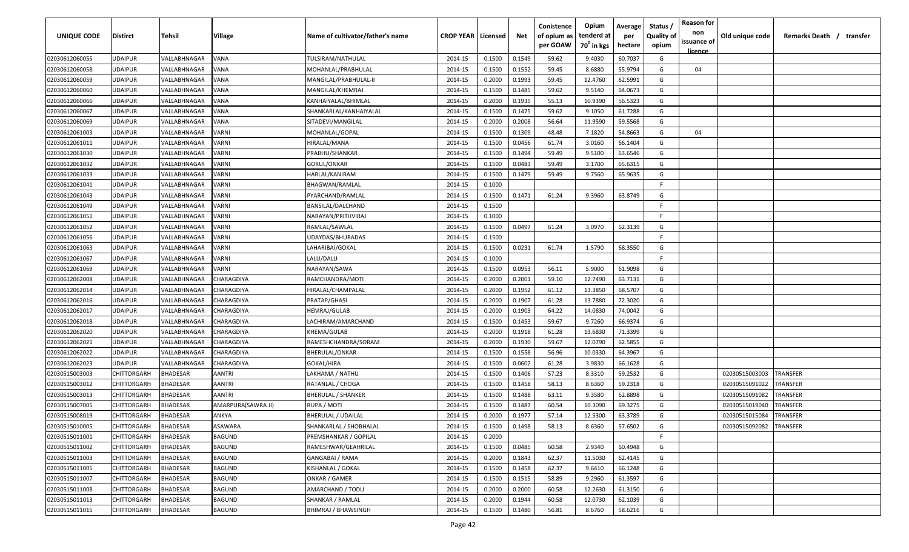| UNIQUE CODE    | <b>Distirct</b>    | Tehsil          | Village            | Name of cultivator/father's name | <b>CROP YEAR   Licensed</b> |        | Net    | Conistence<br>of opium as | Opium<br>tenderd at    | Average<br>per | Status<br><b>Quality of</b> | <b>Reason for</b><br>non<br>issuance of | Old unique code | Remarks Death / transfer |
|----------------|--------------------|-----------------|--------------------|----------------------------------|-----------------------------|--------|--------|---------------------------|------------------------|----------------|-----------------------------|-----------------------------------------|-----------------|--------------------------|
|                |                    |                 |                    |                                  |                             |        |        | per GOAW                  | 70 <sup>0</sup> in kgs | hectare        | opium                       | <u>licence</u>                          |                 |                          |
| 02030612060055 | <b>UDAIPUR</b>     | VALLABHNAGAR    | VANA               | TULSIRAM/NATHULAL                | 2014-15                     | 0.1500 | 0.1549 | 59.62                     | 9.4030                 | 60.7037        | G                           |                                         |                 |                          |
| 02030612060058 | <b>UDAIPUR</b>     | VALLABHNAGAR    | VANA               | MOHANLAL/PRABHULAL               | 2014-15                     | 0.1500 | 0.1552 | 59.45                     | 8.6880                 | 55.9794        | G                           | 04                                      |                 |                          |
| 02030612060059 | <b>UDAIPUR</b>     | VALLABHNAGAR    | VANA               | MANGILAL/PRABHULAL-II            | 2014-15                     | 0.2000 | 0.1993 | 59.45                     | 12.4760                | 62.5991        | G                           |                                         |                 |                          |
| 02030612060060 | <b>UDAIPUR</b>     | VALLABHNAGAR    | VANA               | MANGILAL/KHEMRAJ                 | 2014-15                     | 0.1500 | 0.1485 | 59.62                     | 9.5140                 | 64.0673        | G                           |                                         |                 |                          |
| 02030612060066 | <b>UDAIPUR</b>     | VALLABHNAGAR    | VANA               | KANHAIYALAL/BHIMLAL              | 2014-15                     | 0.2000 | 0.1935 | 55.13                     | 10.9390                | 56.5323        | G                           |                                         |                 |                          |
| 02030612060067 | <b>UDAIPUR</b>     | VALLABHNAGAR    | VANA               | SHANKARLAL/KANHAIYALAL           | 2014-15                     | 0.1500 | 0.1475 | 59.62                     | 9.1050                 | 61.7288        | G                           |                                         |                 |                          |
| 02030612060069 | <b>UDAIPUR</b>     | VALLABHNAGAR    | VANA               | SITADEVI/MANGILAL                | 2014-15                     | 0.2000 | 0.2008 | 56.64                     | 11.9590                | 59.5568        | G                           |                                         |                 |                          |
| 02030612061003 | <b>UDAIPUR</b>     | VALLABHNAGAR    | VARNI              | MOHANLAL/GOPAL                   | 2014-15                     | 0.1500 | 0.1309 | 48.48                     | 7.1820                 | 54.8663        | G                           | 04                                      |                 |                          |
| 02030612061011 | <b>UDAIPUR</b>     | VALLABHNAGAR    | VARNI              | HIRALAL/MANA                     | 2014-15                     | 0.1500 | 0.0456 | 61.74                     | 3.0160                 | 66.1404        | G                           |                                         |                 |                          |
| 02030612061030 | <b>UDAIPUR</b>     | VALLABHNAGAR    | <b>/ARNI</b>       | PRABHU/SHANKAR                   | 2014-15                     | 0.1500 | 0.1494 | 59.49                     | 9.5100                 | 63.6546        | G                           |                                         |                 |                          |
| 02030612061032 | <b>UDAIPUR</b>     | VALLABHNAGAR    | /ARNI              | GOKUL/ONKAR                      | 2014-15                     | 0.1500 | 0.0483 | 59.49                     | 3.1700                 | 65.6315        | G                           |                                         |                 |                          |
| 02030612061033 | <b>UDAIPUR</b>     | VALLABHNAGAR    | VARNI              | HARLAL/KANIRAM                   | 2014-15                     | 0.1500 | 0.1479 | 59.49                     | 9.7560                 | 65.9635        | G                           |                                         |                 |                          |
| 02030612061041 | <b>UDAIPUR</b>     | VALLABHNAGAR    | VARNI              | BHAGWAN/RAMLAL                   | 2014-15                     | 0.1000 |        |                           |                        |                | -F.                         |                                         |                 |                          |
| 02030612061043 | <b>UDAIPUR</b>     | VALLABHNAGAR    | <b>/ARNI</b>       | PYARCHAND/RAMLAL                 | 2014-15                     | 0.1500 | 0.1471 | 61.24                     | 9.3960                 | 63.8749        | G                           |                                         |                 |                          |
| 02030612061049 | <b>UDAIPUR</b>     | VALLABHNAGAR    | VARNI              | BANSILAL/DALCHAND                | 2014-15                     | 0.1500 |        |                           |                        |                | -F.                         |                                         |                 |                          |
| 02030612061051 | <b>UDAIPUR</b>     | VALLABHNAGAR    | VARNI              | NARAYAN/PRITHVIRAJ               | 2014-15                     | 0.1000 |        |                           |                        |                | F.                          |                                         |                 |                          |
| 02030612061052 | <b>UDAIPUR</b>     | VALLABHNAGAR    | VARNI              | RAMLAL/SAWLAL                    | 2014-15                     | 0.1500 | 0.0497 | 61.24                     | 3.0970                 | 62.3139        | G                           |                                         |                 |                          |
| 02030612061056 | <b>UDAIPUR</b>     | VALLABHNAGAR    | VARNI              | UDAYDAS/BHURADAS                 | 2014-15                     | 0.1500 |        |                           |                        |                | F.                          |                                         |                 |                          |
| 02030612061063 | <b>UDAIPUR</b>     | VALLABHNAGAR    | /ARNI              | LAHARIBAI/GOKAL                  | 2014-15                     | 0.1500 | 0.0231 | 61.74                     | 1.5790                 | 68.3550        | G                           |                                         |                 |                          |
| 02030612061067 | <b>UDAIPUR</b>     | VALLABHNAGAR    | <b>/ARNI</b>       | LALU/DALU                        | 2014-15                     | 0.1000 |        |                           |                        |                | F.                          |                                         |                 |                          |
| 02030612061069 | <b>UDAIPUR</b>     | VALLABHNAGAR    | VARNI              | NARAYAN/SAWA                     | 2014-15                     | 0.1500 | 0.0953 | 56.11                     | 5.9000                 | 61.9098        | G                           |                                         |                 |                          |
| 02030612062008 | <b>UDAIPUR</b>     | VALLABHNAGAR    | CHARAGDIYA         | RAMCHANDRA/MOTI                  | 2014-15                     | 0.2000 | 0.2001 | 59.10                     | 12.7490                | 63.7131        | G                           |                                         |                 |                          |
| 02030612062014 | <b>UDAIPUR</b>     | VALLABHNAGAR    | CHARAGDIYA         | HIRALAL/CHAMPALAL                | 2014-15                     | 0.2000 | 0.1952 | 61.12                     | 13.3850                | 68.5707        | G                           |                                         |                 |                          |
| 02030612062016 | <b>UDAIPUR</b>     | VALLABHNAGAR    | CHARAGDIYA         | PRATAP/GHASI                     | 2014-15                     | 0.2000 | 0.1907 | 61.28                     | 13.7880                | 72.3020        | G                           |                                         |                 |                          |
| 02030612062017 | <b>UDAIPUR</b>     | VALLABHNAGAR    | CHARAGDIYA         | HEMRAJ/GULAB                     | 2014-15                     | 0.2000 | 0.1903 | 64.22                     | 14.0830                | 74.0042        | G                           |                                         |                 |                          |
| 02030612062018 | <b>UDAIPUR</b>     | VALLABHNAGAR    | CHARAGDIYA         | LACHIRAM/AMARCHAND               | 2014-15                     | 0.1500 | 0.1453 | 59.67                     | 9.7260                 | 66.9374        | G                           |                                         |                 |                          |
| 02030612062020 | <b>UDAIPUR</b>     | VALLABHNAGAR    | CHARAGDIYA         | KHEMA/GULAB                      | 2014-15                     | 0.2000 | 0.1918 | 61.28                     | 13.6830                | 71.3399        | G                           |                                         |                 |                          |
| 02030612062021 | <b>UDAIPUR</b>     | VALLABHNAGAR    | CHARAGDIYA         | RAMESHCHANDRA/SORAM              | 2014-15                     | 0.2000 | 0.1930 | 59.67                     | 12.0790                | 62.5855        | G                           |                                         |                 |                          |
| 02030612062022 | <b>UDAIPUR</b>     | VALLABHNAGAR    | CHARAGDIYA         | BHERULAL/ONKAR                   | 2014-15                     | 0.1500 | 0.1558 | 56.96                     | 10.0330                | 64.3967        | G                           |                                         |                 |                          |
| 02030612062023 | <b>UDAIPUR</b>     | VALLABHNAGAR    | CHARAGDIYA         | GOKAL/HIRA                       | 2014-15                     | 0.1500 | 0.0602 | 61.28                     | 3.9830                 | 66.1628        | G                           |                                         |                 |                          |
| 02030515003003 | CHITTORGARH        | <b>BHADESAR</b> | AANTRI             | LAKHAMA / NATHU                  | 2014-15                     | 0.1500 | 0.1406 | 57.23                     | 8.3310                 | 59.2532        | G                           |                                         | 02030515003003  | TRANSFER                 |
| 02030515003012 | <b>CHITTORGARH</b> | <b>BHADESAR</b> | AANTRI             | RATANLAL / CHOGA                 | 2014-15                     | 0.1500 | 0.1458 | 58.13                     | 8.6360                 | 59.2318        | G                           |                                         | 02030515091022  | <b><i>FRANSFER</i></b>   |
| 02030515003013 | <b>CHITTORGARH</b> | <b>BHADESAR</b> | AANTRI             | BHERULAL / SHANKER               | 2014-15                     | 0.1500 | 0.1488 | 63.11                     | 9.3580                 | 62.8898        | G                           |                                         | 02030515091082  | <b>RANSFER</b>           |
| 02030515007005 | <b>CHITTORGARH</b> | <b>BHADESAR</b> | AMARPURA(SAWRA JI) | RUPA / MOTI                      | 2014-15                     | 0.1500 | 0.1487 | 60.54                     | 10.3090                | 69.3275        | G                           |                                         | 02030515019040  | <b><i>FRANSFER</i></b>   |
| 02030515008019 | <b>CHITTORGARH</b> | <b>BHADESAR</b> | <b>ANKYA</b>       | <b>BHERULAL / UDAILAL</b>        | 2014-15                     | 0.2000 | 0.1977 | 57.14                     | 12.5300                | 63.3789        | G                           |                                         | 02030515015084  | TRANSFER                 |
| 02030515010005 | <b>CHITTORGARH</b> | <b>BHADESAR</b> | ASAWARA            | SHANKARLAL / SHOBHALAL           | 2014-15                     | 0.1500 | 0.1498 | 58.13                     | 8.6360                 | 57.6502        | G                           |                                         | 02030515092082  | TRANSFER                 |
| 02030515011001 | <b>CHITTORGARH</b> | <b>BHADESAR</b> | <b>BAGUND</b>      | PREMSHANKAR / GOPILAL            | 2014-15                     | 0.2000 |        |                           |                        |                | F.                          |                                         |                 |                          |
| 02030515011002 | <b>CHITTORGARH</b> | <b>BHADESAR</b> | <b>BAGUND</b>      | RAMESHWAR/GEAHRILAL              | 2014-15                     | 0.1500 | 0.0485 | 60.58                     | 2.9340                 | 60.4948        | G                           |                                         |                 |                          |
| 02030515011003 | CHITTORGARH        | <b>BHADESAR</b> | <b>BAGUND</b>      | GANGABAI / RAMA                  | 2014-15                     | 0.2000 | 0.1843 | 62.37                     | 11.5030                | 62.4145        | G                           |                                         |                 |                          |
| 02030515011005 | <b>CHITTORGARH</b> | <b>BHADESAR</b> | <b>BAGUND</b>      | KISHANLAL / GOKAL                | 2014-15                     | 0.1500 | 0.1458 | 62.37                     | 9.6410                 | 66.1248        | G                           |                                         |                 |                          |
| 02030515011007 | <b>CHITTORGARH</b> | <b>BHADESAR</b> | <b>BAGUND</b>      | ONKAR / GAMER                    | 2014-15                     | 0.1500 | 0.1515 | 58.89                     | 9.2960                 | 61.3597        | G                           |                                         |                 |                          |
| 02030515011008 | CHITTORGARH        | <b>BHADESAR</b> | <b>BAGUND</b>      | AMARCHAND / TODU                 | 2014-15                     | 0.2000 | 0.2000 | 60.58                     | 12.2630                | 61.3150        | G                           |                                         |                 |                          |
| 02030515011013 | CHITTORGARH        | <b>BHADESAR</b> | <b>BAGUND</b>      | SHANKAR / RAMLAL                 | 2014-15                     | 0.2000 | 0.1944 | 60.58                     | 12.0730                | 62.1039        | G                           |                                         |                 |                          |
| 02030515011015 | CHITTORGARH        | <b>BHADESAR</b> | BAGUND             | BHIMRAJ / BHAWSINGH              | 2014-15                     | 0.1500 | 0.1480 | 56.81                     | 8.6760                 | 58.6216        | G                           |                                         |                 |                          |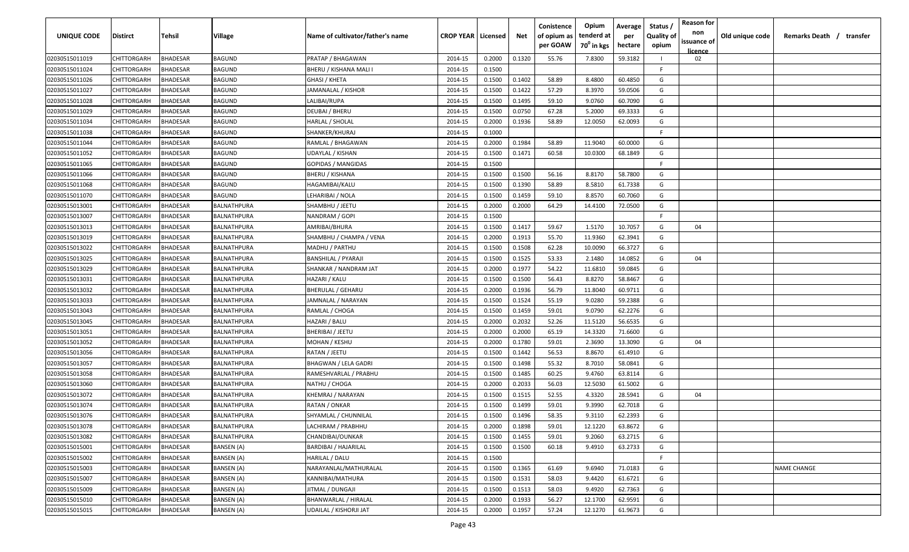| <b>UNIQUE CODE</b> | Distirct           | Tehsil          | Village           | Name of cultivator/father's name | <b>CROP YEAR Licensed</b> |        | Net    | Conistence<br>of opium as | Opium<br>tenderd at    | Average<br>per | Status /<br><b>Quality of</b> | <b>Reason for</b><br>non      | Old unique code | Remarks Death / transfer |
|--------------------|--------------------|-----------------|-------------------|----------------------------------|---------------------------|--------|--------|---------------------------|------------------------|----------------|-------------------------------|-------------------------------|-----------------|--------------------------|
|                    |                    |                 |                   |                                  |                           |        |        | per GOAW                  | 70 <sup>0</sup> in kgs | hectare        | opium                         | issuance of<br><u>licence</u> |                 |                          |
| 02030515011019     | CHITTORGARH        | <b>BHADESAR</b> | BAGUND            | PRATAP / BHAGAWAN                | 2014-15                   | 0.2000 | 0.1320 | 55.76                     | 7.8300                 | 59.3182        |                               | 02                            |                 |                          |
| 02030515011024     | CHITTORGARH        | BHADESAR        | BAGUND            | BHERU / KISHANA MALI I           | 2014-15                   | 0.1500 |        |                           |                        |                | -F.                           |                               |                 |                          |
| 02030515011026     | CHITTORGARH        | BHADESAR        | BAGUND            | GHASI / KHETA                    | 2014-15                   | 0.1500 | 0.1402 | 58.89                     | 8.4800                 | 60.4850        | G                             |                               |                 |                          |
| 02030515011027     | CHITTORGARH        | BHADESAR        | BAGUND            | JAMANALAL / KISHOR               | 2014-15                   | 0.1500 | 0.1422 | 57.29                     | 8.3970                 | 59.0506        | G                             |                               |                 |                          |
| 02030515011028     | CHITTORGARH        | BHADESAR        | BAGUND            | LALIBAI/RUPA                     | 2014-15                   | 0.1500 | 0.1495 | 59.10                     | 9.0760                 | 60.7090        | G                             |                               |                 |                          |
| 02030515011029     | CHITTORGARH        | <b>BHADESAR</b> | BAGUND            | DEUBAI / BHERU                   | 2014-15                   | 0.1500 | 0.0750 | 67.28                     | 5.2000                 | 69.3333        | G                             |                               |                 |                          |
| 02030515011034     | CHITTORGARH        | <b>BHADESAR</b> | BAGUND            | HARLAL / SHOLAL                  | 2014-15                   | 0.2000 | 0.1936 | 58.89                     | 12.0050                | 62.0093        | G                             |                               |                 |                          |
| 02030515011038     | CHITTORGARH        | BHADESAR        | BAGUND            | SHANKER/KHURAJ                   | 2014-15                   | 0.1000 |        |                           |                        |                | -F                            |                               |                 |                          |
| 02030515011044     | CHITTORGARH        | BHADESAR        | BAGUND            | RAMLAL / BHAGAWAN                | 2014-15                   | 0.2000 | 0.1984 | 58.89                     | 11.9040                | 60.0000        | G                             |                               |                 |                          |
| 02030515011052     | CHITTORGARH        | BHADESAR        | BAGUND            | UDAYLAL / KISHAN                 | 2014-15                   | 0.1500 | 0.1471 | 60.58                     | 10.0300                | 68.1849        | G                             |                               |                 |                          |
| 02030515011065     | CHITTORGARH        | BHADESAR        | BAGUND            | GOPIDAS / MANGIDAS               | 2014-15                   | 0.1500 |        |                           |                        |                | F.                            |                               |                 |                          |
| 02030515011066     | CHITTORGARH        | BHADESAR        | BAGUND            | <b>BHERU / KISHANA</b>           | 2014-15                   | 0.1500 | 0.1500 | 56.16                     | 8.8170                 | 58.7800        | G                             |                               |                 |                          |
| 02030515011068     | CHITTORGARH        | BHADESAR        | BAGUND            | HAGAMIBAI/KALU                   | 2014-15                   | 0.1500 | 0.1390 | 58.89                     | 8.5810                 | 61.7338        | G                             |                               |                 |                          |
| 02030515011070     | CHITTORGARH        | <b>BHADESAR</b> | BAGUND            | LEHARIBAI / NOLA                 | 2014-15                   | 0.1500 | 0.1459 | 59.10                     | 8.8570                 | 60.7060        | G                             |                               |                 |                          |
| 02030515013001     | CHITTORGARH        | BHADESAR        | BALNATHPURA       | SHAMBHU / JEETU                  | 2014-15                   | 0.2000 | 0.2000 | 64.29                     | 14.4100                | 72.0500        | G                             |                               |                 |                          |
| 02030515013007     | CHITTORGARH        | <b>BHADESAR</b> | BALNATHPURA       | NANDRAM / GOPI                   | 2014-15                   | 0.1500 |        |                           |                        |                | F.                            |                               |                 |                          |
| 02030515013013     | CHITTORGARH        | <b>BHADESAR</b> | BALNATHPURA       | AMRIBAI/BHURA                    | 2014-15                   | 0.1500 | 0.1417 | 59.67                     | 1.5170                 | 10.7057        | G                             | 04                            |                 |                          |
| 02030515013019     | CHITTORGARH        | BHADESAR        | BALNATHPURA       | SHAMBHU / CHAMPA / VENA          | 2014-15                   | 0.2000 | 0.1913 | 55.70                     | 11.9360                | 62.3941        | G                             |                               |                 |                          |
| 02030515013022     | CHITTORGARH        | BHADESAR        | BALNATHPURA       | MADHU / PARTHU                   | 2014-15                   | 0.1500 | 0.1508 | 62.28                     | 10.0090                | 66.3727        | G                             |                               |                 |                          |
| 02030515013025     | CHITTORGARH        | BHADESAR        | BALNATHPURA       | <b>BANSHILAL / PYARAJI</b>       | 2014-15                   | 0.1500 | 0.1525 | 53.33                     | 2.1480                 | 14.0852        | G                             | 04                            |                 |                          |
| 02030515013029     | CHITTORGARH        | <b>BHADESAR</b> | BALNATHPURA       | SHANKAR / NANDRAM JAT            | 2014-15                   | 0.2000 | 0.1977 | 54.22                     | 11.6810                | 59.0845        | G                             |                               |                 |                          |
| 02030515013031     | CHITTORGARH        | <b>BHADESAR</b> | BALNATHPURA       | HAZARI / KALU                    | 2014-15                   | 0.1500 | 0.1500 | 56.43                     | 8.8270                 | 58.8467        | G                             |                               |                 |                          |
| 02030515013032     | CHITTORGARH        | <b>BHADESAR</b> | BALNATHPURA       | BHERULAL / GEHARU                | 2014-15                   | 0.2000 | 0.1936 | 56.79                     | 11.8040                | 60.9711        | G                             |                               |                 |                          |
| 02030515013033     | CHITTORGARH        | <b>BHADESAR</b> | BALNATHPURA       | JAMNALAL / NARAYAN               | 2014-15                   | 0.1500 | 0.1524 | 55.19                     | 9.0280                 | 59.2388        | G                             |                               |                 |                          |
| 02030515013043     | CHITTORGARH        | BHADESAR        | BALNATHPURA       | RAMLAL / CHOGA                   | 2014-15                   | 0.1500 | 0.1459 | 59.01                     | 9.0790                 | 62.2276        | G                             |                               |                 |                          |
| 02030515013045     | CHITTORGARH        | BHADESAR        | BALNATHPURA       | HAZARI / BALU                    | 2014-15                   | 0.2000 | 0.2032 | 52.26                     | 11.5120                | 56.6535        | G                             |                               |                 |                          |
| 02030515013051     | CHITTORGARH        | BHADESAR        | BALNATHPURA       | BHERIBAI / JEETU                 | 2014-15                   | 0.2000 | 0.2000 | 65.19                     | 14.3320                | 71.6600        | G                             |                               |                 |                          |
| 02030515013052     | CHITTORGARH        | BHADESAR        | BALNATHPURA       | MOHAN / KESHU                    | 2014-15                   | 0.2000 | 0.1780 | 59.01                     | 2.3690                 | 13.3090        | G                             | 04                            |                 |                          |
| 02030515013056     | CHITTORGARH        | BHADESAR        | BALNATHPURA       | RATAN / JEETU                    | 2014-15                   | 0.1500 | 0.1442 | 56.53                     | 8.8670                 | 61.4910        | G                             |                               |                 |                          |
| 02030515013057     | CHITTORGARH        | BHADESAR        | BALNATHPURA       | <b>BHAGWAN / LELA GADRI</b>      | 2014-15                   | 0.1500 | 0.1498 | 55.32                     | 8.7010                 | 58.0841        | G                             |                               |                 |                          |
| 02030515013058     | CHITTORGARH        | BHADESAR        | BALNATHPURA       | RAMESHVARLAL / PRABHU            | 2014-15                   | 0.1500 | 0.1485 | 60.25                     | 9.4760                 | 63.8114        | G                             |                               |                 |                          |
| 02030515013060     | CHITTORGARH        | BHADESAR        | BALNATHPURA       | NATHU / CHOGA                    | 2014-15                   | 0.2000 | 0.2033 | 56.03                     | 12.5030                | 61.5002        | G                             |                               |                 |                          |
| 02030515013072     | CHITTORGARH        | BHADESAR        | BALNATHPURA       | KHEMRAJ / NARAYAN                | 2014-15                   | 0.1500 | 0.1515 | 52.55                     | 4.3320                 | 28.5941        | G                             | 04                            |                 |                          |
| 02030515013074     | CHITTORGARH        | BHADESAR        | BALNATHPURA       | RATAN / ONKAR                    | 2014-15                   | 0.1500 | 0.1499 | 59.01                     | 9.3990                 | 62.7018        | G                             |                               |                 |                          |
| 02030515013076     | <b>CHITTORGARH</b> | BHADESAR        | BALNATHPURA       | SHYAMLAL / CHUNNILAL             | 2014-15                   | 0.1500 | 0.1496 | 58.35                     | 9.3110                 | 62.2393        | G                             |                               |                 |                          |
| 02030515013078     | <b>CHITTORGARH</b> | <b>BHADESAR</b> | BALNATHPURA       | LACHIRAM / PRABHHU               | 2014-15                   | 0.2000 | 0.1898 | 59.01                     | 12.1220                | 63.8672        | G                             |                               |                 |                          |
| 02030515013082     | CHITTORGARH        | <b>BHADESAR</b> | BALNATHPURA       | CHANDIBAI/OUNKAR                 | 2014-15                   | 0.1500 | 0.1455 | 59.01                     | 9.2060                 | 63.2715        | G                             |                               |                 |                          |
| 02030515015001     | CHITTORGARH        | <b>BHADESAR</b> | <b>BANSEN (A)</b> | <b>BARDIBAI / HAJARILAL</b>      | 2014-15                   | 0.1500 | 0.1500 | 60.18                     | 9.4910                 | 63.2733        | G                             |                               |                 |                          |
| 02030515015002     | <b>CHITTORGARH</b> | <b>BHADESAR</b> | <b>BANSEN (A)</b> | HARILAL / DALU                   | 2014-15                   | 0.1500 |        |                           |                        |                | F.                            |                               |                 |                          |
| 02030515015003     | CHITTORGARH        | <b>BHADESAR</b> | <b>BANSEN (A)</b> | NARAYANLAL/MATHURALAL            | 2014-15                   | 0.1500 | 0.1365 | 61.69                     | 9.6940                 | 71.0183        | G                             |                               |                 | NAME CHANGE              |
| 02030515015007     | CHITTORGARH        | BHADESAR        | <b>BANSEN (A)</b> | KANNIBAI/MATHURA                 | 2014-15                   | 0.1500 | 0.1531 | 58.03                     | 9.4420                 | 61.6721        | G                             |                               |                 |                          |
| 02030515015009     | CHITTORGARH        | BHADESAR        | <b>BANSEN (A)</b> | JITMAL / DUNGAJI                 | 2014-15                   | 0.1500 | 0.1513 | 58.03                     | 9.4920                 | 62.7363        | G                             |                               |                 |                          |
| 02030515015010     | CHITTORGARH        | BHADESAR        | BANSEN (A)        | BHANWARLAL / HIRALAL             | 2014-15                   | 0.2000 | 0.1933 | 56.27                     | 12.1700                | 62.9591        | G                             |                               |                 |                          |
| 02030515015015     | CHITTORGARH        | BHADESAR        | BANSEN (A)        | UDAILAL / KISHORJI JAT           | 2014-15                   | 0.2000 | 0.1957 | 57.24                     | 12.1270                | 61.9673        | G                             |                               |                 |                          |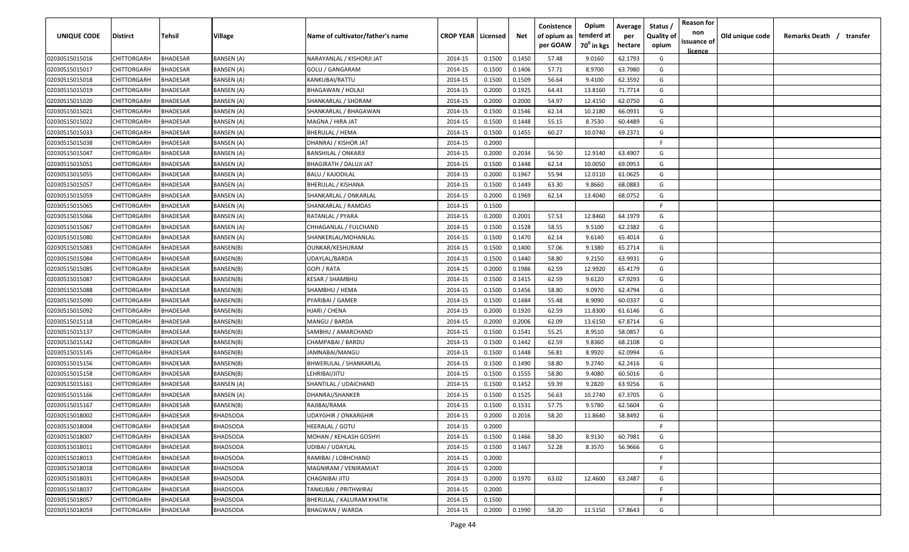| <b>UNIQUE CODE</b> | <b>Distirct</b>    | <b>Tehsil</b>   | Village           | Name of cultivator/father's name | <b>CROP YEAR   Licensed</b> |        | Net    | Conistence<br>of opium as<br>per GOAW | Opium<br>tenderd at<br>70 <sup>0</sup> in kgs | Average<br>per<br>hectare | Status /<br><b>Quality of</b><br>opium | <b>Reason for</b><br>non<br>issuance of | Old unique code | Remarks Death /<br>transfer |
|--------------------|--------------------|-----------------|-------------------|----------------------------------|-----------------------------|--------|--------|---------------------------------------|-----------------------------------------------|---------------------------|----------------------------------------|-----------------------------------------|-----------------|-----------------------------|
| 02030515015016     | CHITTORGARH        | <b>BHADESAR</b> | <b>BANSEN (A)</b> | NARAYANLAL / KISHORJI JAT        | 2014-15                     | 0.1500 | 0.1450 | 57.48                                 | 9.0160                                        | 62.1793                   | G                                      | licence                                 |                 |                             |
| 02030515015017     | CHITTORGARH        | BHADESAR        | <b>BANSEN (A)</b> | <b>GOLU / GANGARAM</b>           | 2014-15                     | 0.1500 | 0.1406 | 57.71                                 | 8.9700                                        | 63.7980                   | G                                      |                                         |                 |                             |
| 02030515015018     | CHITTORGARH        | BHADESAR        | BANSEN (A)        | KANKUBAI/RATTU                   | 2014-15                     | 0.1500 | 0.1509 | 56.64                                 | 9.4100                                        | 62.3592                   | G                                      |                                         |                 |                             |
| 02030515015019     | CHITTORGARH        | BHADESAR        | BANSEN (A)        | BHAGAWAN / HOLAJI                | 2014-15                     | 0.2000 | 0.1925 | 64.43                                 | 13.8160                                       | 71.7714                   | G                                      |                                         |                 |                             |
| 02030515015020     | CHITTORGARH        | BHADESAR        | BANSEN (A)        | SHANKARLAL / SHORAM              | 2014-15                     | 0.2000 | 0.2000 | 54.97                                 | 12.4150                                       | 62.0750                   | G                                      |                                         |                 |                             |
| 02030515015021     | CHITTORGARH        | BHADESAR        | BANSEN (A)        | SHANKARLAL / BHAGAWAN            | 2014-15                     | 0.1500 | 0.1546 | 62.14                                 | 10.2180                                       | 66.0931                   | G                                      |                                         |                 |                             |
| 02030515015022     | CHITTORGARH        | BHADESAR        | BANSEN (A)        | MAGNA / HIRA JAT                 | 2014-15                     | 0.1500 | 0.1448 | 55.15                                 | 8.7530                                        | 60.4489                   | G                                      |                                         |                 |                             |
| 02030515015033     | CHITTORGARH        | BHADESAR        | BANSEN (A)        | <b>BHERULAL / HEMA</b>           | 2014-15                     | 0.1500 | 0.1455 | 60.27                                 | 10.0740                                       | 69.2371                   | G                                      |                                         |                 |                             |
| 02030515015038     | CHITTORGARH        | BHADESAR        | BANSEN (A)        | DHANRAJ / KISHOR JAT             | 2014-15                     | 0.2000 |        |                                       |                                               |                           | -F                                     |                                         |                 |                             |
| 02030515015047     | CHITTORGARH        | BHADESAR        | BANSEN (A)        | <b>BANSHILAL / ONKARJI</b>       | 2014-15                     | 0.2000 | 0.2034 | 56.50                                 | 12.9140                                       | 63.4907                   | G                                      |                                         |                 |                             |
| 02030515015051     | CHITTORGARH        | BHADESAR        | BANSEN (A)        | <b>BHAGIRATH / DALUJI JAT</b>    | 2014-15                     | 0.1500 | 0.1448 | 62.14                                 | 10.0050                                       | 69.0953                   | G                                      |                                         |                 |                             |
| 02030515015055     | CHITTORGARH        | BHADESAR        | BANSEN (A)        | BALU / KAJODILAL                 | 2014-15                     | 0.2000 | 0.1967 | 55.94                                 | 12.0110                                       | 61.0625                   | G                                      |                                         |                 |                             |
| 02030515015057     | CHITTORGARH        | BHADESAR        | BANSEN (A)        | BHERULAL / KISHANA               | 2014-15                     | 0.1500 | 0.1449 | 63.30                                 | 9.8660                                        | 68.0883                   | G                                      |                                         |                 |                             |
| 02030515015059     | CHITTORGARH        | BHADESAR        | BANSEN (A)        | SHANKARLAL / ONKARLAL            | 2014-15                     | 0.2000 | 0.1969 | 62.14                                 | 13.4040                                       | 68.0752                   | G                                      |                                         |                 |                             |
| 02030515015065     | CHITTORGARH        | BHADESAR        | BANSEN (A)        | SHANKARLAL / RAMDAS              | 2014-15                     | 0.1500 |        |                                       |                                               |                           | F.                                     |                                         |                 |                             |
| 02030515015066     | CHITTORGARH        | BHADESAR        | BANSEN (A)        | RATANLAL / PYARA                 | 2014-15                     | 0.2000 | 0.2001 | 57.53                                 | 12.8460                                       | 64.1979                   | G                                      |                                         |                 |                             |
| 02030515015067     | CHITTORGARH        | <b>BHADESAR</b> | BANSEN (A)        | CHHAGANLAL / FULCHAND            | 2014-15                     | 0.1500 | 0.1528 | 58.55                                 | 9.5100                                        | 62.2382                   | G                                      |                                         |                 |                             |
| 02030515015080     | CHITTORGARH        | BHADESAR        | <b>BANSEN (A)</b> | SHANKERLAL/MOHANLAL              | 2014-15                     | 0.1500 | 0.1470 | 62.14                                 | 9.6140                                        | 65.4014                   | G                                      |                                         |                 |                             |
| 02030515015083     | CHITTORGARH        | BHADESAR        | BANSEN(B)         | OUNKAR/KESHURAM                  | 2014-15                     | 0.1500 | 0.1400 | 57.06                                 | 9.1380                                        | 65.2714                   | G                                      |                                         |                 |                             |
| 02030515015084     | CHITTORGARH        | BHADESAR        | BANSEN(B)         | UDAYLAL/BARDA                    | 2014-15                     | 0.1500 | 0.1440 | 58.80                                 | 9.2150                                        | 63.9931                   | G                                      |                                         |                 |                             |
| 02030515015085     | CHITTORGARH        | <b>BHADESAR</b> | BANSEN(B)         | GOPI / RATA                      | 2014-15                     | 0.2000 | 0.1986 | 62.59                                 | 12.9920                                       | 65.4179                   | G                                      |                                         |                 |                             |
| 02030515015087     | CHITTORGARH        | BHADESAR        | BANSEN(B)         | <b>KESAR / SHAMBHU</b>           | 2014-15                     | 0.1500 | 0.1415 | 62.59                                 | 9.6120                                        | 67.9293                   | G                                      |                                         |                 |                             |
| 02030515015088     | CHITTORGARH        | BHADESAR        | BANSEN(B)         | SHAMBHU / HEMA                   | 2014-15                     | 0.1500 | 0.1456 | 58.80                                 | 9.0970                                        | 62.4794                   | G                                      |                                         |                 |                             |
| 02030515015090     | CHITTORGARH        | BHADESAR        | BANSEN(B)         | PYARIBAI / GAMER                 | 2014-15                     | 0.1500 | 0.1484 | 55.48                                 | 8.9090                                        | 60.0337                   | G                                      |                                         |                 |                             |
| 02030515015092     | CHITTORGARH        | BHADESAR        | BANSEN(B)         | HJARI / CHENA                    | 2014-15                     | 0.2000 | 0.1920 | 62.59                                 | 11.8300                                       | 61.6146                   | G                                      |                                         |                 |                             |
| 02030515015118     | CHITTORGARH        | BHADESAR        | BANSEN(B)         | MANGU / BARDA                    | 2014-15                     | 0.2000 | 0.2006 | 62.09                                 | 13.6150                                       | 67.8714                   | G                                      |                                         |                 |                             |
| 02030515015137     | CHITTORGARH        | BHADESAR        | BANSEN(B)         | SAMBHU / AMARCHAND               | 2014-15                     | 0.1500 | 0.1541 | 55.25                                 | 8.9510                                        | 58.0857                   | G                                      |                                         |                 |                             |
| 02030515015142     | CHITTORGARH        | BHADESAR        | BANSEN(B)         | CHAMPABAI / BARDU                | 2014-15                     | 0.1500 | 0.1442 | 62.59                                 | 9.8360                                        | 68.2108                   | G                                      |                                         |                 |                             |
| 02030515015145     | CHITTORGARH        | BHADESAR        | BANSEN(B)         | JAMNABAI/MANGU                   | 2014-15                     | 0.1500 | 0.1448 | 56.81                                 | 8.9920                                        | 62.0994                   | G                                      |                                         |                 |                             |
| 02030515015156     | CHITTORGARH        | BHADESAR        | BANSEN(B)         | BHWERULAL / SHANKARLAL           | 2014-15                     | 0.1500 | 0.1490 | 58.80                                 | 9.2740                                        | 62.2416                   | G                                      |                                         |                 |                             |
| 02030515015158     | CHITTORGARH        | BHADESAR        | BANSEN(B)         | LEHRIBAI/JITU                    | 2014-15                     | 0.1500 | 0.1555 | 58.80                                 | 9.4080                                        | 60.5016                   | G                                      |                                         |                 |                             |
| 02030515015161     | CHITTORGARH        | <b>BHADESAR</b> | BANSEN (A)        | SHANTILAL / UDAICHAND            | 2014-15                     | 0.1500 | 0.1452 | 59.39                                 | 9.2820                                        | 63.9256                   | G                                      |                                         |                 |                             |
| 02030515015166     | CHITTORGARH        | BHADESAR        | BANSEN (A)        | DHANRAJ/SHANKER                  | 2014-15                     | 0.1500 | 0.1525 | 56.63                                 | 10.2740                                       | 67.3705                   | G                                      |                                         |                 |                             |
| 02030515015167     | CHITTORGARH        | BHADESAR        | BANSEN(B)         | RAJIBAI/RAMA                     | 2014-15                     | 0.1500 | 0.1531 | 57.75                                 | 9.5780                                        | 62.5604                   | G                                      |                                         |                 |                             |
| 02030515018002     | CHITTORGARH        | BHADESAR        | <b>BHADSODA</b>   | <b>UDAYGHIR / ONKARGHIR</b>      | 2014-15                     | 0.2000 | 0.2016 | 58.20                                 | 11.8640                                       | 58.8492                   | G                                      |                                         |                 |                             |
| 02030515018004     | <b>CHITTORGARH</b> | <b>BHADESAR</b> | <b>BHADSODA</b>   | HEERALAL / GOTU                  | 2014-15                     | 0.2000 |        |                                       |                                               |                           | F.                                     |                                         |                 |                             |
| 02030515018007     | <b>CHITTORGARH</b> | <b>BHADESAR</b> | <b>BHADSODA</b>   | MOHAN / KEHLASH GOSHYI           | 2014-15                     | 0.1500 | 0.1466 | 58.20                                 | 8.9130                                        | 60.7981                   | G                                      |                                         |                 |                             |
| 02030515018011     | CHITTORGARH        | <b>BHADESAR</b> | <b>BHADSODA</b>   | UDIBAI / UDAYLAL                 | 2014-15                     | 0.1500 | 0.1467 | 52.28                                 | 8.3570                                        | 56.9666                   | G                                      |                                         |                 |                             |
| 02030515018013     | CHITTORGARH        | <b>BHADESAR</b> | BHADSODA          | RAMIBAI / LOBHCHAND              | 2014-15                     | 0.2000 |        |                                       |                                               |                           | F.                                     |                                         |                 |                             |
| 02030515018018     | CHITTORGARH        | <b>BHADESAR</b> | <b>BHADSODA</b>   | MAGNIRAM / VENIRAMJAT            | 2014-15                     | 0.2000 |        |                                       |                                               |                           | $\mathsf{F}$                           |                                         |                 |                             |
| 02030515018031     | CHITTORGARH        | <b>BHADESAR</b> | <b>BHADSODA</b>   | CHAGNIBAI JITU                   | 2014-15                     | 0.2000 | 0.1970 | 63.02                                 | 12.4600                                       | 63.2487                   | G                                      |                                         |                 |                             |
| 02030515018037     | CHITTORGARH        | <b>BHADESAR</b> | <b>BHADSODA</b>   | TANKUBAI / PRITHWIRAJ            | 2014-15                     | 0.2000 |        |                                       |                                               |                           | F.                                     |                                         |                 |                             |
| 02030515018057     | <b>CHITTORGARH</b> | BHADESAR        | <b>BHADSODA</b>   | BHERULAL / KALURAM KHATIK        | 2014-15                     | 0.1500 |        |                                       |                                               |                           | F.                                     |                                         |                 |                             |
| 02030515018059     | CHITTORGARH        | <b>BHADESAR</b> | <b>BHADSODA</b>   | <b>BHAGWAN / WARDA</b>           | 2014-15                     | 0.2000 | 0.1990 | 58.20                                 | 11.5150                                       | 57.8643                   | G                                      |                                         |                 |                             |
|                    |                    |                 |                   |                                  |                             |        |        |                                       |                                               |                           |                                        |                                         |                 |                             |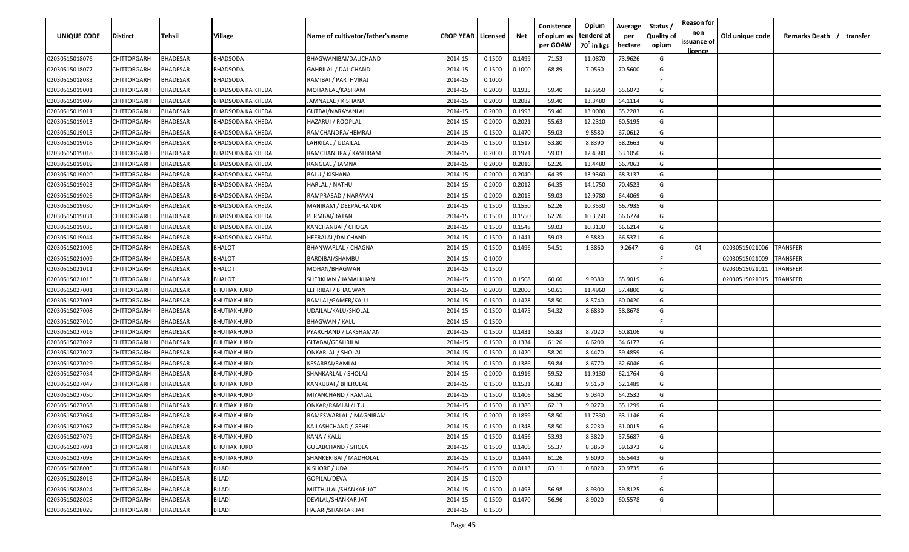| <b>UNIQUE CODE</b> | Distirct           | Tehsil          | Village                  | Name of cultivator/father's name | <b>CROP YEAR Licensed</b> |        | Net    | Conistence<br>of opium as<br>per GOAW | Opium<br>tenderd at<br>70 <sup>0</sup> in kgs | Average<br>per<br>hectare | Status /<br><b>Quality of</b><br>opium | <b>Reason for</b><br>non<br>issuance of | Old unique code | Remarks Death / transfer |
|--------------------|--------------------|-----------------|--------------------------|----------------------------------|---------------------------|--------|--------|---------------------------------------|-----------------------------------------------|---------------------------|----------------------------------------|-----------------------------------------|-----------------|--------------------------|
|                    |                    |                 |                          |                                  |                           |        |        |                                       |                                               |                           |                                        | <u>licence</u>                          |                 |                          |
| 02030515018076     | CHITTORGARH        | <b>BHADESAR</b> | <b>BHADSODA</b>          | BHAGWANIBAI/DALICHAND            | 2014-15                   | 0.1500 | 0.1499 | 71.53                                 | 11.0870                                       | 73.9626                   | G                                      |                                         |                 |                          |
| 02030515018077     | CHITTORGARH        | BHADESAR        | BHADSODA                 | <b>GAHRILAL / DALICHAND</b>      | 2014-15                   | 0.1500 | 0.1000 | 68.89                                 | 7.0560                                        | 70.5600                   | G                                      |                                         |                 |                          |
| 02030515018083     | CHITTORGARH        | BHADESAR        | BHADSODA                 | RAMIBAI / PARTHVIRAJ             | 2014-15                   | 0.1000 |        |                                       |                                               |                           | -F.                                    |                                         |                 |                          |
| 02030515019001     | CHITTORGARH        | BHADESAR        | BHADSODA KA KHEDA        | MOHANLAL/KASIRAM                 | 2014-15                   | 0.2000 | 0.1935 | 59.40                                 | 12.6950                                       | 65.6072                   | G                                      |                                         |                 |                          |
| 02030515019007     | CHITTORGARH        | BHADESAR        | BHADSODA KA KHEDA        | JAMNALAL / KISHANA               | 2014-15                   | 0.2000 | 0.2082 | 59.40                                 | 13.3480                                       | 64.1114                   | G                                      |                                         |                 |                          |
| 02030515019011     | CHITTORGARH        | BHADESAR        | BHADSODA KA KHEDA        | GUTBAI/NARAYANLAL                | 2014-15                   | 0.2000 | 0.1993 | 59.40                                 | 13.0000                                       | 65.2283                   | G                                      |                                         |                 |                          |
| 02030515019013     | CHITTORGARH        | <b>BHADESAR</b> | BHADSODA KA KHEDA        | HAZARUI / ROOPLAL                | 2014-15                   | 0.2000 | 0.2021 | 55.63                                 | 12.2310                                       | 60.5195                   | G                                      |                                         |                 |                          |
| 02030515019015     | CHITTORGARH        | BHADESAR        | BHADSODA KA KHEDA        | RAMCHANDRA/HEMRAJ                | 2014-15                   | 0.1500 | 0.1470 | 59.03                                 | 9.8580                                        | 67.0612                   | G                                      |                                         |                 |                          |
| 02030515019016     | CHITTORGARH        | BHADESAR        | BHADSODA KA KHEDA        | LAHRILAL / UDAILAL               | 2014-15                   | 0.1500 | 0.1517 | 53.80                                 | 8.8390                                        | 58.2663                   | G                                      |                                         |                 |                          |
| 02030515019018     | CHITTORGARH        | BHADESAR        | BHADSODA KA KHEDA        | RAMCHANDRA / KASHIRAM            | 2014-15                   | 0.2000 | 0.1971 | 59.03                                 | 12.4380                                       | 63.1050                   | G                                      |                                         |                 |                          |
| 02030515019019     | CHITTORGARH        | BHADESAR        | BHADSODA KA KHEDA        | RANGLAL / JAMNA                  | 2014-15                   | 0.2000 | 0.2016 | 62.26                                 | 13.4480                                       | 66.7063                   | G                                      |                                         |                 |                          |
| 02030515019020     | CHITTORGARH        | BHADESAR        | BHADSODA KA KHEDA        | <b>BALU / KISHANA</b>            | 2014-15                   | 0.2000 | 0.2040 | 64.35                                 | 13.9360                                       | 68.3137                   | G                                      |                                         |                 |                          |
| 02030515019023     | CHITTORGARH        | BHADESAR        | BHADSODA KA KHEDA        | HARLAL / NATHU                   | 2014-15                   | 0.2000 | 0.2012 | 64.35                                 | 14.1750                                       | 70.4523                   | G                                      |                                         |                 |                          |
| 02030515019026     | CHITTORGARH        | <b>BHADESAR</b> | BHADSODA KA KHEDA        | RAMPRASAD / NARAYAN              | 2014-15                   | 0.2000 | 0.2015 | 59.03                                 | 12.9780                                       | 64.4069                   | G                                      |                                         |                 |                          |
| 02030515019030     | CHITTORGARH        | BHADESAR        | BHADSODA KA KHEDA        | MANIRAM / DEEPACHANDR            | 2014-15                   | 0.1500 | 0.1550 | 62.26                                 | 10.3530                                       | 66.7935                   | G                                      |                                         |                 |                          |
| 02030515019031     | CHITTORGARH        | <b>BHADESAR</b> | BHADSODA KA KHEDA        | PERMBAI/RATAN                    | 2014-15                   | 0.1500 | 0.1550 | 62.26                                 | 10.3350                                       | 66.6774                   | G                                      |                                         |                 |                          |
| 02030515019035     | CHITTORGARH        | <b>BHADESAR</b> | <b>BHADSODA KA KHEDA</b> | KANCHANBAI / CHOGA               | 2014-15                   | 0.1500 | 0.1548 | 59.03                                 | 10.3130                                       | 66.6214                   | G                                      |                                         |                 |                          |
| 02030515019044     | <b>CHITTORGARH</b> | <b>BHADESAR</b> | <b>BHADSODA KA KHEDA</b> | HEERALAL/DALCHAND                | 2014-15                   | 0.1500 | 0.1441 | 59.03                                 | 9.5880                                        | 66.5371                   | G                                      |                                         |                 |                          |
| 02030515021006     | CHITTORGARH        | BHADESAR        | BHALOT                   | BHANWARLAL / CHAGNA              | 2014-15                   | 0.1500 | 0.1496 | 54.51                                 | 1.3860                                        | 9.2647                    | G                                      | 04                                      | 02030515021006  | TRANSFER                 |
| 02030515021009     | CHITTORGARH        | BHADESAR        | BHALOT                   | BARDIBAI/SHAMBU                  | 2014-15                   | 0.1000 |        |                                       |                                               |                           | E                                      |                                         | 02030515021009  | TRANSFER                 |
| 02030515021011     | CHITTORGARH        | BHADESAR        | <b>BHALOT</b>            | MOHAN/BHAGWAN                    | 2014-15                   | 0.1500 |        |                                       |                                               |                           | -F                                     |                                         | 02030515021011  | TRANSFER                 |
| 02030515021015     | CHITTORGARH        | BHADESAR        | <b>BHALOT</b>            | SHERKHAN / JAMALKHAN             | 2014-15                   | 0.1500 | 0.1508 | 60.60                                 | 9.9380                                        | 65.9019                   | G                                      |                                         | 02030515021015  | TRANSFER                 |
| 02030515027001     | CHITTORGARH        | BHADESAR        | BHUTIAKHURD              | LEHRIBAI / BHAGWAN               | 2014-15                   | 0.2000 | 0.2000 | 50.61                                 | 11.4960                                       | 57.4800                   | G                                      |                                         |                 |                          |
| 02030515027003     | CHITTORGARH        | BHADESAR        | BHUTIAKHURD              | RAMLAL/GAMER/KALU                | 2014-15                   | 0.1500 | 0.1428 | 58.50                                 | 8.5740                                        | 60.0420                   | G                                      |                                         |                 |                          |
| 02030515027008     | CHITTORGARH        | BHADESAR        | BHUTIAKHURD              | UDAILAL/KALU/SHOLAL              | 2014-15                   | 0.1500 | 0.1475 | 54.32                                 | 8.6830                                        | 58.8678                   | G                                      |                                         |                 |                          |
| 02030515027010     | CHITTORGARH        | BHADESAR        | BHUTIAKHURD              | <b>BHAGWAN / KALU</b>            | 2014-15                   | 0.1500 |        |                                       |                                               |                           | -F.                                    |                                         |                 |                          |
| 02030515027016     | CHITTORGARH        | BHADESAR        | BHUTIAKHURD              | PYARCHAND / LAKSHAMAN            | 2014-15                   | 0.1500 | 0.1431 | 55.83                                 | 8.7020                                        | 60.8106                   | G                                      |                                         |                 |                          |
| 02030515027022     | CHITTORGARH        | BHADESAR        | BHUTIAKHURD              | GITABAI/GEAHRILAL                | 2014-15                   | 0.1500 | 0.1334 | 61.26                                 | 8.6200                                        | 64.6177                   | G                                      |                                         |                 |                          |
| 02030515027027     | CHITTORGARH        | BHADESAR        | BHUTIAKHURD              | ONKARLAL / SHOLAL                | 2014-15                   | 0.1500 | 0.1420 | 58.20                                 | 8.4470                                        | 59.4859                   | G                                      |                                         |                 |                          |
| 02030515027029     | CHITTORGARH        | BHADESAR        | BHUTIAKHURD              | KESARBAI/RAMLAL                  | 2014-15                   | 0.1500 | 0.1386 | 59.84                                 | 8.6770                                        | 62.6046                   | G                                      |                                         |                 |                          |
| 02030515027034     | CHITTORGARH        | BHADESAR        | BHUTIAKHURD              | SHANKARLAL / SHOLAJI             | 2014-15                   | 0.2000 | 0.1916 | 59.52                                 | 11.9130                                       | 62.1764                   | G                                      |                                         |                 |                          |
| 02030515027047     | CHITTORGARH        | BHADESAR        | BHUTIAKHURD              | KANKUBAI / BHERULAL              | 2014-15                   | 0.1500 | 0.1531 | 56.83                                 | 9.5150                                        | 62.1489                   | G                                      |                                         |                 |                          |
| 02030515027050     | CHITTORGARH        | BHADESAR        | BHUTIAKHURD              | MIYANCHAND / RAMLAL              | 2014-15                   | 0.1500 | 0.1406 | 58.50                                 | 9.0340                                        | 64.2532                   | G                                      |                                         |                 |                          |
| 02030515027058     | CHITTORGARH        | BHADESAR        | BHUTIAKHURD              | ONKAR/RAMLAL/JITU                | 2014-15                   | 0.1500 | 0.1386 | 62.13                                 | 9.0270                                        | 65.1299                   | G                                      |                                         |                 |                          |
| 02030515027064     | <b>CHITTORGARH</b> | BHADESAR        | BHUTIAKHURD              | RAMESWARLAL / MAGNIRAM           | 2014-15                   | 0.2000 | 0.1859 | 58.50                                 | 11.7330                                       | 63.1146                   | G                                      |                                         |                 |                          |
| 02030515027067     | <b>CHITTORGARH</b> | <b>BHADESAR</b> | BHUTIAKHURD              | <b>KAILASHCHAND / GEHRI</b>      | 2014-15                   | 0.1500 | 0.1348 | 58.50                                 | 8.2230                                        | 61.0015                   | G                                      |                                         |                 |                          |
| 02030515027079     | CHITTORGARH        | <b>BHADESAR</b> | BHUTIAKHURD              | KANA / KALU                      | 2014-15                   | 0.1500 | 0.1456 | 53.93                                 | 8.3820                                        | 57.5687                   | G                                      |                                         |                 |                          |
| 02030515027091     | CHITTORGARH        | <b>BHADESAR</b> | BHUTIAKHURD              | <b>GULABCHAND / SHOLA</b>        | 2014-15                   | 0.1500 | 0.1406 | 55.37                                 | 8.3850                                        | 59.6373                   | G                                      |                                         |                 |                          |
| 02030515027098     | <b>CHITTORGARH</b> | <b>BHADESAR</b> | BHUTIAKHURD              | SHANKERIBAI / MADHOLAL           | 2014-15                   | 0.1500 | 0.1444 | 61.26                                 | 9.6090                                        | 66.5443                   | G                                      |                                         |                 |                          |
| 02030515028005     | CHITTORGARH        | BHADESAR        | <b>BILADI</b>            | KISHORE / UDA                    | 2014-15                   | 0.1500 | 0.0113 | 63.11                                 | 0.8020                                        | 70.9735                   | G                                      |                                         |                 |                          |
| 02030515028016     | CHITTORGARH        | BHADESAR        | <b>BILADI</b>            | GOPILAL/DEVA                     | 2014-15                   | 0.1500 |        |                                       |                                               |                           | F.                                     |                                         |                 |                          |
| 02030515028024     | CHITTORGARH        | <b>BHADESAR</b> | <b>BILADI</b>            | MITTHULAL/SHANKAR JAT            | 2014-15                   | 0.1500 | 0.1493 | 56.98                                 | 8.9300                                        | 59.8125                   | G                                      |                                         |                 |                          |
| 02030515028028     | CHITTORGARH        | BHADESAR        | <b>BILADI</b>            | DEVILAL/SHANKAR JAT              | 2014-15                   | 0.1500 | 0.1470 | 56.96                                 | 8.9020                                        | 60.5578                   | G                                      |                                         |                 |                          |
| 02030515028029     | <b>CHITTORGARH</b> | <b>BHADESAR</b> | BILADI                   | HAJARI/SHANKAR JAT               | 2014-15                   | 0.1500 |        |                                       |                                               |                           | F.                                     |                                         |                 |                          |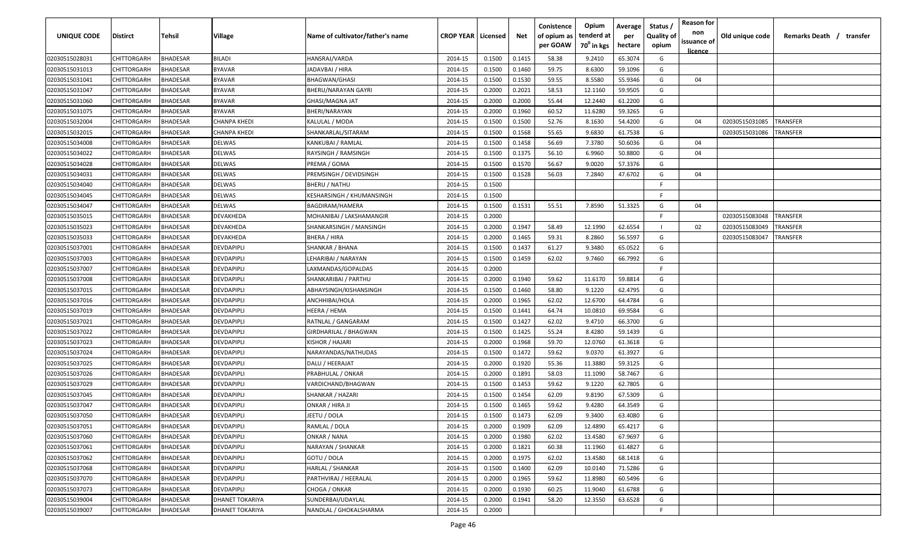| <u>licence</u><br>65.3074<br>02030515028031<br>CHITTORGARH<br><b>BHADESAR</b><br><b>BILADI</b><br>HANSRAJ/VARDA<br>2014-15<br>0.1500<br>0.1415<br>58.38<br>9.2410<br>G<br>59.1096<br>02030515031013<br>CHITTORGARH<br>BHADESAR<br><b>BYAVAR</b><br>JADAVBAI / HIRA<br>2014-15<br>0.1500<br>0.1460<br>59.75<br>8.6300<br>G<br>G<br>BHADESAR<br><b>BYAVAR</b><br>0.1500<br>0.1530<br>59.55<br>8.5580<br>55.9346<br>04<br>02030515031041<br>CHITTORGARH<br><b>BHAGWAN/GHASI</b><br>2014-15<br>02030515031047<br>CHITTORGARH<br>BHADESAR<br>2014-15<br>0.2000<br>0.2021<br>58.53<br>59.9505<br>G<br><b>BYAVAR</b><br>BHERU/NARAYAN GAYRI<br>12.1160<br>02030515031060<br>CHITTORGARH<br>BHADESAR<br><b>BYAVAR</b><br><b>GHASI/MAGNA JAT</b><br>2014-15<br>0.2000<br>0.2000<br>55.44<br>12.2440<br>61.2200<br>G<br>11.6280<br>02030515031075<br>CHITTORGARH<br>BHADESAR<br><b>BYAVAR</b><br>BHERI/NARAYAN<br>2014-15<br>0.2000<br>0.1960<br>60.52<br>59.3265<br>G<br>02030515032004<br>2014-15<br>0.1500<br>0.1500<br>52.76<br>8.1630<br>54.4200<br>G<br>CHITTORGARH<br>BHADESAR<br>CHANPA KHEDI<br>KALULAL / MODA<br>04<br>02030515031085<br>TRANSFER<br>0.1500<br>0.1568<br>55.65<br>9.6830<br>02030515032015<br>CHITTORGARH<br>BHADESAR<br>CHANPA KHEDI<br>SHANKARLAL/SITARAM<br>2014-15<br>61.7538<br>G<br>02030515031086<br>TRANSFER<br>02030515034008<br>CHITTORGARH<br>BHADESAR<br>KANKUBAI / RAMLAL<br>2014-15<br>0.1500<br>0.1458<br>56.69<br>7.3780<br>50.6036<br>G<br>04<br>DELWAS<br>02030515034022<br>BHADESAR<br>RAYSINGH / RAMSINGH<br>2014-15<br>0.1500<br>0.1375<br>56.10<br>6.9960<br>50.8800<br>G<br>CHITTORGARH<br>DELWAS<br>04<br>56.67<br>G<br>2014-15<br>0.1500<br>0.1570<br>9.0020<br>57.3376<br>02030515034028<br>CHITTORGARH<br>BHADESAR<br>DELWAS<br>PREMA / GOMA<br>G<br>CHITTORGARH<br>BHADESAR<br>2014-15<br>0.1528<br>56.03<br>7.2840<br>47.6702<br>02030515034031<br>DELWAS<br>PREMSINGH / DEVIDSINGH<br>0.1500<br>04<br>F.<br>02030515034040<br>CHITTORGARH<br>BHADESAR<br>DELWAS<br>2014-15<br>0.1500<br><b>BHERU / NATHU</b><br>CHITTORGARH<br>BHADESAR<br>DELWAS<br>2014-15<br>0.1500<br>-F.<br>02030515034045<br><b>KESHARSINGH / KHUMANSINGH</b><br>0.1531<br>55.51<br>51.3325<br>G<br>CHITTORGARH<br>BHADESAR<br>DELWAS<br>2014-15<br>0.1500<br>7.8590<br>04<br>02030515034047<br>BAGDIRAM/HAMERA<br>CHITTORGARH<br>BHADESAR<br>2014-15<br>0.2000<br>-F.<br>02030515035015<br>DEVAKHEDA<br>MOHANIBAI / LAKSHAMANGIR<br>02030515083048<br>TRANSFER<br><b>BHADESAR</b><br>0.2000<br>0.1947<br>58.49<br>12.1990<br>62.6554<br>02030515035023<br>CHITTORGARH<br>DEVAKHEDA<br>2014-15<br>02<br>02030515083049<br>TRANSFER<br>SHANKARSINGH / MANSINGH<br>02030515035033<br>CHITTORGARH<br>BHADESAR<br>DEVAKHEDA<br><b>BHERA / HIRA</b><br>2014-15<br>0.2000<br>0.1465<br>59.31<br>8.2860<br>56.5597<br>G<br>02030515083047<br>TRANSFER | <b>UNIQUE CODE</b> | <b>Distirct</b> | <b>Tehsil</b> | Village | Name of cultivator/father's name | <b>CROP YEAR   Licensed</b> | Net | Conistence<br>of opium as<br>per GOAW | Opium<br>tenderd at<br>70 <sup>0</sup> in kgs | Average<br>per | Status /<br><b>Quality of</b> | <b>Reason for</b><br>non<br>issuance of | Old unique code | Remarks Death /<br>transfer |
|--------------------------------------------------------------------------------------------------------------------------------------------------------------------------------------------------------------------------------------------------------------------------------------------------------------------------------------------------------------------------------------------------------------------------------------------------------------------------------------------------------------------------------------------------------------------------------------------------------------------------------------------------------------------------------------------------------------------------------------------------------------------------------------------------------------------------------------------------------------------------------------------------------------------------------------------------------------------------------------------------------------------------------------------------------------------------------------------------------------------------------------------------------------------------------------------------------------------------------------------------------------------------------------------------------------------------------------------------------------------------------------------------------------------------------------------------------------------------------------------------------------------------------------------------------------------------------------------------------------------------------------------------------------------------------------------------------------------------------------------------------------------------------------------------------------------------------------------------------------------------------------------------------------------------------------------------------------------------------------------------------------------------------------------------------------------------------------------------------------------------------------------------------------------------------------------------------------------------------------------------------------------------------------------------------------------------------------------------------------------------------------------------------------------------------------------------------------------------------------------------------------------------------------------------------------------------------------------------------------------------------------------------------------------------------------------------------------------------------------------------------------------------------------------------------------------------------------------------------------------|--------------------|-----------------|---------------|---------|----------------------------------|-----------------------------|-----|---------------------------------------|-----------------------------------------------|----------------|-------------------------------|-----------------------------------------|-----------------|-----------------------------|
|                                                                                                                                                                                                                                                                                                                                                                                                                                                                                                                                                                                                                                                                                                                                                                                                                                                                                                                                                                                                                                                                                                                                                                                                                                                                                                                                                                                                                                                                                                                                                                                                                                                                                                                                                                                                                                                                                                                                                                                                                                                                                                                                                                                                                                                                                                                                                                                                                                                                                                                                                                                                                                                                                                                                                                                                                                                                    |                    |                 |               |         |                                  |                             |     |                                       |                                               | hectare        | opium                         |                                         |                 |                             |
|                                                                                                                                                                                                                                                                                                                                                                                                                                                                                                                                                                                                                                                                                                                                                                                                                                                                                                                                                                                                                                                                                                                                                                                                                                                                                                                                                                                                                                                                                                                                                                                                                                                                                                                                                                                                                                                                                                                                                                                                                                                                                                                                                                                                                                                                                                                                                                                                                                                                                                                                                                                                                                                                                                                                                                                                                                                                    |                    |                 |               |         |                                  |                             |     |                                       |                                               |                |                               |                                         |                 |                             |
|                                                                                                                                                                                                                                                                                                                                                                                                                                                                                                                                                                                                                                                                                                                                                                                                                                                                                                                                                                                                                                                                                                                                                                                                                                                                                                                                                                                                                                                                                                                                                                                                                                                                                                                                                                                                                                                                                                                                                                                                                                                                                                                                                                                                                                                                                                                                                                                                                                                                                                                                                                                                                                                                                                                                                                                                                                                                    |                    |                 |               |         |                                  |                             |     |                                       |                                               |                |                               |                                         |                 |                             |
|                                                                                                                                                                                                                                                                                                                                                                                                                                                                                                                                                                                                                                                                                                                                                                                                                                                                                                                                                                                                                                                                                                                                                                                                                                                                                                                                                                                                                                                                                                                                                                                                                                                                                                                                                                                                                                                                                                                                                                                                                                                                                                                                                                                                                                                                                                                                                                                                                                                                                                                                                                                                                                                                                                                                                                                                                                                                    |                    |                 |               |         |                                  |                             |     |                                       |                                               |                |                               |                                         |                 |                             |
|                                                                                                                                                                                                                                                                                                                                                                                                                                                                                                                                                                                                                                                                                                                                                                                                                                                                                                                                                                                                                                                                                                                                                                                                                                                                                                                                                                                                                                                                                                                                                                                                                                                                                                                                                                                                                                                                                                                                                                                                                                                                                                                                                                                                                                                                                                                                                                                                                                                                                                                                                                                                                                                                                                                                                                                                                                                                    |                    |                 |               |         |                                  |                             |     |                                       |                                               |                |                               |                                         |                 |                             |
|                                                                                                                                                                                                                                                                                                                                                                                                                                                                                                                                                                                                                                                                                                                                                                                                                                                                                                                                                                                                                                                                                                                                                                                                                                                                                                                                                                                                                                                                                                                                                                                                                                                                                                                                                                                                                                                                                                                                                                                                                                                                                                                                                                                                                                                                                                                                                                                                                                                                                                                                                                                                                                                                                                                                                                                                                                                                    |                    |                 |               |         |                                  |                             |     |                                       |                                               |                |                               |                                         |                 |                             |
|                                                                                                                                                                                                                                                                                                                                                                                                                                                                                                                                                                                                                                                                                                                                                                                                                                                                                                                                                                                                                                                                                                                                                                                                                                                                                                                                                                                                                                                                                                                                                                                                                                                                                                                                                                                                                                                                                                                                                                                                                                                                                                                                                                                                                                                                                                                                                                                                                                                                                                                                                                                                                                                                                                                                                                                                                                                                    |                    |                 |               |         |                                  |                             |     |                                       |                                               |                |                               |                                         |                 |                             |
|                                                                                                                                                                                                                                                                                                                                                                                                                                                                                                                                                                                                                                                                                                                                                                                                                                                                                                                                                                                                                                                                                                                                                                                                                                                                                                                                                                                                                                                                                                                                                                                                                                                                                                                                                                                                                                                                                                                                                                                                                                                                                                                                                                                                                                                                                                                                                                                                                                                                                                                                                                                                                                                                                                                                                                                                                                                                    |                    |                 |               |         |                                  |                             |     |                                       |                                               |                |                               |                                         |                 |                             |
|                                                                                                                                                                                                                                                                                                                                                                                                                                                                                                                                                                                                                                                                                                                                                                                                                                                                                                                                                                                                                                                                                                                                                                                                                                                                                                                                                                                                                                                                                                                                                                                                                                                                                                                                                                                                                                                                                                                                                                                                                                                                                                                                                                                                                                                                                                                                                                                                                                                                                                                                                                                                                                                                                                                                                                                                                                                                    |                    |                 |               |         |                                  |                             |     |                                       |                                               |                |                               |                                         |                 |                             |
|                                                                                                                                                                                                                                                                                                                                                                                                                                                                                                                                                                                                                                                                                                                                                                                                                                                                                                                                                                                                                                                                                                                                                                                                                                                                                                                                                                                                                                                                                                                                                                                                                                                                                                                                                                                                                                                                                                                                                                                                                                                                                                                                                                                                                                                                                                                                                                                                                                                                                                                                                                                                                                                                                                                                                                                                                                                                    |                    |                 |               |         |                                  |                             |     |                                       |                                               |                |                               |                                         |                 |                             |
|                                                                                                                                                                                                                                                                                                                                                                                                                                                                                                                                                                                                                                                                                                                                                                                                                                                                                                                                                                                                                                                                                                                                                                                                                                                                                                                                                                                                                                                                                                                                                                                                                                                                                                                                                                                                                                                                                                                                                                                                                                                                                                                                                                                                                                                                                                                                                                                                                                                                                                                                                                                                                                                                                                                                                                                                                                                                    |                    |                 |               |         |                                  |                             |     |                                       |                                               |                |                               |                                         |                 |                             |
|                                                                                                                                                                                                                                                                                                                                                                                                                                                                                                                                                                                                                                                                                                                                                                                                                                                                                                                                                                                                                                                                                                                                                                                                                                                                                                                                                                                                                                                                                                                                                                                                                                                                                                                                                                                                                                                                                                                                                                                                                                                                                                                                                                                                                                                                                                                                                                                                                                                                                                                                                                                                                                                                                                                                                                                                                                                                    |                    |                 |               |         |                                  |                             |     |                                       |                                               |                |                               |                                         |                 |                             |
|                                                                                                                                                                                                                                                                                                                                                                                                                                                                                                                                                                                                                                                                                                                                                                                                                                                                                                                                                                                                                                                                                                                                                                                                                                                                                                                                                                                                                                                                                                                                                                                                                                                                                                                                                                                                                                                                                                                                                                                                                                                                                                                                                                                                                                                                                                                                                                                                                                                                                                                                                                                                                                                                                                                                                                                                                                                                    |                    |                 |               |         |                                  |                             |     |                                       |                                               |                |                               |                                         |                 |                             |
|                                                                                                                                                                                                                                                                                                                                                                                                                                                                                                                                                                                                                                                                                                                                                                                                                                                                                                                                                                                                                                                                                                                                                                                                                                                                                                                                                                                                                                                                                                                                                                                                                                                                                                                                                                                                                                                                                                                                                                                                                                                                                                                                                                                                                                                                                                                                                                                                                                                                                                                                                                                                                                                                                                                                                                                                                                                                    |                    |                 |               |         |                                  |                             |     |                                       |                                               |                |                               |                                         |                 |                             |
|                                                                                                                                                                                                                                                                                                                                                                                                                                                                                                                                                                                                                                                                                                                                                                                                                                                                                                                                                                                                                                                                                                                                                                                                                                                                                                                                                                                                                                                                                                                                                                                                                                                                                                                                                                                                                                                                                                                                                                                                                                                                                                                                                                                                                                                                                                                                                                                                                                                                                                                                                                                                                                                                                                                                                                                                                                                                    |                    |                 |               |         |                                  |                             |     |                                       |                                               |                |                               |                                         |                 |                             |
|                                                                                                                                                                                                                                                                                                                                                                                                                                                                                                                                                                                                                                                                                                                                                                                                                                                                                                                                                                                                                                                                                                                                                                                                                                                                                                                                                                                                                                                                                                                                                                                                                                                                                                                                                                                                                                                                                                                                                                                                                                                                                                                                                                                                                                                                                                                                                                                                                                                                                                                                                                                                                                                                                                                                                                                                                                                                    |                    |                 |               |         |                                  |                             |     |                                       |                                               |                |                               |                                         |                 |                             |
|                                                                                                                                                                                                                                                                                                                                                                                                                                                                                                                                                                                                                                                                                                                                                                                                                                                                                                                                                                                                                                                                                                                                                                                                                                                                                                                                                                                                                                                                                                                                                                                                                                                                                                                                                                                                                                                                                                                                                                                                                                                                                                                                                                                                                                                                                                                                                                                                                                                                                                                                                                                                                                                                                                                                                                                                                                                                    |                    |                 |               |         |                                  |                             |     |                                       |                                               |                |                               |                                         |                 |                             |
|                                                                                                                                                                                                                                                                                                                                                                                                                                                                                                                                                                                                                                                                                                                                                                                                                                                                                                                                                                                                                                                                                                                                                                                                                                                                                                                                                                                                                                                                                                                                                                                                                                                                                                                                                                                                                                                                                                                                                                                                                                                                                                                                                                                                                                                                                                                                                                                                                                                                                                                                                                                                                                                                                                                                                                                                                                                                    |                    |                 |               |         |                                  |                             |     |                                       |                                               |                |                               |                                         |                 |                             |
|                                                                                                                                                                                                                                                                                                                                                                                                                                                                                                                                                                                                                                                                                                                                                                                                                                                                                                                                                                                                                                                                                                                                                                                                                                                                                                                                                                                                                                                                                                                                                                                                                                                                                                                                                                                                                                                                                                                                                                                                                                                                                                                                                                                                                                                                                                                                                                                                                                                                                                                                                                                                                                                                                                                                                                                                                                                                    |                    |                 |               |         |                                  |                             |     |                                       |                                               |                |                               |                                         |                 |                             |
| CHITTORGARH<br>BHADESAR<br>DEVDAPIPLI<br>2014-15<br>0.1500<br>0.1437<br>61.27<br>9.3480<br>65.0522<br>G<br>02030515037001<br><b>SHANKAR / BHANA</b>                                                                                                                                                                                                                                                                                                                                                                                                                                                                                                                                                                                                                                                                                                                                                                                                                                                                                                                                                                                                                                                                                                                                                                                                                                                                                                                                                                                                                                                                                                                                                                                                                                                                                                                                                                                                                                                                                                                                                                                                                                                                                                                                                                                                                                                                                                                                                                                                                                                                                                                                                                                                                                                                                                                |                    |                 |               |         |                                  |                             |     |                                       |                                               |                |                               |                                         |                 |                             |
| BHADESAR<br>G<br>02030515037003<br>CHITTORGARH<br>DEVDAPIPLI<br>LEHARIBAI / NARAYAN<br>2014-15<br>0.1500<br>0.1459<br>62.02<br>9.7460<br>66.7992                                                                                                                                                                                                                                                                                                                                                                                                                                                                                                                                                                                                                                                                                                                                                                                                                                                                                                                                                                                                                                                                                                                                                                                                                                                                                                                                                                                                                                                                                                                                                                                                                                                                                                                                                                                                                                                                                                                                                                                                                                                                                                                                                                                                                                                                                                                                                                                                                                                                                                                                                                                                                                                                                                                   |                    |                 |               |         |                                  |                             |     |                                       |                                               |                |                               |                                         |                 |                             |
| F.<br>02030515037007<br>CHITTORGARH<br>BHADESAR<br>DEVDAPIPLI<br>2014-15<br>0.2000<br>LAXMANDAS/GOPALDAS                                                                                                                                                                                                                                                                                                                                                                                                                                                                                                                                                                                                                                                                                                                                                                                                                                                                                                                                                                                                                                                                                                                                                                                                                                                                                                                                                                                                                                                                                                                                                                                                                                                                                                                                                                                                                                                                                                                                                                                                                                                                                                                                                                                                                                                                                                                                                                                                                                                                                                                                                                                                                                                                                                                                                           |                    |                 |               |         |                                  |                             |     |                                       |                                               |                |                               |                                         |                 |                             |
| 59.8814<br>02030515037008<br>CHITTORGARH<br>BHADESAR<br>DEVDAPIPLI<br>2014-15<br>0.2000<br>0.1940<br>59.62<br>11.6170<br>G<br>SHANKARIBAI / PARTHU                                                                                                                                                                                                                                                                                                                                                                                                                                                                                                                                                                                                                                                                                                                                                                                                                                                                                                                                                                                                                                                                                                                                                                                                                                                                                                                                                                                                                                                                                                                                                                                                                                                                                                                                                                                                                                                                                                                                                                                                                                                                                                                                                                                                                                                                                                                                                                                                                                                                                                                                                                                                                                                                                                                 |                    |                 |               |         |                                  |                             |     |                                       |                                               |                |                               |                                         |                 |                             |
| 0.1460<br>58.80<br>62.4795<br>02030515037015<br>CHITTORGARH<br>BHADESAR<br>DEVDAPIPLI<br>ABHAYSINGH/KISHANSINGH<br>2014-15<br>0.1500<br>9.1220<br>G                                                                                                                                                                                                                                                                                                                                                                                                                                                                                                                                                                                                                                                                                                                                                                                                                                                                                                                                                                                                                                                                                                                                                                                                                                                                                                                                                                                                                                                                                                                                                                                                                                                                                                                                                                                                                                                                                                                                                                                                                                                                                                                                                                                                                                                                                                                                                                                                                                                                                                                                                                                                                                                                                                                |                    |                 |               |         |                                  |                             |     |                                       |                                               |                |                               |                                         |                 |                             |
| 0.1965<br>62.02<br>12.6700<br>02030515037016<br>CHITTORGARH<br>BHADESAR<br>DEVDAPIPLI<br>ANCHHIBAI/HOLA<br>2014-15<br>0.2000<br>64.4784<br>G                                                                                                                                                                                                                                                                                                                                                                                                                                                                                                                                                                                                                                                                                                                                                                                                                                                                                                                                                                                                                                                                                                                                                                                                                                                                                                                                                                                                                                                                                                                                                                                                                                                                                                                                                                                                                                                                                                                                                                                                                                                                                                                                                                                                                                                                                                                                                                                                                                                                                                                                                                                                                                                                                                                       |                    |                 |               |         |                                  |                             |     |                                       |                                               |                |                               |                                         |                 |                             |
| 02030515037019<br>0.1500<br>64.74<br>10.0810<br>69.9584<br>CHITTORGARH<br>BHADESAR<br>DEVDAPIPLI<br>HEERA / HEMA<br>2014-15<br>0.1441<br>G                                                                                                                                                                                                                                                                                                                                                                                                                                                                                                                                                                                                                                                                                                                                                                                                                                                                                                                                                                                                                                                                                                                                                                                                                                                                                                                                                                                                                                                                                                                                                                                                                                                                                                                                                                                                                                                                                                                                                                                                                                                                                                                                                                                                                                                                                                                                                                                                                                                                                                                                                                                                                                                                                                                         |                    |                 |               |         |                                  |                             |     |                                       |                                               |                |                               |                                         |                 |                             |
| 0.1500<br>0.1427<br>62.02<br>66.3700<br>02030515037021<br>CHITTORGARH<br>BHADESAR<br>DEVDAPIPLI<br>RATNLAL / GANGARAM<br>2014-15<br>9.4710<br>G                                                                                                                                                                                                                                                                                                                                                                                                                                                                                                                                                                                                                                                                                                                                                                                                                                                                                                                                                                                                                                                                                                                                                                                                                                                                                                                                                                                                                                                                                                                                                                                                                                                                                                                                                                                                                                                                                                                                                                                                                                                                                                                                                                                                                                                                                                                                                                                                                                                                                                                                                                                                                                                                                                                    |                    |                 |               |         |                                  |                             |     |                                       |                                               |                |                               |                                         |                 |                             |
| 02030515037022<br>CHITTORGARH<br>BHADESAR<br>DEVDAPIPLI<br>GIRDHARILAL / BHAGWAN<br>2014-15<br>0.1500<br>0.1425<br>55.24<br>8.4280<br>59.1439<br>G                                                                                                                                                                                                                                                                                                                                                                                                                                                                                                                                                                                                                                                                                                                                                                                                                                                                                                                                                                                                                                                                                                                                                                                                                                                                                                                                                                                                                                                                                                                                                                                                                                                                                                                                                                                                                                                                                                                                                                                                                                                                                                                                                                                                                                                                                                                                                                                                                                                                                                                                                                                                                                                                                                                 |                    |                 |               |         |                                  |                             |     |                                       |                                               |                |                               |                                         |                 |                             |
| 0.1968<br>59.70<br>G<br>02030515037023<br>BHADESAR<br>2014-15<br>0.2000<br>12.0760<br>61.3618<br>CHITTORGARH<br>DEVDAPIPLI<br>KISHOR / HAJARI                                                                                                                                                                                                                                                                                                                                                                                                                                                                                                                                                                                                                                                                                                                                                                                                                                                                                                                                                                                                                                                                                                                                                                                                                                                                                                                                                                                                                                                                                                                                                                                                                                                                                                                                                                                                                                                                                                                                                                                                                                                                                                                                                                                                                                                                                                                                                                                                                                                                                                                                                                                                                                                                                                                      |                    |                 |               |         |                                  |                             |     |                                       |                                               |                |                               |                                         |                 |                             |
| 59.62<br>9.0370<br>61.3927<br>02030515037024<br>CHITTORGARH<br>BHADESAR<br>2014-15<br>0.1500<br>0.1472<br>G<br>DEVDAPIPLI<br>NARAYANDAS/NATHUDAS                                                                                                                                                                                                                                                                                                                                                                                                                                                                                                                                                                                                                                                                                                                                                                                                                                                                                                                                                                                                                                                                                                                                                                                                                                                                                                                                                                                                                                                                                                                                                                                                                                                                                                                                                                                                                                                                                                                                                                                                                                                                                                                                                                                                                                                                                                                                                                                                                                                                                                                                                                                                                                                                                                                   |                    |                 |               |         |                                  |                             |     |                                       |                                               |                |                               |                                         |                 |                             |
| 55.36<br>11.3880<br>59.3125<br>02030515037025<br>CHITTORGARH<br>BHADESAR<br>DEVDAPIPLI<br>DALU / HEERAJAT<br>2014-15<br>0.2000<br>0.1920<br>G                                                                                                                                                                                                                                                                                                                                                                                                                                                                                                                                                                                                                                                                                                                                                                                                                                                                                                                                                                                                                                                                                                                                                                                                                                                                                                                                                                                                                                                                                                                                                                                                                                                                                                                                                                                                                                                                                                                                                                                                                                                                                                                                                                                                                                                                                                                                                                                                                                                                                                                                                                                                                                                                                                                      |                    |                 |               |         |                                  |                             |     |                                       |                                               |                |                               |                                         |                 |                             |
| 58.03<br>CHITTORGARH<br>BHADESAR<br>2014-15<br>0.2000<br>0.1891<br>11.1090<br>58.7467<br>G<br>02030515037026<br>DEVDAPIPLI<br>PRABHULAL / ONKAR                                                                                                                                                                                                                                                                                                                                                                                                                                                                                                                                                                                                                                                                                                                                                                                                                                                                                                                                                                                                                                                                                                                                                                                                                                                                                                                                                                                                                                                                                                                                                                                                                                                                                                                                                                                                                                                                                                                                                                                                                                                                                                                                                                                                                                                                                                                                                                                                                                                                                                                                                                                                                                                                                                                    |                    |                 |               |         |                                  |                             |     |                                       |                                               |                |                               |                                         |                 |                             |
| <b>BHADESAR</b><br>0.1453<br>59.62<br>9.1220<br>62.7805<br>G<br>02030515037029<br>CHITTORGARH<br>VARDICHAND/BHAGWAN<br>2014-15<br>0.1500<br>DEVDAPIPLI                                                                                                                                                                                                                                                                                                                                                                                                                                                                                                                                                                                                                                                                                                                                                                                                                                                                                                                                                                                                                                                                                                                                                                                                                                                                                                                                                                                                                                                                                                                                                                                                                                                                                                                                                                                                                                                                                                                                                                                                                                                                                                                                                                                                                                                                                                                                                                                                                                                                                                                                                                                                                                                                                                             |                    |                 |               |         |                                  |                             |     |                                       |                                               |                |                               |                                         |                 |                             |
| 67.5309<br>02030515037045<br>CHITTORGARH<br>BHADESAR<br>DEVDAPIPLI<br>SHANKAR / HAZARI<br>2014-15<br>0.1500<br>0.1454<br>62.09<br>9.8190<br>G                                                                                                                                                                                                                                                                                                                                                                                                                                                                                                                                                                                                                                                                                                                                                                                                                                                                                                                                                                                                                                                                                                                                                                                                                                                                                                                                                                                                                                                                                                                                                                                                                                                                                                                                                                                                                                                                                                                                                                                                                                                                                                                                                                                                                                                                                                                                                                                                                                                                                                                                                                                                                                                                                                                      |                    |                 |               |         |                                  |                             |     |                                       |                                               |                |                               |                                         |                 |                             |
| 02030515037047<br>CHITTORGARH<br>BHADESAR<br>DEVDAPIPLI<br>ONKAR / HIRA JI<br>2014-15<br>0.1500<br>0.1465<br>59.62<br>9.4280<br>64.3549<br>G                                                                                                                                                                                                                                                                                                                                                                                                                                                                                                                                                                                                                                                                                                                                                                                                                                                                                                                                                                                                                                                                                                                                                                                                                                                                                                                                                                                                                                                                                                                                                                                                                                                                                                                                                                                                                                                                                                                                                                                                                                                                                                                                                                                                                                                                                                                                                                                                                                                                                                                                                                                                                                                                                                                       |                    |                 |               |         |                                  |                             |     |                                       |                                               |                |                               |                                         |                 |                             |
| 02030515037050<br><b>CHITTORGARH</b><br>BHADESAR<br>JEETU / DOLA<br>2014-15<br>0.1500<br>0.1473<br>62.09<br>9.3400<br>63.4080<br>G<br>DEVDAPIPLI                                                                                                                                                                                                                                                                                                                                                                                                                                                                                                                                                                                                                                                                                                                                                                                                                                                                                                                                                                                                                                                                                                                                                                                                                                                                                                                                                                                                                                                                                                                                                                                                                                                                                                                                                                                                                                                                                                                                                                                                                                                                                                                                                                                                                                                                                                                                                                                                                                                                                                                                                                                                                                                                                                                   |                    |                 |               |         |                                  |                             |     |                                       |                                               |                |                               |                                         |                 |                             |
| 12.4890<br>65.4217<br>02030515037051<br>CHITTORGARH<br><b>BHADESAR</b><br>DEVDAPIPLI<br>RAMLAL / DOLA<br>2014-15<br>0.2000<br>0.1909<br>62.09<br>G                                                                                                                                                                                                                                                                                                                                                                                                                                                                                                                                                                                                                                                                                                                                                                                                                                                                                                                                                                                                                                                                                                                                                                                                                                                                                                                                                                                                                                                                                                                                                                                                                                                                                                                                                                                                                                                                                                                                                                                                                                                                                                                                                                                                                                                                                                                                                                                                                                                                                                                                                                                                                                                                                                                 |                    |                 |               |         |                                  |                             |     |                                       |                                               |                |                               |                                         |                 |                             |
| 0.1980<br>62.02<br>67.9697<br>G<br>02030515037060<br><b>CHITTORGARH</b><br><b>BHADESAR</b><br>ONKAR / NANA<br>2014-15<br>0.2000<br>13.4580<br>DEVDAPIPLI                                                                                                                                                                                                                                                                                                                                                                                                                                                                                                                                                                                                                                                                                                                                                                                                                                                                                                                                                                                                                                                                                                                                                                                                                                                                                                                                                                                                                                                                                                                                                                                                                                                                                                                                                                                                                                                                                                                                                                                                                                                                                                                                                                                                                                                                                                                                                                                                                                                                                                                                                                                                                                                                                                           |                    |                 |               |         |                                  |                             |     |                                       |                                               |                |                               |                                         |                 |                             |
| 02030515037061<br>CHITTORGARH<br><b>BHADESAR</b><br>0.2000<br>0.1821<br>60.38<br>61.4827<br>G<br>DEVDAPIPLI<br>NARAYAN / SHANKAR<br>2014-15<br>11.1960                                                                                                                                                                                                                                                                                                                                                                                                                                                                                                                                                                                                                                                                                                                                                                                                                                                                                                                                                                                                                                                                                                                                                                                                                                                                                                                                                                                                                                                                                                                                                                                                                                                                                                                                                                                                                                                                                                                                                                                                                                                                                                                                                                                                                                                                                                                                                                                                                                                                                                                                                                                                                                                                                                             |                    |                 |               |         |                                  |                             |     |                                       |                                               |                |                               |                                         |                 |                             |
| 02030515037062<br>CHITTORGARH<br><b>BHADESAR</b><br>0.2000<br>0.1975<br>62.02<br>13.4580<br>68.1418<br>G<br>DEVDAPIPLI<br>GOTU / DOLA<br>2014-15                                                                                                                                                                                                                                                                                                                                                                                                                                                                                                                                                                                                                                                                                                                                                                                                                                                                                                                                                                                                                                                                                                                                                                                                                                                                                                                                                                                                                                                                                                                                                                                                                                                                                                                                                                                                                                                                                                                                                                                                                                                                                                                                                                                                                                                                                                                                                                                                                                                                                                                                                                                                                                                                                                                   |                    |                 |               |         |                                  |                             |     |                                       |                                               |                |                               |                                         |                 |                             |
| G<br>02030515037068<br>CHITTORGARH<br><b>BHADESAR</b><br>HARLAL / SHANKAR<br>0.1500<br>0.1400<br>62.09<br>10.0140<br>71.5286<br>DEVDAPIPLI<br>2014-15                                                                                                                                                                                                                                                                                                                                                                                                                                                                                                                                                                                                                                                                                                                                                                                                                                                                                                                                                                                                                                                                                                                                                                                                                                                                                                                                                                                                                                                                                                                                                                                                                                                                                                                                                                                                                                                                                                                                                                                                                                                                                                                                                                                                                                                                                                                                                                                                                                                                                                                                                                                                                                                                                                              |                    |                 |               |         |                                  |                             |     |                                       |                                               |                |                               |                                         |                 |                             |
| 02030515037070<br>CHITTORGARH<br><b>BHADESAR</b><br>0.2000<br>0.1965<br>59.62<br>11.8980<br>60.5496<br>G<br>DEVDAPIPLI<br>PARTHVIRAJ / HEERALAL<br>2014-15                                                                                                                                                                                                                                                                                                                                                                                                                                                                                                                                                                                                                                                                                                                                                                                                                                                                                                                                                                                                                                                                                                                                                                                                                                                                                                                                                                                                                                                                                                                                                                                                                                                                                                                                                                                                                                                                                                                                                                                                                                                                                                                                                                                                                                                                                                                                                                                                                                                                                                                                                                                                                                                                                                         |                    |                 |               |         |                                  |                             |     |                                       |                                               |                |                               |                                         |                 |                             |
| 02030515037073<br>CHITTORGARH<br>0.2000<br>0.1930<br>60.25<br>11.9040<br>61.6788<br>G<br><b>BHADESAR</b><br>DEVDAPIPLI<br>CHOGA / ONKAR<br>2014-15                                                                                                                                                                                                                                                                                                                                                                                                                                                                                                                                                                                                                                                                                                                                                                                                                                                                                                                                                                                                                                                                                                                                                                                                                                                                                                                                                                                                                                                                                                                                                                                                                                                                                                                                                                                                                                                                                                                                                                                                                                                                                                                                                                                                                                                                                                                                                                                                                                                                                                                                                                                                                                                                                                                 |                    |                 |               |         |                                  |                             |     |                                       |                                               |                |                               |                                         |                 |                             |
| 63.6528<br>G<br>02030515039004<br>CHITTORGARH<br><b>BHADESAR</b><br>DHANET TOKARIYA<br>SUNDERBAI/UDAYLAL<br>2014-15<br>0.2000<br>0.1941<br>58.20<br>12.3550                                                                                                                                                                                                                                                                                                                                                                                                                                                                                                                                                                                                                                                                                                                                                                                                                                                                                                                                                                                                                                                                                                                                                                                                                                                                                                                                                                                                                                                                                                                                                                                                                                                                                                                                                                                                                                                                                                                                                                                                                                                                                                                                                                                                                                                                                                                                                                                                                                                                                                                                                                                                                                                                                                        |                    |                 |               |         |                                  |                             |     |                                       |                                               |                |                               |                                         |                 |                             |
| F<br>02030515039007<br>CHITTORGARH<br><b>BHADESAR</b><br>DHANET TOKARIYA<br>NANDLAL / GHOKALSHARMA<br>2014-15<br>0.2000                                                                                                                                                                                                                                                                                                                                                                                                                                                                                                                                                                                                                                                                                                                                                                                                                                                                                                                                                                                                                                                                                                                                                                                                                                                                                                                                                                                                                                                                                                                                                                                                                                                                                                                                                                                                                                                                                                                                                                                                                                                                                                                                                                                                                                                                                                                                                                                                                                                                                                                                                                                                                                                                                                                                            |                    |                 |               |         |                                  |                             |     |                                       |                                               |                |                               |                                         |                 |                             |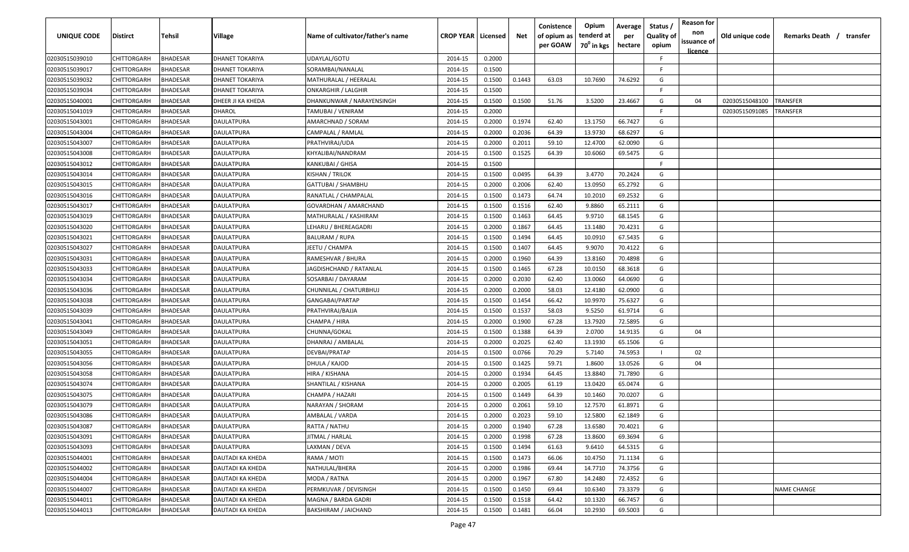| <b>UNIQUE CODE</b> | Distirct           | Tehsil          | Village                | Name of cultivator/father's name | <b>CROP YEAR   Licensed</b> |        | Net    | Conistence<br>of opium as<br>per GOAW | Opium<br>tenderd at<br>70 <sup>0</sup> in kgs | Average<br>per<br>hectare | Status,<br><b>Quality of</b><br>opium | <b>Reason for</b><br>non<br>issuance of<br>licence | Old unique code | Remarks Death / transfer |
|--------------------|--------------------|-----------------|------------------------|----------------------------------|-----------------------------|--------|--------|---------------------------------------|-----------------------------------------------|---------------------------|---------------------------------------|----------------------------------------------------|-----------------|--------------------------|
| 02030515039010     | CHITTORGARH        | <b>BHADESAR</b> | <b>DHANET TOKARIYA</b> | UDAYLAL/GOTU                     | 2014-15                     | 0.2000 |        |                                       |                                               |                           | F.                                    |                                                    |                 |                          |
| 02030515039017     | CHITTORGARH        | <b>BHADESAR</b> | DHANET TOKARIYA        | SORAMBAI/NANALAL                 | 2014-15                     | 0.1500 |        |                                       |                                               |                           | F.                                    |                                                    |                 |                          |
| 02030515039032     | CHITTORGARH        | <b>BHADESAR</b> | DHANET TOKARIYA        | MATHURALAL / HEERALAL            | 2014-15                     | 0.1500 | 0.1443 | 63.03                                 | 10.7690                                       | 74.6292                   | G                                     |                                                    |                 |                          |
| 02030515039034     | CHITTORGARH        | <b>BHADESAR</b> | DHANET TOKARIYA        | <b>ONKARGHIR / LALGHIR</b>       | 2014-15                     | 0.1500 |        |                                       |                                               |                           | E                                     |                                                    |                 |                          |
| 02030515040001     | CHITTORGARH        | <b>BHADESAR</b> | DHEER JI KA KHEDA      | DHANKUNWAR / NARAYENSINGH        | 2014-15                     | 0.1500 | 0.1500 | 51.76                                 | 3.5200                                        | 23.4667                   | G                                     | 04                                                 | 02030515048100  | TRANSFER                 |
| 02030515041019     | CHITTORGARH        | <b>BHADESAR</b> | DHAROL                 | TAMUBAI / VENIRAM                | 2014-15                     | 0.2000 |        |                                       |                                               |                           | F                                     |                                                    | 02030515091085  | TRANSFER                 |
| 02030515043001     | CHITTORGARH        | BHADESAR        | DAULATPURA             | AMARCHNAD / SORAM                | 2014-15                     | 0.2000 | 0.1974 | 62.40                                 | 13.1750                                       | 66.7427                   | G                                     |                                                    |                 |                          |
| 02030515043004     | CHITTORGARH        | <b>BHADESAR</b> | DAULATPURA             | CAMPALAL / RAMLAL                | 2014-15                     | 0.2000 | 0.2036 | 64.39                                 | 13.9730                                       | 68.6297                   | G                                     |                                                    |                 |                          |
| 02030515043007     | CHITTORGARH        | <b>BHADESAR</b> | DAULATPURA             | PRATHVIRAJ/UDA                   | 2014-15                     | 0.2000 | 0.2011 | 59.10                                 | 12.4700                                       | 62.0090                   | G                                     |                                                    |                 |                          |
| 02030515043008     | CHITTORGARH        | BHADESAR        | DAULATPURA             | KHYALIBAI/NANDRAM                | 2014-15                     | 0.1500 | 0.1525 | 64.39                                 | 10.6060                                       | 69.5475                   | G                                     |                                                    |                 |                          |
| 02030515043012     | CHITTORGARH        | BHADESAR        | DAULATPURA             | KANKUBAI / GHISA                 | 2014-15                     | 0.1500 |        |                                       |                                               |                           | E                                     |                                                    |                 |                          |
| 02030515043014     | CHITTORGARH        | <b>BHADESAR</b> | DAULATPURA             | KISHAN / TRILOK                  | 2014-15                     | 0.1500 | 0.0495 | 64.39                                 | 3.4770                                        | 70.2424                   | G                                     |                                                    |                 |                          |
| 02030515043015     | CHITTORGARH        | <b>BHADESAR</b> | DAULATPURA             | GATTUBAI / SHAMBHU               | 2014-15                     | 0.2000 | 0.2006 | 62.40                                 | 13.0950                                       | 65.2792                   | G                                     |                                                    |                 |                          |
| 02030515043016     | CHITTORGARH        | <b>BHADESAR</b> | DAULATPURA             | RANATLAL / CHAMPALAL             | 2014-15                     | 0.1500 | 0.1473 | 64.74                                 | 10.2010                                       | 69.2532                   | G                                     |                                                    |                 |                          |
| 02030515043017     | CHITTORGARH        | <b>BHADESAR</b> | DAULATPURA             | GOVARDHAN / AMARCHAND            | 2014-15                     | 0.1500 | 0.1516 | 62.40                                 | 9.8860                                        | 65.2111                   | G                                     |                                                    |                 |                          |
| 02030515043019     | CHITTORGARH        | <b>BHADESAR</b> | DAULATPURA             | MATHURALAL / KASHIRAM            | 2014-15                     | 0.1500 | 0.1463 | 64.45                                 | 9.9710                                        | 68.1545                   | G                                     |                                                    |                 |                          |
| 02030515043020     | CHITTORGARH        | <b>BHADESAR</b> | DAULATPURA             | LEHARU / BHEREAGADRI             | 2014-15                     | 0.2000 | 0.1867 | 64.45                                 | 13.1480                                       | 70.4231                   | G                                     |                                                    |                 |                          |
| 02030515043021     | CHITTORGARH        | <b>BHADESAR</b> | DAULATPURA             | <b>BALURAM / RUPA</b>            | 2014-15                     | 0.1500 | 0.1494 | 64.45                                 | 10.0910                                       | 67.5435                   | G                                     |                                                    |                 |                          |
| 02030515043027     | CHITTORGARH        | <b>BHADESAR</b> | DAULATPURA             | IEETU / CHAMPA                   | 2014-15                     | 0.1500 | 0.1407 | 64.45                                 | 9.9070                                        | 70.4122                   | G                                     |                                                    |                 |                          |
| 02030515043031     | CHITTORGARH        | <b>BHADESAR</b> | DAULATPURA             | RAMESHVAR / BHURA                | 2014-15                     | 0.2000 | 0.1960 | 64.39                                 | 13.8160                                       | 70.4898                   | G                                     |                                                    |                 |                          |
| 02030515043033     | CHITTORGARH        | <b>BHADESAR</b> | DAULATPURA             | JAGDISHCHAND / RATANLAL          | 2014-15                     | 0.1500 | 0.1465 | 67.28                                 | 10.0150                                       | 68.3618                   | G                                     |                                                    |                 |                          |
| 02030515043034     | CHITTORGARH        | <b>BHADESAR</b> | DAULATPURA             | SOSARBAI / DAYARAM               | 2014-15                     | 0.2000 | 0.2030 | 62.40                                 | 13.0060                                       | 64.0690                   | G                                     |                                                    |                 |                          |
| 02030515043036     | CHITTORGARH        | <b>BHADESAR</b> | DAULATPURA             | CHUNNILAL / CHATURBHUJ           | 2014-15                     | 0.2000 | 0.2000 | 58.03                                 | 12.4180                                       | 62.0900                   | G                                     |                                                    |                 |                          |
| 02030515043038     | CHITTORGARH        | BHADESAR        | DAULATPURA             | GANGABAI/PARTAP                  | 2014-15                     | 0.1500 | 0.1454 | 66.42                                 | 10.9970                                       | 75.6327                   | G                                     |                                                    |                 |                          |
| 02030515043039     | CHITTORGARH        | <b>BHADESAR</b> | DAULATPURA             | PRATHVIRAJ/BAJJA                 | 2014-15                     | 0.1500 | 0.1537 | 58.03                                 | 9.5250                                        | 61.9714                   | G                                     |                                                    |                 |                          |
| 02030515043041     | CHITTORGARH        | <b>BHADESAR</b> | DAULATPURA             | CHAMPA / HIRA                    | 2014-15                     | 0.2000 | 0.1900 | 67.28                                 | 13.7920                                       | 72.5895                   | G                                     |                                                    |                 |                          |
| 02030515043049     | CHITTORGARH        | <b>BHADESAR</b> | DAULATPURA             | CHUNNA/GOKAL                     | 2014-15                     | 0.1500 | 0.1388 | 64.39                                 | 2.0700                                        | 14.9135                   | G                                     | 04                                                 |                 |                          |
| 02030515043051     | CHITTORGARH        | BHADESAR        | DAULATPURA             | DHANRAJ / AMBALAL                | 2014-15                     | 0.2000 | 0.2025 | 62.40                                 | 13.1930                                       | 65.1506                   | G                                     |                                                    |                 |                          |
| 02030515043055     | CHITTORGARH        | <b>BHADESAR</b> | DAULATPURA             | DEVBAI/PRATAP                    | 2014-15                     | 0.1500 | 0.0766 | 70.29                                 | 5.7140                                        | 74.5953                   |                                       | 02                                                 |                 |                          |
| 02030515043056     | CHITTORGARH        | <b>BHADESAR</b> | DAULATPURA             | DHULA / KAJOD                    | 2014-15                     | 0.1500 | 0.1425 | 59.71                                 | 1.8600                                        | 13.0526                   | G                                     | 04                                                 |                 |                          |
| 02030515043058     | CHITTORGARH        | <b>BHADESAR</b> | DAULATPURA             | HIRA / KISHANA                   | 2014-15                     | 0.2000 | 0.1934 | 64.45                                 | 13.8840                                       | 71.7890                   | G                                     |                                                    |                 |                          |
| 02030515043074     | CHITTORGARH        | <b>BHADESAR</b> | DAULATPURA             | SHANTILAL / KISHANA              | 2014-15                     | 0.2000 | 0.2005 | 61.19                                 | 13.0420                                       | 65.0474                   | G                                     |                                                    |                 |                          |
| 02030515043075     | CHITTORGARH        | <b>BHADESAR</b> | DAULATPURA             | CHAMPA / HAZARI                  | 2014-15                     | 0.1500 | 0.1449 | 64.39                                 | 10.1460                                       | 70.0207                   | G                                     |                                                    |                 |                          |
| 02030515043079     | CHITTORGARH        | <b>BHADESAR</b> | DAULATPURA             | NARAYAN / SHORAM                 | 2014-15                     | 0.2000 | 0.2061 | 59.10                                 | 12.7570                                       | 61.8971                   | G                                     |                                                    |                 |                          |
| 02030515043086     | <b>CHITTORGARH</b> | <b>BHADESAR</b> | DAULATPURA             | AMBALAL / VARDA                  | 2014-15                     | 0.2000 | 0.2023 | 59.10                                 | 12.5800                                       | 62.1849                   | G                                     |                                                    |                 |                          |
| 02030515043087     | <b>CHITTORGARH</b> | <b>BHADESAR</b> | DAULATPURA             | RATTA / NATHU                    | 2014-15                     | 0.2000 | 0.1940 | 67.28                                 | 13.6580                                       | 70.4021                   | G                                     |                                                    |                 |                          |
| 02030515043091     | <b>CHITTORGARH</b> | <b>BHADESAR</b> | DAULATPURA             | JITMAL / HARLAL                  | 2014-15                     | 0.2000 | 0.1998 | 67.28                                 | 13.8600                                       | 69.3694                   | G                                     |                                                    |                 |                          |
| 02030515043093     | CHITTORGARH        | <b>BHADESAR</b> | DAULATPURA             | LAXMAN / DEVA                    | 2014-15                     | 0.1500 | 0.1494 | 61.63                                 | 9.6410                                        | 64.5315                   | G                                     |                                                    |                 |                          |
| 02030515044001     | <b>CHITTORGARH</b> | <b>BHADESAR</b> | DAUTADI KA KHEDA       | RAMA / MOTI                      | 2014-15                     | 0.1500 | 0.1473 | 66.06                                 | 10.4750                                       | 71.1134                   | G                                     |                                                    |                 |                          |
| 02030515044002     | CHITTORGARH        | <b>BHADESAR</b> | DAUTADI KA KHEDA       | NATHULAL/BHERA                   | 2014-15                     | 0.2000 | 0.1986 | 69.44                                 | 14.7710                                       | 74.3756                   | G                                     |                                                    |                 |                          |
| 02030515044004     | CHITTORGARH        | <b>BHADESAR</b> | DAUTADI KA KHEDA       | MODA / RATNA                     | 2014-15                     | 0.2000 | 0.1967 | 67.80                                 | 14.2480                                       | 72.4352                   | G                                     |                                                    |                 |                          |
| 02030515044007     | CHITTORGARH        | <b>BHADESAR</b> | DAUTADI KA KHEDA       | PERMKUVAR / DEVISINGH            | 2014-15                     | 0.1500 | 0.1450 | 69.44                                 | 10.6340                                       | 73.3379                   | G                                     |                                                    |                 | <b>NAME CHANGE</b>       |
| 02030515044011     | CHITTORGARH        | <b>BHADESAR</b> | DAUTADI KA KHEDA       | MAGNA / BARDA GADRI              | 2014-15                     | 0.1500 | 0.1518 | 64.42                                 | 10.1320                                       | 66.7457                   | G                                     |                                                    |                 |                          |
| 02030515044013     | <b>CHITTORGARH</b> | <b>BHADESAR</b> | DAUTADI KA KHEDA       | BAKSHIRAM / JAICHAND             | 2014-15                     | 0.1500 | 0.1481 | 66.04                                 | 10.2930                                       | 69.5003                   | G                                     |                                                    |                 |                          |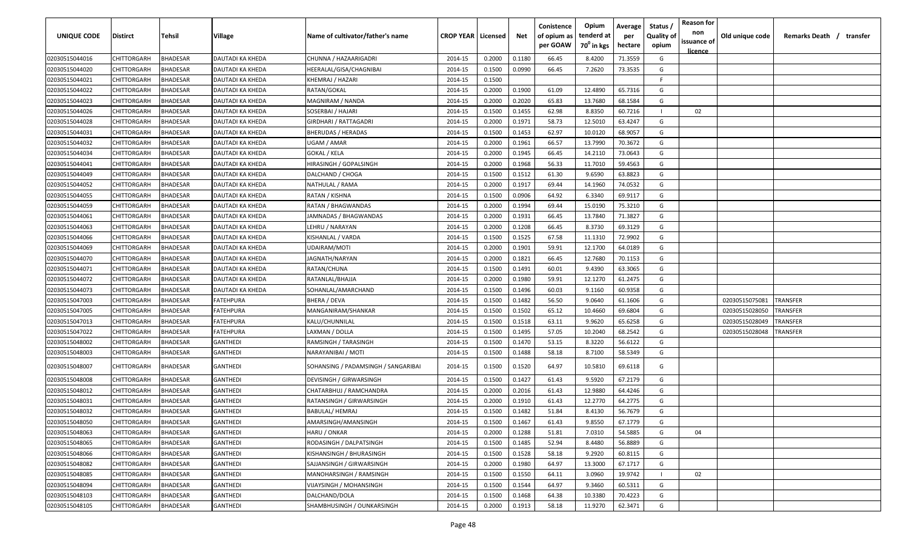| <b>UNIQUE CODE</b> | Distirct           | <b>Tehsil</b>   | Village          | Name of cultivator/father's name    | <b>CROP YEAR   Licensed</b> |        | Net    | Conistence<br>of opium as<br>per GOAW | Opium<br>tenderd at<br>70 <sup>0</sup> in kgs | Average<br>per<br>hectare | Status /<br><b>Quality of</b><br>opium | <b>Reason for</b><br>non<br>issuance of<br>licence | Old unique code | Remarks Death / transfer |
|--------------------|--------------------|-----------------|------------------|-------------------------------------|-----------------------------|--------|--------|---------------------------------------|-----------------------------------------------|---------------------------|----------------------------------------|----------------------------------------------------|-----------------|--------------------------|
| 02030515044016     | CHITTORGARH        | <b>BHADESAR</b> | DAUTADI KA KHEDA | CHUNNA / HAZAARIGADRI               | 2014-15                     | 0.2000 | 0.1180 | 66.45                                 | 8.4200                                        | 71.3559                   | G                                      |                                                    |                 |                          |
| 02030515044020     | CHITTORGARH        | BHADESAR        | DAUTADI KA KHEDA | HEERALAL/GISA/CHAGNIBAI             | 2014-15                     | 0.1500 | 0.0990 | 66.45                                 | 7.2620                                        | 73.3535                   | G                                      |                                                    |                 |                          |
| 02030515044021     | CHITTORGARH        | BHADESAR        | DAUTADI KA KHEDA | KHEMRAJ / HAZARI                    | 2014-15                     | 0.1500 |        |                                       |                                               |                           | F                                      |                                                    |                 |                          |
| 02030515044022     | CHITTORGARH        | BHADESAR        | DAUTADI KA KHEDA | RATAN/GOKAL                         | 2014-15                     | 0.2000 | 0.1900 | 61.09                                 | 12.4890                                       | 65.7316                   | G                                      |                                                    |                 |                          |
| 02030515044023     | CHITTORGARH        | BHADESAR        | DAUTADI KA KHEDA | MAGNIRAM / NANDA                    | 2014-15                     | 0.2000 | 0.2020 | 65.83                                 | 13.7680                                       | 68.1584                   | G                                      |                                                    |                 |                          |
| 02030515044026     | CHITTORGARH        | BHADESAR        | DAUTADI KA KHEDA | SOSERBAI / HAJARI                   | 2014-15                     | 0.1500 | 0.1455 | 62.98                                 | 8.8350                                        | 60.7216                   |                                        | 02                                                 |                 |                          |
| 02030515044028     | CHITTORGARH        | BHADESAR        | DAUTADI KA KHEDA | GIRDHARI / RATTAGADRI               | 2014-15                     | 0.2000 | 0.1971 | 58.73                                 | 12.5010                                       | 63.4247                   | G                                      |                                                    |                 |                          |
| 02030515044031     | CHITTORGARH        | BHADESAR        | DAUTADI KA KHEDA | BHERUDAS / HERADAS                  | 2014-15                     | 0.1500 | 0.1453 | 62.97                                 | 10.0120                                       | 68.9057                   | G                                      |                                                    |                 |                          |
| 02030515044032     | CHITTORGARH        | BHADESAR        | DAUTADI KA KHEDA | UGAM / AMAR                         | 2014-15                     | 0.2000 | 0.1961 | 66.57                                 | 13.7990                                       | 70.3672                   | G                                      |                                                    |                 |                          |
| 02030515044034     | CHITTORGARH        | BHADESAR        | DAUTADI KA KHEDA | GOKAL / KELA                        | 2014-15                     | 0.2000 | 0.1945 | 66.45                                 | 14.2110                                       | 73.0643                   | G                                      |                                                    |                 |                          |
| 02030515044041     | CHITTORGARH        | BHADESAR        | DAUTADI KA KHEDA | HIRASINGH / GOPALSINGH              | 2014-15                     | 0.2000 | 0.1968 | 56.33                                 | 11.7010                                       | 59.4563                   | G                                      |                                                    |                 |                          |
| 02030515044049     | CHITTORGARH        | BHADESAR        | )AUTADI KA KHEDA | DALCHAND / CHOGA                    | 2014-15                     | 0.1500 | 0.1512 | 61.30                                 | 9.6590                                        | 63.8823                   | G                                      |                                                    |                 |                          |
| 02030515044052     | CHITTORGARH        | BHADESAR        | DAUTADI KA KHEDA | NATHULAL / RAMA                     | 2014-15                     | 0.2000 | 0.1917 | 69.44                                 | 14.1960                                       | 74.0532                   | G                                      |                                                    |                 |                          |
| 02030515044055     | CHITTORGARH        | BHADESAR        | DAUTADI KA KHEDA | RATAN / KISHNA                      | 2014-15                     | 0.1500 | 0.0906 | 64.92                                 | 6.3340                                        | 69.9117                   | G                                      |                                                    |                 |                          |
| 02030515044059     | CHITTORGARH        | BHADESAR        | DAUTADI KA KHEDA | RATAN / BHAGWANDAS                  | 2014-15                     | 0.2000 | 0.1994 | 69.44                                 | 15.0190                                       | 75.3210                   | G                                      |                                                    |                 |                          |
| 02030515044061     | CHITTORGARH        | BHADESAR        | DAUTADI KA KHEDA | JAMNADAS / BHAGWANDAS               | 2014-15                     | 0.2000 | 0.1931 | 66.45                                 | 13.7840                                       | 71.3827                   | G                                      |                                                    |                 |                          |
| 02030515044063     | CHITTORGARH        | BHADESAR        | DAUTADI KA KHEDA | LEHRU / NARAYAN                     | 2014-15                     | 0.2000 | 0.1208 | 66.45                                 | 8.3730                                        | 69.3129                   | G                                      |                                                    |                 |                          |
| 02030515044066     | CHITTORGARH        | BHADESAR        | DAUTADI KA KHEDA | KISHANLAL / VARDA                   | 2014-15                     | 0.1500 | 0.1525 | 67.58                                 | 11.1310                                       | 72.9902                   | G                                      |                                                    |                 |                          |
| 02030515044069     | CHITTORGARH        | BHADESAR        | DAUTADI KA KHEDA | UDAIRAM/MOTI                        | 2014-15                     | 0.2000 | 0.1901 | 59.91                                 | 12.1700                                       | 64.0189                   | G                                      |                                                    |                 |                          |
| 02030515044070     | CHITTORGARH        | BHADESAR        | DAUTADI KA KHEDA | JAGNATH/NARYAN                      | 2014-15                     | 0.2000 | 0.1821 | 66.45                                 | 12.7680                                       | 70.1153                   | G                                      |                                                    |                 |                          |
| 02030515044071     | CHITTORGARH        | BHADESAR        | DAUTADI KA KHEDA | RATAN/CHUNA                         | 2014-15                     | 0.1500 | 0.1491 | 60.01                                 | 9.4390                                        | 63.3065                   | G                                      |                                                    |                 |                          |
| 02030515044072     | CHITTORGARH        | BHADESAR        | DAUTADI KA KHEDA | RATANLAL/BHAJJA                     | 2014-15                     | 0.2000 | 0.1980 | 59.91                                 | 12.1270                                       | 61.2475                   | G                                      |                                                    |                 |                          |
| 02030515044073     | CHITTORGARH        | BHADESAR        | DAUTADI KA KHEDA | SOHANLAL/AMARCHAND                  | 2014-15                     | 0.1500 | 0.1496 | 60.03                                 | 9.1160                                        | 60.9358                   | G                                      |                                                    |                 |                          |
| 02030515047003     | CHITTORGARH        | BHADESAR        | FATEHPURA        | BHERA / DEVA                        | 2014-15                     | 0.1500 | 0.1482 | 56.50                                 | 9.0640                                        | 61.1606                   | G                                      |                                                    | 02030515075081  | TRANSFER                 |
| 02030515047005     | CHITTORGARH        | BHADESAR        | <b>ATEHPURA</b>  | MANGANIRAM/SHANKAR                  | 2014-15                     | 0.1500 | 0.1502 | 65.12                                 | 10.4660                                       | 69.6804                   | G                                      |                                                    | 02030515028050  | <b><i>FRANSFER</i></b>   |
| 02030515047013     | CHITTORGARH        | BHADESAR        | FATEHPURA        | KALU/CHUNNILAL                      | 2014-15                     | 0.1500 | 0.1518 | 63.11                                 | 9.9620                                        | 65.6258                   | G                                      |                                                    | 02030515028049  | TRANSFER                 |
| 02030515047022     | CHITTORGARH        | BHADESAR        | FATEHPURA        | LAXMAN / DOLLA                      | 2014-15                     | 0.1500 | 0.1495 | 57.05                                 | 10.2040                                       | 68.2542                   | G                                      |                                                    | 02030515028048  | TRANSFER                 |
| 02030515048002     | CHITTORGARH        | BHADESAR        | GANTHEDI         | RAMSINGH / TARASINGH                | 2014-15                     | 0.1500 | 0.1470 | 53.15                                 | 8.3220                                        | 56.6122                   | G                                      |                                                    |                 |                          |
| 02030515048003     | CHITTORGARH        | BHADESAR        | GANTHEDI         | NARAYANIBAI / MOTI                  | 2014-15                     | 0.1500 | 0.1488 | 58.18                                 | 8.7100                                        | 58.5349                   | G                                      |                                                    |                 |                          |
| 02030515048007     | CHITTORGARH        | BHADESAR        | <b>GANTHEDI</b>  | SOHANSING / PADAMSINGH / SANGARIBAI | 2014-15                     | 0.1500 | 0.1520 | 64.97                                 | 10.5810                                       | 69.6118                   | G                                      |                                                    |                 |                          |
| 02030515048008     | CHITTORGARH        | BHADESAR        | GANTHEDI         | DEVISINGH / GIRWARSINGH             | 2014-15                     | 0.1500 | 0.1427 | 61.43                                 | 9.5920                                        | 67.2179                   | G                                      |                                                    |                 |                          |
| 02030515048012     | CHITTORGARH        | <b>BHADESAR</b> | GANTHEDI         | CHATARBHUJ / RAMCHANDRA             | 2014-15                     | 0.2000 | 0.2016 | 61.43                                 | 12.9880                                       | 64.4246                   | G                                      |                                                    |                 |                          |
| 02030515048031     | CHITTORGARH        | BHADESAR        | GANTHEDI         | RATANSINGH / GIRWARSINGH            | 2014-15                     | 0.2000 | 0.1910 | 61.43                                 | 12.2770                                       | 64.2775                   | G                                      |                                                    |                 |                          |
| 02030515048032     | CHITTORGARH        | <b>BHADESAR</b> | GANTHEDI         | BABULAL/ HEMRAJ                     | 2014-15                     | 0.1500 | 0.1482 | 51.84                                 | 8.4130                                        | 56.7679                   | G                                      |                                                    |                 |                          |
| 02030515048050     | <b>CHITTORGARH</b> | <b>BHADESAR</b> | <b>GANTHEDI</b>  | AMARSINGH/AMANSINGH                 | 2014-15                     | 0.1500 | 0.1467 | 61.43                                 | 9.8550                                        | 67.1779                   | G                                      |                                                    |                 |                          |
| 02030515048063     | CHITTORGARH        | <b>BHADESAR</b> | <b>GANTHEDI</b>  | HARU / ONKAR                        | 2014-15                     | 0.2000 | 0.1288 | 51.81                                 | 7.0310                                        | 54.5885                   | G                                      | 04                                                 |                 |                          |
| 02030515048065     | CHITTORGARH        | <b>BHADESAR</b> | <b>GANTHEDI</b>  | RODASINGH / DALPATSINGH             | 2014-15                     | 0.1500 | 0.1485 | 52.94                                 | 8.4480                                        | 56.8889                   | G                                      |                                                    |                 |                          |
| 02030515048066     | CHITTORGARH        | <b>BHADESAR</b> | GANTHEDI         | KISHANSINGH / BHURASINGH            | 2014-15                     | 0.1500 | 0.1528 | 58.18                                 | 9.2920                                        | 60.8115                   | G                                      |                                                    |                 |                          |
| 02030515048082     | <b>CHITTORGARH</b> | BHADESAR        | GANTHEDI         | SAJJANSINGH / GIRWARSINGH           | 2014-15                     | 0.2000 | 0.1980 | 64.97                                 | 13.3000                                       | 67.1717                   | G                                      |                                                    |                 |                          |
| 02030515048085     | CHITTORGARH        | <b>BHADESAR</b> | <b>GANTHEDI</b>  | MANOHARSINGH / RAMSINGH             | 2014-15                     | 0.1500 | 0.1550 | 64.11                                 | 3.0960                                        | 19.9742                   |                                        | 02                                                 |                 |                          |
| 02030515048094     | <b>CHITTORGARH</b> | <b>BHADESAR</b> | GANTHEDI         | VIJAYSINGH / MOHANSINGH             | 2014-15                     | 0.1500 | 0.1544 | 64.97                                 | 9.3460                                        | 60.5311                   | G                                      |                                                    |                 |                          |
| 02030515048103     | <b>CHITTORGARH</b> | <b>BHADESAR</b> | GANTHEDI         | DALCHAND/DOLA                       | 2014-15                     | 0.1500 | 0.1468 | 64.38                                 | 10.3380                                       | 70.4223                   | G                                      |                                                    |                 |                          |
| 02030515048105     | CHITTORGARH        | <b>BHADESAR</b> | GANTHEDI         | SHAMBHUSINGH / OUNKARSINGH          | 2014-15                     | 0.2000 | 0.1913 | 58.18                                 | 11.9270                                       | 62.3471                   | G                                      |                                                    |                 |                          |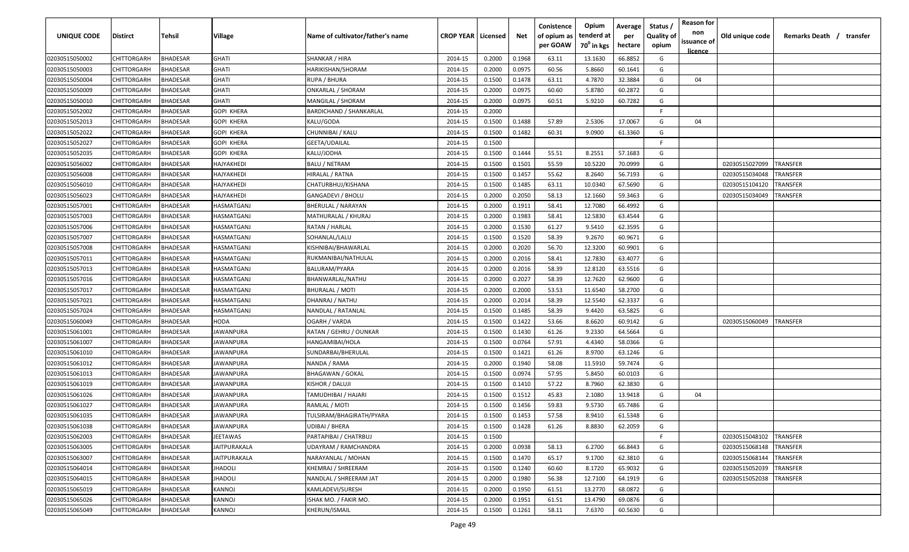| UNIQUE CODE    | <b>Distirct</b> | Tehsil          | Village           | Name of cultivator/father's name | <b>CROP YEAR   Licensed</b> |        | Net    | Conistence<br>of opium as<br>per GOAW | Opium<br>tenderd at<br>$70^0$ in kgs | Average<br>per | Status /<br><b>Quality of</b><br>opium | <b>Reason for</b><br>non<br>issuance of | Old unique code | Remarks Death /<br>transfer |
|----------------|-----------------|-----------------|-------------------|----------------------------------|-----------------------------|--------|--------|---------------------------------------|--------------------------------------|----------------|----------------------------------------|-----------------------------------------|-----------------|-----------------------------|
|                |                 |                 |                   |                                  |                             |        |        |                                       |                                      | hectare        |                                        | <u>licence</u>                          |                 |                             |
| 02030515050002 | CHITTORGARH     | <b>BHADESAR</b> | <b>GHATI</b>      | SHANKAR / HIRA                   | 2014-15                     | 0.2000 | 0.1968 | 63.11                                 | 13.1630                              | 66.8852        | G                                      |                                         |                 |                             |
| 02030515050003 | CHITTORGARH     | <b>BHADESAR</b> | GHATI             | HARIKISHAN/SHORAM                | 2014-15                     | 0.2000 | 0.0975 | 60.56                                 | 5.8660                               | 60.1641        | G                                      |                                         |                 |                             |
| 02030515050004 | CHITTORGARH     | <b>BHADESAR</b> | GHATI             | RUPA / BHURA                     | 2014-15                     | 0.1500 | 0.1478 | 63.11                                 | 4.7870                               | 32.3884        | G                                      | 04                                      |                 |                             |
| 02030515050009 | CHITTORGARH     | <b>BHADESAR</b> | GHATI             | ONKARLAL / SHORAM                | 2014-15                     | 0.2000 | 0.0975 | 60.60                                 | 5.8780                               | 60.2872        | G                                      |                                         |                 |                             |
| 02030515050010 | CHITTORGARH     | <b>BHADESAR</b> | GHATI             | MANGILAL / SHORAM                | 2014-15                     | 0.2000 | 0.0975 | 60.51                                 | 5.9210                               | 60.7282        | G                                      |                                         |                 |                             |
| 02030515052002 | CHITTORGARH     | BHADESAR        | GOPI KHERA        | <b>BARDICHAND / SHANKARLAL</b>   | 2014-15                     | 0.2000 |        |                                       |                                      |                | F.                                     |                                         |                 |                             |
| 02030515052013 | CHITTORGARH     | <b>BHADESAR</b> | GOPI KHERA        | KALU/GODA                        | 2014-15                     | 0.1500 | 0.1488 | 57.89                                 | 2.5306                               | 17.0067        | G                                      | 04                                      |                 |                             |
| 02030515052022 | CHITTORGARH     | BHADESAR        | GOPI KHERA        | CHUNNIBAI / KALU                 | 2014-15                     | 0.1500 | 0.1482 | 60.31                                 | 9.0900                               | 61.3360        | G                                      |                                         |                 |                             |
| 02030515052027 | CHITTORGARH     | BHADESAR        | GOPI KHERA        | GEETA/UDAILAL                    | 2014-15                     | 0.1500 |        |                                       |                                      |                | F.                                     |                                         |                 |                             |
| 02030515052035 | CHITTORGARH     | BHADESAR        | GOPI KHERA        | KALU/JODHA                       | 2014-15                     | 0.1500 | 0.1444 | 55.51                                 | 8.2551                               | 57.1683        | G                                      |                                         |                 |                             |
| 02030515056002 | CHITTORGARH     | BHADESAR        | HAJYAKHEDI        | BALU / NETRAM                    | 2014-15                     | 0.1500 | 0.1501 | 55.59                                 | 10.5220                              | 70.0999        | G                                      |                                         | 02030515027099  | TRANSFER                    |
| 02030515056008 | CHITTORGARH     | <b>BHADESAR</b> | HAJYAKHEDI        | HIRALAL / RATNA                  | 2014-15                     | 0.1500 | 0.1457 | 55.62                                 | 8.2640                               | 56.7193        | G                                      |                                         | 02030515034048  | TRANSFER                    |
| 02030515056010 | CHITTORGARH     | <b>BHADESAR</b> | HAJYAKHEDI        | CHATURBHUJ/KISHANA               | 2014-15                     | 0.1500 | 0.1485 | 63.11                                 | 10.0340                              | 67.5690        | G                                      |                                         | 02030515104120  | TRANSFER                    |
| 02030515056023 | CHITTORGARH     | <b>BHADESAR</b> | HAJYAKHEDI        | GANGADEVI / BHOLU                | 2014-15                     | 0.2000 | 0.2050 | 58.13                                 | 12.1660                              | 59.3463        | G                                      |                                         | 02030515034049  | <b>RANSFER</b>              |
| 02030515057001 | CHITTORGARH     | <b>BHADESAR</b> | <b>ASMATGANJ</b>  | <b>BHERULAL / NARAYAN</b>        | 2014-15                     | 0.2000 | 0.1911 | 58.41                                 | 12.7080                              | 66.4992        | G                                      |                                         |                 |                             |
| 02030515057003 | CHITTORGARH     | <b>BHADESAR</b> | HASMATGANJ        | MATHURALAL / KHURAJ              | 2014-15                     | 0.2000 | 0.1983 | 58.41                                 | 12.5830                              | 63.4544        | G                                      |                                         |                 |                             |
| 02030515057006 | CHITTORGARH     | <b>BHADESAR</b> | HASMATGANJ        | RATAN / HARLAL                   | 2014-15                     | 0.2000 | 0.1530 | 61.27                                 | 9.5410                               | 62.3595        | G                                      |                                         |                 |                             |
| 02030515057007 | CHITTORGARH     | <b>BHADESAR</b> | HASMATGANJ        | SOHANLAL/LALU                    | 2014-15                     | 0.1500 | 0.1520 | 58.39                                 | 9.2670                               | 60.9671        | G                                      |                                         |                 |                             |
| 02030515057008 | CHITTORGARH     | <b>BHADESAR</b> | HASMATGANJ        | KISHNIBAI/BHAWARLAL              | 2014-15                     | 0.2000 | 0.2020 | 56.70                                 | 12.3200                              | 60.9901        | G                                      |                                         |                 |                             |
| 02030515057011 | CHITTORGARH     | <b>BHADESAR</b> | IASMATGANJ        | RUKMANIBAI/NATHULAL              | 2014-15                     | 0.2000 | 0.2016 | 58.41                                 | 12.7830                              | 63.4077        | G                                      |                                         |                 |                             |
| 02030515057013 | CHITTORGARH     | <b>BHADESAR</b> | HASMATGANJ        | BALURAM/PYARA                    | 2014-15                     | 0.2000 | 0.2016 | 58.39                                 | 12.8120                              | 63.5516        | G                                      |                                         |                 |                             |
| 02030515057016 | CHITTORGARH     | <b>BHADESAR</b> | HASMATGANJ        | BHANWARLAL/NATHU                 | 2014-15                     | 0.2000 | 0.2027 | 58.39                                 | 12.7620                              | 62.9600        | G                                      |                                         |                 |                             |
| 02030515057017 | CHITTORGARH     | BHADESAR        | <b>ASMATGANJ</b>  | BHURALAL / MOTI                  | 2014-15                     | 0.2000 | 0.2000 | 53.53                                 | 11.6540                              | 58.2700        | G                                      |                                         |                 |                             |
| 02030515057021 | CHITTORGARH     | BHADESAR        | IASMATGANJ        | DHANRAJ / NATHU                  | 2014-15                     | 0.2000 | 0.2014 | 58.39                                 | 12.5540                              | 62.3337        | G                                      |                                         |                 |                             |
| 02030515057024 | CHITTORGARH     | BHADESAR        | <b>HASMATGANJ</b> | NANDLAL / RATANLAL               | 2014-15                     | 0.1500 | 0.1485 | 58.39                                 | 9.4420                               | 63.5825        | G                                      |                                         |                 |                             |
| 02030515060049 | CHITTORGARH     | BHADESAR        | HODA              | OGARH / VARDA                    | 2014-15                     | 0.1500 | 0.1422 | 53.66                                 | 8.6620                               | 60.9142        | G                                      |                                         | 02030515060049  | TRANSFER                    |
| 02030515061001 | CHITTORGARH     | BHADESAR        | IAWANPURA         | RATAN / GEHRU / OUNKAR           | 2014-15                     | 0.1500 | 0.1430 | 61.26                                 | 9.2330                               | 64.5664        | G                                      |                                         |                 |                             |
| 02030515061007 | CHITTORGARH     | BHADESAR        | IAWANPURA         | HANGAMIBAI/HOLA                  | 2014-15                     | 0.1500 | 0.0764 | 57.91                                 | 4.4340                               | 58.0366        | G                                      |                                         |                 |                             |
| 02030515061010 | CHITTORGARH     | <b>BHADESAR</b> | IAWANPURA         | SUNDARBAI/BHERULAL               | 2014-15                     | 0.1500 | 0.1421 | 61.26                                 | 8.9700                               | 63.1246        | G                                      |                                         |                 |                             |
| 02030515061012 | CHITTORGARH     | <b>BHADESAR</b> | IAWANPURA         | NANDA / RAMA                     | 2014-15                     | 0.2000 | 0.1940 | 58.08                                 | 11.5910                              | 59.7474        | G                                      |                                         |                 |                             |
| 02030515061013 | CHITTORGARH     | <b>BHADESAR</b> | IAWANPURA         | <b>BHAGAWAN / GOKAL</b>          | 2014-15                     | 0.1500 | 0.0974 | 57.95                                 | 5.8450                               | 60.0103        | G                                      |                                         |                 |                             |
| 02030515061019 | CHITTORGARH     | BHADESAR        | IAWANPURA         | KISHOR / DALUJI                  | 2014-15                     | 0.1500 | 0.1410 | 57.22                                 | 8.7960                               | 62.3830        | G                                      |                                         |                 |                             |
| 02030515061026 | CHITTORGARH     | <b>BHADESAR</b> | <b>IAWANPURA</b>  | TAMUDHIBAI / HAJARI              | 2014-15                     | 0.1500 | 0.1512 | 45.83                                 | 2.1080                               | 13.9418        | G                                      | 04                                      |                 |                             |
| 02030515061027 | CHITTORGARH     | <b>BHADESAR</b> | IAWANPURA         | RAMLAL / MOTI                    | 2014-15                     | 0.1500 | 0.1456 | 59.83                                 | 9.5730                               | 65.7486        | G                                      |                                         |                 |                             |
| 02030515061035 | CHITTORGARH     | <b>BHADESAR</b> | JAWANPURA         | TULSIRAM/BHAGIRATH/PYARA         | 2014-15                     | 0.1500 | 0.1453 | 57.58                                 | 8.9410                               | 61.5348        | G                                      |                                         |                 |                             |
| 02030515061038 | CHITTORGARH     | <b>BHADESAR</b> | JAWANPURA         | <b>UDIBAI / BHERA</b>            | 2014-15                     | 0.1500 | 0.1428 | 61.26                                 | 8.8830                               | 62.2059        | G                                      |                                         |                 |                             |
| 02030515062003 | CHITTORGARH     | <b>BHADESAR</b> | JEETAWAS          | PARTAPIBAI / CHATRBUJ            | 2014-15                     | 0.1500 |        |                                       |                                      |                | F.                                     |                                         | 02030515048102  | <b>TRANSFER</b>             |
| 02030515063005 | CHITTORGARH     | <b>BHADESAR</b> | JAITPURAKALA      | <b>UDAYRAM / RAMCHANDRA</b>      | 2014-15                     | 0.2000 | 0.0938 | 58.13                                 | 6.2700                               | 66.8443        | G                                      |                                         | 02030515068148  | <b>TRANSFER</b>             |
| 02030515063007 | CHITTORGARH     | <b>BHADESAR</b> | JAITPURAKALA      | NARAYANLAL / MOHAN               | 2014-15                     | 0.1500 | 0.1470 | 65.17                                 | 9.1700                               | 62.3810        | G                                      |                                         | 02030515068144  | TRANSFER                    |
| 02030515064014 | CHITTORGARH     | <b>BHADESAR</b> | <b>IHADOLI</b>    | KHEMRAJ / SHREERAM               | 2014-15                     | 0.1500 | 0.1240 | 60.60                                 | 8.1720                               | 65.9032        | G                                      |                                         | 02030515052039  | TRANSFER                    |
| 02030515064015 | CHITTORGARH     | <b>BHADESAR</b> | <b>IHADOLI</b>    | NANDLAL / SHREERAM JAT           | 2014-15                     | 0.2000 | 0.1980 | 56.38                                 | 12.7100                              | 64.1919        | G                                      |                                         | 02030515052038  | TRANSFER                    |
| 02030515065019 | CHITTORGARH     | <b>BHADESAR</b> | KANNOJ            | KAMLADEVI/SURESH                 | 2014-15                     | 0.2000 | 0.1950 | 61.51                                 | 13.2770                              | 68.0872        | G                                      |                                         |                 |                             |
| 02030515065026 | CHITTORGARH     | <b>BHADESAR</b> | KANNOJ            | ISHAK MO. / FAKIR MO.            | 2014-15                     | 0.2000 | 0.1951 | 61.51                                 | 13.4790                              | 69.0876        | G                                      |                                         |                 |                             |
| 02030515065049 | CHITTORGARH     | <b>BHADESAR</b> | KANNOJ            | KHERUN/ISMAIL                    | 2014-15                     | 0.1500 | 0.1261 | 58.11                                 | 7.6370                               | 60.5630        | G                                      |                                         |                 |                             |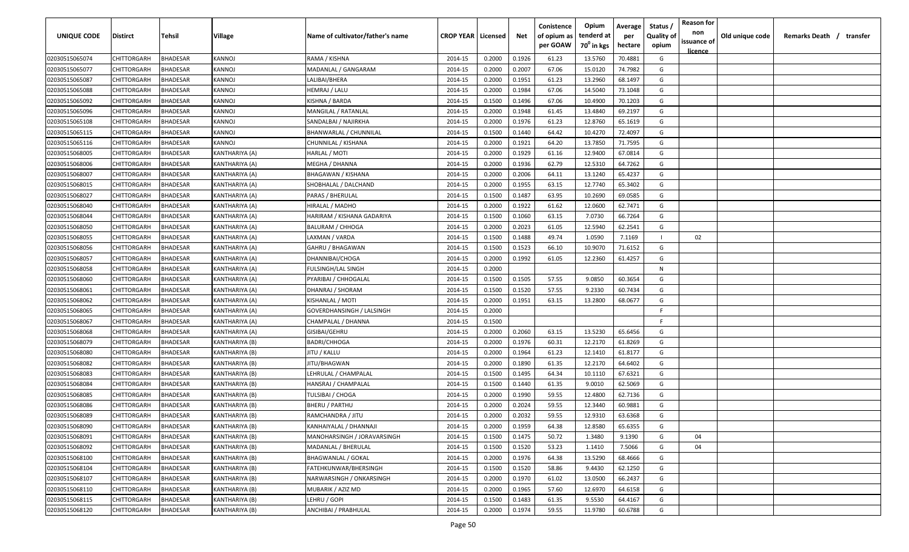| <b>UNIQUE CODE</b> | Distirct           | Tehsil          | Village               | Name of cultivator/father's name | <b>CROP YEAR Licensed</b> |        | Net    | Conistence<br>of opium as | Opium<br>tenderd at    | Average<br>per | Status /<br><b>Quality of</b> | <b>Reason for</b><br>non<br>issuance of | Old unique code | Remarks Death / transfer |
|--------------------|--------------------|-----------------|-----------------------|----------------------------------|---------------------------|--------|--------|---------------------------|------------------------|----------------|-------------------------------|-----------------------------------------|-----------------|--------------------------|
|                    |                    |                 |                       |                                  |                           |        |        | per GOAW                  | 70 <sup>0</sup> in kgs | hectare        | opium                         | <u>licence</u>                          |                 |                          |
| 02030515065074     | CHITTORGARH        | <b>BHADESAR</b> | <b>KANNOJ</b>         | RAMA / KISHNA                    | 2014-15                   | 0.2000 | 0.1926 | 61.23                     | 13.5760                | 70.4881        | G                             |                                         |                 |                          |
| 02030515065077     | CHITTORGARH        | BHADESAR        | KANNOJ                | MADANLAL / GANGARAM              | 2014-15                   | 0.2000 | 0.2007 | 67.06                     | 15.0120                | 74.7982        | G                             |                                         |                 |                          |
| 02030515065087     | CHITTORGARH        | BHADESAR        | KANNOJ                | LALIBAI/BHERA                    | 2014-15                   | 0.2000 | 0.1951 | 61.23                     | 13.2960                | 68.1497        | G                             |                                         |                 |                          |
| 02030515065088     | CHITTORGARH        | BHADESAR        | KANNOJ                | HEMRAJ / LALU                    | 2014-15                   | 0.2000 | 0.1984 | 67.06                     | 14.5040                | 73.1048        | G                             |                                         |                 |                          |
| 02030515065092     | CHITTORGARH        | BHADESAR        | KANNOJ                | KISHNA / BARDA                   | 2014-15                   | 0.1500 | 0.1496 | 67.06                     | 10.4900                | 70.1203        | G                             |                                         |                 |                          |
| 02030515065096     | CHITTORGARH        | BHADESAR        | KANNOJ                | MANGILAL / RATANLAL              | 2014-15                   | 0.2000 | 0.1948 | 61.45                     | 13.4840                | 69.2197        | G                             |                                         |                 |                          |
| 02030515065108     | CHITTORGARH        | BHADESAR        | KANNOJ                | SANDALBAI / NAJIRKHA             | 2014-15                   | 0.2000 | 0.1976 | 61.23                     | 12.8760                | 65.1619        | G                             |                                         |                 |                          |
| 02030515065115     | CHITTORGARH        | BHADESAR        | KANNOJ                | BHANWARLAL / CHUNNILAL           | 2014-15                   | 0.1500 | 0.1440 | 64.42                     | 10.4270                | 72.4097        | G                             |                                         |                 |                          |
| 02030515065116     | CHITTORGARH        | BHADESAR        | KANNOJ                | CHUNNILAL / KISHANA              | 2014-15                   | 0.2000 | 0.1921 | 64.20                     | 13.7850                | 71.7595        | G                             |                                         |                 |                          |
| 02030515068005     | CHITTORGARH        | BHADESAR        | KANTHARIYA (A)        | HARLAL / MOTI                    | 2014-15                   | 0.2000 | 0.1929 | 61.16                     | 12.9400                | 67.0814        | G                             |                                         |                 |                          |
| 02030515068006     | CHITTORGARH        | BHADESAR        | <b>KANTHARIYA (A)</b> | MEGHA / DHANNA                   | 2014-15                   | 0.2000 | 0.1936 | 62.79                     | 12.5310                | 64.7262        | G                             |                                         |                 |                          |
| 02030515068007     | CHITTORGARH        | BHADESAR        | KANTHARIYA (A)        | <b>BHAGAWAN / KISHANA</b>        | 2014-15                   | 0.2000 | 0.2006 | 64.11                     | 13.1240                | 65.4237        | G                             |                                         |                 |                          |
| 02030515068015     | CHITTORGARH        | BHADESAR        | KANTHARIYA (A)        | SHOBHALAL / DALCHAND             | 2014-15                   | 0.2000 | 0.1955 | 63.15                     | 12.7740                | 65.3402        | G                             |                                         |                 |                          |
| 02030515068027     | CHITTORGARH        | <b>BHADESAR</b> | KANTHARIYA (A)        | PARAS / BHERULAL                 | 2014-15                   | 0.1500 | 0.1487 | 63.95                     | 10.2690                | 69.0585        | G                             |                                         |                 |                          |
| 02030515068040     | CHITTORGARH        | BHADESAR        | KANTHARIYA (A)        | HIRALAL / MADHO                  | 2014-15                   | 0.2000 | 0.1922 | 61.62                     | 12.0600                | 62.7471        | G                             |                                         |                 |                          |
| 02030515068044     | CHITTORGARH        | <b>BHADESAR</b> | KANTHARIYA (A)        | HARIRAM / KISHANA GADARIYA       | 2014-15                   | 0.1500 | 0.1060 | 63.15                     | 7.0730                 | 66.7264        | G                             |                                         |                 |                          |
| 02030515068050     | CHITTORGARH        | <b>BHADESAR</b> | KANTHARIYA (A)        | <b>BALURAM / CHHOGA</b>          | 2014-15                   | 0.2000 | 0.2023 | 61.05                     | 12.5940                | 62.2541        | G                             |                                         |                 |                          |
| 02030515068055     | CHITTORGARH        | BHADESAR        | KANTHARIYA (A)        | LAXMAN / VARDA                   | 2014-15                   | 0.1500 | 0.1488 | 49.74                     | 1.0590                 | 7.1169         |                               | 02                                      |                 |                          |
| 02030515068056     | CHITTORGARH        | BHADESAR        | KANTHARIYA (A)        | GAHRU / BHAGAWAN                 | 2014-15                   | 0.1500 | 0.1523 | 66.10                     | 10.9070                | 71.6152        | G                             |                                         |                 |                          |
| 02030515068057     | CHITTORGARH        | BHADESAR        | KANTHARIYA (A)        | DHANNIBAI/CHOGA                  | 2014-15                   | 0.2000 | 0.1992 | 61.05                     | 12.2360                | 61.4257        | G                             |                                         |                 |                          |
| 02030515068058     | CHITTORGARH        | <b>BHADESAR</b> | KANTHARIYA (A)        | FULSINGH/LAL SINGH               | 2014-15                   | 0.2000 |        |                           |                        |                | N                             |                                         |                 |                          |
| 02030515068060     | CHITTORGARH        | <b>BHADESAR</b> | KANTHARIYA (A)        | PYARIBAI / CHHOGALAL             | 2014-15                   | 0.1500 | 0.1505 | 57.55                     | 9.0850                 | 60.3654        | G                             |                                         |                 |                          |
| 02030515068061     | CHITTORGARH        | <b>BHADESAR</b> | KANTHARIYA (A)        | DHANRAJ / SHORAM                 | 2014-15                   | 0.1500 | 0.1520 | 57.55                     | 9.2330                 | 60.7434        | G                             |                                         |                 |                          |
| 02030515068062     | CHITTORGARH        | <b>BHADESAR</b> | KANTHARIYA (A)        | KISHANLAL / MOTI                 | 2014-15                   | 0.2000 | 0.1951 | 63.15                     | 13.2800                | 68.0677        | G                             |                                         |                 |                          |
| 02030515068065     | CHITTORGARH        | BHADESAR        | KANTHARIYA (A)        | GOVERDHANSINGH / LALSINGH        | 2014-15                   | 0.2000 |        |                           |                        |                | -F                            |                                         |                 |                          |
| 02030515068067     | CHITTORGARH        | BHADESAR        | KANTHARIYA (A)        | CHAMPALAL / DHANNA               | 2014-15                   | 0.1500 |        |                           |                        |                | -F.                           |                                         |                 |                          |
| 02030515068068     | CHITTORGARH        | BHADESAR        | KANTHARIYA (A)        | GISIBAI/GEHRU                    | 2014-15                   | 0.2000 | 0.2060 | 63.15                     | 13.5230                | 65.6456        | G                             |                                         |                 |                          |
| 02030515068079     | CHITTORGARH        | BHADESAR        | KANTHARIYA (B)        | BADRI/CHHOGA                     | 2014-15                   | 0.2000 | 0.1976 | 60.31                     | 12.2170                | 61.8269        | G                             |                                         |                 |                          |
| 02030515068080     | CHITTORGARH        | BHADESAR        | KANTHARIYA (B)        | JITU / KALLU                     | 2014-15                   | 0.2000 | 0.1964 | 61.23                     | 12.1410                | 61.8177        | G                             |                                         |                 |                          |
| 02030515068082     | CHITTORGARH        | BHADESAR        | KANTHARIYA (B)        | JITU/BHAGWAN                     | 2014-15                   | 0.2000 | 0.1890 | 61.35                     | 12.2170                | 64.6402        | G                             |                                         |                 |                          |
| 02030515068083     | CHITTORGARH        | BHADESAR        | KANTHARIYA (B)        | LEHRULAL / CHAMPALAL             | 2014-15                   | 0.1500 | 0.1495 | 64.34                     | 10.1110                | 67.6321        | G                             |                                         |                 |                          |
| 02030515068084     | CHITTORGARH        | BHADESAR        | KANTHARIYA (B)        | HANSRAJ / CHAMPALAL              | 2014-15                   | 0.1500 | 0.1440 | 61.35                     | 9.0010                 | 62.5069        | G                             |                                         |                 |                          |
| 02030515068085     | CHITTORGARH        | BHADESAR        | KANTHARIYA (B)        | TULSIBAI / CHOGA                 | 2014-15                   | 0.2000 | 0.1990 | 59.55                     | 12.4800                | 62.7136        | G                             |                                         |                 |                          |
| 02030515068086     | CHITTORGARH        | BHADESAR        | KANTHARIYA (B)        | <b>BHERU / PARTHU</b>            | 2014-15                   | 0.2000 | 0.2024 | 59.55                     | 12.3440                | 60.9881        | G                             |                                         |                 |                          |
| 02030515068089     | <b>CHITTORGARH</b> | BHADESAR        | KANTHARIYA (B)        | RAMCHANDRA / JITU                | 2014-15                   | 0.2000 | 0.2032 | 59.55                     | 12.9310                | 63.6368        | G                             |                                         |                 |                          |
| 02030515068090     | <b>CHITTORGARH</b> | <b>BHADESAR</b> | KANTHARIYA (B)        | KANHAIYALAL / DHANNAJI           | 2014-15                   | 0.2000 | 0.1959 | 64.38                     | 12.8580                | 65.6355        | G                             |                                         |                 |                          |
| 02030515068091     | CHITTORGARH        | <b>BHADESAR</b> | KANTHARIYA (B)        | MANOHARSINGH / JORAVARSINGH      | 2014-15                   | 0.1500 | 0.1475 | 50.72                     | 1.3480                 | 9.1390         | G                             | 04                                      |                 |                          |
| 02030515068092     | CHITTORGARH        | <b>BHADESAR</b> | KANTHARIYA (B)        | MADANLAL / BHERULAL              | 2014-15                   | 0.1500 | 0.1520 | 53.23                     | 1.1410                 | 7.5066         | G                             | 04                                      |                 |                          |
| 02030515068100     | CHITTORGARH        | <b>BHADESAR</b> | KANTHARIYA (B)        | <b>BHAGWANLAL / GOKAL</b>        | 2014-15                   | 0.2000 | 0.1976 | 64.38                     | 13.5290                | 68.4666        | G                             |                                         |                 |                          |
| 02030515068104     | CHITTORGARH        | BHADESAR        | KANTHARIYA (B)        | FATEHKUNWAR/BHERSINGH            | 2014-15                   | 0.1500 | 0.1520 | 58.86                     | 9.4430                 | 62.1250        | G                             |                                         |                 |                          |
| 02030515068107     | <b>CHITTORGARH</b> | BHADESAR        | KANTHARIYA (B)        | NARWARSINGH / ONKARSINGH         | 2014-15                   | 0.2000 | 0.1970 | 61.02                     | 13.0500                | 66.2437        | G                             |                                         |                 |                          |
| 02030515068110     | CHITTORGARH        | <b>BHADESAR</b> | KANTHARIYA (B)        | MUBARIK / AZIZ MD                | 2014-15                   | 0.2000 | 0.1965 | 57.60                     | 12.6970                | 64.6158        | G                             |                                         |                 |                          |
| 02030515068115     | CHITTORGARH        | BHADESAR        | KANTHARIYA (B)        | LEHRU / GOPI                     | 2014-15                   | 0.1500 | 0.1483 | 61.35                     | 9.5530                 | 64.4167        | G                             |                                         |                 |                          |
| 02030515068120     | CHITTORGARH        | <b>BHADESAR</b> | KANTHARIYA (B)        | ANCHIBAI / PRABHULAL             | 2014-15                   | 0.2000 | 0.1974 | 59.55                     | 11.9780                | 60.6788        | G                             |                                         |                 |                          |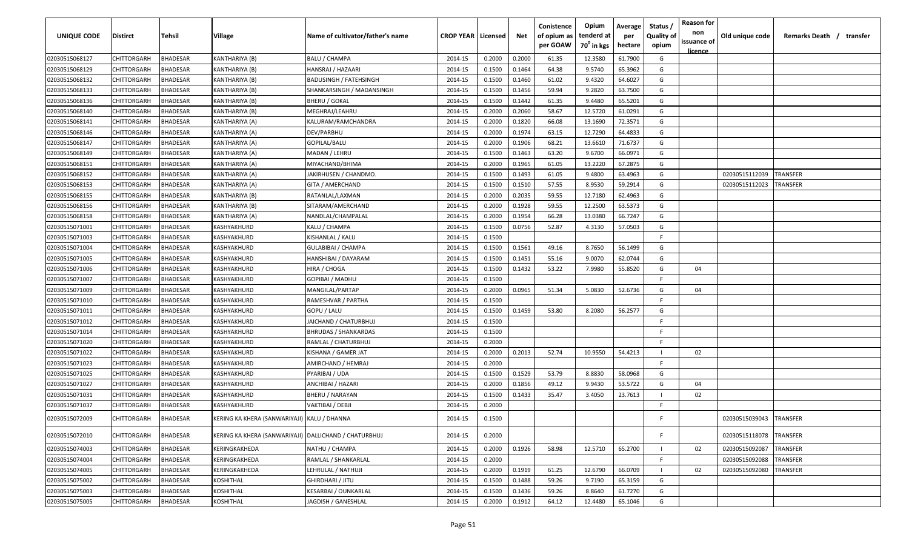| UNIQUE CODE    | <b>Distirct</b>    | Tehsil          | Village                                     | Name of cultivator/father's name | <b>CROP YEAR   Licensed</b> |        | Net    | Conistence<br>of opium as | Opium<br>tenderd at    | Average<br>per | Status /<br><b>Quality of</b> | <b>Reason for</b><br>non      | Old unique code | Remarks Death /<br>transfer |
|----------------|--------------------|-----------------|---------------------------------------------|----------------------------------|-----------------------------|--------|--------|---------------------------|------------------------|----------------|-------------------------------|-------------------------------|-----------------|-----------------------------|
|                |                    |                 |                                             |                                  |                             |        |        | per GOAW                  | 70 <sup>0</sup> in kgs | hectare        | opium                         | issuance of<br><u>licence</u> |                 |                             |
| 02030515068127 | CHITTORGARH        | <b>BHADESAR</b> | KANTHARIYA (B)                              | <b>BALU / CHAMPA</b>             | 2014-15                     | 0.2000 | 0.2000 | 61.35                     | 12.3580                | 61.7900        | G                             |                               |                 |                             |
| 02030515068129 | CHITTORGARH        | <b>BHADESAR</b> | KANTHARIYA (B)                              | HANSRAJ / HAZAARI                | 2014-15                     | 0.1500 | 0.1464 | 64.38                     | 9.5740                 | 65.3962        | G                             |                               |                 |                             |
| 02030515068132 | CHITTORGARH        | BHADESAR        | KANTHARIYA (B)                              | <b>BADUSINGH / FATEHSINGH</b>    | 2014-15                     | 0.1500 | 0.1460 | 61.02                     | 9.4320                 | 64.6027        | G                             |                               |                 |                             |
| 02030515068133 | CHITTORGARH        | <b>BHADESAR</b> | KANTHARIYA (B)                              | SHANKARSINGH / MADANSINGH        | 2014-15                     | 0.1500 | 0.1456 | 59.94                     | 9.2820                 | 63.7500        | G                             |                               |                 |                             |
| 02030515068136 | CHITTORGARH        | <b>BHADESAR</b> | KANTHARIYA (B)                              | <b>BHERU / GOKAL</b>             | 2014-15                     | 0.1500 | 0.1442 | 61.35                     | 9.4480                 | 65.5201        | G                             |                               |                 |                             |
| 02030515068140 | CHITTORGARH        | <b>BHADESAR</b> | KANTHARIYA (B)                              | MEGHRAJ/LEAHRU                   | 2014-15                     | 0.2000 | 0.2060 | 58.67                     | 12.5720                | 61.0291        | G                             |                               |                 |                             |
| 02030515068141 | CHITTORGARH        | <b>BHADESAR</b> | KANTHARIYA (A)                              | KALURAM/RAMCHANDRA               | 2014-15                     | 0.2000 | 0.1820 | 66.08                     | 13.1690                | 72.3571        | G                             |                               |                 |                             |
| 02030515068146 | CHITTORGARH        | <b>BHADESAR</b> | KANTHARIYA (A)                              | DEV/PARBHU                       | 2014-15                     | 0.2000 | 0.1974 | 63.15                     | 12.7290                | 64.4833        | G                             |                               |                 |                             |
| 02030515068147 | CHITTORGARH        | BHADESAR        | KANTHARIYA (A)                              | GOPILAL/BALU                     | 2014-15                     | 0.2000 | 0.1906 | 68.21                     | 13.6610                | 71.6737        | G                             |                               |                 |                             |
| 02030515068149 | CHITTORGARH        | BHADESAR        | KANTHARIYA (A)                              | MADAN / LEHRU                    | 2014-15                     | 0.1500 | 0.1463 | 63.20                     | 9.6700                 | 66.0971        | G                             |                               |                 |                             |
| 02030515068151 | CHITTORGARH        | BHADESAR        | KANTHARIYA (A)                              | MIYACHAND/BHIMA                  | 2014-15                     | 0.2000 | 0.1965 | 61.05                     | 13.2220                | 67.2875        | G                             |                               |                 |                             |
| 02030515068152 | CHITTORGARH        | <b>BHADESAR</b> | KANTHARIYA (A)                              | IAKIRHUSEN / CHANDMO.            | 2014-15                     | 0.1500 | 0.1493 | 61.05                     | 9.4800                 | 63.4963        | G                             |                               | 02030515112039  | TRANSFER                    |
| 02030515068153 | <b>CHITTORGARH</b> | <b>BHADESAR</b> | (ANTHARIYA (A                               | GITA / AMERCHAND                 | 2014-15                     | 0.1500 | 0.1510 | 57.55                     | 8.9530                 | 59.2914        | G                             |                               | 02030515112023  | <b><i>FRANSFER</i></b>      |
| 02030515068155 | CHITTORGARH        | <b>BHADESAR</b> | KANTHARIYA (B)                              | RATANLAL/LAXMAN                  | 2014-15                     | 0.2000 | 0.2035 | 59.55                     | 12.7180                | 62.4963        | G                             |                               |                 |                             |
| 02030515068156 | CHITTORGARH        | <b>BHADESAR</b> | KANTHARIYA (B)                              | SITARAM/AMERCHAND                | 2014-15                     | 0.2000 | 0.1928 | 59.55                     | 12.2500                | 63.5373        | G                             |                               |                 |                             |
| 02030515068158 | CHITTORGARH        | BHADESAR        | KANTHARIYA (A)                              | NANDLAL/CHAMPALAL                | 2014-15                     | 0.2000 | 0.1954 | 66.28                     | 13.0380                | 66.7247        | G                             |                               |                 |                             |
| 02030515071001 | CHITTORGARH        | BHADESAR        | KASHYAKHURD                                 | KALU / CHAMPA                    | 2014-15                     | 0.1500 | 0.0756 | 52.87                     | 4.3130                 | 57.0503        | G                             |                               |                 |                             |
| 02030515071003 | CHITTORGARH        | <b>BHADESAR</b> | KASHYAKHURD                                 | KISHANLAL / KALU                 | 2014-15                     | 0.1500 |        |                           |                        |                | E                             |                               |                 |                             |
| 02030515071004 | CHITTORGARH        | <b>BHADESAR</b> | KASHYAKHURD                                 | <b>GULABIBAI / CHAMPA</b>        | 2014-15                     | 0.1500 | 0.1561 | 49.16                     | 8.7650                 | 56.1499        | G                             |                               |                 |                             |
| 02030515071005 | CHITTORGARH        | <b>BHADESAR</b> | KASHYAKHURD                                 | HANSHIBAI / DAYARAM              | 2014-15                     | 0.1500 | 0.1451 | 55.16                     | 9.0070                 | 62.0744        | G                             |                               |                 |                             |
| 02030515071006 | CHITTORGARH        | <b>BHADESAR</b> | KASHYAKHURD                                 | HIRA / CHOGA                     | 2014-15                     | 0.1500 | 0.1432 | 53.22                     | 7.9980                 | 55.8520        | G                             | 04                            |                 |                             |
| 02030515071007 | CHITTORGARH        | <b>BHADESAR</b> | KASHYAKHURD                                 | GOPIBAI / MADHU                  | 2014-15                     | 0.1500 |        |                           |                        |                | F.                            |                               |                 |                             |
| 02030515071009 | CHITTORGARH        | <b>BHADESAR</b> | KASHYAKHURD                                 | MANGILAL/PARTAP                  | 2014-15                     | 0.2000 | 0.0965 | 51.34                     | 5.0830                 | 52.6736        | G                             | 04                            |                 |                             |
| 02030515071010 | CHITTORGARH        | <b>BHADESAR</b> | KASHYAKHURD                                 | RAMESHVAR / PARTHA               | 2014-15                     | 0.1500 |        |                           |                        |                | -F                            |                               |                 |                             |
| 02030515071011 | CHITTORGARH        | BHADESAR        | KASHYAKHURD                                 | GOPU / LALU                      | 2014-15                     | 0.1500 | 0.1459 | 53.80                     | 8.2080                 | 56.2577        | G                             |                               |                 |                             |
| 02030515071012 | CHITTORGARH        | BHADESAR        | KASHYAKHURD                                 | JAICHAND / CHATURBHUJ            | 2014-15                     | 0.1500 |        |                           |                        |                | E.                            |                               |                 |                             |
| 02030515071014 | CHITTORGARH        | BHADESAR        | KASHYAKHURD                                 | <b>BHRUDAS / SHANKARDAS</b>      | 2014-15                     | 0.1500 |        |                           |                        |                | E                             |                               |                 |                             |
| 02030515071020 | CHITTORGARH        | BHADESAR        | KASHYAKHURD                                 | RAMLAL / CHATURBHUJ              | 2014-15                     | 0.2000 |        |                           |                        |                | E                             |                               |                 |                             |
| 02030515071022 | CHITTORGARH        | BHADESAR        | <b>(ASHYAKHURD</b>                          | KISHANA / GAMER JAT              | 2014-15                     | 0.2000 | 0.2013 | 52.74                     | 10.9550                | 54.4213        | - 1                           | 02                            |                 |                             |
| 02030515071023 | CHITTORGARH        | <b>BHADESAR</b> | KASHYAKHURD                                 | AMIRCHAND / HEMRAJ               | 2014-15                     | 0.2000 |        |                           |                        |                | F.                            |                               |                 |                             |
| 02030515071025 | CHITTORGARH        | BHADESAR        | KASHYAKHURD                                 | PYARIBAI / UDA                   | 2014-15                     | 0.1500 | 0.1529 | 53.79                     | 8.8830                 | 58.0968        | G                             |                               |                 |                             |
| 02030515071027 | CHITTORGARH        | BHADESAR        | KASHYAKHURD                                 | ANCHIBAI / HAZARI                | 2014-15                     | 0.2000 | 0.1856 | 49.12                     | 9.9430                 | 53.5722        | G                             | 04                            |                 |                             |
| 02030515071031 | CHITTORGARH        | BHADESAR        | KASHYAKHURD                                 | <b>BHERU / NARAYAN</b>           | 2014-15                     | 0.1500 | 0.1433 | 35.47                     | 3.4050                 | 23.7613        |                               | 02                            |                 |                             |
| 02030515071037 | CHITTORGARH        | <b>BHADESAR</b> | KASHYAKHURD                                 | VAKTIBAI / DEBJI                 | 2014-15                     | 0.2000 |        |                           |                        |                | F.                            |                               |                 |                             |
| 02030515072009 | CHITTORGARH        | <b>BHADESAR</b> | KERING KA KHERA (SANWARIYAJI) KALU / DHANNA |                                  | 2014-15                     | 0.1500 |        |                           |                        |                |                               |                               | 02030515039043  | TRANSFER                    |
| 02030515072010 | CHITTORGARH        | <b>BHADESAR</b> | KERING KA KHERA (SANWARIYAJI)               | DALLICHAND / CHATURBHUJ          | 2014-15                     | 0.2000 |        |                           |                        |                |                               |                               | 02030515118078  | TRANSFER                    |
| 02030515074003 | CHITTORGARH        | <b>BHADESAR</b> | KERINGKAKHEDA                               | NATHU / CHAMPA                   | 2014-15                     | 0.2000 | 0.1926 | 58.98                     | 12.5710                | 65.2700        |                               | 02                            | 02030515092087  | <b><i>FRANSFER</i></b>      |
| 02030515074004 | CHITTORGARH        | <b>BHADESAR</b> | KERINGKAKHEDA                               | RAMLAL / SHANKARLAL              | 2014-15                     | 0.2000 |        |                           |                        |                | -F                            |                               | 02030515092088  | <b><i>FRANSFER</i></b>      |
| 02030515074005 | CHITTORGARH        | <b>BHADESAR</b> | KERINGKAKHEDA                               | LEHRULAL / NATHUJI               | 2014-15                     | 0.2000 | 0.1919 | 61.25                     | 12.6790                | 66.0709        |                               | 02                            | 02030515092080  | TRANSFER                    |
| 02030515075002 | CHITTORGARH        | <b>BHADESAR</b> | KOSHITHAL                                   | GHIRDHARI / JITU                 | 2014-15                     | 0.1500 | 0.1488 | 59.26                     | 9.7190                 | 65.3159        | G                             |                               |                 |                             |
| 02030515075003 | CHITTORGARH        | <b>BHADESAR</b> | KOSHITHAL                                   | KESARBAI / OUNKARLAL             | 2014-15                     | 0.1500 | 0.1436 | 59.26                     | 8.8640                 | 61.7270        | G                             |                               |                 |                             |
| 02030515075005 | <b>CHITTORGARH</b> | <b>BHADESAR</b> | KOSHITHAL                                   | JAGDISH / GANESHLAL              | 2014-15                     | 0.2000 | 0.1912 | 64.12                     | 12.4480                | 65.1046        | G                             |                               |                 |                             |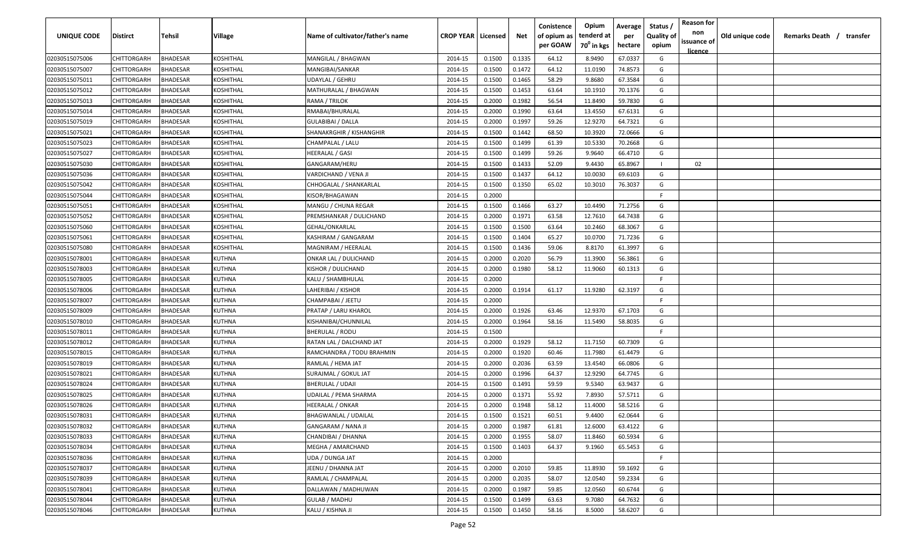| <b>UNIQUE CODE</b> | Distirct           | Tehsil          | Village   | Name of cultivator/father's name | <b>CROP YEAR Licensed</b> |        | Net    | Conistence<br>of opium as | Opium<br>tenderd at    | Average<br>per | Status /<br><b>Quality of</b> | <b>Reason for</b><br>non      | Old unique code | Remarks Death / transfer |
|--------------------|--------------------|-----------------|-----------|----------------------------------|---------------------------|--------|--------|---------------------------|------------------------|----------------|-------------------------------|-------------------------------|-----------------|--------------------------|
|                    |                    |                 |           |                                  |                           |        |        | per GOAW                  | 70 <sup>0</sup> in kgs | hectare        | opium                         | issuance of<br><u>licence</u> |                 |                          |
| 02030515075006     | CHITTORGARH        | <b>BHADESAR</b> | KOSHITHAL | MANGILAL / BHAGWAN               | 2014-15                   | 0.1500 | 0.1335 | 64.12                     | 8.9490                 | 67.0337        | G                             |                               |                 |                          |
| 02030515075007     | CHITTORGARH        | BHADESAR        | KOSHITHAL | MANGIBAI/SANKAR                  | 2014-15                   | 0.1500 | 0.1472 | 64.12                     | 11.0190                | 74.8573        | G                             |                               |                 |                          |
| 02030515075011     | CHITTORGARH        | BHADESAR        | KOSHITHAL | UDAYLAL / GEHRU                  | 2014-15                   | 0.1500 | 0.1465 | 58.29                     | 9.8680                 | 67.3584        | G                             |                               |                 |                          |
| 02030515075012     | CHITTORGARH        | BHADESAR        | KOSHITHAL | MATHURALAL / BHAGWAN             | 2014-15                   | 0.1500 | 0.1453 | 63.64                     | 10.1910                | 70.1376        | G                             |                               |                 |                          |
| 02030515075013     | CHITTORGARH        | BHADESAR        | KOSHITHAL | RAMA / TRILOK                    | 2014-15                   | 0.2000 | 0.1982 | 56.54                     | 11.8490                | 59.7830        | G                             |                               |                 |                          |
| 02030515075014     | CHITTORGARH        | <b>BHADESAR</b> | KOSHITHAL | RMABAI/BHURALAL                  | 2014-15                   | 0.2000 | 0.1990 | 63.64                     | 13.4550                | 67.6131        | G                             |                               |                 |                          |
| 02030515075019     | CHITTORGARH        | <b>BHADESAR</b> | KOSHITHAL | GULABIBAI / DALLA                | 2014-15                   | 0.2000 | 0.1997 | 59.26                     | 12.9270                | 64.7321        | G                             |                               |                 |                          |
| 02030515075021     | CHITTORGARH        | BHADESAR        | KOSHITHAL | SHANAKRGHIR / KISHANGHIR         | 2014-15                   | 0.1500 | 0.1442 | 68.50                     | 10.3920                | 72.0666        | G                             |                               |                 |                          |
| 02030515075023     | CHITTORGARH        | BHADESAR        | KOSHITHAL | CHAMPALAL / LALU                 | 2014-15                   | 0.1500 | 0.1499 | 61.39                     | 10.5330                | 70.2668        | G                             |                               |                 |                          |
| 02030515075027     | CHITTORGARH        | BHADESAR        | KOSHITHAL | HEERALAL / GASI                  | 2014-15                   | 0.1500 | 0.1499 | 59.26                     | 9.9640                 | 66.4710        | G                             |                               |                 |                          |
| 02030515075030     | CHITTORGARH        | BHADESAR        | KOSHITHAL | GANGARAM/HERU                    | 2014-15                   | 0.1500 | 0.1433 | 52.09                     | 9.4430                 | 65.8967        |                               | 02                            |                 |                          |
| 02030515075036     | CHITTORGARH        | BHADESAR        | KOSHITHAL | VARDICHAND / VENA JI             | 2014-15                   | 0.1500 | 0.1437 | 64.12                     | 10.0030                | 69.6103        | G                             |                               |                 |                          |
| 02030515075042     | CHITTORGARH        | BHADESAR        | KOSHITHAL | CHHOGALAL / SHANKARLAL           | 2014-15                   | 0.1500 | 0.1350 | 65.02                     | 10.3010                | 76.3037        | G                             |                               |                 |                          |
| 02030515075044     | CHITTORGARH        | <b>BHADESAR</b> | KOSHITHAL | KISOR/BHAGAWAN                   | 2014-15                   | 0.2000 |        |                           |                        |                | F                             |                               |                 |                          |
| 02030515075051     | CHITTORGARH        | BHADESAR        | KOSHITHAL | MANGU / CHUNA REGAR              | 2014-15                   | 0.1500 | 0.1466 | 63.27                     | 10.4490                | 71.2756        | G                             |                               |                 |                          |
| 02030515075052     | CHITTORGARH        | <b>BHADESAR</b> | KOSHITHAL | PREMSHANKAR / DULICHAND          | 2014-15                   | 0.2000 | 0.1971 | 63.58                     | 12.7610                | 64.7438        | G                             |                               |                 |                          |
| 02030515075060     | CHITTORGARH        | <b>BHADESAR</b> | KOSHITHAL | GEHAL/ONKARLAL                   | 2014-15                   | 0.1500 | 0.1500 | 63.64                     | 10.2460                | 68.3067        | G                             |                               |                 |                          |
| 02030515075061     | CHITTORGARH        | <b>BHADESAR</b> | KOSHITHAL | KASHIRAM / GANGARAM              | 2014-15                   | 0.1500 | 0.1404 | 65.27                     | 10.0700                | 71.7236        | G                             |                               |                 |                          |
| 02030515075080     | <b>CHITTORGARH</b> | BHADESAR        | KOSHITHAL | MAGNIRAM / HEERALAL              | 2014-15                   | 0.1500 | 0.1436 | 59.06                     | 8.8170                 | 61.3997        | G                             |                               |                 |                          |
| 02030515078001     | CHITTORGARH        | BHADESAR        | KUTHNA    | ONKAR LAL / DULICHAND            | 2014-15                   | 0.2000 | 0.2020 | 56.79                     | 11.3900                | 56.3861        | G                             |                               |                 |                          |
| 02030515078003     | CHITTORGARH        | <b>BHADESAR</b> | KUTHNA    | KISHOR / DULICHAND               | 2014-15                   | 0.2000 | 0.1980 | 58.12                     | 11.9060                | 60.1313        | G                             |                               |                 |                          |
| 02030515078005     | CHITTORGARH        | <b>BHADESAR</b> | KUTHNA    | KALU / SHAMBHULAL                | 2014-15                   | 0.2000 |        |                           |                        |                | -F.                           |                               |                 |                          |
| 02030515078006     | CHITTORGARH        | <b>BHADESAR</b> | KUTHNA    | LAHERIBAI / KISHOR               | 2014-15                   | 0.2000 | 0.1914 | 61.17                     | 11.9280                | 62.3197        | G                             |                               |                 |                          |
| 02030515078007     | CHITTORGARH        | BHADESAR        | KUTHNA    | CHAMPABAI / JEETU                | 2014-15                   | 0.2000 |        |                           |                        |                | -F                            |                               |                 |                          |
| 02030515078009     | CHITTORGARH        | BHADESAR        | KUTHNA    | PRATAP / LARU KHAROL             | 2014-15                   | 0.2000 | 0.1926 | 63.46                     | 12.9370                | 67.1703        | G                             |                               |                 |                          |
| 02030515078010     | CHITTORGARH        | BHADESAR        | KUTHNA    | KISHANIBAI/CHUNNILAL             | 2014-15                   | 0.2000 | 0.1964 | 58.16                     | 11.5490                | 58.8035        | G                             |                               |                 |                          |
| 02030515078011     | CHITTORGARH        | BHADESAR        | KUTHNA    | <b>BHERULAL / RODU</b>           | 2014-15                   | 0.1500 |        |                           |                        |                | F.                            |                               |                 |                          |
| 02030515078012     | CHITTORGARH        | <b>BHADESAR</b> | KUTHNA    | RATAN LAL / DALCHAND JAT         | 2014-15                   | 0.2000 | 0.1929 | 58.12                     | 11.7150                | 60.7309        | G                             |                               |                 |                          |
| 02030515078015     | CHITTORGARH        | BHADESAR        | KUTHNA    | RAMCHANDRA / TODU BRAHMIN        | 2014-15                   | 0.2000 | 0.1920 | 60.46                     | 11.7980                | 61.4479        | G                             |                               |                 |                          |
| 02030515078019     | CHITTORGARH        | BHADESAR        | KUTHNA    | RAMLAL / HEMA JAT                | 2014-15                   | 0.2000 | 0.2036 | 63.59                     | 13.4540                | 66.0806        | G                             |                               |                 |                          |
| 02030515078021     | CHITTORGARH        | BHADESAR        | KUTHNA    | SURAJMAL / GOKUL JAT             | 2014-15                   | 0.2000 | 0.1996 | 64.37                     | 12.9290                | 64.7745        | G                             |                               |                 |                          |
| 02030515078024     | CHITTORGARH        | BHADESAR        | KUTHNA    | BHERULAL / UDAJI                 | 2014-15                   | 0.1500 | 0.1491 | 59.59                     | 9.5340                 | 63.9437        | G                             |                               |                 |                          |
| 02030515078025     | CHITTORGARH        | BHADESAR        | KUTHNA    | UDAILAL / PEMA SHARMA            | 2014-15                   | 0.2000 | 0.1371 | 55.92                     | 7.8930                 | 57.5711        | G                             |                               |                 |                          |
| 02030515078026     | CHITTORGARH        | BHADESAR        | KUTHNA    | HEERALAL / ONKAR                 | 2014-15                   | 0.2000 | 0.1948 | 58.12                     | 11.4000                | 58.5216        | G                             |                               |                 |                          |
| 02030515078031     | <b>CHITTORGARH</b> | BHADESAR        | KUTHNA    | <b>BHAGWANLAL / UDAILAL</b>      | 2014-15                   | 0.1500 | 0.1521 | 60.51                     | 9.4400                 | 62.0644        | G                             |                               |                 |                          |
| 02030515078032     | <b>CHITTORGARH</b> | <b>BHADESAR</b> | KUTHNA    | <b>GANGARAM / NANA JI</b>        | 2014-15                   | 0.2000 | 0.1987 | 61.81                     | 12.6000                | 63.4122        | G                             |                               |                 |                          |
| 02030515078033     | <b>CHITTORGARH</b> | <b>BHADESAR</b> | KUTHNA    | CHANDIBAI / DHANNA               | 2014-15                   | 0.2000 | 0.1955 | 58.07                     | 11.8460                | 60.5934        | G                             |                               |                 |                          |
| 02030515078034     | <b>CHITTORGARH</b> | <b>BHADESAR</b> | KUTHNA    | MEGHA / AMARCHAND                | 2014-15                   | 0.1500 | 0.1403 | 64.37                     | 9.1960                 | 65.5453        | G                             |                               |                 |                          |
| 02030515078036     | <b>CHITTORGARH</b> | <b>BHADESAR</b> | KUTHNA    | UDA / DUNGA JAT                  | 2014-15                   | 0.2000 |        |                           |                        |                | F.                            |                               |                 |                          |
| 02030515078037     | CHITTORGARH        | BHADESAR        | KUTHNA    | JEENU / DHANNA JAT               | 2014-15                   | 0.2000 | 0.2010 | 59.85                     | 11.8930                | 59.1692        | G                             |                               |                 |                          |
| 02030515078039     | CHITTORGARH        | BHADESAR        | KUTHNA    | RAMLAL / CHAMPALAL               | 2014-15                   | 0.2000 | 0.2035 | 58.07                     | 12.0540                | 59.2334        | G                             |                               |                 |                          |
| 02030515078041     | CHITTORGARH        | <b>BHADESAR</b> | KUTHNA    | DALLAWAN / MADHUWAN              | 2014-15                   | 0.2000 | 0.1987 | 59.85                     | 12.0560                | 60.6744        | G                             |                               |                 |                          |
| 02030515078044     | CHITTORGARH        | BHADESAR        | KUTHNA    | <b>GULAB / MADHU</b>             | 2014-15                   | 0.1500 | 0.1499 | 63.63                     | 9.7080                 | 64.7632        | G                             |                               |                 |                          |
| 02030515078046     | CHITTORGARH        | <b>BHADESAR</b> | KUTHNA    | KALU / KISHNA JI                 | 2014-15                   | 0.1500 | 0.1450 | 58.16                     | 8.5000                 | 58.6207        | G                             |                               |                 |                          |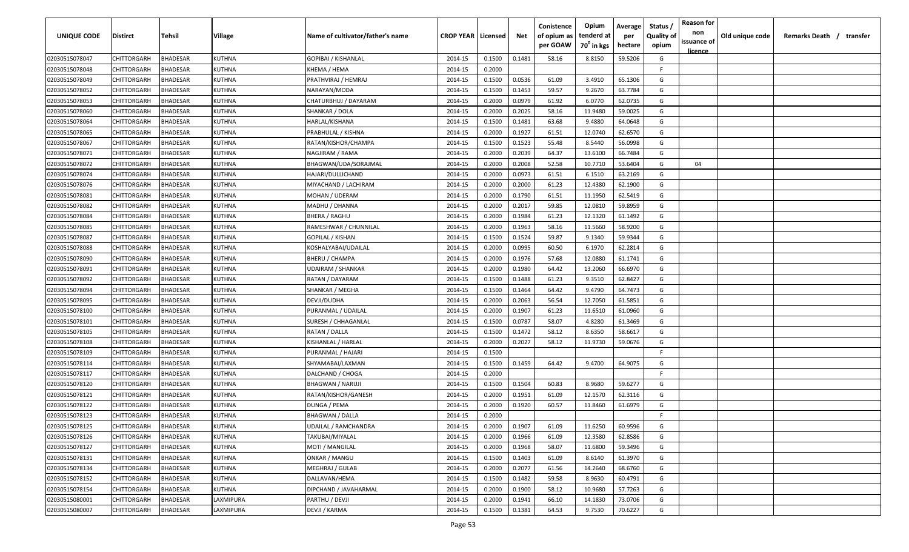| <b>UNIQUE CODE</b> | Distirct           | Tehsil          | Village       | Name of cultivator/father's name | <b>CROP YEAR Licensed</b> |        | Net    | Conistence<br>of opium as | Opium<br>tenderd at    | Average<br>per | Status /<br><b>Quality of</b> | <b>Reason for</b><br>non<br>issuance of | Old unique code | Remarks Death / transfer |
|--------------------|--------------------|-----------------|---------------|----------------------------------|---------------------------|--------|--------|---------------------------|------------------------|----------------|-------------------------------|-----------------------------------------|-----------------|--------------------------|
|                    |                    |                 |               |                                  |                           |        |        | per GOAW                  | 70 <sup>0</sup> in kgs | hectare        | opium                         | <u>licence</u>                          |                 |                          |
| 02030515078047     | CHITTORGARH        | <b>BHADESAR</b> | KUTHNA        | GOPIBAI / KISHANLAL              | 2014-15                   | 0.1500 | 0.1481 | 58.16                     | 8.8150                 | 59.5206        | G                             |                                         |                 |                          |
| 02030515078048     | CHITTORGARH        | BHADESAR        | KUTHNA        | KHEMA / HEMA                     | 2014-15                   | 0.2000 |        |                           |                        |                | -F.                           |                                         |                 |                          |
| 02030515078049     | CHITTORGARH        | BHADESAR        | KUTHNA        | PRATHVIRAJ / HEMRAJ              | 2014-15                   | 0.1500 | 0.0536 | 61.09                     | 3.4910                 | 65.1306        | G                             |                                         |                 |                          |
| 02030515078052     | CHITTORGARH        | <b>BHADESAR</b> | KUTHNA        | NARAYAN/MODA                     | 2014-15                   | 0.1500 | 0.1453 | 59.57                     | 9.2670                 | 63.7784        | G                             |                                         |                 |                          |
| 02030515078053     | CHITTORGARH        | BHADESAR        | KUTHNA        | CHATURBHUJ / DAYARAM             | 2014-15                   | 0.2000 | 0.0979 | 61.92                     | 6.0770                 | 62.0735        | G                             |                                         |                 |                          |
| 02030515078060     | CHITTORGARH        | <b>BHADESAR</b> | KUTHNA        | SHANKAR / DOLA                   | 2014-15                   | 0.2000 | 0.2025 | 58.16                     | 11.9480                | 59.0025        | G                             |                                         |                 |                          |
| 02030515078064     | CHITTORGARH        | <b>BHADESAR</b> | KUTHNA        | HARLAL/KISHANA                   | 2014-15                   | 0.1500 | 0.1481 | 63.68                     | 9.4880                 | 64.0648        | G                             |                                         |                 |                          |
| 02030515078065     | CHITTORGARH        | BHADESAR        | KUTHNA        | PRABHULAL / KISHNA               | 2014-15                   | 0.2000 | 0.1927 | 61.51                     | 12.0740                | 62.6570        | G                             |                                         |                 |                          |
| 02030515078067     | CHITTORGARH        | BHADESAR        | KUTHNA        | RATAN/KISHOR/CHAMPA              | 2014-15                   | 0.1500 | 0.1523 | 55.48                     | 8.5440                 | 56.0998        | G                             |                                         |                 |                          |
| 02030515078071     | CHITTORGARH        | BHADESAR        | KUTHNA        | NAGJIRAM / RAMA                  | 2014-15                   | 0.2000 | 0.2039 | 64.37                     | 13.6100                | 66.7484        | G                             |                                         |                 |                          |
| 02030515078072     | CHITTORGARH        | BHADESAR        | KUTHNA        | BHAGWAN/UDA/SORAJMAL             | 2014-15                   | 0.2000 | 0.2008 | 52.58                     | 10.7710                | 53.6404        | G                             | 04                                      |                 |                          |
| 02030515078074     | CHITTORGARH        | BHADESAR        | KUTHNA        | HAJARI/DULLICHAND                | 2014-15                   | 0.2000 | 0.0973 | 61.51                     | 6.1510                 | 63.2169        | G                             |                                         |                 |                          |
| 02030515078076     | CHITTORGARH        | BHADESAR        | KUTHNA        | MIYACHAND / LACHIRAM             | 2014-15                   | 0.2000 | 0.2000 | 61.23                     | 12.4380                | 62.1900        | G                             |                                         |                 |                          |
| 02030515078081     | CHITTORGARH        | <b>BHADESAR</b> | KUTHNA        | MOHAN / UDERAM                   | 2014-15                   | 0.2000 | 0.1790 | 61.51                     | 11.1950                | 62.5419        | G                             |                                         |                 |                          |
| 02030515078082     | CHITTORGARH        | BHADESAR        | KUTHNA        | MADHU / DHANNA                   | 2014-15                   | 0.2000 | 0.2017 | 59.85                     | 12.0810                | 59.8959        | G                             |                                         |                 |                          |
| 02030515078084     | CHITTORGARH        | <b>BHADESAR</b> | KUTHNA        | <b>BHERA / RAGHU</b>             | 2014-15                   | 0.2000 | 0.1984 | 61.23                     | 12.1320                | 61.1492        | G                             |                                         |                 |                          |
| 02030515078085     | CHITTORGARH        | BHADESAR        | KUTHNA        | RAMESHWAR / CHUNNILAL            | 2014-15                   | 0.2000 | 0.1963 | 58.16                     | 11.5660                | 58.9200        | G                             |                                         |                 |                          |
| 02030515078087     | CHITTORGARH        | BHADESAR        | <b>KUTHNA</b> | GOPILAL / KISHAN                 | 2014-15                   | 0.1500 | 0.1524 | 59.87                     | 9.1340                 | 59.9344        | G                             |                                         |                 |                          |
| 02030515078088     | CHITTORGARH        | BHADESAR        | KUTHNA        | KOSHALYABAI/UDAILAL              | 2014-15                   | 0.2000 | 0.0995 | 60.50                     | 6.1970                 | 62.2814        | G                             |                                         |                 |                          |
| 02030515078090     | CHITTORGARH        | BHADESAR        | KUTHNA        | <b>BHERU / CHAMPA</b>            | 2014-15                   | 0.2000 | 0.1976 | 57.68                     | 12.0880                | 61.1741        | G                             |                                         |                 |                          |
| 02030515078091     | CHITTORGARH        | <b>BHADESAR</b> | KUTHNA        | UDAIRAM / SHANKAR                | 2014-15                   | 0.2000 | 0.1980 | 64.42                     | 13.2060                | 66.6970        | G                             |                                         |                 |                          |
| 02030515078092     | CHITTORGARH        | <b>BHADESAR</b> | KUTHNA        | RATAN / DAYARAM                  | 2014-15                   | 0.1500 | 0.1488 | 61.23                     | 9.3510                 | 62.8427        | G                             |                                         |                 |                          |
| 02030515078094     | CHITTORGARH        | <b>BHADESAR</b> | KUTHNA        | SHANKAR / MEGHA                  | 2014-15                   | 0.1500 | 0.1464 | 64.42                     | 9.4790                 | 64.7473        | G                             |                                         |                 |                          |
| 02030515078095     | CHITTORGARH        | <b>BHADESAR</b> | KUTHNA        | DEVJI/DUDHA                      | 2014-15                   | 0.2000 | 0.2063 | 56.54                     | 12.7050                | 61.5851        | G                             |                                         |                 |                          |
| 02030515078100     | CHITTORGARH        | BHADESAR        | KUTHNA        | PURANMAL / UDAILAL               | 2014-15                   | 0.2000 | 0.1907 | 61.23                     | 11.6510                | 61.0960        | G                             |                                         |                 |                          |
| 02030515078101     | CHITTORGARH        | BHADESAR        | KUTHNA        | SURESH / CHHAGANLAL              | 2014-15                   | 0.1500 | 0.0787 | 58.07                     | 4.8280                 | 61.3469        | G                             |                                         |                 |                          |
| 02030515078105     | CHITTORGARH        | BHADESAR        | KUTHNA        | RATAN / DALLA                    | 2014-15                   | 0.1500 | 0.1472 | 58.12                     | 8.6350                 | 58.6617        | G                             |                                         |                 |                          |
| 02030515078108     | CHITTORGARH        | BHADESAR        | KUTHNA        | KISHANLAL / HARLAL               | 2014-15                   | 0.2000 | 0.2027 | 58.12                     | 11.9730                | 59.0676        | G                             |                                         |                 |                          |
| 02030515078109     | CHITTORGARH        | BHADESAR        | KUTHNA        | PURANMAL / HAJARI                | 2014-15                   | 0.1500 |        |                           |                        |                | F.                            |                                         |                 |                          |
| 02030515078114     | CHITTORGARH        | BHADESAR        | KUTHNA        | SHYAMABAI/LAXMAN                 | 2014-15                   | 0.1500 | 0.1459 | 64.42                     | 9.4700                 | 64.9075        | G                             |                                         |                 |                          |
| 02030515078117     | CHITTORGARH        | BHADESAR        | KUTHNA        | DALCHAND / CHOGA                 | 2014-15                   | 0.2000 |        |                           |                        |                | F                             |                                         |                 |                          |
| 02030515078120     | CHITTORGARH        | BHADESAR        | KUTHNA        | <b>BHAGWAN / NARUJI</b>          | 2014-15                   | 0.1500 | 0.1504 | 60.83                     | 8.9680                 | 59.6277        | G                             |                                         |                 |                          |
| 02030515078121     | CHITTORGARH        | BHADESAR        | KUTHNA        | RATAN/KISHOR/GANESH              | 2014-15                   | 0.2000 | 0.1951 | 61.09                     | 12.1570                | 62.3116        | G                             |                                         |                 |                          |
| 02030515078122     | CHITTORGARH        | BHADESAR        | KUTHNA        | DUNGA / PEMA                     | 2014-15                   | 0.2000 | 0.1920 | 60.57                     | 11.8460                | 61.6979        | G                             |                                         |                 |                          |
| 02030515078123     | CHITTORGARH        | BHADESAR        | KUTHNA        | <b>BHAGWAN / DALLA</b>           | 2014-15                   | 0.2000 |        |                           |                        |                | F                             |                                         |                 |                          |
| 02030515078125     | <b>CHITTORGARH</b> | <b>BHADESAR</b> | KUTHNA        | UDAILAL / RAMCHANDRA             | 2014-15                   | 0.2000 | 0.1907 | 61.09                     | 11.6250                | 60.9596        | G                             |                                         |                 |                          |
| 02030515078126     | <b>CHITTORGARH</b> | <b>BHADESAR</b> | KUTHNA        | TAKUBAI/MIYALAL                  | 2014-15                   | 0.2000 | 0.1966 | 61.09                     | 12.3580                | 62.8586        | G                             |                                         |                 |                          |
| 02030515078127     | <b>CHITTORGARH</b> | <b>BHADESAR</b> | <b>KUTHNA</b> | <b>MOTI / MANGILAL</b>           | 2014-15                   | 0.2000 | 0.1968 | 58.07                     | 11.6800                | 59.3496        | G                             |                                         |                 |                          |
| 02030515078131     | <b>CHITTORGARH</b> | <b>BHADESAR</b> | KUTHNA        | ONKAR / MANGU                    | 2014-15                   | 0.1500 | 0.1403 | 61.09                     | 8.6140                 | 61.3970        | G                             |                                         |                 |                          |
| 02030515078134     | CHITTORGARH        | BHADESAR        | KUTHNA        | MEGHRAJ / GULAB                  | 2014-15                   | 0.2000 | 0.2077 | 61.56                     | 14.2640                | 68.6760        | G                             |                                         |                 |                          |
| 02030515078152     | CHITTORGARH        | BHADESAR        | KUTHNA        | DALLAVAN/HEMA                    | 2014-15                   | 0.1500 | 0.1482 | 59.58                     | 8.9630                 | 60.4791        | G                             |                                         |                 |                          |
| 02030515078154     | CHITTORGARH        | <b>BHADESAR</b> | KUTHNA        | DIPCHAND / JAVAHARMAL            | 2014-15                   | 0.2000 | 0.1900 | 58.12                     | 10.9680                | 57.7263        | G                             |                                         |                 |                          |
| 02030515080001     | CHITTORGARH        | BHADESAR        | LAXMIPURA     | PARTHU / DEVJI                   | 2014-15                   | 0.2000 | 0.1941 | 66.10                     | 14.1830                | 73.0706        | G                             |                                         |                 |                          |
| 02030515080007     | <b>CHITTORGARH</b> | <b>BHADESAR</b> | LAXMIPURA     | DEVJI / KARMA                    | 2014-15                   | 0.1500 | 0.1381 | 64.53                     | 9.7530                 | 70.6227        | G                             |                                         |                 |                          |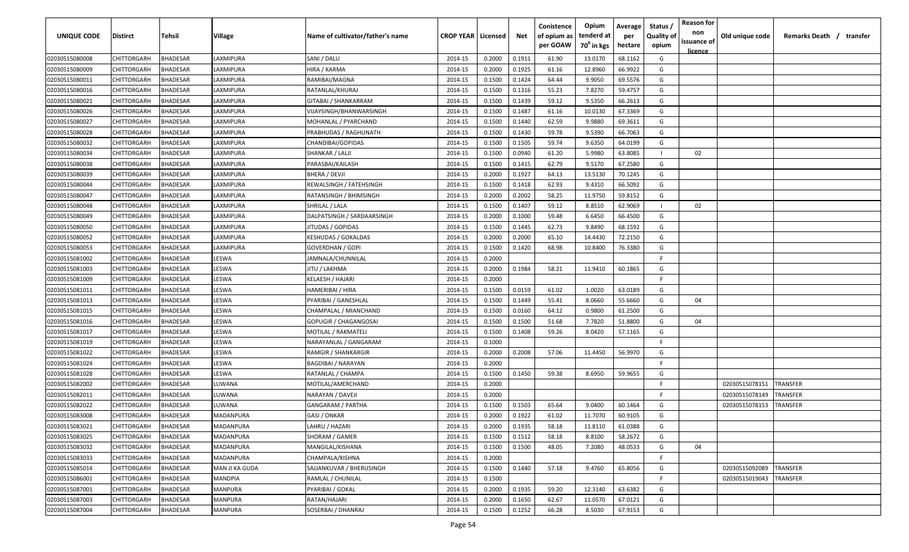| UNIQUE CODE    | Distirct           | Tehsil          | Village         | Name of cultivator/father's name | <b>CROP YEAR   Licensed</b> |        | Net    | Conistence<br>of opium as | Opium<br>tenderd at    | Average<br>per | Status /<br><b>Quality of</b> | <b>Reason for</b><br>non      | Old unique code | Remarks Death / transfer |
|----------------|--------------------|-----------------|-----------------|----------------------------------|-----------------------------|--------|--------|---------------------------|------------------------|----------------|-------------------------------|-------------------------------|-----------------|--------------------------|
|                |                    |                 |                 |                                  |                             |        |        | per GOAW                  | 70 <sup>0</sup> in kgs | hectare        | opium                         | issuance of<br><u>licence</u> |                 |                          |
| 02030515080008 | CHITTORGARH        | <b>BHADESAR</b> | LAXMIPURA       | SANI / DALU                      | 2014-15                     | 0.2000 | 0.1911 | 61.90                     | 13.0170                | 68.1162        | G                             |                               |                 |                          |
| 02030515080009 | CHITTORGARH        | BHADESAR        | LAXMIPURA       | HIRA / KARMA                     | 2014-15                     | 0.2000 | 0.1925 | 61.16                     | 12.8960                | 66.9922        | G                             |                               |                 |                          |
| 02030515080011 | CHITTORGARH        | BHADESAR        | LAXMIPURA       | RAMIBAI/MAGNA                    | 2014-15                     | 0.1500 | 0.1424 | 64.44                     | 9.9050                 | 69.5576        | G                             |                               |                 |                          |
| 02030515080016 | CHITTORGARH        | BHADESAR        | LAXMIPURA       | RATANLAL/KHURAJ                  | 2014-15                     | 0.1500 | 0.1316 | 55.23                     | 7.8270                 | 59.4757        | G                             |                               |                 |                          |
| 02030515080021 | CHITTORGARH        | BHADESAR        | LAXMIPURA       | GITABAI / SHANKARRAM             | 2014-15                     | 0.1500 | 0.1439 | 59.12                     | 9.5350                 | 66.2613        | G                             |                               |                 |                          |
| 02030515080026 | CHITTORGARH        | <b>BHADESAR</b> | LAXMIPURA       | VIJAYSINGH/BHANWARSINGH          | 2014-15                     | 0.1500 | 0.1487 | 61.16                     | 10.0130                | 67.3369        | G                             |                               |                 |                          |
| 02030515080027 | CHITTORGARH        | <b>BHADESAR</b> | LAXMIPURA       | MOHANLAL / PYARCHAND             | 2014-15                     | 0.1500 | 0.1440 | 62.59                     | 9.9880                 | 69.3611        | G                             |                               |                 |                          |
| 02030515080028 | CHITTORGARH        | BHADESAR        | <b>AXMIPURA</b> | PRABHUDAS / RAGHUNATH            | 2014-15                     | 0.1500 | 0.1430 | 59.78                     | 9.5390                 | 66.7063        | G                             |                               |                 |                          |
| 02030515080032 | CHITTORGARH        | BHADESAR        | LAXMIPURA       | CHANDIBAI/GOPIDAS                | 2014-15                     | 0.1500 | 0.1505 | 59.74                     | 9.6350                 | 64.0199        | G                             |                               |                 |                          |
| 02030515080034 | CHITTORGARH        | BHADESAR        | LAXMIPURA       | SHANKAR / LALJI                  | 2014-15                     | 0.1500 | 0.0940 | 61.20                     | 5.9980                 | 63.8085        |                               | 02                            |                 |                          |
| 02030515080038 | CHITTORGARH        | BHADESAR        | AXMIPURA        | PARASBAI/KAILASH                 | 2014-15                     | 0.1500 | 0.1415 | 62.79                     | 9.5170                 | 67.2580        | G                             |                               |                 |                          |
| 02030515080039 | CHITTORGARH        | BHADESAR        | AXMIPURA        | BHERA / DEVJI                    | 2014-15                     | 0.2000 | 0.1927 | 64.13                     | 13.5130                | 70.1245        | G                             |                               |                 |                          |
| 02030515080044 | CHITTORGARH        | BHADESAR        | LAXMIPURA       | REWALSINGH / FATEHSINGH          | 2014-15                     | 0.1500 | 0.1418 | 62.93                     | 9.4310                 | 66.5092        | G                             |                               |                 |                          |
| 02030515080047 | CHITTORGARH        | BHADESAR        | LAXMIPURA       | RATANSINGH / BHIMSINGH           | 2014-15                     | 0.2000 | 0.2002 | 58.25                     | 11.9750                | 59.8152        | G                             |                               |                 |                          |
| 02030515080048 | CHITTORGARH        | BHADESAR        | LAXMIPURA       | SHRILAL / LALA                   | 2014-15                     | 0.1500 | 0.1407 | 59.12                     | 8.8510                 | 62.9069        |                               | 02                            |                 |                          |
| 02030515080049 | CHITTORGARH        | <b>BHADESAR</b> | LAXMIPURA       | DALPATSINGH / SARDAARSINGH       | 2014-15                     | 0.2000 | 0.1000 | 59.48                     | 6.6450                 | 66.4500        | G                             |                               |                 |                          |
| 02030515080050 | CHITTORGARH        | BHADESAR        | LAXMIPURA       | JITUDAS / GOPIDAS                | 2014-15                     | 0.1500 | 0.1445 | 62.73                     | 9.8490                 | 68.1592        | G                             |                               |                 |                          |
| 02030515080052 | CHITTORGARH        | BHADESAR        | LAXMIPURA       | <b>KESHUDAS / GOKALDAS</b>       | 2014-15                     | 0.2000 | 0.2000 | 65.10                     | 14.4430                | 72.2150        | G                             |                               |                 |                          |
| 02030515080053 | CHITTORGARH        | BHADESAR        | LAXMIPURA       | GOVERDHAN / GOPI                 | 2014-15                     | 0.1500 | 0.1420 | 68.98                     | 10.8400                | 76.3380        | G                             |                               |                 |                          |
| 02030515081002 | CHITTORGARH        | BHADESAR        | LESWA           | JAMNALA/CHUNNILAL                | 2014-15                     | 0.2000 |        |                           |                        |                | F.                            |                               |                 |                          |
| 02030515081003 | CHITTORGARH        | <b>BHADESAR</b> | LESWA           | JITU / LAKHMA                    | 2014-15                     | 0.2000 | 0.1984 | 58.21                     | 11.9410                | 60.1865        | G                             |                               |                 |                          |
| 02030515081009 | CHITTORGARH        | <b>BHADESAR</b> | LESWA           | KELAESH / HAJARI                 | 2014-15                     | 0.2000 |        |                           |                        |                | -F.                           |                               |                 |                          |
| 02030515081011 | CHITTORGARH        | <b>BHADESAR</b> | LESWA           | HAMERIBAI / HIRA                 | 2014-15                     | 0.1500 | 0.0159 | 61.02                     | 1.0020                 | 63.0189        | G                             |                               |                 |                          |
| 02030515081013 | CHITTORGARH        | BHADESAR        | LESWA           | PYARIBAI / GANESHLAL             | 2014-15                     | 0.1500 | 0.1449 | 55.41                     | 8.0660                 | 55.6660        | G                             | 04                            |                 |                          |
| 02030515081015 | CHITTORGARH        | BHADESAR        | LESWA           | CHAMPALAL / MIANCHAND            | 2014-15                     | 0.1500 | 0.0160 | 64.12                     | 0.9800                 | 61.2500        | G                             |                               |                 |                          |
| 02030515081016 | CHITTORGARH        | BHADESAR        | LESWA           | GOPUGIR / CHAGANGOSAI            | 2014-15                     | 0.1500 | 0.1500 | 51.68                     | 7.7820                 | 51.8800        | G                             | 04                            |                 |                          |
| 02030515081017 | CHITTORGARH        | BHADESAR        | LESWA           | MOTILAL / RAKMATELI              | 2014-15                     | 0.1500 | 0.1408 | 59.26                     | 8.0420                 | 57.1165        | G                             |                               |                 |                          |
| 02030515081019 | CHITTORGARH        | BHADESAR        | LESWA           | NARAYANLAL / GANGARAM            | 2014-15                     | 0.1000 |        |                           |                        |                | -F.                           |                               |                 |                          |
| 02030515081022 | CHITTORGARH        | BHADESAR        | LESWA           | RAMGIR / SHANKARGIR              | 2014-15                     | 0.2000 | 0.2008 | 57.06                     | 11.4450                | 56.9970        | G                             |                               |                 |                          |
| 02030515081024 | CHITTORGARH        | BHADESAR        | LESWA           | <b>BAGDIBAI / NARAYAN</b>        | 2014-15                     | 0.2000 |        |                           |                        |                | -F.                           |                               |                 |                          |
| 02030515081028 | CHITTORGARH        | BHADESAR        | LESWA           | RATANLAL / CHAMPA                | 2014-15                     | 0.1500 | 0.1450 | 59.38                     | 8.6950                 | 59.9655        | G                             |                               |                 |                          |
| 02030515082002 | CHITTORGARH        | <b>BHADESAR</b> | LUWANA          | MOTILAL/AMERCHAND                | 2014-15                     | 0.2000 |        |                           |                        |                | -F.                           |                               | 02030515078151  | TRANSFER                 |
| 02030515082011 | CHITTORGARH        | BHADESAR        | LUWANA          | NARAYAN / DAVEJI                 | 2014-15                     | 0.2000 |        |                           |                        |                | -F                            |                               | 02030515078149  | TRANSFER                 |
| 02030515082022 | CHITTORGARH        | BHADESAR        | LUWANA          | GANGARAM / PARTHA                | 2014-15                     | 0.1500 | 0.1503 | 65.64                     | 9.0400                 | 60.1464        | G                             |                               | 02030515078153  | TRANSFER                 |
| 02030515083008 | CHITTORGARH        | BHADESAR        | MADANPURA       | GASI / ONKAR                     | 2014-15                     | 0.2000 | 0.1922 | 61.02                     | 11.7070                | 60.9105        | G                             |                               |                 |                          |
| 02030515083021 | CHITTORGARH        | <b>BHADESAR</b> | MADANPURA       | LAHRU / HAZARI                   | 2014-15                     | 0.2000 | 0.1935 | 58.18                     | 11.8110                | 61.0388        | G                             |                               |                 |                          |
| 02030515083025 | CHITTORGARH        | <b>BHADESAR</b> | MADANPURA       | SHORAM / GAMER                   | 2014-15                     | 0.1500 | 0.1512 | 58.18                     | 8.8100                 | 58.2672        | G                             |                               |                 |                          |
| 02030515083032 | <b>CHITTORGARH</b> | <b>BHADESAR</b> | MADANPURA       | MANGILAL/KISHANA                 | 2014-15                     | 0.1500 | 0.1500 | 48.05                     | 7.2080                 | 48.0533        | G                             | 04                            |                 |                          |
| 02030515083033 | <b>CHITTORGARH</b> | <b>BHADESAR</b> | MADANPURA       | CHAMPALA/KISHNA                  | 2014-15                     | 0.2000 |        |                           |                        |                | F.                            |                               |                 |                          |
| 02030515085014 | CHITTORGARH        | <b>BHADESAR</b> | MAN JI KA GUDA  | SAJJANKUVAR / BHERUSINGH         | 2014-15                     | 0.1500 | 0.1440 | 57.18                     | 9.4760                 | 65.8056        | G                             |                               | 02030515092089  | TRANSFER                 |
| 02030515086001 | CHITTORGARH        | BHADESAR        | MANDPIA         | RAMLAL / CHUNILAL                | 2014-15                     | 0.1500 |        |                           |                        |                | F.                            |                               | 02030515019043  | TRANSFER                 |
| 02030515087001 | CHITTORGARH        | BHADESAR        | MANPURA         | PYARIBAI / GOKAL                 | 2014-15                     | 0.2000 | 0.1935 | 59.20                     | 12.3140                | 63.6382        | G                             |                               |                 |                          |
| 02030515087003 | CHITTORGARH        | BHADESAR        | MANPURA         | RATAN/HAJARI                     | 2014-15                     | 0.2000 | 0.1650 | 62.67                     | 11.0570                | 67.0121        | G                             |                               |                 |                          |
| 02030515087004 | <b>CHITTORGARH</b> | <b>BHADESAR</b> | MANPURA         | SOSERBAI / DHANRAJ               | 2014-15                     | 0.1500 | 0.1252 | 66.28                     | 8.5030                 | 67.9153        | G                             |                               |                 |                          |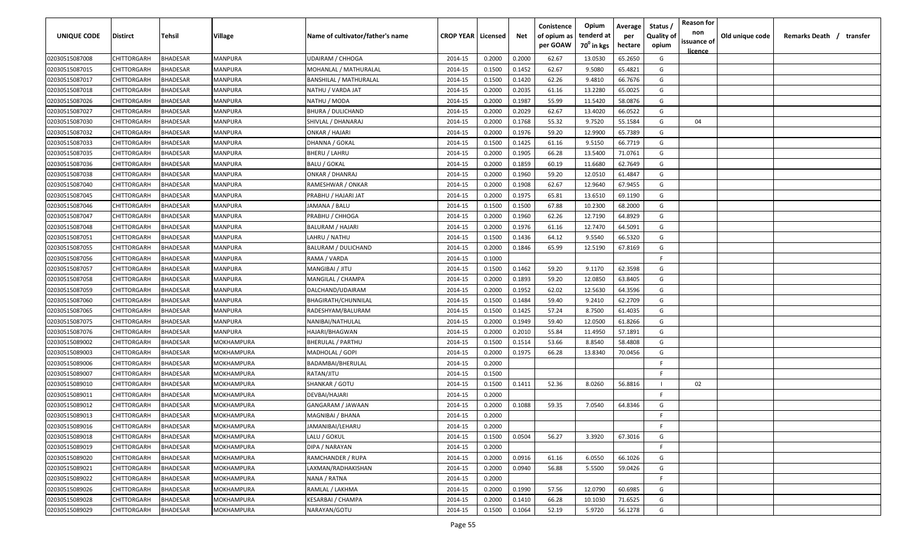| <b>UNIQUE CODE</b> | Distirct           | Tehsil          | Village    | Name of cultivator/father's name | <b>CROP YEAR Licensed</b> |        | Net    | Conistence<br>of opium as | Opium<br>tenderd at    | Average<br>per | Status /<br><b>Quality of</b> | <b>Reason for</b><br>non<br>issuance of | Old unique code | Remarks Death / transfer |
|--------------------|--------------------|-----------------|------------|----------------------------------|---------------------------|--------|--------|---------------------------|------------------------|----------------|-------------------------------|-----------------------------------------|-----------------|--------------------------|
|                    |                    |                 |            |                                  |                           |        |        | per GOAW                  | 70 <sup>0</sup> in kgs | hectare        | opium                         | <u>licence</u>                          |                 |                          |
| 02030515087008     | CHITTORGARH        | <b>BHADESAR</b> | MANPURA    | <b>UDAIRAM / CHHOGA</b>          | 2014-15                   | 0.2000 | 0.2000 | 62.67                     | 13.0530                | 65.2650        | G                             |                                         |                 |                          |
| 02030515087015     | CHITTORGARH        | BHADESAR        | MANPURA    | MOHANLAL / MATHURALAL            | 2014-15                   | 0.1500 | 0.1452 | 62.67                     | 9.5080                 | 65.4821        | G                             |                                         |                 |                          |
| 02030515087017     | CHITTORGARH        | BHADESAR        | MANPURA    | <b>BANSHILAL / MATHURALAL</b>    | 2014-15                   | 0.1500 | 0.1420 | 62.26                     | 9.4810                 | 66.7676        | G                             |                                         |                 |                          |
| 02030515087018     | CHITTORGARH        | BHADESAR        | MANPURA    | NATHU / VARDA JAT                | 2014-15                   | 0.2000 | 0.2035 | 61.16                     | 13.2280                | 65.0025        | G                             |                                         |                 |                          |
| 02030515087026     | CHITTORGARH        | BHADESAR        | MANPURA    | NATHU / MODA                     | 2014-15                   | 0.2000 | 0.1987 | 55.99                     | 11.5420                | 58.0876        | G                             |                                         |                 |                          |
| 02030515087027     | CHITTORGARH        | <b>BHADESAR</b> | MANPURA    | BHURA / DULICHAND                | 2014-15                   | 0.2000 | 0.2029 | 62.67                     | 13.4020                | 66.0522        | G                             |                                         |                 |                          |
| 02030515087030     | CHITTORGARH        | BHADESAR        | MANPURA    | SHIVLAL / DHANARAJ               | 2014-15                   | 0.2000 | 0.1768 | 55.32                     | 9.7520                 | 55.1584        | G                             | 04                                      |                 |                          |
| 02030515087032     | CHITTORGARH        | BHADESAR        | MANPURA    | ONKAR / HAJARI                   | 2014-15                   | 0.2000 | 0.1976 | 59.20                     | 12.9900                | 65.7389        | G                             |                                         |                 |                          |
| 02030515087033     | CHITTORGARH        | BHADESAR        | MANPURA    | DHANNA / GOKAL                   | 2014-15                   | 0.1500 | 0.1425 | 61.16                     | 9.5150                 | 66.7719        | G                             |                                         |                 |                          |
| 02030515087035     | CHITTORGARH        | BHADESAR        | MANPURA    | BHERU / LAHRU                    | 2014-15                   | 0.2000 | 0.1905 | 66.28                     | 13.5400                | 71.0761        | G                             |                                         |                 |                          |
| 02030515087036     | CHITTORGARH        | BHADESAR        | MANPURA    | BALU / GOKAL                     | 2014-15                   | 0.2000 | 0.1859 | 60.19                     | 11.6680                | 62.7649        | G                             |                                         |                 |                          |
| 02030515087038     | CHITTORGARH        | BHADESAR        | MANPURA    | ONKAR / DHANRAJ                  | 2014-15                   | 0.2000 | 0.1960 | 59.20                     | 12.0510                | 61.4847        | G                             |                                         |                 |                          |
| 02030515087040     | CHITTORGARH        | BHADESAR        | MANPURA    | RAMESHWAR / ONKAR                | 2014-15                   | 0.2000 | 0.1908 | 62.67                     | 12.9640                | 67.9455        | G                             |                                         |                 |                          |
| 02030515087045     | CHITTORGARH        | BHADESAR        | MANPURA    | PRABHU / HAJARI JAT              | 2014-15                   | 0.2000 | 0.1975 | 65.81                     | 13.6510                | 69.1190        | G                             |                                         |                 |                          |
| 02030515087046     | CHITTORGARH        | BHADESAR        | MANPURA    | JAMANA / BALU                    | 2014-15                   | 0.1500 | 0.1500 | 67.88                     | 10.2300                | 68.2000        | G                             |                                         |                 |                          |
| 02030515087047     | CHITTORGARH        | <b>BHADESAR</b> | MANPURA    | PRABHU / CHHOGA                  | 2014-15                   | 0.2000 | 0.1960 | 62.26                     | 12.7190                | 64.8929        | G                             |                                         |                 |                          |
| 02030515087048     | CHITTORGARH        | BHADESAR        | MANPURA    | <b>BALURAM / HAJARI</b>          | 2014-15                   | 0.2000 | 0.1976 | 61.16                     | 12.7470                | 64.5091        | G                             |                                         |                 |                          |
| 02030515087051     | CHITTORGARH        | BHADESAR        | MANPURA    | LAHRU / NATHU                    | 2014-15                   | 0.1500 | 0.1436 | 64.12                     | 9.5540                 | 66.5320        | G                             |                                         |                 |                          |
| 02030515087055     | CHITTORGARH        | BHADESAR        | MANPURA    | <b>BALURAM / DULICHAND</b>       | 2014-15                   | 0.2000 | 0.1846 | 65.99                     | 12.5190                | 67.8169        | G                             |                                         |                 |                          |
| 02030515087056     | CHITTORGARH        | BHADESAR        | MANPURA    | RAMA / VARDA                     | 2014-15                   | 0.1000 |        |                           |                        |                | F                             |                                         |                 |                          |
| 02030515087057     | CHITTORGARH        | <b>BHADESAR</b> | MANPURA    | MANGIBAI / JITU                  | 2014-15                   | 0.1500 | 0.1462 | 59.20                     | 9.1170                 | 62.3598        | G                             |                                         |                 |                          |
| 02030515087058     | CHITTORGARH        | <b>BHADESAR</b> | MANPURA    | MANGILAL / CHAMPA                | 2014-15                   | 0.2000 | 0.1893 | 59.20                     | 12.0850                | 63.8405        | G                             |                                         |                 |                          |
| 02030515087059     | CHITTORGARH        | BHADESAR        | MANPURA    | DALCHAND/UDAIRAM                 | 2014-15                   | 0.2000 | 0.1952 | 62.02                     | 12.5630                | 64.3596        | G                             |                                         |                 |                          |
| 02030515087060     | CHITTORGARH        | BHADESAR        | MANPURA    | BHAGIRATH/CHUNNILAL              | 2014-15                   | 0.1500 | 0.1484 | 59.40                     | 9.2410                 | 62.2709        | G                             |                                         |                 |                          |
| 02030515087065     | CHITTORGARH        | BHADESAR        | MANPURA    | RADESHYAM/BALURAM                | 2014-15                   | 0.1500 | 0.1425 | 57.24                     | 8.7500                 | 61.4035        | G                             |                                         |                 |                          |
| 02030515087075     | CHITTORGARH        | BHADESAR        | MANPURA    | NANIBAI/NATHULAL                 | 2014-15                   | 0.2000 | 0.1949 | 59.40                     | 12.0500                | 61.8266        | G                             |                                         |                 |                          |
| 02030515087076     | CHITTORGARH        | BHADESAR        | MANPURA    | HAJARI/BHAGWAN                   | 2014-15                   | 0.2000 | 0.2010 | 55.84                     | 11.4950                | 57.1891        | G                             |                                         |                 |                          |
| 02030515089002     | CHITTORGARH        | BHADESAR        | MOKHAMPURA | BHERULAL / PARTHU                | 2014-15                   | 0.1500 | 0.1514 | 53.66                     | 8.8540                 | 58.4808        | G                             |                                         |                 |                          |
| 02030515089003     | CHITTORGARH        | BHADESAR        | MOKHAMPURA | MADHOLAL / GOPI                  | 2014-15                   | 0.2000 | 0.1975 | 66.28                     | 13.8340                | 70.0456        | G                             |                                         |                 |                          |
| 02030515089006     | CHITTORGARH        | BHADESAR        | MOKHAMPURA | BADAMBAI/BHERULAL                | 2014-15                   | 0.2000 |        |                           |                        |                | -F.                           |                                         |                 |                          |
| 02030515089007     | CHITTORGARH        | BHADESAR        | MOKHAMPURA | RATAN/JITU                       | 2014-15                   | 0.1500 |        |                           |                        |                | F.                            |                                         |                 |                          |
| 02030515089010     | CHITTORGARH        | BHADESAR        | MOKHAMPURA | SHANKAR / GOTU                   | 2014-15                   | 0.1500 | 0.1411 | 52.36                     | 8.0260                 | 56.8816        |                               | 02                                      |                 |                          |
| 02030515089011     | CHITTORGARH        | BHADESAR        | MOKHAMPURA | DEVBAI/HAJARI                    | 2014-15                   | 0.2000 |        |                           |                        |                | -F                            |                                         |                 |                          |
| 02030515089012     | CHITTORGARH        | BHADESAR        | MOKHAMPURA | GANGARAM / JAWAAN                | 2014-15                   | 0.2000 | 0.1088 | 59.35                     | 7.0540                 | 64.8346        | G                             |                                         |                 |                          |
| 02030515089013     | CHITTORGARH        | BHADESAR        | MOKHAMPURA | MAGNIBAI / BHANA                 | 2014-15                   | 0.2000 |        |                           |                        |                | F                             |                                         |                 |                          |
| 02030515089016     | <b>CHITTORGARH</b> | <b>BHADESAR</b> | MOKHAMPURA | JAMANIBAI/LEHARU                 | 2014-15                   | 0.2000 |        |                           |                        |                | -F.                           |                                         |                 |                          |
| 02030515089018     | <b>CHITTORGARH</b> | <b>BHADESAR</b> | MOKHAMPURA | LALU / GOKUL                     | 2014-15                   | 0.1500 | 0.0504 | 56.27                     | 3.3920                 | 67.3016        | G                             |                                         |                 |                          |
| 02030515089019     | CHITTORGARH        | <b>BHADESAR</b> | MOKHAMPURA | DIPA / NARAYAN                   | 2014-15                   | 0.2000 |        |                           |                        |                | F.                            |                                         |                 |                          |
| 02030515089020     | <b>CHITTORGARH</b> | <b>BHADESAR</b> | MOKHAMPURA | RAMCHANDER / RUPA                | 2014-15                   | 0.2000 | 0.0916 | 61.16                     | 6.0550                 | 66.1026        | G                             |                                         |                 |                          |
| 02030515089021     | CHITTORGARH        | BHADESAR        | MOKHAMPURA | LAXMAN/RADHAKISHAN               | 2014-15                   | 0.2000 | 0.0940 | 56.88                     | 5.5500                 | 59.0426        | G                             |                                         |                 |                          |
| 02030515089022     | CHITTORGARH        | BHADESAR        | MOKHAMPURA | NANA / RATNA                     | 2014-15                   | 0.2000 |        |                           |                        |                | F.                            |                                         |                 |                          |
| 02030515089026     | CHITTORGARH        | <b>BHADESAR</b> | MOKHAMPURA | RAMLAL / LAKHMA                  | 2014-15                   | 0.2000 | 0.1990 | 57.56                     | 12.0790                | 60.6985        | G                             |                                         |                 |                          |
| 02030515089028     | CHITTORGARH        | BHADESAR        | MOKHAMPURA | KESARBAI / CHAMPA                | 2014-15                   | 0.2000 | 0.1410 | 66.28                     | 10.1030                | 71.6525        | G                             |                                         |                 |                          |
| 02030515089029     | CHITTORGARH        | <b>BHADESAR</b> | MOKHAMPURA | NARAYAN/GOTU                     | 2014-15                   | 0.1500 | 0.1064 | 52.19                     | 5.9720                 | 56.1278        | G                             |                                         |                 |                          |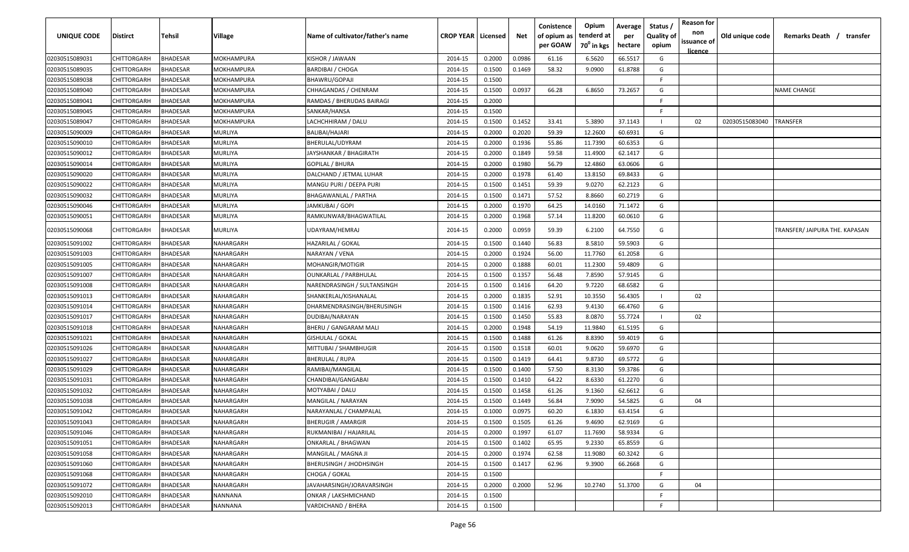| <b>UNIQUE CODE</b> | <b>Distirct</b>    | <b>Tehsil</b>   | <b>Village</b>   | Name of cultivator/father's name | <b>CROP YEAR   Licensed</b> |        | Net    | Conistence<br>of opium as<br>per GOAW | Opium<br>tenderd at<br>70 <sup>0</sup> in kgs | Average<br>per<br>hectare | Status /<br><b>Quality of</b><br>opium | <b>Reason for</b><br>non<br>issuance of<br>licence | Old unique code | Remarks Death / transfer       |
|--------------------|--------------------|-----------------|------------------|----------------------------------|-----------------------------|--------|--------|---------------------------------------|-----------------------------------------------|---------------------------|----------------------------------------|----------------------------------------------------|-----------------|--------------------------------|
| 02030515089031     | CHITTORGARH        | <b>BHADESAR</b> | MOKHAMPURA       | KISHOR / JAWAAN                  | 2014-15                     | 0.2000 | 0.0986 | 61.16                                 | 6.5620                                        | 66.5517                   | G                                      |                                                    |                 |                                |
| 02030515089035     | CHITTORGARH        | <b>BHADESAR</b> | MOKHAMPURA       | <b>BARDIBAI / CHOGA</b>          | 2014-15                     | 0.1500 | 0.1469 | 58.32                                 | 9.0900                                        | 61.8788                   | G                                      |                                                    |                 |                                |
| 02030515089038     | CHITTORGARH        | <b>BHADESAR</b> | MOKHAMPURA       | BHAWRU/GOPAJI                    | 2014-15                     | 0.1500 |        |                                       |                                               |                           | F                                      |                                                    |                 |                                |
| 02030515089040     | CHITTORGARH        | <b>BHADESAR</b> | MOKHAMPURA       | CHHAGANDAS / CHENRAM             | 2014-15                     | 0.1500 | 0.0937 | 66.28                                 | 6.8650                                        | 73.2657                   | G                                      |                                                    |                 | <b>NAME CHANGE</b>             |
| 02030515089041     | CHITTORGARH        | <b>BHADESAR</b> | MOKHAMPURA       | RAMDAS / BHERUDAS BAIRAGI        | 2014-15                     | 0.2000 |        |                                       |                                               |                           |                                        |                                                    |                 |                                |
| 02030515089045     | CHITTORGARH        | <b>BHADESAR</b> | MOKHAMPURA       | SANKAR/HANSA                     | 2014-15                     | 0.1500 |        |                                       |                                               |                           | E                                      |                                                    |                 |                                |
| 02030515089047     | CHITTORGARH        | <b>BHADESAR</b> | MOKHAMPURA       | LACHCHHIRAM / DALU               | 2014-15                     | 0.1500 | 0.1452 | 33.41                                 | 5.3890                                        | 37.1143                   |                                        | 02                                                 | 02030515083040  | TRANSFER                       |
| 02030515090009     | CHITTORGARH        | <b>BHADESAR</b> | MURLIYA          | BALIBAI/HAJARI                   | 2014-15                     | 0.2000 | 0.2020 | 59.39                                 | 12.2600                                       | 60.6931                   | G                                      |                                                    |                 |                                |
| 02030515090010     | CHITTORGARH        | <b>BHADESAR</b> | MURLIYA          | BHERULAL/UDYRAM                  | 2014-15                     | 0.2000 | 0.1936 | 55.86                                 | 11.7390                                       | 60.6353                   | G                                      |                                                    |                 |                                |
| 02030515090012     | CHITTORGARH        | <b>BHADESAR</b> | MURLIYA          | IAYSHANKAR / BHAGIRATH           | 2014-15                     | 0.2000 | 0.1849 | 59.58                                 | 11.4900                                       | 62.1417                   | G                                      |                                                    |                 |                                |
| 02030515090014     | CHITTORGARH        | <b>BHADESAR</b> | MURLIYA          | GOPILAL / BHURA                  | 2014-15                     | 0.2000 | 0.1980 | 56.79                                 | 12.4860                                       | 63.0606                   | G                                      |                                                    |                 |                                |
| 02030515090020     | CHITTORGARH        | <b>BHADESAR</b> | MURLIYA          | DALCHAND / JETMAL LUHAR          | 2014-15                     | 0.2000 | 0.1978 | 61.40                                 | 13.8150                                       | 69.8433                   | G                                      |                                                    |                 |                                |
| 02030515090022     | CHITTORGARH        | <b>BHADESAR</b> | MURLIYA          | MANGU PURI / DEEPA PURI          | 2014-15                     | 0.1500 | 0.1451 | 59.39                                 | 9.0270                                        | 62.2123                   | G                                      |                                                    |                 |                                |
| 02030515090032     | CHITTORGARH        | <b>BHADESAR</b> | MURLIYA          | BHAGAWANLAL / PARTHA             | 2014-15                     | 0.1500 | 0.1471 | 57.52                                 | 8.8660                                        | 60.2719                   | G                                      |                                                    |                 |                                |
| 02030515090046     | CHITTORGARH        | <b>BHADESAR</b> | MURLIYA          | JAMKUBAI / GOPI                  | 2014-15                     | 0.2000 | 0.1970 | 64.25                                 | 14.0160                                       | 71.1472                   | G                                      |                                                    |                 |                                |
| 02030515090051     | CHITTORGARH        | <b>BHADESAR</b> | MURLIYA          | RAMKUNWAR/BHAGWATILAL            | 2014-15                     | 0.2000 | 0.1968 | 57.14                                 | 11.8200                                       | 60.0610                   | G                                      |                                                    |                 |                                |
| 02030515090068     | CHITTORGARH        | <b>BHADESAR</b> | MURLIYA          | UDAYRAM/HEMRAJ                   | 2014-15                     | 0.2000 | 0.0959 | 59.39                                 | 6.2100                                        | 64.7550                   | G                                      |                                                    |                 | TRANSFER/ JAIPURA THE. KAPASAN |
| 02030515091002     | CHITTORGARH        | <b>BHADESAR</b> | NAHARGARH        | HAZARILAL / GOKAL                | 2014-15                     | 0.1500 | 0.1440 | 56.83                                 | 8.5810                                        | 59.5903                   | G                                      |                                                    |                 |                                |
| 02030515091003     | CHITTORGARH        | <b>BHADESAR</b> | NAHARGARH        | NARAYAN / VENA                   | 2014-15                     | 0.2000 | 0.1924 | 56.00                                 | 11.7760                                       | 61.2058                   | G                                      |                                                    |                 |                                |
| 02030515091005     | CHITTORGARH        | <b>BHADESAR</b> | NAHARGARH        | MOHANGIR/MOTIGIR                 | 2014-15                     | 0.2000 | 0.1888 | 60.01                                 | 11.2300                                       | 59.4809                   | G                                      |                                                    |                 |                                |
| 02030515091007     | CHITTORGARH        | <b>BHADESAR</b> | NAHARGARH        | <b>OUNKARLAL / PARBHULAL</b>     | 2014-15                     | 0.1500 | 0.1357 | 56.48                                 | 7.8590                                        | 57.9145                   | G                                      |                                                    |                 |                                |
| 02030515091008     | CHITTORGARH        | <b>BHADESAR</b> | NAHARGARH        | NARENDRASINGH / SULTANSINGH      | 2014-15                     | 0.1500 | 0.1416 | 64.20                                 | 9.7220                                        | 68.6582                   | G                                      |                                                    |                 |                                |
| 02030515091013     | CHITTORGARH        | <b>BHADESAR</b> | NAHARGARH        | SHANKERLAL/KISHANALAL            | 2014-15                     | 0.2000 | 0.1835 | 52.91                                 | 10.3550                                       | 56.4305                   |                                        | 02                                                 |                 |                                |
| 02030515091014     | CHITTORGARH        | <b>BHADESAR</b> | NAHARGARH        | DHARMENDRASINGH/BHERUSINGH       | 2014-15                     | 0.1500 | 0.1416 | 62.93                                 | 9.4130                                        | 66.4760                   | G                                      |                                                    |                 |                                |
| 02030515091017     | CHITTORGARH        | <b>BHADESAR</b> | NAHARGARH        | DUDIBAI/NARAYAN                  | 2014-15                     | 0.1500 | 0.1450 | 55.83                                 | 8.0870                                        | 55.7724                   |                                        | 02                                                 |                 |                                |
| 02030515091018     | CHITTORGARH        | <b>BHADESAR</b> | NAHARGARH        | BHERU / GANGARAM MALI            | 2014-15                     | 0.2000 | 0.1948 | 54.19                                 | 11.9840                                       | 61.5195                   | G                                      |                                                    |                 |                                |
| 02030515091021     | CHITTORGARH        | BHADESAR        | NAHARGARH        | GISHULAL / GOKAL                 | 2014-15                     | 0.1500 | 0.1488 | 61.26                                 | 8.8390                                        | 59.4019                   | G                                      |                                                    |                 |                                |
| 02030515091026     | CHITTORGARH        | <b>BHADESAR</b> | NAHARGARH        | MITTUBAI / SHAMBHUGIR            | 2014-15                     | 0.1500 | 0.1518 | 60.01                                 | 9.0620                                        | 59.6970                   | G                                      |                                                    |                 |                                |
| 02030515091027     | CHITTORGARH        | <b>BHADESAR</b> | NAHARGARH        | BHERULAL / RUPA                  | 2014-15                     | 0.1500 | 0.1419 | 64.41                                 | 9.8730                                        | 69.5772                   | G                                      |                                                    |                 |                                |
| 02030515091029     | CHITTORGARH        | BHADESAR        | VAHARGARH        | RAMIBAI/MANGILAL                 | 2014-15                     | 0.1500 | 0.1400 | 57.50                                 | 8.3130                                        | 59.3786                   | G                                      |                                                    |                 |                                |
| 02030515091031     | CHITTORGARH        | BHADESAR        | VAHARGARH        | CHANDIBAI/GANGABAI               | 2014-15                     | 0.1500 | 0.1410 | 64.22                                 | 8.6330                                        | 61.2270                   | G                                      |                                                    |                 |                                |
| 02030515091032     | CHITTORGARH        | <b>BHADESAR</b> | <b>VAHARGARH</b> | MOTYABAI / DALU                  | 2014-15                     | 0.1500 | 0.1458 | 61.26                                 | 9.1360                                        | 62.6612                   | G                                      |                                                    |                 |                                |
| 02030515091038     | CHITTORGARH        | <b>BHADESAR</b> | <b>VAHARGARH</b> | MANGILAL / NARAYAN               | 2014-15                     | 0.1500 | 0.1449 | 56.84                                 | 7.9090                                        | 54.5825                   | G                                      | 04                                                 |                 |                                |
| 02030515091042     | CHITTORGARH        | <b>BHADESAR</b> | NAHARGARH        | NARAYANLAL / CHAMPALAL           | 2014-15                     | 0.1000 | 0.0975 | 60.20                                 | 6.1830                                        | 63.4154                   | G                                      |                                                    |                 |                                |
| 02030515091043     | CHITTORGARH        | <b>BHADESAR</b> | NAHARGARH        | <b>BHERUGIR / AMARGIR</b>        | 2014-15                     | 0.1500 | 0.1505 | 61.26                                 | 9.4690                                        | 62.9169                   | G                                      |                                                    |                 |                                |
| 02030515091046     | CHITTORGARH        | <b>BHADESAR</b> | NAHARGARH        | RUKMANIBAI / HAJARILAL           | 2014-15                     | 0.2000 | 0.1997 | 61.07                                 | 11.7690                                       | 58.9334                   | G                                      |                                                    |                 |                                |
| 02030515091051     | CHITTORGARH        | <b>BHADESAR</b> | NAHARGARH        | ONKARLAL / BHAGWAN               | 2014-15                     | 0.1500 | 0.1402 | 65.95                                 | 9.2330                                        | 65.8559                   | G                                      |                                                    |                 |                                |
| 02030515091058     | CHITTORGARH        | <b>BHADESAR</b> | NAHARGARH        | MANGILAL / MAGNA JI              | 2014-15                     | 0.2000 | 0.1974 | 62.58                                 | 11.9080                                       | 60.3242                   | G                                      |                                                    |                 |                                |
| 02030515091060     | <b>CHITTORGARH</b> | <b>BHADESAR</b> | NAHARGARH        | <b>BHERUSINGH / JHODHSINGH</b>   | 2014-15                     | 0.1500 | 0.1417 | 62.96                                 | 9.3900                                        | 66.2668                   | G                                      |                                                    |                 |                                |
| 02030515091068     | CHITTORGARH        | <b>BHADESAR</b> | NAHARGARH        | CHOGA / GOKAL                    | 2014-15                     | 0.1500 |        |                                       |                                               |                           | F                                      |                                                    |                 |                                |
| 02030515091072     | <b>CHITTORGARH</b> | <b>BHADESAR</b> | NAHARGARH        | JAVAHARSINGH/JORAVARSINGH        | 2014-15                     | 0.2000 | 0.2000 | 52.96                                 | 10.2740                                       | 51.3700                   | G                                      | 04                                                 |                 |                                |
| 02030515092010     | CHITTORGARH        | <b>BHADESAR</b> | NANNANA          | ONKAR / LAKSHMICHAND             | 2014-15                     | 0.1500 |        |                                       |                                               |                           |                                        |                                                    |                 |                                |
| 02030515092013     | CHITTORGARH        | <b>BHADESAR</b> | NANNANA          | VARDICHAND / BHERA               | 2014-15                     | 0.1500 |        |                                       |                                               |                           | F.                                     |                                                    |                 |                                |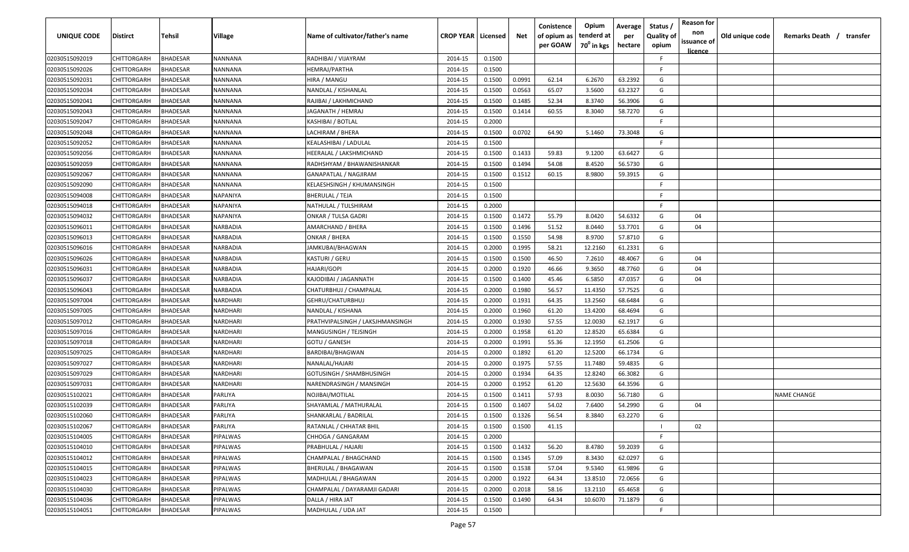| <b>UNIQUE CODE</b> | Distirct           | Tehsil          | Village  | Name of cultivator/father's name | <b>CROP YEAR   Licensed</b> |        | Net    | Conistence<br>of opium as | Opium<br>tenderd at    | Average<br>per | Status /<br><b>Quality of</b> | <b>Reason for</b><br>non<br>issuance of | Old unique code | Remarks Death / transfer |
|--------------------|--------------------|-----------------|----------|----------------------------------|-----------------------------|--------|--------|---------------------------|------------------------|----------------|-------------------------------|-----------------------------------------|-----------------|--------------------------|
|                    |                    |                 |          |                                  |                             |        |        | per GOAW                  | 70 <sup>0</sup> in kgs | hectare        | opium                         | <u>licence</u>                          |                 |                          |
| 02030515092019     | CHITTORGARH        | <b>BHADESAR</b> | NANNANA  | RADHIBAI / VIJAYRAM              | 2014-15                     | 0.1500 |        |                           |                        |                | F.                            |                                         |                 |                          |
| 02030515092026     | CHITTORGARH        | BHADESAR        | NANNANA  | HEMRAJ/PARTHA                    | 2014-15                     | 0.1500 |        |                           |                        |                | -F.                           |                                         |                 |                          |
| 02030515092031     | CHITTORGARH        | BHADESAR        | NANNANA  | HIRA / MANGU                     | 2014-15                     | 0.1500 | 0.0991 | 62.14                     | 6.2670                 | 63.2392        | G                             |                                         |                 |                          |
| 02030515092034     | CHITTORGARH        | <b>BHADESAR</b> | NANNANA  | NANDLAL / KISHANLAL              | 2014-15                     | 0.1500 | 0.0563 | 65.07                     | 3.5600                 | 63.2327        | G                             |                                         |                 |                          |
| 02030515092041     | CHITTORGARH        | BHADESAR        | NANNANA  | RAJIBAI / LAKHMICHAND            | 2014-15                     | 0.1500 | 0.1485 | 52.34                     | 8.3740                 | 56.3906        | G                             |                                         |                 |                          |
| 02030515092043     | CHITTORGARH        | <b>BHADESAR</b> | NANNANA  | JAGANATH / HEMRAJ                | 2014-15                     | 0.1500 | 0.1414 | 60.55                     | 8.3040                 | 58.7270        | G                             |                                         |                 |                          |
| 02030515092047     | CHITTORGARH        | <b>BHADESAR</b> | NANNANA  | KASHIBAI / BOTLAL                | 2014-15                     | 0.2000 |        |                           |                        |                | -F.                           |                                         |                 |                          |
| 02030515092048     | CHITTORGARH        | BHADESAR        | NANNANA  | LACHIRAM / BHERA                 | 2014-15                     | 0.1500 | 0.0702 | 64.90                     | 5.1460                 | 73.3048        | G                             |                                         |                 |                          |
| 02030515092052     | CHITTORGARH        | BHADESAR        | NANNANA  | KEALASHIBAI / LADULAL            | 2014-15                     | 0.1500 |        |                           |                        |                | -F.                           |                                         |                 |                          |
| 02030515092056     | CHITTORGARH        | BHADESAR        | NANNANA  | HEERALAL / LAKSHMICHAND          | 2014-15                     | 0.1500 | 0.1433 | 59.83                     | 9.1200                 | 63.6427        | G                             |                                         |                 |                          |
| 02030515092059     | CHITTORGARH        | BHADESAR        | NANNANA  | RADHSHYAM / BHAWANISHANKAR       | 2014-15                     | 0.1500 | 0.1494 | 54.08                     | 8.4520                 | 56.5730        | G                             |                                         |                 |                          |
| 02030515092067     | CHITTORGARH        | BHADESAR        | NANNANA  | GANAPATLAL / NAGJIRAM            | 2014-15                     | 0.1500 | 0.1512 | 60.15                     | 8.9800                 | 59.3915        | G                             |                                         |                 |                          |
| 02030515092090     | CHITTORGARH        | BHADESAR        | NANNANA  | KELAESHSINGH / KHUMANSINGH       | 2014-15                     | 0.1500 |        |                           |                        |                | -F.                           |                                         |                 |                          |
| 02030515094008     | CHITTORGARH        | <b>BHADESAR</b> | NAPANIYA | BHERULAL / TEJA                  | 2014-15                     | 0.1500 |        |                           |                        |                | F.                            |                                         |                 |                          |
| 02030515094018     | CHITTORGARH        | BHADESAR        | NAPANIYA | NATHULAL / TULSHIRAM             | 2014-15                     | 0.2000 |        |                           |                        |                | -F.                           |                                         |                 |                          |
| 02030515094032     | CHITTORGARH        | <b>BHADESAR</b> | NAPANIYA | ONKAR / TULSA GADRI              | 2014-15                     | 0.1500 | 0.1472 | 55.79                     | 8.0420                 | 54.6332        | G                             | 04                                      |                 |                          |
| 02030515096011     | CHITTORGARH        | <b>BHADESAR</b> | NARBADIA | AMARCHAND / BHERA                | 2014-15                     | 0.1500 | 0.1496 | 51.52                     | 8.0440                 | 53.7701        | G                             | 04                                      |                 |                          |
| 02030515096013     | CHITTORGARH        | <b>BHADESAR</b> | NARBADIA | ONKAR / BHERA                    | 2014-15                     | 0.1500 | 0.1550 | 54.98                     | 8.9700                 | 57.8710        | G                             |                                         |                 |                          |
| 02030515096016     | CHITTORGARH        | BHADESAR        | NARBADIA | JAMKUBAI/BHAGWAN                 | 2014-15                     | 0.2000 | 0.1995 | 58.21                     | 12.2160                | 61.2331        | G                             |                                         |                 |                          |
| 02030515096026     | CHITTORGARH        | <b>BHADESAR</b> | NARBADIA | KASTURI / GERU                   | 2014-15                     | 0.1500 | 0.1500 | 46.50                     | 7.2610                 | 48.4067        | G                             | 04                                      |                 |                          |
| 02030515096031     | CHITTORGARH        | <b>BHADESAR</b> | NARBADIA | HAJARI/GOPI                      | 2014-15                     | 0.2000 | 0.1920 | 46.66                     | 9.3650                 | 48.7760        | G                             | 04                                      |                 |                          |
| 02030515096037     | CHITTORGARH        | <b>BHADESAR</b> | NARBADIA | KAJODIBAI / JAGANNATH            | 2014-15                     | 0.1500 | 0.1400 | 45.46                     | 6.5850                 | 47.0357        | G                             | 04                                      |                 |                          |
| 02030515096043     | CHITTORGARH        | <b>BHADESAR</b> | NARBADIA | CHATURBHUJ / CHAMPALAL           | 2014-15                     | 0.2000 | 0.1980 | 56.57                     | 11.4350                | 57.7525        | G                             |                                         |                 |                          |
| 02030515097004     | CHITTORGARH        | <b>BHADESAR</b> | NARDHARI | GEHRU/CHATURBHUJ                 | 2014-15                     | 0.2000 | 0.1931 | 64.35                     | 13.2560                | 68.6484        | G                             |                                         |                 |                          |
| 02030515097005     | CHITTORGARH        | BHADESAR        | NARDHARI | NANDLAL / KISHANA                | 2014-15                     | 0.2000 | 0.1960 | 61.20                     | 13.4200                | 68.4694        | G                             |                                         |                 |                          |
| 02030515097012     | CHITTORGARH        | BHADESAR        | NARDHARI | PRATHVIPALSINGH / LAKSJHMANSINGH | 2014-15                     | 0.2000 | 0.1930 | 57.55                     | 12.0030                | 62.1917        | G                             |                                         |                 |                          |
| 02030515097016     | CHITTORGARH        | BHADESAR        | NARDHARI | MANGUSINGH / TEJSINGH            | 2014-15                     | 0.2000 | 0.1958 | 61.20                     | 12.8520                | 65.6384        | G                             |                                         |                 |                          |
| 02030515097018     | CHITTORGARH        | BHADESAR        | VARDHARI | GOTU / GANESH                    | 2014-15                     | 0.2000 | 0.1991 | 55.36                     | 12.1950                | 61.2506        | G                             |                                         |                 |                          |
| 02030515097025     | CHITTORGARH        | BHADESAR        | NARDHARI | BARDIBAI/BHAGWAN                 | 2014-15                     | 0.2000 | 0.1892 | 61.20                     | 12.5200                | 66.1734        | G                             |                                         |                 |                          |
| 02030515097027     | CHITTORGARH        | BHADESAR        | NARDHARI | NANALAL/HAJARI                   | 2014-15                     | 0.2000 | 0.1975 | 57.55                     | 11.7480                | 59.4835        | G                             |                                         |                 |                          |
| 02030515097029     | CHITTORGARH        | BHADESAR        | NARDHARI | <b>GOTUSINGH / SHAMBHUSINGH</b>  | 2014-15                     | 0.2000 | 0.1934 | 64.35                     | 12.8240                | 66.3082        | G                             |                                         |                 |                          |
| 02030515097031     | CHITTORGARH        | BHADESAR        | NARDHARI | NARENDRASINGH / MANSINGH         | 2014-15                     | 0.2000 | 0.1952 | 61.20                     | 12.5630                | 64.3596        | G                             |                                         |                 |                          |
| 02030515102021     | CHITTORGARH        | BHADESAR        | PARLIYA  | NOJIBAI/MOTILAL                  | 2014-15                     | 0.1500 | 0.1411 | 57.93                     | 8.0030                 | 56.7180        | G                             |                                         |                 | <b>NAME CHANGE</b>       |
| 02030515102039     | CHITTORGARH        | BHADESAR        | PARLIYA  | SHAYAMLAL / MATHURALAL           | 2014-15                     | 0.1500 | 0.1407 | 54.02                     | 7.6400                 | 54.2990        | G                             | 04                                      |                 |                          |
| 02030515102060     | <b>CHITTORGARH</b> | BHADESAR        | PARLIYA  | SHANKARLAL / BADRILAL            | 2014-15                     | 0.1500 | 0.1326 | 56.54                     | 8.3840                 | 63.2270        | G                             |                                         |                 |                          |
| 02030515102067     | <b>CHITTORGARH</b> | <b>BHADESAR</b> | PARLIYA  | RATANLAL / CHHATAR BHIL          | 2014-15                     | 0.1500 | 0.1500 | 41.15                     |                        |                |                               | 02                                      |                 |                          |
| 02030515104005     | CHITTORGARH        | <b>BHADESAR</b> | PIPALWAS | CHHOGA / GANGARAM                | 2014-15                     | 0.2000 |        |                           |                        |                | F.                            |                                         |                 |                          |
| 02030515104010     | <b>CHITTORGARH</b> | <b>BHADESAR</b> | PIPALWAS | PRABHULAL / HAJARI               | 2014-15                     | 0.1500 | 0.1432 | 56.20                     | 8.4780                 | 59.2039        | G                             |                                         |                 |                          |
| 02030515104012     | CHITTORGARH        | <b>BHADESAR</b> | PIPALWAS | CHAMPALAL / BHAGCHAND            | 2014-15                     | 0.1500 | 0.1345 | 57.09                     | 8.3430                 | 62.0297        | G                             |                                         |                 |                          |
| 02030515104015     | CHITTORGARH        | BHADESAR        | PIPALWAS | BHERULAL / BHAGAWAN              | 2014-15                     | 0.1500 | 0.1538 | 57.04                     | 9.5340                 | 61.9896        | G                             |                                         |                 |                          |
| 02030515104023     | CHITTORGARH        | BHADESAR        | PIPALWAS | MADHULAL / BHAGAWAN              | 2014-15                     | 0.2000 | 0.1922 | 64.34                     | 13.8510                | 72.0656        | G                             |                                         |                 |                          |
| 02030515104030     | <b>CHITTORGARH</b> | <b>BHADESAR</b> | PIPALWAS | CHAMPALAL / DAYARAMJI GADARI     | 2014-15                     | 0.2000 | 0.2018 | 58.16                     | 13.2110                | 65.4658        | G                             |                                         |                 |                          |
| 02030515104036     | CHITTORGARH        | BHADESAR        | PIPALWAS | DALLA / HIRA JAT                 | 2014-15                     | 0.1500 | 0.1490 | 64.34                     | 10.6070                | 71.1879        | G                             |                                         |                 |                          |
| 02030515104051     | <b>CHITTORGARH</b> | <b>BHADESAR</b> | PIPALWAS | MADHULAL / UDA JAT               | 2014-15                     | 0.1500 |        |                           |                        |                | F.                            |                                         |                 |                          |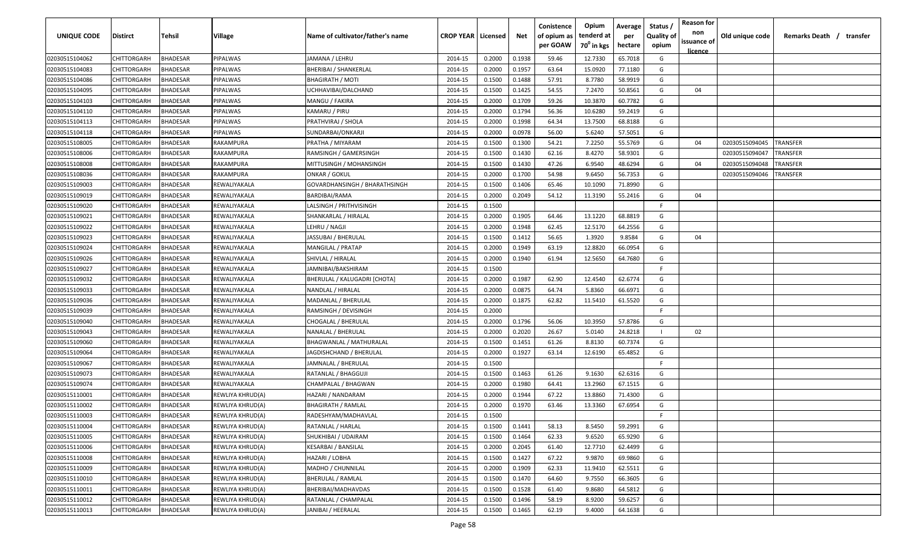| <b>UNIQUE CODE</b> | <b>Distirct</b>    | <b>Tehsil</b>   | Village          | Name of cultivator/father's name | <b>CROP YEAR   Licensed</b> |        | Net    | Conistence<br>of opium as<br>per GOAW | Opium<br>tenderd at<br>70 <sup>0</sup> in kgs | Average<br>per<br>hectare | Status /<br><b>Quality of</b><br>opium | <b>Reason for</b><br>non<br>issuance of | Old unique code | Remarks Death /<br>transfer |
|--------------------|--------------------|-----------------|------------------|----------------------------------|-----------------------------|--------|--------|---------------------------------------|-----------------------------------------------|---------------------------|----------------------------------------|-----------------------------------------|-----------------|-----------------------------|
| 02030515104062     | CHITTORGARH        | <b>BHADESAR</b> | PIPALWAS         | JAMANA / LEHRU                   | 2014-15                     | 0.2000 | 0.1938 | 59.46                                 | 12.7330                                       | 65.7018                   | G                                      | <u>licence</u>                          |                 |                             |
| 02030515104083     | CHITTORGARH        | BHADESAR        | PIPALWAS         | <b>BHERIBAI / SHANKERLAL</b>     | 2014-15                     | 0.2000 | 0.1957 | 63.64                                 | 15.0920                                       | 77.1180                   | G                                      |                                         |                 |                             |
| 02030515104086     | CHITTORGARH        | BHADESAR        | PIPALWAS         | <b>BHAGIRATH / MOTI</b>          | 2014-15                     | 0.1500 | 0.1488 | 57.91                                 | 8.7780                                        | 58.9919                   | G                                      |                                         |                 |                             |
| 02030515104095     | CHITTORGARH        | BHADESAR        | PIPALWAS         | UCHHAVIBAI/DALCHAND              | 2014-15                     | 0.1500 | 0.1425 | 54.55                                 | 7.2470                                        | 50.8561                   | G                                      | 04                                      |                 |                             |
| 02030515104103     | CHITTORGARH        | BHADESAR        | PIPALWAS         | MANGU / FAKIRA                   | 2014-15                     | 0.2000 | 0.1709 | 59.26                                 | 10.3870                                       | 60.7782                   | G                                      |                                         |                 |                             |
| 02030515104110     | CHITTORGARH        | BHADESAR        | PIPALWAS         | KAMARU / PIRU                    | 2014-15                     | 0.2000 | 0.1794 | 56.36                                 | 10.6280                                       | 59.2419                   | G                                      |                                         |                 |                             |
| 02030515104113     | CHITTORGARH        | BHADESAR        | PIPALWAS         | PRATHVIRAJ / SHOLA               | 2014-15                     | 0.2000 | 0.1998 | 64.34                                 | 13.7500                                       | 68.8188                   | G                                      |                                         |                 |                             |
| 02030515104118     | CHITTORGARH        | BHADESAR        | PIPALWAS         | SUNDARBAI/ONKARJI                | 2014-15                     | 0.2000 | 0.0978 | 56.00                                 | 5.6240                                        | 57.5051                   | G                                      |                                         |                 |                             |
| 02030515108005     | CHITTORGARH        | BHADESAR        | RAKAMPURA        | PRATHA / MIYARAM                 | 2014-15                     | 0.1500 | 0.1300 | 54.21                                 | 7.2250                                        | 55.5769                   | G                                      | 04                                      | 02030515094045  | TRANSFER                    |
| 02030515108006     | CHITTORGARH        | BHADESAR        | RAKAMPURA        | RAMSINGH / GAMERSINGH            | 2014-15                     | 0.1500 | 0.1430 | 62.16                                 | 8.4270                                        | 58.9301                   | G                                      |                                         | 02030515094047  | TRANSFER                    |
| 02030515108008     | CHITTORGARH        | BHADESAR        | RAKAMPURA        | MITTUSINGH / MOHANSINGH          | 2014-15                     | 0.1500 | 0.1430 | 47.26                                 | 6.9540                                        | 48.6294                   | G                                      | 04                                      | 02030515094048  | TRANSFER                    |
| 02030515108036     | CHITTORGARH        | BHADESAR        | RAKAMPURA        | ONKAR / GOKUL                    | 2014-15                     | 0.2000 | 0.1700 | 54.98                                 | 9.6450                                        | 56.7353                   | G                                      |                                         | 02030515094046  | TRANSFER                    |
| 02030515109003     | CHITTORGARH        | BHADESAR        | REWALIYAKALA     | GOVARDHANSINGH / BHARATHSINGH    | 2014-15                     | 0.1500 | 0.1406 | 65.46                                 | 10.1090                                       | 71.8990                   | G                                      |                                         |                 |                             |
| 02030515109019     | CHITTORGARH        | BHADESAR        | REWALIYAKALA     | BARDIBAI/RAMA                    | 2014-15                     | 0.2000 | 0.2049 | 54.12                                 | 11.3190                                       | 55.2416                   | G                                      | 04                                      |                 |                             |
| 02030515109020     | CHITTORGARH        | BHADESAR        | REWALIYAKALA     | LALSINGH / PRITHVISINGH          | 2014-15                     | 0.1500 |        |                                       |                                               |                           | F.                                     |                                         |                 |                             |
| 02030515109021     | CHITTORGARH        | BHADESAR        | REWALIYAKALA     | SHANKARLAL / HIRALAL             | 2014-15                     | 0.2000 | 0.1905 | 64.46                                 | 13.1220                                       | 68.8819                   | G                                      |                                         |                 |                             |
| 02030515109022     | CHITTORGARH        | BHADESAR        | REWALIYAKALA     | LEHRU / NAGJI                    | 2014-15                     | 0.2000 | 0.1948 | 62.45                                 | 12.5170                                       | 64.2556                   | G                                      |                                         |                 |                             |
| 02030515109023     | CHITTORGARH        | BHADESAR        | REWALIYAKALA     | JASSUBAI / BHERULAL              | 2014-15                     | 0.1500 | 0.1412 | 56.65                                 | 1.3920                                        | 9.8584                    | G                                      | 04                                      |                 |                             |
| 02030515109024     | CHITTORGARH        | BHADESAR        | REWALIYAKALA     | MANGILAL / PRATAP                | 2014-15                     | 0.2000 | 0.1949 | 63.19                                 | 12.8820                                       | 66.0954                   | G                                      |                                         |                 |                             |
| 02030515109026     | CHITTORGARH        | BHADESAR        | REWALIYAKALA     | SHIVLAL / HIRALAL                | 2014-15                     | 0.2000 | 0.1940 | 61.94                                 | 12.5650                                       | 64.7680                   | G                                      |                                         |                 |                             |
| 02030515109027     | CHITTORGARH        | BHADESAR        | REWALIYAKALA     | JAMNIBAI/BAKSHIRAM               | 2014-15                     | 0.1500 |        |                                       |                                               |                           | -F.                                    |                                         |                 |                             |
| 02030515109032     | CHITTORGARH        | BHADESAR        | REWALIYAKALA     | BHERULAL / KALUGADRI [CHOTA]     | 2014-15                     | 0.2000 | 0.1987 | 62.90                                 | 12.4540                                       | 62.6774                   | G                                      |                                         |                 |                             |
| 02030515109033     | CHITTORGARH        | BHADESAR        | REWALIYAKALA     | NANDLAL / HIRALAL                | 2014-15                     | 0.2000 | 0.0875 | 64.74                                 | 5.8360                                        | 66.6971                   | G                                      |                                         |                 |                             |
| 02030515109036     | CHITTORGARH        | BHADESAR        | REWALIYAKALA     | MADANLAL / BHERULAL              | 2014-15                     | 0.2000 | 0.1875 | 62.82                                 | 11.5410                                       | 61.5520                   | G                                      |                                         |                 |                             |
| 02030515109039     | CHITTORGARH        | BHADESAR        | REWALIYAKALA     | RAMSINGH / DEVISINGH             | 2014-15                     | 0.2000 |        |                                       |                                               |                           | -F                                     |                                         |                 |                             |
| 02030515109040     | CHITTORGARH        | BHADESAR        | REWALIYAKALA     | CHOGALAL / BHERULAL              | 2014-15                     | 0.2000 | 0.1796 | 56.06                                 | 10.3950                                       | 57.8786                   | G                                      |                                         |                 |                             |
| 02030515109043     | CHITTORGARH        | BHADESAR        | REWALIYAKALA     | NANALAL / BHERULAL               | 2014-15                     | 0.2000 | 0.2020 | 26.67                                 | 5.0140                                        | 24.8218                   | -11                                    | 02                                      |                 |                             |
| 02030515109060     | CHITTORGARH        | BHADESAR        | REWALIYAKALA     | BHAGWANLAL / MATHURALAL          | 2014-15                     | 0.1500 | 0.1451 | 61.26                                 | 8.8130                                        | 60.7374                   | G                                      |                                         |                 |                             |
| 02030515109064     | CHITTORGARH        | BHADESAR        | REWALIYAKALA     | IAGDISHCHAND / BHERULAL          | 2014-15                     | 0.2000 | 0.1927 | 63.14                                 | 12.6190                                       | 65.4852                   | G                                      |                                         |                 |                             |
| 02030515109067     | CHITTORGARH        | BHADESAR        | REWALIYAKALA     | JAMNALAL / BHERULAL              | 2014-15                     | 0.1500 |        |                                       |                                               |                           | -F.                                    |                                         |                 |                             |
| 02030515109073     | CHITTORGARH        | BHADESAR        | REWALIYAKALA     | RATANLAL / BHAGGUJI              | 2014-15                     | 0.1500 | 0.1463 | 61.26                                 | 9.1630                                        | 62.6316                   | G                                      |                                         |                 |                             |
| 02030515109074     | CHITTORGARH        | <b>BHADESAR</b> | REWALIYAKALA     | CHAMPALAL / BHAGWAN              | 2014-15                     | 0.2000 | 0.1980 | 64.41                                 | 13.2960                                       | 67.1515                   | G                                      |                                         |                 |                             |
| 02030515110001     | CHITTORGARH        | BHADESAR        | REWLIYA KHRUD(A) | HAZARI / NANDARAM                | 2014-15                     | 0.2000 | 0.1944 | 67.22                                 | 13.8860                                       | 71.4300                   | G                                      |                                         |                 |                             |
| 02030515110002     | CHITTORGARH        | BHADESAR        | REWLIYA KHRUD(A) | <b>BHAGIRATH / RAMLAL</b>        | 2014-15                     | 0.2000 | 0.1970 | 63.46                                 | 13.3360                                       | 67.6954                   | G                                      |                                         |                 |                             |
| 02030515110003     | <b>CHITTORGARH</b> | BHADESAR        | REWLIYA KHRUD(A) | RADESHYAM/MADHAVLAL              | 2014-15                     | 0.1500 |        |                                       |                                               |                           | E                                      |                                         |                 |                             |
| 02030515110004     | CHITTORGARH        | <b>BHADESAR</b> | REWLIYA KHRUD(A) | RATANLAL / HARLAL                | 2014-15                     | 0.1500 | 0.1441 | 58.13                                 | 8.5450                                        | 59.2991                   | G                                      |                                         |                 |                             |
| 02030515110005     | <b>CHITTORGARH</b> | <b>BHADESAR</b> | REWLIYA KHRUD(A) | SHUKHIBAI / UDAIRAM              | 2014-15                     | 0.1500 | 0.1464 | 62.33                                 | 9.6520                                        | 65.9290                   | G                                      |                                         |                 |                             |
| 02030515110006     | CHITTORGARH        | <b>BHADESAR</b> | REWLIYA KHRUD(A) | KESARBAI / BANSILAL              | 2014-15                     | 0.2000 | 0.2045 | 61.40                                 | 12.7710                                       | 62.4499                   | G                                      |                                         |                 |                             |
| 02030515110008     | CHITTORGARH        | <b>BHADESAR</b> | REWLIYA KHRUD(A) | HAZARI / LOBHA                   | 2014-15                     | 0.1500 | 0.1427 | 67.22                                 | 9.9870                                        | 69.9860                   | G                                      |                                         |                 |                             |
| 02030515110009     | CHITTORGARH        | <b>BHADESAR</b> | REWLIYA KHRUD(A) | MADHO / CHUNNILAL                | 2014-15                     | 0.2000 | 0.1909 | 62.33                                 | 11.9410                                       | 62.5511                   | G                                      |                                         |                 |                             |
| 02030515110010     | CHITTORGARH        | <b>BHADESAR</b> | REWLIYA KHRUD(A) | BHERULAL / RAMLAL                | 2014-15                     | 0.1500 | 0.1470 | 64.60                                 | 9.7550                                        | 66.3605                   | G                                      |                                         |                 |                             |
| 02030515110011     | <b>CHITTORGARH</b> | <b>BHADESAR</b> | REWLIYA KHRUD(A) | BHERIBAI/MADHAVDAS               | 2014-15                     | 0.1500 | 0.1528 | 61.40                                 | 9.8680                                        | 64.5812                   | G                                      |                                         |                 |                             |
| 02030515110012     | <b>CHITTORGARH</b> | <b>BHADESAR</b> | REWLIYA KHRUD(A) | RATANLAL / CHAMPALAL             | 2014-15                     | 0.1500 | 0.1496 | 58.19                                 | 8.9200                                        | 59.6257                   | G                                      |                                         |                 |                             |
| 02030515110013     | CHITTORGARH        | BHADESAR        | REWLIYA KHRUD(A) | JANIBAI / HEERALAL               | 2014-15                     | 0.1500 | 0.1465 | 62.19                                 | 9.4000                                        | 64.1638                   | G                                      |                                         |                 |                             |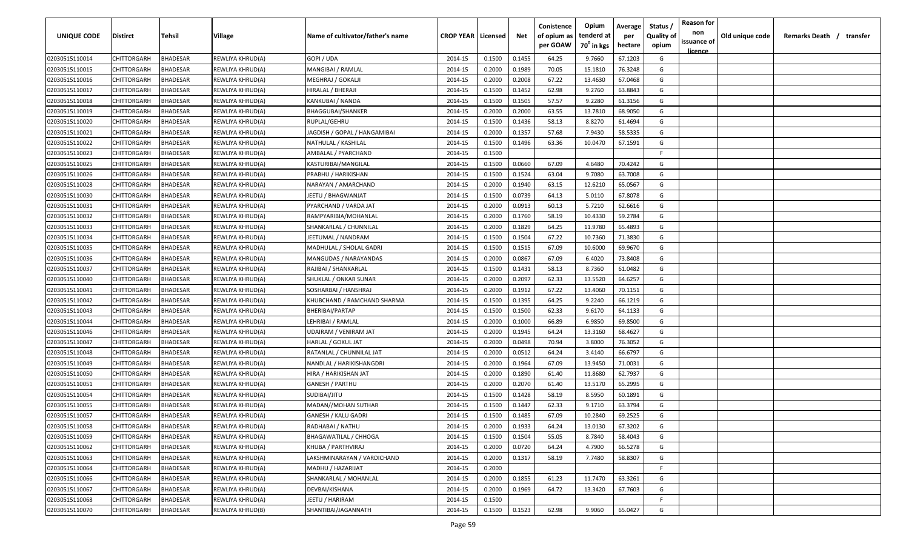| <b>UNIQUE CODE</b>               | <b>Distirct</b>            | <b>Tehsil</b>   | Village                              | Name of cultivator/father's name                  | <b>CROP YEAR   Licensed</b> |                  | Net              | Conistence<br>of opium as<br>per GOAW | Opium<br>tenderd at<br>70 <sup>°</sup> in kgs | Average<br>per<br>hectare | Status /<br><b>Quality of</b><br>opium | <b>Reason for</b><br>non<br>issuance of | Old unique code | Remarks Death / | transfer |
|----------------------------------|----------------------------|-----------------|--------------------------------------|---------------------------------------------------|-----------------------------|------------------|------------------|---------------------------------------|-----------------------------------------------|---------------------------|----------------------------------------|-----------------------------------------|-----------------|-----------------|----------|
| 02030515110014                   | CHITTORGARH                | <b>BHADESAR</b> | REWLIYA KHRUD(A)                     | GOPI / UDA                                        | 2014-15                     | 0.1500           | 0.1455           | 64.25                                 | 9.7660                                        | 67.1203                   | G                                      | <u>licence</u>                          |                 |                 |          |
| 02030515110015                   | CHITTORGARH                | BHADESAR        | REWLIYA KHRUD(A)                     | MANGIBAI / RAMLAL                                 | 2014-15                     | 0.2000           | 0.1989           | 70.05                                 | 15.1810                                       | 76.3248                   | G                                      |                                         |                 |                 |          |
| 02030515110016                   | CHITTORGARH                | BHADESAR        | REWLIYA KHRUD(A)                     | MEGHRAJ / GOKALJI                                 | 2014-15                     | 0.2000           | 0.2008           | 67.22                                 | 13.4630                                       | 67.0468                   | G                                      |                                         |                 |                 |          |
| 02030515110017                   | CHITTORGARH                | BHADESAR        | REWLIYA KHRUD(A)                     | HIRALAL / BHERAJI                                 | 2014-15                     | 0.1500           | 0.1452           | 62.98                                 | 9.2760                                        | 63.8843                   | G                                      |                                         |                 |                 |          |
| 02030515110018                   | CHITTORGARH                | BHADESAR        | REWLIYA KHRUD(A)                     | KANKUBAI / NANDA                                  | 2014-15                     | 0.1500           | 0.1505           | 57.57                                 | 9.2280                                        | 61.3156                   | G                                      |                                         |                 |                 |          |
| 02030515110019                   | CHITTORGARH                | BHADESAR        | REWLIYA KHRUD(A)                     | <b>BHAGGUBAI/SHANKER</b>                          | 2014-15                     | 0.2000           | 0.2000           | 63.55                                 | 13.7810                                       | 68.9050                   | G                                      |                                         |                 |                 |          |
| 02030515110020                   | CHITTORGARH                | BHADESAR        | REWLIYA KHRUD(A)                     | RUPLAL/GEHRU                                      | 2014-15                     | 0.1500           | 0.1436           | 58.13                                 | 8.8270                                        | 61.4694                   | G                                      |                                         |                 |                 |          |
| 02030515110021                   | CHITTORGARH                | BHADESAR        | REWLIYA KHRUD(A)                     | JAGDISH / GOPAL / HANGAMIBAI                      | 2014-15                     | 0.2000           | 0.1357           | 57.68                                 | 7.9430                                        | 58.5335                   | G                                      |                                         |                 |                 |          |
| 02030515110022                   | CHITTORGARH                | BHADESAR        | REWLIYA KHRUD(A)                     | NATHULAL / KASHILAL                               | 2014-15                     | 0.1500           | 0.1496           | 63.36                                 | 10.0470                                       | 67.1591                   | G                                      |                                         |                 |                 |          |
| 02030515110023                   | CHITTORGARH                | BHADESAR        | REWLIYA KHRUD(A)                     | AMBALAL / PYARCHAND                               | 2014-15                     | 0.1500           |                  |                                       |                                               |                           | -F                                     |                                         |                 |                 |          |
| 02030515110025                   | CHITTORGARH                | BHADESAR        | REWLIYA KHRUD(A)                     | KASTURIBAI/MANGILAL                               | 2014-15                     | 0.1500           | 0.0660           | 67.09                                 | 4.6480                                        | 70.4242                   | G                                      |                                         |                 |                 |          |
| 02030515110026                   | CHITTORGARH                | BHADESAR        | REWLIYA KHRUD(A)                     | PRABHU / HARIKISHAN                               | 2014-15                     | 0.1500           | 0.1524           | 63.04                                 | 9.7080                                        | 63.7008                   | G                                      |                                         |                 |                 |          |
| 02030515110028                   | CHITTORGARH                | BHADESAR        | REWLIYA KHRUD(A)                     | NARAYAN / AMARCHAND                               | 2014-15                     | 0.2000           | 0.1940           | 63.15                                 | 12.6210                                       | 65.0567                   | G                                      |                                         |                 |                 |          |
| 02030515110030                   | CHITTORGARH                | BHADESAR        | REWLIYA KHRUD(A)                     | JEETU / BHAGWANJAT                                | 2014-15                     | 0.1500           | 0.0739           | 64.13                                 | 5.0110                                        | 67.8078                   | G                                      |                                         |                 |                 |          |
| 02030515110031                   | CHITTORGARH                | BHADESAR        | REWLIYA KHRUD(A)                     | PYARCHAND / VARDA JAT                             | 2014-15                     | 0.2000           | 0.0913           | 60.13                                 | 5.7210                                        | 62.6616                   | G                                      |                                         |                 |                 |          |
| 02030515110032                   | CHITTORGARH                | BHADESAR        | REWLIYA KHRUD(A)                     | RAMPYARIBIA/MOHANLAL                              | 2014-15                     | 0.2000           | 0.1760           | 58.19                                 | 10.4330                                       | 59.2784                   | G                                      |                                         |                 |                 |          |
| 02030515110033                   | CHITTORGARH                | BHADESAR        | REWLIYA KHRUD(A)                     | SHANKARLAL / CHUNNILAL                            | 2014-15                     | 0.2000           | 0.1829           | 64.25                                 | 11.9780                                       | 65.4893                   | G                                      |                                         |                 |                 |          |
| 02030515110034                   | CHITTORGARH                | BHADESAR        | REWLIYA KHRUD(A)                     | JEETUMAL / NANDRAM                                | 2014-15                     | 0.1500           | 0.1504           | 67.22                                 | 10.7360                                       | 71.3830                   | G                                      |                                         |                 |                 |          |
| 02030515110035                   | CHITTORGARH                | BHADESAR        | REWLIYA KHRUD(A)                     | MADHULAL / SHOLAL GADRI                           | 2014-15                     | 0.1500           | 0.1515           | 67.09                                 | 10.6000                                       | 69.9670                   | G                                      |                                         |                 |                 |          |
| 02030515110036                   | CHITTORGARH                | BHADESAR        | REWLIYA KHRUD(A)                     | MANGUDAS / NARAYANDAS                             | 2014-15                     | 0.2000           | 0.0867           | 67.09                                 | 6.4020                                        | 73.8408                   | G                                      |                                         |                 |                 |          |
| 02030515110037                   | CHITTORGARH                | BHADESAR        | REWLIYA KHRUD(A)                     | RAJIBAI / SHANKARLAL                              | 2014-15                     | 0.1500           | 0.1431           | 58.13                                 | 8.7360                                        | 61.0482                   | G                                      |                                         |                 |                 |          |
| 02030515110040                   | CHITTORGARH                | BHADESAR        | REWLIYA KHRUD(A)                     | SHUKLAL / ONKAR SUNAR                             | 2014-15                     | 0.2000           | 0.2097           | 62.33                                 | 13.5520                                       | 64.6257                   | G                                      |                                         |                 |                 |          |
| 02030515110041                   | CHITTORGARH                | BHADESAR        | REWLIYA KHRUD(A)                     | SOSHARBAI / HANSHRAJ                              | 2014-15                     | 0.2000           | 0.1912           | 67.22                                 | 13.4060                                       | 70.1151                   | G                                      |                                         |                 |                 |          |
| 02030515110042                   | CHITTORGARH                | BHADESAR        | REWLIYA KHRUD(A)                     | KHUBCHAND / RAMCHAND SHARMA                       | 2014-15                     | 0.1500           | 0.1395           | 64.25                                 | 9.2240                                        | 66.1219                   | G                                      |                                         |                 |                 |          |
| 02030515110043                   | CHITTORGARH                | BHADESAR        | REWLIYA KHRUD(A)                     | BHERIBAI/PARTAP                                   | 2014-15                     | 0.1500           | 0.1500           | 62.33                                 | 9.6170                                        | 64.1133                   | G                                      |                                         |                 |                 |          |
| 02030515110044                   | CHITTORGARH                | BHADESAR        | REWLIYA KHRUD(A)                     | LEHRIBAI / RAMLAL                                 | 2014-15                     | 0.2000           | 0.1000           | 66.89                                 | 6.9850                                        | 69.8500                   | G                                      |                                         |                 |                 |          |
| 02030515110046                   | CHITTORGARH                | BHADESAR        |                                      | UDAIRAM / VENIRAM JAT                             | 2014-15                     | 0.2000           | 0.1945           | 64.24                                 | 13.3160                                       | 68.4627                   | G                                      |                                         |                 |                 |          |
|                                  |                            | BHADESAR        | REWLIYA KHRUD(A)                     |                                                   | 2014-15                     | 0.2000           | 0.0498           | 70.94                                 | 3.8000                                        | 76.3052                   | G                                      |                                         |                 |                 |          |
| 02030515110047                   | CHITTORGARH<br>CHITTORGARH | BHADESAR        | REWLIYA KHRUD(A)                     | HARLAL / GOKUL JAT                                |                             | 0.2000           |                  | 64.24                                 | 3.4140                                        | 66.6797                   | G                                      |                                         |                 |                 |          |
| 02030515110048                   | CHITTORGARH                | BHADESAR        | REWLIYA KHRUD(A)                     | RATANLAL / CHUNNILAL JAT                          | 2014-15<br>2014-15          |                  | 0.0512           | 67.09                                 | 13.9450                                       | 71.0031                   | G                                      |                                         |                 |                 |          |
| 02030515110049<br>02030515110050 | CHITTORGARH                | BHADESAR        | REWLIYA KHRUD(A)<br>REWLIYA KHRUD(A) | NANDLAL / HARIKISHANGDRI<br>HIRA / HARIKISHAN JAT |                             | 0.2000<br>0.2000 | 0.1964<br>0.1890 | 61.40                                 | 11.8680                                       | 62.7937                   | G                                      |                                         |                 |                 |          |
| 02030515110051                   | CHITTORGARH                | <b>BHADESAR</b> |                                      | <b>GANESH / PARTHU</b>                            | 2014-15<br>2014-15          | 0.2000           | 0.2070           | 61.40                                 | 13.5170                                       | 65.2995                   | G                                      |                                         |                 |                 |          |
| 02030515110054                   | CHITTORGARH                | BHADESAR        | REWLIYA KHRUD(A)                     | SUDIBAI/JITU                                      | 2014-15                     | 0.1500           |                  | 58.19                                 | 8.5950                                        | 60.1891                   | G                                      |                                         |                 |                 |          |
| 02030515110055                   | CHITTORGARH                | BHADESAR        | REWLIYA KHRUD(A)                     | MADAN//MOHAN SUTHAR                               | 2014-15                     | 0.1500           | 0.1428<br>0.1447 | 62.33                                 | 9.1710                                        | 63.3794                   | G                                      |                                         |                 |                 |          |
|                                  | CHITTORGARH                | BHADESAR        | REWLIYA KHRUD(A)                     | <b>GANESH / KALU GADRI</b>                        | 2014-15                     | 0.1500           | 0.1485           | 67.09                                 | 10.2840                                       | 69.2525                   | G                                      |                                         |                 |                 |          |
| 02030515110057                   |                            | <b>BHADESAR</b> | REWLIYA KHRUD(A)                     |                                                   |                             | 0.2000           |                  |                                       |                                               |                           |                                        |                                         |                 |                 |          |
| 02030515110058                   | CHITTORGARH                |                 | REWLIYA KHRUD(A)                     | RADHABAI / NATHU                                  | 2014-15                     |                  | 0.1933           | 64.24                                 | 13.0130                                       | 67.3202                   | G                                      |                                         |                 |                 |          |
| 02030515110059                   | <b>CHITTORGARH</b>         | <b>BHADESAR</b> | REWLIYA KHRUD(A)                     | <b>BHAGAWATILAL / CHHOGA</b>                      | 2014-15                     | 0.1500           | 0.1504           | 55.05                                 | 8.7840                                        | 58.4043                   | G                                      |                                         |                 |                 |          |
| 02030515110062                   | <b>CHITTORGARH</b>         | <b>BHADESAR</b> | REWLIYA KHRUD(A)                     | KHUBA / PARTHVIRAJ                                | 2014-15                     | 0.2000           | 0.0720           | 64.24                                 | 4.7900                                        | 66.5278                   | G                                      |                                         |                 |                 |          |
| 02030515110063                   | CHITTORGARH                | <b>BHADESAR</b> | REWLIYA KHRUD(A)                     | LAKSHMINARAYAN / VARDICHAND                       | 2014-15                     | 0.2000           | 0.1317           | 58.19                                 | 7.7480                                        | 58.8307                   | G                                      |                                         |                 |                 |          |
| 02030515110064                   | CHITTORGARH                | <b>BHADESAR</b> | REWLIYA KHRUD(A)                     | MADHU / HAZARIJAT                                 | 2014-15                     | 0.2000           |                  |                                       |                                               |                           | $\mathsf{F}$                           |                                         |                 |                 |          |
| 02030515110066                   | CHITTORGARH                | <b>BHADESAR</b> | REWLIYA KHRUD(A)                     | SHANKARLAL / MOHANLAL                             | 2014-15                     | 0.2000           | 0.1855           | 61.23                                 | 11.7470                                       | 63.3261                   | G                                      |                                         |                 |                 |          |
| 02030515110067                   | <b>CHITTORGARH</b>         | <b>BHADESAR</b> | REWLIYA KHRUD(A)                     | DEVBAI/KISHANA                                    | 2014-15                     | 0.2000           | 0.1969           | 64.72                                 | 13.3420                                       | 67.7603                   | G                                      |                                         |                 |                 |          |
| 02030515110068                   | <b>CHITTORGARH</b>         | BHADESAR        | REWLIYA KHRUD(A)                     | JEETU / HARIRAM                                   | 2014-15                     | 0.1500           |                  |                                       |                                               |                           | F.                                     |                                         |                 |                 |          |
| 02030515110070                   | <b>CHITTORGARH</b>         | BHADESAR        | REWLIYA KHRUD(B)                     | SHANTIBAI/JAGANNATH                               | 2014-15                     | 0.1500           | 0.1523           | 62.98                                 | 9.9060                                        | 65.0427                   | G                                      |                                         |                 |                 |          |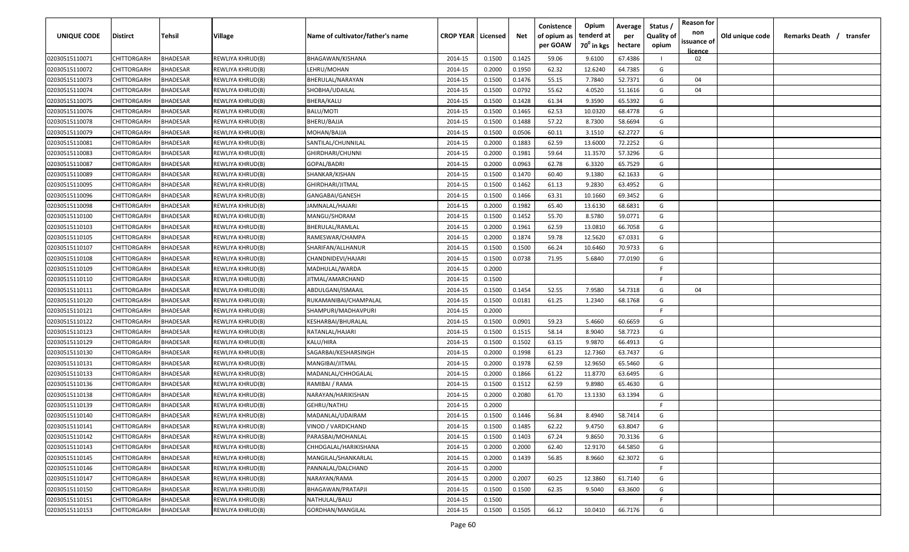| per GOAW<br>70 <sup>0</sup> in kgs<br>hectare<br>opium<br><u>licence</u><br>02030515110071<br>CHITTORGARH<br><b>BHADESAR</b><br>REWLIYA KHRUD(B)<br>BHAGAWAN/KISHANA<br>2014-15<br>0.1500<br>0.1425<br>59.06<br>9.6100<br>67.4386<br>02<br>CHITTORGARH<br>BHADESAR<br>LEHRU/MOHAN<br>2014-15<br>0.2000<br>0.1950<br>62.32<br>12.6240<br>64.7385<br>G<br>02030515110072<br>REWLIYA KHRUD(B)<br>G<br>BHADESAR<br>0.1476<br>55.15<br>7.7840<br>52.7371<br>04<br>02030515110073<br>CHITTORGARH<br>REWLIYA KHRUD(B)<br>BHERULAL/NARAYAN<br>2014-15<br>0.1500<br>CHITTORGARH<br>BHADESAR<br>SHOBHA/UDAILAL<br>0.1500<br>0.0792<br>55.62<br>4.0520<br>51.1616<br>G<br>02030515110074<br>REWLIYA KHRUD(B)<br>2014-15<br>04<br>02030515110075<br>CHITTORGARH<br>BHADESAR<br>REWLIYA KHRUD(B)<br>BHERA/KALU<br>2014-15<br>0.1500<br>0.1428<br>61.34<br>9.3590<br>65.5392<br>G<br>02030515110076<br>CHITTORGARH<br>BHADESAR<br>REWLIYA KHRUD(B)<br>BALU/MOTI<br>2014-15<br>0.1500<br>0.1465<br>62.53<br>10.0320<br>68.4778<br>G<br>2014-15<br>0.1488<br>57.22<br>02030515110078<br>CHITTORGARH<br>BHADESAR<br>REWLIYA KHRUD(B)<br>BHERU/BAJJA<br>0.1500<br>8.7300<br>58.6694<br>G<br>0.1500<br>0.0506<br>02030515110079<br>CHITTORGARH<br>BHADESAR<br>MOHAN/BAJJA<br>2014-15<br>60.11<br>3.1510<br>62.2727<br>G<br>REWLIYA KHRUD(B)<br>0.1883<br>02030515110081<br>CHITTORGARH<br>BHADESAR<br>SANTILAL/CHUNNILAL<br>2014-15<br>0.2000<br>62.59<br>13.6000<br>72.2252<br>G<br>REWLIYA KHRUD(B)<br>BHADESAR<br>0.2000<br>0.1981<br>59.64<br>11.3570<br>57.3296<br>G<br>02030515110083<br>CHITTORGARH<br>REWLIYA KHRUD(B)<br>GHIRDHARI/CHUNNI<br>2014-15<br>62.78<br>G<br>2014-15<br>0.2000<br>0.0963<br>6.3320<br>65.7529<br>02030515110087<br>CHITTORGARH<br>BHADESAR<br>REWLIYA KHRUD(B)<br>GOPAL/BADRI<br>CHITTORGARH<br>BHADESAR<br>0.1470<br>60.40<br>9.1380<br>62.1633<br>G<br>02030515110089<br>SHANKAR/KISHAN<br>2014-15<br>0.1500<br>REWLIYA KHRUD(B)<br>CHITTORGARH<br>BHADESAR<br>2014-15<br>0.1500<br>0.1462<br>61.13<br>9.2830<br>63.4952<br>G<br>02030515110095<br>REWLIYA KHRUD(B)<br>GHIRDHARI/JITMAL<br>63.31<br>CHITTORGARH<br>BHADESAR<br>2014-15<br>0.1500<br>0.1466<br>10.1660<br>69.3452<br>G<br>02030515110096<br>REWLIYA KHRUD(B)<br>GANGABAI/GANESH<br>65.40<br>13.6130<br>68.6831<br>G<br>CHITTORGARH<br>BHADESAR<br>2014-15<br>0.2000<br>0.1982<br>02030515110098<br>REWLIYA KHRUD(B)<br>JAMNALAL/HAJARI<br>0.1452<br>CHITTORGARH<br>BHADESAR<br>MANGU/SHORAM<br>2014-15<br>0.1500<br>55.70<br>8.5780<br>59.0771<br>G<br>02030515110100<br>REWLIYA KHRUD(B)<br>0.1961<br>62.59<br>13.0810<br>66.7058<br>CHITTORGARH<br>BHADESAR<br>BHERULAL/RAMLAL<br>2014-15<br>0.2000<br>G<br>02030515110103<br>REWLIYA KHRUD(B)<br>02030515110105<br>CHITTORGARH<br>BHADESAR<br>REWLIYA KHRUD(B)<br>RAMESWAR/CHAMPA<br>2014-15<br>0.2000<br>0.1874<br>59.78<br>12.5620<br>67.0331<br>G<br>02030515110107<br>CHITTORGARH<br>BHADESAR<br>2014-15<br>0.1500<br>0.1500<br>66.24<br>10.6460<br>70.9733<br>G<br>REWLIYA KHRUD(B)<br>SHARIFAN/ALLHANUR<br>0.0738<br>77.0190<br>02030515110108<br>CHITTORGARH<br>BHADESAR<br>REWLIYA KHRUD(B)<br>CHANDNIDEVI/HAJARI<br>2014-15<br>0.1500<br>71.95<br>5.6840<br>G<br>02030515110109<br>CHITTORGARH<br>BHADESAR<br>REWLIYA KHRUD(B)<br>2014-15<br>0.2000<br>-F.<br>MADHULAL/WARDA<br>02030515110110<br>CHITTORGARH<br>BHADESAR<br>REWLIYA KHRUD(B)<br>JITMAL/AMARCHAND<br>2014-15<br>0.1500<br>-F.<br>0.1454<br>52.55<br>G<br>02030515110111<br>CHITTORGARH<br>BHADESAR<br>REWLIYA KHRUD(B)<br>ABDULGANI/ISMAAIL<br>2014-15<br>0.1500<br>7.9580<br>54.7318<br>04<br>02030515110120<br>CHITTORGARH<br>BHADESAR<br>RUKAMANIBAI/CHAMPALAL<br>2014-15<br>61.25<br>1.2340<br>68.1768<br>G<br>REWLIYA KHRUD(B)<br>0.1500<br>0.0181<br>0.2000<br>02030515110121<br>CHITTORGARH<br>BHADESAR<br>REWLIYA KHRUD(B)<br>SHAMPURI/MADHAVPURI<br>2014-15<br>-F<br>0.0901<br>59.23<br>60.6659<br>02030515110122<br>CHITTORGARH<br>BHADESAR<br>KESHARBAI/BHURALAL<br>2014-15<br>0.1500<br>5.4660<br>G<br>REWLIYA KHRUD(B)<br>02030515110123<br>CHITTORGARH<br>BHADESAR<br>2014-15<br>0.1500<br>0.1515<br>58.14<br>8.9040<br>58.7723<br>G<br>REWLIYA KHRUD(B)<br>RATANLAL/HAJARI<br>63.15<br>G<br>BHADESAR<br>2014-15<br>0.1500<br>0.1502<br>9.9870<br>66.4913<br>02030515110129<br>CHITTORGARH<br>REWLIYA KHRUD(B)<br>KALU/HIRA<br>CHITTORGARH<br>BHADESAR<br>0.2000<br>0.1998<br>61.23<br>12.7360<br>63.7437<br>G<br>02030515110130<br>REWLIYA KHRUD(B)<br>SAGARBAI/KESHARSINGH<br>2014-15<br>62.59<br>12.9650<br>CHITTORGARH<br>BHADESAR<br>2014-15<br>0.2000<br>0.1978<br>65.5460<br>G<br>02030515110131<br>REWLIYA KHRUD(B)<br>MANGIBAI/JITMAL<br>CHITTORGARH<br>BHADESAR<br>0.2000<br>0.1866<br>61.22<br>11.8770<br>63.6495<br>G<br>02030515110133<br>REWLIYA KHRUD(B)<br>MADANLAL/CHHOGALAL<br>2014-15<br><b>BHADESAR</b><br>62.59<br>9.8980<br>65.4630<br>CHITTORGARH<br>RAMIBAI / RAMA<br>2014-15<br>0.1500<br>0.1512<br>G<br>02030515110136<br>REWLIYA KHRUD(B)<br>02030515110138<br>CHITTORGARH<br>BHADESAR<br>2014-15<br>0.2000<br>0.2080<br>61.70<br>13.1330<br>63.1394<br>G<br>REWLIYA KHRUD(B)<br>NARAYAN/HARIKISHAN<br>02030515110139<br>CHITTORGARH<br>BHADESAR<br>GEHRU/NATHU<br>2014-15<br>0.2000<br>F<br>REWLIYA KHRUD(B)<br>CHITTORGARH<br>BHADESAR<br>MADANLAL/UDAIRAM<br>2014-15<br>0.1500<br>0.1446<br>56.84<br>8.4940<br>58.7414<br>G<br>02030515110140<br>REWLIYA KHRUD(B)<br>0.1500<br>63.8047<br>02030515110141<br><b>CHITTORGARH</b><br><b>BHADESAR</b><br>REWLIYA KHRUD(B)<br>VINOD / VARDICHAND<br>2014-15<br>0.1485<br>62.22<br>9.4750<br>G<br>0.1403<br>G<br>02030515110142<br><b>CHITTORGARH</b><br><b>BHADESAR</b><br>REWLIYA KHRUD(B)<br>PARASBAI/MOHANLAL<br>2014-15<br>0.1500<br>67.24<br>9.8650<br>70.3136<br>02030515110143<br><b>CHITTORGARH</b><br><b>BHADESAR</b><br>REWLIYA KHRUD(B)<br>0.2000<br>62.40<br>64.5850<br>G<br>CHHOGALAL/HARIKISHANA<br>2014-15<br>0.2000<br>12.9170<br>02030515110145<br>CHITTORGARH<br><b>BHADESAR</b><br>REWLIYA KHRUD(B)<br>0.2000<br>0.1439<br>62.3072<br>G<br>MANGILAL/SHANKARLAL<br>2014-15<br>56.85<br>8.9660<br>F<br>02030515110146<br>CHITTORGARH<br><b>BHADESAR</b><br>REWLIYA KHRUD(B)<br>2014-15<br>0.2000<br>PANNALAL/DALCHAND<br>02030515110147<br><b>CHITTORGARH</b><br><b>BHADESAR</b><br>0.2000<br>0.2007<br>60.25<br>12.3860<br>G<br>REWLIYA KHRUD(B)<br>NARAYAN/RAMA<br>2014-15<br>61.7140<br>02030515110150<br>CHITTORGARH<br>0.1500<br>0.1500<br>62.35<br>9.5040<br>63.3600<br>G<br><b>BHADESAR</b><br>REWLIYA KHRUD(B)<br>BHAGAWAN/PRATAPJI<br>2014-15<br>F.<br>02030515110151<br>CHITTORGARH<br><b>BHADESAR</b><br>REWLIYA KHRUD(B)<br>NATHULAL/BALU<br>2014-15<br>0.1500 | <b>UNIQUE CODE</b> | <b>Distirct</b> | <b>Tehsil</b> | Village | Name of cultivator/father's name | <b>CROP YEAR   Licensed</b> | Net | Conistence<br>of opium as | Opium<br>tenderd at | Average<br>per | Status /<br><b>Quality of</b> | <b>Reason for</b><br>non<br>issuance of | Old unique code | Remarks Death / | transfer |
|------------------------------------------------------------------------------------------------------------------------------------------------------------------------------------------------------------------------------------------------------------------------------------------------------------------------------------------------------------------------------------------------------------------------------------------------------------------------------------------------------------------------------------------------------------------------------------------------------------------------------------------------------------------------------------------------------------------------------------------------------------------------------------------------------------------------------------------------------------------------------------------------------------------------------------------------------------------------------------------------------------------------------------------------------------------------------------------------------------------------------------------------------------------------------------------------------------------------------------------------------------------------------------------------------------------------------------------------------------------------------------------------------------------------------------------------------------------------------------------------------------------------------------------------------------------------------------------------------------------------------------------------------------------------------------------------------------------------------------------------------------------------------------------------------------------------------------------------------------------------------------------------------------------------------------------------------------------------------------------------------------------------------------------------------------------------------------------------------------------------------------------------------------------------------------------------------------------------------------------------------------------------------------------------------------------------------------------------------------------------------------------------------------------------------------------------------------------------------------------------------------------------------------------------------------------------------------------------------------------------------------------------------------------------------------------------------------------------------------------------------------------------------------------------------------------------------------------------------------------------------------------------------------------------------------------------------------------------------------------------------------------------------------------------------------------------------------------------------------------------------------------------------------------------------------------------------------------------------------------------------------------------------------------------------------------------------------------------------------------------------------------------------------------------------------------------------------------------------------------------------------------------------------------------------------------------------------------------------------------------------------------------------------------------------------------------------------------------------------------------------------------------------------------------------------------------------------------------------------------------------------------------------------------------------------------------------------------------------------------------------------------------------------------------------------------------------------------------------------------------------------------------------------------------------------------------------------------------------------------------------------------------------------------------------------------------------------------------------------------------------------------------------------------------------------------------------------------------------------------------------------------------------------------------------------------------------------------------------------------------------------------------------------------------------------------------------------------------------------------------------------------------------------------------------------------------------------------------------------------------------------------------------------------------------------------------------------------------------------------------------------------------------------------------------------------------------------------------------------------------------------------------------------------------------------------------------------------------------------------------------------------------------------------------------------------------------------------------------------------------------------------------------------------------------------------------------------------------------------------------------------------------------------------------------------------------------------------------------------------------------------------------------------------------------------------------------------------------------------------------------------------------------------------------------------------------------------------------------------------------------------------------------------------------------------------------------------------------------------------------------------------------------------------------------------------------------------------------------------------------------------------------------------------------------------------------------------------------------------------------------------------------------------------------------------------------------------------------------------------------------------------------------------------------------------------------------------------------------------------------------------------------------------------------------------------------------------------------------------------------------------------------------------------------------------------------|--------------------|-----------------|---------------|---------|----------------------------------|-----------------------------|-----|---------------------------|---------------------|----------------|-------------------------------|-----------------------------------------|-----------------|-----------------|----------|
|                                                                                                                                                                                                                                                                                                                                                                                                                                                                                                                                                                                                                                                                                                                                                                                                                                                                                                                                                                                                                                                                                                                                                                                                                                                                                                                                                                                                                                                                                                                                                                                                                                                                                                                                                                                                                                                                                                                                                                                                                                                                                                                                                                                                                                                                                                                                                                                                                                                                                                                                                                                                                                                                                                                                                                                                                                                                                                                                                                                                                                                                                                                                                                                                                                                                                                                                                                                                                                                                                                                                                                                                                                                                                                                                                                                                                                                                                                                                                                                                                                                                                                                                                                                                                                                                                                                                                                                                                                                                                                                                                                                                                                                                                                                                                                                                                                                                                                                                                                                                                                                                                                                                                                                                                                                                                                                                                                                                                                                                                                                                                                                                                                                                                                                                                                                                                                                                                                                                                                                                                                                                                                                                                                                                                                                                                                                                                                                                                                                                                                                                                                                                                                                                                                |                    |                 |               |         |                                  |                             |     |                           |                     |                |                               |                                         |                 |                 |          |
|                                                                                                                                                                                                                                                                                                                                                                                                                                                                                                                                                                                                                                                                                                                                                                                                                                                                                                                                                                                                                                                                                                                                                                                                                                                                                                                                                                                                                                                                                                                                                                                                                                                                                                                                                                                                                                                                                                                                                                                                                                                                                                                                                                                                                                                                                                                                                                                                                                                                                                                                                                                                                                                                                                                                                                                                                                                                                                                                                                                                                                                                                                                                                                                                                                                                                                                                                                                                                                                                                                                                                                                                                                                                                                                                                                                                                                                                                                                                                                                                                                                                                                                                                                                                                                                                                                                                                                                                                                                                                                                                                                                                                                                                                                                                                                                                                                                                                                                                                                                                                                                                                                                                                                                                                                                                                                                                                                                                                                                                                                                                                                                                                                                                                                                                                                                                                                                                                                                                                                                                                                                                                                                                                                                                                                                                                                                                                                                                                                                                                                                                                                                                                                                                                                |                    |                 |               |         |                                  |                             |     |                           |                     |                |                               |                                         |                 |                 |          |
|                                                                                                                                                                                                                                                                                                                                                                                                                                                                                                                                                                                                                                                                                                                                                                                                                                                                                                                                                                                                                                                                                                                                                                                                                                                                                                                                                                                                                                                                                                                                                                                                                                                                                                                                                                                                                                                                                                                                                                                                                                                                                                                                                                                                                                                                                                                                                                                                                                                                                                                                                                                                                                                                                                                                                                                                                                                                                                                                                                                                                                                                                                                                                                                                                                                                                                                                                                                                                                                                                                                                                                                                                                                                                                                                                                                                                                                                                                                                                                                                                                                                                                                                                                                                                                                                                                                                                                                                                                                                                                                                                                                                                                                                                                                                                                                                                                                                                                                                                                                                                                                                                                                                                                                                                                                                                                                                                                                                                                                                                                                                                                                                                                                                                                                                                                                                                                                                                                                                                                                                                                                                                                                                                                                                                                                                                                                                                                                                                                                                                                                                                                                                                                                                                                |                    |                 |               |         |                                  |                             |     |                           |                     |                |                               |                                         |                 |                 |          |
|                                                                                                                                                                                                                                                                                                                                                                                                                                                                                                                                                                                                                                                                                                                                                                                                                                                                                                                                                                                                                                                                                                                                                                                                                                                                                                                                                                                                                                                                                                                                                                                                                                                                                                                                                                                                                                                                                                                                                                                                                                                                                                                                                                                                                                                                                                                                                                                                                                                                                                                                                                                                                                                                                                                                                                                                                                                                                                                                                                                                                                                                                                                                                                                                                                                                                                                                                                                                                                                                                                                                                                                                                                                                                                                                                                                                                                                                                                                                                                                                                                                                                                                                                                                                                                                                                                                                                                                                                                                                                                                                                                                                                                                                                                                                                                                                                                                                                                                                                                                                                                                                                                                                                                                                                                                                                                                                                                                                                                                                                                                                                                                                                                                                                                                                                                                                                                                                                                                                                                                                                                                                                                                                                                                                                                                                                                                                                                                                                                                                                                                                                                                                                                                                                                |                    |                 |               |         |                                  |                             |     |                           |                     |                |                               |                                         |                 |                 |          |
|                                                                                                                                                                                                                                                                                                                                                                                                                                                                                                                                                                                                                                                                                                                                                                                                                                                                                                                                                                                                                                                                                                                                                                                                                                                                                                                                                                                                                                                                                                                                                                                                                                                                                                                                                                                                                                                                                                                                                                                                                                                                                                                                                                                                                                                                                                                                                                                                                                                                                                                                                                                                                                                                                                                                                                                                                                                                                                                                                                                                                                                                                                                                                                                                                                                                                                                                                                                                                                                                                                                                                                                                                                                                                                                                                                                                                                                                                                                                                                                                                                                                                                                                                                                                                                                                                                                                                                                                                                                                                                                                                                                                                                                                                                                                                                                                                                                                                                                                                                                                                                                                                                                                                                                                                                                                                                                                                                                                                                                                                                                                                                                                                                                                                                                                                                                                                                                                                                                                                                                                                                                                                                                                                                                                                                                                                                                                                                                                                                                                                                                                                                                                                                                                                                |                    |                 |               |         |                                  |                             |     |                           |                     |                |                               |                                         |                 |                 |          |
|                                                                                                                                                                                                                                                                                                                                                                                                                                                                                                                                                                                                                                                                                                                                                                                                                                                                                                                                                                                                                                                                                                                                                                                                                                                                                                                                                                                                                                                                                                                                                                                                                                                                                                                                                                                                                                                                                                                                                                                                                                                                                                                                                                                                                                                                                                                                                                                                                                                                                                                                                                                                                                                                                                                                                                                                                                                                                                                                                                                                                                                                                                                                                                                                                                                                                                                                                                                                                                                                                                                                                                                                                                                                                                                                                                                                                                                                                                                                                                                                                                                                                                                                                                                                                                                                                                                                                                                                                                                                                                                                                                                                                                                                                                                                                                                                                                                                                                                                                                                                                                                                                                                                                                                                                                                                                                                                                                                                                                                                                                                                                                                                                                                                                                                                                                                                                                                                                                                                                                                                                                                                                                                                                                                                                                                                                                                                                                                                                                                                                                                                                                                                                                                                                                |                    |                 |               |         |                                  |                             |     |                           |                     |                |                               |                                         |                 |                 |          |
|                                                                                                                                                                                                                                                                                                                                                                                                                                                                                                                                                                                                                                                                                                                                                                                                                                                                                                                                                                                                                                                                                                                                                                                                                                                                                                                                                                                                                                                                                                                                                                                                                                                                                                                                                                                                                                                                                                                                                                                                                                                                                                                                                                                                                                                                                                                                                                                                                                                                                                                                                                                                                                                                                                                                                                                                                                                                                                                                                                                                                                                                                                                                                                                                                                                                                                                                                                                                                                                                                                                                                                                                                                                                                                                                                                                                                                                                                                                                                                                                                                                                                                                                                                                                                                                                                                                                                                                                                                                                                                                                                                                                                                                                                                                                                                                                                                                                                                                                                                                                                                                                                                                                                                                                                                                                                                                                                                                                                                                                                                                                                                                                                                                                                                                                                                                                                                                                                                                                                                                                                                                                                                                                                                                                                                                                                                                                                                                                                                                                                                                                                                                                                                                                                                |                    |                 |               |         |                                  |                             |     |                           |                     |                |                               |                                         |                 |                 |          |
|                                                                                                                                                                                                                                                                                                                                                                                                                                                                                                                                                                                                                                                                                                                                                                                                                                                                                                                                                                                                                                                                                                                                                                                                                                                                                                                                                                                                                                                                                                                                                                                                                                                                                                                                                                                                                                                                                                                                                                                                                                                                                                                                                                                                                                                                                                                                                                                                                                                                                                                                                                                                                                                                                                                                                                                                                                                                                                                                                                                                                                                                                                                                                                                                                                                                                                                                                                                                                                                                                                                                                                                                                                                                                                                                                                                                                                                                                                                                                                                                                                                                                                                                                                                                                                                                                                                                                                                                                                                                                                                                                                                                                                                                                                                                                                                                                                                                                                                                                                                                                                                                                                                                                                                                                                                                                                                                                                                                                                                                                                                                                                                                                                                                                                                                                                                                                                                                                                                                                                                                                                                                                                                                                                                                                                                                                                                                                                                                                                                                                                                                                                                                                                                                                                |                    |                 |               |         |                                  |                             |     |                           |                     |                |                               |                                         |                 |                 |          |
|                                                                                                                                                                                                                                                                                                                                                                                                                                                                                                                                                                                                                                                                                                                                                                                                                                                                                                                                                                                                                                                                                                                                                                                                                                                                                                                                                                                                                                                                                                                                                                                                                                                                                                                                                                                                                                                                                                                                                                                                                                                                                                                                                                                                                                                                                                                                                                                                                                                                                                                                                                                                                                                                                                                                                                                                                                                                                                                                                                                                                                                                                                                                                                                                                                                                                                                                                                                                                                                                                                                                                                                                                                                                                                                                                                                                                                                                                                                                                                                                                                                                                                                                                                                                                                                                                                                                                                                                                                                                                                                                                                                                                                                                                                                                                                                                                                                                                                                                                                                                                                                                                                                                                                                                                                                                                                                                                                                                                                                                                                                                                                                                                                                                                                                                                                                                                                                                                                                                                                                                                                                                                                                                                                                                                                                                                                                                                                                                                                                                                                                                                                                                                                                                                                |                    |                 |               |         |                                  |                             |     |                           |                     |                |                               |                                         |                 |                 |          |
|                                                                                                                                                                                                                                                                                                                                                                                                                                                                                                                                                                                                                                                                                                                                                                                                                                                                                                                                                                                                                                                                                                                                                                                                                                                                                                                                                                                                                                                                                                                                                                                                                                                                                                                                                                                                                                                                                                                                                                                                                                                                                                                                                                                                                                                                                                                                                                                                                                                                                                                                                                                                                                                                                                                                                                                                                                                                                                                                                                                                                                                                                                                                                                                                                                                                                                                                                                                                                                                                                                                                                                                                                                                                                                                                                                                                                                                                                                                                                                                                                                                                                                                                                                                                                                                                                                                                                                                                                                                                                                                                                                                                                                                                                                                                                                                                                                                                                                                                                                                                                                                                                                                                                                                                                                                                                                                                                                                                                                                                                                                                                                                                                                                                                                                                                                                                                                                                                                                                                                                                                                                                                                                                                                                                                                                                                                                                                                                                                                                                                                                                                                                                                                                                                                |                    |                 |               |         |                                  |                             |     |                           |                     |                |                               |                                         |                 |                 |          |
|                                                                                                                                                                                                                                                                                                                                                                                                                                                                                                                                                                                                                                                                                                                                                                                                                                                                                                                                                                                                                                                                                                                                                                                                                                                                                                                                                                                                                                                                                                                                                                                                                                                                                                                                                                                                                                                                                                                                                                                                                                                                                                                                                                                                                                                                                                                                                                                                                                                                                                                                                                                                                                                                                                                                                                                                                                                                                                                                                                                                                                                                                                                                                                                                                                                                                                                                                                                                                                                                                                                                                                                                                                                                                                                                                                                                                                                                                                                                                                                                                                                                                                                                                                                                                                                                                                                                                                                                                                                                                                                                                                                                                                                                                                                                                                                                                                                                                                                                                                                                                                                                                                                                                                                                                                                                                                                                                                                                                                                                                                                                                                                                                                                                                                                                                                                                                                                                                                                                                                                                                                                                                                                                                                                                                                                                                                                                                                                                                                                                                                                                                                                                                                                                                                |                    |                 |               |         |                                  |                             |     |                           |                     |                |                               |                                         |                 |                 |          |
|                                                                                                                                                                                                                                                                                                                                                                                                                                                                                                                                                                                                                                                                                                                                                                                                                                                                                                                                                                                                                                                                                                                                                                                                                                                                                                                                                                                                                                                                                                                                                                                                                                                                                                                                                                                                                                                                                                                                                                                                                                                                                                                                                                                                                                                                                                                                                                                                                                                                                                                                                                                                                                                                                                                                                                                                                                                                                                                                                                                                                                                                                                                                                                                                                                                                                                                                                                                                                                                                                                                                                                                                                                                                                                                                                                                                                                                                                                                                                                                                                                                                                                                                                                                                                                                                                                                                                                                                                                                                                                                                                                                                                                                                                                                                                                                                                                                                                                                                                                                                                                                                                                                                                                                                                                                                                                                                                                                                                                                                                                                                                                                                                                                                                                                                                                                                                                                                                                                                                                                                                                                                                                                                                                                                                                                                                                                                                                                                                                                                                                                                                                                                                                                                                                |                    |                 |               |         |                                  |                             |     |                           |                     |                |                               |                                         |                 |                 |          |
|                                                                                                                                                                                                                                                                                                                                                                                                                                                                                                                                                                                                                                                                                                                                                                                                                                                                                                                                                                                                                                                                                                                                                                                                                                                                                                                                                                                                                                                                                                                                                                                                                                                                                                                                                                                                                                                                                                                                                                                                                                                                                                                                                                                                                                                                                                                                                                                                                                                                                                                                                                                                                                                                                                                                                                                                                                                                                                                                                                                                                                                                                                                                                                                                                                                                                                                                                                                                                                                                                                                                                                                                                                                                                                                                                                                                                                                                                                                                                                                                                                                                                                                                                                                                                                                                                                                                                                                                                                                                                                                                                                                                                                                                                                                                                                                                                                                                                                                                                                                                                                                                                                                                                                                                                                                                                                                                                                                                                                                                                                                                                                                                                                                                                                                                                                                                                                                                                                                                                                                                                                                                                                                                                                                                                                                                                                                                                                                                                                                                                                                                                                                                                                                                                                |                    |                 |               |         |                                  |                             |     |                           |                     |                |                               |                                         |                 |                 |          |
|                                                                                                                                                                                                                                                                                                                                                                                                                                                                                                                                                                                                                                                                                                                                                                                                                                                                                                                                                                                                                                                                                                                                                                                                                                                                                                                                                                                                                                                                                                                                                                                                                                                                                                                                                                                                                                                                                                                                                                                                                                                                                                                                                                                                                                                                                                                                                                                                                                                                                                                                                                                                                                                                                                                                                                                                                                                                                                                                                                                                                                                                                                                                                                                                                                                                                                                                                                                                                                                                                                                                                                                                                                                                                                                                                                                                                                                                                                                                                                                                                                                                                                                                                                                                                                                                                                                                                                                                                                                                                                                                                                                                                                                                                                                                                                                                                                                                                                                                                                                                                                                                                                                                                                                                                                                                                                                                                                                                                                                                                                                                                                                                                                                                                                                                                                                                                                                                                                                                                                                                                                                                                                                                                                                                                                                                                                                                                                                                                                                                                                                                                                                                                                                                                                |                    |                 |               |         |                                  |                             |     |                           |                     |                |                               |                                         |                 |                 |          |
|                                                                                                                                                                                                                                                                                                                                                                                                                                                                                                                                                                                                                                                                                                                                                                                                                                                                                                                                                                                                                                                                                                                                                                                                                                                                                                                                                                                                                                                                                                                                                                                                                                                                                                                                                                                                                                                                                                                                                                                                                                                                                                                                                                                                                                                                                                                                                                                                                                                                                                                                                                                                                                                                                                                                                                                                                                                                                                                                                                                                                                                                                                                                                                                                                                                                                                                                                                                                                                                                                                                                                                                                                                                                                                                                                                                                                                                                                                                                                                                                                                                                                                                                                                                                                                                                                                                                                                                                                                                                                                                                                                                                                                                                                                                                                                                                                                                                                                                                                                                                                                                                                                                                                                                                                                                                                                                                                                                                                                                                                                                                                                                                                                                                                                                                                                                                                                                                                                                                                                                                                                                                                                                                                                                                                                                                                                                                                                                                                                                                                                                                                                                                                                                                                                |                    |                 |               |         |                                  |                             |     |                           |                     |                |                               |                                         |                 |                 |          |
|                                                                                                                                                                                                                                                                                                                                                                                                                                                                                                                                                                                                                                                                                                                                                                                                                                                                                                                                                                                                                                                                                                                                                                                                                                                                                                                                                                                                                                                                                                                                                                                                                                                                                                                                                                                                                                                                                                                                                                                                                                                                                                                                                                                                                                                                                                                                                                                                                                                                                                                                                                                                                                                                                                                                                                                                                                                                                                                                                                                                                                                                                                                                                                                                                                                                                                                                                                                                                                                                                                                                                                                                                                                                                                                                                                                                                                                                                                                                                                                                                                                                                                                                                                                                                                                                                                                                                                                                                                                                                                                                                                                                                                                                                                                                                                                                                                                                                                                                                                                                                                                                                                                                                                                                                                                                                                                                                                                                                                                                                                                                                                                                                                                                                                                                                                                                                                                                                                                                                                                                                                                                                                                                                                                                                                                                                                                                                                                                                                                                                                                                                                                                                                                                                                |                    |                 |               |         |                                  |                             |     |                           |                     |                |                               |                                         |                 |                 |          |
|                                                                                                                                                                                                                                                                                                                                                                                                                                                                                                                                                                                                                                                                                                                                                                                                                                                                                                                                                                                                                                                                                                                                                                                                                                                                                                                                                                                                                                                                                                                                                                                                                                                                                                                                                                                                                                                                                                                                                                                                                                                                                                                                                                                                                                                                                                                                                                                                                                                                                                                                                                                                                                                                                                                                                                                                                                                                                                                                                                                                                                                                                                                                                                                                                                                                                                                                                                                                                                                                                                                                                                                                                                                                                                                                                                                                                                                                                                                                                                                                                                                                                                                                                                                                                                                                                                                                                                                                                                                                                                                                                                                                                                                                                                                                                                                                                                                                                                                                                                                                                                                                                                                                                                                                                                                                                                                                                                                                                                                                                                                                                                                                                                                                                                                                                                                                                                                                                                                                                                                                                                                                                                                                                                                                                                                                                                                                                                                                                                                                                                                                                                                                                                                                                                |                    |                 |               |         |                                  |                             |     |                           |                     |                |                               |                                         |                 |                 |          |
|                                                                                                                                                                                                                                                                                                                                                                                                                                                                                                                                                                                                                                                                                                                                                                                                                                                                                                                                                                                                                                                                                                                                                                                                                                                                                                                                                                                                                                                                                                                                                                                                                                                                                                                                                                                                                                                                                                                                                                                                                                                                                                                                                                                                                                                                                                                                                                                                                                                                                                                                                                                                                                                                                                                                                                                                                                                                                                                                                                                                                                                                                                                                                                                                                                                                                                                                                                                                                                                                                                                                                                                                                                                                                                                                                                                                                                                                                                                                                                                                                                                                                                                                                                                                                                                                                                                                                                                                                                                                                                                                                                                                                                                                                                                                                                                                                                                                                                                                                                                                                                                                                                                                                                                                                                                                                                                                                                                                                                                                                                                                                                                                                                                                                                                                                                                                                                                                                                                                                                                                                                                                                                                                                                                                                                                                                                                                                                                                                                                                                                                                                                                                                                                                                                |                    |                 |               |         |                                  |                             |     |                           |                     |                |                               |                                         |                 |                 |          |
|                                                                                                                                                                                                                                                                                                                                                                                                                                                                                                                                                                                                                                                                                                                                                                                                                                                                                                                                                                                                                                                                                                                                                                                                                                                                                                                                                                                                                                                                                                                                                                                                                                                                                                                                                                                                                                                                                                                                                                                                                                                                                                                                                                                                                                                                                                                                                                                                                                                                                                                                                                                                                                                                                                                                                                                                                                                                                                                                                                                                                                                                                                                                                                                                                                                                                                                                                                                                                                                                                                                                                                                                                                                                                                                                                                                                                                                                                                                                                                                                                                                                                                                                                                                                                                                                                                                                                                                                                                                                                                                                                                                                                                                                                                                                                                                                                                                                                                                                                                                                                                                                                                                                                                                                                                                                                                                                                                                                                                                                                                                                                                                                                                                                                                                                                                                                                                                                                                                                                                                                                                                                                                                                                                                                                                                                                                                                                                                                                                                                                                                                                                                                                                                                                                |                    |                 |               |         |                                  |                             |     |                           |                     |                |                               |                                         |                 |                 |          |
|                                                                                                                                                                                                                                                                                                                                                                                                                                                                                                                                                                                                                                                                                                                                                                                                                                                                                                                                                                                                                                                                                                                                                                                                                                                                                                                                                                                                                                                                                                                                                                                                                                                                                                                                                                                                                                                                                                                                                                                                                                                                                                                                                                                                                                                                                                                                                                                                                                                                                                                                                                                                                                                                                                                                                                                                                                                                                                                                                                                                                                                                                                                                                                                                                                                                                                                                                                                                                                                                                                                                                                                                                                                                                                                                                                                                                                                                                                                                                                                                                                                                                                                                                                                                                                                                                                                                                                                                                                                                                                                                                                                                                                                                                                                                                                                                                                                                                                                                                                                                                                                                                                                                                                                                                                                                                                                                                                                                                                                                                                                                                                                                                                                                                                                                                                                                                                                                                                                                                                                                                                                                                                                                                                                                                                                                                                                                                                                                                                                                                                                                                                                                                                                                                                |                    |                 |               |         |                                  |                             |     |                           |                     |                |                               |                                         |                 |                 |          |
|                                                                                                                                                                                                                                                                                                                                                                                                                                                                                                                                                                                                                                                                                                                                                                                                                                                                                                                                                                                                                                                                                                                                                                                                                                                                                                                                                                                                                                                                                                                                                                                                                                                                                                                                                                                                                                                                                                                                                                                                                                                                                                                                                                                                                                                                                                                                                                                                                                                                                                                                                                                                                                                                                                                                                                                                                                                                                                                                                                                                                                                                                                                                                                                                                                                                                                                                                                                                                                                                                                                                                                                                                                                                                                                                                                                                                                                                                                                                                                                                                                                                                                                                                                                                                                                                                                                                                                                                                                                                                                                                                                                                                                                                                                                                                                                                                                                                                                                                                                                                                                                                                                                                                                                                                                                                                                                                                                                                                                                                                                                                                                                                                                                                                                                                                                                                                                                                                                                                                                                                                                                                                                                                                                                                                                                                                                                                                                                                                                                                                                                                                                                                                                                                                                |                    |                 |               |         |                                  |                             |     |                           |                     |                |                               |                                         |                 |                 |          |
|                                                                                                                                                                                                                                                                                                                                                                                                                                                                                                                                                                                                                                                                                                                                                                                                                                                                                                                                                                                                                                                                                                                                                                                                                                                                                                                                                                                                                                                                                                                                                                                                                                                                                                                                                                                                                                                                                                                                                                                                                                                                                                                                                                                                                                                                                                                                                                                                                                                                                                                                                                                                                                                                                                                                                                                                                                                                                                                                                                                                                                                                                                                                                                                                                                                                                                                                                                                                                                                                                                                                                                                                                                                                                                                                                                                                                                                                                                                                                                                                                                                                                                                                                                                                                                                                                                                                                                                                                                                                                                                                                                                                                                                                                                                                                                                                                                                                                                                                                                                                                                                                                                                                                                                                                                                                                                                                                                                                                                                                                                                                                                                                                                                                                                                                                                                                                                                                                                                                                                                                                                                                                                                                                                                                                                                                                                                                                                                                                                                                                                                                                                                                                                                                                                |                    |                 |               |         |                                  |                             |     |                           |                     |                |                               |                                         |                 |                 |          |
|                                                                                                                                                                                                                                                                                                                                                                                                                                                                                                                                                                                                                                                                                                                                                                                                                                                                                                                                                                                                                                                                                                                                                                                                                                                                                                                                                                                                                                                                                                                                                                                                                                                                                                                                                                                                                                                                                                                                                                                                                                                                                                                                                                                                                                                                                                                                                                                                                                                                                                                                                                                                                                                                                                                                                                                                                                                                                                                                                                                                                                                                                                                                                                                                                                                                                                                                                                                                                                                                                                                                                                                                                                                                                                                                                                                                                                                                                                                                                                                                                                                                                                                                                                                                                                                                                                                                                                                                                                                                                                                                                                                                                                                                                                                                                                                                                                                                                                                                                                                                                                                                                                                                                                                                                                                                                                                                                                                                                                                                                                                                                                                                                                                                                                                                                                                                                                                                                                                                                                                                                                                                                                                                                                                                                                                                                                                                                                                                                                                                                                                                                                                                                                                                                                |                    |                 |               |         |                                  |                             |     |                           |                     |                |                               |                                         |                 |                 |          |
|                                                                                                                                                                                                                                                                                                                                                                                                                                                                                                                                                                                                                                                                                                                                                                                                                                                                                                                                                                                                                                                                                                                                                                                                                                                                                                                                                                                                                                                                                                                                                                                                                                                                                                                                                                                                                                                                                                                                                                                                                                                                                                                                                                                                                                                                                                                                                                                                                                                                                                                                                                                                                                                                                                                                                                                                                                                                                                                                                                                                                                                                                                                                                                                                                                                                                                                                                                                                                                                                                                                                                                                                                                                                                                                                                                                                                                                                                                                                                                                                                                                                                                                                                                                                                                                                                                                                                                                                                                                                                                                                                                                                                                                                                                                                                                                                                                                                                                                                                                                                                                                                                                                                                                                                                                                                                                                                                                                                                                                                                                                                                                                                                                                                                                                                                                                                                                                                                                                                                                                                                                                                                                                                                                                                                                                                                                                                                                                                                                                                                                                                                                                                                                                                                                |                    |                 |               |         |                                  |                             |     |                           |                     |                |                               |                                         |                 |                 |          |
|                                                                                                                                                                                                                                                                                                                                                                                                                                                                                                                                                                                                                                                                                                                                                                                                                                                                                                                                                                                                                                                                                                                                                                                                                                                                                                                                                                                                                                                                                                                                                                                                                                                                                                                                                                                                                                                                                                                                                                                                                                                                                                                                                                                                                                                                                                                                                                                                                                                                                                                                                                                                                                                                                                                                                                                                                                                                                                                                                                                                                                                                                                                                                                                                                                                                                                                                                                                                                                                                                                                                                                                                                                                                                                                                                                                                                                                                                                                                                                                                                                                                                                                                                                                                                                                                                                                                                                                                                                                                                                                                                                                                                                                                                                                                                                                                                                                                                                                                                                                                                                                                                                                                                                                                                                                                                                                                                                                                                                                                                                                                                                                                                                                                                                                                                                                                                                                                                                                                                                                                                                                                                                                                                                                                                                                                                                                                                                                                                                                                                                                                                                                                                                                                                                |                    |                 |               |         |                                  |                             |     |                           |                     |                |                               |                                         |                 |                 |          |
|                                                                                                                                                                                                                                                                                                                                                                                                                                                                                                                                                                                                                                                                                                                                                                                                                                                                                                                                                                                                                                                                                                                                                                                                                                                                                                                                                                                                                                                                                                                                                                                                                                                                                                                                                                                                                                                                                                                                                                                                                                                                                                                                                                                                                                                                                                                                                                                                                                                                                                                                                                                                                                                                                                                                                                                                                                                                                                                                                                                                                                                                                                                                                                                                                                                                                                                                                                                                                                                                                                                                                                                                                                                                                                                                                                                                                                                                                                                                                                                                                                                                                                                                                                                                                                                                                                                                                                                                                                                                                                                                                                                                                                                                                                                                                                                                                                                                                                                                                                                                                                                                                                                                                                                                                                                                                                                                                                                                                                                                                                                                                                                                                                                                                                                                                                                                                                                                                                                                                                                                                                                                                                                                                                                                                                                                                                                                                                                                                                                                                                                                                                                                                                                                                                |                    |                 |               |         |                                  |                             |     |                           |                     |                |                               |                                         |                 |                 |          |
|                                                                                                                                                                                                                                                                                                                                                                                                                                                                                                                                                                                                                                                                                                                                                                                                                                                                                                                                                                                                                                                                                                                                                                                                                                                                                                                                                                                                                                                                                                                                                                                                                                                                                                                                                                                                                                                                                                                                                                                                                                                                                                                                                                                                                                                                                                                                                                                                                                                                                                                                                                                                                                                                                                                                                                                                                                                                                                                                                                                                                                                                                                                                                                                                                                                                                                                                                                                                                                                                                                                                                                                                                                                                                                                                                                                                                                                                                                                                                                                                                                                                                                                                                                                                                                                                                                                                                                                                                                                                                                                                                                                                                                                                                                                                                                                                                                                                                                                                                                                                                                                                                                                                                                                                                                                                                                                                                                                                                                                                                                                                                                                                                                                                                                                                                                                                                                                                                                                                                                                                                                                                                                                                                                                                                                                                                                                                                                                                                                                                                                                                                                                                                                                                                                |                    |                 |               |         |                                  |                             |     |                           |                     |                |                               |                                         |                 |                 |          |
|                                                                                                                                                                                                                                                                                                                                                                                                                                                                                                                                                                                                                                                                                                                                                                                                                                                                                                                                                                                                                                                                                                                                                                                                                                                                                                                                                                                                                                                                                                                                                                                                                                                                                                                                                                                                                                                                                                                                                                                                                                                                                                                                                                                                                                                                                                                                                                                                                                                                                                                                                                                                                                                                                                                                                                                                                                                                                                                                                                                                                                                                                                                                                                                                                                                                                                                                                                                                                                                                                                                                                                                                                                                                                                                                                                                                                                                                                                                                                                                                                                                                                                                                                                                                                                                                                                                                                                                                                                                                                                                                                                                                                                                                                                                                                                                                                                                                                                                                                                                                                                                                                                                                                                                                                                                                                                                                                                                                                                                                                                                                                                                                                                                                                                                                                                                                                                                                                                                                                                                                                                                                                                                                                                                                                                                                                                                                                                                                                                                                                                                                                                                                                                                                                                |                    |                 |               |         |                                  |                             |     |                           |                     |                |                               |                                         |                 |                 |          |
|                                                                                                                                                                                                                                                                                                                                                                                                                                                                                                                                                                                                                                                                                                                                                                                                                                                                                                                                                                                                                                                                                                                                                                                                                                                                                                                                                                                                                                                                                                                                                                                                                                                                                                                                                                                                                                                                                                                                                                                                                                                                                                                                                                                                                                                                                                                                                                                                                                                                                                                                                                                                                                                                                                                                                                                                                                                                                                                                                                                                                                                                                                                                                                                                                                                                                                                                                                                                                                                                                                                                                                                                                                                                                                                                                                                                                                                                                                                                                                                                                                                                                                                                                                                                                                                                                                                                                                                                                                                                                                                                                                                                                                                                                                                                                                                                                                                                                                                                                                                                                                                                                                                                                                                                                                                                                                                                                                                                                                                                                                                                                                                                                                                                                                                                                                                                                                                                                                                                                                                                                                                                                                                                                                                                                                                                                                                                                                                                                                                                                                                                                                                                                                                                                                |                    |                 |               |         |                                  |                             |     |                           |                     |                |                               |                                         |                 |                 |          |
|                                                                                                                                                                                                                                                                                                                                                                                                                                                                                                                                                                                                                                                                                                                                                                                                                                                                                                                                                                                                                                                                                                                                                                                                                                                                                                                                                                                                                                                                                                                                                                                                                                                                                                                                                                                                                                                                                                                                                                                                                                                                                                                                                                                                                                                                                                                                                                                                                                                                                                                                                                                                                                                                                                                                                                                                                                                                                                                                                                                                                                                                                                                                                                                                                                                                                                                                                                                                                                                                                                                                                                                                                                                                                                                                                                                                                                                                                                                                                                                                                                                                                                                                                                                                                                                                                                                                                                                                                                                                                                                                                                                                                                                                                                                                                                                                                                                                                                                                                                                                                                                                                                                                                                                                                                                                                                                                                                                                                                                                                                                                                                                                                                                                                                                                                                                                                                                                                                                                                                                                                                                                                                                                                                                                                                                                                                                                                                                                                                                                                                                                                                                                                                                                                                |                    |                 |               |         |                                  |                             |     |                           |                     |                |                               |                                         |                 |                 |          |
|                                                                                                                                                                                                                                                                                                                                                                                                                                                                                                                                                                                                                                                                                                                                                                                                                                                                                                                                                                                                                                                                                                                                                                                                                                                                                                                                                                                                                                                                                                                                                                                                                                                                                                                                                                                                                                                                                                                                                                                                                                                                                                                                                                                                                                                                                                                                                                                                                                                                                                                                                                                                                                                                                                                                                                                                                                                                                                                                                                                                                                                                                                                                                                                                                                                                                                                                                                                                                                                                                                                                                                                                                                                                                                                                                                                                                                                                                                                                                                                                                                                                                                                                                                                                                                                                                                                                                                                                                                                                                                                                                                                                                                                                                                                                                                                                                                                                                                                                                                                                                                                                                                                                                                                                                                                                                                                                                                                                                                                                                                                                                                                                                                                                                                                                                                                                                                                                                                                                                                                                                                                                                                                                                                                                                                                                                                                                                                                                                                                                                                                                                                                                                                                                                                |                    |                 |               |         |                                  |                             |     |                           |                     |                |                               |                                         |                 |                 |          |
|                                                                                                                                                                                                                                                                                                                                                                                                                                                                                                                                                                                                                                                                                                                                                                                                                                                                                                                                                                                                                                                                                                                                                                                                                                                                                                                                                                                                                                                                                                                                                                                                                                                                                                                                                                                                                                                                                                                                                                                                                                                                                                                                                                                                                                                                                                                                                                                                                                                                                                                                                                                                                                                                                                                                                                                                                                                                                                                                                                                                                                                                                                                                                                                                                                                                                                                                                                                                                                                                                                                                                                                                                                                                                                                                                                                                                                                                                                                                                                                                                                                                                                                                                                                                                                                                                                                                                                                                                                                                                                                                                                                                                                                                                                                                                                                                                                                                                                                                                                                                                                                                                                                                                                                                                                                                                                                                                                                                                                                                                                                                                                                                                                                                                                                                                                                                                                                                                                                                                                                                                                                                                                                                                                                                                                                                                                                                                                                                                                                                                                                                                                                                                                                                                                |                    |                 |               |         |                                  |                             |     |                           |                     |                |                               |                                         |                 |                 |          |
|                                                                                                                                                                                                                                                                                                                                                                                                                                                                                                                                                                                                                                                                                                                                                                                                                                                                                                                                                                                                                                                                                                                                                                                                                                                                                                                                                                                                                                                                                                                                                                                                                                                                                                                                                                                                                                                                                                                                                                                                                                                                                                                                                                                                                                                                                                                                                                                                                                                                                                                                                                                                                                                                                                                                                                                                                                                                                                                                                                                                                                                                                                                                                                                                                                                                                                                                                                                                                                                                                                                                                                                                                                                                                                                                                                                                                                                                                                                                                                                                                                                                                                                                                                                                                                                                                                                                                                                                                                                                                                                                                                                                                                                                                                                                                                                                                                                                                                                                                                                                                                                                                                                                                                                                                                                                                                                                                                                                                                                                                                                                                                                                                                                                                                                                                                                                                                                                                                                                                                                                                                                                                                                                                                                                                                                                                                                                                                                                                                                                                                                                                                                                                                                                                                |                    |                 |               |         |                                  |                             |     |                           |                     |                |                               |                                         |                 |                 |          |
|                                                                                                                                                                                                                                                                                                                                                                                                                                                                                                                                                                                                                                                                                                                                                                                                                                                                                                                                                                                                                                                                                                                                                                                                                                                                                                                                                                                                                                                                                                                                                                                                                                                                                                                                                                                                                                                                                                                                                                                                                                                                                                                                                                                                                                                                                                                                                                                                                                                                                                                                                                                                                                                                                                                                                                                                                                                                                                                                                                                                                                                                                                                                                                                                                                                                                                                                                                                                                                                                                                                                                                                                                                                                                                                                                                                                                                                                                                                                                                                                                                                                                                                                                                                                                                                                                                                                                                                                                                                                                                                                                                                                                                                                                                                                                                                                                                                                                                                                                                                                                                                                                                                                                                                                                                                                                                                                                                                                                                                                                                                                                                                                                                                                                                                                                                                                                                                                                                                                                                                                                                                                                                                                                                                                                                                                                                                                                                                                                                                                                                                                                                                                                                                                                                |                    |                 |               |         |                                  |                             |     |                           |                     |                |                               |                                         |                 |                 |          |
|                                                                                                                                                                                                                                                                                                                                                                                                                                                                                                                                                                                                                                                                                                                                                                                                                                                                                                                                                                                                                                                                                                                                                                                                                                                                                                                                                                                                                                                                                                                                                                                                                                                                                                                                                                                                                                                                                                                                                                                                                                                                                                                                                                                                                                                                                                                                                                                                                                                                                                                                                                                                                                                                                                                                                                                                                                                                                                                                                                                                                                                                                                                                                                                                                                                                                                                                                                                                                                                                                                                                                                                                                                                                                                                                                                                                                                                                                                                                                                                                                                                                                                                                                                                                                                                                                                                                                                                                                                                                                                                                                                                                                                                                                                                                                                                                                                                                                                                                                                                                                                                                                                                                                                                                                                                                                                                                                                                                                                                                                                                                                                                                                                                                                                                                                                                                                                                                                                                                                                                                                                                                                                                                                                                                                                                                                                                                                                                                                                                                                                                                                                                                                                                                                                |                    |                 |               |         |                                  |                             |     |                           |                     |                |                               |                                         |                 |                 |          |
|                                                                                                                                                                                                                                                                                                                                                                                                                                                                                                                                                                                                                                                                                                                                                                                                                                                                                                                                                                                                                                                                                                                                                                                                                                                                                                                                                                                                                                                                                                                                                                                                                                                                                                                                                                                                                                                                                                                                                                                                                                                                                                                                                                                                                                                                                                                                                                                                                                                                                                                                                                                                                                                                                                                                                                                                                                                                                                                                                                                                                                                                                                                                                                                                                                                                                                                                                                                                                                                                                                                                                                                                                                                                                                                                                                                                                                                                                                                                                                                                                                                                                                                                                                                                                                                                                                                                                                                                                                                                                                                                                                                                                                                                                                                                                                                                                                                                                                                                                                                                                                                                                                                                                                                                                                                                                                                                                                                                                                                                                                                                                                                                                                                                                                                                                                                                                                                                                                                                                                                                                                                                                                                                                                                                                                                                                                                                                                                                                                                                                                                                                                                                                                                                                                |                    |                 |               |         |                                  |                             |     |                           |                     |                |                               |                                         |                 |                 |          |
|                                                                                                                                                                                                                                                                                                                                                                                                                                                                                                                                                                                                                                                                                                                                                                                                                                                                                                                                                                                                                                                                                                                                                                                                                                                                                                                                                                                                                                                                                                                                                                                                                                                                                                                                                                                                                                                                                                                                                                                                                                                                                                                                                                                                                                                                                                                                                                                                                                                                                                                                                                                                                                                                                                                                                                                                                                                                                                                                                                                                                                                                                                                                                                                                                                                                                                                                                                                                                                                                                                                                                                                                                                                                                                                                                                                                                                                                                                                                                                                                                                                                                                                                                                                                                                                                                                                                                                                                                                                                                                                                                                                                                                                                                                                                                                                                                                                                                                                                                                                                                                                                                                                                                                                                                                                                                                                                                                                                                                                                                                                                                                                                                                                                                                                                                                                                                                                                                                                                                                                                                                                                                                                                                                                                                                                                                                                                                                                                                                                                                                                                                                                                                                                                                                |                    |                 |               |         |                                  |                             |     |                           |                     |                |                               |                                         |                 |                 |          |
|                                                                                                                                                                                                                                                                                                                                                                                                                                                                                                                                                                                                                                                                                                                                                                                                                                                                                                                                                                                                                                                                                                                                                                                                                                                                                                                                                                                                                                                                                                                                                                                                                                                                                                                                                                                                                                                                                                                                                                                                                                                                                                                                                                                                                                                                                                                                                                                                                                                                                                                                                                                                                                                                                                                                                                                                                                                                                                                                                                                                                                                                                                                                                                                                                                                                                                                                                                                                                                                                                                                                                                                                                                                                                                                                                                                                                                                                                                                                                                                                                                                                                                                                                                                                                                                                                                                                                                                                                                                                                                                                                                                                                                                                                                                                                                                                                                                                                                                                                                                                                                                                                                                                                                                                                                                                                                                                                                                                                                                                                                                                                                                                                                                                                                                                                                                                                                                                                                                                                                                                                                                                                                                                                                                                                                                                                                                                                                                                                                                                                                                                                                                                                                                                                                |                    |                 |               |         |                                  |                             |     |                           |                     |                |                               |                                         |                 |                 |          |
|                                                                                                                                                                                                                                                                                                                                                                                                                                                                                                                                                                                                                                                                                                                                                                                                                                                                                                                                                                                                                                                                                                                                                                                                                                                                                                                                                                                                                                                                                                                                                                                                                                                                                                                                                                                                                                                                                                                                                                                                                                                                                                                                                                                                                                                                                                                                                                                                                                                                                                                                                                                                                                                                                                                                                                                                                                                                                                                                                                                                                                                                                                                                                                                                                                                                                                                                                                                                                                                                                                                                                                                                                                                                                                                                                                                                                                                                                                                                                                                                                                                                                                                                                                                                                                                                                                                                                                                                                                                                                                                                                                                                                                                                                                                                                                                                                                                                                                                                                                                                                                                                                                                                                                                                                                                                                                                                                                                                                                                                                                                                                                                                                                                                                                                                                                                                                                                                                                                                                                                                                                                                                                                                                                                                                                                                                                                                                                                                                                                                                                                                                                                                                                                                                                |                    |                 |               |         |                                  |                             |     |                           |                     |                |                               |                                         |                 |                 |          |
|                                                                                                                                                                                                                                                                                                                                                                                                                                                                                                                                                                                                                                                                                                                                                                                                                                                                                                                                                                                                                                                                                                                                                                                                                                                                                                                                                                                                                                                                                                                                                                                                                                                                                                                                                                                                                                                                                                                                                                                                                                                                                                                                                                                                                                                                                                                                                                                                                                                                                                                                                                                                                                                                                                                                                                                                                                                                                                                                                                                                                                                                                                                                                                                                                                                                                                                                                                                                                                                                                                                                                                                                                                                                                                                                                                                                                                                                                                                                                                                                                                                                                                                                                                                                                                                                                                                                                                                                                                                                                                                                                                                                                                                                                                                                                                                                                                                                                                                                                                                                                                                                                                                                                                                                                                                                                                                                                                                                                                                                                                                                                                                                                                                                                                                                                                                                                                                                                                                                                                                                                                                                                                                                                                                                                                                                                                                                                                                                                                                                                                                                                                                                                                                                                                |                    |                 |               |         |                                  |                             |     |                           |                     |                |                               |                                         |                 |                 |          |
|                                                                                                                                                                                                                                                                                                                                                                                                                                                                                                                                                                                                                                                                                                                                                                                                                                                                                                                                                                                                                                                                                                                                                                                                                                                                                                                                                                                                                                                                                                                                                                                                                                                                                                                                                                                                                                                                                                                                                                                                                                                                                                                                                                                                                                                                                                                                                                                                                                                                                                                                                                                                                                                                                                                                                                                                                                                                                                                                                                                                                                                                                                                                                                                                                                                                                                                                                                                                                                                                                                                                                                                                                                                                                                                                                                                                                                                                                                                                                                                                                                                                                                                                                                                                                                                                                                                                                                                                                                                                                                                                                                                                                                                                                                                                                                                                                                                                                                                                                                                                                                                                                                                                                                                                                                                                                                                                                                                                                                                                                                                                                                                                                                                                                                                                                                                                                                                                                                                                                                                                                                                                                                                                                                                                                                                                                                                                                                                                                                                                                                                                                                                                                                                                                                |                    |                 |               |         |                                  |                             |     |                           |                     |                |                               |                                         |                 |                 |          |
|                                                                                                                                                                                                                                                                                                                                                                                                                                                                                                                                                                                                                                                                                                                                                                                                                                                                                                                                                                                                                                                                                                                                                                                                                                                                                                                                                                                                                                                                                                                                                                                                                                                                                                                                                                                                                                                                                                                                                                                                                                                                                                                                                                                                                                                                                                                                                                                                                                                                                                                                                                                                                                                                                                                                                                                                                                                                                                                                                                                                                                                                                                                                                                                                                                                                                                                                                                                                                                                                                                                                                                                                                                                                                                                                                                                                                                                                                                                                                                                                                                                                                                                                                                                                                                                                                                                                                                                                                                                                                                                                                                                                                                                                                                                                                                                                                                                                                                                                                                                                                                                                                                                                                                                                                                                                                                                                                                                                                                                                                                                                                                                                                                                                                                                                                                                                                                                                                                                                                                                                                                                                                                                                                                                                                                                                                                                                                                                                                                                                                                                                                                                                                                                                                                |                    |                 |               |         |                                  |                             |     |                           |                     |                |                               |                                         |                 |                 |          |
|                                                                                                                                                                                                                                                                                                                                                                                                                                                                                                                                                                                                                                                                                                                                                                                                                                                                                                                                                                                                                                                                                                                                                                                                                                                                                                                                                                                                                                                                                                                                                                                                                                                                                                                                                                                                                                                                                                                                                                                                                                                                                                                                                                                                                                                                                                                                                                                                                                                                                                                                                                                                                                                                                                                                                                                                                                                                                                                                                                                                                                                                                                                                                                                                                                                                                                                                                                                                                                                                                                                                                                                                                                                                                                                                                                                                                                                                                                                                                                                                                                                                                                                                                                                                                                                                                                                                                                                                                                                                                                                                                                                                                                                                                                                                                                                                                                                                                                                                                                                                                                                                                                                                                                                                                                                                                                                                                                                                                                                                                                                                                                                                                                                                                                                                                                                                                                                                                                                                                                                                                                                                                                                                                                                                                                                                                                                                                                                                                                                                                                                                                                                                                                                                                                |                    |                 |               |         |                                  |                             |     |                           |                     |                |                               |                                         |                 |                 |          |
|                                                                                                                                                                                                                                                                                                                                                                                                                                                                                                                                                                                                                                                                                                                                                                                                                                                                                                                                                                                                                                                                                                                                                                                                                                                                                                                                                                                                                                                                                                                                                                                                                                                                                                                                                                                                                                                                                                                                                                                                                                                                                                                                                                                                                                                                                                                                                                                                                                                                                                                                                                                                                                                                                                                                                                                                                                                                                                                                                                                                                                                                                                                                                                                                                                                                                                                                                                                                                                                                                                                                                                                                                                                                                                                                                                                                                                                                                                                                                                                                                                                                                                                                                                                                                                                                                                                                                                                                                                                                                                                                                                                                                                                                                                                                                                                                                                                                                                                                                                                                                                                                                                                                                                                                                                                                                                                                                                                                                                                                                                                                                                                                                                                                                                                                                                                                                                                                                                                                                                                                                                                                                                                                                                                                                                                                                                                                                                                                                                                                                                                                                                                                                                                                                                |                    |                 |               |         |                                  |                             |     |                           |                     |                |                               |                                         |                 |                 |          |
| 0.1505<br>66.7176<br>G<br>02030515110153<br>CHITTORGARH<br><b>BHADESAR</b><br>REWLIYA KHRUD(B)<br>GORDHAN/MANGILAL<br>2014-15<br>0.1500<br>66.12<br>10.0410                                                                                                                                                                                                                                                                                                                                                                                                                                                                                                                                                                                                                                                                                                                                                                                                                                                                                                                                                                                                                                                                                                                                                                                                                                                                                                                                                                                                                                                                                                                                                                                                                                                                                                                                                                                                                                                                                                                                                                                                                                                                                                                                                                                                                                                                                                                                                                                                                                                                                                                                                                                                                                                                                                                                                                                                                                                                                                                                                                                                                                                                                                                                                                                                                                                                                                                                                                                                                                                                                                                                                                                                                                                                                                                                                                                                                                                                                                                                                                                                                                                                                                                                                                                                                                                                                                                                                                                                                                                                                                                                                                                                                                                                                                                                                                                                                                                                                                                                                                                                                                                                                                                                                                                                                                                                                                                                                                                                                                                                                                                                                                                                                                                                                                                                                                                                                                                                                                                                                                                                                                                                                                                                                                                                                                                                                                                                                                                                                                                                                                                                    |                    |                 |               |         |                                  |                             |     |                           |                     |                |                               |                                         |                 |                 |          |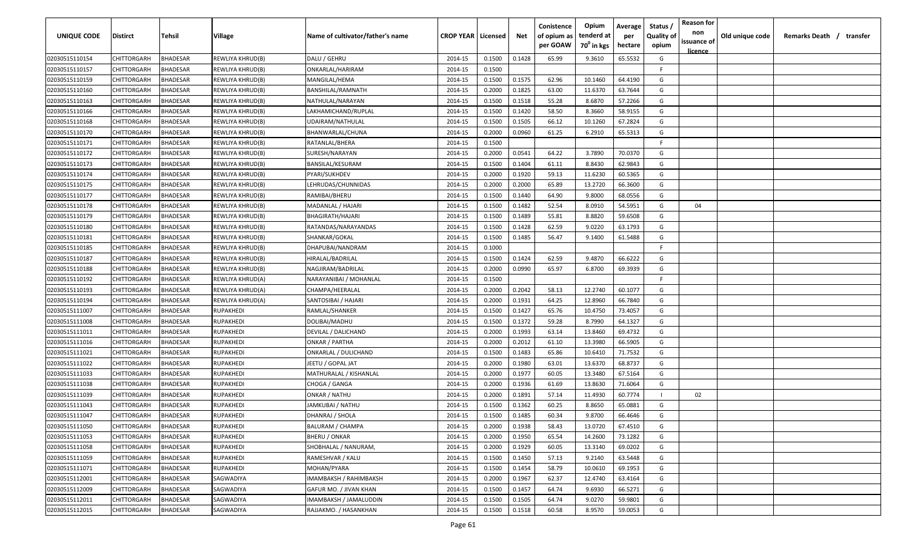| <b>UNIQUE CODE</b> | <b>Distirct</b>    | <b>Tehsil</b>   | Village          | Name of cultivator/father's name | <b>CROP YEAR   Licensed</b> |        | Net    | Conistence<br>of opium as<br>per GOAW | Opium<br>tenderd at<br>70 <sup>0</sup> in kgs | Average<br>per<br>hectare | Status /<br><b>Quality of</b><br>opium | <b>Reason for</b><br>non<br>issuance of<br><u>licence</u> | Old unique code | Remarks Death / | transfer |
|--------------------|--------------------|-----------------|------------------|----------------------------------|-----------------------------|--------|--------|---------------------------------------|-----------------------------------------------|---------------------------|----------------------------------------|-----------------------------------------------------------|-----------------|-----------------|----------|
| 02030515110154     | CHITTORGARH        | <b>BHADESAR</b> | REWLIYA KHRUD(B) | DALU / GEHRU                     | 2014-15                     | 0.1500 | 0.1428 | 65.99                                 | 9.3610                                        | 65.5532                   | G                                      |                                                           |                 |                 |          |
| 02030515110157     | CHITTORGARH        | BHADESAR        | REWLIYA KHRUD(B) | ONKARLAL/HARIRAM                 | 2014-15                     | 0.1500 |        |                                       |                                               |                           | F.                                     |                                                           |                 |                 |          |
| 02030515110159     | CHITTORGARH        | BHADESAR        | REWLIYA KHRUD(B) | MANGILAL/HEMA                    | 2014-15                     | 0.1500 | 0.1575 | 62.96                                 | 10.1460                                       | 64.4190                   | G                                      |                                                           |                 |                 |          |
| 02030515110160     | CHITTORGARH        | BHADESAR        | REWLIYA KHRUD(B) | BANSHILAL/RAMNATH                | 2014-15                     | 0.2000 | 0.1825 | 63.00                                 | 11.6370                                       | 63.7644                   | G                                      |                                                           |                 |                 |          |
| 02030515110163     | CHITTORGARH        | BHADESAR        | REWLIYA KHRUD(B) | NATHULAL/NARAYAN                 | 2014-15                     | 0.1500 | 0.1518 | 55.28                                 | 8.6870                                        | 57.2266                   | G                                      |                                                           |                 |                 |          |
| 02030515110166     | CHITTORGARH        | BHADESAR        | REWLIYA KHRUD(B) | LAKHAMICHAND/RUPLAL              | 2014-15                     | 0.1500 | 0.1420 | 58.50                                 | 8.3660                                        | 58.9155                   | G                                      |                                                           |                 |                 |          |
| 02030515110168     | CHITTORGARH        | BHADESAR        | REWLIYA KHRUD(B) | UDAIRAM/NATHULAL                 | 2014-15                     | 0.1500 | 0.1505 | 66.12                                 | 10.1260                                       | 67.2824                   | G                                      |                                                           |                 |                 |          |
| 02030515110170     | CHITTORGARH        | BHADESAR        | REWLIYA KHRUD(B) | BHANWARLAL/CHUNA                 | 2014-15                     | 0.2000 | 0.0960 | 61.25                                 | 6.2910                                        | 65.5313                   | G                                      |                                                           |                 |                 |          |
| 02030515110171     | CHITTORGARH        | BHADESAR        | REWLIYA KHRUD(B) | RATANLAL/BHERA                   | 2014-15                     | 0.1500 |        |                                       |                                               |                           | -F                                     |                                                           |                 |                 |          |
| 02030515110172     | CHITTORGARH        | BHADESAR        | REWLIYA KHRUD(B) | SURESH/NARAYAN                   | 2014-15                     | 0.2000 | 0.0541 | 64.22                                 | 3.7890                                        | 70.0370                   | G                                      |                                                           |                 |                 |          |
| 02030515110173     | CHITTORGARH        | BHADESAR        | REWLIYA KHRUD(B) | BANSILAL/KESURAM                 | 2014-15                     | 0.1500 | 0.1404 | 61.11                                 | 8.8430                                        | 62.9843                   | G                                      |                                                           |                 |                 |          |
| 02030515110174     | CHITTORGARH        | BHADESAR        | REWLIYA KHRUD(B) | PYARI/SUKHDEV                    | 2014-15                     | 0.2000 | 0.1920 | 59.13                                 | 11.6230                                       | 60.5365                   | G                                      |                                                           |                 |                 |          |
| 02030515110175     | CHITTORGARH        | BHADESAR        | REWLIYA KHRUD(B) | LEHRUDAS/CHUNNIDAS               | 2014-15                     | 0.2000 | 0.2000 | 65.89                                 | 13.2720                                       | 66.3600                   | G                                      |                                                           |                 |                 |          |
| 02030515110177     | CHITTORGARH        | BHADESAR        | REWLIYA KHRUD(B) | RAMIBAI/BHERU                    | 2014-15                     | 0.1500 | 0.1440 | 64.90                                 | 9.8000                                        | 68.0556                   | G                                      |                                                           |                 |                 |          |
| 02030515110178     | CHITTORGARH        | BHADESAR        | REWLIYA KHRUD(B) | MADANLAL / HAJARI                | 2014-15                     | 0.1500 | 0.1482 | 52.54                                 | 8.0910                                        | 54.5951                   | G                                      | 04                                                        |                 |                 |          |
| 02030515110179     | CHITTORGARH        | BHADESAR        | REWLIYA KHRUD(B) | BHAGIRATH/HAJARI                 | 2014-15                     | 0.1500 | 0.1489 | 55.81                                 | 8.8820                                        | 59.6508                   | G                                      |                                                           |                 |                 |          |
| 02030515110180     | CHITTORGARH        | <b>BHADESAR</b> | REWLIYA KHRUD(B) | RATANDAS/NARAYANDAS              | 2014-15                     | 0.1500 | 0.1428 | 62.59                                 | 9.0220                                        | 63.1793                   | G                                      |                                                           |                 |                 |          |
| 02030515110181     | CHITTORGARH        | BHADESAR        | REWLIYA KHRUD(B) | SHANKAR/GOKAL                    | 2014-15                     | 0.1500 | 0.1485 | 56.47                                 | 9.1400                                        | 61.5488                   | G                                      |                                                           |                 |                 |          |
| 02030515110185     | CHITTORGARH        | BHADESAR        | REWLIYA KHRUD(B) | DHAPUBAI/NANDRAM                 | 2014-15                     | 0.1000 |        |                                       |                                               |                           | -F.                                    |                                                           |                 |                 |          |
| 02030515110187     | CHITTORGARH        | BHADESAR        | REWLIYA KHRUD(B) | HIRALAL/BADRILAL                 | 2014-15                     | 0.1500 | 0.1424 | 62.59                                 | 9.4870                                        | 66.6222                   | G                                      |                                                           |                 |                 |          |
| 02030515110188     | CHITTORGARH        | BHADESAR        | REWLIYA KHRUD(B) | NAGJIRAM/BADRILAL                | 2014-15                     | 0.2000 | 0.0990 | 65.97                                 | 6.8700                                        | 69.3939                   | G                                      |                                                           |                 |                 |          |
| 02030515110192     | CHITTORGARH        | BHADESAR        | REWLIYA KHRUD(A) | NARAYANIBAI / MOHANLAL           | 2014-15                     | 0.1500 |        |                                       |                                               |                           | -F.                                    |                                                           |                 |                 |          |
| 02030515110193     | CHITTORGARH        | BHADESAR        | REWLIYA KHRUD(A) | CHAMPA/HEERALAL                  | 2014-15                     | 0.2000 | 0.2042 | 58.13                                 | 12.2740                                       | 60.1077                   | G                                      |                                                           |                 |                 |          |
| 02030515110194     | CHITTORGARH        | BHADESAR        | REWLIYA KHRUD(A) | SANTOSIBAI / HAJARI              | 2014-15                     | 0.2000 | 0.1931 | 64.25                                 | 12.8960                                       | 66.7840                   | G                                      |                                                           |                 |                 |          |
| 02030515111007     | CHITTORGARH        | BHADESAR        | RUPAKHEDI        | RAMLAL/SHANKER                   | 2014-15                     | 0.1500 | 0.1427 | 65.76                                 | 10.4750                                       | 73.4057                   | G                                      |                                                           |                 |                 |          |
| 02030515111008     | CHITTORGARH        | BHADESAR        | RUPAKHEDI        | DOLIBAI/MADHU                    | 2014-15                     | 0.1500 | 0.1372 | 59.28                                 | 8.7990                                        | 64.1327                   | G                                      |                                                           |                 |                 |          |
| 02030515111011     | CHITTORGARH        | BHADESAR        | RUPAKHEDI        | DEVILAL / DALICHAND              | 2014-15                     | 0.2000 | 0.1993 | 63.14                                 | 13.8460                                       | 69.4732                   | G                                      |                                                           |                 |                 |          |
| 02030515111016     | CHITTORGARH        | BHADESAR        | RUPAKHEDI        | ONKAR / PARTHA                   | 2014-15                     | 0.2000 | 0.2012 | 61.10                                 | 13.3980                                       | 66.5905                   | G                                      |                                                           |                 |                 |          |
| 02030515111021     | CHITTORGARH        | BHADESAR        | RUPAKHEDI        | ONKARLAL / DULICHAND             | 2014-15                     | 0.1500 | 0.1483 | 65.86                                 | 10.6410                                       | 71.7532                   | G                                      |                                                           |                 |                 |          |
| 02030515111022     | CHITTORGARH        | BHADESAR        | RUPAKHEDI        | JEETU / GOPAL JAT                | 2014-15                     | 0.2000 | 0.1980 | 63.01                                 | 13.6370                                       | 68.8737                   | G                                      |                                                           |                 |                 |          |
| 02030515111033     | CHITTORGARH        | BHADESAR        | RUPAKHEDI        | MATHURALAL / KISHANLAL           | 2014-15                     | 0.2000 | 0.1977 | 60.05                                 | 13.3480                                       | 67.5164                   | G                                      |                                                           |                 |                 |          |
| 02030515111038     | CHITTORGARH        | <b>BHADESAR</b> | RUPAKHEDI        | CHOGA / GANGA                    | 2014-15                     | 0.2000 | 0.1936 | 61.69                                 | 13.8630                                       | 71.6064                   | G                                      |                                                           |                 |                 |          |
| 02030515111039     | CHITTORGARH        | BHADESAR        | RUPAKHEDI        | ONKAR / NATHU                    | 2014-15                     | 0.2000 | 0.1891 | 57.14                                 | 11.4930                                       | 60.7774                   |                                        | 02                                                        |                 |                 |          |
| 02030515111043     | CHITTORGARH        | BHADESAR        | RUPAKHEDI        | JAMKUBAI / NATHU                 | 2014-15                     | 0.1500 | 0.1362 | 60.25                                 | 8.8650                                        | 65.0881                   | G                                      |                                                           |                 |                 |          |
| 02030515111047     | CHITTORGARH        | BHADESAR        | RUPAKHEDI        | DHANRAJ / SHOLA                  | 2014-15                     | 0.1500 | 0.1485 | 60.34                                 | 9.8700                                        | 66.4646                   | G                                      |                                                           |                 |                 |          |
| 02030515111050     | CHITTORGARH        | <b>BHADESAR</b> | <b>RUPAKHEDI</b> | <b>BALURAM / CHAMPA</b>          | 2014-15                     | 0.2000 | 0.1938 | 58.43                                 | 13.0720                                       | 67.4510                   | G                                      |                                                           |                 |                 |          |
| 02030515111053     | <b>CHITTORGARH</b> | <b>BHADESAR</b> | RUPAKHEDI        | <b>BHERU / ONKAR</b>             | 2014-15                     | 0.2000 | 0.1950 | 65.54                                 | 14.2600                                       | 73.1282                   | G                                      |                                                           |                 |                 |          |
| 02030515111058     | CHITTORGARH        | <b>BHADESAR</b> | RUPAKHEDI        | SHOBHALAL / NANURAM,             | 2014-15                     | 0.2000 | 0.1929 | 60.05                                 | 13.3140                                       | 69.0202                   | G                                      |                                                           |                 |                 |          |
| 02030515111059     | CHITTORGARH        | <b>BHADESAR</b> | RUPAKHEDI        | RAMESHVAR / KALU                 | 2014-15                     | 0.1500 | 0.1450 | 57.13                                 | 9.2140                                        | 63.5448                   | G                                      |                                                           |                 |                 |          |
| 02030515111071     | CHITTORGARH        | <b>BHADESAR</b> | RUPAKHEDI        | MOHAN/PYARA                      | 2014-15                     | 0.1500 | 0.1454 | 58.79                                 | 10.0610                                       | 69.1953                   | G                                      |                                                           |                 |                 |          |
| 02030515112001     | CHITTORGARH        | <b>BHADESAR</b> | SAGWADIYA        | IMAMBAKSH / RAHIMBAKSH           | 2014-15                     | 0.2000 | 0.1967 | 62.37                                 | 12.4740                                       | 63.4164                   | G                                      |                                                           |                 |                 |          |
| 02030515112009     | CHITTORGARH        | <b>BHADESAR</b> | SAGWADIYA        | GAFUR MO. / JIVAN KHAN           | 2014-15                     | 0.1500 | 0.1457 | 64.74                                 | 9.6930                                        | 66.5271                   | G                                      |                                                           |                 |                 |          |
| 02030515112011     | CHITTORGARH        | BHADESAR        | SAGWADIYA        | IMAMBAKSH / JAMALUDDIN           | 2014-15                     | 0.1500 | 0.1505 | 64.74                                 | 9.0270                                        | 59.9801                   | G                                      |                                                           |                 |                 |          |
| 02030515112015     | CHITTORGARH        | <b>BHADESAR</b> | SAGWADIYA        | RAJJAKMO. / HASANKHAN            | 2014-15                     | 0.1500 | 0.1518 | 60.58                                 | 8.9570                                        | 59.0053                   | G                                      |                                                           |                 |                 |          |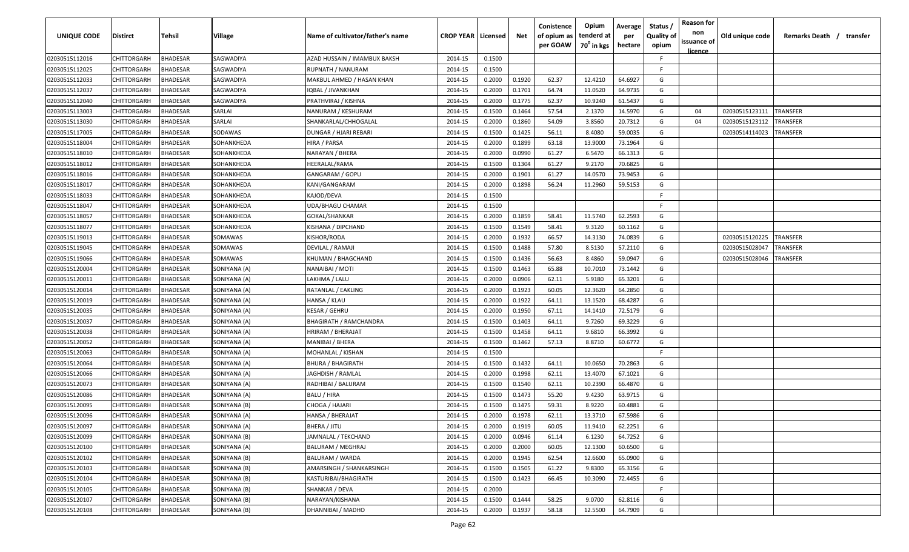| <b>UNIQUE CODE</b> | Distirct           | Tehsil          | Village      | Name of cultivator/father's name | <b>CROP YEAR Licensed</b> |        | Net    | Conistence<br>of opium as<br>per GOAW | Opium<br>tenderd at<br>70 <sup>0</sup> in kgs | Average<br>per<br>hectare | Status /<br><b>Quality of</b><br>opium | <b>Reason for</b><br>non<br>issuance of | Old unique code | Remarks Death / transfer |
|--------------------|--------------------|-----------------|--------------|----------------------------------|---------------------------|--------|--------|---------------------------------------|-----------------------------------------------|---------------------------|----------------------------------------|-----------------------------------------|-----------------|--------------------------|
|                    |                    |                 |              |                                  |                           |        |        |                                       |                                               |                           |                                        | <u>licence</u>                          |                 |                          |
| 02030515112016     | CHITTORGARH        | <b>BHADESAR</b> | SAGWADIYA    | AZAD HUSSAIN / IMAMBUX BAKSH     | 2014-15                   | 0.1500 |        |                                       |                                               |                           | F                                      |                                         |                 |                          |
| 02030515112025     | CHITTORGARH        | BHADESAR        | SAGWADIYA    | RUPNATH / NANURAM                | 2014-15                   | 0.1500 |        |                                       |                                               |                           | -F.                                    |                                         |                 |                          |
| 02030515112033     | CHITTORGARH        | BHADESAR        | SAGWADIYA    | MAKBUL AHMED / HASAN KHAN        | 2014-15                   | 0.2000 | 0.1920 | 62.37                                 | 12.4210                                       | 64.6927                   | G                                      |                                         |                 |                          |
| 02030515112037     | CHITTORGARH        | BHADESAR        | SAGWADIYA    | IQBAL / JIVANKHAN                | 2014-15                   | 0.2000 | 0.1701 | 64.74                                 | 11.0520                                       | 64.9735                   | G                                      |                                         |                 |                          |
| 02030515112040     | CHITTORGARH        | BHADESAR        | SAGWADIYA    | PRATHVIRAJ / KISHNA              | 2014-15                   | 0.2000 | 0.1775 | 62.37                                 | 10.9240                                       | 61.5437                   | G                                      |                                         |                 |                          |
| 02030515113003     | CHITTORGARH        | <b>BHADESAR</b> | SARLAI       | NANURAM / KESHURAM               | 2014-15                   | 0.1500 | 0.1464 | 57.54                                 | 2.1370                                        | 14.5970                   | G                                      | 04                                      | 02030515123111  | TRANSFER                 |
| 02030515113030     | CHITTORGARH        | <b>BHADESAR</b> | SARLAI       | SHANKARLAL/CHHOGALAL             | 2014-15                   | 0.2000 | 0.1860 | 54.09                                 | 3.8560                                        | 20.7312                   | G                                      | 04                                      | 02030515123112  | <b><i>FRANSFER</i></b>   |
| 02030515117005     | CHITTORGARH        | BHADESAR        | SODAWAS      | DUNGAR / HJARI REBARI            | 2014-15                   | 0.1500 | 0.1425 | 56.11                                 | 8.4080                                        | 59.0035                   | G                                      |                                         | 02030514114023  | TRANSFER                 |
| 02030515118004     | CHITTORGARH        | BHADESAR        | SOHANKHEDA   | HIRA / PARSA                     | 2014-15                   | 0.2000 | 0.1899 | 63.18                                 | 13.9000                                       | 73.1964                   | G                                      |                                         |                 |                          |
| 02030515118010     | CHITTORGARH        | BHADESAR        | SOHANKHEDA   | NARAYAN / BHERA                  | 2014-15                   | 0.2000 | 0.0990 | 61.27                                 | 6.5470                                        | 66.1313                   | G                                      |                                         |                 |                          |
| 02030515118012     | CHITTORGARH        | BHADESAR        | SOHANKHEDA   | HEERALAL/RAMA                    | 2014-15                   | 0.1500 | 0.1304 | 61.27                                 | 9.2170                                        | 70.6825                   | G                                      |                                         |                 |                          |
| 02030515118016     | CHITTORGARH        | BHADESAR        | SOHANKHEDA   | GANGARAM / GOPU                  | 2014-15                   | 0.2000 | 0.1901 | 61.27                                 | 14.0570                                       | 73.9453                   | G                                      |                                         |                 |                          |
| 02030515118017     | CHITTORGARH        | BHADESAR        | SOHANKHEDA   | KANI/GANGARAM                    | 2014-15                   | 0.2000 | 0.1898 | 56.24                                 | 11.2960                                       | 59.5153                   | G                                      |                                         |                 |                          |
| 02030515118033     | CHITTORGARH        | <b>BHADESAR</b> | SOHANKHEDA   | KAJOD/DEVA                       | 2014-15                   | 0.1500 |        |                                       |                                               |                           | F                                      |                                         |                 |                          |
| 02030515118047     | CHITTORGARH        | BHADESAR        | SOHANKHEDA   | UDA/BHAGU CHAMAR                 | 2014-15                   | 0.1500 |        |                                       |                                               |                           | -F.                                    |                                         |                 |                          |
| 02030515118057     | CHITTORGARH        | <b>BHADESAR</b> | SOHANKHEDA   | GOKAL/SHANKAR                    | 2014-15                   | 0.2000 | 0.1859 | 58.41                                 | 11.5740                                       | 62.2593                   | G                                      |                                         |                 |                          |
| 02030515118077     | CHITTORGARH        | <b>BHADESAR</b> | SOHANKHEDA   | KISHANA / DIPCHAND               | 2014-15                   | 0.1500 | 0.1549 | 58.41                                 | 9.3120                                        | 60.1162                   | G                                      |                                         |                 |                          |
| 02030515119013     | CHITTORGARH        | BHADESAR        | SOMAWAS      | KISHOR/RODA                      | 2014-15                   | 0.2000 | 0.1932 | 66.57                                 | 14.3130                                       | 74.0839                   | G                                      |                                         | 02030515120225  | TRANSFER                 |
| 02030515119045     | CHITTORGARH        | BHADESAR        | SOMAWAS      | DEVILAL / RAMAJI                 | 2014-15                   | 0.1500 | 0.1488 | 57.80                                 | 8.5130                                        | 57.2110                   | G                                      |                                         | 02030515028047  | TRANSFER                 |
| 02030515119066     | CHITTORGARH        | BHADESAR        | SOMAWAS      | KHUMAN / BHAGCHAND               | 2014-15                   | 0.1500 | 0.1436 | 56.63                                 | 8.4860                                        | 59.0947                   | G                                      |                                         | 02030515028046  | TRANSFER                 |
| 02030515120004     | CHITTORGARH        | <b>BHADESAR</b> | SONIYANA (A) | NANAIBAI / MOTI                  | 2014-15                   | 0.1500 | 0.1463 | 65.88                                 | 10.7010                                       | 73.1442                   | G                                      |                                         |                 |                          |
| 02030515120011     | CHITTORGARH        | <b>BHADESAR</b> | SONIYANA (A) | LAKHMA / LALU                    | 2014-15                   | 0.2000 | 0.0906 | 62.11                                 | 5.9180                                        | 65.3201                   | G                                      |                                         |                 |                          |
| 02030515120014     | CHITTORGARH        | <b>BHADESAR</b> | SONIYANA (A) | RATANLAL / EAKLING               | 2014-15                   | 0.2000 | 0.1923 | 60.05                                 | 12.3620                                       | 64.2850                   | G                                      |                                         |                 |                          |
| 02030515120019     | CHITTORGARH        | <b>BHADESAR</b> | SONIYANA (A) | HANSA / KLAU                     | 2014-15                   | 0.2000 | 0.1922 | 64.11                                 | 13.1520                                       | 68.4287                   | G                                      |                                         |                 |                          |
| 02030515120035     | CHITTORGARH        | BHADESAR        | SONIYANA (A) | KESAR / GEHRU                    | 2014-15                   | 0.2000 | 0.1950 | 67.11                                 | 14.1410                                       | 72.5179                   | G                                      |                                         |                 |                          |
| 02030515120037     | CHITTORGARH        | BHADESAR        | SONIYANA (A) | <b>BHAGIRATH / RAMCHANDRA</b>    | 2014-15                   | 0.1500 | 0.1403 | 64.11                                 | 9.7260                                        | 69.3229                   | G                                      |                                         |                 |                          |
| 02030515120038     | CHITTORGARH        | BHADESAR        | SONIYANA (A) | HRIRAM / BHERAJAT                | 2014-15                   | 0.1500 | 0.1458 | 64.11                                 | 9.6810                                        | 66.3992                   | G                                      |                                         |                 |                          |
| 02030515120052     | CHITTORGARH        | BHADESAR        | SONIYANA (A) | MANIBAI / BHERA                  | 2014-15                   | 0.1500 | 0.1462 | 57.13                                 | 8.8710                                        | 60.6772                   | G                                      |                                         |                 |                          |
| 02030515120063     | CHITTORGARH        | BHADESAR        | SONIYANA (A) | MOHANLAL / KISHAN                | 2014-15                   | 0.1500 |        |                                       |                                               |                           | F.                                     |                                         |                 |                          |
| 02030515120064     | CHITTORGARH        | BHADESAR        | SONIYANA (A) | <b>BHURA / BHAGIRATH</b>         | 2014-15                   | 0.1500 | 0.1432 | 64.11                                 | 10.0650                                       | 70.2863                   | G                                      |                                         |                 |                          |
| 02030515120066     | CHITTORGARH        | BHADESAR        | SONIYANA (A) | JAGHDISH / RAMLAL                | 2014-15                   | 0.2000 | 0.1998 | 62.11                                 | 13.4070                                       | 67.1021                   | G                                      |                                         |                 |                          |
| 02030515120073     | CHITTORGARH        | BHADESAR        | SONIYANA (A) | RADHIBAI / BALURAM               | 2014-15                   | 0.1500 | 0.1540 | 62.11                                 | 10.2390                                       | 66.4870                   | G                                      |                                         |                 |                          |
| 02030515120086     | CHITTORGARH        | BHADESAR        | SONIYANA (A) | BALU / HIRA                      | 2014-15                   | 0.1500 | 0.1473 | 55.20                                 | 9.4230                                        | 63.9715                   | G                                      |                                         |                 |                          |
| 02030515120095     | CHITTORGARH        | BHADESAR        | SONIYANA (B) | CHOGA / HAJARI                   | 2014-15                   | 0.1500 | 0.1475 | 59.31                                 | 8.9220                                        | 60.4881                   | G                                      |                                         |                 |                          |
| 02030515120096     | <b>CHITTORGARH</b> | BHADESAR        | SONIYANA (A) | HANSA / BHERAJAT                 | 2014-15                   | 0.2000 | 0.1978 | 62.11                                 | 13.3710                                       | 67.5986                   | G                                      |                                         |                 |                          |
| 02030515120097     | <b>CHITTORGARH</b> | <b>BHADESAR</b> | SONIYANA (A) | BHERA / JITU                     | 2014-15                   | 0.2000 | 0.1919 | 60.05                                 | 11.9410                                       | 62.2251                   | G                                      |                                         |                 |                          |
| 02030515120099     | CHITTORGARH        | <b>BHADESAR</b> | SONIYANA (B) | JAMNALAL / TEKCHAND              | 2014-15                   | 0.2000 | 0.0946 | 61.14                                 | 6.1230                                        | 64.7252                   | G                                      |                                         |                 |                          |
| 02030515120100     | CHITTORGARH        | <b>BHADESAR</b> | SONIYANA (A) | <b>BALURAM / MEGHRAJ</b>         | 2014-15                   | 0.2000 | 0.2000 | 60.05                                 | 12.1300                                       | 60.6500                   | G                                      |                                         |                 |                          |
| 02030515120102     | <b>CHITTORGARH</b> | <b>BHADESAR</b> | SONIYANA (B) | <b>BALURAM / WARDA</b>           | 2014-15                   | 0.2000 | 0.1945 | 62.54                                 | 12.6600                                       | 65.0900                   | G                                      |                                         |                 |                          |
| 02030515120103     | <b>CHITTORGARH</b> | BHADESAR        | SONIYANA (B) | AMARSINGH / SHANKARSINGH         | 2014-15                   | 0.1500 | 0.1505 | 61.22                                 | 9.8300                                        | 65.3156                   | G                                      |                                         |                 |                          |
| 02030515120104     | CHITTORGARH        | BHADESAR        | SONIYANA (B) | KASTURIBAI/BHAGIRATH             | 2014-15                   | 0.1500 | 0.1423 | 66.45                                 | 10.3090                                       | 72.4455                   | G                                      |                                         |                 |                          |
| 02030515120105     | CHITTORGARH        | <b>BHADESAR</b> | SONIYANA (B) | SHANKAR / DEVA                   | 2014-15                   | 0.2000 |        |                                       |                                               |                           | F.                                     |                                         |                 |                          |
| 02030515120107     | CHITTORGARH        | BHADESAR        | SONIYANA (B) | NARAYAN/KISHANA                  | 2014-15                   | 0.1500 | 0.1444 | 58.25                                 | 9.0700                                        | 62.8116                   | G                                      |                                         |                 |                          |
| 02030515120108     | <b>CHITTORGARH</b> | <b>BHADESAR</b> | SONIYANA (B) | DHANNIBAI / MADHO                | 2014-15                   | 0.2000 | 0.1937 | 58.18                                 | 12.5500                                       | 64.7909                   | G                                      |                                         |                 |                          |
|                    |                    |                 |              |                                  |                           |        |        |                                       |                                               |                           |                                        |                                         |                 |                          |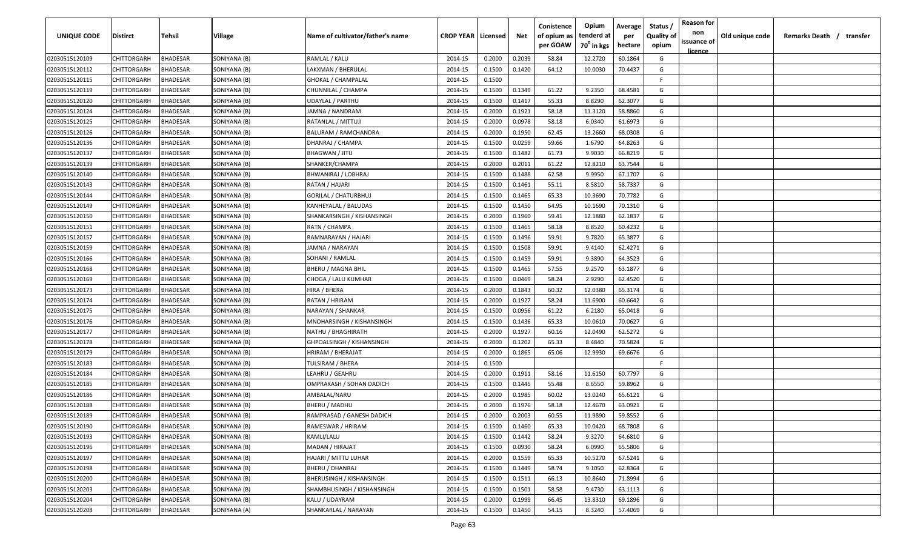| <b>UNIQUE CODE</b> | <b>Distirct</b>    | <b>Tehsil</b>   | Village      | Name of cultivator/father's name | <b>CROP YEAR   Licensed</b> |        | Net    | Conistence<br>of opium as<br>per GOAW | Opium<br>tenderd at<br>70 <sup>°</sup> in kgs | Average<br>per<br>hectare | Status /<br><b>Quality of</b><br>opium | <b>Reason for</b><br>non<br>issuance of<br>licence | Old unique code | Remarks Death / | transfer |
|--------------------|--------------------|-----------------|--------------|----------------------------------|-----------------------------|--------|--------|---------------------------------------|-----------------------------------------------|---------------------------|----------------------------------------|----------------------------------------------------|-----------------|-----------------|----------|
| 02030515120109     | CHITTORGARH        | <b>BHADESAR</b> | SONIYANA (B) | RAMLAL / KALU                    | 2014-15                     | 0.2000 | 0.2039 | 58.84                                 | 12.2720                                       | 60.1864                   | G                                      |                                                    |                 |                 |          |
| 02030515120112     | CHITTORGARH        | BHADESAR        | SONIYANA (B) | LAKXMAN / BHERULAL               | 2014-15                     | 0.1500 | 0.1420 | 64.12                                 | 10.0030                                       | 70.4437                   | G                                      |                                                    |                 |                 |          |
| 02030515120115     | CHITTORGARH        | BHADESAR        | SONIYANA (B) | <b>GHOKAL / CHAMPALAL</b>        | 2014-15                     | 0.1500 |        |                                       |                                               |                           | F.                                     |                                                    |                 |                 |          |
| 02030515120119     | CHITTORGARH        | BHADESAR        | SONIYANA (B) | CHUNNILAL / CHAMPA               | 2014-15                     | 0.1500 | 0.1349 | 61.22                                 | 9.2350                                        | 68.4581                   | G                                      |                                                    |                 |                 |          |
| 02030515120120     | CHITTORGARH        | BHADESAR        | SONIYANA (B) | <b>UDAYLAL / PARTHU</b>          | 2014-15                     | 0.1500 | 0.1417 | 55.33                                 | 8.8290                                        | 62.3077                   | G                                      |                                                    |                 |                 |          |
| 02030515120124     | CHITTORGARH        | BHADESAR        | SONIYANA (B) | JAMNA / NANDRAM                  | 2014-15                     | 0.2000 | 0.1921 | 58.18                                 | 11.3120                                       | 58.8860                   | G                                      |                                                    |                 |                 |          |
| 02030515120125     | CHITTORGARH        | BHADESAR        | SONIYANA (B) | RATANLAL / MITTUJI               | 2014-15                     | 0.2000 | 0.0978 | 58.18                                 | 6.0340                                        | 61.6973                   | G                                      |                                                    |                 |                 |          |
| 02030515120126     | CHITTORGARH        | BHADESAR        | SONIYANA (B) | BALURAM / RAMCHANDRA             | 2014-15                     | 0.2000 | 0.1950 | 62.45                                 | 13.2660                                       | 68.0308                   | G                                      |                                                    |                 |                 |          |
| 02030515120136     | CHITTORGARH        | BHADESAR        | SONIYANA (B) | DHANRAJ / CHAMPA                 | 2014-15                     | 0.1500 | 0.0259 | 59.66                                 | 1.6790                                        | 64.8263                   | G                                      |                                                    |                 |                 |          |
| 02030515120137     | CHITTORGARH        | BHADESAR        | SONIYANA (B) | <b>BHAGWAN / JITU</b>            | 2014-15                     | 0.1500 | 0.1482 | 61.73                                 | 9.9030                                        | 66.8219                   | G                                      |                                                    |                 |                 |          |
| 02030515120139     | CHITTORGARH        | BHADESAR        | SONIYANA (B) | SHANKER/CHAMPA                   | 2014-15                     | 0.2000 | 0.2011 | 61.22                                 | 12.8210                                       | 63.7544                   | G                                      |                                                    |                 |                 |          |
| 02030515120140     | CHITTORGARH        | BHADESAR        | SONIYANA (B) | BHWANIRAJ / LOBHRAJ              | 2014-15                     | 0.1500 | 0.1488 | 62.58                                 | 9.9950                                        | 67.1707                   | G                                      |                                                    |                 |                 |          |
| 02030515120143     | CHITTORGARH        | BHADESAR        | SONIYANA (B) | RATAN / HAJARI                   | 2014-15                     | 0.1500 | 0.1461 | 55.11                                 | 8.5810                                        | 58.7337                   | G                                      |                                                    |                 |                 |          |
| 02030515120144     | CHITTORGARH        | BHADESAR        | SONIYANA (B) | GORILAL / CHATURBHUJ             | 2014-15                     | 0.1500 | 0.1465 | 65.33                                 | 10.3690                                       | 70.7782                   | G                                      |                                                    |                 |                 |          |
| 02030515120149     | CHITTORGARH        | BHADESAR        | SONIYANA (B) | KANHEYALAL / BALUDAS             | 2014-15                     | 0.1500 | 0.1450 | 64.95                                 | 10.1690                                       | 70.1310                   | G                                      |                                                    |                 |                 |          |
| 02030515120150     | CHITTORGARH        | BHADESAR        | SONIYANA (B) | SHANKARSINGH / KISHANSINGH       | 2014-15                     | 0.2000 | 0.1960 | 59.41                                 | 12.1880                                       | 62.1837                   | G                                      |                                                    |                 |                 |          |
| 02030515120151     | CHITTORGARH        | <b>BHADESAR</b> | SONIYANA (B) | RATN / CHAMPA                    | 2014-15                     | 0.1500 | 0.1465 | 58.18                                 | 8.8520                                        | 60.4232                   | G                                      |                                                    |                 |                 |          |
| 02030515120157     | CHITTORGARH        | BHADESAR        | SONIYANA (B) | RAMNARAYAN / HAJARI              | 2014-15                     | 0.1500 | 0.1496 | 59.91                                 | 9.7820                                        | 65.3877                   | G                                      |                                                    |                 |                 |          |
| 02030515120159     | CHITTORGARH        | BHADESAR        | SONIYANA (B) | JAMNA / NARAYAN                  | 2014-15                     | 0.1500 | 0.1508 | 59.91                                 | 9.4140                                        | 62.4271                   | G                                      |                                                    |                 |                 |          |
| 02030515120166     | CHITTORGARH        | BHADESAR        | SONIYANA (B) | SOHANI / RAMLAL                  | 2014-15                     | 0.1500 | 0.1459 | 59.91                                 | 9.3890                                        | 64.3523                   | G                                      |                                                    |                 |                 |          |
| 02030515120168     | CHITTORGARH        | BHADESAR        | SONIYANA (B) | BHERU / MAGNA BHIL               | 2014-15                     | 0.1500 | 0.1465 | 57.55                                 | 9.2570                                        | 63.1877                   | G                                      |                                                    |                 |                 |          |
| 02030515120169     | CHITTORGARH        | BHADESAR        | SONIYANA (B) | CHOGA / LALU KUMHAR              | 2014-15                     | 0.1500 | 0.0469 | 58.24                                 | 2.9290                                        | 62.4520                   | G                                      |                                                    |                 |                 |          |
| 02030515120173     | CHITTORGARH        | BHADESAR        | SONIYANA (B) | HIRA / BHERA                     | 2014-15                     | 0.2000 | 0.1843 | 60.32                                 | 12.0380                                       | 65.3174                   | G                                      |                                                    |                 |                 |          |
| 02030515120174     | CHITTORGARH        | BHADESAR        | SONIYANA (B) | RATAN / HRIRAM                   | 2014-15                     | 0.2000 | 0.1927 | 58.24                                 | 11.6900                                       | 60.6642                   | G                                      |                                                    |                 |                 |          |
| 02030515120175     | CHITTORGARH        | BHADESAR        | SONIYANA (B) | NARAYAN / SHANKAR                | 2014-15                     | 0.1500 | 0.0956 | 61.22                                 | 6.2180                                        | 65.0418                   | G                                      |                                                    |                 |                 |          |
| 02030515120176     | CHITTORGARH        | BHADESAR        | SONIYANA (B) | MNOHARSINGH / KISHANSINGH        | 2014-15                     | 0.1500 | 0.1436 | 65.33                                 | 10.0610                                       | 70.0627                   | G                                      |                                                    |                 |                 |          |
| 02030515120177     | CHITTORGARH        | BHADESAR        | SONIYANA (B) | NATHU / BHAGHIRATH               | 2014-15                     | 0.2000 | 0.1927 | 60.16                                 | 12.0490                                       | 62.5272                   | G                                      |                                                    |                 |                 |          |
| 02030515120178     | CHITTORGARH        | BHADESAR        | SONIYANA (B) | GHPOALSINGH / KISHANSINGH        | 2014-15                     | 0.2000 | 0.1202 | 65.33                                 | 8.4840                                        | 70.5824                   | G                                      |                                                    |                 |                 |          |
| 02030515120179     | CHITTORGARH        | BHADESAR        | SONIYANA (B) | HRIRAM / BHERAJAT                | 2014-15                     | 0.2000 | 0.1865 | 65.06                                 | 12.9930                                       | 69.6676                   | G                                      |                                                    |                 |                 |          |
| 02030515120183     | CHITTORGARH        | BHADESAR        | SONIYANA (B) | TULSIRAM / BHERA                 | 2014-15                     | 0.1500 |        |                                       |                                               |                           | -F.                                    |                                                    |                 |                 |          |
| 02030515120184     | CHITTORGARH        | BHADESAR        | SONIYANA (B) | LEAHRU / GEAHRU                  | 2014-15                     | 0.2000 | 0.1911 | 58.16                                 | 11.6150                                       | 60.7797                   | G                                      |                                                    |                 |                 |          |
| 02030515120185     | CHITTORGARH        | <b>BHADESAR</b> | SONIYANA (B) | OMPRAKASH / SOHAN DADICH         | 2014-15                     | 0.1500 | 0.1445 | 55.48                                 | 8.6550                                        | 59.8962                   | G                                      |                                                    |                 |                 |          |
| 02030515120186     | CHITTORGARH        | BHADESAR        | SONIYANA (B) | AMBALAL/NARU                     | 2014-15                     | 0.2000 | 0.1985 | 60.02                                 | 13.0240                                       | 65.6121                   | G                                      |                                                    |                 |                 |          |
| 02030515120188     | CHITTORGARH        | BHADESAR        | SONIYANA (B) | BHERU / MADHU                    | 2014-15                     | 0.2000 | 0.1976 | 58.18                                 | 12.4670                                       | 63.0921                   | G                                      |                                                    |                 |                 |          |
| 02030515120189     | CHITTORGARH        | BHADESAR        | SONIYANA (B) | RAMPRASAD / GANESH DADICH        | 2014-15                     | 0.2000 | 0.2003 | 60.55                                 | 11.9890                                       | 59.8552                   | G                                      |                                                    |                 |                 |          |
| 02030515120190     | <b>CHITTORGARH</b> | <b>BHADESAR</b> | SONIYANA (B) | RAMESWAR / HRIRAM                | 2014-15                     | 0.1500 | 0.1460 | 65.33                                 | 10.0420                                       | 68.7808                   | G                                      |                                                    |                 |                 |          |
| 02030515120193     | <b>CHITTORGARH</b> | <b>BHADESAR</b> | SONIYANA (B) | KAMLI/LALU                       | 2014-15                     | 0.1500 | 0.1442 | 58.24                                 | 9.3270                                        | 64.6810                   | G                                      |                                                    |                 |                 |          |
| 02030515120196     | <b>CHITTORGARH</b> | <b>BHADESAR</b> | SONIYANA (B) | MADAN / HIRAJAT                  | 2014-15                     | 0.1500 | 0.0930 | 58.24                                 | 6.0990                                        | 65.5806                   | G                                      |                                                    |                 |                 |          |
| 02030515120197     | CHITTORGARH        | <b>BHADESAR</b> | SONIYANA (B) | HAJARI / MITTU LUHAR             | 2014-15                     | 0.2000 | 0.1559 | 65.33                                 | 10.5270                                       | 67.5241                   | G                                      |                                                    |                 |                 |          |
| 02030515120198     | CHITTORGARH        | <b>BHADESAR</b> | SONIYANA (B) | <b>BHERU / DHANRAJ</b>           | 2014-15                     | 0.1500 | 0.1449 | 58.74                                 | 9.1050                                        | 62.8364                   | G                                      |                                                    |                 |                 |          |
| 02030515120200     | CHITTORGARH        | <b>BHADESAR</b> | SONIYANA (B) | BHERUSINGH / KISHANSINGH         | 2014-15                     | 0.1500 | 0.1511 | 66.13                                 | 10.8640                                       | 71.8994                   | G                                      |                                                    |                 |                 |          |
| 02030515120203     | CHITTORGARH        | BHADESAR        | SONIYANA (B) | SHAMBHUSINGH / KISHANSINGH       | 2014-15                     | 0.1500 | 0.1501 | 58.58                                 | 9.4730                                        | 63.1113                   | G                                      |                                                    |                 |                 |          |
| 02030515120204     | <b>CHITTORGARH</b> | BHADESAR        | SONIYANA (B) | KALU / UDAYRAM                   | 2014-15                     | 0.2000 | 0.1999 | 66.45                                 | 13.8310                                       | 69.1896                   | G                                      |                                                    |                 |                 |          |
| 02030515120208     | CHITTORGARH        | <b>BHADESAR</b> | SONIYANA (A) | SHANKARLAL / NARAYAN             | 2014-15                     | 0.1500 | 0.1450 | 54.15                                 | 8.3240                                        | 57.4069                   | G                                      |                                                    |                 |                 |          |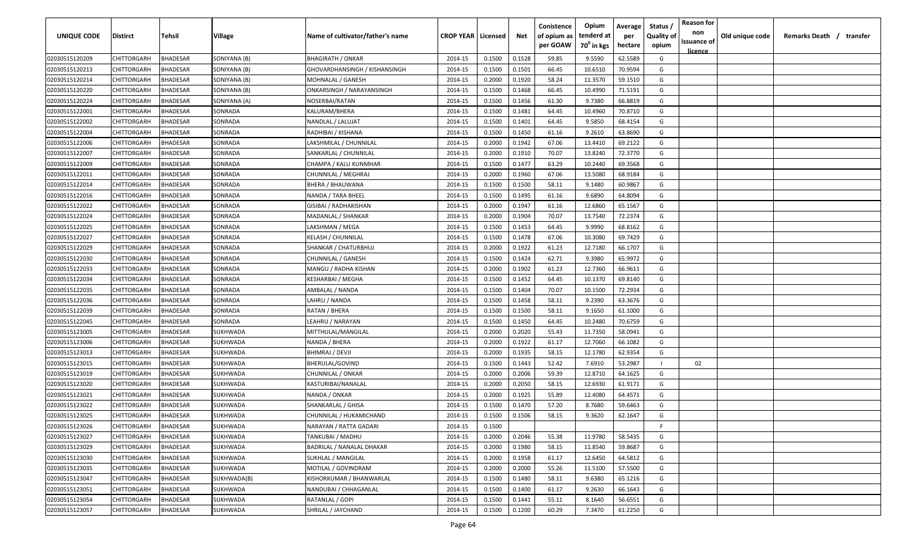| <b>UNIQUE CODE</b> | Distirct           | Tehsil          | Village      | Name of cultivator/father's name | <b>CROP YEAR Licensed</b> |        | Net    | Conistence<br>of opium as | Opium<br>tenderd at    | Average<br>per | Status /<br><b>Quality of</b> | <b>Reason for</b><br>non | Old unique code | Remarks Death / transfer |
|--------------------|--------------------|-----------------|--------------|----------------------------------|---------------------------|--------|--------|---------------------------|------------------------|----------------|-------------------------------|--------------------------|-----------------|--------------------------|
|                    |                    |                 |              |                                  |                           |        |        | per GOAW                  | 70 <sup>0</sup> in kgs | hectare        | opium                         | issuance of              |                 |                          |
| 02030515120209     | CHITTORGARH        | <b>BHADESAR</b> | SONIYANA (B) | <b>BHAGIRATH / ONKAR</b>         | 2014-15                   | 0.1500 | 0.1528 | 59.85                     | 9.5590                 | 62.5589        | G                             | <u>licence</u>           |                 |                          |
| 02030515120213     | CHITTORGARH        | BHADESAR        | SONIYANA (B) | GHOVARDHANSINGH / KISHANSINGH    | 2014-15                   | 0.1500 | 0.1501 | 66.45                     | 10.6510                | 70.9594        | G                             |                          |                 |                          |
| 02030515120214     | CHITTORGARH        | BHADESAR        | SONIYANA (B) | MOHNALAL / GANESH                | 2014-15                   | 0.2000 | 0.1920 | 58.24                     | 11.3570                | 59.1510        | G                             |                          |                 |                          |
| 02030515120220     | CHITTORGARH        | BHADESAR        | SONIYANA (B) | ONKARSINGH / NARAYANSINGH        | 2014-15                   | 0.1500 | 0.1468 | 66.45                     | 10.4990                | 71.5191        | G                             |                          |                 |                          |
| 02030515120224     | CHITTORGARH        | BHADESAR        | SONIYANA (A) | NOSERBAI/RATAN                   | 2014-15                   | 0.1500 | 0.1456 | 61.30                     | 9.7380                 | 66.8819        | G                             |                          |                 |                          |
| 02030515122001     | CHITTORGARH        | <b>BHADESAR</b> | SONRADA      | KALURAM/BHERA                    | 2014-15                   | 0.1500 | 0.1481 | 64.45                     | 10.4960                | 70.8710        | G                             |                          |                 |                          |
| 02030515122002     | CHITTORGARH        | <b>BHADESAR</b> | SONRADA      | NANDLAL / LALUJAT                | 2014-15                   | 0.1500 | 0.1401 | 64.45                     | 9.5850                 | 68.4154        | G                             |                          |                 |                          |
| 02030515122004     | CHITTORGARH        | BHADESAR        | SONRADA      | RADHIBAI / KISHANA               | 2014-15                   | 0.1500 | 0.1450 | 61.16                     | 9.2610                 | 63.8690        | G                             |                          |                 |                          |
| 02030515122006     | CHITTORGARH        | BHADESAR        | SONRADA      | LAKSHMILAL / CHUNNILAL           | 2014-15                   | 0.2000 | 0.1942 | 67.06                     | 13.4410                | 69.2122        | G                             |                          |                 |                          |
| 02030515122007     | CHITTORGARH        | BHADESAR        | SONRADA      | SANKARLAL / CHUNNILAL            | 2014-15                   | 0.2000 | 0.1910 | 70.07                     | 13.8240                | 72.3770        | G                             |                          |                 |                          |
| 02030515122009     | CHITTORGARH        | BHADESAR        | SONRADA      | CHAMPA / KALU KUNMHAR            | 2014-15                   | 0.1500 | 0.1477 | 63.29                     | 10.2440                | 69.3568        | G                             |                          |                 |                          |
| 02030515122011     | CHITTORGARH        | BHADESAR        | SONRADA      | CHUNNILAL / MEGHRAJ              | 2014-15                   | 0.2000 | 0.1960 | 67.06                     | 13.5080                | 68.9184        | G                             |                          |                 |                          |
| 02030515122014     | CHITTORGARH        | BHADESAR        | SONRADA      | <b>BHERA / BHAUWANA</b>          | 2014-15                   | 0.1500 | 0.1500 | 58.11                     | 9.1480                 | 60.9867        | G                             |                          |                 |                          |
| 02030515122016     | CHITTORGARH        | <b>BHADESAR</b> | SONRADA      | NANDA / TARA BHEEL               | 2014-15                   | 0.1500 | 0.1495 | 61.16                     | 9.6890                 | 64.8094        | G                             |                          |                 |                          |
| 02030515122022     | CHITTORGARH        | BHADESAR        | SONRADA      | GISIBAI / RADHAKISHAN            | 2014-15                   | 0.2000 | 0.1947 | 61.16                     | 12.6860                | 65.1567        | G                             |                          |                 |                          |
| 02030515122024     | CHITTORGARH        | <b>BHADESAR</b> | SONRADA      | MADANLAL / SHANKAR               | 2014-15                   | 0.2000 | 0.1904 | 70.07                     | 13.7540                | 72.2374        | G                             |                          |                 |                          |
| 02030515122025     | CHITTORGARH        | BHADESAR        | SONRADA      | LAKSHMAN / MEGA                  | 2014-15                   | 0.1500 | 0.1453 | 64.45                     | 9.9990                 | 68.8162        | G                             |                          |                 |                          |
| 02030515122027     | CHITTORGARH        | BHADESAR        | SONRADA      | <b>KELASH / CHUNNILAL</b>        | 2014-15                   | 0.1500 | 0.1478 | 67.06                     | 10.3080                | 69.7429        | G                             |                          |                 |                          |
| 02030515122029     | CHITTORGARH        | BHADESAR        | SONRADA      | SHANKAR / CHATURBHUJ             | 2014-15                   | 0.2000 | 0.1922 | 61.23                     | 12.7180                | 66.1707        | G                             |                          |                 |                          |
| 02030515122030     | CHITTORGARH        | BHADESAR        | SONRADA      | CHUNNILAL / GANESH               | 2014-15                   | 0.1500 | 0.1424 | 62.71                     | 9.3980                 | 65.9972        | G                             |                          |                 |                          |
| 02030515122033     | CHITTORGARH        | <b>BHADESAR</b> | SONRADA      | MANGU / RADHA KISHAN             | 2014-15                   | 0.2000 | 0.1902 | 61.23                     | 12.7360                | 66.9611        | G                             |                          |                 |                          |
| 02030515122034     | CHITTORGARH        | <b>BHADESAR</b> | SONRADA      | KESHARBAI / MEGHA                | 2014-15                   | 0.1500 | 0.1452 | 64.45                     | 10.1370                | 69.8140        | G                             |                          |                 |                          |
| 02030515122035     | CHITTORGARH        | <b>BHADESAR</b> | SONRADA      | AMBALAL / NANDA                  | 2014-15                   | 0.1500 | 0.1404 | 70.07                     | 10.1500                | 72.2934        | G                             |                          |                 |                          |
| 02030515122036     | CHITTORGARH        | BHADESAR        | SONRADA      | LAHRU / NANDA                    | 2014-15                   | 0.1500 | 0.1458 | 58.11                     | 9.2390                 | 63.3676        | G                             |                          |                 |                          |
| 02030515122039     | CHITTORGARH        | BHADESAR        | SONRADA      | RATAN / BHERA                    | 2014-15                   | 0.1500 | 0.1500 | 58.11                     | 9.1650                 | 61.1000        | G                             |                          |                 |                          |
| 02030515122045     | CHITTORGARH        | BHADESAR        | SONRADA      | LEAHRU / NARAYAN                 | 2014-15                   | 0.1500 | 0.1450 | 64.45                     | 10.2480                | 70.6759        | G                             |                          |                 |                          |
| 02030515123005     | CHITTORGARH        | BHADESAR        | SUKHWADA     | MITTHULAL/MANGILAL               | 2014-15                   | 0.2000 | 0.2020 | 55.43                     | 11.7350                | 58.0941        | G                             |                          |                 |                          |
| 02030515123006     | CHITTORGARH        | BHADESAR        | SUKHWADA     | NANDA / BHERA                    | 2014-15                   | 0.2000 | 0.1922 | 61.17                     | 12.7060                | 66.1082        | G                             |                          |                 |                          |
| 02030515123013     | CHITTORGARH        | BHADESAR        | SUKHWADA     | BHIMRAJ / DEVJI                  | 2014-15                   | 0.2000 | 0.1935 | 58.15                     | 12.1780                | 62.9354        | G                             |                          |                 |                          |
| 02030515123015     | CHITTORGARH        | BHADESAR        | SUKHWADA     | BHERULAL/GOVIND                  | 2014-15                   | 0.1500 | 0.1443 | 52.42                     | 7.6910                 | 53.2987        |                               | 02                       |                 |                          |
| 02030515123019     | CHITTORGARH        | BHADESAR        | SUKHWADA     | CHUNNILAL / ONKAR                | 2014-15                   | 0.2000 | 0.2006 | 59.39                     | 12.8710                | 64.1625        | G                             |                          |                 |                          |
| 02030515123020     | CHITTORGARH        | <b>BHADESAR</b> | SUKHWADA     | KASTURIBAI/NANALAL               | 2014-15                   | 0.2000 | 0.2050 | 58.15                     | 12.6930                | 61.9171        | G                             |                          |                 |                          |
| 02030515123021     | CHITTORGARH        | BHADESAR        | SUKHWADA     | NANDA / ONKAR                    | 2014-15                   | 0.2000 | 0.1925 | 55.89                     | 12.4080                | 64.4571        | G                             |                          |                 |                          |
| 02030515123022     | CHITTORGARH        | BHADESAR        | SUKHWADA     | SHANKARLAL / GHISA               | 2014-15                   | 0.1500 | 0.1470 | 57.20                     | 8.7680                 | 59.6463        | G                             |                          |                 |                          |
| 02030515123025     | CHITTORGARH        | BHADESAR        | SUKHWADA     | CHUNNILAL / HUKAMICHAND          | 2014-15                   | 0.1500 | 0.1506 | 58.15                     | 9.3620                 | 62.1647        | G                             |                          |                 |                          |
| 02030515123026     | <b>CHITTORGARH</b> | <b>BHADESAR</b> | SUKHWADA     | NARAYAN / RATTA GADARI           | 2014-15                   | 0.1500 |        |                           |                        |                | F.                            |                          |                 |                          |
| 02030515123027     | CHITTORGARH        | <b>BHADESAR</b> | SUKHWADA     | TANKUBAI / MADHU                 | 2014-15                   | 0.2000 | 0.2046 | 55.38                     | 11.9780                | 58.5435        | G                             |                          |                 |                          |
| 02030515123029     | CHITTORGARH        | <b>BHADESAR</b> | SUKHWADA     | <b>BADRILAL / NANALAL DHAKAR</b> | 2014-15                   | 0.2000 | 0.1980 | 58.15                     | 11.8540                | 59.8687        | G                             |                          |                 |                          |
| 02030515123030     | <b>CHITTORGARH</b> | <b>BHADESAR</b> | SUKHWADA     | SUKHLAL / MANGILAL               | 2014-15                   | 0.2000 | 0.1958 | 61.17                     | 12.6450                | 64.5812        | G                             |                          |                 |                          |
| 02030515123035     | <b>CHITTORGARH</b> | BHADESAR        | SUKHWADA     | MOTILAL / GOVINDRAM              | 2014-15                   | 0.2000 | 0.2000 | 55.26                     | 11.5100                | 57.5500        | G                             |                          |                 |                          |
| 02030515123047     | <b>CHITTORGARH</b> | BHADESAR        | SUKHWADA(B)  | KISHORKUMAR / BHANWARLAL         | 2014-15                   | 0.1500 | 0.1480 | 58.11                     | 9.6380                 | 65.1216        | G                             |                          |                 |                          |
| 02030515123051     | CHITTORGARH        | BHADESAR        | SUKHWADA     | NANDUBAI / CHHAGANLAL            | 2014-15                   | 0.1500 | 0.1400 | 61.17                     | 9.2630                 | 66.1643        | G                             |                          |                 |                          |
| 02030515123054     | CHITTORGARH        | BHADESAR        | SUKHWADA     | RATANLAL / GOPI                  | 2014-15                   | 0.1500 | 0.1441 | 55.11                     | 8.1640                 | 56.6551        | G                             |                          |                 |                          |
| 02030515123057     | <b>CHITTORGARH</b> | <b>BHADESAR</b> | SUKHWADA     | SHRILAL / JAYCHAND               | 2014-15                   | 0.1500 | 0.1200 | 60.29                     | 7.3470                 | 61.2250        | G                             |                          |                 |                          |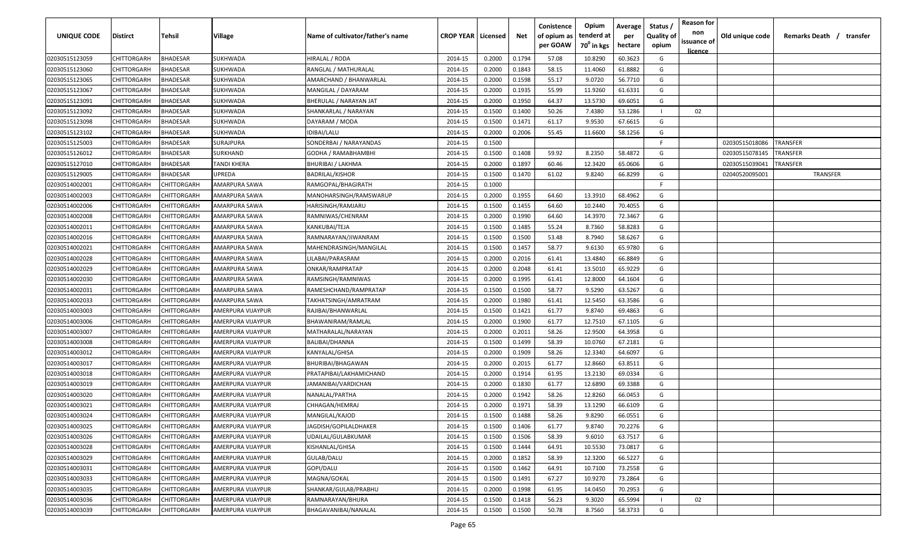| <b>UNIQUE CODE</b> | <b>Distirct</b>    | Tehsil             | Village              | Name of cultivator/father's name | <b>CROP YEAR Licensed</b> |        | Net    | Conistence<br>of opium as<br>per GOAW | Opium<br>tenderd at<br>70 <sup>0</sup> in kgs | Average<br>per<br>hectare | Status /<br><b>Quality of</b><br>opium | <b>Reason for</b><br>non<br>issuance of | Old unique code | Remarks Death / |          | transfer |
|--------------------|--------------------|--------------------|----------------------|----------------------------------|---------------------------|--------|--------|---------------------------------------|-----------------------------------------------|---------------------------|----------------------------------------|-----------------------------------------|-----------------|-----------------|----------|----------|
|                    |                    |                    |                      |                                  |                           |        |        |                                       |                                               |                           |                                        | <u>licence</u>                          |                 |                 |          |          |
| 02030515123059     | CHITTORGARH        | <b>BHADESAR</b>    | SUKHWADA             | HIRALAL / RODA                   | 2014-15                   | 0.2000 | 0.1794 | 57.08                                 | 10.8290                                       | 60.3623                   | G                                      |                                         |                 |                 |          |          |
| 02030515123060     | CHITTORGARH        | BHADESAR           | SUKHWADA             | RANGLAL / MATHURALAL             | 2014-15                   | 0.2000 | 0.1843 | 58.15                                 | 11.4060                                       | 61.8882                   | G                                      |                                         |                 |                 |          |          |
| 02030515123065     | CHITTORGARH        | BHADESAR           | <b>SUKHWADA</b>      | AMARCHAND / BHANWARLAL           | 2014-15                   | 0.2000 | 0.1598 | 55.17                                 | 9.0720                                        | 56.7710                   | G                                      |                                         |                 |                 |          |          |
| 02030515123067     | CHITTORGARH        | BHADESAR           | <b>SUKHWADA</b>      | MANGILAL / DAYARAM               | 2014-15                   | 0.2000 | 0.1935 | 55.99                                 | 11.9260                                       | 61.6331                   | G                                      |                                         |                 |                 |          |          |
| 02030515123091     | CHITTORGARH        | BHADESAR           | <b>SUKHWADA</b>      | BHERULAL / NARAYAN JAT           | 2014-15                   | 0.2000 | 0.1950 | 64.37                                 | 13.5730                                       | 69.6051                   | G                                      |                                         |                 |                 |          |          |
| 02030515123092     | CHITTORGARH        | <b>BHADESAR</b>    | SUKHWADA             | SHANKARLAL / NARAYAN             | 2014-15                   | 0.1500 | 0.1400 | 50.26                                 | 7.4380                                        | 53.1286                   |                                        | 02                                      |                 |                 |          |          |
| 02030515123098     | CHITTORGARH        | BHADESAR           | SUKHWADA             | DAYARAM / MODA                   | 2014-15                   | 0.1500 | 0.1471 | 61.17                                 | 9.9530                                        | 67.6615                   | G                                      |                                         |                 |                 |          |          |
| 02030515123102     | CHITTORGARH        | <b>BHADESAR</b>    | SUKHWADA             | IDIBAI/LALU                      | 2014-15                   | 0.2000 | 0.2006 | 55.45                                 | 11.6600                                       | 58.1256                   | G                                      |                                         |                 |                 |          |          |
| 02030515125003     | CHITTORGARH        | <b>BHADESAR</b>    | SURAJPURA            | SONDERBAI / NARAYANDAS           | 2014-15                   | 0.1500 |        |                                       |                                               |                           | F.                                     |                                         | 02030515018086  | TRANSFER        |          |          |
| 02030515126012     | CHITTORGARH        | BHADESAR           | SURKHAND             | GODHA / RAMABHAMBHI              | 2014-15                   | 0.1500 | 0.1408 | 59.92                                 | 8.2350                                        | 58.4872                   | G                                      |                                         | 02030515078145  | TRANSFER        |          |          |
| 02030515127010     | CHITTORGARH        | BHADESAR           | TANDI KHERA          | BHURIBAI / LAKHMA                | 2014-15                   | 0.2000 | 0.1897 | 60.46                                 | 12.3420                                       | 65.0606                   | G                                      |                                         | 02030515039041  | TRANSFER        |          |          |
| 02030515129005     | CHITTORGARH        | 3HADESAR           | UPREDA               | BADRILAL/KISHOR                  | 2014-15                   | 0.1500 | 0.1470 | 61.02                                 | 9.8240                                        | 66.8299                   | G                                      |                                         | 02040520095001  |                 | TRANSFER |          |
| 02030514002001     | CHITTORGARH        | CHITTORGARH        | AMARPURA SAWA        | RAMGOPAL/BHAGIRATH               | 2014-15                   | 0.1000 |        |                                       |                                               |                           | E                                      |                                         |                 |                 |          |          |
| 02030514002003     | CHITTORGARH        | CHITTORGARH        | AMARPURA SAWA        | MANOHARSINGH/RAMSWARUP           | 2014-15                   | 0.2000 | 0.1955 | 64.60                                 | 13.3910                                       | 68.4962                   | G                                      |                                         |                 |                 |          |          |
| 02030514002006     | CHITTORGARH        | CHITTORGARH        | AMARPURA SAWA        | HARISINGH/RAMJARU                | 2014-15                   | 0.1500 | 0.1455 | 64.60                                 | 10.2440                                       | 70.4055                   | G                                      |                                         |                 |                 |          |          |
| 02030514002008     | CHITTORGARH        | CHITTORGARH        | <b>AMARPURA SAWA</b> | RAMNIWAS/CHENRAM                 | 2014-15                   | 0.2000 | 0.1990 | 64.60                                 | 14.3970                                       | 72.3467                   | G                                      |                                         |                 |                 |          |          |
| 02030514002011     | CHITTORGARH        | CHITTORGARF        | AMARPURA SAWA        | KANKUBAI/TEJA                    | 2014-15                   | 0.1500 | 0.1485 | 55.24                                 | 8.7360                                        | 58.8283                   | G                                      |                                         |                 |                 |          |          |
| 02030514002016     | CHITTORGARH        | CHITTORGARH        | AMARPURA SAWA        | RAMNARAYAN/JIWANRAM              | 2014-15                   | 0.1500 | 0.1500 | 53.48                                 | 8.7940                                        | 58.6267                   | G                                      |                                         |                 |                 |          |          |
| 02030514002021     | CHITTORGARH        | CHITTORGARH        | AMARPURA SAWA        | MAHENDRASINGH/MANGILAL           | 2014-15                   | 0.1500 | 0.1457 | 58.77                                 | 9.6130                                        | 65.9780                   | G                                      |                                         |                 |                 |          |          |
| 02030514002028     | CHITTORGARH        | CHITTORGARH        | AMARPURA SAWA        | LILABAI/PARASRAM                 | 2014-15                   | 0.2000 | 0.2016 | 61.41                                 | 13.4840                                       | 66.8849                   | G                                      |                                         |                 |                 |          |          |
| 02030514002029     | CHITTORGARH        | CHITTORGARH        | AMARPURA SAWA        | ONKAR/RAMPRATAP                  | 2014-15                   | 0.2000 | 0.2048 | 61.41                                 | 13.5010                                       | 65.9229                   | G                                      |                                         |                 |                 |          |          |
| 02030514002030     | CHITTORGARH        | CHITTORGARH        | AMARPURA SAWA        | RAMSINGH/RAMNIWAS                | 2014-15                   | 0.2000 | 0.1995 | 61.41                                 | 12.8000                                       | 64.1604                   | G                                      |                                         |                 |                 |          |          |
| 02030514002031     | CHITTORGARH        | CHITTORGARH        | AMARPURA SAWA        | RAMESHCHAND/RAMPRATAP            | 2014-15                   | 0.1500 | 0.1500 | 58.77                                 | 9.5290                                        | 63.5267                   | G                                      |                                         |                 |                 |          |          |
| 02030514002033     | CHITTORGARH        | CHITTORGARH        | AMARPURA SAWA        | TAKHATSINGH/AMRATRAM             | 2014-15                   | 0.2000 | 0.1980 | 61.41                                 | 12.5450                                       | 63.3586                   | G                                      |                                         |                 |                 |          |          |
| 02030514003003     | CHITTORGARH        | CHITTORGARH        | AMERPURA VIJAYPUR    | RAJIBAI/BHANWARLAL               | 2014-15                   | 0.1500 | 0.1421 | 61.77                                 | 9.8740                                        | 69.4863                   | G                                      |                                         |                 |                 |          |          |
| 02030514003006     | CHITTORGARH        | CHITTORGARH        | AMERPURA VIJAYPUR    | BHAWANIRAM/RAMLAL                | 2014-15                   | 0.2000 | 0.1900 | 61.77                                 | 12.7510                                       | 67.1105                   | G                                      |                                         |                 |                 |          |          |
| 02030514003007     | CHITTORGARH        | CHITTORGARH        | AMERPURA VIJAYPUR    | MATHARALAL/NARAYAN               | 2014-15                   | 0.2000 | 0.2011 | 58.26                                 | 12.9500                                       | 64.3958                   | G                                      |                                         |                 |                 |          |          |
| 02030514003008     | CHITTORGARH        | CHITTORGARH        | AMERPURA VIJAYPUR    | BALIBAI/DHANNA                   | 2014-15                   | 0.1500 | 0.1499 | 58.39                                 | 10.0760                                       | 67.2181                   | G                                      |                                         |                 |                 |          |          |
| 02030514003012     | CHITTORGARH        | CHITTORGARH        | AMERPURA VIJAYPUR    | KANYALAL/GHISA                   | 2014-15                   | 0.2000 | 0.1909 | 58.26                                 | 12.3340                                       | 64.6097                   | G                                      |                                         |                 |                 |          |          |
| 02030514003017     | CHITTORGARH        | CHITTORGARH        | AMERPURA VIJAYPUR    | BHURIBAI/BHAGAWAN                | 2014-15                   | 0.2000 | 0.2015 | 61.77                                 | 12.8660                                       | 63.8511                   | G                                      |                                         |                 |                 |          |          |
| 02030514003018     | CHITTORGARH        | CHITTORGARH        | AMERPURA VIJAYPUR    | PRATAPIBAI/LAKHAMICHAND          | 2014-15                   | 0.2000 | 0.1914 | 61.95                                 | 13.2130                                       | 69.0334                   | G                                      |                                         |                 |                 |          |          |
| 02030514003019     | CHITTORGARH        | CHITTORGARH        | AMERPURA VIJAYPUR    | JAMANIBAI/VARDICHAN              | 2014-15                   | 0.2000 | 0.1830 | 61.77                                 | 12.6890                                       | 69.3388                   | G                                      |                                         |                 |                 |          |          |
| 02030514003020     | CHITTORGARH        | CHITTORGARH        | AMERPURA VIJAYPUR    | <b>NANALAL/PARTHA</b>            | 2014-15                   | 0.2000 | 0.1942 | 58.26                                 | 12.8260                                       | 66.0453                   | G                                      |                                         |                 |                 |          |          |
| 02030514003021     | CHITTORGARH        | CHITTORGARH        | AMERPURA VIJAYPUR    | CHHAGAN/HEMRAJ                   | 2014-15                   | 0.2000 | 0.1971 | 58.39                                 | 13.1290                                       | 66.6109                   | G                                      |                                         |                 |                 |          |          |
| 02030514003024     | CHITTORGARH        | CHITTORGARH        | AMERPURA VIJAYPUR    | MANGILAL/KAJOD                   | 2014-15                   | 0.1500 | 0.1488 | 58.26                                 | 9.8290                                        | 66.0551                   | G                                      |                                         |                 |                 |          |          |
| 02030514003025     | CHITTORGARH        | <b>CHITTORGARH</b> | AMERPURA VIJAYPUR    | JAGDISH/GOPILALDHAKER            | 2014-15                   | 0.1500 | 0.1406 | 61.77                                 | 9.8740                                        | 70.2276                   | G                                      |                                         |                 |                 |          |          |
| 02030514003026     | <b>CHITTORGARH</b> | CHITTORGARH        | AMERPURA VIJAYPUR    | UDAILAL/GULABKUMAR               | 2014-15                   | 0.1500 | 0.1506 | 58.39                                 | 9.6010                                        | 63.7517                   | G                                      |                                         |                 |                 |          |          |
| 02030514003028     | CHITTORGARH        | CHITTORGARH        | AMERPURA VIJAYPUR    | KISHANLAL/GHISA                  | 2014-15                   | 0.1500 | 0.1444 | 64.91                                 | 10.5530                                       | 73.0817                   | G                                      |                                         |                 |                 |          |          |
| 02030514003029     | CHITTORGARH        | CHITTORGARH        | AMERPURA VIJAYPUR    | GULAB/DALU                       | 2014-15                   | 0.2000 | 0.1852 | 58.39                                 | 12.3200                                       | 66.5227                   | G                                      |                                         |                 |                 |          |          |
| 02030514003031     | <b>CHITTORGARH</b> | CHITTORGARH        | AMERPURA VIJAYPUR    | GOPI/DALU                        | 2014-15                   | 0.1500 | 0.1462 | 64.91                                 | 10.7100                                       | 73.2558                   | G                                      |                                         |                 |                 |          |          |
| 02030514003033     | CHITTORGARH        | CHITTORGARH        | AMERPURA VIJAYPUR    | MAGNA/GOKAL                      | 2014-15                   | 0.1500 | 0.1491 | 67.27                                 | 10.9270                                       | 73.2864                   | G                                      |                                         |                 |                 |          |          |
| 02030514003035     | <b>CHITTORGARH</b> | CHITTORGARH        | AMERPURA VIJAYPUR    | SHANKAR/GULAB/PRABHU             | 2014-15                   | 0.2000 | 0.1998 | 61.95                                 | 14.0450                                       | 70.2953                   | G                                      |                                         |                 |                 |          |          |
| 02030514003036     | <b>CHITTORGARH</b> | CHITTORGARH        | AMERPURA VIJAYPUR    | RAMNARAYAN/BHURA                 | 2014-15                   | 0.1500 | 0.1418 | 56.23                                 | 9.3020                                        | 65.5994                   |                                        | 02                                      |                 |                 |          |          |
| 02030514003039     | <b>CHITTORGARH</b> | CHITTORGARH        | AMERPURA VIJAYPUR    | BHAGAVANIBAI/NANALAL             | 2014-15                   | 0.1500 | 0.1500 | 50.78                                 | 8.7560                                        | 58.3733                   | G                                      |                                         |                 |                 |          |          |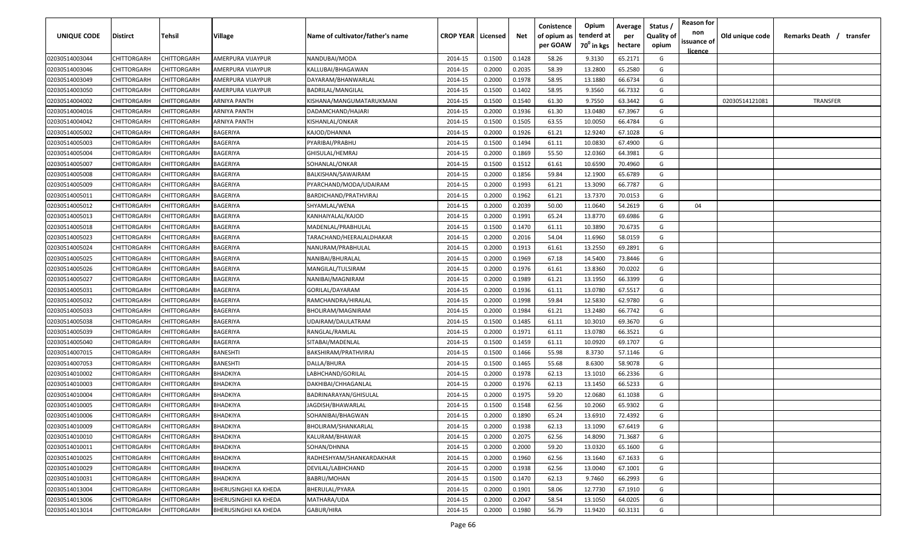| <b>UNIQUE CODE</b> | <b>Distirct</b>    | <b>Tehsil</b> | Village                      | Name of cultivator/father's name | <b>CROP YEAR   Licensed</b> |        | Net    | Conistence<br>of opium as<br>per GOAW | Opium<br>tenderd at<br>70 <sup>0</sup> in kgs | Average<br>per<br>hectare | Status /<br><b>Quality of</b><br>opium | <b>Reason for</b><br>non<br>issuance of<br>licence | Old unique code | Remarks Death /<br>transfer |
|--------------------|--------------------|---------------|------------------------------|----------------------------------|-----------------------------|--------|--------|---------------------------------------|-----------------------------------------------|---------------------------|----------------------------------------|----------------------------------------------------|-----------------|-----------------------------|
| 02030514003044     | CHITTORGARH        | CHITTORGARH   | AMERPURA VIJAYPUR            | NANDUBAI/MODA                    | 2014-15                     | 0.1500 | 0.1428 | 58.26                                 | 9.3130                                        | 65.2171                   | G                                      |                                                    |                 |                             |
| 02030514003046     | CHITTORGARH        | CHITTORGARH   | AMERPURA VIJAYPUR            | KALLUBAI/BHAGAWAN                | 2014-15                     | 0.2000 | 0.2035 | 58.39                                 | 13.2800                                       | 65.2580                   | G                                      |                                                    |                 |                             |
| 02030514003049     | CHITTORGARH        | CHITTORGARH   | AMERPURA VIJAYPUR            | DAYARAM/BHANWARLAL               | 2014-15                     | 0.2000 | 0.1978 | 58.95                                 | 13.1880                                       | 66.6734                   | G                                      |                                                    |                 |                             |
| 02030514003050     | CHITTORGARH        | CHITTORGARH   | AMERPURA VIJAYPUR            | BADRILAL/MANGILAL                | 2014-15                     | 0.1500 | 0.1402 | 58.95                                 | 9.3560                                        | 66.7332                   | G                                      |                                                    |                 |                             |
| 02030514004002     | CHITTORGARH        | CHITTORGARH   | ARNIYA PANTH                 | KISHANA/MANGUMATARUKMANI         | 2014-15                     | 0.1500 | 0.1540 | 61.30                                 | 9.7550                                        | 63.3442                   | G                                      |                                                    | 02030514121081  | <b>TRANSFER</b>             |
| 02030514004016     | CHITTORGARH        | CHITTORGARH   | ARNIYA PANTH                 | DADAMCHAND/HAJARI                | 2014-15                     | 0.2000 | 0.1936 | 61.30                                 | 13.0480                                       | 67.3967                   | G                                      |                                                    |                 |                             |
| 02030514004042     | CHITTORGARH        | CHITTORGARH   | ARNIYA PANTH                 | KISHANLAL/ONKAR                  | 2014-15                     | 0.1500 | 0.1505 | 63.55                                 | 10.0050                                       | 66.4784                   | G                                      |                                                    |                 |                             |
| 02030514005002     | CHITTORGARH        | CHITTORGARH   | BAGERIYA                     | KAJOD/DHANNA                     | 2014-15                     | 0.2000 | 0.1926 | 61.21                                 | 12.9240                                       | 67.1028                   | G                                      |                                                    |                 |                             |
| 02030514005003     | CHITTORGARH        | CHITTORGARH   | BAGERIYA                     | PYARIBAI/PRABHU                  | 2014-15                     | 0.1500 | 0.1494 | 61.11                                 | 10.0830                                       | 67.4900                   | G                                      |                                                    |                 |                             |
| 02030514005004     | CHITTORGARH        | CHITTORGARH   | BAGERIYA                     | GHISULAL/HEMRAJ                  | 2014-15                     | 0.2000 | 0.1869 | 55.50                                 | 12.0360                                       | 64.3981                   | G                                      |                                                    |                 |                             |
| 02030514005007     | CHITTORGARH        | CHITTORGARH   | BAGERIYA                     | SOHANLAL/ONKAR                   | 2014-15                     | 0.1500 | 0.1512 | 61.61                                 | 10.6590                                       | 70.4960                   | G                                      |                                                    |                 |                             |
| 02030514005008     | CHITTORGARH        | CHITTORGARH   | BAGERIYA                     | BALKISHAN/SAWAIRAM               | 2014-15                     | 0.2000 | 0.1856 | 59.84                                 | 12.1900                                       | 65.6789                   | G                                      |                                                    |                 |                             |
| 02030514005009     | CHITTORGARH        | CHITTORGARH   | BAGERIYA                     | PYARCHAND/MODA/UDAIRAM           | 2014-15                     | 0.2000 | 0.1993 | 61.21                                 | 13.3090                                       | 66.7787                   | G                                      |                                                    |                 |                             |
| 02030514005011     | CHITTORGARH        | CHITTORGARH   | BAGERIYA                     | BARDICHAND/PRATHVIRAJ            | 2014-15                     | 0.2000 | 0.1962 | 61.21                                 | 13.7370                                       | 70.0153                   | G                                      |                                                    |                 |                             |
| 02030514005012     | CHITTORGARH        | CHITTORGARH   | BAGERIYA                     | SHYAMLAL/WENA                    | 2014-15                     | 0.2000 | 0.2039 | 50.00                                 | 11.0640                                       | 54.2619                   | G                                      | 04                                                 |                 |                             |
| 02030514005013     | CHITTORGARH        | CHITTORGARH   | BAGERIYA                     | KANHAIYALAL/KAJOD                | 2014-15                     | 0.2000 | 0.1991 | 65.24                                 | 13.8770                                       | 69.6986                   | G                                      |                                                    |                 |                             |
| 02030514005018     | CHITTORGARH        | CHITTORGARF   | BAGERIYA                     | MADENLAL/PRABHULAL               | 2014-15                     | 0.1500 | 0.1470 | 61.11                                 | 10.3890                                       | 70.6735                   | G                                      |                                                    |                 |                             |
| 02030514005023     | CHITTORGARH        | CHITTORGARH   | BAGERIYA                     | TARACHAND/HEERALALDHAKAR         | 2014-15                     | 0.2000 | 0.2016 | 54.04                                 | 11.6960                                       | 58.0159                   | G                                      |                                                    |                 |                             |
| 02030514005024     | CHITTORGARH        | CHITTORGARH   | BAGERIYA                     | NANURAM/PRABHULAL                | 2014-15                     | 0.2000 | 0.1913 | 61.61                                 | 13.2550                                       | 69.2891                   | G                                      |                                                    |                 |                             |
| 02030514005025     | CHITTORGARH        | CHITTORGARH   | BAGERIYA                     | NANIBAI/BHURALAL                 | 2014-15                     | 0.2000 | 0.1969 | 67.18                                 | 14.5400                                       | 73.8446                   | G                                      |                                                    |                 |                             |
| 02030514005026     | CHITTORGARH        | CHITTORGARH   | BAGERIYA                     | MANGILAL/TULSIRAM                | 2014-15                     | 0.2000 | 0.1976 | 61.61                                 | 13.8360                                       | 70.0202                   | G                                      |                                                    |                 |                             |
| 02030514005027     | CHITTORGARH        | CHITTORGARH   | BAGERIYA                     | NANIBAI/MAGNIRAM                 | 2014-15                     | 0.2000 | 0.1989 | 61.21                                 | 13.1950                                       | 66.3399                   | G                                      |                                                    |                 |                             |
| 02030514005031     | CHITTORGARH        | CHITTORGARH   | BAGERIYA                     | GORILAL/DAYARAM                  | 2014-15                     | 0.2000 | 0.1936 | 61.11                                 | 13.0780                                       | 67.5517                   | G                                      |                                                    |                 |                             |
| 02030514005032     | CHITTORGARH        | CHITTORGARH   | BAGERIYA                     | RAMCHANDRA/HIRALAL               | 2014-15                     | 0.2000 | 0.1998 | 59.84                                 | 12.5830                                       | 62.9780                   | G                                      |                                                    |                 |                             |
| 02030514005033     | CHITTORGARH        | CHITTORGARH   | BAGERIYA                     | BHOLIRAM/MAGNIRAM                | 2014-15                     | 0.2000 | 0.1984 | 61.21                                 | 13.2480                                       | 66.7742                   | G                                      |                                                    |                 |                             |
| 02030514005038     | CHITTORGARH        | CHITTORGARH   | BAGERIYA                     | UDAIRAM/DAULATRAM                | 2014-15                     | 0.1500 | 0.1485 | 61.11                                 | 10.3010                                       | 69.3670                   | G                                      |                                                    |                 |                             |
| 02030514005039     | CHITTORGARH        | CHITTORGARH   | BAGERIYA                     | RANGLAL/RAMLAL                   | 2014-15                     | 0.2000 | 0.1971 | 61.11                                 | 13.0780                                       | 66.3521                   | G                                      |                                                    |                 |                             |
| 02030514005040     | CHITTORGARH        | CHITTORGARH   | BAGERIYA                     | SITABAI/MADENLAL                 | 2014-15                     | 0.1500 | 0.1459 | 61.11                                 | 10.0920                                       | 69.1707                   | G                                      |                                                    |                 |                             |
| 02030514007015     | CHITTORGARH        | CHITTORGARH   | BANESHTI                     | BAKSHIRAM/PRATHVIRAJ             | 2014-15                     | 0.1500 | 0.1466 | 55.98                                 | 8.3730                                        | 57.1146                   | G                                      |                                                    |                 |                             |
| 02030514007053     | CHITTORGARH        | CHITTORGARH   | BANESHTI                     | DALLA/BHURA                      | 2014-15                     | 0.1500 | 0.1465 | 55.68                                 | 8.6300                                        | 58.9078                   | G                                      |                                                    |                 |                             |
| 02030514010002     | CHITTORGARH        | CHITTORGARH   | BHADKIYA                     | LABHCHAND/GORILAL                | 2014-15                     | 0.2000 | 0.1978 | 62.13                                 | 13.1010                                       | 66.2336                   | G                                      |                                                    |                 |                             |
| 02030514010003     | CHITTORGARH        | CHITTORGARH   | BHADKIYA                     | DAKHIBAI/CHHAGANLAL              | 2014-15                     | 0.2000 | 0.1976 | 62.13                                 | 13.1450                                       | 66.5233                   | G                                      |                                                    |                 |                             |
| 02030514010004     | CHITTORGARH        | CHITTORGARH   | BHADKIYA                     | BADRINARAYAN/GHISULAL            | 2014-15                     | 0.2000 | 0.1975 | 59.20                                 | 12.0680                                       | 61.1038                   | G                                      |                                                    |                 |                             |
| 02030514010005     | CHITTORGARH        | CHITTORGARH   | BHADKIYA                     | JAGDISH/BHAWARLAL                | 2014-15                     | 0.1500 | 0.1548 | 62.56                                 | 10.2060                                       | 65.9302                   | G                                      |                                                    |                 |                             |
| 02030514010006     | <b>CHITTORGARH</b> | CHITTORGARH   | BHADKIYA                     | SOHANIBAI/BHAGWAN                | 2014-15                     | 0.2000 | 0.1890 | 65.24                                 | 13.6910                                       | 72.4392                   | G                                      |                                                    |                 |                             |
| 02030514010009     | CHITTORGARH        | CHITTORGARH   | BHADKIYA                     | BHOLIRAM/SHANKARLAL              | 2014-15                     | 0.2000 | 0.1938 | 62.13                                 | 13.1090                                       | 67.6419                   | G                                      |                                                    |                 |                             |
| 02030514010010     | <b>CHITTORGARH</b> | CHITTORGARH   | BHADKIYA                     | KALURAM/BHAWAR                   | 2014-15                     | 0.2000 | 0.2075 | 62.56                                 | 14.8090                                       | 71.3687                   | G                                      |                                                    |                 |                             |
| 02030514010011     | CHITTORGARH        | CHITTORGARH   | BHADKIYA                     | SOHAN/DHNNA                      | 2014-15                     | 0.2000 | 0.2000 | 59.20                                 | 13.0320                                       | 65.1600                   | G                                      |                                                    |                 |                             |
| 02030514010025     | CHITTORGARH        | CHITTORGARH   | BHADKIYA                     | RADHESHYAM/SHANKARDAKHAR         | 2014-15                     | 0.2000 | 0.1960 | 62.56                                 | 13.1640                                       | 67.1633                   | G                                      |                                                    |                 |                             |
| 02030514010029     | CHITTORGARH        | CHITTORGARH   | BHADKIYA                     | DEVILAL/LABHCHAND                | 2014-15                     | 0.2000 | 0.1938 | 62.56                                 | 13.0040                                       | 67.1001                   | G                                      |                                                    |                 |                             |
| 02030514010031     | CHITTORGARH        | CHITTORGARH   | BHADKIYA                     | BABRU/MOHAN                      | 2014-15                     | 0.1500 | 0.1470 | 62.13                                 | 9.7460                                        | 66.2993                   | G                                      |                                                    |                 |                             |
| 02030514013004     | CHITTORGARH        | CHITTORGARH   | BHERUSINGHJI KA KHEDA        | BHERULAL/PYARA                   | 2014-15                     | 0.2000 | 0.1901 | 58.06                                 | 12.7730                                       | 67.1910                   | G                                      |                                                    |                 |                             |
| 02030514013006     | CHITTORGARH        | CHITTORGARH   | <b>BHERUSINGHJI KA KHEDA</b> | MATHARA/UDA                      | 2014-15                     | 0.2000 | 0.2047 | 58.54                                 | 13.1050                                       | 64.0205                   | G                                      |                                                    |                 |                             |
| 02030514013014     | <b>CHITTORGARH</b> | CHITTORGARH   | BHERUSINGHJI KA KHEDA        | GABUR/HIRA                       | 2014-15                     | 0.2000 | 0.1980 | 56.79                                 | 11.9420                                       | 60.3131                   | G                                      |                                                    |                 |                             |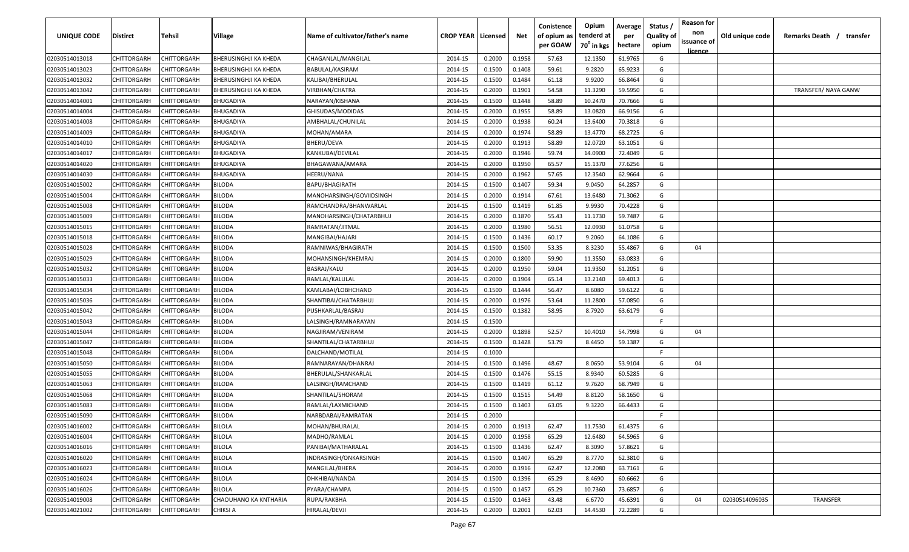| UNIQUE CODE    | <b>Distirct</b>    | Tehsil             | <b>Village</b>               | Name of cultivator/father's name | <b>CROP YEAR   Licensed</b> |        | Net    | Conistence<br>of opium as<br>per GOAW | Opium<br>tenderd at<br>$70^0$ in kgs | Average<br>per<br>hectare | Status<br><b>Quality of</b><br>opium | <b>Reason for</b><br>non<br>issuance of<br><u>licence</u> | Old unique code | Remarks Death / transfer |
|----------------|--------------------|--------------------|------------------------------|----------------------------------|-----------------------------|--------|--------|---------------------------------------|--------------------------------------|---------------------------|--------------------------------------|-----------------------------------------------------------|-----------------|--------------------------|
| 02030514013018 | CHITTORGARH        | CHITTORGARH        | <b>BHERUSINGHJI KA KHEDA</b> | CHAGANLAL/MANGILAL               | 2014-15                     | 0.2000 | 0.1958 | 57.63                                 | 12.1350                              | 61.9765                   | G                                    |                                                           |                 |                          |
| 02030514013023 | CHITTORGARH        | CHITTORGARH        | <b>BHERUSINGHJI KA KHEDA</b> | BABULAL/KASIRAM                  | 2014-15                     | 0.1500 | 0.1408 | 59.61                                 | 9.2820                               | 65.9233                   | G                                    |                                                           |                 |                          |
| 02030514013032 | CHITTORGARH        | CHITTORGARH        | <b>BHERUSINGHJI KA KHEDA</b> | KALIBAI/BHERULAL                 | 2014-15                     | 0.1500 | 0.1484 | 61.18                                 | 9.9200                               | 66.8464                   | G                                    |                                                           |                 |                          |
| 02030514013042 | CHITTORGARH        | CHITTORGARH        | <b>BHERUSINGHJI KA KHEDA</b> | VIRBHAN/CHATRA                   | 2014-15                     | 0.2000 | 0.1901 | 54.58                                 | 11.3290                              | 59.5950                   | G                                    |                                                           |                 | TRANSFER/ NAYA GANW      |
| 02030514014001 | CHITTORGARH        | CHITTORGARH        | <b>BHUGADIYA</b>             | NARAYAN/KISHANA                  | 2014-15                     | 0.1500 | 0.1448 | 58.89                                 | 10.2470                              | 70.7666                   | G                                    |                                                           |                 |                          |
| 02030514014004 | CHITTORGARH        | CHITTORGARH        | <b>BHUGADIYA</b>             | GHISUDAS/MODIDAS                 | 2014-15                     | 0.2000 | 0.1955 | 58.89                                 | 13.0820                              | 66.9156                   | G                                    |                                                           |                 |                          |
| 02030514014008 | CHITTORGARH        | CHITTORGARH        | <b>BHUGADIYA</b>             | AMBHALAL/CHUNILAL                | 2014-15                     | 0.2000 | 0.1938 | 60.24                                 | 13.6400                              | 70.3818                   | G                                    |                                                           |                 |                          |
| 02030514014009 | CHITTORGARH        | <b>CHITTORGARH</b> | <b>BHUGADIYA</b>             | MOHAN/AMARA                      | 2014-15                     | 0.2000 | 0.1974 | 58.89                                 | 13.4770                              | 68.2725                   | G                                    |                                                           |                 |                          |
| 02030514014010 | CHITTORGARH        | CHITTORGARH        | <b>BHUGADIYA</b>             | BHERU/DEVA                       | 2014-15                     | 0.2000 | 0.1913 | 58.89                                 | 12.0720                              | 63.1051                   | G                                    |                                                           |                 |                          |
| 02030514014017 | CHITTORGARH        | CHITTORGARH        | <b>BHUGADIYA</b>             | KANKUBAI/DEVILAL                 | 2014-15                     | 0.2000 | 0.1946 | 59.74                                 | 14.0900                              | 72.4049                   | G                                    |                                                           |                 |                          |
| 02030514014020 | CHITTORGARH        | CHITTORGARH        | <b>BHUGADIYA</b>             | BHAGAWANA/AMARA                  | 2014-15                     | 0.2000 | 0.1950 | 65.57                                 | 15.1370                              | 77.6256                   | G                                    |                                                           |                 |                          |
| 02030514014030 | <b>CHITTORGARH</b> | CHITTORGARH        | <b>BHUGADIYA</b>             | HEERU/NANA                       | 2014-15                     | 0.2000 | 0.1962 | 57.65                                 | 12.3540                              | 62.9664                   | G                                    |                                                           |                 |                          |
| 02030514015002 | <b>CHITTORGARH</b> | CHITTORGARH        | <b>BILODA</b>                | BAPU/BHAGIRATH                   | 2014-15                     | 0.1500 | 0.1407 | 59.34                                 | 9.0450                               | 64.2857                   | G                                    |                                                           |                 |                          |
| 02030514015004 | CHITTORGARH        | CHITTORGARH        | <b>BILODA</b>                | MANOHARSINGH/GOVIIDSINGH         | 2014-15                     | 0.2000 | 0.1914 | 67.61                                 | 13.6480                              | 71.3062                   | G                                    |                                                           |                 |                          |
| 02030514015008 | CHITTORGARH        | CHITTORGARH        | <b>BILODA</b>                | RAMCHANDRA/BHANWARLAL            | 2014-15                     | 0.1500 | 0.1419 | 61.85                                 | 9.9930                               | 70.4228                   | G                                    |                                                           |                 |                          |
| 02030514015009 | CHITTORGARH        | <b>CHITTORGARH</b> | <b>BILODA</b>                | MANOHARSINGH/CHATARBHUJ          | 2014-15                     | 0.2000 | 0.1870 | 55.43                                 | 11.1730                              | 59.7487                   | G                                    |                                                           |                 |                          |
| 02030514015015 | CHITTORGARH        | CHITTORGARH        | <b>BILODA</b>                | RAMRATAN/JITMAL                  | 2014-15                     | 0.2000 | 0.1980 | 56.51                                 | 12.0930                              | 61.0758                   | G                                    |                                                           |                 |                          |
| 02030514015018 | CHITTORGARH        | CHITTORGARH        | <b>BILODA</b>                | MANGIBAI/HAJARI                  | 2014-15                     | 0.1500 | 0.1436 | 60.17                                 | 9.2060                               | 64.1086                   | G                                    |                                                           |                 |                          |
| 02030514015028 | CHITTORGARH        | CHITTORGARH        | <b>BILODA</b>                | RAMNIWAS/BHAGIRATH               | 2014-15                     | 0.1500 | 0.1500 | 53.35                                 | 8.3230                               | 55.4867                   | G                                    | 04                                                        |                 |                          |
| 02030514015029 | CHITTORGARH        | CHITTORGARH        | <b>BILODA</b>                | MOHANSINGH/KHEMRAJ               | 2014-15                     | 0.2000 | 0.1800 | 59.90                                 | 11.3550                              | 63.0833                   | G                                    |                                                           |                 |                          |
| 02030514015032 | CHITTORGARH        | CHITTORGARH        | <b>BILODA</b>                | BASRAJ/KALU                      | 2014-15                     | 0.2000 | 0.1950 | 59.04                                 | 11.9350                              | 61.2051                   | G                                    |                                                           |                 |                          |
| 02030514015033 | CHITTORGARH        | CHITTORGARH        | <b>BILODA</b>                | RAMLAL/KALULAL                   | 2014-15                     | 0.2000 | 0.1904 | 65.14                                 | 13.2140                              | 69.4013                   | G                                    |                                                           |                 |                          |
| 02030514015034 | CHITTORGARH        | CHITTORGARH        | <b>BILODA</b>                | KAMLABAI/LOBHCHAND               | 2014-15                     | 0.1500 | 0.1444 | 56.47                                 | 8.6080                               | 59.6122                   | G                                    |                                                           |                 |                          |
| 02030514015036 | CHITTORGARH        | CHITTORGARH        | <b>BILODA</b>                | SHANTIBAI/CHATARBHUJ             | 2014-15                     | 0.2000 | 0.1976 | 53.64                                 | 11.2800                              | 57.0850                   | G                                    |                                                           |                 |                          |
| 02030514015042 | CHITTORGARH        | <b>CHITTORGARH</b> | <b>BILODA</b>                | PUSHKARLAL/BASRAJ                | 2014-15                     | 0.1500 | 0.1382 | 58.95                                 | 8.7920                               | 63.6179                   | G                                    |                                                           |                 |                          |
| 02030514015043 | CHITTORGARH        | CHITTORGARH        | <b>BILODA</b>                | LALSINGH/RAMNARAYAN              | 2014-15                     | 0.1500 |        |                                       |                                      |                           | F.                                   |                                                           |                 |                          |
| 02030514015044 | CHITTORGARH        | CHITTORGARH        | <b>BILODA</b>                | NAGJIRAM/VENIRAM                 | 2014-15                     | 0.2000 | 0.1898 | 52.57                                 | 10.4010                              | 54.7998                   | G                                    | 04                                                        |                 |                          |
| 02030514015047 | CHITTORGARH        | CHITTORGARH        | <b>BILODA</b>                | SHANTILAL/CHATARBHUJ             | 2014-15                     | 0.1500 | 0.1428 | 53.79                                 | 8.4450                               | 59.1387                   | G                                    |                                                           |                 |                          |
| 02030514015048 | CHITTORGARH        | CHITTORGARH        | <b>BILODA</b>                | DALCHAND/MOTILAL                 | 2014-15                     | 0.1000 |        |                                       |                                      |                           | F.                                   |                                                           |                 |                          |
| 02030514015050 | <b>CHITTORGARH</b> | CHITTORGARH        | <b>BILODA</b>                | RAMNARAYAN/DHANRAJ               | 2014-15                     | 0.1500 | 0.1496 | 48.67                                 | 8.0650                               | 53.9104                   | G                                    | 04                                                        |                 |                          |
| 02030514015055 | CHITTORGARH        | CHITTORGARH        | <b>BILODA</b>                | BHERULAL/SHANKARLAL              | 2014-15                     | 0.1500 | 0.1476 | 55.15                                 | 8.9340                               | 60.5285                   | G                                    |                                                           |                 |                          |
| 02030514015063 | CHITTORGARH        | CHITTORGARH        | <b>BILODA</b>                | LALSINGH/RAMCHAND                | 2014-15                     | 0.1500 | 0.1419 | 61.12                                 | 9.7620                               | 68.7949                   | G                                    |                                                           |                 |                          |
| 02030514015068 | CHITTORGARH        | CHITTORGARH        | <b>BILODA</b>                | SHANTILAL/SHORAM                 | 2014-15                     | 0.1500 | 0.1515 | 54.49                                 | 8.8120                               | 58.1650                   | G                                    |                                                           |                 |                          |
| 02030514015083 | CHITTORGARH        | CHITTORGARH        | <b>BILODA</b>                | RAMLAL/LAXMICHAND                | 2014-15                     | 0.1500 | 0.1403 | 63.05                                 | 9.3220                               | 66.4433                   | G                                    |                                                           |                 |                          |
| 02030514015090 | CHITTORGARH        | CHITTORGARH        | <b>BILODA</b>                | NARBDABAI/RAMRATAN               | 2014-15                     | 0.2000 |        |                                       |                                      |                           | F                                    |                                                           |                 |                          |
| 02030514016002 | CHITTORGARH        | <b>CHITTORGARH</b> | <b>BILOLA</b>                | MOHAN/BHURALAL                   | 2014-15                     | 0.2000 | 0.1913 | 62.47                                 | 11.7530                              | 61.4375                   | G                                    |                                                           |                 |                          |
| 02030514016004 | CHITTORGARH        | CHITTORGARH        | <b>BILOLA</b>                | MADHO/RAMLAL                     | 2014-15                     | 0.2000 | 0.1958 | 65.29                                 | 12.6480                              | 64.5965                   | G                                    |                                                           |                 |                          |
| 02030514016016 | CHITTORGARH        | CHITTORGARH        | <b>BILOLA</b>                | PANIBAI/MATHARALAL               | 2014-15                     | 0.1500 | 0.1436 | 62.47                                 | 8.3090                               | 57.8621                   | G                                    |                                                           |                 |                          |
| 02030514016020 | CHITTORGARH        | CHITTORGARH        | <b>BILOLA</b>                | INDRASINGH/ONKARSINGH            | 2014-15                     | 0.1500 | 0.1407 | 65.29                                 | 8.7770                               | 62.3810                   | G                                    |                                                           |                 |                          |
| 02030514016023 | CHITTORGARH        | CHITTORGARH        | <b>BILOLA</b>                | MANGILAL/BHERA                   | 2014-15                     | 0.2000 | 0.1916 | 62.47                                 | 12.2080                              | 63.7161                   | G                                    |                                                           |                 |                          |
| 02030514016024 | CHITTORGARH        | CHITTORGARH        | <b>BILOLA</b>                | DHKHIBAI/NANDA                   | 2014-15                     | 0.1500 | 0.1396 | 65.29                                 | 8.4690                               | 60.6662                   | G                                    |                                                           |                 |                          |
| 02030514016026 | CHITTORGARH        | CHITTORGARH        | <b>BILOLA</b>                | PYARA/CHAMPA                     | 2014-15                     | 0.1500 | 0.1457 | 65.29                                 | 10.7360                              | 73.6857                   | G                                    |                                                           |                 |                          |
| 02030514019008 | CHITTORGARH        | CHITTORGARH        | CHAOUHANO KA KNTHARIA        | RUPA/RAKBHA                      | 2014-15                     | 0.1500 | 0.1463 | 43.48                                 | 6.6770                               | 45.6391                   | G                                    | 04                                                        | 02030514096035  | TRANSFER                 |
| 02030514021002 | CHITTORGARH        | CHITTORGARH        | <b>CHIKSI A</b>              | HIRALAL/DEVJI                    | 2014-15                     | 0.2000 | 0.2001 | 62.03                                 | 14.4530                              | 72.2289                   | G                                    |                                                           |                 |                          |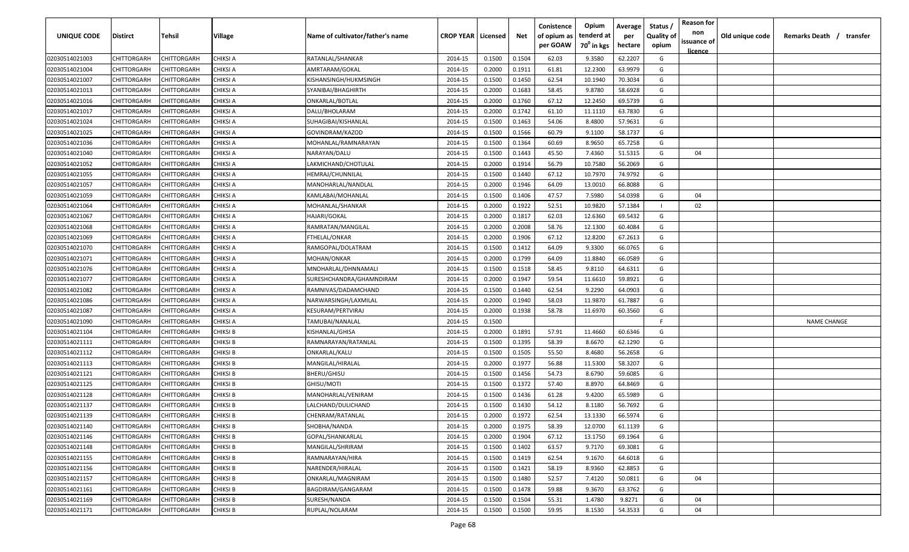| <b>UNIQUE CODE</b> | Distirct           | Tehsil             | Village         | Name of cultivator/father's name | <b>CROP YEAR   Licensed</b> |        | Net    | Conistence<br>of opium as | Opium<br>tenderd at    | Average<br>per | Status /<br><b>Quality of</b> | <b>Reason for</b><br>non      | Old unique code | Remarks Death / transfer |
|--------------------|--------------------|--------------------|-----------------|----------------------------------|-----------------------------|--------|--------|---------------------------|------------------------|----------------|-------------------------------|-------------------------------|-----------------|--------------------------|
|                    |                    |                    |                 |                                  |                             |        |        | per GOAW                  | 70 <sup>0</sup> in kgs | hectare        | opium                         | issuance of<br><u>licence</u> |                 |                          |
| 02030514021003     | CHITTORGARH        | CHITTORGARH        | <b>CHIKSI A</b> | RATANLAL/SHANKAR                 | 2014-15                     | 0.1500 | 0.1504 | 62.03                     | 9.3580                 | 62.2207        | G                             |                               |                 |                          |
| 02030514021004     | CHITTORGARH        | CHITTORGARH        | CHIKSI A        | AMRTARAM/GOKAL                   | 2014-15                     | 0.2000 | 0.1911 | 61.81                     | 12.2300                | 63.9979        | G                             |                               |                 |                          |
| 02030514021007     | CHITTORGARH        | CHITTORGARH        | CHIKSI A        | KISHANSINGH/HUKMSINGH            | 2014-15                     | 0.1500 | 0.1450 | 62.54                     | 10.1940                | 70.3034        | G                             |                               |                 |                          |
| 02030514021013     | CHITTORGARH        | CHITTORGARH        | <b>CHIKSI A</b> | SYANIBAI/BHAGHIRTH               | 2014-15                     | 0.2000 | 0.1683 | 58.45                     | 9.8780                 | 58.6928        | G                             |                               |                 |                          |
| 02030514021016     | CHITTORGARH        | CHITTORGARH        | CHIKSI A        | ONKARLAL/BOTLAL                  | 2014-15                     | 0.2000 | 0.1760 | 67.12                     | 12.2450                | 69.5739        | G                             |                               |                 |                          |
| 02030514021017     | CHITTORGARH        | CHITTORGARH        | CHIKSI A        | DALU/BHOLARAM                    | 2014-15                     | 0.2000 | 0.1742 | 61.10                     | 11.1110                | 63.7830        | G                             |                               |                 |                          |
| 02030514021024     | CHITTORGARH        | CHITTORGARH        | CHIKSI A        | SUHAGIBAI/KISHANLAL              | 2014-15                     | 0.1500 | 0.1463 | 54.06                     | 8.4800                 | 57.9631        | G                             |                               |                 |                          |
| 02030514021025     | <b>CHITTORGARH</b> | CHITTORGARH        | CHIKSI A        | GOVINDRAM/KAZOD                  | 2014-15                     | 0.1500 | 0.1566 | 60.79                     | 9.1100                 | 58.1737        | G                             |                               |                 |                          |
| 02030514021036     | CHITTORGARH        | CHITTORGARH        | CHIKSI A        | MOHANLAL/RAMNARAYAN              | 2014-15                     | 0.1500 | 0.1364 | 60.69                     | 8.9650                 | 65.7258        | G                             |                               |                 |                          |
| 02030514021040     | CHITTORGARH        | CHITTORGARH        | CHIKSI A        | NARAYAN/DALU                     | 2014-15                     | 0.1500 | 0.1443 | 45.50                     | 7.4360                 | 51.5315        | G                             | 04                            |                 |                          |
| 02030514021052     | CHITTORGARH        | CHITTORGARH        | CHIKSI A        | LAKMICHAND/CHOTULAL              | 2014-15                     | 0.2000 | 0.1914 | 56.79                     | 10.7580                | 56.2069        | G                             |                               |                 |                          |
| 02030514021055     | CHITTORGARH        | CHITTORGARH        | CHIKSI A        | HEMRAJ/CHUNNILAI                 | 2014-15                     | 0.1500 | 0.1440 | 67.12                     | 10.7970                | 74.9792        | G                             |                               |                 |                          |
| 02030514021057     | CHITTORGARH        | CHITTORGARH        | CHIKSI A        | MANOHARLAL/NANDLAL               | 2014-15                     | 0.2000 | 0.1946 | 64.09                     | 13.0010                | 66.8088        | G                             |                               |                 |                          |
| 02030514021059     | CHITTORGARH        | CHITTORGARH        | CHIKSI A        | KAMLABAI/MOHANLAL                | 2014-15                     | 0.1500 | 0.1406 | 47.57                     | 7.5980                 | 54.0398        | G                             | 04                            |                 |                          |
| 02030514021064     | CHITTORGARH        | CHITTORGARH        | CHIKSI A        | MOHANLAL/SHANKAR                 | 2014-15                     | 0.2000 | 0.1922 | 52.51                     | 10.9820                | 57.1384        |                               | 02                            |                 |                          |
| 02030514021067     | CHITTORGARH        | CHITTORGARH        | CHIKSI A        | HAJARI/GOKAL                     | 2014-15                     | 0.2000 | 0.1817 | 62.03                     | 12.6360                | 69.5432        | G                             |                               |                 |                          |
| 02030514021068     | CHITTORGARH        | CHITTORGARH        | CHIKSI A        | RAMRATAN/MANGILAL                | 2014-15                     | 0.2000 | 0.2008 | 58.76                     | 12.1300                | 60.4084        | G                             |                               |                 |                          |
| 02030514021069     | CHITTORGARH        | CHITTORGARH        | CHIKSI A        | FTHELAL/ONKAR                    | 2014-15                     | 0.2000 | 0.1906 | 67.12                     | 12.8200                | 67.2613        | G                             |                               |                 |                          |
| 02030514021070     | CHITTORGARH        | CHITTORGARH        | CHIKSI A        | RAMGOPAL/DOLATRAM                | 2014-15                     | 0.1500 | 0.1412 | 64.09                     | 9.3300                 | 66.0765        | G                             |                               |                 |                          |
| 02030514021071     | CHITTORGARH        | CHITTORGARH        | CHIKSI A        | MOHAN/ONKAR                      | 2014-15                     | 0.2000 | 0.1799 | 64.09                     | 11.8840                | 66.0589        | G                             |                               |                 |                          |
| 02030514021076     | CHITTORGARH        | CHITTORGARH        | <b>CHIKSI A</b> | MNOHARLAL/DHNNAMALI              | 2014-15                     | 0.1500 | 0.1518 | 58.45                     | 9.8110                 | 64.6311        | G                             |                               |                 |                          |
| 02030514021077     | CHITTORGARH        | CHITTORGARH        | CHIKSI A        | SURESHCHANDRA/GHAMNDIRAM         | 2014-15                     | 0.2000 | 0.1947 | 59.54                     | 11.6610                | 59.8921        | G                             |                               |                 |                          |
| 02030514021082     | CHITTORGARH        | CHITTORGARH        | CHIKSI A        | RAMNIVAS/DADAMCHAND              | 2014-15                     | 0.1500 | 0.1440 | 62.54                     | 9.2290                 | 64.0903        | G                             |                               |                 |                          |
| 02030514021086     | CHITTORGARH        | CHITTORGARH        | CHIKSI A        | NARWARSINGH/LAXMILAL             | 2014-15                     | 0.2000 | 0.1940 | 58.03                     | 11.9870                | 61.7887        | G                             |                               |                 |                          |
| 02030514021087     | CHITTORGARH        | CHITTORGARH        | CHIKSI A        | KESURAM/PERTVIRAJ                | 2014-15                     | 0.2000 | 0.1938 | 58.78                     | 11.6970                | 60.3560        | G                             |                               |                 |                          |
| 02030514021090     | CHITTORGARH        | CHITTORGARH        | CHIKSI A        | TAMUBAI/NANALAL                  | 2014-15                     | 0.1500 |        |                           |                        |                | -F.                           |                               |                 | <b>NAME CHANGE</b>       |
| 02030514021104     | CHITTORGARH        | CHITTORGARH        | CHIKSI B        | KISHANLAL/GHISA                  | 2014-15                     | 0.2000 | 0.1891 | 57.91                     | 11.4660                | 60.6346        | G                             |                               |                 |                          |
| 02030514021111     | CHITTORGARH        | CHITTORGARH        | CHIKSI B        | RAMNARAYAN/RATANLAL              | 2014-15                     | 0.1500 | 0.1395 | 58.39                     | 8.6670                 | 62.1290        | G                             |                               |                 |                          |
| 02030514021112     | CHITTORGARH        | CHITTORGARH        | CHIKSI B        | ONKARLAL/KALU                    | 2014-15                     | 0.1500 | 0.1505 | 55.50                     | 8.4680                 | 56.2658        | G                             |                               |                 |                          |
| 02030514021113     | CHITTORGARH        | CHITTORGARH        | CHIKSI B        | MANGILAL/HIRALAL                 | 2014-15                     | 0.2000 | 0.1977 | 56.88                     | 11.5300                | 58.3207        | G                             |                               |                 |                          |
| 02030514021121     | CHITTORGARH        | CHITTORGARH        | <b>CHIKSI B</b> | BHERU/GHISU                      | 2014-15                     | 0.1500 | 0.1456 | 54.73                     | 8.6790                 | 59.6085        | G                             |                               |                 |                          |
| 02030514021125     | CHITTORGARH        | CHITTORGARH        | <b>CHIKSI B</b> | GHISU/MOTI                       | 2014-15                     | 0.1500 | 0.1372 | 57.40                     | 8.8970                 | 64.8469        | G                             |                               |                 |                          |
| 02030514021128     | CHITTORGARH        | CHITTORGARH        | <b>CHIKSI B</b> | MANOHARLAL/VENIRAM               | 2014-15                     | 0.1500 | 0.1436 | 61.28                     | 9.4200                 | 65.5989        | G                             |                               |                 |                          |
| 02030514021137     | CHITTORGARH        | CHITTORGARH        | <b>CHIKSI B</b> | LALCHAND/DULICHAND               | 2014-15                     | 0.1500 | 0.1430 | 54.12                     | 8.1180                 | 56.7692        | G                             |                               |                 |                          |
| 02030514021139     | CHITTORGARH        | CHITTORGARH        | <b>CHIKSI B</b> | CHENRAM/RATANLAL                 | 2014-15                     | 0.2000 | 0.1972 | 62.54                     | 13.1330                | 66.5974        | G                             |                               |                 |                          |
| 02030514021140     | <b>CHITTORGARH</b> | <b>CHITTORGARH</b> | <b>CHIKSI B</b> | SHOBHA/NANDA                     | 2014-15                     | 0.2000 | 0.1975 | 58.39                     | 12.0700                | 61.1139        | G                             |                               |                 |                          |
| 02030514021146     | <b>CHITTORGARH</b> | CHITTORGARH        | <b>CHIKSI B</b> | GOPAL/SHANKARLAL                 | 2014-15                     | 0.2000 | 0.1904 | 67.12                     | 13.1750                | 69.1964        | G                             |                               |                 |                          |
| 02030514021148     | CHITTORGARH        | CHITTORGARH        | <b>CHIKSI B</b> | MANGILAL/SHRIRAM                 | 2014-15                     | 0.1500 | 0.1402 | 63.57                     | 9.7170                 | 69.3081        | G                             |                               |                 |                          |
| 02030514021155     | <b>CHITTORGARH</b> | CHITTORGARH        | <b>CHIKSI B</b> | RAMNARAYAN/HIRA                  | 2014-15                     | 0.1500 | 0.1419 | 62.54                     | 9.1670                 | 64.6018        | G                             |                               |                 |                          |
| 02030514021156     | CHITTORGARH        | CHITTORGARH        | <b>CHIKSI B</b> | NARENDER/HIRALAL                 | 2014-15                     | 0.1500 | 0.1421 | 58.19                     | 8.9360                 | 62.8853        | G                             |                               |                 |                          |
| 02030514021157     | CHITTORGARH        | CHITTORGARH        | <b>CHIKSI B</b> | ONKARLAL/MAGNIRAM                | 2014-15                     | 0.1500 | 0.1480 | 52.57                     | 7.4120                 | 50.0811        | G                             | 04                            |                 |                          |
| 02030514021161     | CHITTORGARH        | CHITTORGARH        | <b>CHIKSI B</b> | BAGDIRAM/GANGARAM                | 2014-15                     | 0.1500 | 0.1478 | 59.88                     | 9.3670                 | 63.3762        | G                             |                               |                 |                          |
| 02030514021169     | CHITTORGARH        | CHITTORGARH        | <b>CHIKSI B</b> | SURESH/NANDA                     | 2014-15                     | 0.1500 | 0.1504 | 55.31                     | 1.4780                 | 9.8271         | G                             | 04                            |                 |                          |
| 02030514021171     | <b>CHITTORGARH</b> | CHITTORGARH        | CHIKSI B        | RUPLAL/NOLARAM                   | 2014-15                     | 0.1500 | 0.1500 | 59.95                     | 8.1530                 | 54.3533        | G                             | 04                            |                 |                          |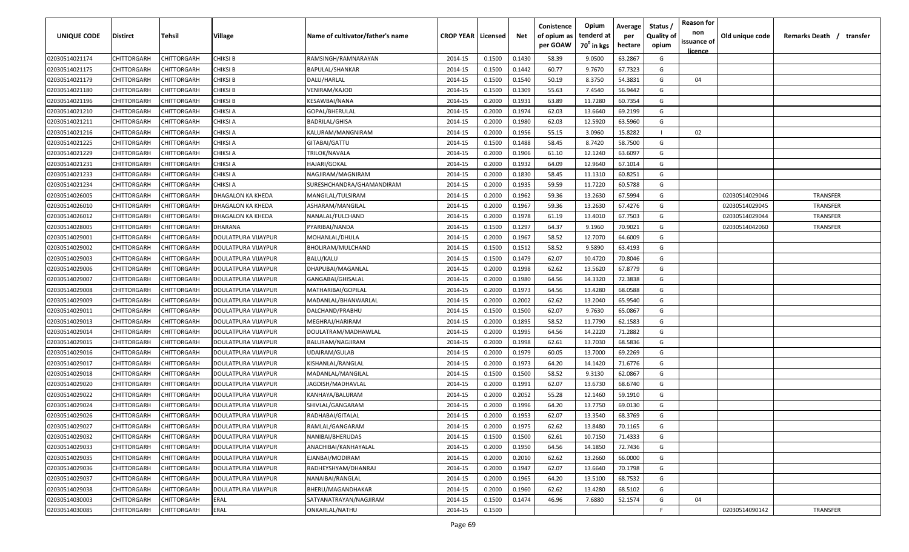| UNIQUE CODE    | <b>Distirct</b>    | Tehsil             | Village                    | Name of cultivator/father's name | <b>CROP YEAR   Licensed</b> |        | Net    | Conistence<br>of opium as | Opium<br>tenderd at    | Average<br>per | Status /<br><b>Quality of</b> | <b>Reason for</b><br>non      | Old unique code | Remarks Death /<br>transfer |
|----------------|--------------------|--------------------|----------------------------|----------------------------------|-----------------------------|--------|--------|---------------------------|------------------------|----------------|-------------------------------|-------------------------------|-----------------|-----------------------------|
|                |                    |                    |                            |                                  |                             |        |        | per GOAW                  | 70 <sup>0</sup> in kgs | hectare        | opium                         | issuance of<br><u>licence</u> |                 |                             |
| 02030514021174 | CHITTORGARH        | CHITTORGARH        | <b>CHIKSI B</b>            | RAMSINGH/RAMNARAYAN              | 2014-15                     | 0.1500 | 0.1430 | 58.39                     | 9.0500                 | 63.2867        | G                             |                               |                 |                             |
| 02030514021175 | CHITTORGARH        | CHITTORGARH        | <b>CHIKSI B</b>            | BAPULAL/SHANKAR                  | 2014-15                     | 0.1500 | 0.1442 | 60.77                     | 9.7670                 | 67.7323        | G                             |                               |                 |                             |
| 02030514021179 | CHITTORGARH        | CHITTORGARH        | CHIKSI B                   | DALU/HARLAL                      | 2014-15                     | 0.1500 | 0.1540 | 50.19                     | 8.3750                 | 54.3831        | G                             | 04                            |                 |                             |
| 02030514021180 | CHITTORGARH        | CHITTORGARH        | CHIKSI B                   | VENIRAM/KAJOD                    | 2014-15                     | 0.1500 | 0.1309 | 55.63                     | 7.4540                 | 56.9442        | G                             |                               |                 |                             |
| 02030514021196 | CHITTORGARH        | CHITTORGARH        | CHIKSI B                   | KESAWBAI/NANA                    | 2014-15                     | 0.2000 | 0.1931 | 63.89                     | 11.7280                | 60.7354        | G                             |                               |                 |                             |
| 02030514021210 | CHITTORGARH        | CHITTORGARH        | CHIKSI A                   | GOPAL/BHERULAL                   | 2014-15                     | 0.2000 | 0.1974 | 62.03                     | 13.6640                | 69.2199        | G                             |                               |                 |                             |
| 02030514021211 | CHITTORGARH        | CHITTORGARH        | CHIKSI A                   | <b>BADRILAL/GHISA</b>            | 2014-15                     | 0.2000 | 0.1980 | 62.03                     | 12.5920                | 63.5960        | G                             |                               |                 |                             |
| 02030514021216 | CHITTORGARH        | CHITTORGARH        | CHIKSI A                   | KALURAM/MANGNIRAM                | 2014-15                     | 0.2000 | 0.1956 | 55.15                     | 3.0960                 | 15.8282        |                               | 02                            |                 |                             |
| 02030514021225 | CHITTORGARH        | <b>CHITTORGARH</b> | CHIKSI A                   | GITABAI/GATTU                    | 2014-15                     | 0.1500 | 0.1488 | 58.45                     | 8.7420                 | 58.7500        | G                             |                               |                 |                             |
| 02030514021229 | CHITTORGARH        | CHITTORGARH        | CHIKSI A                   | TRILOK/NAVALA                    | 2014-15                     | 0.2000 | 0.1906 | 61.10                     | 12.1240                | 63.6097        | G                             |                               |                 |                             |
| 02030514021231 | CHITTORGARH        | CHITTORGARH        | CHIKSI A                   | HAJARI/GOKAL                     | 2014-15                     | 0.2000 | 0.1932 | 64.09                     | 12.9640                | 67.1014        | G                             |                               |                 |                             |
| 02030514021233 | CHITTORGARH        | CHITTORGARH        | CHIKSI A                   | NAGJIRAM/MAGNIRAM                | 2014-15                     | 0.2000 | 0.1830 | 58.45                     | 11.1310                | 60.8251        | G                             |                               |                 |                             |
| 02030514021234 | CHITTORGARH        | CHITTORGARH        | CHIKSI A                   | SURESHCHANDRA/GHAMANDIRAM        | 2014-15                     | 0.2000 | 0.1935 | 59.59                     | 11.7220                | 60.5788        | G                             |                               |                 |                             |
| 02030514026005 | CHITTORGARH        | CHITTORGARH        | DHAGALON KA KHEDA          | MANGILAL/TULSIRAM                | 2014-15                     | 0.2000 | 0.1962 | 59.36                     | 13.2630                | 67.5994        | G                             |                               | 02030514029046  | <b>TRANSFER</b>             |
| 02030514026010 | CHITTORGARH        | CHITTORGARH        | DHAGALON KA KHEDA          | ASHARAM/MANGILAL                 | 2014-15                     | 0.2000 | 0.1967 | 59.36                     | 13.2630                | 67.4276        | G                             |                               | 02030514029045  | TRANSFER                    |
| 02030514026012 | CHITTORGARH        | CHITTORGARH        | DHAGALON KA KHEDA          | NANALAL/FULCHAND                 | 2014-15                     | 0.2000 | 0.1978 | 61.19                     | 13.4010                | 67.7503        | G                             |                               | 02030514029044  | <b>TRANSFER</b>             |
| 02030514028005 | CHITTORGARH        | CHITTORGARH        | DHARANA                    | PYARIBAI/NANDA                   | 2014-15                     | 0.1500 | 0.1297 | 64.37                     | 9.1960                 | 70.9021        | G                             |                               | 02030514042060  | <b>TRANSFER</b>             |
| 02030514029001 | CHITTORGARH        | CHITTORGARH        | DOULATPURA VIJAYPUR        | MOHANLAL/DHULA                   | 2014-15                     | 0.2000 | 0.1967 | 58.52                     | 12.7070                | 64.6009        | G                             |                               |                 |                             |
| 02030514029002 | CHITTORGARH        | CHITTORGARH        | DOULATPURA VIJAYPUR        | BHOLIRAM/MULCHAND                | 2014-15                     | 0.1500 | 0.1512 | 58.52                     | 9.5890                 | 63.4193        | G                             |                               |                 |                             |
| 02030514029003 | CHITTORGARH        | CHITTORGARH        | DOULATPURA VIJAYPUR        | BALU/KALU                        | 2014-15                     | 0.1500 | 0.1479 | 62.07                     | 10.4720                | 70.8046        | G                             |                               |                 |                             |
| 02030514029006 | CHITTORGARH        | CHITTORGARH        | DOULATPURA VIJAYPUR        | DHAPUBAI/MAGANLAL                | 2014-15                     | 0.2000 | 0.1998 | 62.62                     | 13.5620                | 67.8779        | G                             |                               |                 |                             |
| 02030514029007 | CHITTORGARH        | CHITTORGARH        | DOULATPURA VIJAYPUR        | GANGABAI/GHISALAL                | 2014-15                     | 0.2000 | 0.1980 | 64.56                     | 14.3320                | 72.3838        | G                             |                               |                 |                             |
| 02030514029008 | CHITTORGARH        | CHITTORGARH        | DOULATPURA VIJAYPUR        | MATHARIBAI/GOPILAL               | 2014-15                     | 0.2000 | 0.1973 | 64.56                     | 13.4280                | 68.0588        | G                             |                               |                 |                             |
| 02030514029009 | CHITTORGARH        | CHITTORGARH        | DOULATPURA VIJAYPUR        | MADANLAL/BHANWARLAL              | 2014-15                     | 0.2000 | 0.2002 | 62.62                     | 13.2040                | 65.9540        | G                             |                               |                 |                             |
| 02030514029011 | CHITTORGARH        | CHITTORGARH        | DOULATPURA VIJAYPUR        | DALCHAND/PRABHU                  | 2014-15                     | 0.1500 | 0.1500 | 62.07                     | 9.7630                 | 65.0867        | G                             |                               |                 |                             |
| 02030514029013 | CHITTORGARH        | CHITTORGARH        | DOULATPURA VIJAYPUR        | MEGHRAJ/HARIRAM                  | 2014-15                     | 0.2000 | 0.1895 | 58.52                     | 11.7790                | 62.1583        | G                             |                               |                 |                             |
| 02030514029014 | CHITTORGARH        | CHITTORGARH        | DOULATPURA VIJAYPUR        | DOULATRAM/MADHAWLAL              | 2014-15                     | 0.2000 | 0.1995 | 64.56                     | 14.2220                | 71.2882        | G                             |                               |                 |                             |
| 02030514029015 | CHITTORGARH        | CHITTORGARH        | DOULATPURA VIJAYPUR        | BALURAM/NAGJIRAM                 | 2014-15                     | 0.2000 | 0.1998 | 62.61                     | 13.7030                | 68.5836        | G                             |                               |                 |                             |
| 02030514029016 | CHITTORGARH        | CHITTORGARH        | DOULATPURA VIJAYPUR        | UDAIRAM/GULAB                    | 2014-15                     | 0.2000 | 0.1979 | 60.05                     | 13.7000                | 69.2269        | G                             |                               |                 |                             |
| 02030514029017 | CHITTORGARH        | CHITTORGARH        | DOULATPURA VIJAYPUR        | KISHANLAL/RANGLAL                | 2014-15                     | 0.2000 | 0.1973 | 64.20                     | 14.1420                | 71.6776        | G                             |                               |                 |                             |
| 02030514029018 | CHITTORGARH        | CHITTORGARH        | DOULATPURA VIJAYPUR        | MADANLAL/MANGILAL                | 2014-15                     | 0.1500 | 0.1500 | 58.52                     | 9.3130                 | 62.0867        | G                             |                               |                 |                             |
| 02030514029020 | CHITTORGARH        | CHITTORGARH        | DOULATPURA VIJAYPUR        | JAGDISH/MADHAVLAL                | 2014-15                     | 0.2000 | 0.1991 | 62.07                     | 13.6730                | 68.6740        | G                             |                               |                 |                             |
| 02030514029022 | CHITTORGARH        | CHITTORGARH        | DOULATPURA VIJAYPUR        | KANHAYA/BALURAM                  | 2014-15                     | 0.2000 | 0.2052 | 55.28                     | 12.1460                | 59.1910        | G                             |                               |                 |                             |
| 02030514029024 | CHITTORGARH        | CHITTORGARH        | DOULATPURA VIJAYPUR        | SHIVLAL/GANGARAM                 | 2014-15                     | 0.2000 | 0.1996 | 64.20                     | 13.7750                | 69.0130        | G                             |                               |                 |                             |
| 02030514029026 | CHITTORGARH        | CHITTORGARH        | DOULATPURA VIJAYPUR        | RADHABAI/GITALAL                 | 2014-15                     | 0.2000 | 0.1953 | 62.07                     | 13.3540                | 68.3769        | G                             |                               |                 |                             |
| 02030514029027 | <b>CHITTORGARH</b> | <b>CHITTORGARH</b> | <b>DOULATPURA VIJAYPUR</b> | RAMLAL/GANGARAM                  | 2014-15                     | 0.2000 | 0.1975 | 62.62                     | 13.8480                | 70.1165        | G                             |                               |                 |                             |
| 02030514029032 | CHITTORGARH        | <b>CHITTORGARH</b> | DOULATPURA VIJAYPUR        | NANIBAI/BHERUDAS                 | 2014-15                     | 0.1500 | 0.1500 | 62.61                     | 10.7150                | 71.4333        | G                             |                               |                 |                             |
| 02030514029033 | CHITTORGARH        | CHITTORGARH        | <b>DOULATPURA VIJAYPUR</b> | ANACHIBAI/KANHAYALAL             | 2014-15                     | 0.2000 | 0.1950 | 64.56                     | 14.1850                | 72.7436        | G                             |                               |                 |                             |
| 02030514029035 | CHITTORGARH        | CHITTORGARH        | DOULATPURA VIJAYPUR        | EJANBAI/MODIRAM                  | 2014-15                     | 0.2000 | 0.2010 | 62.62                     | 13.2660                | 66.0000        | G                             |                               |                 |                             |
| 02030514029036 | CHITTORGARH        | <b>CHITTORGARH</b> | DOULATPURA VIJAYPUR        | RADHEYSHYAM/DHANRAJ              | 2014-15                     | 0.2000 | 0.1947 | 62.07                     | 13.6640                | 70.1798        | G                             |                               |                 |                             |
| 02030514029037 | CHITTORGARH        | CHITTORGARH        | DOULATPURA VIJAYPUR        | NANAIBAI/RANGLAL                 | 2014-15                     | 0.2000 | 0.1965 | 64.20                     | 13.5100                | 68.7532        | G                             |                               |                 |                             |
| 02030514029038 | CHITTORGARH        | CHITTORGARH        | DOULATPURA VIJAYPUR        | BHERU/MAGANDHAKAR                | 2014-15                     | 0.2000 | 0.1960 | 62.62                     | 13.4280                | 68.5102        | G                             |                               |                 |                             |
| 02030514030003 | CHITTORGARH        | CHITTORGARH        | ERAL                       | SATYANATRAYAN/NAGJIRAM           | 2014-15                     | 0.1500 | 0.1474 | 46.96                     | 7.6880                 | 52.1574        | G                             | 04                            |                 |                             |
| 02030514030085 | CHITTORGARH        | CHITTORGARH        | ERAL                       | ONKARLAL/NATHU                   | 2014-15                     | 0.1500 |        |                           |                        |                | F                             |                               | 02030514090142  | TRANSFER                    |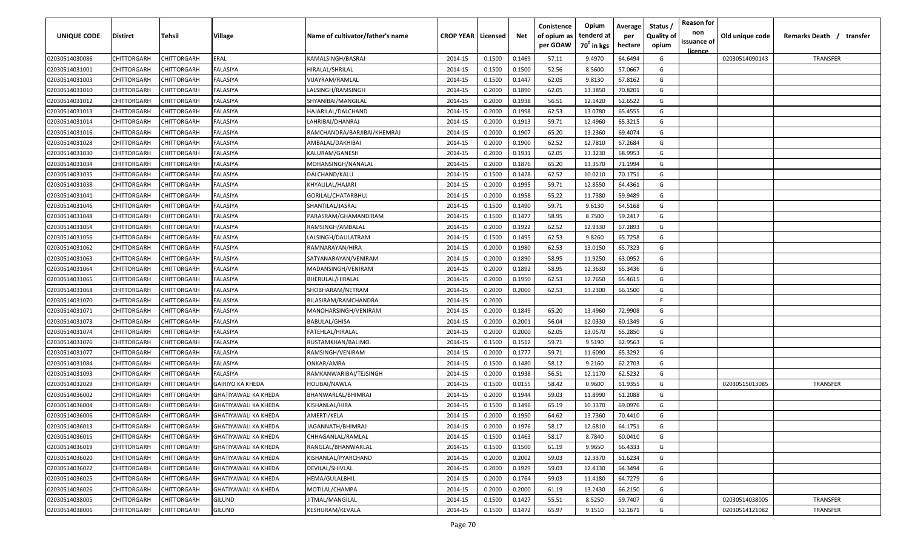| licence<br>02030514030086<br>CHITTORGARH<br>CHITTORGARH<br>ERAL<br>KAMALSINGH/BASRAJ<br>2014-15<br>0.1500<br>0.1469<br>57.11<br>9.4970<br>64.6494<br>G<br>02030514090143<br>TRANSFER<br>CHITTORGARH<br>CHITTORGARH<br>FALASIYA<br>HIRALAL/SHRILAL<br>2014-15<br>0.1500<br>0.1500<br>52.56<br>8.5600<br>57.0667<br>G<br>02030514031001<br>G<br>CHITTORGARH<br>FALASIYA<br>2014-15<br>0.1500<br>0.1447<br>62.05<br>9.8130<br>67.8162<br>02030514031003<br>CHITTORGARH<br>VIJAYRAM/RAMLAL<br>CHITTORGARH<br>CHITTORGARH<br>FALASIYA<br>2014-15<br>0.2000<br>0.1890<br>62.05<br>13.3850<br>70.8201<br>G<br>02030514031010<br>LALSINGH/RAMSINGH<br>02030514031012<br>CHITTORGARH<br>CHITTORGARH<br>FALASIYA<br>SHYANIBAI/MANGILAL<br>2014-15<br>0.2000<br>0.1938<br>56.51<br>12.1420<br>62.6522<br>G<br>13.0780<br>02030514031013<br>CHITTORGARH<br>CHITTORGARH<br>FALASIYA<br>HAJARILAL/DALCHAND<br>2014-15<br>0.2000<br>0.1998<br>62.53<br>65.4555<br>G<br>2014-15<br>0.2000<br>0.1913<br>59.71<br>12.4960<br>G<br>02030514031014<br>CHITTORGARH<br>CHITTORGARH<br>FALASIYA<br>LAHRIBAI/DHANRAJ<br>65.3215<br>0.2000<br>0.1907<br>65.20<br>13.2360<br>02030514031016<br>CHITTORGARH<br>CHITTORGARH<br>FALASIYA<br>RAMCHANDRA/BARJIBAI/KHEMRAJ<br>2014-15<br>69.4074<br>G<br>0.1900<br>62.52<br>02030514031028<br>CHITTORGARH<br>CHITTORGARH<br>FALASIYA<br>AMBALAL/DAKHIBAI<br>2014-15<br>0.2000<br>12.7810<br>67.2684<br>G<br>02030514031030<br>FALASIYA<br>2014-15<br>0.2000<br>0.1931<br>62.05<br>13.3230<br>68.9953<br>G<br>CHITTORGARH<br>CHITTORGARH<br>KALURAM/GANESH<br>65.20<br>G<br>2014-15<br>0.2000<br>0.1876<br>13.3570<br>71.1994<br>02030514031034<br>CHITTORGARH<br>CHITTORGARH<br>FALASIYA<br>MOHANSINGH/NANALAL<br>62.52<br>CHITTORGARH<br><b>ALASIYA</b><br>2014-15<br>0.1500<br>0.1428<br>10.0210<br>70.1751<br>G<br>02030514031035<br>CHITTORGARH<br>DALCHAND/KALU<br>0.1995<br>59.71<br>12.8550<br>G<br>02030514031038<br>CHITTORGARH<br>CHITTORGARH<br>FALASIYA<br>2014-15<br>0.2000<br>64.4361<br>KHYALILAL/HAJARI<br>55.22<br>CHITTORGARH<br>CHITTORGARH<br>FALASIYA<br>2014-15<br>0.2000<br>0.1958<br>11.7380<br>59.9489<br>G<br>02030514031041<br>GORILAL/CHATARBHUJ<br>0.1490<br>59.71<br>9.6130<br>G<br>CHITTORGARH<br>CHITTORGARH<br>FALASIYA<br>2014-15<br>0.1500<br>64.5168<br>02030514031046<br>SHANTILAL/JASRAJ<br>0.1477<br>CHITTORGARH<br>CHITTORGARH<br>FALASIYA<br>2014-15<br>0.1500<br>58.95<br>8.7500<br>59.2417<br>G<br>02030514031048<br>PARASRAM/GHAMANDIRAM<br>FALASIYA<br>0.1922<br>62.52<br>12.9330<br>67.2893<br>G<br>02030514031054<br>CHITTORGARH<br>CHITTORGARF<br>RAMSINGH/AMBALAL<br>2014-15<br>0.2000<br>02030514031056<br>CHITTORGARH<br>CHITTORGARH<br>FALASIYA<br>LALSINGH/DAULATRAM<br>2014-15<br>0.1500<br>0.1495<br>62.53<br>9.8260<br>65.7258<br>G<br>02030514031062<br>CHITTORGARH<br>CHITTORGARH<br>FALASIYA<br>2014-15<br>0.2000<br>0.1980<br>62.53<br>13.0150<br>65.7323<br>G<br>RAMNARAYAN/HIRA<br>0.1890<br>58.95<br>11.9250<br>63.0952<br>G<br>02030514031063<br>CHITTORGARH<br>CHITTORGARH<br>FALASIYA<br>SATYANARAYAN/VENIRAM<br>2014-15<br>0.2000<br>12.3630<br>65.3436<br>02030514031064<br>CHITTORGARH<br>CHITTORGARH<br>FALASIYA<br>2014-15<br>0.2000<br>0.1892<br>58.95<br>G<br>MADANSINGH/VENIRAM<br>62.53<br>12.7650<br>02030514031065<br>CHITTORGARH<br>CHITTORGARH<br>FALASIYA<br>BHERULAL/HIRALAL<br>2014-15<br>0.2000<br>0.1950<br>65.4615<br>G<br>0.2000<br>62.53<br>13.2300<br>66.1500<br>G<br>02030514031068<br>CHITTORGARH<br>CHITTORGARH<br>FALASIYA<br>SHOBHARAM/NETRAM<br>2014-15<br>0.2000<br>02030514031070<br>CHITTORGARH<br>CHITTORGARH<br>FALASIYA<br>2014-15<br>0.2000<br>BILASIRAM/RAMCHANDRA<br>-F.<br>CHITTORGARH<br>0.2000<br>0.1849<br>65.20<br>13.4960<br>72.9908<br>02030514031071<br>CHITTORGARH<br>FALASIYA<br>MANOHARSINGH/VENIRAM<br>2014-15<br>G<br>0.2000<br>0.2001<br>12.0330<br>60.1349<br>02030514031073<br>CHITTORGARH<br>CHITTORGARH<br>FALASIYA<br><b>BABULAL/GHISA</b><br>2014-15<br>56.04<br>G<br>02030514031074<br>CHITTORGARH<br>CHITTORGARH<br>FALASIYA<br>FATEHLAL/HIRALAL<br>2014-15<br>0.2000<br>0.2000<br>62.05<br>13.0570<br>65.2850<br>G<br>59.71<br>G<br>2014-15<br>0.1500<br>0.1512<br>9.5190<br>62.9563<br>02030514031076<br>CHITTORGARH<br>CHITTORGARH<br>FALASIYA<br>RUSTAMKHAN/BALIMO.<br>0.1777<br>59.71<br>CHITTORGARH<br>CHITTORGARH<br><b>ALASIYA</b><br>0.2000<br>11.6090<br>65.3292<br>G<br>02030514031077<br>RAMSINGH/VENIRAM<br>2014-15<br>58.12<br>62.2703<br>02030514031084<br>CHITTORGARH<br>CHITTORGARH<br>FALASIYA<br>2014-15<br>0.1500<br>0.1480<br>9.2160<br>G<br>ONKAR/AMRA<br>56.51<br>62.5232<br>CHITTORGARH<br>CHITTORGARH<br>FALASIYA<br>2014-15<br>0.2000<br>0.1938<br>12.1170<br>G<br>02030514031093<br>RAMKANWARIBAI/TEJSINGH<br>58.42<br>0.9600<br>61.9355<br>G<br>02030514032029<br>CHITTORGARH<br>CHITTORGARH<br>2014-15<br>0.1500<br>0.0155<br>TRANSFER<br><b>GAIRIYO KA KHEDA</b><br>HOLIBAI/NAWLA<br>02030515013085<br>61.2088<br>02030514036002<br>CHITTORGARH<br>CHITTORGARH<br>BHANWARLAL/BHIMRAJ<br>2014-15<br>0.2000<br>0.1944<br>59.03<br>11.8990<br>G<br><b>GHATIYAWALI KA KHEDA</b><br>69.0976<br>02030514036004<br>CHITTORGARH<br>CHITTORGARH<br>KISHANLAL/HIRA<br>2014-15<br>0.1500<br>0.1496<br>65.19<br>10.3370<br>G<br><b>GHATIYAWALI KA KHEDA</b><br>CHITTORGARH<br>AMERTI/KELA<br>2014-15<br>0.2000<br>0.1950<br>64.62<br>13.7360<br>70.4410<br>G<br>02030514036006<br><b>CHITTORGARH</b><br><b>GHATIYAWALI KA KHEDA</b><br>02030514036013<br>2014-15<br>0.2000<br>0.1976<br>58.17<br>12.6810<br>64.1751<br>CHITTORGARH<br><b>CHITTORGARH</b><br><b>GHATIYAWALI KA KHEDA</b><br>JAGANNATH/BHIMRAJ<br>G<br>0.1463<br>G<br>02030514036015<br>CHITTORGARH<br>2014-15<br>0.1500<br>58.17<br>8.7840<br>60.0410<br><b>CHITTORGARH</b><br>GHATIYAWALI KA KHEDA<br>CHHAGANLAL/RAMLAL<br>02030514036019<br>CHITTORGARH<br>CHITTORGARH<br>0.1500<br>9.9650<br>66.4333<br>G<br>GHATIYAWALI KA KHEDA<br>RANGLAL/BHANWARLAL<br>2014-15<br>0.1500<br>61.19<br>02030514036020<br>CHITTORGARH<br>0.2000<br>0.2002<br>59.03<br>12.3370<br>61.6234<br>CHITTORGARH<br>GHATIYAWALI KA KHEDA<br>KISHANLAL/PYARCHAND<br>2014-15<br>G<br>G<br>02030514036022<br>0.2000<br>0.1929<br>59.03<br>64.3494<br>CHITTORGARH<br>CHITTORGARH<br>GHATIYAWALI KA KHEDA<br>DEVILAL/SHIVLAL<br>2014-15<br>12.4130<br>02030514036025<br>0.2000<br>0.1764<br>59.03<br>G<br>CHITTORGARH<br>CHITTORGARH<br>GHATIYAWALI KA KHEDA<br>HEMA/GULALBHIL<br>2014-15<br>11.4180<br>64.7279<br>02030514036026<br>0.2000<br>0.2000<br>G<br>CHITTORGARH<br>CHITTORGARH<br><b>GHATIYAWALI KA KHEDA</b><br>MOTILAL/CHAMPA<br>2014-15<br>61.19<br>13.2430<br>66.2150<br>02030514038005<br><b>CHITTORGARH</b><br>CHITTORGARH<br><b>GILUND</b><br>JITMAL/MANGILAL<br>2014-15<br>0.1500<br>0.1427<br>55.51<br>8.5250<br>59.7407<br>G<br>02030514038005<br>TRANSFER | <b>UNIQUE CODE</b> | <b>Distirct</b> | <b>Tehsil</b> | Village | Name of cultivator/father's name | <b>CROP YEAR   Licensed</b> | Net | Conistence<br>of opium as<br>per GOAW | Opium<br>tenderd at<br>70 <sup>0</sup> in kgs | Average<br>per<br>hectare | Status /<br><b>Quality of</b><br>opium | <b>Reason for</b><br>non<br>issuance of | Old unique code | Remarks Death /<br>transfer |
|------------------------------------------------------------------------------------------------------------------------------------------------------------------------------------------------------------------------------------------------------------------------------------------------------------------------------------------------------------------------------------------------------------------------------------------------------------------------------------------------------------------------------------------------------------------------------------------------------------------------------------------------------------------------------------------------------------------------------------------------------------------------------------------------------------------------------------------------------------------------------------------------------------------------------------------------------------------------------------------------------------------------------------------------------------------------------------------------------------------------------------------------------------------------------------------------------------------------------------------------------------------------------------------------------------------------------------------------------------------------------------------------------------------------------------------------------------------------------------------------------------------------------------------------------------------------------------------------------------------------------------------------------------------------------------------------------------------------------------------------------------------------------------------------------------------------------------------------------------------------------------------------------------------------------------------------------------------------------------------------------------------------------------------------------------------------------------------------------------------------------------------------------------------------------------------------------------------------------------------------------------------------------------------------------------------------------------------------------------------------------------------------------------------------------------------------------------------------------------------------------------------------------------------------------------------------------------------------------------------------------------------------------------------------------------------------------------------------------------------------------------------------------------------------------------------------------------------------------------------------------------------------------------------------------------------------------------------------------------------------------------------------------------------------------------------------------------------------------------------------------------------------------------------------------------------------------------------------------------------------------------------------------------------------------------------------------------------------------------------------------------------------------------------------------------------------------------------------------------------------------------------------------------------------------------------------------------------------------------------------------------------------------------------------------------------------------------------------------------------------------------------------------------------------------------------------------------------------------------------------------------------------------------------------------------------------------------------------------------------------------------------------------------------------------------------------------------------------------------------------------------------------------------------------------------------------------------------------------------------------------------------------------------------------------------------------------------------------------------------------------------------------------------------------------------------------------------------------------------------------------------------------------------------------------------------------------------------------------------------------------------------------------------------------------------------------------------------------------------------------------------------------------------------------------------------------------------------------------------------------------------------------------------------------------------------------------------------------------------------------------------------------------------------------------------------------------------------------------------------------------------------------------------------------------------------------------------------------------------------------------------------------------------------------------------------------------------------------------------------------------------------------------------------------------------------------------------------------------------------------------------------------------------------------------------------------------------------------------------------------------------------------------------------------------------------------------------------------------------------------------------------------------------------------------------------------------------------------------------------------------------------------------------------------------------------------------------------------------------------------------------------------------------------------------------------------------------------------------------------------------------------------------------------------------------------------------------------------------------------------------------------------------------------------------------------------------------------------------------------------------------------------------------------------------------------------------------------------------------------------------------------------------------------------------------------------------------------------------------------------------------------------------------------------------------------------------------------------------------------------------------------------------------------------------------------------------------------------------------------------------------|--------------------|-----------------|---------------|---------|----------------------------------|-----------------------------|-----|---------------------------------------|-----------------------------------------------|---------------------------|----------------------------------------|-----------------------------------------|-----------------|-----------------------------|
|                                                                                                                                                                                                                                                                                                                                                                                                                                                                                                                                                                                                                                                                                                                                                                                                                                                                                                                                                                                                                                                                                                                                                                                                                                                                                                                                                                                                                                                                                                                                                                                                                                                                                                                                                                                                                                                                                                                                                                                                                                                                                                                                                                                                                                                                                                                                                                                                                                                                                                                                                                                                                                                                                                                                                                                                                                                                                                                                                                                                                                                                                                                                                                                                                                                                                                                                                                                                                                                                                                                                                                                                                                                                                                                                                                                                                                                                                                                                                                                                                                                                                                                                                                                                                                                                                                                                                                                                                                                                                                                                                                                                                                                                                                                                                                                                                                                                                                                                                                                                                                                                                                                                                                                                                                                                                                                                                                                                                                                                                                                                                                                                                                                                                                                                                                                                                                                                                                                                                                                                                                                                                                                                                                                                                                                                                                                                                                                                                                                                                                                                                                                                                                                                                                                                                                                                                                                                                    |                    |                 |               |         |                                  |                             |     |                                       |                                               |                           |                                        |                                         |                 |                             |
|                                                                                                                                                                                                                                                                                                                                                                                                                                                                                                                                                                                                                                                                                                                                                                                                                                                                                                                                                                                                                                                                                                                                                                                                                                                                                                                                                                                                                                                                                                                                                                                                                                                                                                                                                                                                                                                                                                                                                                                                                                                                                                                                                                                                                                                                                                                                                                                                                                                                                                                                                                                                                                                                                                                                                                                                                                                                                                                                                                                                                                                                                                                                                                                                                                                                                                                                                                                                                                                                                                                                                                                                                                                                                                                                                                                                                                                                                                                                                                                                                                                                                                                                                                                                                                                                                                                                                                                                                                                                                                                                                                                                                                                                                                                                                                                                                                                                                                                                                                                                                                                                                                                                                                                                                                                                                                                                                                                                                                                                                                                                                                                                                                                                                                                                                                                                                                                                                                                                                                                                                                                                                                                                                                                                                                                                                                                                                                                                                                                                                                                                                                                                                                                                                                                                                                                                                                                                                    |                    |                 |               |         |                                  |                             |     |                                       |                                               |                           |                                        |                                         |                 |                             |
|                                                                                                                                                                                                                                                                                                                                                                                                                                                                                                                                                                                                                                                                                                                                                                                                                                                                                                                                                                                                                                                                                                                                                                                                                                                                                                                                                                                                                                                                                                                                                                                                                                                                                                                                                                                                                                                                                                                                                                                                                                                                                                                                                                                                                                                                                                                                                                                                                                                                                                                                                                                                                                                                                                                                                                                                                                                                                                                                                                                                                                                                                                                                                                                                                                                                                                                                                                                                                                                                                                                                                                                                                                                                                                                                                                                                                                                                                                                                                                                                                                                                                                                                                                                                                                                                                                                                                                                                                                                                                                                                                                                                                                                                                                                                                                                                                                                                                                                                                                                                                                                                                                                                                                                                                                                                                                                                                                                                                                                                                                                                                                                                                                                                                                                                                                                                                                                                                                                                                                                                                                                                                                                                                                                                                                                                                                                                                                                                                                                                                                                                                                                                                                                                                                                                                                                                                                                                                    |                    |                 |               |         |                                  |                             |     |                                       |                                               |                           |                                        |                                         |                 |                             |
|                                                                                                                                                                                                                                                                                                                                                                                                                                                                                                                                                                                                                                                                                                                                                                                                                                                                                                                                                                                                                                                                                                                                                                                                                                                                                                                                                                                                                                                                                                                                                                                                                                                                                                                                                                                                                                                                                                                                                                                                                                                                                                                                                                                                                                                                                                                                                                                                                                                                                                                                                                                                                                                                                                                                                                                                                                                                                                                                                                                                                                                                                                                                                                                                                                                                                                                                                                                                                                                                                                                                                                                                                                                                                                                                                                                                                                                                                                                                                                                                                                                                                                                                                                                                                                                                                                                                                                                                                                                                                                                                                                                                                                                                                                                                                                                                                                                                                                                                                                                                                                                                                                                                                                                                                                                                                                                                                                                                                                                                                                                                                                                                                                                                                                                                                                                                                                                                                                                                                                                                                                                                                                                                                                                                                                                                                                                                                                                                                                                                                                                                                                                                                                                                                                                                                                                                                                                                                    |                    |                 |               |         |                                  |                             |     |                                       |                                               |                           |                                        |                                         |                 |                             |
|                                                                                                                                                                                                                                                                                                                                                                                                                                                                                                                                                                                                                                                                                                                                                                                                                                                                                                                                                                                                                                                                                                                                                                                                                                                                                                                                                                                                                                                                                                                                                                                                                                                                                                                                                                                                                                                                                                                                                                                                                                                                                                                                                                                                                                                                                                                                                                                                                                                                                                                                                                                                                                                                                                                                                                                                                                                                                                                                                                                                                                                                                                                                                                                                                                                                                                                                                                                                                                                                                                                                                                                                                                                                                                                                                                                                                                                                                                                                                                                                                                                                                                                                                                                                                                                                                                                                                                                                                                                                                                                                                                                                                                                                                                                                                                                                                                                                                                                                                                                                                                                                                                                                                                                                                                                                                                                                                                                                                                                                                                                                                                                                                                                                                                                                                                                                                                                                                                                                                                                                                                                                                                                                                                                                                                                                                                                                                                                                                                                                                                                                                                                                                                                                                                                                                                                                                                                                                    |                    |                 |               |         |                                  |                             |     |                                       |                                               |                           |                                        |                                         |                 |                             |
|                                                                                                                                                                                                                                                                                                                                                                                                                                                                                                                                                                                                                                                                                                                                                                                                                                                                                                                                                                                                                                                                                                                                                                                                                                                                                                                                                                                                                                                                                                                                                                                                                                                                                                                                                                                                                                                                                                                                                                                                                                                                                                                                                                                                                                                                                                                                                                                                                                                                                                                                                                                                                                                                                                                                                                                                                                                                                                                                                                                                                                                                                                                                                                                                                                                                                                                                                                                                                                                                                                                                                                                                                                                                                                                                                                                                                                                                                                                                                                                                                                                                                                                                                                                                                                                                                                                                                                                                                                                                                                                                                                                                                                                                                                                                                                                                                                                                                                                                                                                                                                                                                                                                                                                                                                                                                                                                                                                                                                                                                                                                                                                                                                                                                                                                                                                                                                                                                                                                                                                                                                                                                                                                                                                                                                                                                                                                                                                                                                                                                                                                                                                                                                                                                                                                                                                                                                                                                    |                    |                 |               |         |                                  |                             |     |                                       |                                               |                           |                                        |                                         |                 |                             |
|                                                                                                                                                                                                                                                                                                                                                                                                                                                                                                                                                                                                                                                                                                                                                                                                                                                                                                                                                                                                                                                                                                                                                                                                                                                                                                                                                                                                                                                                                                                                                                                                                                                                                                                                                                                                                                                                                                                                                                                                                                                                                                                                                                                                                                                                                                                                                                                                                                                                                                                                                                                                                                                                                                                                                                                                                                                                                                                                                                                                                                                                                                                                                                                                                                                                                                                                                                                                                                                                                                                                                                                                                                                                                                                                                                                                                                                                                                                                                                                                                                                                                                                                                                                                                                                                                                                                                                                                                                                                                                                                                                                                                                                                                                                                                                                                                                                                                                                                                                                                                                                                                                                                                                                                                                                                                                                                                                                                                                                                                                                                                                                                                                                                                                                                                                                                                                                                                                                                                                                                                                                                                                                                                                                                                                                                                                                                                                                                                                                                                                                                                                                                                                                                                                                                                                                                                                                                                    |                    |                 |               |         |                                  |                             |     |                                       |                                               |                           |                                        |                                         |                 |                             |
|                                                                                                                                                                                                                                                                                                                                                                                                                                                                                                                                                                                                                                                                                                                                                                                                                                                                                                                                                                                                                                                                                                                                                                                                                                                                                                                                                                                                                                                                                                                                                                                                                                                                                                                                                                                                                                                                                                                                                                                                                                                                                                                                                                                                                                                                                                                                                                                                                                                                                                                                                                                                                                                                                                                                                                                                                                                                                                                                                                                                                                                                                                                                                                                                                                                                                                                                                                                                                                                                                                                                                                                                                                                                                                                                                                                                                                                                                                                                                                                                                                                                                                                                                                                                                                                                                                                                                                                                                                                                                                                                                                                                                                                                                                                                                                                                                                                                                                                                                                                                                                                                                                                                                                                                                                                                                                                                                                                                                                                                                                                                                                                                                                                                                                                                                                                                                                                                                                                                                                                                                                                                                                                                                                                                                                                                                                                                                                                                                                                                                                                                                                                                                                                                                                                                                                                                                                                                                    |                    |                 |               |         |                                  |                             |     |                                       |                                               |                           |                                        |                                         |                 |                             |
|                                                                                                                                                                                                                                                                                                                                                                                                                                                                                                                                                                                                                                                                                                                                                                                                                                                                                                                                                                                                                                                                                                                                                                                                                                                                                                                                                                                                                                                                                                                                                                                                                                                                                                                                                                                                                                                                                                                                                                                                                                                                                                                                                                                                                                                                                                                                                                                                                                                                                                                                                                                                                                                                                                                                                                                                                                                                                                                                                                                                                                                                                                                                                                                                                                                                                                                                                                                                                                                                                                                                                                                                                                                                                                                                                                                                                                                                                                                                                                                                                                                                                                                                                                                                                                                                                                                                                                                                                                                                                                                                                                                                                                                                                                                                                                                                                                                                                                                                                                                                                                                                                                                                                                                                                                                                                                                                                                                                                                                                                                                                                                                                                                                                                                                                                                                                                                                                                                                                                                                                                                                                                                                                                                                                                                                                                                                                                                                                                                                                                                                                                                                                                                                                                                                                                                                                                                                                                    |                    |                 |               |         |                                  |                             |     |                                       |                                               |                           |                                        |                                         |                 |                             |
|                                                                                                                                                                                                                                                                                                                                                                                                                                                                                                                                                                                                                                                                                                                                                                                                                                                                                                                                                                                                                                                                                                                                                                                                                                                                                                                                                                                                                                                                                                                                                                                                                                                                                                                                                                                                                                                                                                                                                                                                                                                                                                                                                                                                                                                                                                                                                                                                                                                                                                                                                                                                                                                                                                                                                                                                                                                                                                                                                                                                                                                                                                                                                                                                                                                                                                                                                                                                                                                                                                                                                                                                                                                                                                                                                                                                                                                                                                                                                                                                                                                                                                                                                                                                                                                                                                                                                                                                                                                                                                                                                                                                                                                                                                                                                                                                                                                                                                                                                                                                                                                                                                                                                                                                                                                                                                                                                                                                                                                                                                                                                                                                                                                                                                                                                                                                                                                                                                                                                                                                                                                                                                                                                                                                                                                                                                                                                                                                                                                                                                                                                                                                                                                                                                                                                                                                                                                                                    |                    |                 |               |         |                                  |                             |     |                                       |                                               |                           |                                        |                                         |                 |                             |
|                                                                                                                                                                                                                                                                                                                                                                                                                                                                                                                                                                                                                                                                                                                                                                                                                                                                                                                                                                                                                                                                                                                                                                                                                                                                                                                                                                                                                                                                                                                                                                                                                                                                                                                                                                                                                                                                                                                                                                                                                                                                                                                                                                                                                                                                                                                                                                                                                                                                                                                                                                                                                                                                                                                                                                                                                                                                                                                                                                                                                                                                                                                                                                                                                                                                                                                                                                                                                                                                                                                                                                                                                                                                                                                                                                                                                                                                                                                                                                                                                                                                                                                                                                                                                                                                                                                                                                                                                                                                                                                                                                                                                                                                                                                                                                                                                                                                                                                                                                                                                                                                                                                                                                                                                                                                                                                                                                                                                                                                                                                                                                                                                                                                                                                                                                                                                                                                                                                                                                                                                                                                                                                                                                                                                                                                                                                                                                                                                                                                                                                                                                                                                                                                                                                                                                                                                                                                                    |                    |                 |               |         |                                  |                             |     |                                       |                                               |                           |                                        |                                         |                 |                             |
|                                                                                                                                                                                                                                                                                                                                                                                                                                                                                                                                                                                                                                                                                                                                                                                                                                                                                                                                                                                                                                                                                                                                                                                                                                                                                                                                                                                                                                                                                                                                                                                                                                                                                                                                                                                                                                                                                                                                                                                                                                                                                                                                                                                                                                                                                                                                                                                                                                                                                                                                                                                                                                                                                                                                                                                                                                                                                                                                                                                                                                                                                                                                                                                                                                                                                                                                                                                                                                                                                                                                                                                                                                                                                                                                                                                                                                                                                                                                                                                                                                                                                                                                                                                                                                                                                                                                                                                                                                                                                                                                                                                                                                                                                                                                                                                                                                                                                                                                                                                                                                                                                                                                                                                                                                                                                                                                                                                                                                                                                                                                                                                                                                                                                                                                                                                                                                                                                                                                                                                                                                                                                                                                                                                                                                                                                                                                                                                                                                                                                                                                                                                                                                                                                                                                                                                                                                                                                    |                    |                 |               |         |                                  |                             |     |                                       |                                               |                           |                                        |                                         |                 |                             |
|                                                                                                                                                                                                                                                                                                                                                                                                                                                                                                                                                                                                                                                                                                                                                                                                                                                                                                                                                                                                                                                                                                                                                                                                                                                                                                                                                                                                                                                                                                                                                                                                                                                                                                                                                                                                                                                                                                                                                                                                                                                                                                                                                                                                                                                                                                                                                                                                                                                                                                                                                                                                                                                                                                                                                                                                                                                                                                                                                                                                                                                                                                                                                                                                                                                                                                                                                                                                                                                                                                                                                                                                                                                                                                                                                                                                                                                                                                                                                                                                                                                                                                                                                                                                                                                                                                                                                                                                                                                                                                                                                                                                                                                                                                                                                                                                                                                                                                                                                                                                                                                                                                                                                                                                                                                                                                                                                                                                                                                                                                                                                                                                                                                                                                                                                                                                                                                                                                                                                                                                                                                                                                                                                                                                                                                                                                                                                                                                                                                                                                                                                                                                                                                                                                                                                                                                                                                                                    |                    |                 |               |         |                                  |                             |     |                                       |                                               |                           |                                        |                                         |                 |                             |
|                                                                                                                                                                                                                                                                                                                                                                                                                                                                                                                                                                                                                                                                                                                                                                                                                                                                                                                                                                                                                                                                                                                                                                                                                                                                                                                                                                                                                                                                                                                                                                                                                                                                                                                                                                                                                                                                                                                                                                                                                                                                                                                                                                                                                                                                                                                                                                                                                                                                                                                                                                                                                                                                                                                                                                                                                                                                                                                                                                                                                                                                                                                                                                                                                                                                                                                                                                                                                                                                                                                                                                                                                                                                                                                                                                                                                                                                                                                                                                                                                                                                                                                                                                                                                                                                                                                                                                                                                                                                                                                                                                                                                                                                                                                                                                                                                                                                                                                                                                                                                                                                                                                                                                                                                                                                                                                                                                                                                                                                                                                                                                                                                                                                                                                                                                                                                                                                                                                                                                                                                                                                                                                                                                                                                                                                                                                                                                                                                                                                                                                                                                                                                                                                                                                                                                                                                                                                                    |                    |                 |               |         |                                  |                             |     |                                       |                                               |                           |                                        |                                         |                 |                             |
|                                                                                                                                                                                                                                                                                                                                                                                                                                                                                                                                                                                                                                                                                                                                                                                                                                                                                                                                                                                                                                                                                                                                                                                                                                                                                                                                                                                                                                                                                                                                                                                                                                                                                                                                                                                                                                                                                                                                                                                                                                                                                                                                                                                                                                                                                                                                                                                                                                                                                                                                                                                                                                                                                                                                                                                                                                                                                                                                                                                                                                                                                                                                                                                                                                                                                                                                                                                                                                                                                                                                                                                                                                                                                                                                                                                                                                                                                                                                                                                                                                                                                                                                                                                                                                                                                                                                                                                                                                                                                                                                                                                                                                                                                                                                                                                                                                                                                                                                                                                                                                                                                                                                                                                                                                                                                                                                                                                                                                                                                                                                                                                                                                                                                                                                                                                                                                                                                                                                                                                                                                                                                                                                                                                                                                                                                                                                                                                                                                                                                                                                                                                                                                                                                                                                                                                                                                                                                    |                    |                 |               |         |                                  |                             |     |                                       |                                               |                           |                                        |                                         |                 |                             |
|                                                                                                                                                                                                                                                                                                                                                                                                                                                                                                                                                                                                                                                                                                                                                                                                                                                                                                                                                                                                                                                                                                                                                                                                                                                                                                                                                                                                                                                                                                                                                                                                                                                                                                                                                                                                                                                                                                                                                                                                                                                                                                                                                                                                                                                                                                                                                                                                                                                                                                                                                                                                                                                                                                                                                                                                                                                                                                                                                                                                                                                                                                                                                                                                                                                                                                                                                                                                                                                                                                                                                                                                                                                                                                                                                                                                                                                                                                                                                                                                                                                                                                                                                                                                                                                                                                                                                                                                                                                                                                                                                                                                                                                                                                                                                                                                                                                                                                                                                                                                                                                                                                                                                                                                                                                                                                                                                                                                                                                                                                                                                                                                                                                                                                                                                                                                                                                                                                                                                                                                                                                                                                                                                                                                                                                                                                                                                                                                                                                                                                                                                                                                                                                                                                                                                                                                                                                                                    |                    |                 |               |         |                                  |                             |     |                                       |                                               |                           |                                        |                                         |                 |                             |
|                                                                                                                                                                                                                                                                                                                                                                                                                                                                                                                                                                                                                                                                                                                                                                                                                                                                                                                                                                                                                                                                                                                                                                                                                                                                                                                                                                                                                                                                                                                                                                                                                                                                                                                                                                                                                                                                                                                                                                                                                                                                                                                                                                                                                                                                                                                                                                                                                                                                                                                                                                                                                                                                                                                                                                                                                                                                                                                                                                                                                                                                                                                                                                                                                                                                                                                                                                                                                                                                                                                                                                                                                                                                                                                                                                                                                                                                                                                                                                                                                                                                                                                                                                                                                                                                                                                                                                                                                                                                                                                                                                                                                                                                                                                                                                                                                                                                                                                                                                                                                                                                                                                                                                                                                                                                                                                                                                                                                                                                                                                                                                                                                                                                                                                                                                                                                                                                                                                                                                                                                                                                                                                                                                                                                                                                                                                                                                                                                                                                                                                                                                                                                                                                                                                                                                                                                                                                                    |                    |                 |               |         |                                  |                             |     |                                       |                                               |                           |                                        |                                         |                 |                             |
|                                                                                                                                                                                                                                                                                                                                                                                                                                                                                                                                                                                                                                                                                                                                                                                                                                                                                                                                                                                                                                                                                                                                                                                                                                                                                                                                                                                                                                                                                                                                                                                                                                                                                                                                                                                                                                                                                                                                                                                                                                                                                                                                                                                                                                                                                                                                                                                                                                                                                                                                                                                                                                                                                                                                                                                                                                                                                                                                                                                                                                                                                                                                                                                                                                                                                                                                                                                                                                                                                                                                                                                                                                                                                                                                                                                                                                                                                                                                                                                                                                                                                                                                                                                                                                                                                                                                                                                                                                                                                                                                                                                                                                                                                                                                                                                                                                                                                                                                                                                                                                                                                                                                                                                                                                                                                                                                                                                                                                                                                                                                                                                                                                                                                                                                                                                                                                                                                                                                                                                                                                                                                                                                                                                                                                                                                                                                                                                                                                                                                                                                                                                                                                                                                                                                                                                                                                                                                    |                    |                 |               |         |                                  |                             |     |                                       |                                               |                           |                                        |                                         |                 |                             |
|                                                                                                                                                                                                                                                                                                                                                                                                                                                                                                                                                                                                                                                                                                                                                                                                                                                                                                                                                                                                                                                                                                                                                                                                                                                                                                                                                                                                                                                                                                                                                                                                                                                                                                                                                                                                                                                                                                                                                                                                                                                                                                                                                                                                                                                                                                                                                                                                                                                                                                                                                                                                                                                                                                                                                                                                                                                                                                                                                                                                                                                                                                                                                                                                                                                                                                                                                                                                                                                                                                                                                                                                                                                                                                                                                                                                                                                                                                                                                                                                                                                                                                                                                                                                                                                                                                                                                                                                                                                                                                                                                                                                                                                                                                                                                                                                                                                                                                                                                                                                                                                                                                                                                                                                                                                                                                                                                                                                                                                                                                                                                                                                                                                                                                                                                                                                                                                                                                                                                                                                                                                                                                                                                                                                                                                                                                                                                                                                                                                                                                                                                                                                                                                                                                                                                                                                                                                                                    |                    |                 |               |         |                                  |                             |     |                                       |                                               |                           |                                        |                                         |                 |                             |
|                                                                                                                                                                                                                                                                                                                                                                                                                                                                                                                                                                                                                                                                                                                                                                                                                                                                                                                                                                                                                                                                                                                                                                                                                                                                                                                                                                                                                                                                                                                                                                                                                                                                                                                                                                                                                                                                                                                                                                                                                                                                                                                                                                                                                                                                                                                                                                                                                                                                                                                                                                                                                                                                                                                                                                                                                                                                                                                                                                                                                                                                                                                                                                                                                                                                                                                                                                                                                                                                                                                                                                                                                                                                                                                                                                                                                                                                                                                                                                                                                                                                                                                                                                                                                                                                                                                                                                                                                                                                                                                                                                                                                                                                                                                                                                                                                                                                                                                                                                                                                                                                                                                                                                                                                                                                                                                                                                                                                                                                                                                                                                                                                                                                                                                                                                                                                                                                                                                                                                                                                                                                                                                                                                                                                                                                                                                                                                                                                                                                                                                                                                                                                                                                                                                                                                                                                                                                                    |                    |                 |               |         |                                  |                             |     |                                       |                                               |                           |                                        |                                         |                 |                             |
|                                                                                                                                                                                                                                                                                                                                                                                                                                                                                                                                                                                                                                                                                                                                                                                                                                                                                                                                                                                                                                                                                                                                                                                                                                                                                                                                                                                                                                                                                                                                                                                                                                                                                                                                                                                                                                                                                                                                                                                                                                                                                                                                                                                                                                                                                                                                                                                                                                                                                                                                                                                                                                                                                                                                                                                                                                                                                                                                                                                                                                                                                                                                                                                                                                                                                                                                                                                                                                                                                                                                                                                                                                                                                                                                                                                                                                                                                                                                                                                                                                                                                                                                                                                                                                                                                                                                                                                                                                                                                                                                                                                                                                                                                                                                                                                                                                                                                                                                                                                                                                                                                                                                                                                                                                                                                                                                                                                                                                                                                                                                                                                                                                                                                                                                                                                                                                                                                                                                                                                                                                                                                                                                                                                                                                                                                                                                                                                                                                                                                                                                                                                                                                                                                                                                                                                                                                                                                    |                    |                 |               |         |                                  |                             |     |                                       |                                               |                           |                                        |                                         |                 |                             |
|                                                                                                                                                                                                                                                                                                                                                                                                                                                                                                                                                                                                                                                                                                                                                                                                                                                                                                                                                                                                                                                                                                                                                                                                                                                                                                                                                                                                                                                                                                                                                                                                                                                                                                                                                                                                                                                                                                                                                                                                                                                                                                                                                                                                                                                                                                                                                                                                                                                                                                                                                                                                                                                                                                                                                                                                                                                                                                                                                                                                                                                                                                                                                                                                                                                                                                                                                                                                                                                                                                                                                                                                                                                                                                                                                                                                                                                                                                                                                                                                                                                                                                                                                                                                                                                                                                                                                                                                                                                                                                                                                                                                                                                                                                                                                                                                                                                                                                                                                                                                                                                                                                                                                                                                                                                                                                                                                                                                                                                                                                                                                                                                                                                                                                                                                                                                                                                                                                                                                                                                                                                                                                                                                                                                                                                                                                                                                                                                                                                                                                                                                                                                                                                                                                                                                                                                                                                                                    |                    |                 |               |         |                                  |                             |     |                                       |                                               |                           |                                        |                                         |                 |                             |
|                                                                                                                                                                                                                                                                                                                                                                                                                                                                                                                                                                                                                                                                                                                                                                                                                                                                                                                                                                                                                                                                                                                                                                                                                                                                                                                                                                                                                                                                                                                                                                                                                                                                                                                                                                                                                                                                                                                                                                                                                                                                                                                                                                                                                                                                                                                                                                                                                                                                                                                                                                                                                                                                                                                                                                                                                                                                                                                                                                                                                                                                                                                                                                                                                                                                                                                                                                                                                                                                                                                                                                                                                                                                                                                                                                                                                                                                                                                                                                                                                                                                                                                                                                                                                                                                                                                                                                                                                                                                                                                                                                                                                                                                                                                                                                                                                                                                                                                                                                                                                                                                                                                                                                                                                                                                                                                                                                                                                                                                                                                                                                                                                                                                                                                                                                                                                                                                                                                                                                                                                                                                                                                                                                                                                                                                                                                                                                                                                                                                                                                                                                                                                                                                                                                                                                                                                                                                                    |                    |                 |               |         |                                  |                             |     |                                       |                                               |                           |                                        |                                         |                 |                             |
|                                                                                                                                                                                                                                                                                                                                                                                                                                                                                                                                                                                                                                                                                                                                                                                                                                                                                                                                                                                                                                                                                                                                                                                                                                                                                                                                                                                                                                                                                                                                                                                                                                                                                                                                                                                                                                                                                                                                                                                                                                                                                                                                                                                                                                                                                                                                                                                                                                                                                                                                                                                                                                                                                                                                                                                                                                                                                                                                                                                                                                                                                                                                                                                                                                                                                                                                                                                                                                                                                                                                                                                                                                                                                                                                                                                                                                                                                                                                                                                                                                                                                                                                                                                                                                                                                                                                                                                                                                                                                                                                                                                                                                                                                                                                                                                                                                                                                                                                                                                                                                                                                                                                                                                                                                                                                                                                                                                                                                                                                                                                                                                                                                                                                                                                                                                                                                                                                                                                                                                                                                                                                                                                                                                                                                                                                                                                                                                                                                                                                                                                                                                                                                                                                                                                                                                                                                                                                    |                    |                 |               |         |                                  |                             |     |                                       |                                               |                           |                                        |                                         |                 |                             |
|                                                                                                                                                                                                                                                                                                                                                                                                                                                                                                                                                                                                                                                                                                                                                                                                                                                                                                                                                                                                                                                                                                                                                                                                                                                                                                                                                                                                                                                                                                                                                                                                                                                                                                                                                                                                                                                                                                                                                                                                                                                                                                                                                                                                                                                                                                                                                                                                                                                                                                                                                                                                                                                                                                                                                                                                                                                                                                                                                                                                                                                                                                                                                                                                                                                                                                                                                                                                                                                                                                                                                                                                                                                                                                                                                                                                                                                                                                                                                                                                                                                                                                                                                                                                                                                                                                                                                                                                                                                                                                                                                                                                                                                                                                                                                                                                                                                                                                                                                                                                                                                                                                                                                                                                                                                                                                                                                                                                                                                                                                                                                                                                                                                                                                                                                                                                                                                                                                                                                                                                                                                                                                                                                                                                                                                                                                                                                                                                                                                                                                                                                                                                                                                                                                                                                                                                                                                                                    |                    |                 |               |         |                                  |                             |     |                                       |                                               |                           |                                        |                                         |                 |                             |
|                                                                                                                                                                                                                                                                                                                                                                                                                                                                                                                                                                                                                                                                                                                                                                                                                                                                                                                                                                                                                                                                                                                                                                                                                                                                                                                                                                                                                                                                                                                                                                                                                                                                                                                                                                                                                                                                                                                                                                                                                                                                                                                                                                                                                                                                                                                                                                                                                                                                                                                                                                                                                                                                                                                                                                                                                                                                                                                                                                                                                                                                                                                                                                                                                                                                                                                                                                                                                                                                                                                                                                                                                                                                                                                                                                                                                                                                                                                                                                                                                                                                                                                                                                                                                                                                                                                                                                                                                                                                                                                                                                                                                                                                                                                                                                                                                                                                                                                                                                                                                                                                                                                                                                                                                                                                                                                                                                                                                                                                                                                                                                                                                                                                                                                                                                                                                                                                                                                                                                                                                                                                                                                                                                                                                                                                                                                                                                                                                                                                                                                                                                                                                                                                                                                                                                                                                                                                                    |                    |                 |               |         |                                  |                             |     |                                       |                                               |                           |                                        |                                         |                 |                             |
|                                                                                                                                                                                                                                                                                                                                                                                                                                                                                                                                                                                                                                                                                                                                                                                                                                                                                                                                                                                                                                                                                                                                                                                                                                                                                                                                                                                                                                                                                                                                                                                                                                                                                                                                                                                                                                                                                                                                                                                                                                                                                                                                                                                                                                                                                                                                                                                                                                                                                                                                                                                                                                                                                                                                                                                                                                                                                                                                                                                                                                                                                                                                                                                                                                                                                                                                                                                                                                                                                                                                                                                                                                                                                                                                                                                                                                                                                                                                                                                                                                                                                                                                                                                                                                                                                                                                                                                                                                                                                                                                                                                                                                                                                                                                                                                                                                                                                                                                                                                                                                                                                                                                                                                                                                                                                                                                                                                                                                                                                                                                                                                                                                                                                                                                                                                                                                                                                                                                                                                                                                                                                                                                                                                                                                                                                                                                                                                                                                                                                                                                                                                                                                                                                                                                                                                                                                                                                    |                    |                 |               |         |                                  |                             |     |                                       |                                               |                           |                                        |                                         |                 |                             |
|                                                                                                                                                                                                                                                                                                                                                                                                                                                                                                                                                                                                                                                                                                                                                                                                                                                                                                                                                                                                                                                                                                                                                                                                                                                                                                                                                                                                                                                                                                                                                                                                                                                                                                                                                                                                                                                                                                                                                                                                                                                                                                                                                                                                                                                                                                                                                                                                                                                                                                                                                                                                                                                                                                                                                                                                                                                                                                                                                                                                                                                                                                                                                                                                                                                                                                                                                                                                                                                                                                                                                                                                                                                                                                                                                                                                                                                                                                                                                                                                                                                                                                                                                                                                                                                                                                                                                                                                                                                                                                                                                                                                                                                                                                                                                                                                                                                                                                                                                                                                                                                                                                                                                                                                                                                                                                                                                                                                                                                                                                                                                                                                                                                                                                                                                                                                                                                                                                                                                                                                                                                                                                                                                                                                                                                                                                                                                                                                                                                                                                                                                                                                                                                                                                                                                                                                                                                                                    |                    |                 |               |         |                                  |                             |     |                                       |                                               |                           |                                        |                                         |                 |                             |
|                                                                                                                                                                                                                                                                                                                                                                                                                                                                                                                                                                                                                                                                                                                                                                                                                                                                                                                                                                                                                                                                                                                                                                                                                                                                                                                                                                                                                                                                                                                                                                                                                                                                                                                                                                                                                                                                                                                                                                                                                                                                                                                                                                                                                                                                                                                                                                                                                                                                                                                                                                                                                                                                                                                                                                                                                                                                                                                                                                                                                                                                                                                                                                                                                                                                                                                                                                                                                                                                                                                                                                                                                                                                                                                                                                                                                                                                                                                                                                                                                                                                                                                                                                                                                                                                                                                                                                                                                                                                                                                                                                                                                                                                                                                                                                                                                                                                                                                                                                                                                                                                                                                                                                                                                                                                                                                                                                                                                                                                                                                                                                                                                                                                                                                                                                                                                                                                                                                                                                                                                                                                                                                                                                                                                                                                                                                                                                                                                                                                                                                                                                                                                                                                                                                                                                                                                                                                                    |                    |                 |               |         |                                  |                             |     |                                       |                                               |                           |                                        |                                         |                 |                             |
|                                                                                                                                                                                                                                                                                                                                                                                                                                                                                                                                                                                                                                                                                                                                                                                                                                                                                                                                                                                                                                                                                                                                                                                                                                                                                                                                                                                                                                                                                                                                                                                                                                                                                                                                                                                                                                                                                                                                                                                                                                                                                                                                                                                                                                                                                                                                                                                                                                                                                                                                                                                                                                                                                                                                                                                                                                                                                                                                                                                                                                                                                                                                                                                                                                                                                                                                                                                                                                                                                                                                                                                                                                                                                                                                                                                                                                                                                                                                                                                                                                                                                                                                                                                                                                                                                                                                                                                                                                                                                                                                                                                                                                                                                                                                                                                                                                                                                                                                                                                                                                                                                                                                                                                                                                                                                                                                                                                                                                                                                                                                                                                                                                                                                                                                                                                                                                                                                                                                                                                                                                                                                                                                                                                                                                                                                                                                                                                                                                                                                                                                                                                                                                                                                                                                                                                                                                                                                    |                    |                 |               |         |                                  |                             |     |                                       |                                               |                           |                                        |                                         |                 |                             |
|                                                                                                                                                                                                                                                                                                                                                                                                                                                                                                                                                                                                                                                                                                                                                                                                                                                                                                                                                                                                                                                                                                                                                                                                                                                                                                                                                                                                                                                                                                                                                                                                                                                                                                                                                                                                                                                                                                                                                                                                                                                                                                                                                                                                                                                                                                                                                                                                                                                                                                                                                                                                                                                                                                                                                                                                                                                                                                                                                                                                                                                                                                                                                                                                                                                                                                                                                                                                                                                                                                                                                                                                                                                                                                                                                                                                                                                                                                                                                                                                                                                                                                                                                                                                                                                                                                                                                                                                                                                                                                                                                                                                                                                                                                                                                                                                                                                                                                                                                                                                                                                                                                                                                                                                                                                                                                                                                                                                                                                                                                                                                                                                                                                                                                                                                                                                                                                                                                                                                                                                                                                                                                                                                                                                                                                                                                                                                                                                                                                                                                                                                                                                                                                                                                                                                                                                                                                                                    |                    |                 |               |         |                                  |                             |     |                                       |                                               |                           |                                        |                                         |                 |                             |
|                                                                                                                                                                                                                                                                                                                                                                                                                                                                                                                                                                                                                                                                                                                                                                                                                                                                                                                                                                                                                                                                                                                                                                                                                                                                                                                                                                                                                                                                                                                                                                                                                                                                                                                                                                                                                                                                                                                                                                                                                                                                                                                                                                                                                                                                                                                                                                                                                                                                                                                                                                                                                                                                                                                                                                                                                                                                                                                                                                                                                                                                                                                                                                                                                                                                                                                                                                                                                                                                                                                                                                                                                                                                                                                                                                                                                                                                                                                                                                                                                                                                                                                                                                                                                                                                                                                                                                                                                                                                                                                                                                                                                                                                                                                                                                                                                                                                                                                                                                                                                                                                                                                                                                                                                                                                                                                                                                                                                                                                                                                                                                                                                                                                                                                                                                                                                                                                                                                                                                                                                                                                                                                                                                                                                                                                                                                                                                                                                                                                                                                                                                                                                                                                                                                                                                                                                                                                                    |                    |                 |               |         |                                  |                             |     |                                       |                                               |                           |                                        |                                         |                 |                             |
|                                                                                                                                                                                                                                                                                                                                                                                                                                                                                                                                                                                                                                                                                                                                                                                                                                                                                                                                                                                                                                                                                                                                                                                                                                                                                                                                                                                                                                                                                                                                                                                                                                                                                                                                                                                                                                                                                                                                                                                                                                                                                                                                                                                                                                                                                                                                                                                                                                                                                                                                                                                                                                                                                                                                                                                                                                                                                                                                                                                                                                                                                                                                                                                                                                                                                                                                                                                                                                                                                                                                                                                                                                                                                                                                                                                                                                                                                                                                                                                                                                                                                                                                                                                                                                                                                                                                                                                                                                                                                                                                                                                                                                                                                                                                                                                                                                                                                                                                                                                                                                                                                                                                                                                                                                                                                                                                                                                                                                                                                                                                                                                                                                                                                                                                                                                                                                                                                                                                                                                                                                                                                                                                                                                                                                                                                                                                                                                                                                                                                                                                                                                                                                                                                                                                                                                                                                                                                    |                    |                 |               |         |                                  |                             |     |                                       |                                               |                           |                                        |                                         |                 |                             |
|                                                                                                                                                                                                                                                                                                                                                                                                                                                                                                                                                                                                                                                                                                                                                                                                                                                                                                                                                                                                                                                                                                                                                                                                                                                                                                                                                                                                                                                                                                                                                                                                                                                                                                                                                                                                                                                                                                                                                                                                                                                                                                                                                                                                                                                                                                                                                                                                                                                                                                                                                                                                                                                                                                                                                                                                                                                                                                                                                                                                                                                                                                                                                                                                                                                                                                                                                                                                                                                                                                                                                                                                                                                                                                                                                                                                                                                                                                                                                                                                                                                                                                                                                                                                                                                                                                                                                                                                                                                                                                                                                                                                                                                                                                                                                                                                                                                                                                                                                                                                                                                                                                                                                                                                                                                                                                                                                                                                                                                                                                                                                                                                                                                                                                                                                                                                                                                                                                                                                                                                                                                                                                                                                                                                                                                                                                                                                                                                                                                                                                                                                                                                                                                                                                                                                                                                                                                                                    |                    |                 |               |         |                                  |                             |     |                                       |                                               |                           |                                        |                                         |                 |                             |
|                                                                                                                                                                                                                                                                                                                                                                                                                                                                                                                                                                                                                                                                                                                                                                                                                                                                                                                                                                                                                                                                                                                                                                                                                                                                                                                                                                                                                                                                                                                                                                                                                                                                                                                                                                                                                                                                                                                                                                                                                                                                                                                                                                                                                                                                                                                                                                                                                                                                                                                                                                                                                                                                                                                                                                                                                                                                                                                                                                                                                                                                                                                                                                                                                                                                                                                                                                                                                                                                                                                                                                                                                                                                                                                                                                                                                                                                                                                                                                                                                                                                                                                                                                                                                                                                                                                                                                                                                                                                                                                                                                                                                                                                                                                                                                                                                                                                                                                                                                                                                                                                                                                                                                                                                                                                                                                                                                                                                                                                                                                                                                                                                                                                                                                                                                                                                                                                                                                                                                                                                                                                                                                                                                                                                                                                                                                                                                                                                                                                                                                                                                                                                                                                                                                                                                                                                                                                                    |                    |                 |               |         |                                  |                             |     |                                       |                                               |                           |                                        |                                         |                 |                             |
|                                                                                                                                                                                                                                                                                                                                                                                                                                                                                                                                                                                                                                                                                                                                                                                                                                                                                                                                                                                                                                                                                                                                                                                                                                                                                                                                                                                                                                                                                                                                                                                                                                                                                                                                                                                                                                                                                                                                                                                                                                                                                                                                                                                                                                                                                                                                                                                                                                                                                                                                                                                                                                                                                                                                                                                                                                                                                                                                                                                                                                                                                                                                                                                                                                                                                                                                                                                                                                                                                                                                                                                                                                                                                                                                                                                                                                                                                                                                                                                                                                                                                                                                                                                                                                                                                                                                                                                                                                                                                                                                                                                                                                                                                                                                                                                                                                                                                                                                                                                                                                                                                                                                                                                                                                                                                                                                                                                                                                                                                                                                                                                                                                                                                                                                                                                                                                                                                                                                                                                                                                                                                                                                                                                                                                                                                                                                                                                                                                                                                                                                                                                                                                                                                                                                                                                                                                                                                    |                    |                 |               |         |                                  |                             |     |                                       |                                               |                           |                                        |                                         |                 |                             |
|                                                                                                                                                                                                                                                                                                                                                                                                                                                                                                                                                                                                                                                                                                                                                                                                                                                                                                                                                                                                                                                                                                                                                                                                                                                                                                                                                                                                                                                                                                                                                                                                                                                                                                                                                                                                                                                                                                                                                                                                                                                                                                                                                                                                                                                                                                                                                                                                                                                                                                                                                                                                                                                                                                                                                                                                                                                                                                                                                                                                                                                                                                                                                                                                                                                                                                                                                                                                                                                                                                                                                                                                                                                                                                                                                                                                                                                                                                                                                                                                                                                                                                                                                                                                                                                                                                                                                                                                                                                                                                                                                                                                                                                                                                                                                                                                                                                                                                                                                                                                                                                                                                                                                                                                                                                                                                                                                                                                                                                                                                                                                                                                                                                                                                                                                                                                                                                                                                                                                                                                                                                                                                                                                                                                                                                                                                                                                                                                                                                                                                                                                                                                                                                                                                                                                                                                                                                                                    |                    |                 |               |         |                                  |                             |     |                                       |                                               |                           |                                        |                                         |                 |                             |
|                                                                                                                                                                                                                                                                                                                                                                                                                                                                                                                                                                                                                                                                                                                                                                                                                                                                                                                                                                                                                                                                                                                                                                                                                                                                                                                                                                                                                                                                                                                                                                                                                                                                                                                                                                                                                                                                                                                                                                                                                                                                                                                                                                                                                                                                                                                                                                                                                                                                                                                                                                                                                                                                                                                                                                                                                                                                                                                                                                                                                                                                                                                                                                                                                                                                                                                                                                                                                                                                                                                                                                                                                                                                                                                                                                                                                                                                                                                                                                                                                                                                                                                                                                                                                                                                                                                                                                                                                                                                                                                                                                                                                                                                                                                                                                                                                                                                                                                                                                                                                                                                                                                                                                                                                                                                                                                                                                                                                                                                                                                                                                                                                                                                                                                                                                                                                                                                                                                                                                                                                                                                                                                                                                                                                                                                                                                                                                                                                                                                                                                                                                                                                                                                                                                                                                                                                                                                                    |                    |                 |               |         |                                  |                             |     |                                       |                                               |                           |                                        |                                         |                 |                             |
|                                                                                                                                                                                                                                                                                                                                                                                                                                                                                                                                                                                                                                                                                                                                                                                                                                                                                                                                                                                                                                                                                                                                                                                                                                                                                                                                                                                                                                                                                                                                                                                                                                                                                                                                                                                                                                                                                                                                                                                                                                                                                                                                                                                                                                                                                                                                                                                                                                                                                                                                                                                                                                                                                                                                                                                                                                                                                                                                                                                                                                                                                                                                                                                                                                                                                                                                                                                                                                                                                                                                                                                                                                                                                                                                                                                                                                                                                                                                                                                                                                                                                                                                                                                                                                                                                                                                                                                                                                                                                                                                                                                                                                                                                                                                                                                                                                                                                                                                                                                                                                                                                                                                                                                                                                                                                                                                                                                                                                                                                                                                                                                                                                                                                                                                                                                                                                                                                                                                                                                                                                                                                                                                                                                                                                                                                                                                                                                                                                                                                                                                                                                                                                                                                                                                                                                                                                                                                    |                    |                 |               |         |                                  |                             |     |                                       |                                               |                           |                                        |                                         |                 |                             |
|                                                                                                                                                                                                                                                                                                                                                                                                                                                                                                                                                                                                                                                                                                                                                                                                                                                                                                                                                                                                                                                                                                                                                                                                                                                                                                                                                                                                                                                                                                                                                                                                                                                                                                                                                                                                                                                                                                                                                                                                                                                                                                                                                                                                                                                                                                                                                                                                                                                                                                                                                                                                                                                                                                                                                                                                                                                                                                                                                                                                                                                                                                                                                                                                                                                                                                                                                                                                                                                                                                                                                                                                                                                                                                                                                                                                                                                                                                                                                                                                                                                                                                                                                                                                                                                                                                                                                                                                                                                                                                                                                                                                                                                                                                                                                                                                                                                                                                                                                                                                                                                                                                                                                                                                                                                                                                                                                                                                                                                                                                                                                                                                                                                                                                                                                                                                                                                                                                                                                                                                                                                                                                                                                                                                                                                                                                                                                                                                                                                                                                                                                                                                                                                                                                                                                                                                                                                                                    |                    |                 |               |         |                                  |                             |     |                                       |                                               |                           |                                        |                                         |                 |                             |
|                                                                                                                                                                                                                                                                                                                                                                                                                                                                                                                                                                                                                                                                                                                                                                                                                                                                                                                                                                                                                                                                                                                                                                                                                                                                                                                                                                                                                                                                                                                                                                                                                                                                                                                                                                                                                                                                                                                                                                                                                                                                                                                                                                                                                                                                                                                                                                                                                                                                                                                                                                                                                                                                                                                                                                                                                                                                                                                                                                                                                                                                                                                                                                                                                                                                                                                                                                                                                                                                                                                                                                                                                                                                                                                                                                                                                                                                                                                                                                                                                                                                                                                                                                                                                                                                                                                                                                                                                                                                                                                                                                                                                                                                                                                                                                                                                                                                                                                                                                                                                                                                                                                                                                                                                                                                                                                                                                                                                                                                                                                                                                                                                                                                                                                                                                                                                                                                                                                                                                                                                                                                                                                                                                                                                                                                                                                                                                                                                                                                                                                                                                                                                                                                                                                                                                                                                                                                                    |                    |                 |               |         |                                  |                             |     |                                       |                                               |                           |                                        |                                         |                 |                             |
|                                                                                                                                                                                                                                                                                                                                                                                                                                                                                                                                                                                                                                                                                                                                                                                                                                                                                                                                                                                                                                                                                                                                                                                                                                                                                                                                                                                                                                                                                                                                                                                                                                                                                                                                                                                                                                                                                                                                                                                                                                                                                                                                                                                                                                                                                                                                                                                                                                                                                                                                                                                                                                                                                                                                                                                                                                                                                                                                                                                                                                                                                                                                                                                                                                                                                                                                                                                                                                                                                                                                                                                                                                                                                                                                                                                                                                                                                                                                                                                                                                                                                                                                                                                                                                                                                                                                                                                                                                                                                                                                                                                                                                                                                                                                                                                                                                                                                                                                                                                                                                                                                                                                                                                                                                                                                                                                                                                                                                                                                                                                                                                                                                                                                                                                                                                                                                                                                                                                                                                                                                                                                                                                                                                                                                                                                                                                                                                                                                                                                                                                                                                                                                                                                                                                                                                                                                                                                    |                    |                 |               |         |                                  |                             |     |                                       |                                               |                           |                                        |                                         |                 |                             |
|                                                                                                                                                                                                                                                                                                                                                                                                                                                                                                                                                                                                                                                                                                                                                                                                                                                                                                                                                                                                                                                                                                                                                                                                                                                                                                                                                                                                                                                                                                                                                                                                                                                                                                                                                                                                                                                                                                                                                                                                                                                                                                                                                                                                                                                                                                                                                                                                                                                                                                                                                                                                                                                                                                                                                                                                                                                                                                                                                                                                                                                                                                                                                                                                                                                                                                                                                                                                                                                                                                                                                                                                                                                                                                                                                                                                                                                                                                                                                                                                                                                                                                                                                                                                                                                                                                                                                                                                                                                                                                                                                                                                                                                                                                                                                                                                                                                                                                                                                                                                                                                                                                                                                                                                                                                                                                                                                                                                                                                                                                                                                                                                                                                                                                                                                                                                                                                                                                                                                                                                                                                                                                                                                                                                                                                                                                                                                                                                                                                                                                                                                                                                                                                                                                                                                                                                                                                                                    |                    |                 |               |         |                                  |                             |     |                                       |                                               |                           |                                        |                                         |                 |                             |
| G<br>02030514038006<br>CHITTORGARH<br><b>GILUND</b><br>KESHURAM/KEVALA<br>0.1500<br>0.1472<br>65.97<br>9.1510<br>62.1671<br>02030514121082<br>TRANSFER<br><b>CHITTORGARH</b><br>2014-15                                                                                                                                                                                                                                                                                                                                                                                                                                                                                                                                                                                                                                                                                                                                                                                                                                                                                                                                                                                                                                                                                                                                                                                                                                                                                                                                                                                                                                                                                                                                                                                                                                                                                                                                                                                                                                                                                                                                                                                                                                                                                                                                                                                                                                                                                                                                                                                                                                                                                                                                                                                                                                                                                                                                                                                                                                                                                                                                                                                                                                                                                                                                                                                                                                                                                                                                                                                                                                                                                                                                                                                                                                                                                                                                                                                                                                                                                                                                                                                                                                                                                                                                                                                                                                                                                                                                                                                                                                                                                                                                                                                                                                                                                                                                                                                                                                                                                                                                                                                                                                                                                                                                                                                                                                                                                                                                                                                                                                                                                                                                                                                                                                                                                                                                                                                                                                                                                                                                                                                                                                                                                                                                                                                                                                                                                                                                                                                                                                                                                                                                                                                                                                                                                            |                    |                 |               |         |                                  |                             |     |                                       |                                               |                           |                                        |                                         |                 |                             |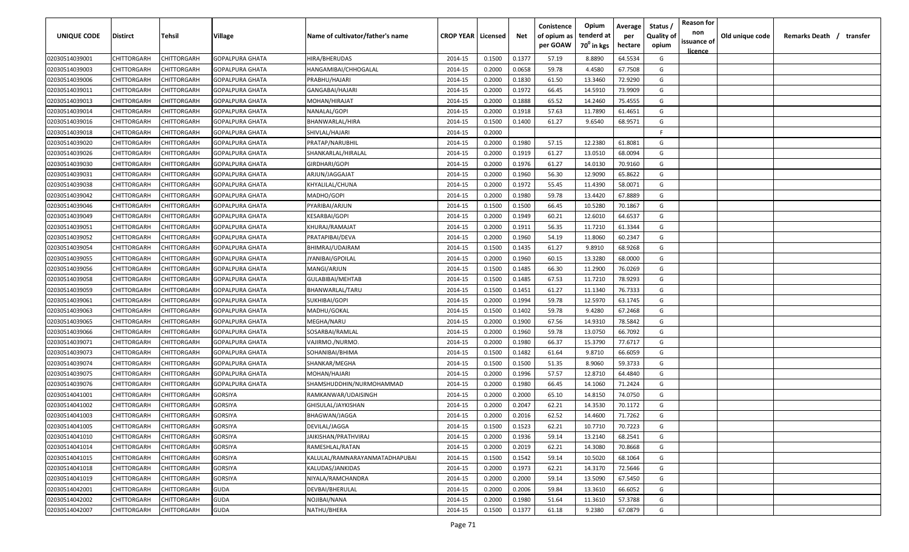| UNIQUE CODE    | <b>Distirct</b>    | Tehsil             | Village                | Name of cultivator/father's name | <b>CROP YEAR   Licensed</b> |        | Net    | Conistence<br>of opium as<br>per GOAW | Opium<br>tenderd at<br>70 <sup>0</sup> in kgs | Average<br>per<br>hectare | Status /<br><b>Quality of</b><br>opium | <b>Reason for</b><br>non<br>issuance of<br><u>licence</u> | Old unique code | Remarks Death /<br>transfer |
|----------------|--------------------|--------------------|------------------------|----------------------------------|-----------------------------|--------|--------|---------------------------------------|-----------------------------------------------|---------------------------|----------------------------------------|-----------------------------------------------------------|-----------------|-----------------------------|
| 02030514039001 | CHITTORGARH        | CHITTORGARH        | <b>GOPALPURA GHATA</b> | HIRA/BHERUDAS                    | 2014-15                     | 0.1500 | 0.1377 | 57.19                                 | 8.8890                                        | 64.5534                   | G                                      |                                                           |                 |                             |
| 02030514039003 | CHITTORGARH        | CHITTORGARH        | GOPALPURA GHATA        | HANGAMIBAI/CHHOGALAL             | 2014-15                     | 0.2000 | 0.0658 | 59.78                                 | 4.4580                                        | 67.7508                   | G                                      |                                                           |                 |                             |
| 02030514039006 | CHITTORGARH        | CHITTORGARH        | GOPALPURA GHATA        | PRABHU/HAJARI                    | 2014-15                     | 0.2000 | 0.1830 | 61.50                                 | 13.3460                                       | 72.9290                   | G                                      |                                                           |                 |                             |
| 02030514039011 | CHITTORGARH        | CHITTORGARH        | GOPALPURA GHATA        | GANGABAI/HAJARI                  | 2014-15                     | 0.2000 | 0.1972 | 66.45                                 | 14.5910                                       | 73.9909                   | G                                      |                                                           |                 |                             |
| 02030514039013 | CHITTORGARH        | CHITTORGARH        | GOPALPURA GHATA        | MOHAN/HIRAJAT                    | 2014-15                     | 0.2000 | 0.1888 | 65.52                                 | 14.2460                                       | 75.4555                   | G                                      |                                                           |                 |                             |
| 02030514039014 | CHITTORGARH        | CHITTORGARH        | GOPALPURA GHATA        | NANALAL/GOPI                     | 2014-15                     | 0.2000 | 0.1918 | 57.63                                 | 11.7890                                       | 61.4651                   | G                                      |                                                           |                 |                             |
| 02030514039016 | CHITTORGARH        | CHITTORGARH        | GOPALPURA GHATA        | BHANWARLAL/HIRA                  | 2014-15                     | 0.1500 | 0.1400 | 61.27                                 | 9.6540                                        | 68.9571                   | G                                      |                                                           |                 |                             |
| 02030514039018 | CHITTORGARH        | CHITTORGARH        | GOPALPURA GHATA        | SHIVLAL/HAJARI                   | 2014-15                     | 0.2000 |        |                                       |                                               |                           | -F                                     |                                                           |                 |                             |
| 02030514039020 | CHITTORGARH        | <b>CHITTORGARH</b> | GOPALPURA GHATA        | PRATAP/NARUBHIL                  | 2014-15                     | 0.2000 | 0.1980 | 57.15                                 | 12.2380                                       | 61.8081                   | G                                      |                                                           |                 |                             |
| 02030514039026 | CHITTORGARH        | CHITTORGARH        | GOPALPURA GHATA        | SHANKARLAL/HIRALAL               | 2014-15                     | 0.2000 | 0.1919 | 61.27                                 | 13.0510                                       | 68.0094                   | G                                      |                                                           |                 |                             |
| 02030514039030 | CHITTORGARH        | CHITTORGARH        | GOPALPURA GHATA        | GIRDHARI/GOPI                    | 2014-15                     | 0.2000 | 0.1976 | 61.27                                 | 14.0130                                       | 70.9160                   | G                                      |                                                           |                 |                             |
| 02030514039031 | CHITTORGARH        | CHITTORGARH        | GOPALPURA GHATA        | ARJUN/JAGGAJAT                   | 2014-15                     | 0.2000 | 0.1960 | 56.30                                 | 12.9090                                       | 65.8622                   | G                                      |                                                           |                 |                             |
| 02030514039038 | CHITTORGARH        | CHITTORGARH        | GOPALPURA GHATA        | KHYALILAL/CHUNA                  | 2014-15                     | 0.2000 | 0.1972 | 55.45                                 | 11.4390                                       | 58.0071                   | G                                      |                                                           |                 |                             |
| 02030514039042 | CHITTORGARH        | CHITTORGARH        | GOPALPURA GHATA        | MADHO/GOPI                       | 2014-15                     | 0.2000 | 0.1980 | 59.78                                 | 13.4420                                       | 67.8889                   | G                                      |                                                           |                 |                             |
| 02030514039046 | CHITTORGARH        | CHITTORGARH        | GOPALPURA GHATA        | PYARIBAI/ARJUN                   | 2014-15                     | 0.1500 | 0.1500 | 66.45                                 | 10.5280                                       | 70.1867                   | G                                      |                                                           |                 |                             |
| 02030514039049 | CHITTORGARH        | CHITTORGARH        | GOPALPURA GHATA        | KESARBAI/GOPI                    | 2014-15                     | 0.2000 | 0.1949 | 60.21                                 | 12.6010                                       | 64.6537                   | G                                      |                                                           |                 |                             |
| 02030514039051 | CHITTORGARH        | <b>CHITTORGARH</b> | GOPALPURA GHATA        | KHURAJ/RAMAJAT                   | 2014-15                     | 0.2000 | 0.1911 | 56.35                                 | 11.7210                                       | 61.3344                   | G                                      |                                                           |                 |                             |
| 02030514039052 | CHITTORGARH        | CHITTORGARH        | GOPALPURA GHATA        | PRATAPIBAI/DEVA                  | 2014-15                     | 0.2000 | 0.1960 | 54.19                                 | 11.8060                                       | 60.2347                   | G                                      |                                                           |                 |                             |
| 02030514039054 | CHITTORGARH        | CHITTORGARH        | GOPALPURA GHATA        | BHIMRAJ/UDAIRAM                  | 2014-15                     | 0.1500 | 0.1435 | 61.27                                 | 9.8910                                        | 68.9268                   | G                                      |                                                           |                 |                             |
| 02030514039055 | CHITTORGARH        | CHITTORGARH        | GOPALPURA GHATA        | JYANIBAI/GPOILAL                 | 2014-15                     | 0.2000 | 0.1960 | 60.15                                 | 13.3280                                       | 68.0000                   | G                                      |                                                           |                 |                             |
| 02030514039056 | CHITTORGARH        | CHITTORGARH        | GOPALPURA GHATA        | MANGI/ARJUN                      | 2014-15                     | 0.1500 | 0.1485 | 66.30                                 | 11.2900                                       | 76.0269                   | G                                      |                                                           |                 |                             |
| 02030514039058 | CHITTORGARH        | CHITTORGARH        | GOPALPURA GHATA        | <b>GULABIBAI/MEHTAB</b>          | 2014-15                     | 0.1500 | 0.1485 | 67.53                                 | 11.7210                                       | 78.9293                   | G                                      |                                                           |                 |                             |
| 02030514039059 | CHITTORGARH        | CHITTORGARH        | GOPALPURA GHATA        | BHANWARLAL/TARU                  | 2014-15                     | 0.1500 | 0.1451 | 61.27                                 | 11.1340                                       | 76.7333                   | G                                      |                                                           |                 |                             |
| 02030514039061 | CHITTORGARH        | CHITTORGARH        | GOPALPURA GHATA        | SUKHIBAI/GOPI                    | 2014-15                     | 0.2000 | 0.1994 | 59.78                                 | 12.5970                                       | 63.1745                   | G                                      |                                                           |                 |                             |
| 02030514039063 | CHITTORGARH        | CHITTORGARH        | <b>GOPALPURA GHATA</b> | MADHU/GOKAL                      | 2014-15                     | 0.1500 | 0.1402 | 59.78                                 | 9.4280                                        | 67.2468                   | G                                      |                                                           |                 |                             |
| 02030514039065 | CHITTORGARH        | <b>CHITTORGARH</b> | GOPALPURA GHATA        | MEGHA/NARU                       | 2014-15                     | 0.2000 | 0.1900 | 67.56                                 | 14.9310                                       | 78.5842                   | G                                      |                                                           |                 |                             |
| 02030514039066 | CHITTORGARH        | CHITTORGARH        | GOPALPURA GHATA        | SOSARBAI/RAMLAL                  | 2014-15                     | 0.2000 | 0.1960 | 59.78                                 | 13.0750                                       | 66.7092                   | G                                      |                                                           |                 |                             |
| 02030514039071 | CHITTORGARH        | CHITTORGARH        | GOPALPURA GHATA        | VAJIRMO./NURMO.                  | 2014-15                     | 0.2000 | 0.1980 | 66.37                                 | 15.3790                                       | 77.6717                   | G                                      |                                                           |                 |                             |
| 02030514039073 | CHITTORGARH        | CHITTORGARH        | GOPALPURA GHATA        | SOHANIBAI/BHIMA                  | 2014-15                     | 0.1500 | 0.1482 | 61.64                                 | 9.8710                                        | 66.6059                   | G                                      |                                                           |                 |                             |
| 02030514039074 | CHITTORGARH        | CHITTORGARH        | GOPALPURA GHATA        | SHANKAR/MEGHA                    | 2014-15                     | 0.1500 | 0.1500 | 51.35                                 | 8.9060                                        | 59.3733                   | G                                      |                                                           |                 |                             |
| 02030514039075 | CHITTORGARH        | CHITTORGARH        | GOPALPURA GHATA        | MOHAN/HAJARI                     | 2014-15                     | 0.2000 | 0.1996 | 57.57                                 | 12.8710                                       | 64.4840                   | G                                      |                                                           |                 |                             |
| 02030514039076 | CHITTORGARH        | CHITTORGARH        | GOPALPURA GHATA        | SHAMSHUDDHIN/NURMOHAMMAD         | 2014-15                     | 0.2000 | 0.1980 | 66.45                                 | 14.1060                                       | 71.2424                   | G                                      |                                                           |                 |                             |
| 02030514041001 | CHITTORGARH        | CHITTORGARH        | GORSIYA                | RAMKANWAR/UDAISINGH              | 2014-15                     | 0.2000 | 0.2000 | 65.10                                 | 14.8150                                       | 74.0750                   | G                                      |                                                           |                 |                             |
| 02030514041002 | CHITTORGARH        | <b>CHITTORGARH</b> | GORSIYA                | GHISULAL/JAYKISHAN               | 2014-15                     | 0.2000 | 0.2047 | 62.21                                 | 14.3530                                       | 70.1172                   | G                                      |                                                           |                 |                             |
| 02030514041003 | CHITTORGARH        | CHITTORGARH        | GORSIYA                | BHAGWAN/JAGGA                    | 2014-15                     | 0.2000 | 0.2016 | 62.52                                 | 14.4600                                       | 71.7262                   | G                                      |                                                           |                 |                             |
| 02030514041005 | <b>CHITTORGARH</b> | <b>CHITTORGARH</b> | GORSIYA                | DEVILAL/JAGGA                    | 2014-15                     | 0.1500 | 0.1523 | 62.21                                 | 10.7710                                       | 70.7223                   | G                                      |                                                           |                 |                             |
| 02030514041010 | CHITTORGARH        | <b>CHITTORGARH</b> | GORSIYA                | JAIKISHAN/PRATHVIRAJ             | 2014-15                     | 0.2000 | 0.1936 | 59.14                                 | 13.2140                                       | 68.2541                   | G                                      |                                                           |                 |                             |
| 02030514041014 | CHITTORGARH        | <b>CHITTORGARH</b> | GORSIYA                | RAMESHLAL/RATAN                  | 2014-15                     | 0.2000 | 0.2019 | 62.21                                 | 14.3080                                       | 70.8668                   | G                                      |                                                           |                 |                             |
| 02030514041015 | CHITTORGARH        | CHITTORGARH        | GORSIYA                | KALULAL/RAMNARAYANMATADHAPUBAI   | 2014-15                     | 0.1500 | 0.1542 | 59.14                                 | 10.5020                                       | 68.1064                   | G                                      |                                                           |                 |                             |
| 02030514041018 | CHITTORGARH        | CHITTORGARH        | <b>GORSIYA</b>         | KALUDAS/JANKIDAS                 | 2014-15                     | 0.2000 | 0.1973 | 62.21                                 | 14.3170                                       | 72.5646                   | G                                      |                                                           |                 |                             |
| 02030514041019 | CHITTORGARH        | CHITTORGARH        | GORSIYA                | NIYALA/RAMCHANDRA                | 2014-15                     | 0.2000 | 0.2000 | 59.14                                 | 13.5090                                       | 67.5450                   | G                                      |                                                           |                 |                             |
| 02030514042001 | CHITTORGARH        | CHITTORGARH        | <b>GUDA</b>            | DEVBAI/BHERULAL                  | 2014-15                     | 0.2000 | 0.2006 | 59.84                                 | 13.3610                                       | 66.6052                   | G                                      |                                                           |                 |                             |
| 02030514042002 | CHITTORGARH        | CHITTORGARH        | <b>GUDA</b>            | NOJIBAI/NANA                     | 2014-15                     | 0.2000 | 0.1980 | 51.64                                 | 11.3610                                       | 57.3788                   | G                                      |                                                           |                 |                             |
| 02030514042007 | CHITTORGARH        | CHITTORGARH        | <b>GUDA</b>            | NATHU/BHERA                      | 2014-15                     | 0.1500 | 0.1377 | 61.18                                 | 9.2380                                        | 67.0879                   | G                                      |                                                           |                 |                             |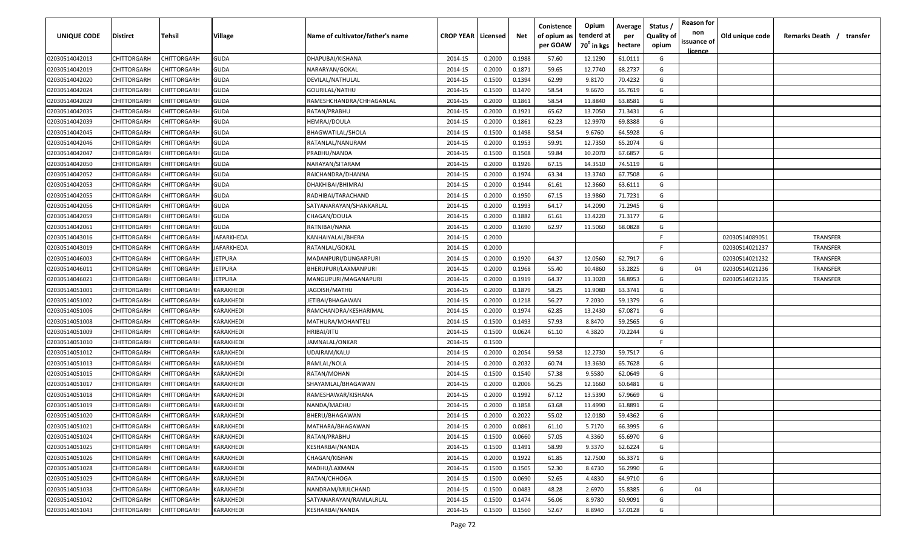| UNIQUE CODE                      | Distirct                   | Tehsil                            | Village        | Name of cultivator/father's name  | <b>CROP YEAR   Licensed</b> |                  | Net              | Conistence<br>of opium as<br>per GOAW | Opium<br>tenderd at<br>70 <sup>0</sup> in kgs | Average<br>per<br>hectare | Status /<br><b>Quality of</b><br>opium | <b>Reason for</b><br>non<br>issuance of | Old unique code | Remarks Death /<br>transfer |
|----------------------------------|----------------------------|-----------------------------------|----------------|-----------------------------------|-----------------------------|------------------|------------------|---------------------------------------|-----------------------------------------------|---------------------------|----------------------------------------|-----------------------------------------|-----------------|-----------------------------|
|                                  |                            |                                   |                |                                   |                             |                  |                  |                                       |                                               |                           |                                        | <u>licence</u>                          |                 |                             |
| 02030514042013                   | CHITTORGARH                | CHITTORGARH                       | <b>GUDA</b>    | DHAPUBAI/KISHANA                  | 2014-15                     | 0.2000           | 0.1988           | 57.60                                 | 12.1290                                       | 61.0111                   | G                                      |                                         |                 |                             |
| 02030514042019                   | CHITTORGARH                | CHITTORGARH                       | GUDA           | NARARYAN/GOKAL                    | 2014-15                     | 0.2000           | 0.1871           | 59.65                                 | 12.7740                                       | 68.2737                   | G                                      |                                         |                 |                             |
| 02030514042020                   | CHITTORGARH                | CHITTORGARH                       | GUDA           | DEVILAL/NATHULAL                  | 2014-15                     | 0.1500           | 0.1394           | 62.99                                 | 9.8170                                        | 70.4232                   | G                                      |                                         |                 |                             |
| 02030514042024                   | CHITTORGARH                | CHITTORGARH                       | GUDA           | GOURILAL/NATHU                    | 2014-15                     | 0.1500           | 0.1470           | 58.54                                 | 9.6670                                        | 65.7619                   | G                                      |                                         |                 |                             |
| 02030514042029                   | CHITTORGARH                | CHITTORGARH                       | <b>GUDA</b>    | RAMESHCHANDRA/CHHAGANLAL          | 2014-15                     | 0.2000           | 0.1861           | 58.54                                 | 11.8840                                       | 63.8581                   | G                                      |                                         |                 |                             |
| 02030514042035                   | CHITTORGARH<br>CHITTORGARH | CHITTORGARH<br><b>CHITTORGARH</b> | GUDA           | RATAN/PRABHU                      | 2014-15                     | 0.2000<br>0.2000 | 0.1921<br>0.1861 | 65.62<br>62.23                        | 13.7050<br>12.9970                            | 71.3431<br>69.8388        | G<br>G                                 |                                         |                 |                             |
| 02030514042039<br>02030514042045 | CHITTORGARH                | <b>CHITTORGARH</b>                | GUDA<br>GUDA   | HEMRAJ/DOULA<br>BHAGWATILAL/SHOLA | 2014-15<br>2014-15          | 0.1500           | 0.1498           | 58.54                                 | 9.6760                                        | 64.5928                   | G                                      |                                         |                 |                             |
| 02030514042046                   | CHITTORGARH                | CHITTORGARH                       | GUDA           | RATANLAL/NANURAM                  | 2014-15                     | 0.2000           | 0.1953           | 59.91                                 | 12.7350                                       | 65.2074                   | G                                      |                                         |                 |                             |
| 02030514042047                   | CHITTORGARH                | CHITTORGARH                       | GUDA           | PRABHU/NANDA                      | 2014-15                     | 0.1500           | 0.1508           | 59.84                                 | 10.2070                                       | 67.6857                   | G                                      |                                         |                 |                             |
| 02030514042050                   | CHITTORGARH                | CHITTORGARH                       | GUDA           | NARAYAN/SITARAM                   | 2014-15                     | 0.2000           | 0.1926           | 67.15                                 | 14.3510                                       | 74.5119                   | G                                      |                                         |                 |                             |
| 02030514042052                   | CHITTORGARH                | CHITTORGARH                       | GUDA           | RAICHANDRA/DHANNA                 | 2014-15                     | 0.2000           | 0.1974           | 63.34                                 | 13.3740                                       | 67.7508                   | G                                      |                                         |                 |                             |
| 02030514042053                   | CHITTORGARH                | CHITTORGARH                       | GUDA           | DHAKHIBAI/BHIMRAJ                 | 2014-15                     | 0.2000           | 0.1944           | 61.61                                 | 12.3660                                       | 63.6111                   | G                                      |                                         |                 |                             |
| 02030514042055                   | CHITTORGARH                | CHITTORGARH                       | GUDA           | RADHIBAI/TARACHAND                | 2014-15                     | 0.2000           | 0.1950           | 67.15                                 | 13.9860                                       | 71.7231                   | G                                      |                                         |                 |                             |
| 02030514042056                   | CHITTORGARH                | CHITTORGARH                       | GUDA           | SATYANARAYAN/SHANKARLAL           | 2014-15                     | 0.2000           | 0.1993           | 64.17                                 | 14.2090                                       | 71.2945                   | G                                      |                                         |                 |                             |
| 02030514042059                   | CHITTORGARH                | CHITTORGARH                       | GUDA           | CHAGAN/DOULA                      | 2014-15                     | 0.2000           | 0.1882           | 61.61                                 | 13.4220                                       | 71.3177                   | G                                      |                                         |                 |                             |
| 02030514042061                   | CHITTORGARH                | CHITTORGARH                       | GUDA           | RATNIBAI/NANA                     | 2014-15                     | 0.2000           | 0.1690           | 62.97                                 | 11.5060                                       | 68.0828                   | G                                      |                                         |                 |                             |
|                                  | CHITTORGARH                | CHITTORGARH                       | JAFARKHEDA     | KANHAIYALAL/BHERA                 | 2014-15                     | 0.2000           |                  |                                       |                                               |                           | F.                                     |                                         | 02030514089051  | <b>TRANSFER</b>             |
| 02030514043016                   | CHITTORGARH                | CHITTORGARH                       | IAFARKHEDA     | RATANLAL/GOKAL                    | 2014-15                     | 0.2000           |                  |                                       |                                               |                           | F.                                     |                                         | 02030514021237  | TRANSFER                    |
| 02030514043019<br>02030514046003 | CHITTORGARH                | CHITTORGARH                       | <b>IETPURA</b> | MADANPURI/DUNGARPURI              | 2014-15                     | 0.2000           | 0.1920           | 64.37                                 | 12.0560                                       | 62.7917                   | G                                      |                                         | 02030514021232  | <b>TRANSFER</b>             |
| 02030514046011                   | CHITTORGARH                | CHITTORGARH                       | <b>IETPURA</b> | BHERUPURI/LAXMANPURI              | 2014-15                     | 0.2000           | 0.1968           | 55.40                                 | 10.4860                                       | 53.2825                   | G                                      | 04                                      | 02030514021236  | <b>TRANSFER</b>             |
| 02030514046021                   | CHITTORGARH                | CHITTORGARH                       | <b>IETPURA</b> | MANGUPURI/MAGANAPURI              | 2014-15                     | 0.2000           | 0.1919           | 64.37                                 | 11.3020                                       | 58.8953                   | G                                      |                                         | 02030514021235  | TRANSFER                    |
| 02030514051001                   | CHITTORGARH                | CHITTORGARH                       | KARAKHEDI      | JAGDISH/MATHU                     | 2014-15                     | 0.2000           | 0.1879           | 58.25                                 | 11.9080                                       | 63.3741                   | G                                      |                                         |                 |                             |
| 02030514051002                   | CHITTORGARH                | CHITTORGARH                       | KARAKHEDI      | JETIBAI/BHAGAWAN                  | 2014-15                     | 0.2000           | 0.1218           | 56.27                                 | 7.2030                                        | 59.1379                   | G                                      |                                         |                 |                             |
| 02030514051006                   | CHITTORGARH                | CHITTORGARH                       | KARAKHEDI      | RAMCHANDRA/KESHARIMAL             | 2014-15                     | 0.2000           | 0.1974           | 62.85                                 | 13.2430                                       | 67.0871                   | G                                      |                                         |                 |                             |
| 02030514051008                   | CHITTORGARH                | CHITTORGARH                       | KARAKHEDI      | MATHURA/MOHANTELI                 | 2014-15                     | 0.1500           | 0.1493           | 57.93                                 | 8.8470                                        | 59.2565                   | G                                      |                                         |                 |                             |
| 02030514051009                   | CHITTORGARH                | CHITTORGARH                       | KARAKHEDI      | HRIBAI/JITU                       | 2014-15                     | 0.1500           | 0.0624           | 61.10                                 | 4.3820                                        | 70.2244                   | G                                      |                                         |                 |                             |
| 02030514051010                   | CHITTORGARH                | CHITTORGARH                       | KARAKHEDI      | IAMNALAL/ONKAR                    | 2014-15                     | 0.1500           |                  |                                       |                                               |                           | F.                                     |                                         |                 |                             |
| 02030514051012                   | CHITTORGARH                | CHITTORGARH                       | KARAKHEDI      | UDAIRAM/KALU                      | 2014-15                     | 0.2000           | 0.2054           | 59.58                                 | 12.2730                                       | 59.7517                   | G                                      |                                         |                 |                             |
| 02030514051013                   | CHITTORGARH                | CHITTORGARH                       | KARAKHEDI      | RAMLAL/NOLA                       | 2014-15                     | 0.2000           | 0.2032           | 60.74                                 | 13.3630                                       | 65.7628                   | G                                      |                                         |                 |                             |
| 02030514051015                   | CHITTORGARH                | CHITTORGARH                       | KARAKHEDI      | RATAN/MOHAN                       | 2014-15                     | 0.1500           | 0.1540           | 57.38                                 | 9.5580                                        | 62.0649                   | G                                      |                                         |                 |                             |
| 02030514051017                   | CHITTORGARH                | <b>CHITTORGARH</b>                | KARAKHEDI      | SHAYAMLAL/BHAGAWAN                | 2014-15                     | 0.2000           | 0.2006           | 56.25                                 | 12.1660                                       | 60.6481                   | G                                      |                                         |                 |                             |
| 02030514051018                   | CHITTORGARH                | CHITTORGARH                       | KARAKHEDI      | RAMESHAWAR/KISHANA                | 2014-15                     | 0.2000           | 0.1992           | 67.12                                 | 13.5390                                       | 67.9669                   | G                                      |                                         |                 |                             |
| 02030514051019                   | CHITTORGARH                | CHITTORGARH                       | KARAKHEDI      | NANDA/MADHU                       | 2014-15                     | 0.2000           | 0.1858           | 63.68                                 | 11.4990                                       | 61.8891                   | G                                      |                                         |                 |                             |
| 02030514051020                   | CHITTORGARH                | CHITTORGARH                       | KARAKHEDI      | BHERU/BHAGAWAN                    | 2014-15                     | 0.2000           | 0.2022           | 55.02                                 | 12.0180                                       | 59.4362                   | G                                      |                                         |                 |                             |
| 02030514051021                   | CHITTORGARH                | <b>CHITTORGARH</b>                | KARAKHEDI      | MATHARA/BHAGAWAN                  | 2014-15                     | 0.2000           | 0.0861           | 61.10                                 | 5.7170                                        | 66.3995                   | G                                      |                                         |                 |                             |
| 02030514051024                   | CHITTORGARH                | CHITTORGARH                       | KARAKHEDI      | RATAN/PRABHU                      | 2014-15                     | 0.1500           | 0.0660           | 57.05                                 | 4.3360                                        | 65.6970                   | G                                      |                                         |                 |                             |
| 02030514051025                   | CHITTORGARH                | CHITTORGARH                       | KARAKHEDI      | <b>KESHARBAI/NANDA</b>            | 2014-15                     | 0.1500           | 0.1491           | 58.99                                 | 9.3370                                        | 62.6224                   | G                                      |                                         |                 |                             |
| 02030514051026                   | CHITTORGARH                | CHITTORGARH                       | KARAKHEDI      | CHAGAN/KISHAN                     | 2014-15                     | 0.2000           | 0.1922           | 61.85                                 | 12.7500                                       | 66.3371                   | G                                      |                                         |                 |                             |
| 02030514051028                   | CHITTORGARH                | CHITTORGARH                       | KARAKHEDI      | MADHU/LAXMAN                      | 2014-15                     | 0.1500           | 0.1505           | 52.30                                 | 8.4730                                        | 56.2990                   | G                                      |                                         |                 |                             |
| 02030514051029                   | CHITTORGARH                | CHITTORGARH                       | KARAKHEDI      | RATAN/CHHOGA                      | 2014-15                     | 0.1500           | 0.0690           | 52.65                                 | 4.4830                                        | 64.9710                   | G                                      |                                         |                 |                             |
| 02030514051038                   | CHITTORGARH                | CHITTORGARH                       | KARAKHEDI      | NANDRAM/MULCHAND                  | 2014-15                     | 0.1500           | 0.0483           | 48.28                                 | 2.6970                                        | 55.8385                   | G                                      | 04                                      |                 |                             |
| 02030514051042                   | CHITTORGARH                | CHITTORGARH                       | KARAKHEDI      | SATYANARAYAN/RAMLALRLAL           | 2014-15                     | 0.1500           | 0.1474           | 56.06                                 | 8.9780                                        | 60.9091                   | G                                      |                                         |                 |                             |
|                                  |                            | CHITTORGARH                       | KARAKHEDI      |                                   | 2014-15                     | 0.1500           | 0.1560           | 52.67                                 |                                               | 57.0128                   | G                                      |                                         |                 |                             |
| 02030514051043                   | CHITTORGARH                |                                   |                | KESHARBAI/NANDA                   |                             |                  |                  |                                       | 8.8940                                        |                           |                                        |                                         |                 |                             |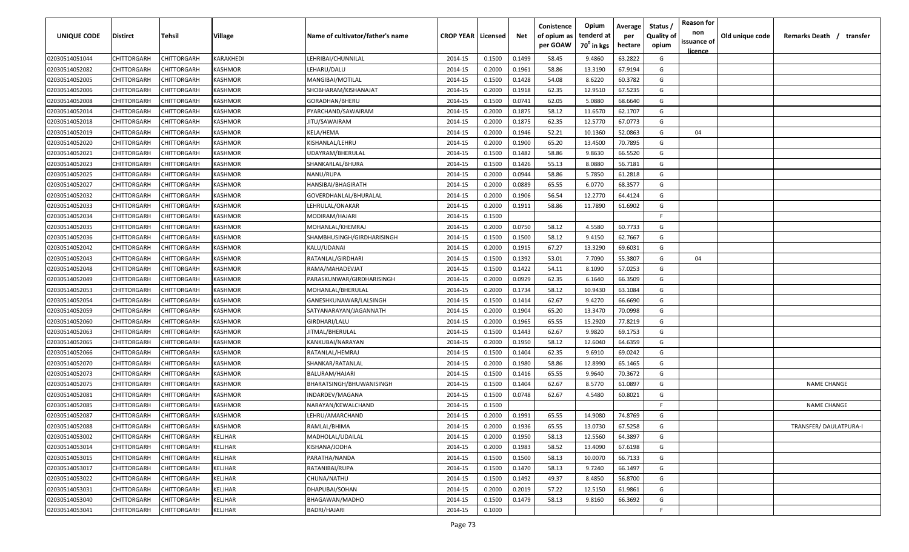| UNIQUE CODE    | Distirct           | Tehsil      | Village        | Name of cultivator/father's name | <b>CROP YEAR   Licensed</b> |        | Net    | Conistence<br>of opium as | Opium<br>tenderd at    | Average<br>per | Status /<br><b>Quality of</b> | <b>Reason for</b><br>non      | Old unique code | Remarks Death /<br>transfer |
|----------------|--------------------|-------------|----------------|----------------------------------|-----------------------------|--------|--------|---------------------------|------------------------|----------------|-------------------------------|-------------------------------|-----------------|-----------------------------|
|                |                    |             |                |                                  |                             |        |        | per GOAW                  | 70 <sup>0</sup> in kgs | hectare        | opium                         | issuance of<br><u>licence</u> |                 |                             |
| 02030514051044 | CHITTORGARH        | CHITTORGARH | KARAKHEDI      | LEHRIBAI/CHUNNILAL               | 2014-15                     | 0.1500 | 0.1499 | 58.45                     | 9.4860                 | 63.2822        | G                             |                               |                 |                             |
| 02030514052082 | CHITTORGARH        | CHITTORGARH | KASHMOR        | LEHARU/DALU                      | 2014-15                     | 0.2000 | 0.1961 | 58.86                     | 13.3190                | 67.9194        | G                             |                               |                 |                             |
| 02030514052005 | CHITTORGARH        | CHITTORGARH | KASHMOR        | MANGIBAI/MOTILAL                 | 2014-15                     | 0.1500 | 0.1428 | 54.08                     | 8.6220                 | 60.3782        | G                             |                               |                 |                             |
| 02030514052006 | CHITTORGARH        | CHITTORGARH | KASHMOR        | SHOBHARAM/KISHANAJAT             | 2014-15                     | 0.2000 | 0.1918 | 62.35                     | 12.9510                | 67.5235        | G                             |                               |                 |                             |
| 02030514052008 | CHITTORGARH        | CHITTORGARH | KASHMOR        | GORADHAN/BHERU                   | 2014-15                     | 0.1500 | 0.0741 | 62.05                     | 5.0880                 | 68.6640        | G                             |                               |                 |                             |
| 02030514052014 | CHITTORGARH        | CHITTORGARH | KASHMOR        | PYARCHAND/SAWAIRAM               | 2014-15                     | 0.2000 | 0.1875 | 58.12                     | 11.6570                | 62.1707        | G                             |                               |                 |                             |
| 02030514052018 | CHITTORGARH        | CHITTORGARH | KASHMOR        | JITU/SAWAIRAM                    | 2014-15                     | 0.2000 | 0.1875 | 62.35                     | 12.5770                | 67.0773        | G                             |                               |                 |                             |
| 02030514052019 | CHITTORGARH        | CHITTORGARH | KASHMOR        | KELA/HEMA                        | 2014-15                     | 0.2000 | 0.1946 | 52.21                     | 10.1360                | 52.0863        | G                             | 04                            |                 |                             |
| 02030514052020 | CHITTORGARH        | CHITTORGARH | KASHMOR        | KISHANLAL/LEHRU                  | 2014-15                     | 0.2000 | 0.1900 | 65.20                     | 13.4500                | 70.7895        | G                             |                               |                 |                             |
| 02030514052021 | CHITTORGARH        | CHITTORGARH | KASHMOR        | UDAYRAM/BHERULAL                 | 2014-15                     | 0.1500 | 0.1482 | 58.86                     | 9.8630                 | 66.5520        | G                             |                               |                 |                             |
| 02030514052023 | CHITTORGARH        | CHITTORGARH | KASHMOR        | SHANKARLAL/BHURA                 | 2014-15                     | 0.1500 | 0.1426 | 55.13                     | 8.0880                 | 56.7181        | G                             |                               |                 |                             |
| 02030514052025 | CHITTORGARH        | CHITTORGARH | KASHMOR        | NANU/RUPA                        | 2014-15                     | 0.2000 | 0.0944 | 58.86                     | 5.7850                 | 61.2818        | G                             |                               |                 |                             |
| 02030514052027 | CHITTORGARH        | CHITTORGARH | KASHMOR        | HANSIBAI/BHAGIRATH               | 2014-15                     | 0.2000 | 0.0889 | 65.55                     | 6.0770                 | 68.3577        | G                             |                               |                 |                             |
| 02030514052032 | CHITTORGARH        | CHITTORGARH | KASHMOR        | GOVERDHANLAL/BHURALAL            | 2014-15                     | 0.2000 | 0.1906 | 56.54                     | 12.2770                | 64.4124        | G                             |                               |                 |                             |
| 02030514052033 | CHITTORGARH        | CHITTORGARH | KASHMOR        | LEHRULAL/ONAKAR                  | 2014-15                     | 0.2000 | 0.1911 | 58.86                     | 11.7890                | 61.6902        | G                             |                               |                 |                             |
| 02030514052034 | CHITTORGARH        | CHITTORGARH | KASHMOR        | MODIRAM/HAJARI                   | 2014-15                     | 0.1500 |        |                           |                        |                | F.                            |                               |                 |                             |
| 02030514052035 | CHITTORGARH        | CHITTORGARH | KASHMOR        | MOHANLAL/KHEMRAJ                 | 2014-15                     | 0.2000 | 0.0750 | 58.12                     | 4.5580                 | 60.7733        | G                             |                               |                 |                             |
| 02030514052036 | CHITTORGARH        | CHITTORGARH | KASHMOR        | SHAMBHUSINGH/GIRDHARISINGH       | 2014-15                     | 0.1500 | 0.1500 | 58.12                     | 9.4150                 | 62.7667        | G                             |                               |                 |                             |
| 02030514052042 | CHITTORGARH        | CHITTORGARH | KASHMOR        | KALU/UDANAI                      | 2014-15                     | 0.2000 | 0.1915 | 67.27                     | 13.3290                | 69.6031        | G                             |                               |                 |                             |
| 02030514052043 | CHITTORGARH        | CHITTORGARH | KASHMOR        | RATANLAL/GIRDHARI                | 2014-15                     | 0.1500 | 0.1392 | 53.01                     | 7.7090                 | 55.3807        | G                             | 04                            |                 |                             |
| 02030514052048 | CHITTORGARH        | CHITTORGARH | KASHMOR        | RAMA/MAHADEVJAT                  | 2014-15                     | 0.1500 | 0.1422 | 54.11                     | 8.1090                 | 57.0253        | G                             |                               |                 |                             |
| 02030514052049 | CHITTORGARH        | CHITTORGARH | KASHMOR        | PARASKUNWAR/GIRDHARISINGH        | 2014-15                     | 0.2000 | 0.0929 | 62.35                     | 6.1640                 | 66.3509        | G                             |                               |                 |                             |
| 02030514052053 | CHITTORGARH        | CHITTORGARH | KASHMOR        | MOHANLAL/BHERULAL                | 2014-15                     | 0.2000 | 0.1734 | 58.12                     | 10.9430                | 63.1084        | G                             |                               |                 |                             |
| 02030514052054 | CHITTORGARH        | CHITTORGARH | KASHMOR        | GANESHKUNAWAR/LALSINGH           | 2014-15                     | 0.1500 | 0.1414 | 62.67                     | 9.4270                 | 66.6690        | G                             |                               |                 |                             |
| 02030514052059 | CHITTORGARH        | CHITTORGARH | KASHMOR        | SATYANARAYAN/JAGANNATH           | 2014-15                     | 0.2000 | 0.1904 | 65.20                     | 13.3470                | 70.0998        | G                             |                               |                 |                             |
| 02030514052060 | CHITTORGARH        | CHITTORGARH | KASHMOR        | GIRDHARI/LALU                    | 2014-15                     | 0.2000 | 0.1965 | 65.55                     | 15.2920                | 77.8219        | G                             |                               |                 |                             |
| 02030514052063 | CHITTORGARH        | CHITTORGARH | KASHMOR        | JITMAL/BHERULAL                  | 2014-15                     | 0.1500 | 0.1443 | 62.67                     | 9.9820                 | 69.1753        | G                             |                               |                 |                             |
| 02030514052065 | CHITTORGARH        | CHITTORGARH | KASHMOR        | KANKUBAI/NARAYAN                 | 2014-15                     | 0.2000 | 0.1950 | 58.12                     | 12.6040                | 64.6359        | G                             |                               |                 |                             |
| 02030514052066 | CHITTORGARH        | CHITTORGARH | KASHMOR        | RATANLAL/HEMRAJ                  | 2014-15                     | 0.1500 | 0.1404 | 62.35                     | 9.6910                 | 69.0242        | G                             |                               |                 |                             |
| 02030514052070 | CHITTORGARH        | CHITTORGARH | KASHMOR        | SHANKAR/RATANLAL                 | 2014-15                     | 0.2000 | 0.1980 | 58.86                     | 12.8990                | 65.1465        | G                             |                               |                 |                             |
| 02030514052073 | CHITTORGARH        | CHITTORGARH | KASHMOR        | BALURAM/HAJARI                   | 2014-15                     | 0.1500 | 0.1416 | 65.55                     | 9.9640                 | 70.3672        | G                             |                               |                 |                             |
| 02030514052075 | CHITTORGARH        | CHITTORGARH | KASHMOR        | BHARATSINGH/BHUWANISINGH         | 2014-15                     | 0.1500 | 0.1404 | 62.67                     | 8.5770                 | 61.0897        | G                             |                               |                 | <b>NAME CHANGE</b>          |
| 02030514052081 | CHITTORGARH        | CHITTORGARH | KASHMOR        | INDARDEV/MAGANA                  | 2014-15                     | 0.1500 | 0.0748 | 62.67                     | 4.5480                 | 60.8021        | G                             |                               |                 |                             |
| 02030514052085 | CHITTORGARH        | CHITTORGARH | KASHMOR        | NARAYAN/KEWALCHAND               | 2014-15                     | 0.1500 |        |                           |                        |                | -F.                           |                               |                 | <b>NAME CHANGE</b>          |
| 02030514052087 | CHITTORGARH        | CHITTORGARH | KASHMOR        | LEHRU/AMARCHAND                  | 2014-15                     | 0.2000 | 0.1991 | 65.55                     | 14.9080                | 74.8769        | G                             |                               |                 |                             |
| 02030514052088 | <b>CHITTORGARH</b> | CHITTORGARH | <b>KASHMOR</b> | RAMLAL/BHIMA                     | 2014-15                     | 0.2000 | 0.1936 | 65.55                     | 13.0730                | 67.5258        | G                             |                               |                 | TRANSFER/DAULATPURA-I       |
| 02030514053002 | <b>CHITTORGARH</b> | CHITTORGARH | KELJHAR        | MADHOLAL/UDAILAL                 | 2014-15                     | 0.2000 | 0.1950 | 58.13                     | 12.5560                | 64.3897        | G                             |                               |                 |                             |
| 02030514053014 | <b>CHITTORGARH</b> | CHITTORGARH | KELJHAR        | KISHANA/JODHA                    | 2014-15                     | 0.2000 | 0.1983 | 58.52                     | 13.4090                | 67.6198        | G                             |                               |                 |                             |
| 02030514053015 | <b>CHITTORGARH</b> | CHITTORGARH | KELJHAR        | PARATHA/NANDA                    | 2014-15                     | 0.1500 | 0.1500 | 58.13                     | 10.0070                | 66.7133        | G                             |                               |                 |                             |
| 02030514053017 | CHITTORGARH        | CHITTORGARH | KELJHAR        | RATANIBAI/RUPA                   | 2014-15                     | 0.1500 | 0.1470 | 58.13                     | 9.7240                 | 66.1497        | G                             |                               |                 |                             |
| 02030514053022 | CHITTORGARH        | CHITTORGARH | KELJHAR        | CHUNA/NATHU                      | 2014-15                     | 0.1500 | 0.1492 | 49.37                     | 8.4850                 | 56.8700        | G                             |                               |                 |                             |
| 02030514053031 | CHITTORGARH        | CHITTORGARH | KELJHAR        | DHAPUBAI/SOHAN                   | 2014-15                     | 0.2000 | 0.2019 | 57.22                     | 12.5150                | 61.9861        | G                             |                               |                 |                             |
| 02030514053040 | CHITTORGARH        | CHITTORGARH | KELJHAR        | BHAGAWAN/MADHO                   | 2014-15                     | 0.1500 | 0.1479 | 58.13                     | 9.8160                 | 66.3692        | G                             |                               |                 |                             |
| 02030514053041 | <b>CHITTORGARH</b> | CHITTORGARH | KELJHAR        | <b>BADRI/HAJARI</b>              | 2014-15                     | 0.1000 |        |                           |                        |                | F.                            |                               |                 |                             |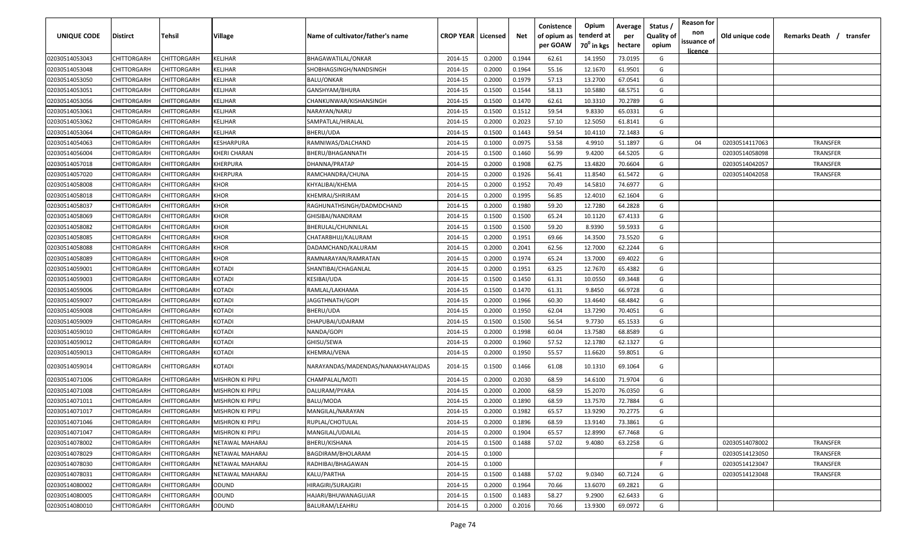| UNIQUE CODE    | Distirct    | Tehsil             | Village                 | Name of cultivator/father's name   | <b>CROP YEAR   Licensed</b> |        | Net    | Conistence<br>of opium as<br>per GOAW | Opium<br>tenderd at<br>$70^0$ in kgs | Average<br>per<br>hectare | Status /<br><b>Quality of</b><br>opium | <b>Reason for</b><br>non<br>issuance of | Old unique code | Remarks Death /<br>transfer |
|----------------|-------------|--------------------|-------------------------|------------------------------------|-----------------------------|--------|--------|---------------------------------------|--------------------------------------|---------------------------|----------------------------------------|-----------------------------------------|-----------------|-----------------------------|
| 02030514053043 | CHITTORGARH | CHITTORGARH        | KELJHAR                 | BHAGAWATILAL/ONKAR                 | 2014-15                     | 0.2000 | 0.1944 | 62.61                                 | 14.1950                              | 73.0195                   | G                                      | <u>licence</u>                          |                 |                             |
| 02030514053048 | CHITTORGARH | CHITTORGARH        | KELJHAR                 | SHOBHAGSINGH/NANDSINGH             | 2014-15                     | 0.2000 | 0.1964 | 55.16                                 | 12.1670                              | 61.9501                   | G                                      |                                         |                 |                             |
| 02030514053050 | CHITTORGARH | CHITTORGARH        | KELJHAR                 | <b>BALU/ONKAR</b>                  | 2014-15                     | 0.2000 | 0.1979 | 57.13                                 | 13.2700                              | 67.0541                   | G                                      |                                         |                 |                             |
| 02030514053051 | CHITTORGARH | CHITTORGARH        | KELJHAR                 | GANSHYAM/BHURA                     | 2014-15                     | 0.1500 | 0.1544 | 58.13                                 | 10.5880                              | 68.5751                   | G                                      |                                         |                 |                             |
| 02030514053056 | CHITTORGARH | CHITTORGARH        | KELJHAR                 | CHANKUNWAR/KISHANSINGH             | 2014-15                     | 0.1500 | 0.1470 | 62.61                                 | 10.3310                              | 70.2789                   | G                                      |                                         |                 |                             |
| 02030514053061 | CHITTORGARH | CHITTORGARH        | KELJHAR                 | NARAYAN/NARU                       | 2014-15                     | 0.1500 | 0.1512 | 59.54                                 | 9.8330                               | 65.0331                   | G                                      |                                         |                 |                             |
| 02030514053062 | CHITTORGARH | <b>CHITTORGARH</b> | KELJHAR                 | SAMPATLAL/HIRALAL                  | 2014-15                     | 0.2000 | 0.2023 | 57.10                                 | 12.5050                              | 61.8141                   | G                                      |                                         |                 |                             |
| 02030514053064 | CHITTORGARH | <b>CHITTORGARH</b> | KELJHAR                 | BHERU/UDA                          | 2014-15                     | 0.1500 | 0.1443 | 59.54                                 | 10.4110                              | 72.1483                   | G                                      |                                         |                 |                             |
| 02030514054063 | CHITTORGARH | CHITTORGARH        | KESHARPURA              | RAMNIWAS/DALCHAND                  | 2014-15                     | 0.1000 | 0.0975 | 53.58                                 | 4.9910                               | 51.1897                   | G                                      | 04                                      | 02030514117063  | TRANSFER                    |
| 02030514056004 | CHITTORGARH | CHITTORGARH        | KHERI CHARAN            | BHERU/BHAGANNATH                   | 2014-15                     | 0.1500 | 0.1460 | 56.99                                 | 9.4200                               | 64.5205                   | G                                      |                                         | 02030514058098  | <b>TRANSFER</b>             |
| 02030514057018 | CHITTORGARH | CHITTORGARH        | KHERPURA                | DHANNA/PRATAP                      | 2014-15                     | 0.2000 | 0.1908 | 62.75                                 | 13.4820                              | 70.6604                   | G                                      |                                         | 02030514042057  | <b>TRANSFER</b>             |
| 02030514057020 | CHITTORGARH | CHITTORGARH        | KHERPURA                | RAMCHANDRA/CHUNA                   | 2014-15                     | 0.2000 | 0.1926 | 56.41                                 | 11.8540                              | 61.5472                   | G                                      |                                         | 02030514042058  | TRANSFER                    |
| 02030514058008 | CHITTORGARH | CHITTORGARH        | KHOR                    | KHYALIBAI/KHEMA                    | 2014-15                     | 0.2000 | 0.1952 | 70.49                                 | 14.5810                              | 74.6977                   | G                                      |                                         |                 |                             |
| 02030514058018 | CHITTORGARH | CHITTORGARH        | KHOR                    | KHEMRAJ/SHRIRAM                    | 2014-15                     | 0.2000 | 0.1995 | 56.85                                 | 12.4010                              | 62.1604                   | G                                      |                                         |                 |                             |
| 02030514058037 | CHITTORGARH | CHITTORGARH        | KHOR                    | RAGHUNATHSINGH/DADMDCHAND          | 2014-15                     | 0.2000 | 0.1980 | 59.20                                 | 12.7280                              | 64.2828                   | G                                      |                                         |                 |                             |
| 02030514058069 | CHITTORGARH | CHITTORGARH        | <b>KHOR</b>             | GHISIBAI/NANDRAM                   | 2014-15                     | 0.1500 | 0.1500 | 65.24                                 | 10.1120                              | 67.4133                   | G                                      |                                         |                 |                             |
| 02030514058082 | CHITTORGARH | CHITTORGARH        | KHOR                    | BHERULAL/CHUNNILAL                 | 2014-15                     | 0.1500 | 0.1500 | 59.20                                 | 8.9390                               | 59.5933                   | G                                      |                                         |                 |                             |
| 02030514058085 | CHITTORGARH | CHITTORGARH        | <b>KHOR</b>             | CHATARBHUJ/KALURAM                 | 2014-15                     | 0.2000 | 0.1951 | 69.66                                 | 14.3500                              | 73.5520                   | G                                      |                                         |                 |                             |
| 02030514058088 | CHITTORGARH | CHITTORGARH        | KHOR                    | DADAMCHAND/KALURAM                 | 2014-15                     | 0.2000 | 0.2041 | 62.56                                 | 12.7000                              | 62.2244                   | G                                      |                                         |                 |                             |
| 02030514058089 | CHITTORGARH | CHITTORGARH        | KHOR                    | RAMNARAYAN/RAMRATAN                | 2014-15                     | 0.2000 | 0.1974 | 65.24                                 | 13.7000                              | 69.4022                   | G                                      |                                         |                 |                             |
| 02030514059001 | CHITTORGARH | CHITTORGARH        | KOTADI                  | SHANTIBAI/CHAGANLAL                | 2014-15                     | 0.2000 | 0.1951 | 63.25                                 | 12.7670                              | 65.4382                   | G                                      |                                         |                 |                             |
| 02030514059003 | CHITTORGARH | CHITTORGARH        | KOTADI                  | KESIBAI/UDA                        | 2014-15                     | 0.1500 | 0.1450 | 61.31                                 | 10.0550                              | 69.3448                   | G                                      |                                         |                 |                             |
| 02030514059006 | CHITTORGARH | CHITTORGARH        | KOTADI                  | RAMLAL/LAKHAMA                     | 2014-15                     | 0.1500 | 0.1470 | 61.31                                 | 9.8450                               | 66.9728                   | G                                      |                                         |                 |                             |
| 02030514059007 | CHITTORGARH | CHITTORGARH        | KOTADI                  | JAGGTHNATH/GOPI                    | 2014-15                     | 0.2000 | 0.1966 | 60.30                                 | 13.4640                              | 68.4842                   | G                                      |                                         |                 |                             |
| 02030514059008 | CHITTORGARH | <b>CHITTORGARH</b> | KOTADI                  | BHERU/UDA                          | 2014-15                     | 0.2000 | 0.1950 | 62.04                                 | 13.7290                              | 70.4051                   | G                                      |                                         |                 |                             |
| 02030514059009 | CHITTORGARH | CHITTORGARH        | KOTADI                  | DHAPUBAI/UDAIRAM                   | 2014-15                     | 0.1500 | 0.1500 | 56.54                                 | 9.7730                               | 65.1533                   | G                                      |                                         |                 |                             |
| 02030514059010 | CHITTORGARH | CHITTORGARH        | KOTADI                  | NANDA/GOPI                         | 2014-15                     | 0.2000 | 0.1998 | 60.04                                 | 13.7580                              | 68.8589                   | G                                      |                                         |                 |                             |
| 02030514059012 | CHITTORGARH | CHITTORGARH        | <b>COTADI</b>           | GHISU/SEWA                         | 2014-15                     | 0.2000 | 0.1960 | 57.52                                 | 12.1780                              | 62.1327                   | G                                      |                                         |                 |                             |
| 02030514059013 | CHITTORGARH | CHITTORGARH        | KOTADI                  | KHEMRAJ/VENA                       | 2014-15                     | 0.2000 | 0.1950 | 55.57                                 | 11.6620                              | 59.8051                   | G                                      |                                         |                 |                             |
| 02030514059014 | CHITTORGARH | CHITTORGARH        | KOTADI                  | NARAYANDAS/MADENDAS/NANAKHAYALIDAS | 2014-15                     | 0.1500 | 0.1466 | 61.08                                 | 10.1310                              | 69.1064                   | G                                      |                                         |                 |                             |
| 02030514071006 | CHITTORGARH | CHITTORGARH        | MISHRON KI PIPLI        | CHAMPALAL/MOTI                     | 2014-15                     | 0.2000 | 0.2030 | 68.59                                 | 14.6100                              | 71.9704                   | G                                      |                                         |                 |                             |
| 02030514071008 | CHITTORGARH | CHITTORGARH        | MISHRON KI PIPLI        | DALURAM/PYARA                      | 2014-15                     | 0.2000 | 0.2000 | 68.59                                 | 15.2070                              | 76.0350                   | G                                      |                                         |                 |                             |
| 02030514071011 | CHITTORGARH | CHITTORGARH        | MISHRON KI PIPLI        | BALU/MODA                          | 2014-15                     | 0.2000 | 0.1890 | 68.59                                 | 13.7570                              | 72.7884                   | G                                      |                                         |                 |                             |
| 02030514071017 | CHITTORGARH | CHITTORGARH        | MISHRON KI PIPLI        | MANGILAL/NARAYAN                   | 2014-15                     | 0.2000 | 0.1982 | 65.57                                 | 13.9290                              | 70.2775                   | G                                      |                                         |                 |                             |
| 02030514071046 | CHITTORGARH | <b>CHITTORGARH</b> | <b>MISHRON KI PIPLI</b> | RUPLAL/CHOTULAL                    | 2014-15                     | 0.2000 | 0.1896 | 68.59                                 | 13.9140                              | 73.3861                   | G                                      |                                         |                 |                             |
| 02030514071047 | CHITTORGARH | <b>CHITTORGARH</b> | <b>MISHRON KI PIPLI</b> | MANGILAL/UDAILAL                   | 2014-15                     | 0.2000 | 0.1904 | 65.57                                 | 12.8990                              | 67.7468                   | G                                      |                                         |                 |                             |
| 02030514078002 | CHITTORGARH | CHITTORGARH        | NETAWAL MAHARAJ         | BHERU/KISHANA                      | 2014-15                     | 0.1500 | 0.1488 | 57.02                                 | 9.4080                               | 63.2258                   | G                                      |                                         | 02030514078002  | TRANSFER                    |
| 02030514078029 | CHITTORGARH | <b>CHITTORGARH</b> | NETAWAL MAHARAJ         | BAGDIRAM/BHOLARAM                  | 2014-15                     | 0.1000 |        |                                       |                                      |                           | -F                                     |                                         | 02030514123050  | TRANSFER                    |
| 02030514078030 | CHITTORGARH | CHITTORGARH        | NETAWAL MAHARAJ         | RADHIBAI/BHAGAWAN                  | 2014-15                     | 0.1000 |        |                                       |                                      |                           | F.                                     |                                         | 02030514123047  | TRANSFER                    |
| 02030514078031 | CHITTORGARH | CHITTORGARH        | NETAWAL MAHARAJ         | KALU/PARTHA                        | 2014-15                     | 0.1500 | 0.1488 | 57.02                                 | 9.0340                               | 60.7124                   | G                                      |                                         | 02030514123048  | TRANSFER                    |
| 02030514080002 | CHITTORGARH | CHITTORGARH        | ODUND                   | HIRAGIRI/SURAJGIRI                 | 2014-15                     | 0.2000 | 0.1964 | 70.66                                 | 13.6070                              | 69.2821                   | G                                      |                                         |                 |                             |
| 02030514080005 | CHITTORGARH | CHITTORGARH        | ODUND                   | HAJARI/BHUWANAGUJAR                | 2014-15                     | 0.1500 | 0.1483 | 58.27                                 | 9.2900                               | 62.6433                   | G                                      |                                         |                 |                             |
| 02030514080010 | CHITTORGARH | CHITTORGARH        | ODUND                   | BALURAM/LEAHRU                     | 2014-15                     | 0.2000 | 0.2016 | 70.66                                 | 13.9300                              | 69.0972                   | G                                      |                                         |                 |                             |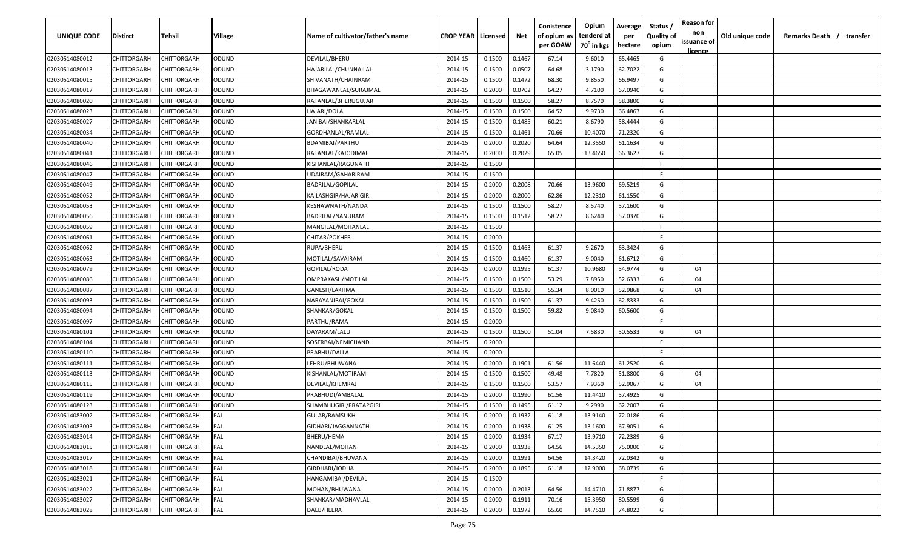| <b>UNIQUE CODE</b> | Distirct           | Tehsil             | Village | Name of cultivator/father's name | <b>CROP YEAR   Licensed</b> |        | Net    | Conistence<br>of opium as | Opium<br>tenderd at    | Average<br>per | Status /<br><b>Quality of</b> | <b>Reason for</b><br>non      | Old unique code | Remarks Death / transfer |
|--------------------|--------------------|--------------------|---------|----------------------------------|-----------------------------|--------|--------|---------------------------|------------------------|----------------|-------------------------------|-------------------------------|-----------------|--------------------------|
|                    |                    |                    |         |                                  |                             |        |        | per GOAW                  | 70 <sup>0</sup> in kgs | hectare        | opium                         | issuance of<br><u>licence</u> |                 |                          |
| 02030514080012     | CHITTORGARH        | CHITTORGARH        | ODUND   | DEVILAL/BHERU                    | 2014-15                     | 0.1500 | 0.1467 | 67.14                     | 9.6010                 | 65.4465        | G                             |                               |                 |                          |
| 02030514080013     | CHITTORGARH        | CHITTORGARH        | ODUND   | HAJARILAL/CHUNNAILAL             | 2014-15                     | 0.1500 | 0.0507 | 64.68                     | 3.1790                 | 62.7022        | G                             |                               |                 |                          |
| 02030514080015     | CHITTORGARH        | CHITTORGARH        | ODUND   | SHIVANATH/CHAINRAM               | 2014-15                     | 0.1500 | 0.1472 | 68.30                     | 9.8550                 | 66.9497        | G                             |                               |                 |                          |
| 02030514080017     | CHITTORGARH        | CHITTORGARH        | ODUND   | BHAGAWANLAL/SURAJMAL             | 2014-15                     | 0.2000 | 0.0702 | 64.27                     | 4.7100                 | 67.0940        | G                             |                               |                 |                          |
| 02030514080020     | CHITTORGARH        | CHITTORGARH        | ODUND   | RATANLAL/BHERUGUJAR              | 2014-15                     | 0.1500 | 0.1500 | 58.27                     | 8.7570                 | 58.3800        | G                             |                               |                 |                          |
| 02030514080023     | CHITTORGARH        | CHITTORGARH        | ODUND   | HAJARI/DOLA                      | 2014-15                     | 0.1500 | 0.1500 | 64.52                     | 9.9730                 | 66.4867        | G                             |                               |                 |                          |
| 02030514080027     | CHITTORGARH        | CHITTORGARH        | ODUND   | JANIBAI/SHANKARLAL               | 2014-15                     | 0.1500 | 0.1485 | 60.21                     | 8.6790                 | 58.4444        | G                             |                               |                 |                          |
| 02030514080034     | CHITTORGARH        | CHITTORGARH        | ODUND   | GORDHANLAL/RAMLAL                | 2014-15                     | 0.1500 | 0.1461 | 70.66                     | 10.4070                | 71.2320        | G                             |                               |                 |                          |
| 02030514080040     | CHITTORGARH        | CHITTORGARH        | ODUND   | BDAMIBAI/PARTHU                  | 2014-15                     | 0.2000 | 0.2020 | 64.64                     | 12.3550                | 61.1634        | G                             |                               |                 |                          |
| 02030514080041     | CHITTORGARH        | CHITTORGARH        | ODUND   | RATANLAL/KAJODIMAL               | 2014-15                     | 0.2000 | 0.2029 | 65.05                     | 13.4650                | 66.3627        | G                             |                               |                 |                          |
| 02030514080046     | CHITTORGARH        | CHITTORGARH        | ODUND   | KISHANLAL/RAGUNATH               | 2014-15                     | 0.1500 |        |                           |                        |                | F.                            |                               |                 |                          |
| 02030514080047     | CHITTORGARH        | CHITTORGARH        | ODUND   | UDAIRAM/GAHARIRAM                | 2014-15                     | 0.1500 |        |                           |                        |                | F.                            |                               |                 |                          |
| 02030514080049     | CHITTORGARH        | CHITTORGARH        | ODUND   | BADRILAL/GOPILAL                 | 2014-15                     | 0.2000 | 0.2008 | 70.66                     | 13.9600                | 69.5219        | G                             |                               |                 |                          |
| 02030514080052     | CHITTORGARH        | CHITTORGARH        | ODUND   | KAILASHGIR/HAJARIGIR             | 2014-15                     | 0.2000 | 0.2000 | 62.86                     | 12.2310                | 61.1550        | G                             |                               |                 |                          |
| 02030514080053     | CHITTORGARH        | CHITTORGARH        | ODUND   | KESHAWNATH/NANDA                 | 2014-15                     | 0.1500 | 0.1500 | 58.27                     | 8.5740                 | 57.1600        | G                             |                               |                 |                          |
| 02030514080056     | CHITTORGARH        | CHITTORGARH        | ODUND   | BADRILAL/NANURAM                 | 2014-15                     | 0.1500 | 0.1512 | 58.27                     | 8.6240                 | 57.0370        | G                             |                               |                 |                          |
| 02030514080059     | CHITTORGARH        | CHITTORGARH        | ODUND   | MANGILAL/MOHANLAL                | 2014-15                     | 0.1500 |        |                           |                        |                | -F.                           |                               |                 |                          |
| 02030514080061     | CHITTORGARH        | CHITTORGARH        | ODUND   | CHITAR/POKHER                    | 2014-15                     | 0.2000 |        |                           |                        |                | F                             |                               |                 |                          |
| 02030514080062     | CHITTORGARH        | CHITTORGARH        | ODUND   | RUPA/BHERU                       | 2014-15                     | 0.1500 | 0.1463 | 61.37                     | 9.2670                 | 63.3424        | G                             |                               |                 |                          |
| 02030514080063     | CHITTORGARH        | CHITTORGARH        | ODUND   | MOTILAL/SAVAIRAM                 | 2014-15                     | 0.1500 | 0.1460 | 61.37                     | 9.0040                 | 61.6712        | G                             |                               |                 |                          |
| 02030514080079     | CHITTORGARH        | CHITTORGARH        | ODUND   | GOPILAL/RODA                     | 2014-15                     | 0.2000 | 0.1995 | 61.37                     | 10.9680                | 54.9774        | G                             | 04                            |                 |                          |
| 02030514080086     | CHITTORGARH        | CHITTORGARH        | ODUND   | OMPRAKASH/MOTILAL                | 2014-15                     | 0.1500 | 0.1500 | 53.29                     | 7.8950                 | 52.6333        | G                             | 04                            |                 |                          |
| 02030514080087     | CHITTORGARH        | CHITTORGARH        | ODUND   | GANESH/LAKHMA                    | 2014-15                     | 0.1500 | 0.1510 | 55.34                     | 8.0010                 | 52.9868        | G                             | 04                            |                 |                          |
| 02030514080093     | CHITTORGARH        | CHITTORGARH        | ODUND   | NARAYANIBAI/GOKAL                | 2014-15                     | 0.1500 | 0.1500 | 61.37                     | 9.4250                 | 62.8333        | G                             |                               |                 |                          |
| 02030514080094     | CHITTORGARH        | CHITTORGARH        | ODUND   | SHANKAR/GOKAL                    | 2014-15                     | 0.1500 | 0.1500 | 59.82                     | 9.0840                 | 60.5600        | G                             |                               |                 |                          |
| 02030514080097     | CHITTORGARH        | CHITTORGARH        | ODUND   | PARTHU/RAMA                      | 2014-15                     | 0.2000 |        |                           |                        |                | -F.                           |                               |                 |                          |
| 02030514080101     | CHITTORGARH        | CHITTORGARH        | ODUND   | DAYARAM/LALU                     | 2014-15                     | 0.1500 | 0.1500 | 51.04                     | 7.5830                 | 50.5533        | G                             | 04                            |                 |                          |
| 02030514080104     | CHITTORGARH        | CHITTORGARH        | ODUND   | SOSERBAI/NEMICHAND               | 2014-15                     | 0.2000 |        |                           |                        |                | -F.                           |                               |                 |                          |
| 02030514080110     | CHITTORGARH        | CHITTORGARH        | ODUND   | PRABHU/DALLA                     | 2014-15                     | 0.2000 |        |                           |                        |                | F.                            |                               |                 |                          |
| 02030514080111     | CHITTORGARH        | CHITTORGARH        | ODUND   | LEHRU/BHUWANA                    | 2014-15                     | 0.2000 | 0.1901 | 61.56                     | 11.6440                | 61.2520        | G                             |                               |                 |                          |
| 02030514080113     | CHITTORGARH        | CHITTORGARH        | ODUND   | KISHANLAL/MOTIRAM                | 2014-15                     | 0.1500 | 0.1500 | 49.48                     | 7.7820                 | 51.8800        | G                             | 04                            |                 |                          |
| 02030514080115     | CHITTORGARH        | CHITTORGARH        | ODUND   | DEVILAL/KHEMRAJ                  | 2014-15                     | 0.1500 | 0.1500 | 53.57                     | 7.9360                 | 52.9067        | G                             | 04                            |                 |                          |
| 02030514080119     | CHITTORGARH        | CHITTORGARH        | ODUND   | PRABHUDI/AMBALAL                 | 2014-15                     | 0.2000 | 0.1990 | 61.56                     | 11.4410                | 57.4925        | G                             |                               |                 |                          |
| 02030514080123     | CHITTORGARH        | CHITTORGARH        | ODUND   | SHAMBHUGIRI/PRATAPGIRI           | 2014-15                     | 0.1500 | 0.1495 | 61.12                     | 9.2990                 | 62.2007        | G                             |                               |                 |                          |
| 02030514083002     | CHITTORGARH        | CHITTORGARH        | PAL     | GULAB/RAMSUKH                    | 2014-15                     | 0.2000 | 0.1932 | 61.18                     | 13.9140                | 72.0186        | G                             |                               |                 |                          |
| 02030514083003     | <b>CHITTORGARH</b> | <b>CHITTORGARH</b> | PAL     | GIDHARI/JAGGANNATH               | 2014-15                     | 0.2000 | 0.1938 | 61.25                     | 13.1600                | 67.9051        | G                             |                               |                 |                          |
| 02030514083014     | <b>CHITTORGARH</b> | CHITTORGARH        | PAL     | BHERU/HEMA                       | 2014-15                     | 0.2000 | 0.1934 | 67.17                     | 13.9710                | 72.2389        | G                             |                               |                 |                          |
| 02030514083015     | <b>CHITTORGARH</b> | <b>CHITTORGARH</b> | PAL     | NANDLAL/MOHAN                    | 2014-15                     | 0.2000 | 0.1938 | 64.56                     | 14.5350                | 75.0000        | G                             |                               |                 |                          |
| 02030514083017     | <b>CHITTORGARH</b> | CHITTORGARH        | PAL     | CHANDIBAI/BHUVANA                | 2014-15                     | 0.2000 | 0.1991 | 64.56                     | 14.3420                | 72.0342        | G                             |                               |                 |                          |
| 02030514083018     | CHITTORGARH        | CHITTORGARH        | PAL     | GIRDHARI/JODHA                   | 2014-15                     | 0.2000 | 0.1895 | 61.18                     | 12.9000                | 68.0739        | G                             |                               |                 |                          |
| 02030514083021     | CHITTORGARH        | CHITTORGARH        | PAL     | HANGAMIBAI/DEVILAL               | 2014-15                     | 0.1500 |        |                           |                        |                | F.                            |                               |                 |                          |
| 02030514083022     | CHITTORGARH        | CHITTORGARH        | PAL     | MOHAN/BHUWANA                    | 2014-15                     | 0.2000 | 0.2013 | 64.56                     | 14.4710                | 71.8877        | G                             |                               |                 |                          |
| 02030514083027     | CHITTORGARH        | CHITTORGARH        | PAL     | SHANKAR/MADHAVLAL                | 2014-15                     | 0.2000 | 0.1911 | 70.16                     | 15.3950                | 80.5599        | G                             |                               |                 |                          |
| 02030514083028     | <b>CHITTORGARH</b> | CHITTORGARH        | PAL     | DALU/HEERA                       | 2014-15                     | 0.2000 | 0.1972 | 65.60                     | 14.7510                | 74.8022        | G                             |                               |                 |                          |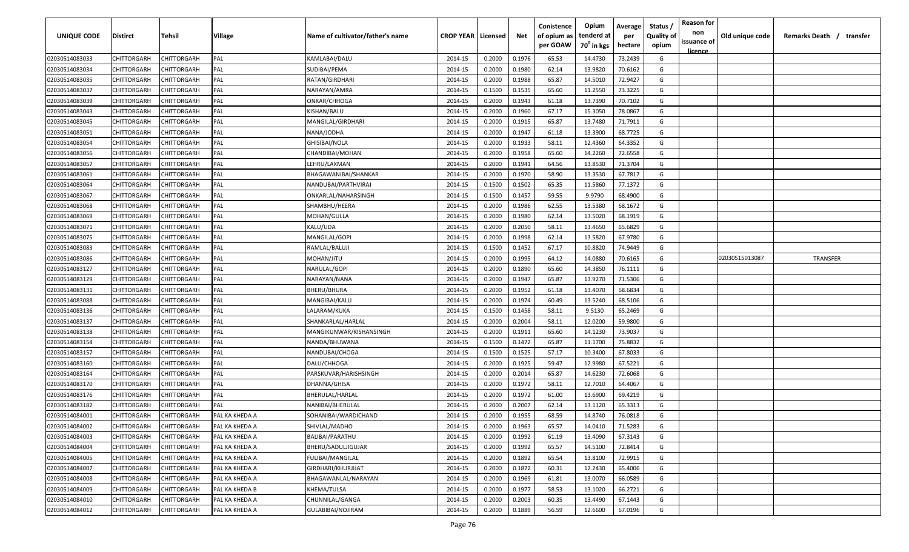| UNIQUE CODE    | Distirct           | Tehsil             | Village        | Name of cultivator/father's name | <b>CROP YEAR   Licensed</b> |        | Net    | Conistence<br>of opium as | Opium<br>tenderd at | Average<br>per | Status /<br><b>Quality of</b> | <b>Reason for</b><br>non<br>issuance of | Old unique code | Remarks Death /<br>transfer |
|----------------|--------------------|--------------------|----------------|----------------------------------|-----------------------------|--------|--------|---------------------------|---------------------|----------------|-------------------------------|-----------------------------------------|-----------------|-----------------------------|
|                |                    |                    |                |                                  |                             |        |        | per GOAW                  | $70^0$ in kgs       | hectare        | opium                         | <u>licence</u>                          |                 |                             |
| 02030514083033 | CHITTORGARH        | CHITTORGARH        | PAL            | KAMLABAI/DALU                    | 2014-15                     | 0.2000 | 0.1976 | 65.53                     | 14.4730             | 73.2439        | G                             |                                         |                 |                             |
| 02030514083034 | CHITTORGARH        | CHITTORGARH        | PAL            | SUDIBAI/PEMA                     | 2014-15                     | 0.2000 | 0.1980 | 62.14                     | 13.9820             | 70.6162        | G                             |                                         |                 |                             |
| 02030514083035 | CHITTORGARH        | CHITTORGARH        | PAL            | RATAN/GIRDHARI                   | 2014-15                     | 0.2000 | 0.1988 | 65.87                     | 14.5010             | 72.9427        | G                             |                                         |                 |                             |
| 02030514083037 | CHITTORGARH        | CHITTORGARH        | PAL            | NARAYAN/AMRA                     | 2014-15                     | 0.1500 | 0.1535 | 65.60                     | 11.2550             | 73.3225        | G                             |                                         |                 |                             |
| 02030514083039 | CHITTORGARH        | CHITTORGARH        | PAL            | ONKAR/CHHOGA                     | 2014-15                     | 0.2000 | 0.1943 | 61.18                     | 13.7390             | 70.7102        | G                             |                                         |                 |                             |
| 02030514083043 | CHITTORGARH        | CHITTORGARH        | PAL            | KISHAN/BALU                      | 2014-15                     | 0.2000 | 0.1960 | 67.17                     | 15.3050             | 78.0867        | G                             |                                         |                 |                             |
| 02030514083045 | CHITTORGARH        | <b>CHITTORGARH</b> | PAL            | MANGILAL/GIRDHARI                | 2014-15                     | 0.2000 | 0.1915 | 65.87                     | 13.7480             | 71.7911        | G                             |                                         |                 |                             |
| 02030514083051 | CHITTORGARH        | <b>CHITTORGARH</b> | PAL            | NANA/JODHA                       | 2014-15                     | 0.2000 | 0.1947 | 61.18                     | 13.3900             | 68.7725        | G                             |                                         |                 |                             |
| 02030514083054 | CHITTORGARH        | CHITTORGARH        | PAL            | GHISIBAI/NOLA                    | 2014-15                     | 0.2000 | 0.1933 | 58.11                     | 12.4360             | 64.3352        | G                             |                                         |                 |                             |
| 02030514083056 | CHITTORGARH        | CHITTORGARH        | PAL            | CHANDIBAI/MOHAN                  | 2014-15                     | 0.2000 | 0.1958 | 65.60                     | 14.2260             | 72.6558        | G                             |                                         |                 |                             |
| 02030514083057 | CHITTORGARH        | CHITTORGARH        | PAL            | LEHRU/LAXMAN                     | 2014-15                     | 0.2000 | 0.1941 | 64.56                     | 13.8530             | 71.3704        | G                             |                                         |                 |                             |
| 02030514083061 | CHITTORGARH        | CHITTORGARH        | PAL            | BHAGAWANIBAI/SHANKAR             | 2014-15                     | 0.2000 | 0.1970 | 58.90                     | 13.3530             | 67.7817        | G                             |                                         |                 |                             |
| 02030514083064 | CHITTORGARH        | CHITTORGARH        | PAL            | NANDUBAI/PARTHVIRAJ              | 2014-15                     | 0.1500 | 0.1502 | 65.35                     | 11.5860             | 77.1372        | G                             |                                         |                 |                             |
| 02030514083067 | CHITTORGARH        | CHITTORGARH        | PAL            | ONKARLAL/NAHARSINGH              | 2014-15                     | 0.1500 | 0.1457 | 59.55                     | 9.9790              | 68.4900        | G                             |                                         |                 |                             |
| 02030514083068 | CHITTORGARH        | CHITTORGARH        | PAL            | SHAMBHU/HEERA                    | 2014-15                     | 0.2000 | 0.1986 | 62.55                     | 13.5380             | 68.1672        | G                             |                                         |                 |                             |
| 02030514083069 | CHITTORGARH        | CHITTORGARH        | PAL            | MOHAN/GULLA                      | 2014-15                     | 0.2000 | 0.1980 | 62.14                     | 13.5020             | 68.1919        | G                             |                                         |                 |                             |
| 02030514083071 | CHITTORGARH        | CHITTORGARH        | PAL            | KALU/UDA                         | 2014-15                     | 0.2000 | 0.2050 | 58.11                     | 13.4650             | 65.6829        | G                             |                                         |                 |                             |
| 02030514083075 | CHITTORGARH        | CHITTORGARH        | PAL            | MANGILAL/GOPI                    | 2014-15                     | 0.2000 | 0.1998 | 62.14                     | 13.5820             | 67.9780        | G                             |                                         |                 |                             |
| 02030514083083 | CHITTORGARH        | CHITTORGARH        | PAL            | RAMLAL/BALUJI                    | 2014-15                     | 0.1500 | 0.1452 | 67.17                     | 10.8820             | 74.9449        | G                             |                                         |                 |                             |
| 02030514083086 | CHITTORGARH        | CHITTORGARH        | PAL            | MOHAN/JITU                       | 2014-15                     | 0.2000 | 0.1995 | 64.12                     | 14.0880             | 70.6165        | G                             |                                         | 02030515013087  | <b>TRANSFER</b>             |
| 02030514083127 | CHITTORGARH        | CHITTORGARH        | PAL            | NARULAL/GOPI                     | 2014-15                     | 0.2000 | 0.1890 | 65.60                     | 14.3850             | 76.1111        | G                             |                                         |                 |                             |
| 02030514083129 | CHITTORGARH        | CHITTORGARH        | PAL            | NARAYAN/NANA                     | 2014-15                     | 0.2000 | 0.1947 | 65.87                     | 13.9270             | 71.5306        | G                             |                                         |                 |                             |
| 02030514083131 | CHITTORGARH        | CHITTORGARH        | PAL            | BHERU/BHURA                      | 2014-15                     | 0.2000 | 0.1952 | 61.18                     | 13.4070             | 68.6834        | G                             |                                         |                 |                             |
| 02030514083088 | CHITTORGARH        | CHITTORGARH        | PAL            | MANGIBAI/KALU                    | 2014-15                     | 0.2000 | 0.1974 | 60.49                     | 13.5240             | 68.5106        | G                             |                                         |                 |                             |
| 02030514083136 | CHITTORGARH        | CHITTORGARH        | PAL            | LALARAM/KUKA                     | 2014-15                     | 0.1500 | 0.1458 | 58.11                     | 9.5130              | 65.2469        | G                             |                                         |                 |                             |
| 02030514083137 | CHITTORGARH        | CHITTORGARH        | PAL            | SHANKARLAL/HARLAL                | 2014-15                     | 0.2000 | 0.2004 | 58.11                     | 12.0200             | 59.9800        | G                             |                                         |                 |                             |
| 02030514083138 | CHITTORGARH        | CHITTORGARH        | PAL            | MANGIKUNWAR/KISHANSINGH          | 2014-15                     | 0.2000 | 0.1911 | 65.60                     | 14.1230             | 73.9037        | G                             |                                         |                 |                             |
| 02030514083154 | CHITTORGARH        | CHITTORGARH        | PAL            | NANDA/BHUWANA                    | 2014-15                     | 0.1500 | 0.1472 | 65.87                     | 11.1700             | 75.8832        | G                             |                                         |                 |                             |
| 02030514083157 | <b>CHITTORGARH</b> | CHITTORGARH        | PAL            | NANDUBAI/CHOGA                   | 2014-15                     | 0.1500 | 0.1525 | 57.17                     | 10.3400             | 67.8033        | G                             |                                         |                 |                             |
| 02030514083160 | CHITTORGARH        | CHITTORGARH        | PAL            | DALU/CHHOGA                      | 2014-15                     | 0.2000 | 0.1925 | 59.47                     | 12.9980             | 67.5221        | G                             |                                         |                 |                             |
| 02030514083164 | CHITTORGARH        | CHITTORGARH        | PAL            | PARSKUVAR/HARISHSINGH            | 2014-15                     | 0.2000 | 0.2014 | 65.87                     | 14.6230             | 72.6068        | G                             |                                         |                 |                             |
| 02030514083170 | CHITTORGARH        | <b>CHITTORGARH</b> | PAL            | DHANNA/GHISA                     | 2014-15                     | 0.2000 | 0.1972 | 58.11                     | 12.7010             | 64.4067        | G                             |                                         |                 |                             |
| 02030514083176 | CHITTORGARH        | <b>CHITTORGARH</b> | PAL            | BHERULAL/HARLAL                  | 2014-15                     | 0.2000 | 0.1972 | 61.00                     | 13.6900             | 69.4219        | G                             |                                         |                 |                             |
| 02030514083182 | CHITTORGARH        | CHITTORGARH        | PAL            | NANIBAI/BHERULAL                 | 2014-15                     | 0.2000 | 0.2007 | 62.14                     | 13.1120             | 65.3313        | G                             |                                         |                 |                             |
| 02030514084001 | CHITTORGARH        | CHITTORGARH        | PAL KA KHEDA A | SOHANIBAI/WARDICHAND             | 2014-15                     | 0.2000 | 0.1955 | 68.59                     | 14.8740             | 76.0818        | G                             |                                         |                 |                             |
| 02030514084002 | CHITTORGARH        | <b>CHITTORGARH</b> | PAL KA KHEDA A | SHIVLAL/MADHO                    | 2014-15                     | 0.2000 | 0.1963 | 65.57                     | 14.0410             | 71.5283        | G                             |                                         |                 |                             |
| 02030514084003 | CHITTORGARH        | CHITTORGARH        | PAL KA KHEDA A | <b>BALIBAI/PARATHU</b>           | 2014-15                     | 0.2000 | 0.1992 | 61.19                     | 13.4090             | 67.3143        | G                             |                                         |                 |                             |
| 02030514084004 | CHITTORGARH        | CHITTORGARH        | PAL KA KHEDA A | BHERU/SADULJIGUJAR               | 2014-15                     | 0.2000 | 0.1992 | 65.57                     | 14.5100             | 72.8414        | G                             |                                         |                 |                             |
| 02030514084005 | CHITTORGARH        | CHITTORGARH        | PAL KA KHEDA A | <b>FULIBAI/MANGILAL</b>          | 2014-15                     | 0.2000 | 0.1892 | 65.54                     | 13.8100             | 72.9915        | G                             |                                         |                 |                             |
| 02030514084007 | CHITTORGARH        | CHITTORGARH        | PAL KA KHEDA A | GIRDHARI/KHURJIJAT               | 2014-15                     | 0.2000 | 0.1872 | 60.31                     | 12.2430             | 65.4006        | G                             |                                         |                 |                             |
| 02030514084008 | CHITTORGARH        | CHITTORGARH        | PAL KA KHEDA A | BHAGAWANLAL/NARAYAN              | 2014-15                     | 0.2000 | 0.1969 | 61.81                     | 13.0070             | 66.0589        | G                             |                                         |                 |                             |
| 02030514084009 | CHITTORGARH        | CHITTORGARH        | PAL KA KHEDA B | KHEMA/TULSA                      | 2014-15                     | 0.2000 | 0.1977 | 58.53                     | 13.1020             | 66.2721        | G                             |                                         |                 |                             |
| 02030514084010 | CHITTORGARH        | CHITTORGARH        | PAL KA KHEDA A | CHUNNILAL/GANGA                  | 2014-15                     | 0.2000 | 0.2003 | 60.35                     | 13.4490             | 67.1443        | G                             |                                         |                 |                             |
| 02030514084012 | CHITTORGARH        | CHITTORGARH        | PAL KA KHEDA A | GULABIBAI/NOJIRAM                | 2014-15                     | 0.2000 | 0.1889 | 56.59                     | 12.6600             | 67.0196        | G                             |                                         |                 |                             |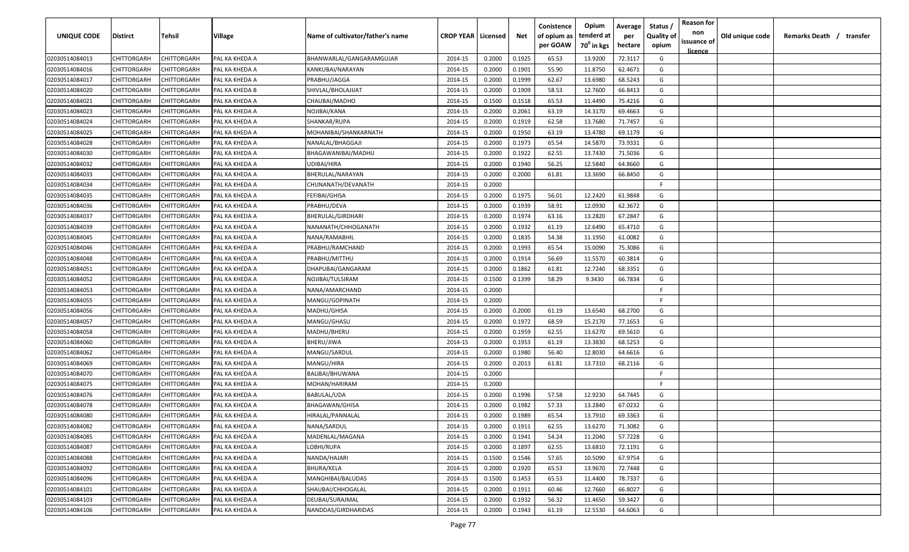| UNIQUE CODE    | Distirct           | Tehsil             | Village        | Name of cultivator/father's name | <b>CROP YEAR   Licensed</b> |        | Net    | Conistence<br>of opium as | Opium<br>tenderd at    | Average<br>per | Status /<br><b>Quality of</b> | <b>Reason for</b><br>non | Old unique code | Remarks Death / transfer |
|----------------|--------------------|--------------------|----------------|----------------------------------|-----------------------------|--------|--------|---------------------------|------------------------|----------------|-------------------------------|--------------------------|-----------------|--------------------------|
|                |                    |                    |                |                                  |                             |        |        | per GOAW                  | 70 <sup>0</sup> in kgs | hectare        | opium                         | issuance of              |                 |                          |
| 02030514084013 | CHITTORGARH        | CHITTORGARH        | PAL KA KHEDA A | BHANWARLAL/GANGARAMGUJAR         | 2014-15                     | 0.2000 | 0.1925 | 65.53                     | 13.9200                | 72.3117        | G                             | <u>licence</u>           |                 |                          |
| 02030514084016 | CHITTORGARH        | CHITTORGARH        | PAL KA KHEDA A | KANKUBAI/NARAYAN                 | 2014-15                     | 0.2000 | 0.1901 | 55.90                     | 11.8750                | 62.4671        | G                             |                          |                 |                          |
| 02030514084017 | CHITTORGARH        | CHITTORGARH        | PAL KA KHEDA A | PRABHU/JAGGA                     | 2014-15                     | 0.2000 | 0.1999 | 62.67                     | 13.6980                | 68.5243        | G                             |                          |                 |                          |
| 02030514084020 | CHITTORGARH        | CHITTORGARH        | PAL KA KHEDA B | SHIVLAL/BHOLAJIJAT               | 2014-15                     | 0.2000 | 0.1909 | 58.53                     | 12.7600                | 66.8413        | G                             |                          |                 |                          |
| 02030514084021 | CHITTORGARH        | CHITTORGARH        | PAL KA KHEDA A | CHAUBAI/MADHO                    | 2014-15                     | 0.1500 | 0.1518 | 65.53                     | 11.4490                | 75.4216        | G                             |                          |                 |                          |
| 02030514084023 | CHITTORGARH        | CHITTORGARH        | PAL KA KHEDA A | NOJIBAI/KANA                     | 2014-15                     | 0.2000 | 0.2061 | 63.19                     | 14.3170                | 69.4663        | G                             |                          |                 |                          |
| 02030514084024 | CHITTORGARH        | CHITTORGARH        | PAL KA KHEDA A | SHANKAR/RUPA                     | 2014-15                     | 0.2000 | 0.1919 | 62.58                     | 13.7680                | 71.7457        | G                             |                          |                 |                          |
| 02030514084025 | CHITTORGARH        | CHITTORGARH        | PAL KA KHEDA A | MOHANIBAI/SHANKARNATH            | 2014-15                     | 0.2000 | 0.1950 | 63.19                     | 13.4780                | 69.1179        | G                             |                          |                 |                          |
| 02030514084028 | CHITTORGARH        | CHITTORGARH        | PAL KA KHEDA A | NANALAL/BHAGGAJI                 | 2014-15                     | 0.2000 | 0.1973 | 65.54                     | 14.5870                | 73.9331        | G                             |                          |                 |                          |
| 02030514084030 | CHITTORGARH        | CHITTORGARH        | PAL KA KHEDA A | BHAGAWANIBAI/MADHU               | 2014-15                     | 0.2000 | 0.1922 | 62.55                     | 13.7430                | 71.5036        | G                             |                          |                 |                          |
| 02030514084032 | CHITTORGARH        | CHITTORGARH        | PAL KA KHEDA A | UDIBAI/HIRA                      | 2014-15                     | 0.2000 | 0.1940 | 56.25                     | 12.5840                | 64.8660        | G                             |                          |                 |                          |
| 02030514084033 | CHITTORGARH        | CHITTORGARH        | PAL KA KHEDA A | BHERULAL/NARAYAN                 | 2014-15                     | 0.2000 | 0.2000 | 61.81                     | 13.3690                | 66.8450        | G                             |                          |                 |                          |
| 02030514084034 | CHITTORGARH        | CHITTORGARH        | PAL KA KHEDA A | CHUNANATH/DEVANATH               | 2014-15                     | 0.2000 |        |                           |                        |                | -F.                           |                          |                 |                          |
| 02030514084035 | CHITTORGARH        | CHITTORGARH        | PAL KA KHEDA A | FEFIBAI/GHISA                    | 2014-15                     | 0.2000 | 0.1975 | 56.01                     | 12.2420                | 61.9848        | G                             |                          |                 |                          |
| 02030514084036 | CHITTORGARH        | CHITTORGARH        | PAL KA KHEDA A | PRABHU/DEVA                      | 2014-15                     | 0.2000 | 0.1939 | 58.91                     | 12.0930                | 62.3672        | G                             |                          |                 |                          |
| 02030514084037 | CHITTORGARH        | CHITTORGARH        | PAL KA KHEDA A | BHERULAL/GIRDHARI                | 2014-15                     | 0.2000 | 0.1974 | 63.16                     | 13.2820                | 67.2847        | G                             |                          |                 |                          |
| 02030514084039 | CHITTORGARH        | CHITTORGARH        | PAL KA KHEDA A | NANANATH/CHHOGANATH              | 2014-15                     | 0.2000 | 0.1932 | 61.19                     | 12.6490                | 65.4710        | G                             |                          |                 |                          |
| 02030514084045 | CHITTORGARH        | CHITTORGARH        | PAL KA KHEDA A | NANA/RAMABHIL                    | 2014-15                     | 0.2000 | 0.1835 | 54.38                     | 11.1950                | 61.0082        | G                             |                          |                 |                          |
| 02030514084046 | CHITTORGARH        | CHITTORGARH        | PAL KA KHEDA A | PRABHU/RAMCHAND                  | 2014-15                     | 0.2000 | 0.1993 | 65.54                     | 15.0090                | 75.3086        | G                             |                          |                 |                          |
| 02030514084048 | CHITTORGARH        | CHITTORGARH        | PAL KA KHEDA A | PRABHU/MITTHU                    | 2014-15                     | 0.2000 | 0.1914 | 56.69                     | 11.5570                | 60.3814        | G                             |                          |                 |                          |
| 02030514084051 | CHITTORGARH        | CHITTORGARH        | PAL KA KHEDA A | DHAPUBAI/GANGARAM                | 2014-15                     | 0.2000 | 0.1862 | 61.81                     | 12.7240                | 68.3351        | G                             |                          |                 |                          |
| 02030514084052 | CHITTORGARH        | CHITTORGARH        | PAL KA KHEDA A | NOJIBAI/TULSIRAM                 | 2014-15                     | 0.1500 | 0.1399 | 58.29                     | 9.3430                 | 66.7834        | G                             |                          |                 |                          |
| 02030514084053 | CHITTORGARH        | CHITTORGARH        | PAL KA KHEDA A | NANA/AMARCHAND                   | 2014-15                     | 0.2000 |        |                           |                        |                | -F.                           |                          |                 |                          |
| 02030514084055 | CHITTORGARH        | CHITTORGARH        | PAL KA KHEDA A | MANGU/GOPINATH                   | 2014-15                     | 0.2000 |        |                           |                        |                | -F.                           |                          |                 |                          |
| 02030514084056 | CHITTORGARH        | CHITTORGARH        | PAL KA KHEDA A | MADHU/GHISA                      | 2014-15                     | 0.2000 | 0.2000 | 61.19                     | 13.6540                | 68.2700        | G                             |                          |                 |                          |
| 02030514084057 | CHITTORGARH        | CHITTORGARH        | PAL KA KHEDA A | MANGU/GHASU                      | 2014-15                     | 0.2000 | 0.1972 | 68.59                     | 15.2170                | 77.1653        | G                             |                          |                 |                          |
| 02030514084058 | CHITTORGARH        | CHITTORGARH        | PAL KA KHEDA A | MADHU/BHERU                      | 2014-15                     | 0.2000 | 0.1959 | 62.55                     | 13.6270                | 69.5610        | G                             |                          |                 |                          |
| 02030514084060 | CHITTORGARH        | CHITTORGARH        | PAL KA KHEDA A | BHERU/JIWA                       | 2014-15                     | 0.2000 | 0.1953 | 61.19                     | 13.3830                | 68.5253        | G                             |                          |                 |                          |
| 02030514084062 | CHITTORGARH        | CHITTORGARH        | PAL KA KHEDA A | MANGU/SARDUL                     | 2014-15                     | 0.2000 | 0.1980 | 56.40                     | 12.8030                | 64.6616        | G                             |                          |                 |                          |
| 02030514084069 | CHITTORGARH        | CHITTORGARH        | PAL KA KHEDA A | MANGU/HIRA                       | 2014-15                     | 0.2000 | 0.2013 | 61.81                     | 13.7310                | 68.2116        | G                             |                          |                 |                          |
| 02030514084070 | CHITTORGARH        | CHITTORGARH        | PAL KA KHEDA A | BALIBAI/BHUWANA                  | 2014-15                     | 0.2000 |        |                           |                        |                | -F.                           |                          |                 |                          |
| 02030514084075 | CHITTORGARH        | CHITTORGARH        | PAL KA KHEDA A | MOHAN/HARIRAM                    | 2014-15                     | 0.2000 |        |                           |                        |                | -F.                           |                          |                 |                          |
| 02030514084076 | CHITTORGARH        | CHITTORGARH        | PAL KA KHEDA A | <b>BABULAL/UDA</b>               | 2014-15                     | 0.2000 | 0.1996 | 57.58                     | 12.9230                | 64.7445        | G                             |                          |                 |                          |
| 02030514084078 | CHITTORGARH        | CHITTORGARH        | PAL KA KHEDA A | <b>BHAGAWAN/GHISA</b>            | 2014-15                     | 0.2000 | 0.1982 | 57.33                     | 13.2840                | 67.0232        | G                             |                          |                 |                          |
| 02030514084080 | CHITTORGARH        | CHITTORGARH        | PAL KA KHEDA A | HIRALAL/PANNALAL                 | 2014-15                     | 0.2000 | 0.1989 | 65.54                     | 13.7910                | 69.3363        | G                             |                          |                 |                          |
| 02030514084082 | <b>CHITTORGARH</b> | <b>CHITTORGARH</b> | PAL KA KHEDA A | NANA/SARDUL                      | 2014-15                     | 0.2000 | 0.1911 | 62.55                     | 13.6270                | 71.3082        | G                             |                          |                 |                          |
| 02030514084085 | CHITTORGARH        | CHITTORGARH        | PAL KA KHEDA A | MADENLAL/MAGANA                  | 2014-15                     | 0.2000 | 0.1941 | 54.24                     | 11.2040                | 57.7228        | G                             |                          |                 |                          |
| 02030514084087 | <b>CHITTORGARH</b> | CHITTORGARH        | PAL KA KHEDA A | LOBHI/RUPA                       | 2014-15                     | 0.2000 | 0.1897 | 62.55                     | 13.6810                | 72.1191        | G                             |                          |                 |                          |
| 02030514084088 | <b>CHITTORGARH</b> | CHITTORGARH        | PAL KA KHEDA A | NANDA/HAJARI                     | 2014-15                     | 0.1500 | 0.1546 | 57.65                     | 10.5090                | 67.9754        | G                             |                          |                 |                          |
| 02030514084092 | CHITTORGARH        | CHITTORGARH        | PAL KA KHEDA A | <b>BHURA/KELA</b>                | 2014-15                     | 0.2000 | 0.1920 | 65.53                     | 13.9670                | 72.7448        | G                             |                          |                 |                          |
| 02030514084096 | CHITTORGARH        | CHITTORGARH        | PAL KA KHEDA A | MANGHIBAI/BALUDAS                | 2014-15                     | 0.1500 | 0.1453 | 65.53                     | 11.4400                | 78.7337        | G                             |                          |                 |                          |
| 02030514084101 | CHITTORGARH        | CHITTORGARH        | PAL KA KHEDA A | SHAUBAI/CHHOGALAL                | 2014-15                     | 0.2000 | 0.1911 | 60.46                     | 12.7660                | 66.8027        | G                             |                          |                 |                          |
| 02030514084103 | CHITTORGARH        | CHITTORGARH        | PAL KA KHEDA A | DEUBAI/SURAJMAL                  | 2014-15                     | 0.2000 | 0.1932 | 56.32                     | 11.4650                | 59.3427        | G                             |                          |                 |                          |
| 02030514084106 | CHITTORGARH        | CHITTORGARH        | PAL KA KHEDA A | NANDDAS/GIRDHARIDAS              | 2014-15                     | 0.2000 | 0.1943 | 61.19                     | 12.5530                | 64.6063        | G                             |                          |                 |                          |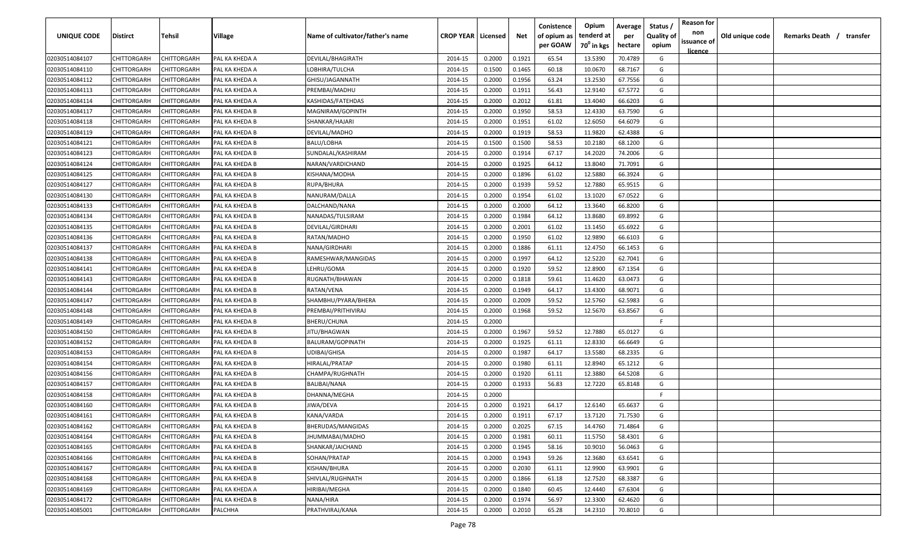| <b>UNIQUE CODE</b> | <b>Distirct</b>    | <b>Tehsil</b>      | Village        | Name of cultivator/father's name | <b>CROP YEAR   Licensed</b> |        | Net    | Conistence<br>of opium as<br>per GOAW | Opium<br>tenderd at<br>70 <sup>0</sup> in kgs | Average<br>per<br>hectare | Status /<br>Quality of<br>opium | <b>Reason for</b><br>non<br>issuance of | Old unique code | Remarks Death / | transfer |
|--------------------|--------------------|--------------------|----------------|----------------------------------|-----------------------------|--------|--------|---------------------------------------|-----------------------------------------------|---------------------------|---------------------------------|-----------------------------------------|-----------------|-----------------|----------|
|                    |                    |                    |                |                                  |                             |        |        |                                       |                                               |                           |                                 | licence                                 |                 |                 |          |
| 02030514084107     | CHITTORGARH        | CHITTORGARH        | PAL KA KHEDA A | DEVILAL/BHAGIRATH                | 2014-15                     | 0.2000 | 0.1921 | 65.54                                 | 13.5390                                       | 70.4789                   | G                               |                                         |                 |                 |          |
| 02030514084110     | CHITTORGARH        | CHITTORGARH        | PAL KA KHEDA A | LOBHIRA/TULCHA                   | 2014-15                     | 0.1500 | 0.1465 | 60.18                                 | 10.0670                                       | 68.7167                   | G                               |                                         |                 |                 |          |
| 02030514084112     | CHITTORGARH        | CHITTORGARH        | PAL KA KHEDA A | GHISU/JAGANNATH                  | 2014-15                     | 0.2000 | 0.1956 | 63.24                                 | 13.2530                                       | 67.7556                   | G                               |                                         |                 |                 |          |
| 02030514084113     | CHITTORGARH        | CHITTORGARH        | PAL KA KHEDA A | PREMBAI/MADHU                    | 2014-15                     | 0.2000 | 0.1911 | 56.43                                 | 12.9140                                       | 67.5772                   | G                               |                                         |                 |                 |          |
| 02030514084114     | CHITTORGARH        | CHITTORGARH        | PAL KA KHEDA A | KASHIDAS/FATEHDAS                | 2014-15                     | 0.2000 | 0.2012 | 61.81                                 | 13.4040                                       | 66.6203                   | G                               |                                         |                 |                 |          |
| 02030514084117     | CHITTORGARH        | CHITTORGARH        | PAL KA KHEDA B | MAGNIRAM/GOPINTH                 | 2014-15                     | 0.2000 | 0.1950 | 58.53                                 | 12.4330                                       | 63.7590                   | G                               |                                         |                 |                 |          |
| 02030514084118     | CHITTORGARH        | CHITTORGARH        | PAL KA KHEDA B | SHANKAR/HAJARI                   | 2014-15                     | 0.2000 | 0.1951 | 61.02                                 | 12.6050                                       | 64.6079                   | G                               |                                         |                 |                 |          |
| 02030514084119     | CHITTORGARH        | CHITTORGARH        | PAL KA KHEDA B | DEVILAL/MADHO                    | 2014-15                     | 0.2000 | 0.1919 | 58.53                                 | 11.9820                                       | 62.4388                   | G                               |                                         |                 |                 |          |
| 02030514084121     | CHITTORGARH        | CHITTORGARH        | PAL KA KHEDA B | BALU/LOBHA                       | 2014-15                     | 0.1500 | 0.1500 | 58.53                                 | 10.2180                                       | 68.1200                   | G                               |                                         |                 |                 |          |
| 02030514084123     | CHITTORGARH        | CHITTORGARH        | PAL KA KHEDA B | SUNDALAL/KASHIRAM                | 2014-15                     | 0.2000 | 0.1914 | 67.17                                 | 14.2020                                       | 74.2006                   | G                               |                                         |                 |                 |          |
| 02030514084124     | CHITTORGARH        | CHITTORGARH        | PAL KA KHEDA B | NARAN/VARDICHAND                 | 2014-15                     | 0.2000 | 0.1925 | 64.12                                 | 13.8040                                       | 71.7091                   | G                               |                                         |                 |                 |          |
| 02030514084125     | CHITTORGARH        | CHITTORGARH        | PAL KA KHEDA B | KISHANA/MODHA                    | 2014-15                     | 0.2000 | 0.1896 | 61.02                                 | 12.5880                                       | 66.3924                   | G                               |                                         |                 |                 |          |
| 02030514084127     | CHITTORGARH        | CHITTORGARH        | PAL KA KHEDA B | RUPA/BHURA                       | 2014-15                     | 0.2000 | 0.1939 | 59.52                                 | 12.7880                                       | 65.9515                   | G                               |                                         |                 |                 |          |
| 02030514084130     | CHITTORGARH        | CHITTORGARH        | PAL KA KHEDA B | NANURAM/DALLA                    | 2014-15                     | 0.2000 | 0.1954 | 61.02                                 | 13.1020                                       | 67.0522                   | G                               |                                         |                 |                 |          |
| 02030514084133     | CHITTORGARH        | CHITTORGARH        | PAL KA KHEDA B | DALCHAND/NANA                    | 2014-15                     | 0.2000 | 0.2000 | 64.12                                 | 13.3640                                       | 66.8200                   | G                               |                                         |                 |                 |          |
| 02030514084134     | CHITTORGARH        | CHITTORGARH        | PAL KA KHEDA B | NANADAS/TULSIRAM                 | 2014-15                     | 0.2000 | 0.1984 | 64.12                                 | 13.8680                                       | 69.8992                   | G                               |                                         |                 |                 |          |
| 02030514084135     | CHITTORGARH        | CHITTORGARH        | PAL KA KHEDA B | DEVILAL/GIRDHARI                 | 2014-15                     | 0.2000 | 0.2001 | 61.02                                 | 13.1450                                       | 65.6922                   | G                               |                                         |                 |                 |          |
| 02030514084136     | CHITTORGARH        | CHITTORGARH        | PAL KA KHEDA B | RATAN/MADHO                      | 2014-15                     | 0.2000 | 0.1950 | 61.02                                 | 12.9890                                       | 66.6103                   | G                               |                                         |                 |                 |          |
| 02030514084137     | CHITTORGARH        | CHITTORGARH        | PAL KA KHEDA B | NANA/GIRDHARI                    | 2014-15                     | 0.2000 | 0.1886 | 61.11                                 | 12.4750                                       | 66.1453                   | G                               |                                         |                 |                 |          |
| 02030514084138     | CHITTORGARH        | CHITTORGARH        | PAL KA KHEDA B | RAMESHWAR/MANGIDAS               | 2014-15                     | 0.2000 | 0.1997 | 64.12                                 | 12.5220                                       | 62.7041                   | G                               |                                         |                 |                 |          |
| 02030514084141     | CHITTORGARH        | CHITTORGARH        | PAL KA KHEDA B | LEHRU/GOMA                       | 2014-15                     | 0.2000 | 0.1920 | 59.52                                 | 12.8900                                       | 67.1354                   | G                               |                                         |                 |                 |          |
| 02030514084143     | CHITTORGARH        | CHITTORGARH        | PAL KA KHEDA B | RUGNATH/BHAWAN                   | 2014-15                     | 0.2000 | 0.1818 | 59.61                                 | 11.4620                                       | 63.0473                   | G                               |                                         |                 |                 |          |
| 02030514084144     | CHITTORGARH        | CHITTORGARH        | PAL KA KHEDA B | RATAN/VENA                       | 2014-15                     | 0.2000 | 0.1949 | 64.17                                 | 13.4300                                       | 68.9071                   | G                               |                                         |                 |                 |          |
| 02030514084147     | CHITTORGARH        | CHITTORGARH        | PAL KA KHEDA B | SHAMBHU/PYARA/BHERA              | 2014-15                     | 0.2000 | 0.2009 | 59.52                                 | 12.5760                                       | 62.5983                   | G                               |                                         |                 |                 |          |
| 02030514084148     | CHITTORGARH        | CHITTORGARH        | PAL KA KHEDA B | PREMBAI/PRITHIVIRAJ              | 2014-15                     | 0.2000 | 0.1968 | 59.52                                 | 12.5670                                       | 63.8567                   | G                               |                                         |                 |                 |          |
| 02030514084149     | CHITTORGARH        | CHITTORGARH        | PAL KA KHEDA B | BHERU/CHUNA                      | 2014-15                     | 0.2000 |        |                                       |                                               |                           | -F.                             |                                         |                 |                 |          |
| 02030514084150     | CHITTORGARH        | CHITTORGARH        | PAL KA KHEDA B | JITU/BHAGWAN                     | 2014-15                     | 0.2000 | 0.1967 | 59.52                                 | 12.7880                                       | 65.0127                   | G                               |                                         |                 |                 |          |
| 02030514084152     | CHITTORGARH        | CHITTORGARH        | PAL KA KHEDA B | BALURAM/GOPINATH                 | 2014-15                     | 0.2000 | 0.1925 | 61.11                                 | 12.8330                                       | 66.6649                   | G                               |                                         |                 |                 |          |
| 02030514084153     | CHITTORGARH        | CHITTORGARH        | PAL KA KHEDA B | UDIBAI/GHISA                     | 2014-15                     | 0.2000 | 0.1987 | 64.17                                 | 13.5580                                       | 68.2335                   | G                               |                                         |                 |                 |          |
| 02030514084154     | CHITTORGARH        | CHITTORGARH        | PAL KA KHEDA B | HIRALAL/PRATAP                   | 2014-15                     | 0.2000 | 0.1980 | 61.11                                 | 12.8940                                       | 65.1212                   | G                               |                                         |                 |                 |          |
| 02030514084156     | CHITTORGARH        | CHITTORGARH        | PAL KA KHEDA B | CHAMPA/RUGHNATH                  | 2014-15                     | 0.2000 | 0.1920 | 61.11                                 | 12.3880                                       | 64.5208                   | G                               |                                         |                 |                 |          |
| 02030514084157     | CHITTORGARH        | CHITTORGARH        | PAL KA KHEDA B | BALIBAI/NANA                     | 2014-15                     | 0.2000 | 0.1933 | 56.83                                 | 12.7220                                       | 65.8148                   | G                               |                                         |                 |                 |          |
| 02030514084158     | CHITTORGARH        | CHITTORGARH        | PAL KA KHEDA B | DHANNA/MEGHA                     | 2014-15                     | 0.2000 |        |                                       |                                               |                           | -F.                             |                                         |                 |                 |          |
| 02030514084160     | CHITTORGARH        | CHITTORGARH        | PAL KA KHEDA B | JIWA/DEVA                        | 2014-15                     | 0.2000 | 0.1921 | 64.17                                 | 12.6140                                       | 65.6637                   | G                               |                                         |                 |                 |          |
| 02030514084161     | <b>CHITTORGARH</b> | CHITTORGARH        | PAL KA KHEDA B | KANA/VARDA                       | 2014-15                     | 0.2000 | 0.1911 | 67.17                                 | 13.7120                                       | 71.7530                   | G                               |                                         |                 |                 |          |
| 02030514084162     | CHITTORGARH        | <b>CHITTORGARH</b> | PAL KA KHEDA B | BHERUDAS/MANGIDAS                | 2014-15                     | 0.2000 | 0.2025 | 67.15                                 | 14.4760                                       | 71.4864                   | G                               |                                         |                 |                 |          |
| 02030514084164     | <b>CHITTORGARH</b> | CHITTORGARH        | PAL KA KHEDA B | JHUMMABAI/MADHO                  | 2014-15                     | 0.2000 | 0.1981 | 60.11                                 | 11.5750                                       | 58.4301                   | G                               |                                         |                 |                 |          |
| 02030514084165     | CHITTORGARH        | CHITTORGARH        | PAL KA KHEDA B | SHANKAR/JAICHAND                 | 2014-15                     | 0.2000 | 0.1945 | 58.16                                 | 10.9010                                       | 56.0463                   | G                               |                                         |                 |                 |          |
| 02030514084166     | CHITTORGARH        | <b>CHITTORGARH</b> | PAL KA KHEDA B | SOHAN/PRATAP                     | 2014-15                     | 0.2000 | 0.1943 | 59.26                                 | 12.3680                                       | 63.6541                   | G                               |                                         |                 |                 |          |
| 02030514084167     | CHITTORGARH        | CHITTORGARH        | PAL KA KHEDA B | KISHAN/BHURA                     | 2014-15                     | 0.2000 | 0.2030 | 61.11                                 | 12.9900                                       | 63.9901                   | G                               |                                         |                 |                 |          |
| 02030514084168     | CHITTORGARH        | CHITTORGARH        | PAL KA KHEDA B | SHIVLAL/RUGHNATH                 | 2014-15                     | 0.2000 | 0.1866 | 61.18                                 | 12.7520                                       | 68.3387                   | G                               |                                         |                 |                 |          |
| 02030514084169     | CHITTORGARH        | CHITTORGARH        | PAL KA KHEDA A | HIRIBAI/MEGHA                    | 2014-15                     | 0.2000 | 0.1840 | 60.45                                 | 12.4440                                       | 67.6304                   | G                               |                                         |                 |                 |          |
| 02030514084172     | <b>CHITTORGARH</b> |                    | PAL KA KHEDA B |                                  |                             |        | 0.1974 |                                       |                                               | 62.4620                   | G                               |                                         |                 |                 |          |
|                    |                    | CHITTORGARH        |                | NANA/HIRA                        | 2014-15                     | 0.2000 |        | 56.97                                 | 12.3300                                       |                           |                                 |                                         |                 |                 |          |
| 02030514085001     | CHITTORGARH        | CHITTORGARH        | PALCHHA        | PRATHVIRAJ/KANA                  | 2014-15                     | 0.2000 | 0.2010 | 65.28                                 | 14.2310                                       | 70.8010                   | G                               |                                         |                 |                 |          |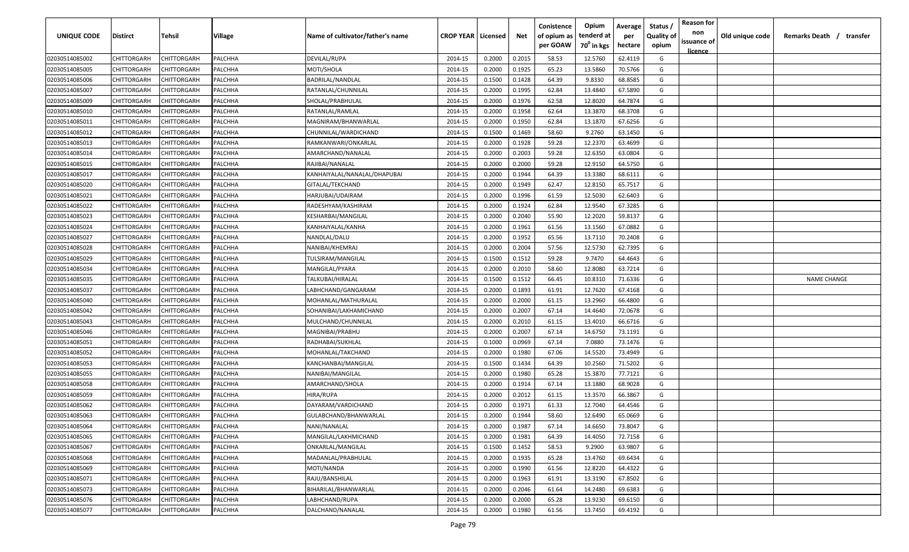| <b>UNIQUE CODE</b> | Distirct           | Tehsil             | Village | Name of cultivator/father's name | <b>CROP YEAR   Licensed</b> |        | Net    | Conistence<br>of opium as | Opium<br>tenderd at    | Average<br>per | Status /<br><b>Quality of</b> | <b>Reason for</b><br>non      | Old unique code | Remarks Death /<br>transfer |
|--------------------|--------------------|--------------------|---------|----------------------------------|-----------------------------|--------|--------|---------------------------|------------------------|----------------|-------------------------------|-------------------------------|-----------------|-----------------------------|
|                    |                    |                    |         |                                  |                             |        |        | per GOAW                  | 70 <sup>0</sup> in kgs | hectare        | opium                         | issuance of<br><u>licence</u> |                 |                             |
| 02030514085002     | CHITTORGARH        | CHITTORGARH        | PALCHHA | DEVILAL/RUPA                     | 2014-15                     | 0.2000 | 0.2015 | 58.53                     | 12.5760                | 62.4119        | G                             |                               |                 |                             |
| 02030514085005     | CHITTORGARH        | CHITTORGARH        | PALCHHA | MOTI/SHOLA                       | 2014-15                     | 0.2000 | 0.1925 | 65.23                     | 13.5860                | 70.5766        | G                             |                               |                 |                             |
| 02030514085006     | CHITTORGARH        | CHITTORGARH        | PALCHHA | BADRILAL/NANDLAL                 | 2014-15                     | 0.1500 | 0.1428 | 64.39                     | 9.8330                 | 68.8585        | G                             |                               |                 |                             |
| 02030514085007     | CHITTORGARH        | CHITTORGARH        | PALCHHA | RATANLAL/CHUNNILAL               | 2014-15                     | 0.2000 | 0.1995 | 62.84                     | 13.4840                | 67.5890        | G                             |                               |                 |                             |
| 02030514085009     | CHITTORGARH        | CHITTORGARH        | PALCHHA | SHOLAL/PRABHULAL                 | 2014-15                     | 0.2000 | 0.1976 | 62.58                     | 12.8020                | 64.7874        | G                             |                               |                 |                             |
| 02030514085010     | CHITTORGARH        | CHITTORGARH        | PALCHHA | RATANLAL/RAMLAL                  | 2014-15                     | 0.2000 | 0.1958 | 62.64                     | 13.3870                | 68.3708        | G                             |                               |                 |                             |
| 02030514085011     | CHITTORGARH        | <b>CHITTORGARH</b> | PALCHHA | MAGNIRAM/BHANWARLAL              | 2014-15                     | 0.2000 | 0.1950 | 62.84                     | 13.1870                | 67.6256        | G                             |                               |                 |                             |
| 02030514085012     | CHITTORGARH        | CHITTORGARH        | PALCHHA | CHUNNILAL/WARDICHAND             | 2014-15                     | 0.1500 | 0.1469 | 58.60                     | 9.2760                 | 63.1450        | G                             |                               |                 |                             |
| 02030514085013     | CHITTORGARH        | CHITTORGARH        | PALCHHA | RAMKANWARI/ONKARLAL              | 2014-15                     | 0.2000 | 0.1928 | 59.28                     | 12.2370                | 63.4699        | G                             |                               |                 |                             |
| 02030514085014     | CHITTORGARH        | CHITTORGARH        | PALCHHA | AMARCHAND/NANALAL                | 2014-15                     | 0.2000 | 0.2003 | 59.28                     | 12.6350                | 63.0804        | G                             |                               |                 |                             |
| 02030514085015     | CHITTORGARH        | CHITTORGARH        | PALCHHA | RAJIBAI/NANALAL                  | 2014-15                     | 0.2000 | 0.2000 | 59.28                     | 12.9150                | 64.5750        | G                             |                               |                 |                             |
| 02030514085017     | CHITTORGARH        | CHITTORGARH        | PALCHHA | KANHAIYALAL/NANALAL/DHAPUBAI     | 2014-15                     | 0.2000 | 0.1944 | 64.39                     | 13.3380                | 68.6111        | G                             |                               |                 |                             |
| 02030514085020     | CHITTORGARH        | CHITTORGARH        | PALCHHA | GITALAL/TEKCHAND                 | 2014-15                     | 0.2000 | 0.1949 | 62.47                     | 12.8150                | 65.7517        | G                             |                               |                 |                             |
| 02030514085021     | CHITTORGARH        | CHITTORGARH        | PALCHHA | HARJUBAI/UDAIRAM                 | 2014-15                     | 0.2000 | 0.1996 | 61.59                     | 12.5030                | 62.6403        | G                             |                               |                 |                             |
| 02030514085022     | CHITTORGARH        | CHITTORGARH        | PALCHHA | RADESHYAM/KASHIRAM               | 2014-15                     | 0.2000 | 0.1924 | 62.84                     | 12.9540                | 67.3285        | G                             |                               |                 |                             |
| 02030514085023     | CHITTORGARH        | CHITTORGARH        | PALCHHA | KESHARBAI/MANGILAL               | 2014-15                     | 0.2000 | 0.2040 | 55.90                     | 12.2020                | 59.8137        | G                             |                               |                 |                             |
| 02030514085024     | CHITTORGARH        | CHITTORGARH        | PALCHHA | KANHAIYALAL/KANHA                | 2014-15                     | 0.2000 | 0.1961 | 61.56                     | 13.1560                | 67.0882        | G                             |                               |                 |                             |
| 02030514085027     | CHITTORGARH        | CHITTORGARH        | PALCHHA | NANDLAL/DALU                     | 2014-15                     | 0.2000 | 0.1952 | 65.56                     | 13.7110                | 70.2408        | G                             |                               |                 |                             |
| 02030514085028     | CHITTORGARH        | CHITTORGARH        | PALCHHA | NANIBAI/KHEMRAJ                  | 2014-15                     | 0.2000 | 0.2004 | 57.56                     | 12.5730                | 62.7395        | G                             |                               |                 |                             |
| 02030514085029     | CHITTORGARH        | CHITTORGARH        | PALCHHA | TULSIRAM/MANGILAL                | 2014-15                     | 0.1500 | 0.1512 | 59.28                     | 9.7470                 | 64.4643        | G                             |                               |                 |                             |
| 02030514085034     | CHITTORGARH        | CHITTORGARH        | PALCHHA | MANGILAL/PYARA                   | 2014-15                     | 0.2000 | 0.2010 | 58.60                     | 12.8080                | 63.7214        | G                             |                               |                 |                             |
| 02030514085035     | CHITTORGARH        | CHITTORGARH        | PALCHHA | TALKUBAI/HIRALAL                 | 2014-15                     | 0.1500 | 0.1512 | 66.45                     | 10.8310                | 71.6336        | G                             |                               |                 | <b>NAME CHANGE</b>          |
| 02030514085037     | CHITTORGARH        | CHITTORGARH        | PALCHHA | LABHCHAND/GANGARAM               | 2014-15                     | 0.2000 | 0.1893 | 61.91                     | 12.7620                | 67.4168        | G                             |                               |                 |                             |
| 02030514085040     | CHITTORGARH        | CHITTORGARH        | PALCHHA | MOHANLAL/MATHURALAL              | 2014-15                     | 0.2000 | 0.2000 | 61.15                     | 13.2960                | 66.4800        | G                             |                               |                 |                             |
| 02030514085042     | CHITTORGARH        | CHITTORGARH        | PALCHHA | SOHANIBAI/LAKHAMICHAND           | 2014-15                     | 0.2000 | 0.2007 | 67.14                     | 14.4640                | 72.0678        | G                             |                               |                 |                             |
| 02030514085043     | CHITTORGARH        | CHITTORGARH        | PALCHHA | MULCHAND/CHUNNILAL               | 2014-15                     | 0.2000 | 0.2010 | 61.15                     | 13.4010                | 66.6716        | G                             |                               |                 |                             |
| 02030514085046     | CHITTORGARH        | CHITTORGARH        | PALCHHA | MAGNIBAI/PRABHU                  | 2014-15                     | 0.2000 | 0.2007 | 67.14                     | 14.6750                | 73.1191        | G                             |                               |                 |                             |
| 02030514085051     | CHITTORGARH        | CHITTORGARH        | PALCHHA | RADHABAI/SUKHLAL                 | 2014-15                     | 0.1000 | 0.0969 | 67.14                     | 7.0880                 | 73.1476        | G                             |                               |                 |                             |
| 02030514085052     | CHITTORGARH        | CHITTORGARH        | PALCHHA | MOHANLAL/TAKCHAND                | 2014-15                     | 0.2000 | 0.1980 | 67.06                     | 14.5520                | 73.4949        | G                             |                               |                 |                             |
| 02030514085053     | CHITTORGARH        | CHITTORGARH        | PALCHHA | KANCHANBAI/MANGILAL              | 2014-15                     | 0.1500 | 0.1434 | 64.39                     | 10.2560                | 71.5202        | G                             |                               |                 |                             |
| 02030514085055     | CHITTORGARH        | CHITTORGARH        | PALCHHA | NANIBAI/MANGILAL                 | 2014-15                     | 0.2000 | 0.1980 | 65.28                     | 15.3870                | 77.7121        | G                             |                               |                 |                             |
| 02030514085058     | CHITTORGARH        | CHITTORGARH        | PALCHHA | AMARCHAND/SHOLA                  | 2014-15                     | 0.2000 | 0.1914 | 67.14                     | 13.1880                | 68.9028        | G                             |                               |                 |                             |
| 02030514085059     | CHITTORGARH        | CHITTORGARH        | PALCHHA | HIRA/RUPA                        | 2014-15                     | 0.2000 | 0.2012 | 61.15                     | 13.3570                | 66.3867        | G                             |                               |                 |                             |
| 02030514085062     | CHITTORGARH        | CHITTORGARH        | PALCHHA | DAYARAM/VARDICHAND               | 2014-15                     | 0.2000 | 0.1971 | 61.33                     | 12.7040                | 64.4546        | G                             |                               |                 |                             |
| 02030514085063     | CHITTORGARH        | CHITTORGARH        | PALCHHA | GULABCHAND/BHANWARLAL            | 2014-15                     | 0.2000 | 0.1944 | 58.60                     | 12.6490                | 65.0669        | G                             |                               |                 |                             |
| 02030514085064     | <b>CHITTORGARH</b> | <b>CHITTORGARH</b> | PALCHHA | NANI/NANALAL                     | 2014-15                     | 0.2000 | 0.1987 | 67.14                     | 14.6650                | 73.8047        | G                             |                               |                 |                             |
| 02030514085065     | <b>CHITTORGARH</b> | CHITTORGARH        | PALCHHA | MANGILAL/LAKHMICHAND             | 2014-15                     | 0.2000 | 0.1981 | 64.39                     | 14.4050                | 72.7158        | G                             |                               |                 |                             |
| 02030514085067     | <b>CHITTORGARH</b> | CHITTORGARH        | PALCHHA | ONKARLAL/MANGILAL                | 2014-15                     | 0.1500 | 0.1452 | 58.53                     | 9.2900                 | 63.9807        | G                             |                               |                 |                             |
| 02030514085068     | <b>CHITTORGARH</b> | CHITTORGARH        | PALCHHA | MADANLAL/PRABHULAL               | 2014-15                     | 0.2000 | 0.1935 | 65.28                     | 13.4760                | 69.6434        | G                             |                               |                 |                             |
| 02030514085069     | CHITTORGARH        | CHITTORGARH        | PALCHHA | MOTI/NANDA                       | 2014-15                     | 0.2000 | 0.1990 | 61.56                     | 12.8220                | 64.4322        | G                             |                               |                 |                             |
| 02030514085071     | CHITTORGARH        | CHITTORGARH        | PALCHHA | RAJU/BANSHILAL                   | 2014-15                     | 0.2000 | 0.1963 | 61.91                     | 13.3190                | 67.8502        | G                             |                               |                 |                             |
| 02030514085073     | CHITTORGARH        | CHITTORGARH        | PALCHHA | BIHARILAL/BHANWARLAL             | 2014-15                     | 0.2000 | 0.2046 | 61.64                     | 14.2480                | 69.6383        | G                             |                               |                 |                             |
| 02030514085076     | CHITTORGARH        | CHITTORGARH        | PALCHHA | LABHCHAND/RUPA                   | 2014-15                     | 0.2000 | 0.2000 | 65.28                     | 13.9230                | 69.6150        | G                             |                               |                 |                             |
| 02030514085077     | <b>CHITTORGARH</b> | CHITTORGARH        | PALCHHA | DALCHAND/NANALAL                 | 2014-15                     | 0.2000 | 0.1980 | 61.56                     | 13.7450                | 69.4192        | G                             |                               |                 |                             |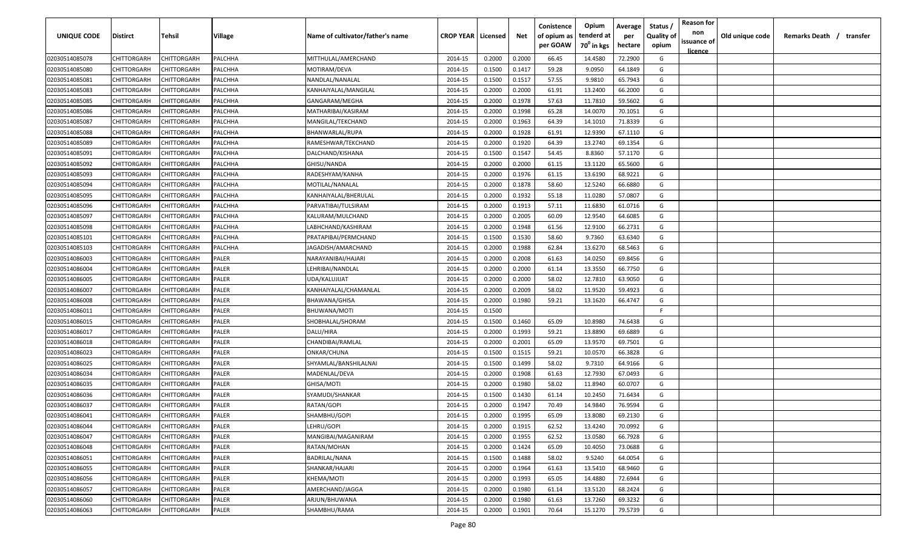| <b>UNIQUE CODE</b> | Distirct           | Tehsil             | Village | Name of cultivator/father's name | <b>CROP YEAR   Licensed</b> |        | Net    | Conistence<br>of opium as | Opium<br>tenderd at    | Average<br>per | Status /<br><b>Quality of</b> | <b>Reason for</b><br>non      | Old unique code | Remarks Death / transfer |
|--------------------|--------------------|--------------------|---------|----------------------------------|-----------------------------|--------|--------|---------------------------|------------------------|----------------|-------------------------------|-------------------------------|-----------------|--------------------------|
|                    |                    |                    |         |                                  |                             |        |        | per GOAW                  | 70 <sup>0</sup> in kgs | hectare        | opium                         | issuance of<br><u>licence</u> |                 |                          |
| 02030514085078     | CHITTORGARH        | CHITTORGARH        | PALCHHA | MITTHULAL/AMERCHAND              | 2014-15                     | 0.2000 | 0.2000 | 66.45                     | 14.4580                | 72.2900        | G                             |                               |                 |                          |
| 02030514085080     | CHITTORGARH        | CHITTORGARH        | PALCHHA | MOTIRAM/DEVA                     | 2014-15                     | 0.1500 | 0.1417 | 59.28                     | 9.0950                 | 64.1849        | G                             |                               |                 |                          |
| 02030514085081     | CHITTORGARH        | CHITTORGARH        | PALCHHA | NANDLAL/NANALAL                  | 2014-15                     | 0.1500 | 0.1517 | 57.55                     | 9.9810                 | 65.7943        | G                             |                               |                 |                          |
| 02030514085083     | CHITTORGARH        | CHITTORGARH        | PALCHHA | KANHAIYALAL/MANGILAL             | 2014-15                     | 0.2000 | 0.2000 | 61.91                     | 13.2400                | 66.2000        | G                             |                               |                 |                          |
| 02030514085085     | CHITTORGARH        | CHITTORGARH        | PALCHHA | GANGARAM/MEGHA                   | 2014-15                     | 0.2000 | 0.1978 | 57.63                     | 11.7810                | 59.5602        | G                             |                               |                 |                          |
| 02030514085086     | CHITTORGARH        | CHITTORGARH        | PALCHHA | MATHARIBAI/KASIRAM               | 2014-15                     | 0.2000 | 0.1998 | 65.28                     | 14.0070                | 70.1051        | G                             |                               |                 |                          |
| 02030514085087     | CHITTORGARH        | CHITTORGARH        | PALCHHA | MANGILAL/TEKCHAND                | 2014-15                     | 0.2000 | 0.1963 | 64.39                     | 14.1010                | 71.8339        | G                             |                               |                 |                          |
| 02030514085088     | CHITTORGARH        | CHITTORGARH        | PALCHHA | BHANWARLAL/RUPA                  | 2014-15                     | 0.2000 | 0.1928 | 61.91                     | 12.9390                | 67.1110        | G                             |                               |                 |                          |
| 02030514085089     | CHITTORGARH        | CHITTORGARH        | PALCHHA | RAMESHWAR/TEKCHAND               | 2014-15                     | 0.2000 | 0.1920 | 64.39                     | 13.2740                | 69.1354        | G                             |                               |                 |                          |
| 02030514085091     | CHITTORGARH        | CHITTORGARH        | PALCHHA | DALCHAND/KISHANA                 | 2014-15                     | 0.1500 | 0.1547 | 54.45                     | 8.8360                 | 57.1170        | G                             |                               |                 |                          |
| 02030514085092     | CHITTORGARH        | CHITTORGARH        | PALCHHA | GHISU/NANDA                      | 2014-15                     | 0.2000 | 0.2000 | 61.15                     | 13.1120                | 65.5600        | G                             |                               |                 |                          |
| 02030514085093     | CHITTORGARH        | CHITTORGARH        | PALCHHA | RADESHYAM/KANHA                  | 2014-15                     | 0.2000 | 0.1976 | 61.15                     | 13.6190                | 68.9221        | G                             |                               |                 |                          |
| 02030514085094     | CHITTORGARH        | CHITTORGARH        | PALCHHA | MOTILAL/NANALAL                  | 2014-15                     | 0.2000 | 0.1878 | 58.60                     | 12.5240                | 66.6880        | G                             |                               |                 |                          |
| 02030514085095     | CHITTORGARH        | CHITTORGARH        | PALCHHA | KANHAIYALAL/BHERULAL             | 2014-15                     | 0.2000 | 0.1932 | 55.18                     | 11.0280                | 57.0807        | G                             |                               |                 |                          |
| 02030514085096     | CHITTORGARH        | CHITTORGARH        | PALCHHA | PARVATIBAI/TULSIRAM              | 2014-15                     | 0.2000 | 0.1913 | 57.11                     | 11.6830                | 61.0716        | G                             |                               |                 |                          |
| 02030514085097     | CHITTORGARH        | CHITTORGARH        | PALCHHA | KALURAM/MULCHAND                 | 2014-15                     | 0.2000 | 0.2005 | 60.09                     | 12.9540                | 64.6085        | G                             |                               |                 |                          |
| 02030514085098     | CHITTORGARH        | CHITTORGARH        | PALCHHA | LABHCHAND/KASHIRAM               | 2014-15                     | 0.2000 | 0.1948 | 61.56                     | 12.9100                | 66.2731        | G                             |                               |                 |                          |
| 02030514085101     | CHITTORGARH        | CHITTORGARH        | PALCHHA | PRATAPIBAI/PERMCHAND             | 2014-15                     | 0.1500 | 0.1530 | 58.60                     | 9.7360                 | 63.6340        | G                             |                               |                 |                          |
| 02030514085103     | CHITTORGARH        | CHITTORGARH        | PALCHHA | JAGADISH/AMARCHAND               | 2014-15                     | 0.2000 | 0.1988 | 62.84                     | 13.6270                | 68.5463        | G                             |                               |                 |                          |
| 02030514086003     | CHITTORGARH        | CHITTORGARH        | PALER   | NARAYANIBAI/HAJARI               | 2014-15                     | 0.2000 | 0.2008 | 61.63                     | 14.0250                | 69.8456        | G                             |                               |                 |                          |
| 02030514086004     | CHITTORGARH        | CHITTORGARH        | PALER   | LEHRIBAI/NANDLAL                 | 2014-15                     | 0.2000 | 0.2000 | 61.14                     | 13.3550                | 66.7750        | G                             |                               |                 |                          |
| 02030514086005     | CHITTORGARH        | CHITTORGARH        | PALER   | UDA/KALUJIJAT                    | 2014-15                     | 0.2000 | 0.2000 | 58.02                     | 12.7810                | 63.9050        | G                             |                               |                 |                          |
| 02030514086007     | CHITTORGARH        | CHITTORGARH        | PALER   | KANHAIYALAL/CHAMANLAL            | 2014-15                     | 0.2000 | 0.2009 | 58.02                     | 11.9520                | 59.4923        | G                             |                               |                 |                          |
| 02030514086008     | CHITTORGARH        | CHITTORGARH        | PALER   | BHAWANA/GHISA                    | 2014-15                     | 0.2000 | 0.1980 | 59.21                     | 13.1620                | 66.4747        | G                             |                               |                 |                          |
| 02030514086011     | CHITTORGARH        | CHITTORGARH        | PALER   | BHUWANA/MOTI                     | 2014-15                     | 0.1500 |        |                           |                        |                | -F                            |                               |                 |                          |
| 02030514086015     | CHITTORGARH        | CHITTORGARH        | PALER   | SHOBHALAL/SHORAM                 | 2014-15                     | 0.1500 | 0.1460 | 65.09                     | 10.8980                | 74.6438        | G                             |                               |                 |                          |
| 02030514086017     | CHITTORGARH        | CHITTORGARH        | PALER   | DALU/HIRA                        | 2014-15                     | 0.2000 | 0.1993 | 59.21                     | 13.8890                | 69.6889        | G                             |                               |                 |                          |
| 02030514086018     | CHITTORGARH        | CHITTORGARH        | PALER   | CHANDIBAI/RAMLAL                 | 2014-15                     | 0.2000 | 0.2001 | 65.09                     | 13.9570                | 69.7501        | G                             |                               |                 |                          |
| 02030514086023     | CHITTORGARH        | CHITTORGARH        | PALER   | ONKAR/CHUNA                      | 2014-15                     | 0.1500 | 0.1515 | 59.21                     | 10.0570                | 66.3828        | G                             |                               |                 |                          |
| 02030514086025     | CHITTORGARH        | CHITTORGARH        | PALER   | SHYAMLAL/BANSHILALNAI            | 2014-15                     | 0.1500 | 0.1499 | 58.02                     | 9.7310                 | 64.9166        | G                             |                               |                 |                          |
| 02030514086034     | CHITTORGARH        | CHITTORGARH        | PALER   | MADENLAL/DEVA                    | 2014-15                     | 0.2000 | 0.1908 | 61.63                     | 12.7930                | 67.0493        | G                             |                               |                 |                          |
| 02030514086035     | CHITTORGARH        | CHITTORGARH        | PALER   | GHISA/MOTI                       | 2014-15                     | 0.2000 | 0.1980 | 58.02                     | 11.8940                | 60.0707        | G                             |                               |                 |                          |
| 02030514086036     | CHITTORGARH        | CHITTORGARH        | PALER   | SYAMUDI/SHANKAR                  | 2014-15                     | 0.1500 | 0.1430 | 61.14                     | 10.2450                | 71.6434        | G                             |                               |                 |                          |
| 02030514086037     | CHITTORGARH        | CHITTORGARH        | PALER   | RATAN/GOPI                       | 2014-15                     | 0.2000 | 0.1947 | 70.49                     | 14.9840                | 76.9594        | G                             |                               |                 |                          |
| 02030514086041     | CHITTORGARH        | CHITTORGARH        | PALER   | SHAMBHU/GOPI                     | 2014-15                     | 0.2000 | 0.1995 | 65.09                     | 13.8080                | 69.2130        | G                             |                               |                 |                          |
| 02030514086044     | <b>CHITTORGARH</b> | <b>CHITTORGARH</b> | PALER   | LEHRU/GOPI                       | 2014-15                     | 0.2000 | 0.1915 | 62.52                     | 13.4240                | 70.0992        | G                             |                               |                 |                          |
| 02030514086047     | <b>CHITTORGARH</b> | CHITTORGARH        | PALER   | MANGIBAI/MAGANIRAM               | 2014-15                     | 0.2000 | 0.1955 | 62.52                     | 13.0580                | 66.7928        | G                             |                               |                 |                          |
| 02030514086048     | <b>CHITTORGARH</b> | CHITTORGARH        | PALER   | RATAN/MOHAN                      | 2014-15                     | 0.2000 | 0.1424 | 65.09                     | 10.4050                | 73.0688        | G                             |                               |                 |                          |
| 02030514086051     | <b>CHITTORGARH</b> | CHITTORGARH        | PALER   | BADRILAL/NANA                    | 2014-15                     | 0.1500 | 0.1488 | 58.02                     | 9.5240                 | 64.0054        | G                             |                               |                 |                          |
| 02030514086055     | CHITTORGARH        | CHITTORGARH        | PALER   | SHANKAR/HAJARI                   | 2014-15                     | 0.2000 | 0.1964 | 61.63                     | 13.5410                | 68.9460        | G                             |                               |                 |                          |
| 02030514086056     | CHITTORGARH        | CHITTORGARH        | PALER   | KHEMA/MOTI                       | 2014-15                     | 0.2000 | 0.1993 | 65.05                     | 14.4880                | 72.6944        | G                             |                               |                 |                          |
| 02030514086057     | CHITTORGARH        | CHITTORGARH        | PALER   | AMERCHAND/JAGGA                  | 2014-15                     | 0.2000 | 0.1980 | 61.14                     | 13.5120                | 68.2424        | G                             |                               |                 |                          |
| 02030514086060     | CHITTORGARH        | CHITTORGARH        | PALER   | ARJUN/BHUWANA                    | 2014-15                     | 0.2000 | 0.1980 | 61.63                     | 13.7260                | 69.3232        | G                             |                               |                 |                          |
| 02030514086063     | <b>CHITTORGARH</b> | CHITTORGARH        | PALER   | SHAMBHU/RAMA                     | 2014-15                     | 0.2000 | 0.1901 | 70.64                     | 15.1270                | 79.5739        | G                             |                               |                 |                          |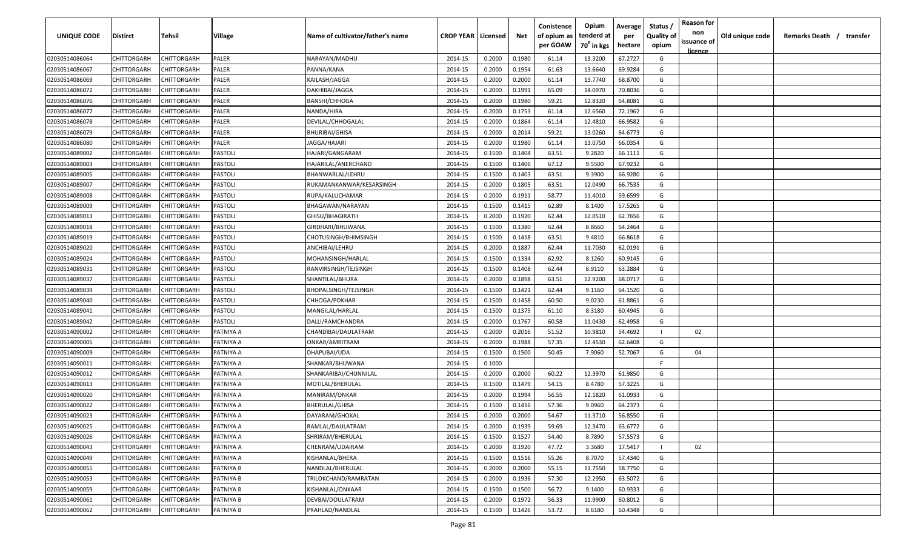| <b>UNIQUE CODE</b> | Distirct           | Tehsil             | Village   | Name of cultivator/father's name | <b>CROP YEAR   Licensed</b> |        | Net    | Conistence<br>of opium as | Opium<br>tenderd at    | Average<br>per | Status /<br><b>Quality of</b> | <b>Reason for</b><br>non      | Old unique code | Remarks Death /<br>transfer |
|--------------------|--------------------|--------------------|-----------|----------------------------------|-----------------------------|--------|--------|---------------------------|------------------------|----------------|-------------------------------|-------------------------------|-----------------|-----------------------------|
|                    |                    |                    |           |                                  |                             |        |        | per GOAW                  | 70 <sup>0</sup> in kgs | hectare        | opium                         | issuance of<br><u>licence</u> |                 |                             |
| 02030514086064     | CHITTORGARH        | CHITTORGARH        | PALER     | NARAYAN/MADHU                    | 2014-15                     | 0.2000 | 0.1980 | 61.14                     | 13.3200                | 67.2727        | G                             |                               |                 |                             |
| 02030514086067     | CHITTORGARH        | CHITTORGARH        | PALER     | PANNA/KANA                       | 2014-15                     | 0.2000 | 0.1954 | 61.63                     | 13.6640                | 69.9284        | G                             |                               |                 |                             |
| 02030514086069     | CHITTORGARH        | CHITTORGARH        | PALER     | KAILASH/JAGGA                    | 2014-15                     | 0.2000 | 0.2000 | 61.14                     | 13.7740                | 68.8700        | G                             |                               |                 |                             |
| 02030514086072     | CHITTORGARH        | CHITTORGARH        | PALER     | DAKHIBAI/JAGGA                   | 2014-15                     | 0.2000 | 0.1991 | 65.09                     | 14.0970                | 70.8036        | G                             |                               |                 |                             |
| 02030514086076     | CHITTORGARH        | CHITTORGARH        | PALER     | <b>BANSHI/CHHOGA</b>             | 2014-15                     | 0.2000 | 0.1980 | 59.21                     | 12.8320                | 64.8081        | G                             |                               |                 |                             |
| 02030514086077     | CHITTORGARH        | CHITTORGARH        | PALER     | NANDA/HIRA                       | 2014-15                     | 0.2000 | 0.1753 | 61.14                     | 12.6560                | 72.1962        | G                             |                               |                 |                             |
| 02030514086078     | CHITTORGARH        | CHITTORGARH        | PALER     | DEVILAL/CHHOGALAL                | 2014-15                     | 0.2000 | 0.1864 | 61.14                     | 12.4810                | 66.9582        | G                             |                               |                 |                             |
| 02030514086079     | CHITTORGARH        | CHITTORGARH        | PALER     | <b>BHURIBAI/GHISA</b>            | 2014-15                     | 0.2000 | 0.2014 | 59.21                     | 13.0260                | 64.6773        | G                             |                               |                 |                             |
| 02030514086080     | CHITTORGARH        | CHITTORGARH        | PALER     | JAGGA/HAJARI                     | 2014-15                     | 0.2000 | 0.1980 | 61.14                     | 13.0750                | 66.0354        | G                             |                               |                 |                             |
| 02030514089002     | CHITTORGARH        | CHITTORGARH        | PASTOLI   | HAJARI/GANGARAM                  | 2014-15                     | 0.1500 | 0.1404 | 63.51                     | 9.2820                 | 66.1111        | G                             |                               |                 |                             |
| 02030514089003     | CHITTORGARH        | CHITTORGARH        | PASTOLI   | HAJARILAL/ANERCHAND              | 2014-15                     | 0.1500 | 0.1406 | 67.12                     | 9.5500                 | 67.9232        | G                             |                               |                 |                             |
| 02030514089005     | CHITTORGARH        | CHITTORGARH        | PASTOLI   | BHANWARLAL/LEHRU                 | 2014-15                     | 0.1500 | 0.1403 | 63.51                     | 9.3900                 | 66.9280        | G                             |                               |                 |                             |
| 02030514089007     | CHITTORGARH        | CHITTORGARH        | PASTOLI   | RUKAMANKANWAR/KESARSINGH         | 2014-15                     | 0.2000 | 0.1805 | 63.51                     | 12.0490                | 66.7535        | G                             |                               |                 |                             |
| 02030514089008     | CHITTORGARH        | CHITTORGARH        | PASTOLI   | RUPA/KALUCHAMAR                  | 2014-15                     | 0.2000 | 0.1911 | 58.77                     | 11.4010                | 59.6599        | G                             |                               |                 |                             |
| 02030514089009     | CHITTORGARH        | CHITTORGARH        | PASTOLI   | BHAGAWAN/NARAYAN                 | 2014-15                     | 0.1500 | 0.1415 | 62.89                     | 8.1400                 | 57.5265        | G                             |                               |                 |                             |
| 02030514089013     | CHITTORGARH        | CHITTORGARH        | PASTOLI   | GHISU/BHAGIRATH                  | 2014-15                     | 0.2000 | 0.1920 | 62.44                     | 12.0510                | 62.7656        | G                             |                               |                 |                             |
| 02030514089018     | CHITTORGARH        | CHITTORGARH        | PASTOLI   | GIRDHARI/BHUWANA                 | 2014-15                     | 0.1500 | 0.1380 | 62.44                     | 8.8660                 | 64.2464        | G                             |                               |                 |                             |
| 02030514089019     | CHITTORGARH        | CHITTORGARH        | PASTOLI   | CHOTUSINGH/BHIMSINGH             | 2014-15                     | 0.1500 | 0.1418 | 63.51                     | 9.4810                 | 66.8618        | G                             |                               |                 |                             |
| 02030514089020     | CHITTORGARH        | CHITTORGARH        | PASTOLI   | ANCHIBAI/LEHRU                   | 2014-15                     | 0.2000 | 0.1887 | 62.44                     | 11.7030                | 62.0191        | G                             |                               |                 |                             |
| 02030514089024     | CHITTORGARH        | CHITTORGARH        | PASTOLI   | MOHANSINGH/HARLAL                | 2014-15                     | 0.1500 | 0.1334 | 62.92                     | 8.1260                 | 60.9145        | G                             |                               |                 |                             |
| 02030514089031     | CHITTORGARH        | CHITTORGARH        | PASTOLI   | RANVIRSINGH/TEJSINGH             | 2014-15                     | 0.1500 | 0.1408 | 62.44                     | 8.9110                 | 63.2884        | G                             |                               |                 |                             |
| 02030514089037     | CHITTORGARH        | CHITTORGARH        | PASTOLI   | SHANTILAL/BHURA                  | 2014-15                     | 0.2000 | 0.1898 | 63.51                     | 12.9200                | 68.0717        | G                             |                               |                 |                             |
| 02030514089039     | CHITTORGARH        | CHITTORGARH        | PASTOLI   | BHOPALSINGH/TEJSINGH             | 2014-15                     | 0.1500 | 0.1421 | 62.44                     | 9.1160                 | 64.1520        | G                             |                               |                 |                             |
| 02030514089040     | CHITTORGARH        | CHITTORGARH        | PASTOLI   | CHHOGA/POKHAR                    | 2014-15                     | 0.1500 | 0.1458 | 60.50                     | 9.0230                 | 61.8861        | G                             |                               |                 |                             |
| 02030514089041     | CHITTORGARH        | CHITTORGARH        | PASTOLI   | MANGILAL/HARLAL                  | 2014-15                     | 0.1500 | 0.1375 | 61.10                     | 8.3180                 | 60.4945        | G                             |                               |                 |                             |
| 02030514089042     | CHITTORGARH        | CHITTORGARH        | PASTOLI   | DALLI/RAMCHANDRA                 | 2014-15                     | 0.2000 | 0.1767 | 60.58                     | 11.0430                | 62.4958        | G                             |                               |                 |                             |
| 02030514090002     | CHITTORGARH        | CHITTORGARH        | PATNIYA A | CHANDIBAI/DAULATRAM              | 2014-15                     | 0.2000 | 0.2016 | 51.52                     | 10.9810                | 54.4692        |                               | 02                            |                 |                             |
| 02030514090005     | CHITTORGARH        | CHITTORGARH        | PATNIYA A | ONKAR/AMRITRAM                   | 2014-15                     | 0.2000 | 0.1988 | 57.35                     | 12.4530                | 62.6408        | G                             |                               |                 |                             |
| 02030514090009     | CHITTORGARH        | CHITTORGARH        | PATNIYA A | DHAPUBAI/UDA                     | 2014-15                     | 0.1500 | 0.1500 | 50.45                     | 7.9060                 | 52.7067        | G                             | 04                            |                 |                             |
| 02030514090011     | CHITTORGARH        | CHITTORGARH        | PATNIYA A | SHANKAR/BHUWANA                  | 2014-15                     | 0.1000 |        |                           |                        |                | -F.                           |                               |                 |                             |
| 02030514090012     | CHITTORGARH        | CHITTORGARH        | PATNIYA A | SHANKARIBAI/CHUNNILAL            | 2014-15                     | 0.2000 | 0.2000 | 60.22                     | 12.3970                | 61.9850        | G                             |                               |                 |                             |
| 02030514090013     | CHITTORGARH        | CHITTORGARH        | PATNIYA A | MOTILAL/BHERULAL                 | 2014-15                     | 0.1500 | 0.1479 | 54.15                     | 8.4780                 | 57.3225        | G                             |                               |                 |                             |
| 02030514090020     | CHITTORGARH        | CHITTORGARH        | PATNIYA A | MANIRAM/ONKAR                    | 2014-15                     | 0.2000 | 0.1994 | 56.55                     | 12.1820                | 61.0933        | G                             |                               |                 |                             |
| 02030514090022     | CHITTORGARH        | CHITTORGARH        | PATNIYA A | BHERULAL/GHISA                   | 2014-15                     | 0.1500 | 0.1416 | 57.36                     | 9.0960                 | 64.2373        | G                             |                               |                 |                             |
| 02030514090023     | CHITTORGARH        | CHITTORGARH        | PATNIYA A | DAYARAM/GHOKAL                   | 2014-15                     | 0.2000 | 0.2000 | 54.67                     | 11.3710                | 56.8550        | G                             |                               |                 |                             |
| 02030514090025     | <b>CHITTORGARH</b> | <b>CHITTORGARH</b> | PATNIYA A | RAMLAL/DAULATRAM                 | 2014-15                     | 0.2000 | 0.1939 | 59.69                     | 12.3470                | 63.6772        | G                             |                               |                 |                             |
| 02030514090026     | <b>CHITTORGARH</b> | CHITTORGARH        | PATNIYA A | SHRIRAM/BHERULAL                 | 2014-15                     | 0.1500 | 0.1527 | 54.40                     | 8.7890                 | 57.5573        | G                             |                               |                 |                             |
| 02030514090043     | CHITTORGARH        | CHITTORGARH        | PATNIYA A | CHENRAM/UDAIRAM                  | 2014-15                     | 0.2000 | 0.1920 | 47.72                     | 3.3680                 | 17.5417        |                               | 02                            |                 |                             |
| 02030514090049     | <b>CHITTORGARH</b> | CHITTORGARH        | PATNIYA A | KISHANLAL/BHERA                  | 2014-15                     | 0.1500 | 0.1516 | 55.26                     | 8.7070                 | 57.4340        | G                             |                               |                 |                             |
| 02030514090051     | CHITTORGARH        | CHITTORGARH        | PATNIYA B | NANDLAL/BHERULAL                 | 2014-15                     | 0.2000 | 0.2000 | 55.15                     | 11.7550                | 58.7750        | G                             |                               |                 |                             |
| 02030514090053     | CHITTORGARH        | CHITTORGARH        | PATNIYA B | TRILOKCHAND/RAMRATAN             | 2014-15                     | 0.2000 | 0.1936 | 57.30                     | 12.2950                | 63.5072        | G                             |                               |                 |                             |
| 02030514090059     | CHITTORGARH        | CHITTORGARH        | PATNIYA B | KISHANLAL/ONKAAR                 | 2014-15                     | 0.1500 | 0.1500 | 56.72                     | 9.1400                 | 60.9333        | G                             |                               |                 |                             |
| 02030514090061     | CHITTORGARH        | CHITTORGARH        | PATNIYA B | DEVBAI/DOULATRAM                 | 2014-15                     | 0.2000 | 0.1972 | 56.33                     | 11.9900                | 60.8012        | G                             |                               |                 |                             |
| 02030514090062     | CHITTORGARH        | CHITTORGARH        | PATNIYA B | PRAHLAD/NANDLAL                  | 2014-15                     | 0.1500 | 0.1426 | 53.72                     | 8.6180                 | 60.4348        | G                             |                               |                 |                             |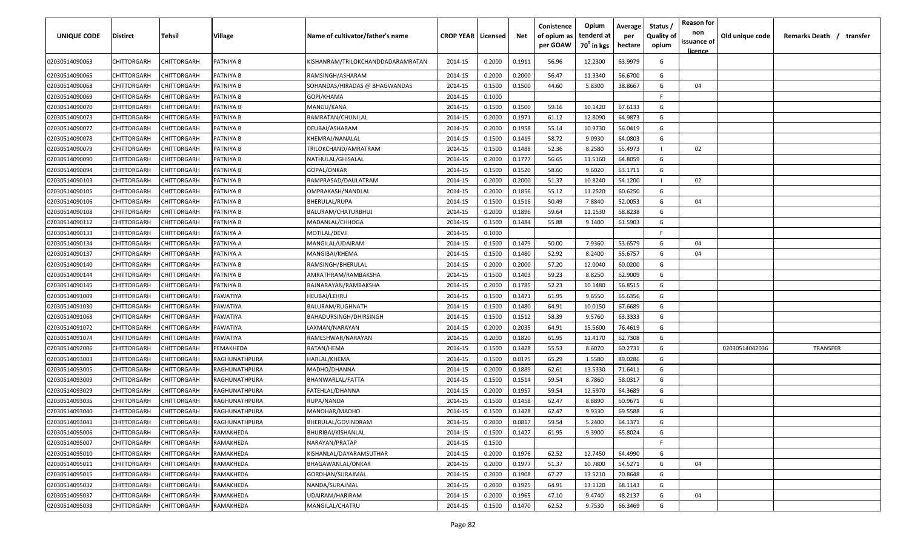| <b>UNIQUE CODE</b> | <b>Distirct</b>    | <b>Tehsil</b> | Village       | Name of cultivator/father's name  | <b>CROP YEAR Licensed</b> |        | Net    | Conistence<br>of opium as<br>per GOAW | Opium<br>tenderd at<br>70 <sup>0</sup> in kgs | Average<br>per<br>hectare | Status /<br><b>Quality of</b><br>opium | <b>Reason for</b><br>non<br>issuance of<br><u>licence</u> | Old unique code | Remarks Death /<br>transfer |
|--------------------|--------------------|---------------|---------------|-----------------------------------|---------------------------|--------|--------|---------------------------------------|-----------------------------------------------|---------------------------|----------------------------------------|-----------------------------------------------------------|-----------------|-----------------------------|
| 02030514090063     | CHITTORGARH        | CHITTORGARH   | PATNIYA B     | KISHANRAM/TRILOKCHANDDADARAMRATAN | 2014-15                   | 0.2000 | 0.1911 | 56.96                                 | 12.2300                                       | 63.9979                   | G                                      |                                                           |                 |                             |
| 02030514090065     | CHITTORGARH        | CHITTORGARH   | PATNIYA B     | RAMSINGH/ASHARAM                  | 2014-15                   | 0.2000 | 0.2000 | 56.47                                 | 11.3340                                       | 56.6700                   | G                                      |                                                           |                 |                             |
| 02030514090068     | CHITTORGARH        | CHITTORGARH   | PATNIYA B     | SOHANDAS/HIRADAS @ BHAGWANDAS     | 2014-15                   | 0.1500 | 0.1500 | 44.60                                 | 5.8300                                        | 38.8667                   | G                                      | 04                                                        |                 |                             |
| 02030514090069     | CHITTORGARH        | CHITTORGARH   | PATNIYA B     | GOPI/KHAMA                        | 2014-15                   | 0.1000 |        |                                       |                                               |                           | -F.                                    |                                                           |                 |                             |
| 02030514090070     | CHITTORGARH        | CHITTORGARH   | PATNIYA B     | MANGU/KANA                        | 2014-15                   | 0.1500 | 0.1500 | 59.16                                 | 10.1420                                       | 67.6133                   | G                                      |                                                           |                 |                             |
| 02030514090073     | CHITTORGARH        | CHITTORGARH   | PATNIYA B     | RAMRATAN/CHUNILAL                 | 2014-15                   | 0.2000 | 0.1971 | 61.12                                 | 12.8090                                       | 64.9873                   | G                                      |                                                           |                 |                             |
| 02030514090077     | CHITTORGARH        | CHITTORGARH   | PATNIYA B     | DEUBAI/ASHARAM                    | 2014-15                   | 0.2000 | 0.1958 | 55.14                                 | 10.9730                                       | 56.0419                   | G                                      |                                                           |                 |                             |
| 02030514090078     | CHITTORGARH        | CHITTORGARH   | PATNIYA B     | KHEMRAJ/NANALAL                   | 2014-15                   | 0.1500 | 0.1419 | 58.72                                 | 9.0930                                        | 64.0803                   | G                                      |                                                           |                 |                             |
| 02030514090079     | CHITTORGARH        | CHITTORGARH   | PATNIYA B     | TRILOKCHAND/AMRATRAM              | 2014-15                   | 0.1500 | 0.1488 | 52.36                                 | 8.2580                                        | 55.4973                   |                                        | 02                                                        |                 |                             |
| 02030514090090     | CHITTORGARH        | CHITTORGARH   | PATNIYA B     | NATHULAL/GHISALAL                 | 2014-15                   | 0.2000 | 0.1777 | 56.65                                 | 11.5160                                       | 64.8059                   | G                                      |                                                           |                 |                             |
| 02030514090094     | CHITTORGARH        | CHITTORGARH   | PATNIYA B     | GOPAL/ONKAR                       | 2014-15                   | 0.1500 | 0.1520 | 58.60                                 | 9.6020                                        | 63.1711                   | G                                      |                                                           |                 |                             |
| 02030514090103     | CHITTORGARH        | CHITTORGARH   | PATNIYA B     | RAMPRASAD/DAULATRAM               | 2014-15                   | 0.2000 | 0.2000 | 51.37                                 | 10.8240                                       | 54.1200                   |                                        | 02                                                        |                 |                             |
| 02030514090105     | CHITTORGARH        | CHITTORGARH   | PATNIYA B     | OMPRAKASH/NANDLAL                 | 2014-15                   | 0.2000 | 0.1856 | 55.12                                 | 11.2520                                       | 60.6250                   | G                                      |                                                           |                 |                             |
| 02030514090106     | CHITTORGARH        | CHITTORGARH   | PATNIYA B     | BHERULAL/RUPA                     | 2014-15                   | 0.1500 | 0.1516 | 50.49                                 | 7.8840                                        | 52.0053                   | G                                      | 04                                                        |                 |                             |
| 02030514090108     | CHITTORGARH        | CHITTORGARH   | PATNIYA B     | BALURAM/CHATURBHUJ                | 2014-15                   | 0.2000 | 0.1896 | 59.64                                 | 11.1530                                       | 58.8238                   | G                                      |                                                           |                 |                             |
| 02030514090112     | CHITTORGARH        | CHITTORGARH   | PATNIYA B     | MADANLAL/CHHOGA                   | 2014-15                   | 0.1500 | 0.1484 | 55.88                                 | 9.1400                                        | 61.5903                   | G                                      |                                                           |                 |                             |
| 02030514090133     | CHITTORGARH        | CHITTORGARH   | PATNIYA A     | MOTILAL/DEVJI                     | 2014-15                   | 0.1000 |        |                                       |                                               |                           | -F.                                    |                                                           |                 |                             |
| 02030514090134     | CHITTORGARH        | CHITTORGARH   | PATNIYA A     | MANGILAL/UDAIRAM                  | 2014-15                   | 0.1500 | 0.1479 | 50.00                                 | 7.9360                                        | 53.6579                   | G                                      | 04                                                        |                 |                             |
| 02030514090137     | CHITTORGARH        | CHITTORGARH   | PATNIYA A     | MANGIBAI/KHEMA                    | 2014-15                   | 0.1500 | 0.1480 | 52.92                                 | 8.2400                                        | 55.6757                   | G                                      | 04                                                        |                 |                             |
| 02030514090140     | CHITTORGARH        | CHITTORGARH   | PATNIYA B     | RAMSINGH/BHERULAL                 | 2014-15                   | 0.2000 | 0.2000 | 57.20                                 | 12.0040                                       | 60.0200                   | G                                      |                                                           |                 |                             |
| 02030514090144     | CHITTORGARH        | CHITTORGARH   | PATNIYA B     | AMRATHRAM/RAMBAKSHA               | 2014-15                   | 0.1500 | 0.1403 | 59.23                                 | 8.8250                                        | 62.9009                   | G                                      |                                                           |                 |                             |
| 02030514090145     | CHITTORGARH        | CHITTORGARH   | PATNIYA B     | RAJNARAYAN/RAMBAKSHA              | 2014-15                   | 0.2000 | 0.1785 | 52.23                                 | 10.1480                                       | 56.8515                   | G                                      |                                                           |                 |                             |
| 02030514091009     | CHITTORGARH        | CHITTORGARH   | PAWATIYA      | HEUBAI/LEHRU                      | 2014-15                   | 0.1500 | 0.1471 | 61.95                                 | 9.6550                                        | 65.6356                   | G                                      |                                                           |                 |                             |
| 02030514091030     | CHITTORGARH        | CHITTORGARH   | PAWATIYA      | BALURAM/RUGHNATH                  | 2014-15                   | 0.1500 | 0.1480 | 64.91                                 | 10.0150                                       | 67.6689                   | G                                      |                                                           |                 |                             |
| 02030514091068     | CHITTORGARH        | CHITTORGARH   | PAWATIYA      | BAHADURSINGH/DHIRSINGH            | 2014-15                   | 0.1500 | 0.1512 | 58.39                                 | 9.5760                                        | 63.3333                   | G                                      |                                                           |                 |                             |
| 02030514091072     | CHITTORGARH        | CHITTORGARH   | PAWATIYA      | LAXMAN/NARAYAN                    | 2014-15                   | 0.2000 | 0.2035 | 64.91                                 | 15.5600                                       | 76.4619                   | G                                      |                                                           |                 |                             |
| 02030514091074     | CHITTORGARH        | CHITTORGARH   | PAWATIYA      | RAMESHWAR/NARAYAN                 | 2014-15                   | 0.2000 | 0.1820 | 61.95                                 | 11.4170                                       | 62.7308                   | G                                      |                                                           |                 |                             |
| 02030514092006     | CHITTORGARH        | CHITTORGARH   | PEMAKHEDA     | RATAN/HEMA                        | 2014-15                   | 0.1500 | 0.1428 | 55.53                                 | 8.6070                                        | 60.2731                   | G                                      |                                                           | 02030514042036  | <b>TRANSFER</b>             |
| 02030514093003     | CHITTORGARH        | CHITTORGARH   | RAGHUNATHPURA | HARLAL/KHEMA                      | 2014-15                   | 0.1500 | 0.0175 | 65.29                                 | 1.5580                                        | 89.0286                   | G                                      |                                                           |                 |                             |
| 02030514093005     | CHITTORGARH        | CHITTORGARH   | RAGHUNATHPURA | MADHO/DHANNA                      | 2014-15                   | 0.2000 | 0.1889 | 62.61                                 | 13.5330                                       | 71.6411                   | G                                      |                                                           |                 |                             |
| 02030514093009     | CHITTORGARH        | CHITTORGARH   | RAGHUNATHPURA | BHANWARLAL/FATTA                  | 2014-15                   | 0.1500 | 0.1514 | 59.54                                 | 8.7860                                        | 58.0317                   | G                                      |                                                           |                 |                             |
| 02030514093029     | CHITTORGARH        | CHITTORGARH   | RAGHUNATHPURA | FATEHLAL/DHANNA                   | 2014-15                   | 0.2000 | 0.1957 | 59.54                                 | 12.5970                                       | 64.3689                   | G                                      |                                                           |                 |                             |
| 02030514093035     | CHITTORGARH        | CHITTORGARH   | RAGHUNATHPURA | RUPA/NANDA                        | 2014-15                   | 0.1500 | 0.1458 | 62.47                                 | 8.8890                                        | 60.9671                   | G                                      |                                                           |                 |                             |
| 02030514093040     | CHITTORGARH        | CHITTORGARH   | RAGHUNATHPURA | MANOHAR/MADHO                     | 2014-15                   | 0.1500 | 0.1428 | 62.47                                 | 9.9330                                        | 69.5588                   | G                                      |                                                           |                 |                             |
| 02030514093041     | <b>CHITTORGARH</b> | CHITTORGARH   | RAGHUNATHPURA | BHERULAL/GOVINDRAM                | 2014-15                   | 0.2000 | 0.0817 | 59.54                                 | 5.2400                                        | 64.1371                   | G                                      |                                                           |                 |                             |
| 02030514095006     | <b>CHITTORGARH</b> | CHITTORGARH   | RAMAKHEDA     | BHURIBAI/KISHANLAL                | 2014-15                   | 0.1500 | 0.1427 | 61.95                                 | 9.3900                                        | 65.8024                   | G                                      |                                                           |                 |                             |
| 02030514095007     | CHITTORGARH        | CHITTORGARH   | RAMAKHEDA     | NARAYAN/PRATAP                    | 2014-15                   | 0.1500 |        |                                       |                                               |                           | F.                                     |                                                           |                 |                             |
| 02030514095010     | CHITTORGARH        | CHITTORGARH   | RAMAKHEDA     | KISHANLAL/DAYARAMSUTHAR           | 2014-15                   | 0.2000 | 0.1976 | 62.52                                 | 12.7450                                       | 64.4990                   | G                                      |                                                           |                 |                             |
| 02030514095011     | CHITTORGARH        | CHITTORGARH   | RAMAKHEDA     | BHAGAWANLAL/ONKAR                 | 2014-15                   | 0.2000 | 0.1977 | 51.37                                 | 10.7800                                       | 54.5271                   | G                                      | 04                                                        |                 |                             |
| 02030514095015     | CHITTORGARH        | CHITTORGARH   | RAMAKHEDA     | GORDHAN/SURAJMAL                  | 2014-15                   | 0.2000 | 0.1908 | 67.27                                 | 13.5210                                       | 70.8648                   | G                                      |                                                           |                 |                             |
| 02030514095032     | CHITTORGARH        | CHITTORGARH   | RAMAKHEDA     | NANDA/SURAJMAL                    | 2014-15                   | 0.2000 | 0.1925 | 64.91                                 | 13.1120                                       | 68.1143                   | G                                      |                                                           |                 |                             |
| 02030514095037     | CHITTORGARH        | CHITTORGARH   | RAMAKHEDA     | UDAIRAM/HARIRAM                   | 2014-15                   | 0.2000 | 0.1965 | 47.10                                 | 9.4740                                        | 48.2137                   | G                                      | 04                                                        |                 |                             |
| 02030514095038     | CHITTORGARH        | CHITTORGARH   | RAMAKHEDA     | MANGILAL/CHATRU                   | 2014-15                   | 0.1500 | 0.1470 | 62.52                                 | 9.7530                                        | 66.3469                   | G                                      |                                                           |                 |                             |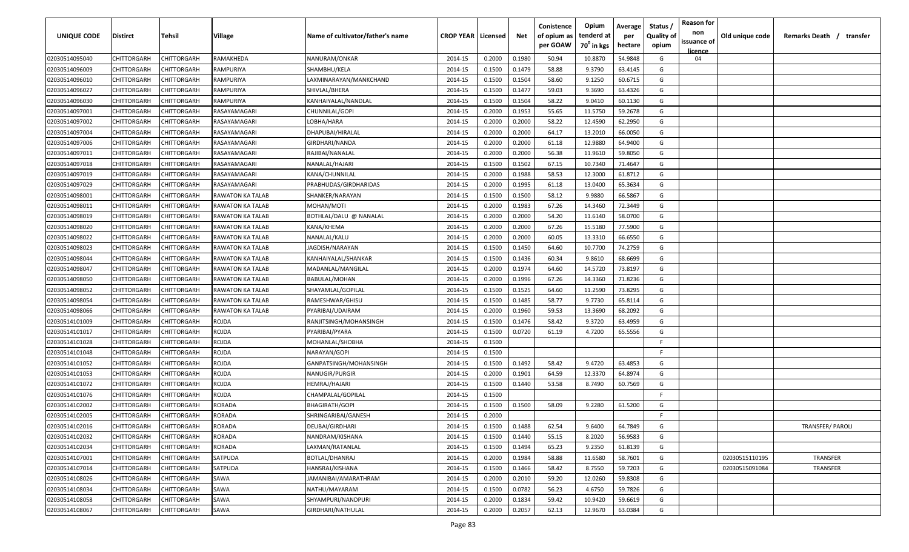| <b>UNIQUE CODE</b>               | <b>Distirct</b>            | <b>Tehsil</b>              | Village                 | Name of cultivator/father's name | <b>CROP YEAR   Licensed</b> |                  | Net    | Conistence<br>of opium as<br>per GOAW | Opium<br>tenderd at<br>70 <sup>0</sup> in kgs | Average<br>per<br>hectare | Status /<br><b>Quality of</b><br>opium | <b>Reason for</b><br>non<br>issuance of | Old unique code | Remarks Death /<br>transfer |
|----------------------------------|----------------------------|----------------------------|-------------------------|----------------------------------|-----------------------------|------------------|--------|---------------------------------------|-----------------------------------------------|---------------------------|----------------------------------------|-----------------------------------------|-----------------|-----------------------------|
|                                  | CHITTORGARH                | CHITTORGARH                | RAMAKHEDA               | NANURAM/ONKAR                    | 2014-15                     | 0.2000           | 0.1980 | 50.94                                 | 10.8870                                       | 54.9848                   | G                                      | <b>licence</b><br>04                    |                 |                             |
| 02030514095040<br>02030514096009 | CHITTORGARH                | CHITTORGARH                | RAMPURIYA               | SHAMBHU/KELA                     | 2014-15                     | 0.1500           | 0.1479 | 58.88                                 | 9.3790                                        | 63.4145                   | G                                      |                                         |                 |                             |
|                                  |                            |                            |                         | LAXMINARAYAN/MANKCHAND           |                             |                  | 0.1504 | 58.60                                 | 9.1250                                        | 60.6715                   | G                                      |                                         |                 |                             |
| 02030514096010                   | CHITTORGARH<br>CHITTORGARH | CHITTORGARH<br>CHITTORGARH | RAMPURIYA<br>RAMPURIYA  | SHIVLAL/BHERA                    | 2014-15                     | 0.1500<br>0.1500 | 0.1477 |                                       | 9.3690                                        | 63.4326                   | G                                      |                                         |                 |                             |
| 02030514096027<br>02030514096030 | CHITTORGARH                | CHITTORGARH                | RAMPURIYA               | KANHAIYALAL/NANDLAL              | 2014-15<br>2014-15          | 0.1500           | 0.1504 | 59.03<br>58.22                        | 9.0410                                        | 60.1130                   | G                                      |                                         |                 |                             |
| 02030514097001                   | CHITTORGARH                | CHITTORGARH                | RASAYAMAGARI            | CHUNNILAL/GOPI                   | 2014-15                     | 0.2000           | 0.1953 | 55.65                                 | 11.5750                                       | 59.2678                   | G                                      |                                         |                 |                             |
| 02030514097002                   | CHITTORGARH                | CHITTORGARH                | RASAYAMAGARI            | LOBHA/HARA                       | 2014-15                     | 0.2000           | 0.2000 | 58.22                                 | 12.4590                                       | 62.2950                   | G                                      |                                         |                 |                             |
| 02030514097004                   | CHITTORGARH                | CHITTORGARH                | RASAYAMAGARI            | DHAPUBAI/HIRALAL                 | 2014-15                     | 0.2000           | 0.2000 | 64.17                                 | 13.2010                                       | 66.0050                   | G                                      |                                         |                 |                             |
| 02030514097006                   | CHITTORGARH                | CHITTORGARH                | RASAYAMAGARI            | GIRDHARI/NANDA                   | 2014-15                     | 0.2000           | 0.2000 | 61.18                                 | 12.9880                                       | 64.9400                   | G                                      |                                         |                 |                             |
| 02030514097011                   | CHITTORGARH                | CHITTORGARH                | RASAYAMAGARI            | RAJIBAI/NANALAL                  | 2014-15                     | 0.2000           | 0.2000 | 56.38                                 | 11.9610                                       | 59.8050                   | G                                      |                                         |                 |                             |
| 02030514097018                   | CHITTORGARH                | CHITTORGARH                | RASAYAMAGARI            | NANALAL/HAJARI                   | 2014-15                     | 0.1500           | 0.1502 | 67.15                                 | 10.7340                                       | 71.4647                   | G                                      |                                         |                 |                             |
| 02030514097019                   | CHITTORGARH                | CHITTORGARH                | RASAYAMAGARI            | KANA/CHUNNILAL                   | 2014-15                     | 0.2000           | 0.1988 | 58.53                                 | 12.3000                                       | 61.8712                   | G                                      |                                         |                 |                             |
| 02030514097029                   | CHITTORGARH                | CHITTORGARH                | RASAYAMAGARI            | PRABHUDAS/GIRDHARIDAS            | 2014-15                     | 0.2000           | 0.1995 | 61.18                                 | 13.0400                                       | 65.3634                   | G                                      |                                         |                 |                             |
| 02030514098001                   | CHITTORGARH                | CHITTORGARH                | RAWATON KA TALAB        | SHANKER/NARAYAN                  | 2014-15                     | 0.1500           | 0.1500 | 58.12                                 | 9.9880                                        | 66.5867                   | G                                      |                                         |                 |                             |
| 02030514098011                   | CHITTORGARH                | CHITTORGARH                | RAWATON KA TALAB        | MOHAN/MOTI                       | 2014-15                     | 0.2000           | 0.1983 | 67.26                                 | 14.3460                                       | 72.3449                   | G                                      |                                         |                 |                             |
| 02030514098019                   | CHITTORGARH                | CHITTORGARH                | RAWATON KA TALAB        | BOTHLAL/DALU @ NANALAL           | 2014-15                     | 0.2000           | 0.2000 | 54.20                                 | 11.6140                                       | 58.0700                   | G                                      |                                         |                 |                             |
| 02030514098020                   | CHITTORGARH                | CHITTORGARH                | <b>RAWATON KA TALAB</b> | KANA/KHEMA                       | 2014-15                     | 0.2000           | 0.2000 | 67.26                                 | 15.5180                                       | 77.5900                   | G                                      |                                         |                 |                             |
| 02030514098022                   | CHITTORGARH                | CHITTORGARH                | RAWATON KA TALAB        | NANALAL/KALU                     | 2014-15                     | 0.2000           | 0.2000 | 60.05                                 | 13.3310                                       | 66.6550                   | G                                      |                                         |                 |                             |
| 02030514098023                   | CHITTORGARH                | CHITTORGARH                | RAWATON KA TALAB        | JAGDISH/NARAYAN                  | 2014-15                     | 0.1500           | 0.1450 | 64.60                                 | 10.7700                                       | 74.2759                   | G                                      |                                         |                 |                             |
| 02030514098044                   | CHITTORGARH                | CHITTORGARH                | RAWATON KA TALAB        | KANHAIYALAL/SHANKAR              | 2014-15                     | 0.1500           | 0.1436 | 60.34                                 | 9.8610                                        | 68.6699                   | G                                      |                                         |                 |                             |
| 02030514098047                   | CHITTORGARH                | CHITTORGARH                | RAWATON KA TALAB        | MADANLAL/MANGILAL                | 2014-15                     | 0.2000           | 0.1974 | 64.60                                 | 14.5720                                       | 73.8197                   | G                                      |                                         |                 |                             |
| 02030514098050                   | CHITTORGARH                | CHITTORGARH                | RAWATON KA TALAB        | <b>BABULAL/MOHAN</b>             | 2014-15                     | 0.2000           | 0.1996 | 67.26                                 | 14.3360                                       | 71.8236                   | G                                      |                                         |                 |                             |
| 02030514098052                   | CHITTORGARH                | CHITTORGARH                | <b>RAWATON KA TALAB</b> | SHAYAMLAL/GOPILAL                | 2014-15                     | 0.1500           | 0.1525 | 64.60                                 | 11.2590                                       | 73.8295                   | G                                      |                                         |                 |                             |
| 02030514098054                   | CHITTORGARH                | CHITTORGARH                | RAWATON KA TALAB        | RAMESHWAR/GHISU                  | 2014-15                     | 0.1500           | 0.1485 | 58.77                                 | 9.7730                                        | 65.8114                   | G                                      |                                         |                 |                             |
| 02030514098066                   | CHITTORGARH                | CHITTORGARH                | RAWATON KA TALAB        | PYARIBAI/UDAIRAM                 | 2014-15                     | 0.2000           | 0.1960 | 59.53                                 | 13.3690                                       | 68.2092                   | G                                      |                                         |                 |                             |
| 02030514101009                   | CHITTORGARH                | CHITTORGARH                | ROJDA                   | RANJITSINGH/MOHANSINGH           | 2014-15                     | 0.1500           | 0.1476 | 58.42                                 | 9.3720                                        | 63.4959                   | G                                      |                                         |                 |                             |
| 02030514101017                   | CHITTORGARH                | CHITTORGARH                | rojda                   | PYARIBAI/PYARA                   | 2014-15                     | 0.1500           | 0.0720 | 61.19                                 | 4.7200                                        | 65.5556                   | G                                      |                                         |                 |                             |
| 02030514101028                   | CHITTORGARH                | CHITTORGARH                | ROJDA                   | MOHANLAL/SHOBHA                  | 2014-15                     | 0.1500           |        |                                       |                                               |                           | F                                      |                                         |                 |                             |
| 02030514101048                   | CHITTORGARH                | CHITTORGARH                | rojda                   | NARAYAN/GOPI                     | 2014-15                     | 0.1500           |        |                                       |                                               |                           | -F.                                    |                                         |                 |                             |
| 02030514101052                   | CHITTORGARH                | CHITTORGARH                | rojda                   | GANPATSINGH/MOHANSINGH           | 2014-15                     | 0.1500           | 0.1492 | 58.42                                 | 9.4720                                        | 63.4853                   | G                                      |                                         |                 |                             |
| 02030514101053                   | CHITTORGARH                | CHITTORGARH                | rojda                   | NANUGIR/PURGIR                   | 2014-15                     | 0.2000           | 0.1901 | 64.59                                 | 12.3370                                       | 64.8974                   | G                                      |                                         |                 |                             |
| 02030514101072                   | CHITTORGARH                | CHITTORGARH                | rojda                   | HEMRAJ/HAJARI                    | 2014-15                     | 0.1500           | 0.1440 | 53.58                                 | 8.7490                                        | 60.7569                   | G                                      |                                         |                 |                             |
| 02030514101076                   | CHITTORGARH                | CHITTORGARH                | ROJDA                   | CHAMPALAL/GOPILAL                | 2014-15                     | 0.1500           |        |                                       |                                               |                           | -F.                                    |                                         |                 |                             |
| 02030514102002                   | CHITTORGARH                | CHITTORGARH                | RORADA                  | BHAGIRATH/GOPI                   | 2014-15                     | 0.1500           | 0.1500 | 58.09                                 | 9.2280                                        | 61.5200                   | G                                      |                                         |                 |                             |
| 02030514102005                   | CHITTORGARH                | CHITTORGARH                | RORADA                  | SHRINGARIBAI/GANESH              | 2014-15                     | 0.2000           |        |                                       |                                               |                           | E                                      |                                         |                 |                             |
| 02030514102016                   | <b>CHITTORGARH</b>         | CHITTORGARH                | RORADA                  | DEUBAI/GIRDHARI                  | 2014-15                     | 0.1500           | 0.1488 | 62.54                                 | 9.6400                                        | 64.7849                   | G                                      |                                         |                 | <b>TRANSFER/ PAROLI</b>     |
| 02030514102032                   | <b>CHITTORGARH</b>         | CHITTORGARH                | RORADA                  | NANDRAM/KISHANA                  | 2014-15                     | 0.1500           | 0.1440 | 55.15                                 | 8.2020                                        | 56.9583                   | G                                      |                                         |                 |                             |
| 02030514102034                   | CHITTORGARH                | CHITTORGARH                | RORADA                  | LAXMAN/RATANLAL                  | 2014-15                     | 0.1500           | 0.1494 | 65.23                                 | 9.2350                                        | 61.8139                   | G                                      |                                         |                 |                             |
| 02030514107001                   | CHITTORGARH                | CHITTORGARH                | SATPUDA                 | BOTLAL/DHANRAJ                   | 2014-15                     | 0.2000           | 0.1984 | 58.88                                 | 11.6580                                       | 58.7601                   | G                                      |                                         | 02030515110195  | TRANSFER                    |
| 02030514107014                   | CHITTORGARH                | CHITTORGARH                | SATPUDA                 | HANSRAJ/KISHANA                  | 2014-15                     | 0.1500           | 0.1466 | 58.42                                 | 8.7550                                        | 59.7203                   | G                                      |                                         | 02030515091084  | TRANSFER                    |
| 02030514108026                   | CHITTORGARH                | CHITTORGARH                | SAWA                    | JAMANIBAI/AMARATHRAM             | 2014-15                     | 0.2000           | 0.2010 | 59.20                                 | 12.0260                                       | 59.8308                   | G                                      |                                         |                 |                             |
| 02030514108034                   | CHITTORGARH                | CHITTORGARH                | SAWA                    | NATHU/MAYARAM                    | 2014-15                     | 0.1500           | 0.0782 | 56.23                                 | 4.6750                                        | 59.7826                   | G                                      |                                         |                 |                             |
| 02030514108058                   | CHITTORGARH                | CHITTORGARH                | SAWA                    | SHYAMPURI/NANDPURI               | 2014-15                     | 0.2000           | 0.1834 | 59.42                                 | 10.9420                                       | 59.6619                   | G                                      |                                         |                 |                             |
| 02030514108067                   | CHITTORGARH                | CHITTORGARH                | SAWA                    | GIRDHARI/NATHULAL                | 2014-15                     | 0.2000           | 0.2057 | 62.13                                 | 12.9670                                       | 63.0384                   | G                                      |                                         |                 |                             |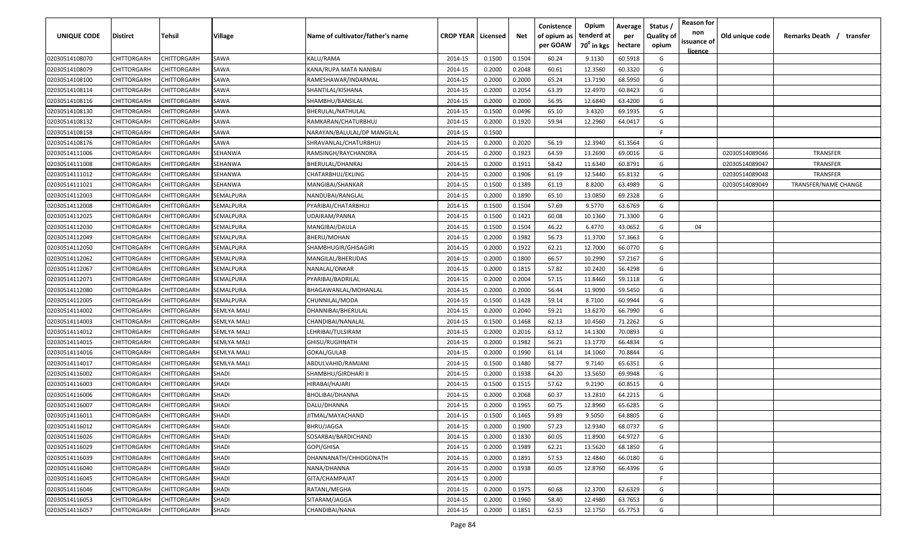| UNIQUE CODE    | Distirct           | Tehsil             | Village            | Name of cultivator/father's name | <b>CROP YEAR   Licensed</b> |        | Net    | Conistence<br>of opium as | Opium<br>tenderd at    | Average<br>per | Status /<br><b>Quality of</b> | <b>Reason for</b><br>non<br>issuance of | Old unique code | Remarks Death /<br>transfer |
|----------------|--------------------|--------------------|--------------------|----------------------------------|-----------------------------|--------|--------|---------------------------|------------------------|----------------|-------------------------------|-----------------------------------------|-----------------|-----------------------------|
|                |                    |                    |                    |                                  |                             |        |        | per GOAW                  | 70 <sup>0</sup> in kgs | hectare        | opium                         | <u>licence</u>                          |                 |                             |
| 02030514108070 | CHITTORGARH        | CHITTORGARH        | SAWA               | KALU/RAMA                        | 2014-15                     | 0.1500 | 0.1504 | 60.24                     | 9.1130                 | 60.5918        | G                             |                                         |                 |                             |
| 02030514108079 | CHITTORGARH        | CHITTORGARH        | SAWA               | KANA/RUPA MATA NANIBAI           | 2014-15                     | 0.2000 | 0.2048 | 60.61                     | 12.3560                | 60.3320        | G                             |                                         |                 |                             |
| 02030514108100 | CHITTORGARH        | CHITTORGARH        | SAWA               | RAMESHAWAR/INDARMAL              | 2014-15                     | 0.2000 | 0.2000 | 65.24                     | 13.7190                | 68.5950        | G                             |                                         |                 |                             |
| 02030514108114 | CHITTORGARH        | CHITTORGARH        | SAWA               | SHANTILAL/KISHANA                | 2014-15                     | 0.2000 | 0.2054 | 63.39                     | 12.4970                | 60.8423        | G                             |                                         |                 |                             |
| 02030514108116 | CHITTORGARH        | CHITTORGARH        | SAWA               | SHAMBHU/BANSILAL                 | 2014-15                     | 0.2000 | 0.2000 | 56.95                     | 12.6840                | 63.4200        | G                             |                                         |                 |                             |
| 02030514108130 | CHITTORGARH        | CHITTORGARH        | SAWA               | BHERULAL/NATHULAL                | 2014-15                     | 0.1500 | 0.0496 | 65.10                     | 3.4320                 | 69.1935        | G                             |                                         |                 |                             |
| 02030514108132 | CHITTORGARH        | <b>CHITTORGARH</b> | SAWA               | RAMKARAN/CHATURBHUJ              | 2014-15                     | 0.2000 | 0.1920 | 59.94                     | 12.2960                | 64.0417        | G                             |                                         |                 |                             |
| 02030514108158 | CHITTORGARH        | CHITTORGARH        | SAWA               | NARAYAN/BALULAL/DP MANGILAL      | 2014-15                     | 0.1500 |        |                           |                        |                | -F.                           |                                         |                 |                             |
| 02030514108176 | CHITTORGARH        | CHITTORGARH        | SAWA               | SHRAVANLAL/CHATURBHUJ            | 2014-15                     | 0.2000 | 0.2020 | 56.19                     | 12.3940                | 61.3564        | G                             |                                         |                 |                             |
| 02030514111006 | CHITTORGARH        | CHITTORGARH        | SEHANWA            | RAMSINGH/RAYCHANDRA              | 2014-15                     | 0.2000 | 0.1923 | 64.59                     | 13.2690                | 69.0016        | G                             |                                         | 02030514089046  | <b>TRANSFER</b>             |
| 02030514111008 | CHITTORGARH        | CHITTORGARH        | SEHANWA            | BHERULAL/DHANRAJ                 | 2014-15                     | 0.2000 | 0.1911 | 58.42                     | 11.6340                | 60.8791        | G                             |                                         | 02030514089047  | <b>TRANSFER</b>             |
| 02030514111012 | CHITTORGARH        | CHITTORGARH        | SEHANWA            | CHATARBHUJ/EKLING                | 2014-15                     | 0.2000 | 0.1906 | 61.19                     | 12.5440                | 65.8132        | G                             |                                         | 02030514089048  | <b>TRANSFER</b>             |
| 02030514111021 | CHITTORGARH        | CHITTORGARH        | SEHANWA            | MANGIBAI/SHANKAR                 | 2014-15                     | 0.1500 | 0.1389 | 61.19                     | 8.8200                 | 63.4989        | G                             |                                         | 02030514089049  | TRANSFER/NAME CHANGE        |
| 02030514112003 | CHITTORGARH        | CHITTORGARH        | SEMALPURA          | NANDUBAI/RANGLAL                 | 2014-15                     | 0.2000 | 0.1890 | 65.10                     | 13.0850                | 69.2328        | G                             |                                         |                 |                             |
| 02030514112008 | CHITTORGARH        | CHITTORGARH        | SEMALPURA          | PYARIBAI/CHATARBHUJ              | 2014-15                     | 0.1500 | 0.1504 | 57.69                     | 9.5770                 | 63.6769        | G                             |                                         |                 |                             |
| 02030514112025 | CHITTORGARH        | CHITTORGARH        | SEMALPURA          | UDAIRAM/PANNA                    | 2014-15                     | 0.1500 | 0.1421 | 60.08                     | 10.1360                | 71.3300        | G                             |                                         |                 |                             |
| 02030514112030 | CHITTORGARH        | CHITTORGARH        | SEMALPURA          | MANGIBAI/DAULA                   | 2014-15                     | 0.1500 | 0.1504 | 46.22                     | 6.4770                 | 43.0652        | G                             | 04                                      |                 |                             |
| 02030514112049 | CHITTORGARH        | CHITTORGARH        | SEMALPURA          | BHERU/MOHAN                      | 2014-15                     | 0.2000 | 0.1982 | 56.73                     | 11.3700                | 57.3663        | G                             |                                         |                 |                             |
| 02030514112050 | CHITTORGARH        | CHITTORGARH        | SEMALPURA          | SHAMBHUGIR/GHISAGIRI             | 2014-15                     | 0.2000 | 0.1922 | 62.21                     | 12.7000                | 66.0770        | G                             |                                         |                 |                             |
| 02030514112062 | CHITTORGARH        | CHITTORGARH        | SEMALPURA          | MANGILAL/BHERUDAS                | 2014-15                     | 0.2000 | 0.1800 | 66.57                     | 10.2990                | 57.2167        | G                             |                                         |                 |                             |
| 02030514112067 | CHITTORGARH        | CHITTORGARH        | SEMALPURA          | NANALAL/ONKAR                    | 2014-15                     | 0.2000 | 0.1815 | 57.82                     | 10.2420                | 56.4298        | G                             |                                         |                 |                             |
| 02030514112071 | CHITTORGARH        | CHITTORGARH        | SEMALPURA          | PYARIBAI/BADRILAL                | 2014-15                     | 0.2000 | 0.2004 | 57.15                     | 11.8460                | 59.1118        | G                             |                                         |                 |                             |
| 02030514112080 | CHITTORGARH        | CHITTORGARH        | SEMALPURA          | BHAGAWANLAL/MOHANLAL             | 2014-15                     | 0.2000 | 0.2000 | 56.44                     | 11.9090                | 59.5450        | G                             |                                         |                 |                             |
| 02030514112005 | CHITTORGARH        | CHITTORGARH        | SEMALPURA          | CHUNNILAL/MODA                   | 2014-15                     | 0.1500 | 0.1428 | 59.14                     | 8.7100                 | 60.9944        | G                             |                                         |                 |                             |
| 02030514114002 | CHITTORGARH        | CHITTORGARH        | <b>SEMLYA MALI</b> | DHANNIBAI/BHERULAL               | 2014-15                     | 0.2000 | 0.2040 | 59.21                     | 13.6270                | 66.7990        | G                             |                                         |                 |                             |
| 02030514114003 | CHITTORGARH        | CHITTORGARH        | SEMLYA MALI        | CHANDIBAI/NANALAL                | 2014-15                     | 0.1500 | 0.1468 | 62.13                     | 10.4560                | 71.2262        | G                             |                                         |                 |                             |
| 02030514114012 | CHITTORGARH        | CHITTORGARH        | SEMLYA MALI        | LEHRIBAI/TULSIRAM                | 2014-15                     | 0.2000 | 0.2016 | 63.12                     | 14.1300                | 70.0893        | G                             |                                         |                 |                             |
| 02030514114015 | CHITTORGARH        | CHITTORGARH        | SEMLYA MALI        | GHISU/RUGHNATH                   | 2014-15                     | 0.2000 | 0.1982 | 56.21                     | 13.1770                | 66.4834        | G                             |                                         |                 |                             |
| 02030514114016 | CHITTORGARH        | CHITTORGARH        | SEMLYA MALI        | GOKAL/GULAB                      | 2014-15                     | 0.2000 | 0.1990 | 61.14                     | 14.1060                | 70.8844        | G                             |                                         |                 |                             |
| 02030514114017 | CHITTORGARH        | CHITTORGARH        | <b>SEMLYA MALI</b> | ABDULVAHID/RAMJANI               | 2014-15                     | 0.1500 | 0.1480 | 58.77                     | 9.7140                 | 65.6351        | G                             |                                         |                 |                             |
| 02030514116002 | CHITTORGARH        | CHITTORGARH        | <b>SHADI</b>       | SHAMBHU/GIRDHARI II              | 2014-15                     | 0.2000 | 0.1938 | 64.20                     | 13.5650                | 69.9948        | G                             |                                         |                 |                             |
| 02030514116003 | CHITTORGARH        | CHITTORGARH        | <b>SHADI</b>       | HIRABAI/HAJARI                   | 2014-15                     | 0.1500 | 0.1515 | 57.62                     | 9.2190                 | 60.8515        | G                             |                                         |                 |                             |
| 02030514116006 | CHITTORGARH        | CHITTORGARH        | SHADI              | BHOLIBAI/DHANNA                  | 2014-15                     | 0.2000 | 0.2068 | 60.37                     | 13.2810                | 64.2215        | G                             |                                         |                 |                             |
|                |                    |                    | SHADI              |                                  | 2014-15                     | 0.2000 | 0.1965 | 60.75                     | 12.8960                | 65.6285        | G                             |                                         |                 |                             |
| 02030514116007 | CHITTORGARH        | CHITTORGARH        |                    | DALU/DHANNA                      |                             |        |        |                           |                        |                | G                             |                                         |                 |                             |
| 02030514116011 | CHITTORGARH        | CHITTORGARH        | SHADI              | JITMAL/MAYACHAND                 | 2014-15                     | 0.1500 | 0.1465 | 59.89                     | 9.5050                 | 64.8805        |                               |                                         |                 |                             |
| 02030514116012 | <b>CHITTORGARH</b> | <b>CHITTORGARH</b> | <b>SHADI</b>       | BHRU/JAGGA                       | 2014-15                     | 0.2000 | 0.1900 | 57.23                     | 12.9340                | 68.0737        | G                             |                                         |                 |                             |
| 02030514116026 | CHITTORGARH        | CHITTORGARH        | <b>SHADI</b>       | SOSARBAI/BARDICHAND              | 2014-15                     | 0.2000 | 0.1830 | 60.05                     | 11.8900                | 64.9727        | G                             |                                         |                 |                             |
| 02030514116029 | <b>CHITTORGARH</b> | CHITTORGARH        | <b>SHADI</b>       | GOPI/GHISA                       | 2014-15                     | 0.2000 | 0.1989 | 62.21                     | 13.5620                | 68.1850        | G                             |                                         |                 |                             |
| 02030514116039 | <b>CHITTORGARH</b> | CHITTORGARH        | <b>SHADI</b>       | DHANNANATH/CHHOGONATH            | 2014-15                     | 0.2000 | 0.1891 | 57.53                     | 12.4840                | 66.0180        | G                             |                                         |                 |                             |
| 02030514116040 | CHITTORGARH        | CHITTORGARH        | SHADI              | NANA/DHANNA                      | 2014-15                     | 0.2000 | 0.1938 | 60.05                     | 12.8760                | 66.4396        | G                             |                                         |                 |                             |
| 02030514116045 | CHITTORGARH        | CHITTORGARH        | <b>SHADI</b>       | GITA/CHAMPAJAT                   | 2014-15                     | 0.2000 |        |                           |                        |                | F.                            |                                         |                 |                             |
| 02030514116046 | CHITTORGARH        | CHITTORGARH        | SHADI              | RATANL/MEGHA                     | 2014-15                     | 0.2000 | 0.1975 | 60.68                     | 12.3700                | 62.6329        | G                             |                                         |                 |                             |
| 02030514116053 | CHITTORGARH        | CHITTORGARH        | SHADI              | SITARAM/JAGGA                    | 2014-15                     | 0.2000 | 0.1960 | 58.40                     | 12.4980                | 63.7653        | G                             |                                         |                 |                             |
| 02030514116057 | CHITTORGARH        | CHITTORGARH        | <b>SHADI</b>       | CHANDIBAI/NANA                   | 2014-15                     | 0.2000 | 0.1851 | 62.53                     | 12.1750                | 65.7753        | G                             |                                         |                 |                             |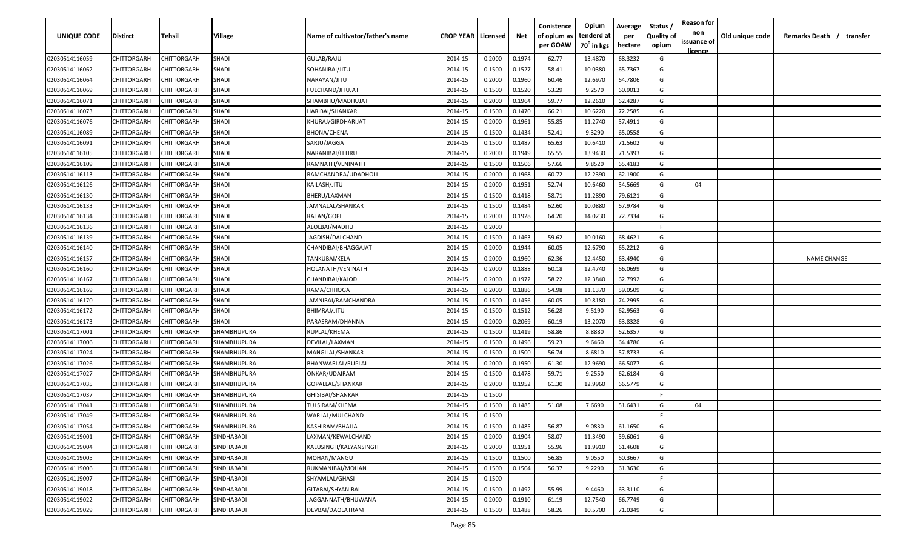| <b>UNIQUE CODE</b> | <b>Distirct</b>    | <b>Tehsil</b>      | Village      | Name of cultivator/father's name | <b>CROP YEAR   Licensed</b> |        | Net    | Conistence<br>of opium as | Opium<br>tenderd at    | Average<br>per | Status /<br>Quality of | <b>Reason for</b><br>non<br>issuance of | Old unique code | Remarks Death /<br>transfer |
|--------------------|--------------------|--------------------|--------------|----------------------------------|-----------------------------|--------|--------|---------------------------|------------------------|----------------|------------------------|-----------------------------------------|-----------------|-----------------------------|
|                    |                    |                    |              |                                  |                             |        |        | per GOAW                  | 70 <sup>0</sup> in kgs | hectare        | opium                  | licence                                 |                 |                             |
| 02030514116059     | CHITTORGARH        | CHITTORGARH        | <b>SHADI</b> | GULAB/RAJU                       | 2014-15                     | 0.2000 | 0.1974 | 62.77                     | 13.4870                | 68.3232        | G                      |                                         |                 |                             |
| 02030514116062     | CHITTORGARH        | CHITTORGARH        | SHADI        | SOHANIBAI/JITU                   | 2014-15                     | 0.1500 | 0.1527 | 58.41                     | 10.0380                | 65.7367        | G                      |                                         |                 |                             |
| 02030514116064     | CHITTORGARH        | CHITTORGARH        | <b>SHADI</b> | NARAYAN/JITU                     | 2014-15                     | 0.2000 | 0.1960 | 60.46                     | 12.6970                | 64.7806        | G                      |                                         |                 |                             |
| 02030514116069     | CHITTORGARH        | CHITTORGARH        | SHADI        | FULCHAND/JITUJAT                 | 2014-15                     | 0.1500 | 0.1520 | 53.29                     | 9.2570                 | 60.9013        | G                      |                                         |                 |                             |
| 02030514116071     | CHITTORGARH        | CHITTORGARH        | SHADI        | SHAMBHU/MADHUJAT                 | 2014-15                     | 0.2000 | 0.1964 | 59.77                     | 12.2610                | 62.4287        | G                      |                                         |                 |                             |
| 02030514116073     | CHITTORGARH        | CHITTORGARH        | SHADI        | HARIBAI/SHANKAR                  | 2014-15                     | 0.1500 | 0.1470 | 66.21                     | 10.6220                | 72.2585        | G                      |                                         |                 |                             |
| 02030514116076     | CHITTORGARH        | CHITTORGARH        | SHADI        | KHURAJ/GIRDHARIJAT               | 2014-15                     | 0.2000 | 0.1961 | 55.85                     | 11.2740                | 57.4911        | G                      |                                         |                 |                             |
| 02030514116089     | CHITTORGARH        | CHITTORGARH        | SHADI        | BHONA/CHENA                      | 2014-15                     | 0.1500 | 0.1434 | 52.41                     | 9.3290                 | 65.0558        | G                      |                                         |                 |                             |
| 02030514116091     | CHITTORGARH        | CHITTORGARH        | SHADI        | SARJU/JAGGA                      | 2014-15                     | 0.1500 | 0.1487 | 65.63                     | 10.6410                | 71.5602        | G                      |                                         |                 |                             |
| 02030514116105     | CHITTORGARH        | CHITTORGARH        | <b>SHADI</b> | NARANIBAI/LEHRU                  | 2014-15                     | 0.2000 | 0.1949 | 65.55                     | 13.9430                | 71.5393        | G                      |                                         |                 |                             |
| 02030514116109     | CHITTORGARH        | CHITTORGARH        | <b>SHADI</b> | RAMNATH/VENINATH                 | 2014-15                     | 0.1500 | 0.1506 | 57.66                     | 9.8520                 | 65.4183        | G                      |                                         |                 |                             |
| 02030514116113     | CHITTORGARH        | CHITTORGARH        | SHADI        | RAMCHANDRA/UDADHOLI              | 2014-15                     | 0.2000 | 0.1968 | 60.72                     | 12.2390                | 62.1900        | G                      |                                         |                 |                             |
| 02030514116126     | CHITTORGARH        | CHITTORGARH        | SHADI        | KAILASH/JITU                     | 2014-15                     | 0.2000 | 0.1951 | 52.74                     | 10.6460                | 54.5669        | G                      | 04                                      |                 |                             |
| 02030514116130     | CHITTORGARH        | CHITTORGARH        | <b>SHADI</b> | BHERU/LAXMAN                     | 2014-15                     | 0.1500 | 0.1418 | 58.71                     | 11.2890                | 79.6121        | G                      |                                         |                 |                             |
| 02030514116133     | CHITTORGARH        | CHITTORGARH        | <b>SHADI</b> | JAMNALAL/SHANKAR                 | 2014-15                     | 0.1500 | 0.1484 | 62.60                     | 10.0880                | 67.9784        | G                      |                                         |                 |                             |
| 02030514116134     | CHITTORGARH        | CHITTORGARH        | <b>SHADI</b> | RATAN/GOPI                       | 2014-15                     | 0.2000 | 0.1928 | 64.20                     | 14.0230                | 72.7334        | G                      |                                         |                 |                             |
| 02030514116136     | CHITTORGARH        | CHITTORGARH        | SHADI        | ALOLBAI/MADHU                    | 2014-15                     | 0.2000 |        |                           |                        |                | F.                     |                                         |                 |                             |
| 02030514116139     | CHITTORGARH        | CHITTORGARH        | SHADI        | JAGDISH/DALCHAND                 | 2014-15                     | 0.1500 | 0.1463 | 59.62                     | 10.0160                | 68.4621        | G                      |                                         |                 |                             |
| 02030514116140     | CHITTORGARH        | CHITTORGARH        | SHADI        | CHANDIBAI/BHAGGAJAT              | 2014-15                     | 0.2000 | 0.1944 | 60.05                     | 12.6790                | 65.2212        | G                      |                                         |                 |                             |
| 02030514116157     | CHITTORGARH        | CHITTORGARH        | <b>SHADI</b> | TANKUBAI/KELA                    | 2014-15                     | 0.2000 | 0.1960 | 62.36                     | 12.4450                | 63.4940        | G                      |                                         |                 | <b>NAME CHANGE</b>          |
| 02030514116160     | CHITTORGARH        | CHITTORGARH        | SHADI        | HOLANATH/VENINATH                | 2014-15                     | 0.2000 | 0.1888 | 60.18                     | 12.4740                | 66.0699        | G                      |                                         |                 |                             |
| 02030514116167     | CHITTORGARH        | CHITTORGARH        | SHADI        | CHANDIBAI/KAJOD                  | 2014-15                     | 0.2000 | 0.1972 | 58.22                     | 12.3840                | 62.7992        | G                      |                                         |                 |                             |
| 02030514116169     | CHITTORGARH        | CHITTORGARH        | <b>SHADI</b> | RAMA/CHHOGA                      | 2014-15                     | 0.2000 | 0.1886 | 54.98                     | 11.1370                | 59.0509        | G                      |                                         |                 |                             |
| 02030514116170     | CHITTORGARH        | CHITTORGARH        | <b>SHADI</b> | JAMNIBAI/RAMCHANDRA              | 2014-15                     | 0.1500 | 0.1456 | 60.05                     | 10.8180                | 74.2995        | G                      |                                         |                 |                             |
| 02030514116172     | CHITTORGARH        | CHITTORGARH        | SHADI        | BHIMRAJ/JITU                     | 2014-15                     | 0.1500 | 0.1512 | 56.28                     | 9.5190                 | 62.9563        | G                      |                                         |                 |                             |
| 02030514116173     | CHITTORGARH        | CHITTORGARH        | SHADI        | PARASRAM/DHANNA                  | 2014-15                     | 0.2000 | 0.2069 | 60.19                     | 13.2070                | 63.8328        | G                      |                                         |                 |                             |
| 02030514117001     | CHITTORGARH        | CHITTORGARH        | SHAMBHUPURA  | RUPLAL/KHEMA                     | 2014-15                     | 0.1500 | 0.1419 | 58.86                     | 8.8880                 | 62.6357        | G                      |                                         |                 |                             |
| 02030514117006     | CHITTORGARH        | CHITTORGARH        | SHAMBHUPURA  | DEVILAL/LAXMAN                   | 2014-15                     | 0.1500 | 0.1496 | 59.23                     | 9.6460                 | 64.4786        | G                      |                                         |                 |                             |
| 02030514117024     | CHITTORGARH        | CHITTORGARH        | SHAMBHUPURA  | MANGILAL/SHANKAR                 | 2014-15                     | 0.1500 | 0.1500 | 56.74                     | 8.6810                 | 57.8733        | G                      |                                         |                 |                             |
| 02030514117026     | CHITTORGARH        | CHITTORGARH        | SHAMBHUPURA  | BHANWARLAL/RUPLAL                | 2014-15                     | 0.2000 | 0.1950 | 61.30                     | 12.9690                | 66.5077        | G                      |                                         |                 |                             |
| 02030514117027     | CHITTORGARH        | CHITTORGARH        | SHAMBHUPURA  | ONKAR/UDAIRAM                    | 2014-15                     | 0.1500 | 0.1478 | 59.71                     | 9.2550                 | 62.6184        | G                      |                                         |                 |                             |
| 02030514117035     | CHITTORGARH        | CHITTORGARH        | SHAMBHUPURA  | GOPALLAL/SHANKAR                 | 2014-15                     | 0.2000 | 0.1952 | 61.30                     | 12.9960                | 66.5779        | G                      |                                         |                 |                             |
| 02030514117037     | CHITTORGARH        | CHITTORGARH        | SHAMBHUPURA  | GHISIBAI/SHANKAR                 | 2014-15                     | 0.1500 |        |                           |                        |                | -F.                    |                                         |                 |                             |
| 02030514117041     | CHITTORGARH        | CHITTORGARH        | SHAMBHUPURA  | TULSIRAM/KHEMA                   | 2014-15                     | 0.1500 | 0.1485 | 51.08                     | 7.6690                 | 51.6431        | G                      | 04                                      |                 |                             |
| 02030514117049     | <b>CHITTORGARH</b> | CHITTORGARH        | SHAMBHUPURA  | WARLAL/MULCHAND                  | 2014-15                     | 0.1500 |        |                           |                        |                | E                      |                                         |                 |                             |
| 02030514117054     | <b>CHITTORGARH</b> | <b>CHITTORGARH</b> | SHAMBHUPURA  | KASHIRAM/BHAJJA                  | 2014-15                     | 0.1500 | 0.1485 | 56.87                     | 9.0830                 | 61.1650        | G                      |                                         |                 |                             |
| 02030514119001     | <b>CHITTORGARH</b> | CHITTORGARH        | SINDHABADI   | LAXMAN/KEWALCHAND                | 2014-15                     | 0.2000 | 0.1904 | 58.07                     | 11.3490                | 59.6061        | G                      |                                         |                 |                             |
| 02030514119004     | CHITTORGARH        | CHITTORGARH        | SINDHABADI   | KALUSINGH/KALYANSINGH            | 2014-15                     | 0.2000 | 0.1951 | 55.96                     | 11.9910                | 61.4608        | G                      |                                         |                 |                             |
| 02030514119005     | CHITTORGARH        | <b>CHITTORGARH</b> | SINDHABADI   | MOHAN/MANGU                      | 2014-15                     | 0.1500 | 0.1500 | 56.85                     | 9.0550                 | 60.3667        | G                      |                                         |                 |                             |
| 02030514119006     | CHITTORGARH        | CHITTORGARH        | SINDHABADI   | RUKMANIBAI/MOHAN                 | 2014-15                     | 0.1500 | 0.1504 | 56.37                     | 9.2290                 | 61.3630        | G                      |                                         |                 |                             |
| 02030514119007     | CHITTORGARH        | CHITTORGARH        | SINDHABADI   | SHYAMLAL/GHASI                   | 2014-15                     | 0.1500 |        |                           |                        |                | F.                     |                                         |                 |                             |
| 02030514119018     | CHITTORGARH        | CHITTORGARH        | SINDHABADI   | GITABAI/SHYANIBAI                | 2014-15                     | 0.1500 | 0.1492 | 55.99                     | 9.4460                 | 63.3110        | G                      |                                         |                 |                             |
| 02030514119022     | CHITTORGARH        | CHITTORGARH        | SINDHABADI   | JAGGANNATH/BHUWANA               | 2014-15                     | 0.2000 | 0.1910 | 61.19                     | 12.7540                | 66.7749        | G                      |                                         |                 |                             |
| 02030514119029     | <b>CHITTORGARH</b> | CHITTORGARH        | SINDHABADI   | DEVBAI/DAOLATRAM                 | 2014-15                     | 0.1500 | 0.1488 | 58.26                     | 10.5700                | 71.0349        | G                      |                                         |                 |                             |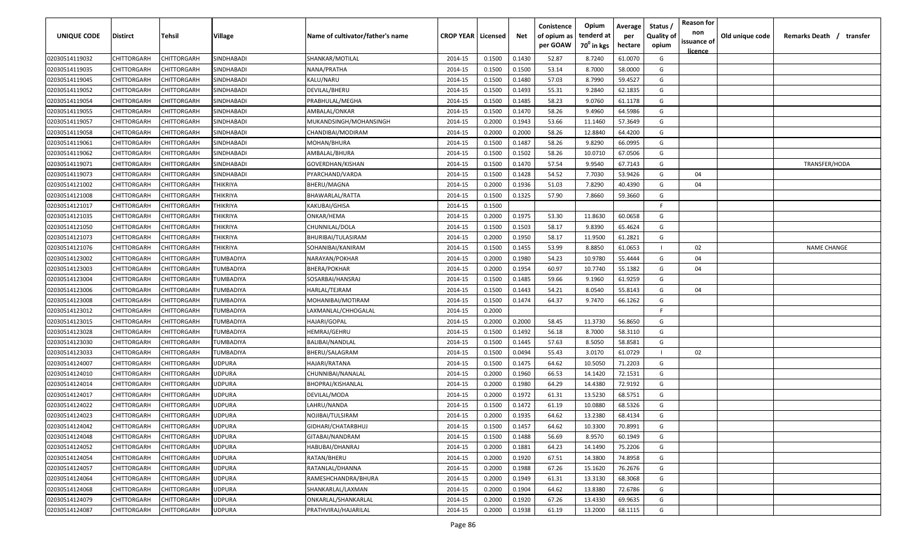| <b>UNIQUE CODE</b> | <b>Distirct</b>    | Tehsil             | Village           | Name of cultivator/father's name | <b>CROP YEAR   Licensed</b> |        | Net    | Conistence<br>of opium as | Opium<br>tenderd at    | Average<br>per | Status /<br><b>Quality of</b> | <b>Reason for</b><br>non | Old unique code | Remarks Death /<br>transfer |
|--------------------|--------------------|--------------------|-------------------|----------------------------------|-----------------------------|--------|--------|---------------------------|------------------------|----------------|-------------------------------|--------------------------|-----------------|-----------------------------|
|                    |                    |                    |                   |                                  |                             |        |        | per GOAW                  | 70 <sup>0</sup> in kgs | hectare        | opium                         | issuance of              |                 |                             |
| 02030514119032     | CHITTORGARH        | CHITTORGARH        | SINDHABADI        | SHANKAR/MOTILAL                  | 2014-15                     | 0.1500 | 0.1430 | 52.87                     | 8.7240                 | 61.0070        | G                             | licence                  |                 |                             |
| 02030514119035     | CHITTORGARH        | CHITTORGARH        | SINDHABADI        | NANA/PRATHA                      | 2014-15                     | 0.1500 | 0.1500 | 53.14                     | 8.7000                 | 58.0000        | G                             |                          |                 |                             |
| 02030514119045     | CHITTORGARH        | CHITTORGARH        | SINDHABADI        | KALU/NARU                        | 2014-15                     | 0.1500 | 0.1480 | 57.03                     | 8.7990                 | 59.4527        | G                             |                          |                 |                             |
| 02030514119052     | CHITTORGARH        | CHITTORGARH        | SINDHABADI        | DEVILAL/BHERU                    | 2014-15                     | 0.1500 | 0.1493 | 55.31                     | 9.2840                 | 62.1835        | G                             |                          |                 |                             |
| 02030514119054     | CHITTORGARH        | CHITTORGARH        | SINDHABADI        | PRABHULAL/MEGHA                  | 2014-15                     | 0.1500 | 0.1485 | 58.23                     | 9.0760                 | 61.1178        | G                             |                          |                 |                             |
| 02030514119055     | CHITTORGARH        | CHITTORGARH        | SINDHABADI        | AMBALAL/ONKAR                    | 2014-15                     | 0.1500 | 0.1470 | 58.26                     | 9.4960                 | 64.5986        | G                             |                          |                 |                             |
| 02030514119057     | CHITTORGARH        | CHITTORGARH        | SINDHABADI        | MUKANDSINGH/MOHANSINGH           | 2014-15                     | 0.2000 | 0.1943 | 53.66                     | 11.1460                | 57.3649        | G                             |                          |                 |                             |
| 02030514119058     | CHITTORGARH        | CHITTORGARH        | <b>SINDHABADI</b> | CHANDIBAI/MODIRAM                | 2014-15                     | 0.2000 | 0.2000 | 58.26                     | 12.8840                | 64.4200        | G                             |                          |                 |                             |
| 02030514119061     | CHITTORGARH        | CHITTORGARH        | SINDHABADI        | MOHAN/BHURA                      | 2014-15                     | 0.1500 | 0.1487 | 58.26                     | 9.8290                 | 66.0995        | G                             |                          |                 |                             |
| 02030514119062     | CHITTORGARH        | CHITTORGARH        | SINDHABADI        | AMBALAL/BHURA                    | 2014-15                     | 0.1500 | 0.1502 | 58.26                     | 10.0710                | 67.0506        | G                             |                          |                 |                             |
| 02030514119071     | CHITTORGARH        | CHITTORGARH        | SINDHABADI        | GOVERDHAN/KISHAN                 | 2014-15                     | 0.1500 | 0.1470 | 57.54                     | 9.9540                 | 67.7143        | G                             |                          |                 | TRANSFER/HODA               |
| 02030514119073     | CHITTORGARH        | CHITTORGARH        | SINDHABADI        | PYARCHAND/VARDA                  | 2014-15                     | 0.1500 | 0.1428 | 54.52                     | 7.7030                 | 53.9426        | G                             | 04                       |                 |                             |
| 02030514121002     | CHITTORGARH        | CHITTORGARH        | THIKRIYA          | BHERU/MAGNA                      | 2014-15                     | 0.2000 | 0.1936 | 51.03                     | 7.8290                 | 40.4390        | G                             | 04                       |                 |                             |
| 02030514121008     | CHITTORGARH        | CHITTORGARH        | THIKRIYA          | BHAWARLAL/RATTA                  | 2014-15                     | 0.1500 | 0.1325 | 57.90                     | 7.8660                 | 59.3660        | G                             |                          |                 |                             |
| 02030514121017     | CHITTORGARH        | CHITTORGARF        | <b>THIKRIYA</b>   | <b>KAKUBAI/GHISA</b>             | 2014-15                     | 0.1500 |        |                           |                        |                | E                             |                          |                 |                             |
| 02030514121035     | CHITTORGARH        | CHITTORGARF        | <b>THIKRIYA</b>   | ONKAR/HEMA                       | 2014-15                     | 0.2000 | 0.1975 | 53.30                     | 11.8630                | 60.0658        | G                             |                          |                 |                             |
| 02030514121050     | CHITTORGARH        | CHITTORGARH        | THIKRIYA          | CHUNNILAL/DOLA                   | 2014-15                     | 0.1500 | 0.1503 | 58.17                     | 9.8390                 | 65.4624        | G                             |                          |                 |                             |
| 02030514121073     | CHITTORGARH        | CHITTORGARH        | THIKRIYA          | BHURIBAI/TULASIRAM               | 2014-15                     | 0.2000 | 0.1950 | 58.17                     | 11.9500                | 61.2821        | G                             |                          |                 |                             |
| 02030514121076     | CHITTORGARH        | CHITTORGARH        | THIKRIYA          | SOHANIBAI/KANIRAM                | 2014-15                     | 0.1500 | 0.1455 | 53.99                     | 8.8850                 | 61.0653        |                               | 02                       |                 | <b>NAME CHANGE</b>          |
| 02030514123002     | CHITTORGARH        | CHITTORGARH        | TUMBADIYA         | NARAYAN/POKHAR                   | 2014-15                     | 0.2000 | 0.1980 | 54.23                     | 10.9780                | 55.4444        | G                             | 04                       |                 |                             |
| 02030514123003     | CHITTORGARH        | CHITTORGARH        | TUMBADIYA         | BHERA/POKHAR                     | 2014-15                     | 0.2000 | 0.1954 | 60.97                     | 10.7740                | 55.1382        | G                             | 04                       |                 |                             |
| 02030514123004     | CHITTORGARH        | CHITTORGARH        | TUMBADIYA         | SOSARBAI/HANSRAJ                 | 2014-15                     | 0.1500 | 0.1485 | 59.66                     | 9.1960                 | 61.9259        | G                             |                          |                 |                             |
| 02030514123006     | CHITTORGARH        | CHITTORGARH        | TUMBADIYA         | HARLAL/TEJRAM                    | 2014-15                     | 0.1500 | 0.1443 | 54.21                     | 8.0540                 | 55.8143        | G                             | 04                       |                 |                             |
| 02030514123008     | CHITTORGARH        | CHITTORGARH        | TUMBADIYA         | MOHANIBAI/MOTIRAM                | 2014-15                     | 0.1500 | 0.1474 | 64.37                     | 9.7470                 | 66.1262        | G                             |                          |                 |                             |
| 02030514123012     | CHITTORGARH        | CHITTORGARH        | TUMBADIYA         | LAXMANLAL/CHHOGALAL              | 2014-15                     | 0.2000 |        |                           |                        |                | E                             |                          |                 |                             |
| 02030514123015     | CHITTORGARH        | CHITTORGARH        | TUMBADIYA         | HAJARI/GOPAL                     | 2014-15                     | 0.2000 | 0.2000 | 58.45                     | 11.3730                | 56.8650        | G                             |                          |                 |                             |
| 02030514123028     | CHITTORGARH        | CHITTORGARH        | TUMBADIYA         | HEMRAJ/GEHRU                     | 2014-15                     | 0.1500 | 0.1492 | 56.18                     | 8.7000                 | 58.3110        | G                             |                          |                 |                             |
| 02030514123030     | CHITTORGARH        | CHITTORGARH        | TUMBADIYA         | BALIBAI/NANDLAL                  | 2014-15                     | 0.1500 | 0.1445 | 57.63                     | 8.5050                 | 58.8581        | G                             |                          |                 |                             |
| 02030514123033     | CHITTORGARH        | CHITTORGARH        | TUMBADIYA         | BHERU/SALAGRAM                   | 2014-15                     | 0.1500 | 0.0494 | 55.43                     | 3.0170                 | 61.0729        |                               | 02                       |                 |                             |
| 02030514124007     | CHITTORGARH        | CHITTORGARH        | UDPURA            | HAJARI/RATANA                    | 2014-15                     | 0.1500 | 0.1475 | 64.62                     | 10.5050                | 71.2203        | G                             |                          |                 |                             |
| 02030514124010     | CHITTORGARH        | CHITTORGARH        | <b>UDPURA</b>     | CHUNNIBAI/NANALAL                | 2014-15                     | 0.2000 | 0.1960 | 66.53                     | 14.1420                | 72.1531        | G                             |                          |                 |                             |
| 02030514124014     | CHITTORGARH        | <b>CHITTORGARF</b> | <b>UDPURA</b>     | BHOPRAJ/KISHANLAL                | 2014-15                     | 0.2000 | 0.1980 | 64.29                     | 14.4380                | 72.9192        | G                             |                          |                 |                             |
| 02030514124017     | CHITTORGARH        | CHITTORGARH        | <b>UDPURA</b>     | DEVILAL/MODA                     | 2014-15                     | 0.2000 | 0.1972 | 61.31                     | 13.5230                | 68.5751        | G                             |                          |                 |                             |
| 02030514124022     | CHITTORGARH        | CHITTORGARH        | <b>UDPURA</b>     | LAHRU/NANDA                      | 2014-15                     | 0.1500 | 0.1472 | 61.19                     | 10.0880                | 68.5326        | G                             |                          |                 |                             |
| 02030514124023     | CHITTORGARH        | CHITTORGARH        | UDPURA            | NOJIBAI/TULSIRAM                 | 2014-15                     | 0.2000 | 0.1935 | 64.62                     | 13.2380                | 68.4134        | G                             |                          |                 |                             |
| 02030514124042     | <b>CHITTORGARH</b> | CHITTORGARH        | <b>UDPURA</b>     | GIDHARI/CHATARBHUJ               | 2014-15                     | 0.1500 | 0.1457 | 64.62                     | 10.3300                | 70.8991        | G                             |                          |                 |                             |
| 02030514124048     | CHITTORGARH        | CHITTORGARH        | <b>UDPURA</b>     | GITABAI/NANDRAM                  | 2014-15                     | 0.1500 | 0.1488 | 56.69                     | 8.9570                 | 60.1949        | G                             |                          |                 |                             |
| 02030514124052     | CHITTORGARH        | CHITTORGARH        | <b>UDPURA</b>     | HABUBAI/DHANRAJ                  | 2014-15                     | 0.2000 | 0.1881 | 64.23                     | 14.1490                | 75.2206        | G                             |                          |                 |                             |
| 02030514124054     | <b>CHITTORGARH</b> | CHITTORGARH        | <b>UDPURA</b>     | RATAN/BHERU                      | 2014-15                     | 0.2000 | 0.1920 | 67.51                     | 14.3800                | 74.8958        | G                             |                          |                 |                             |
| 02030514124057     | CHITTORGARH        | CHITTORGARH        | UDPURA            | RATANLAL/DHANNA                  | 2014-15                     | 0.2000 | 0.1988 | 67.26                     | 15.1620                | 76.2676        | G                             |                          |                 |                             |
| 02030514124064     | CHITTORGARH        | CHITTORGARH        | <b>UDPURA</b>     | RAMESHCHANDRA/BHURA              | 2014-15                     | 0.2000 | 0.1949 | 61.31                     | 13.3130                | 68.3068        | G                             |                          |                 |                             |
| 02030514124068     | CHITTORGARH        | CHITTORGARH        | UDPURA            | SHANKARLAL/LAXMAN                | 2014-15                     | 0.2000 | 0.1904 | 64.62                     | 13.8380                | 72.6786        | G                             |                          |                 |                             |
| 02030514124079     | CHITTORGARH        | CHITTORGARH        | UDPURA            | ONKARLAL/SHANKARLAL              | 2014-15                     | 0.2000 | 0.1920 | 67.26                     | 13.4330                | 69.9635        | G                             |                          |                 |                             |
| 02030514124087     | <b>CHITTORGARH</b> | CHITTORGARH        | UDPURA            | PRATHVIRAJ/HAJARILAL             | 2014-15                     | 0.2000 | 0.1938 | 61.19                     | 13.2000                | 68.1115        | G                             |                          |                 |                             |